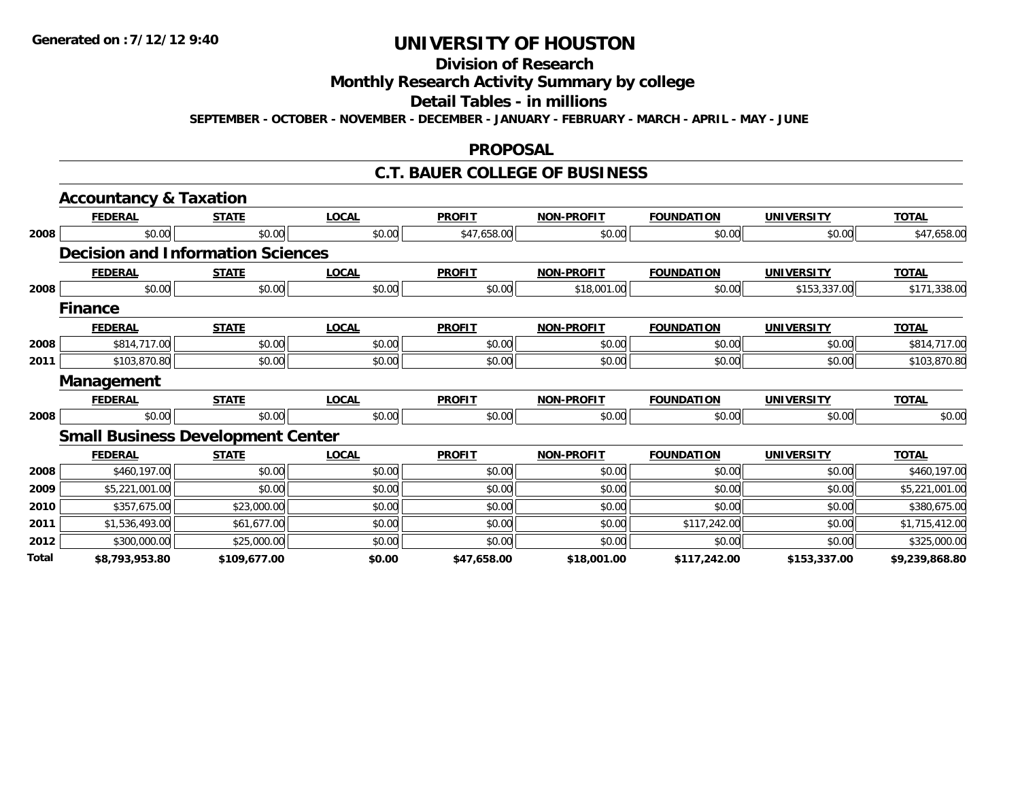## **Division of Research**

## **Monthly Research Activity Summary by college**

#### **Detail Tables - in millions**

**SEPTEMBER - OCTOBER - NOVEMBER - DECEMBER - JANUARY - FEBRUARY - MARCH - APRIL - MAY - JUNE**

#### **PROPOSAL**

### **C.T. BAUER COLLEGE OF BUSINESS**

|       | <b>Accountancy &amp; Taxation</b>        |              |              |               |                   |                   |                   |                |
|-------|------------------------------------------|--------------|--------------|---------------|-------------------|-------------------|-------------------|----------------|
|       | <b>FEDERAL</b>                           | <b>STATE</b> | <b>LOCAL</b> | <b>PROFIT</b> | <b>NON-PROFIT</b> | <b>FOUNDATION</b> | <b>UNIVERSITY</b> | <b>TOTAL</b>   |
| 2008  | \$0.00                                   | \$0.00       | \$0.00       | \$47,658.00   | \$0.00            | \$0.00            | \$0.00            | \$47,658.00    |
|       | <b>Decision and Information Sciences</b> |              |              |               |                   |                   |                   |                |
|       | <b>FEDERAL</b>                           | <b>STATE</b> | <b>LOCAL</b> | <b>PROFIT</b> | <b>NON-PROFIT</b> | <b>FOUNDATION</b> | <b>UNIVERSITY</b> | <b>TOTAL</b>   |
| 2008  | \$0.00                                   | \$0.00       | \$0.00       | \$0.00        | \$18,001.00       | \$0.00            | \$153,337.00      | \$171,338.00   |
|       | <b>Finance</b>                           |              |              |               |                   |                   |                   |                |
|       | <b>FEDERAL</b>                           | <b>STATE</b> | <b>LOCAL</b> | <b>PROFIT</b> | <b>NON-PROFIT</b> | <b>FOUNDATION</b> | <b>UNIVERSITY</b> | <b>TOTAL</b>   |
| 2008  | \$814,717.00                             | \$0.00       | \$0.00       | \$0.00        | \$0.00            | \$0.00            | \$0.00            | \$814,717.00   |
| 2011  | \$103,870.80                             | \$0.00       | \$0.00       | \$0.00        | \$0.00            | \$0.00            | \$0.00            | \$103,870.80   |
|       | <b>Management</b>                        |              |              |               |                   |                   |                   |                |
|       | <b>FEDERAL</b>                           | <b>STATE</b> | <b>LOCAL</b> | <b>PROFIT</b> | <b>NON-PROFIT</b> | <b>FOUNDATION</b> | <b>UNIVERSITY</b> | <b>TOTAL</b>   |
| 2008  | \$0.00                                   | \$0.00       | \$0.00       | \$0.00        | \$0.00            | \$0.00            | \$0.00            | \$0.00         |
|       | <b>Small Business Development Center</b> |              |              |               |                   |                   |                   |                |
|       | <b>FEDERAL</b>                           | <b>STATE</b> | <b>LOCAL</b> | <b>PROFIT</b> | <b>NON-PROFIT</b> | <b>FOUNDATION</b> | <b>UNIVERSITY</b> | <b>TOTAL</b>   |
| 2008  | \$460,197.00                             | \$0.00       | \$0.00       | \$0.00        | \$0.00            | \$0.00            | \$0.00            | \$460,197.00   |
| 2009  | \$5,221,001.00                           | \$0.00       | \$0.00       | \$0.00        | \$0.00            | \$0.00            | \$0.00            | \$5,221,001.00 |
| 2010  | \$357,675.00                             | \$23,000.00  | \$0.00       | \$0.00        | \$0.00            | \$0.00            | \$0.00            | \$380,675.00   |
| 2011  | \$1,536,493.00                           | \$61,677.00  | \$0.00       | \$0.00        | \$0.00            | \$117,242.00      | \$0.00            | \$1,715,412.00 |
| 2012  | \$300,000.00                             | \$25,000.00  | \$0.00       | \$0.00        | \$0.00            | \$0.00            | \$0.00            | \$325,000.00   |
| Total | \$8,793,953.80                           | \$109,677.00 | \$0.00       | \$47,658.00   | \$18,001.00       | \$117,242.00      | \$153,337.00      | \$9,239,868.80 |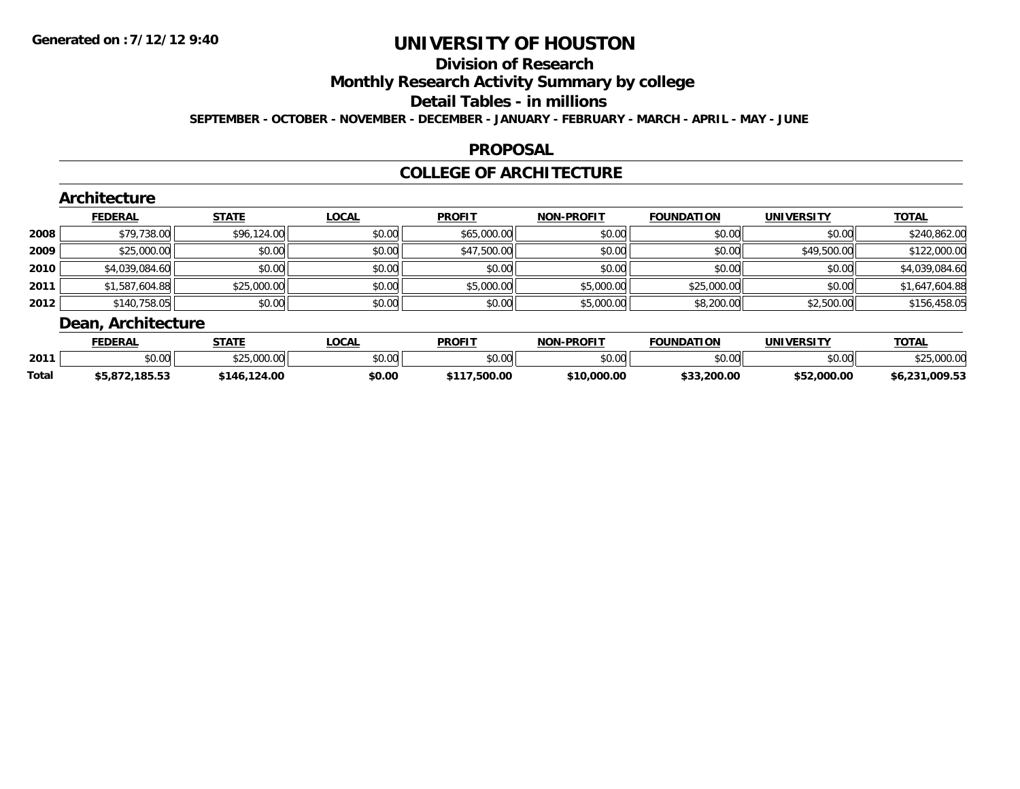## **Division of Research**

**Monthly Research Activity Summary by college**

#### **Detail Tables - in millions**

**SEPTEMBER - OCTOBER - NOVEMBER - DECEMBER - JANUARY - FEBRUARY - MARCH - APRIL - MAY - JUNE**

### **PROPOSAL**

### **COLLEGE OF ARCHITECTURE**

|        | <b>FEDERAL</b> | <b>STATE</b> | <b>LOCAL</b> | <b>PROFIT</b> | <b>NON-PROFIT</b> | <b>FOUNDATION</b> | <b>UNIVERSITY</b> | <b>TOTAL</b>   |
|--------|----------------|--------------|--------------|---------------|-------------------|-------------------|-------------------|----------------|
| 2008   | \$79,738.00    | \$96,124.00  | \$0.00       | \$65,000.00   | \$0.00            | \$0.00            | \$0.00            | \$240,862.00   |
| 2009   | \$25,000.00    | \$0.00       | \$0.00       | \$47,500.00   | \$0.00            | \$0.00            | \$49,500.00       | \$122,000.00   |
| ا 2010 | \$4,039,084.60 | \$0.00       | \$0.00       | \$0.00        | \$0.00            | \$0.00            | \$0.00            | \$4,039,084.60 |
| 2011   | \$1,587,604.88 | \$25,000.00  | \$0.00       | \$5,000.00    | \$5,000.00        | \$25,000.00       | \$0.00            | \$1,647,604.88 |
| 2012   | \$140,758.05   | \$0.00       | \$0.00       | \$0.00        | \$5,000.00        | \$8,200.00        | \$2,500.00        | \$156,458.05   |

|              | <b>FEDERAI</b>        | <b>STATE</b>          | <b>OCAL</b> | <b>PROFIT</b>  | J-PROFIT<br>NON | <b>FOUNDATION</b> | UNIVERSITY     | <b>TOTAL</b>   |
|--------------|-----------------------|-----------------------|-------------|----------------|-----------------|-------------------|----------------|----------------|
| 2011         | $\sim$ 00<br>JU.UU    | $\sim$<br>JZJ.VVV     | \$0.00      | en uu<br>JU.UU | \$0.00          | ደበ በበ<br>JU.UU    | ደበ በበ<br>40.00 |                |
| <b>Total</b> | 185.53<br>99, O / Z , | 124.00<br>146<br>טז-ו | \$0.00      | .500.00        | \$10<br>000.00. | \$33,200.00       | \$52,000.00    | \$6,231,009.53 |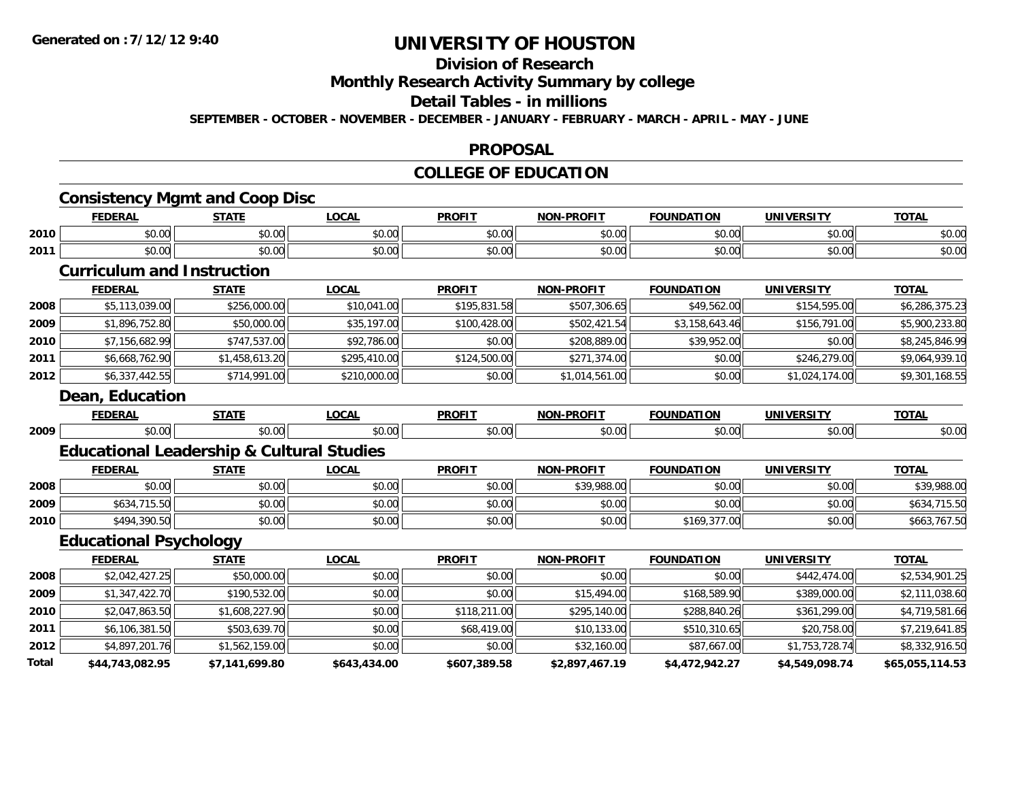# **Division of Research**

**Monthly Research Activity Summary by college**

## **Detail Tables - in millions**

**SEPTEMBER - OCTOBER - NOVEMBER - DECEMBER - JANUARY - FEBRUARY - MARCH - APRIL - MAY - JUNE**

#### **PROPOSAL**

## **COLLEGE OF EDUCATION**

|      | <b>FEDERAL</b>                                       | <b>STATE</b>   | <b>LOCAL</b> | <b>PROFIT</b> | <b>NON-PROFIT</b> | <b>FOUNDATION</b> | <b>UNIVERSITY</b> | <b>TOTAL</b>   |
|------|------------------------------------------------------|----------------|--------------|---------------|-------------------|-------------------|-------------------|----------------|
| 2010 | \$0.00                                               | \$0.00         | \$0.00       | \$0.00        | \$0.00            | \$0.00            | \$0.00            | \$0.00         |
| 2011 | \$0.00                                               | \$0.00         | \$0.00       | \$0.00        | \$0.00            | \$0.00            | \$0.00            | \$0.00         |
|      | <b>Curriculum and Instruction</b>                    |                |              |               |                   |                   |                   |                |
|      | <b>FEDERAL</b>                                       | <b>STATE</b>   | <b>LOCAL</b> | <b>PROFIT</b> | NON-PROFIT        | <b>FOUNDATION</b> | <b>UNIVERSITY</b> | <b>TOTAL</b>   |
| 2008 | \$5,113,039.00                                       | \$256,000.00   | \$10,041.00  | \$195,831.58  | \$507,306.65      | \$49,562.00       | \$154,595.00      | \$6,286,375.23 |
| 2009 | \$1,896,752.80                                       | \$50,000.00    | \$35,197.00  | \$100,428.00  | \$502,421.54      | \$3,158,643.46    | \$156,791.00      | \$5,900,233.80 |
| 2010 | \$7,156,682.99                                       | \$747,537.00   | \$92,786.00  | \$0.00        | \$208,889.00      | \$39,952.00       | \$0.00            | \$8,245,846.99 |
| 2011 | \$6,668,762.90                                       | \$1,458,613.20 | \$295,410.00 | \$124,500.00  | \$271,374.00      | \$0.00            | \$246,279.00      | \$9,064,939.10 |
| 2012 | \$6,337,442.55                                       | \$714,991.00   | \$210,000.00 | \$0.00        | \$1,014,561.00    | \$0.00            | \$1,024,174.00    | \$9,301,168.55 |
|      | Dean, Education                                      |                |              |               |                   |                   |                   |                |
|      | <b>FEDERAL</b>                                       | <b>STATE</b>   | <b>LOCAL</b> | <b>PROFIT</b> | NON-PROFIT        | <b>FOUNDATION</b> | <b>UNIVERSITY</b> | <b>TOTAL</b>   |
| 2009 | \$0.00                                               | \$0.00         | \$0.00       | \$0.00        | \$0.00            | \$0.00            | \$0.00            | \$0.00         |
|      | <b>Educational Leadership &amp; Cultural Studies</b> |                |              |               |                   |                   |                   |                |
|      | <b>FEDERAL</b>                                       | <b>STATE</b>   | <b>LOCAL</b> | <b>PROFIT</b> | NON-PROFIT        | <b>FOUNDATION</b> | <b>UNIVERSITY</b> | <b>TOTAL</b>   |
| 2008 | \$0.00                                               | \$0.00         | \$0.00       | \$0.00        | \$39,988.00       | \$0.00            | \$0.00            | \$39,988.00    |
| 2009 | \$634,715.50                                         | \$0.00         | \$0.00       | \$0.00        | \$0.00            | \$0.00            | \$0.00            | \$634,715.50   |
| 2010 | \$494,390.50                                         | \$0.00         | \$0.00       | \$0.00        | \$0.00            | \$169,377.00      | \$0.00            | \$663,767.50   |
|      | <b>Educational Psychology</b>                        |                |              |               |                   |                   |                   |                |
|      | <b>FEDERAL</b>                                       | <b>STATE</b>   | <b>LOCAL</b> | <b>PROFIT</b> | <b>NON-PROFIT</b> | <b>FOUNDATION</b> | <b>UNIVERSITY</b> | <b>TOTAL</b>   |
| 2008 | \$2,042,427.25                                       | \$50,000.00    | \$0.00       | \$0.00        | \$0.00            | \$0.00            | \$442,474.00      | \$2,534,901.25 |
| 2009 | \$1,347,422.70                                       | \$190,532.00   | \$0.00       | \$0.00        | \$15,494.00       | \$168,589.90      | \$389,000.00      | \$2,111,038.60 |
| 2010 | \$2,047,863.50                                       | \$1,608,227.90 | \$0.00       | \$118,211.00  | \$295,140.00      | \$288,840.26      | \$361,299.00      | \$4,719,581.66 |
| 2011 | \$6,106,381.50                                       | \$503,639.70   | \$0.00       | \$68,419.00   | \$10,133.00       | \$510,310.65      | \$20,758.00       | \$7,219,641.85 |
| 2012 | \$4,897,201.76                                       | \$1,562,159.00 | \$0.00       | \$0.00        | \$32,160.00       | \$87,667.00       | \$1,753,728.74    | \$8,332,916.50 |
|      |                                                      |                |              |               |                   |                   |                   |                |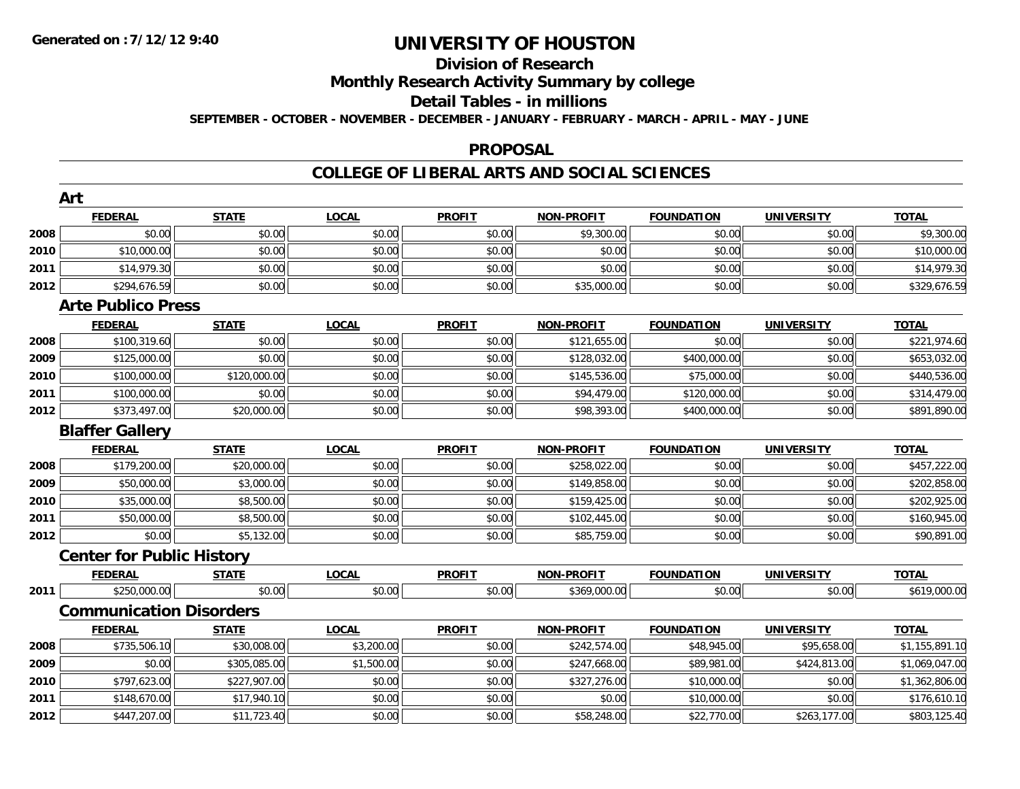## **Division of Research**

**Monthly Research Activity Summary by college**

#### **Detail Tables - in millions**

**SEPTEMBER - OCTOBER - NOVEMBER - DECEMBER - JANUARY - FEBRUARY - MARCH - APRIL - MAY - JUNE**

### **PROPOSAL**

|      | Art                              |              |              |               |                   |                   |                   |                |
|------|----------------------------------|--------------|--------------|---------------|-------------------|-------------------|-------------------|----------------|
|      | <b>FEDERAL</b>                   | <b>STATE</b> | <b>LOCAL</b> | <b>PROFIT</b> | <b>NON-PROFIT</b> | <b>FOUNDATION</b> | <b>UNIVERSITY</b> | <b>TOTAL</b>   |
| 2008 | \$0.00                           | \$0.00       | \$0.00       | \$0.00        | \$9,300.00        | \$0.00            | \$0.00            | \$9,300.00     |
| 2010 | \$10,000.00                      | \$0.00       | \$0.00       | \$0.00        | \$0.00            | \$0.00            | \$0.00            | \$10,000.00    |
| 2011 | \$14,979.30                      | \$0.00       | \$0.00       | \$0.00        | \$0.00            | \$0.00            | \$0.00            | \$14,979.30    |
| 2012 | \$294,676.59                     | \$0.00       | \$0.00       | \$0.00        | \$35,000.00       | \$0.00            | \$0.00            | \$329,676.59   |
|      | <b>Arte Publico Press</b>        |              |              |               |                   |                   |                   |                |
|      | <b>FEDERAL</b>                   | <b>STATE</b> | <b>LOCAL</b> | <b>PROFIT</b> | <b>NON-PROFIT</b> | <b>FOUNDATION</b> | <b>UNIVERSITY</b> | <b>TOTAL</b>   |
| 2008 | \$100,319.60                     | \$0.00       | \$0.00       | \$0.00        | \$121,655.00      | \$0.00            | \$0.00            | \$221,974.60   |
| 2009 | \$125,000.00                     | \$0.00       | \$0.00       | \$0.00        | \$128,032.00      | \$400,000.00      | \$0.00            | \$653,032.00   |
| 2010 | \$100,000.00                     | \$120,000.00 | \$0.00       | \$0.00        | \$145,536.00      | \$75,000.00       | \$0.00            | \$440,536.00   |
| 2011 | \$100,000.00                     | \$0.00       | \$0.00       | \$0.00        | \$94,479.00       | \$120,000.00      | \$0.00            | \$314,479.00   |
| 2012 | \$373,497.00                     | \$20,000.00  | \$0.00       | \$0.00        | \$98,393.00       | \$400,000.00      | \$0.00            | \$891,890.00   |
|      | <b>Blaffer Gallery</b>           |              |              |               |                   |                   |                   |                |
|      | <b>FEDERAL</b>                   | <b>STATE</b> | <b>LOCAL</b> | <b>PROFIT</b> | <b>NON-PROFIT</b> | <b>FOUNDATION</b> | <b>UNIVERSITY</b> | <b>TOTAL</b>   |
| 2008 | \$179,200.00                     | \$20,000.00  | \$0.00       | \$0.00        | \$258,022.00      | \$0.00            | \$0.00            | \$457,222.00   |
| 2009 | \$50,000.00                      | \$3,000.00   | \$0.00       | \$0.00        | \$149,858.00      | \$0.00            | \$0.00            | \$202,858.00   |
| 2010 | \$35,000.00                      | \$8,500.00   | \$0.00       | \$0.00        | \$159,425.00      | \$0.00            | \$0.00            | \$202,925.00   |
| 2011 | \$50,000.00                      | \$8,500.00   | \$0.00       | \$0.00        | \$102,445.00      | \$0.00            | \$0.00            | \$160,945.00   |
| 2012 | \$0.00                           | \$5,132.00   | \$0.00       | \$0.00        | \$85,759.00       | \$0.00            | \$0.00            | \$90,891.00    |
|      | <b>Center for Public History</b> |              |              |               |                   |                   |                   |                |
|      | <b>FEDERAL</b>                   | <b>STATE</b> | <b>LOCAL</b> | <b>PROFIT</b> | <b>NON-PROFIT</b> | <b>FOUNDATION</b> | <b>UNIVERSITY</b> | <b>TOTAL</b>   |
| 2011 | \$250,000.00                     | \$0.00       | \$0.00       | \$0.00        | \$369,000.00      | \$0.00            | \$0.00            | \$619,000.00   |
|      | <b>Communication Disorders</b>   |              |              |               |                   |                   |                   |                |
|      | <b>FEDERAL</b>                   | <b>STATE</b> | <b>LOCAL</b> | <b>PROFIT</b> | <b>NON-PROFIT</b> | <b>FOUNDATION</b> | <b>UNIVERSITY</b> | <b>TOTAL</b>   |
| 2008 | \$735,506.10                     | \$30,008.00  | \$3,200.00   | \$0.00        | \$242,574.00      | \$48,945.00       | \$95,658.00       | \$1,155,891.10 |
| 2009 | \$0.00                           | \$305,085.00 | \$1,500.00   | \$0.00        | \$247,668.00      | \$89,981.00       | \$424,813.00      | \$1,069,047.00 |
| 2010 | \$797,623.00                     | \$227,907.00 | \$0.00       | \$0.00        | \$327,276.00      | \$10,000.00       | \$0.00            | \$1,362,806.00 |
| 2011 | \$148,670.00                     | \$17,940.10  | \$0.00       | \$0.00        | \$0.00            | \$10,000.00       | \$0.00            | \$176,610.10   |
| 2012 | \$447,207.00                     | \$11,723.40  | \$0.00       | \$0.00        | \$58,248.00       | \$22,770.00       | \$263,177.00      | \$803,125.40   |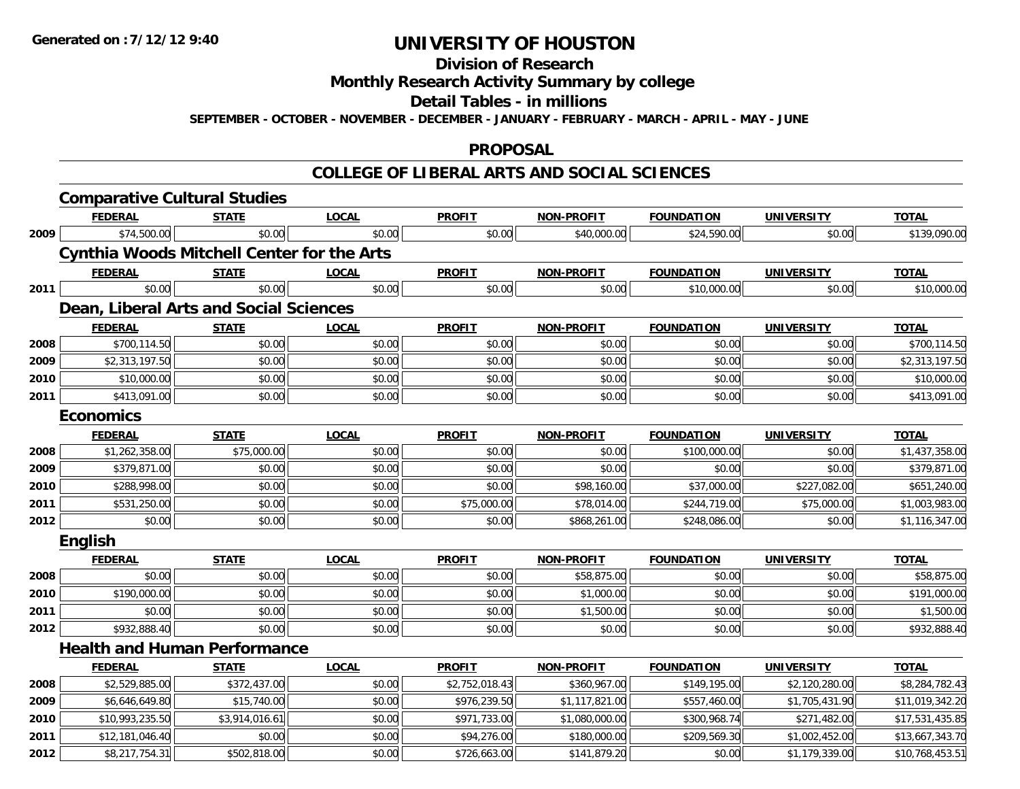**Division of Research**

**Monthly Research Activity Summary by college**

**Detail Tables - in millions**

**SEPTEMBER - OCTOBER - NOVEMBER - DECEMBER - JANUARY - FEBRUARY - MARCH - APRIL - MAY - JUNE**

### **PROPOSAL**

| <b>FEDERAL</b><br><b>LOCAL</b><br><b>PROFIT</b><br><b>NON-PROFIT</b><br><b>STATE</b><br><b>FOUNDATION</b><br><b>UNIVERSITY</b><br>\$0.00<br>\$0.00<br>\$74,500.00<br>\$0.00<br>\$40,000.00<br>\$24,590.00<br>\$0.00<br><b>Cynthia Woods Mitchell Center for the Arts</b><br><b>PROFIT</b><br><b>NON-PROFIT</b><br><b>FOUNDATION</b><br><b>FEDERAL</b><br><b>STATE</b><br><b>LOCAL</b><br><b>UNIVERSITY</b><br>\$0.00<br>\$0.00<br>\$0.00<br>\$0.00<br>\$0.00<br>\$10,000.00<br>\$0.00<br>Dean, Liberal Arts and Social Sciences<br><b>PROFIT</b><br><b>FEDERAL</b><br><b>STATE</b><br><b>LOCAL</b><br><b>NON-PROFIT</b><br><b>FOUNDATION</b><br><b>UNIVERSITY</b><br>\$0.00<br>\$700,114.50<br>\$0.00<br>\$0.00<br>\$0.00<br>\$0.00<br>\$0.00<br>\$0.00<br>\$0.00<br>\$2,313,197.50<br>\$0.00<br>\$0.00<br>\$0.00<br>\$0.00<br>\$0.00<br>\$0.00<br>\$10,000.00<br>\$0.00<br>\$0.00<br>\$0.00<br>\$0.00<br>\$0.00<br>\$0.00<br>\$0.00<br>\$413,091.00<br>\$0.00<br>\$0.00<br>\$0.00<br><b>Economics</b><br><b>FEDERAL</b><br><b>STATE</b><br><b>LOCAL</b><br><b>PROFIT</b><br><b>NON-PROFIT</b><br><b>FOUNDATION</b><br><b>UNIVERSITY</b><br>\$75,000.00<br>\$0.00<br>\$0.00<br>\$0.00<br>\$0.00<br>\$1,262,358.00<br>\$100,000.00<br>\$0.00<br>\$0.00<br>\$0.00<br>\$0.00<br>\$379,871.00<br>\$0.00<br>\$0.00<br>\$0.00<br>\$0.00<br>\$0.00<br>\$37,000.00<br>\$227,082.00<br>\$288,998.00<br>\$98,160.00<br>\$0.00<br>\$75,000.00<br>\$78,014.00<br>\$244,719.00<br>\$531,250.00<br>\$0.00<br>\$75,000.00<br>\$0.00<br>\$0.00<br>\$0.00<br>\$0.00<br>\$868,261.00<br>\$248,086.00<br>\$0.00<br><b>English</b><br><b>FEDERAL</b><br><b>STATE</b><br><b>LOCAL</b><br><b>PROFIT</b><br><b>NON-PROFIT</b><br><b>FOUNDATION</b><br><b>UNIVERSITY</b><br>\$0.00<br>\$0.00<br>\$0.00<br>\$0.00<br>\$0.00<br>\$0.00<br>\$58,875.00<br>\$0.00<br>\$0.00<br>\$0.00<br>\$0.00<br>\$0.00<br>\$190,000.00<br>\$1,000.00<br>\$0.00<br>\$0.00<br>\$0.00<br>\$0.00<br>\$1,500.00<br>\$0.00<br>\$0.00<br>\$0.00<br>\$0.00<br>\$932,888.40<br>\$0.00<br>\$0.00<br>\$0.00<br>\$0.00<br><b>Health and Human Performance</b><br><b>PROFIT</b><br><b>NON-PROFIT</b><br><b>FOUNDATION</b><br><b>FEDERAL</b><br><b>LOCAL</b><br><b>UNIVERSITY</b><br><u>STATE</u><br>\$372,437.00<br>\$2,529,885.00<br>\$0.00<br>\$2,752,018.43<br>\$360,967.00<br>\$149,195.00<br>\$2,120,280.00<br>\$15,740.00<br>\$0.00<br>\$976,239.50<br>\$1,117,821.00<br>\$557,460.00<br>\$6,646,649.80<br>\$1,705,431.90<br>\$971,733.00<br>\$300,968.74<br>\$271,482.00<br>\$10,993,235.50<br>\$3,914,016.61<br>\$0.00<br>\$1,080,000.00<br>\$0.00<br>\$0.00<br>\$94,276.00<br>\$180,000.00<br>\$209,569.30<br>\$1,002,452.00<br>\$12,181,046.40<br>\$0.00<br>\$502,818.00<br>\$0.00<br>\$141,879.20<br>\$1,179,339.00<br>\$8,217,754.31<br>\$726,663.00 | <b>Comparative Cultural Studies</b> |  |  |  |                 |
|------------------------------------------------------------------------------------------------------------------------------------------------------------------------------------------------------------------------------------------------------------------------------------------------------------------------------------------------------------------------------------------------------------------------------------------------------------------------------------------------------------------------------------------------------------------------------------------------------------------------------------------------------------------------------------------------------------------------------------------------------------------------------------------------------------------------------------------------------------------------------------------------------------------------------------------------------------------------------------------------------------------------------------------------------------------------------------------------------------------------------------------------------------------------------------------------------------------------------------------------------------------------------------------------------------------------------------------------------------------------------------------------------------------------------------------------------------------------------------------------------------------------------------------------------------------------------------------------------------------------------------------------------------------------------------------------------------------------------------------------------------------------------------------------------------------------------------------------------------------------------------------------------------------------------------------------------------------------------------------------------------------------------------------------------------------------------------------------------------------------------------------------------------------------------------------------------------------------------------------------------------------------------------------------------------------------------------------------------------------------------------------------------------------------------------------------------------------------------------------------------------------------------------------------------------------------------------------------------------------------------------------------------------------------------------------------------------------------------------------------------------------------------------------------------------|-------------------------------------|--|--|--|-----------------|
| 2009<br>2011<br>2008<br>2009<br>2010<br>2011<br>2008<br>2009<br>2010<br>2011<br>2012<br>2008<br>2010<br>2011<br>2012<br>2008<br>2009<br>2010<br>2011<br>2012                                                                                                                                                                                                                                                                                                                                                                                                                                                                                                                                                                                                                                                                                                                                                                                                                                                                                                                                                                                                                                                                                                                                                                                                                                                                                                                                                                                                                                                                                                                                                                                                                                                                                                                                                                                                                                                                                                                                                                                                                                                                                                                                                                                                                                                                                                                                                                                                                                                                                                                                                                                                                                               |                                     |  |  |  | <b>TOTAL</b>    |
|                                                                                                                                                                                                                                                                                                                                                                                                                                                                                                                                                                                                                                                                                                                                                                                                                                                                                                                                                                                                                                                                                                                                                                                                                                                                                                                                                                                                                                                                                                                                                                                                                                                                                                                                                                                                                                                                                                                                                                                                                                                                                                                                                                                                                                                                                                                                                                                                                                                                                                                                                                                                                                                                                                                                                                                                            |                                     |  |  |  | \$139,090.00    |
|                                                                                                                                                                                                                                                                                                                                                                                                                                                                                                                                                                                                                                                                                                                                                                                                                                                                                                                                                                                                                                                                                                                                                                                                                                                                                                                                                                                                                                                                                                                                                                                                                                                                                                                                                                                                                                                                                                                                                                                                                                                                                                                                                                                                                                                                                                                                                                                                                                                                                                                                                                                                                                                                                                                                                                                                            |                                     |  |  |  |                 |
|                                                                                                                                                                                                                                                                                                                                                                                                                                                                                                                                                                                                                                                                                                                                                                                                                                                                                                                                                                                                                                                                                                                                                                                                                                                                                                                                                                                                                                                                                                                                                                                                                                                                                                                                                                                                                                                                                                                                                                                                                                                                                                                                                                                                                                                                                                                                                                                                                                                                                                                                                                                                                                                                                                                                                                                                            |                                     |  |  |  | <b>TOTAL</b>    |
|                                                                                                                                                                                                                                                                                                                                                                                                                                                                                                                                                                                                                                                                                                                                                                                                                                                                                                                                                                                                                                                                                                                                                                                                                                                                                                                                                                                                                                                                                                                                                                                                                                                                                                                                                                                                                                                                                                                                                                                                                                                                                                                                                                                                                                                                                                                                                                                                                                                                                                                                                                                                                                                                                                                                                                                                            |                                     |  |  |  | \$10,000.00     |
|                                                                                                                                                                                                                                                                                                                                                                                                                                                                                                                                                                                                                                                                                                                                                                                                                                                                                                                                                                                                                                                                                                                                                                                                                                                                                                                                                                                                                                                                                                                                                                                                                                                                                                                                                                                                                                                                                                                                                                                                                                                                                                                                                                                                                                                                                                                                                                                                                                                                                                                                                                                                                                                                                                                                                                                                            |                                     |  |  |  |                 |
|                                                                                                                                                                                                                                                                                                                                                                                                                                                                                                                                                                                                                                                                                                                                                                                                                                                                                                                                                                                                                                                                                                                                                                                                                                                                                                                                                                                                                                                                                                                                                                                                                                                                                                                                                                                                                                                                                                                                                                                                                                                                                                                                                                                                                                                                                                                                                                                                                                                                                                                                                                                                                                                                                                                                                                                                            |                                     |  |  |  | <b>TOTAL</b>    |
|                                                                                                                                                                                                                                                                                                                                                                                                                                                                                                                                                                                                                                                                                                                                                                                                                                                                                                                                                                                                                                                                                                                                                                                                                                                                                                                                                                                                                                                                                                                                                                                                                                                                                                                                                                                                                                                                                                                                                                                                                                                                                                                                                                                                                                                                                                                                                                                                                                                                                                                                                                                                                                                                                                                                                                                                            |                                     |  |  |  | \$700,114.50    |
|                                                                                                                                                                                                                                                                                                                                                                                                                                                                                                                                                                                                                                                                                                                                                                                                                                                                                                                                                                                                                                                                                                                                                                                                                                                                                                                                                                                                                                                                                                                                                                                                                                                                                                                                                                                                                                                                                                                                                                                                                                                                                                                                                                                                                                                                                                                                                                                                                                                                                                                                                                                                                                                                                                                                                                                                            |                                     |  |  |  | \$2,313,197.50  |
|                                                                                                                                                                                                                                                                                                                                                                                                                                                                                                                                                                                                                                                                                                                                                                                                                                                                                                                                                                                                                                                                                                                                                                                                                                                                                                                                                                                                                                                                                                                                                                                                                                                                                                                                                                                                                                                                                                                                                                                                                                                                                                                                                                                                                                                                                                                                                                                                                                                                                                                                                                                                                                                                                                                                                                                                            |                                     |  |  |  | \$10,000.00     |
|                                                                                                                                                                                                                                                                                                                                                                                                                                                                                                                                                                                                                                                                                                                                                                                                                                                                                                                                                                                                                                                                                                                                                                                                                                                                                                                                                                                                                                                                                                                                                                                                                                                                                                                                                                                                                                                                                                                                                                                                                                                                                                                                                                                                                                                                                                                                                                                                                                                                                                                                                                                                                                                                                                                                                                                                            |                                     |  |  |  | \$413,091.00    |
|                                                                                                                                                                                                                                                                                                                                                                                                                                                                                                                                                                                                                                                                                                                                                                                                                                                                                                                                                                                                                                                                                                                                                                                                                                                                                                                                                                                                                                                                                                                                                                                                                                                                                                                                                                                                                                                                                                                                                                                                                                                                                                                                                                                                                                                                                                                                                                                                                                                                                                                                                                                                                                                                                                                                                                                                            |                                     |  |  |  |                 |
|                                                                                                                                                                                                                                                                                                                                                                                                                                                                                                                                                                                                                                                                                                                                                                                                                                                                                                                                                                                                                                                                                                                                                                                                                                                                                                                                                                                                                                                                                                                                                                                                                                                                                                                                                                                                                                                                                                                                                                                                                                                                                                                                                                                                                                                                                                                                                                                                                                                                                                                                                                                                                                                                                                                                                                                                            |                                     |  |  |  | <b>TOTAL</b>    |
|                                                                                                                                                                                                                                                                                                                                                                                                                                                                                                                                                                                                                                                                                                                                                                                                                                                                                                                                                                                                                                                                                                                                                                                                                                                                                                                                                                                                                                                                                                                                                                                                                                                                                                                                                                                                                                                                                                                                                                                                                                                                                                                                                                                                                                                                                                                                                                                                                                                                                                                                                                                                                                                                                                                                                                                                            |                                     |  |  |  | \$1,437,358.00  |
|                                                                                                                                                                                                                                                                                                                                                                                                                                                                                                                                                                                                                                                                                                                                                                                                                                                                                                                                                                                                                                                                                                                                                                                                                                                                                                                                                                                                                                                                                                                                                                                                                                                                                                                                                                                                                                                                                                                                                                                                                                                                                                                                                                                                                                                                                                                                                                                                                                                                                                                                                                                                                                                                                                                                                                                                            |                                     |  |  |  | \$379,871.00    |
|                                                                                                                                                                                                                                                                                                                                                                                                                                                                                                                                                                                                                                                                                                                                                                                                                                                                                                                                                                                                                                                                                                                                                                                                                                                                                                                                                                                                                                                                                                                                                                                                                                                                                                                                                                                                                                                                                                                                                                                                                                                                                                                                                                                                                                                                                                                                                                                                                                                                                                                                                                                                                                                                                                                                                                                                            |                                     |  |  |  | \$651,240.00    |
|                                                                                                                                                                                                                                                                                                                                                                                                                                                                                                                                                                                                                                                                                                                                                                                                                                                                                                                                                                                                                                                                                                                                                                                                                                                                                                                                                                                                                                                                                                                                                                                                                                                                                                                                                                                                                                                                                                                                                                                                                                                                                                                                                                                                                                                                                                                                                                                                                                                                                                                                                                                                                                                                                                                                                                                                            |                                     |  |  |  | \$1,003,983.00  |
|                                                                                                                                                                                                                                                                                                                                                                                                                                                                                                                                                                                                                                                                                                                                                                                                                                                                                                                                                                                                                                                                                                                                                                                                                                                                                                                                                                                                                                                                                                                                                                                                                                                                                                                                                                                                                                                                                                                                                                                                                                                                                                                                                                                                                                                                                                                                                                                                                                                                                                                                                                                                                                                                                                                                                                                                            |                                     |  |  |  | \$1,116,347.00  |
|                                                                                                                                                                                                                                                                                                                                                                                                                                                                                                                                                                                                                                                                                                                                                                                                                                                                                                                                                                                                                                                                                                                                                                                                                                                                                                                                                                                                                                                                                                                                                                                                                                                                                                                                                                                                                                                                                                                                                                                                                                                                                                                                                                                                                                                                                                                                                                                                                                                                                                                                                                                                                                                                                                                                                                                                            |                                     |  |  |  |                 |
|                                                                                                                                                                                                                                                                                                                                                                                                                                                                                                                                                                                                                                                                                                                                                                                                                                                                                                                                                                                                                                                                                                                                                                                                                                                                                                                                                                                                                                                                                                                                                                                                                                                                                                                                                                                                                                                                                                                                                                                                                                                                                                                                                                                                                                                                                                                                                                                                                                                                                                                                                                                                                                                                                                                                                                                                            |                                     |  |  |  | <b>TOTAL</b>    |
|                                                                                                                                                                                                                                                                                                                                                                                                                                                                                                                                                                                                                                                                                                                                                                                                                                                                                                                                                                                                                                                                                                                                                                                                                                                                                                                                                                                                                                                                                                                                                                                                                                                                                                                                                                                                                                                                                                                                                                                                                                                                                                                                                                                                                                                                                                                                                                                                                                                                                                                                                                                                                                                                                                                                                                                                            |                                     |  |  |  | \$58,875.00     |
|                                                                                                                                                                                                                                                                                                                                                                                                                                                                                                                                                                                                                                                                                                                                                                                                                                                                                                                                                                                                                                                                                                                                                                                                                                                                                                                                                                                                                                                                                                                                                                                                                                                                                                                                                                                                                                                                                                                                                                                                                                                                                                                                                                                                                                                                                                                                                                                                                                                                                                                                                                                                                                                                                                                                                                                                            |                                     |  |  |  | \$191,000.00    |
|                                                                                                                                                                                                                                                                                                                                                                                                                                                                                                                                                                                                                                                                                                                                                                                                                                                                                                                                                                                                                                                                                                                                                                                                                                                                                                                                                                                                                                                                                                                                                                                                                                                                                                                                                                                                                                                                                                                                                                                                                                                                                                                                                                                                                                                                                                                                                                                                                                                                                                                                                                                                                                                                                                                                                                                                            |                                     |  |  |  | \$1,500.00      |
|                                                                                                                                                                                                                                                                                                                                                                                                                                                                                                                                                                                                                                                                                                                                                                                                                                                                                                                                                                                                                                                                                                                                                                                                                                                                                                                                                                                                                                                                                                                                                                                                                                                                                                                                                                                                                                                                                                                                                                                                                                                                                                                                                                                                                                                                                                                                                                                                                                                                                                                                                                                                                                                                                                                                                                                                            |                                     |  |  |  | \$932,888.40    |
|                                                                                                                                                                                                                                                                                                                                                                                                                                                                                                                                                                                                                                                                                                                                                                                                                                                                                                                                                                                                                                                                                                                                                                                                                                                                                                                                                                                                                                                                                                                                                                                                                                                                                                                                                                                                                                                                                                                                                                                                                                                                                                                                                                                                                                                                                                                                                                                                                                                                                                                                                                                                                                                                                                                                                                                                            |                                     |  |  |  |                 |
|                                                                                                                                                                                                                                                                                                                                                                                                                                                                                                                                                                                                                                                                                                                                                                                                                                                                                                                                                                                                                                                                                                                                                                                                                                                                                                                                                                                                                                                                                                                                                                                                                                                                                                                                                                                                                                                                                                                                                                                                                                                                                                                                                                                                                                                                                                                                                                                                                                                                                                                                                                                                                                                                                                                                                                                                            |                                     |  |  |  | <b>TOTAL</b>    |
|                                                                                                                                                                                                                                                                                                                                                                                                                                                                                                                                                                                                                                                                                                                                                                                                                                                                                                                                                                                                                                                                                                                                                                                                                                                                                                                                                                                                                                                                                                                                                                                                                                                                                                                                                                                                                                                                                                                                                                                                                                                                                                                                                                                                                                                                                                                                                                                                                                                                                                                                                                                                                                                                                                                                                                                                            |                                     |  |  |  | \$8,284,782.43  |
|                                                                                                                                                                                                                                                                                                                                                                                                                                                                                                                                                                                                                                                                                                                                                                                                                                                                                                                                                                                                                                                                                                                                                                                                                                                                                                                                                                                                                                                                                                                                                                                                                                                                                                                                                                                                                                                                                                                                                                                                                                                                                                                                                                                                                                                                                                                                                                                                                                                                                                                                                                                                                                                                                                                                                                                                            |                                     |  |  |  | \$11,019,342.20 |
|                                                                                                                                                                                                                                                                                                                                                                                                                                                                                                                                                                                                                                                                                                                                                                                                                                                                                                                                                                                                                                                                                                                                                                                                                                                                                                                                                                                                                                                                                                                                                                                                                                                                                                                                                                                                                                                                                                                                                                                                                                                                                                                                                                                                                                                                                                                                                                                                                                                                                                                                                                                                                                                                                                                                                                                                            |                                     |  |  |  | \$17,531,435.85 |
|                                                                                                                                                                                                                                                                                                                                                                                                                                                                                                                                                                                                                                                                                                                                                                                                                                                                                                                                                                                                                                                                                                                                                                                                                                                                                                                                                                                                                                                                                                                                                                                                                                                                                                                                                                                                                                                                                                                                                                                                                                                                                                                                                                                                                                                                                                                                                                                                                                                                                                                                                                                                                                                                                                                                                                                                            |                                     |  |  |  | \$13,667,343.70 |
|                                                                                                                                                                                                                                                                                                                                                                                                                                                                                                                                                                                                                                                                                                                                                                                                                                                                                                                                                                                                                                                                                                                                                                                                                                                                                                                                                                                                                                                                                                                                                                                                                                                                                                                                                                                                                                                                                                                                                                                                                                                                                                                                                                                                                                                                                                                                                                                                                                                                                                                                                                                                                                                                                                                                                                                                            |                                     |  |  |  | \$10,768,453.51 |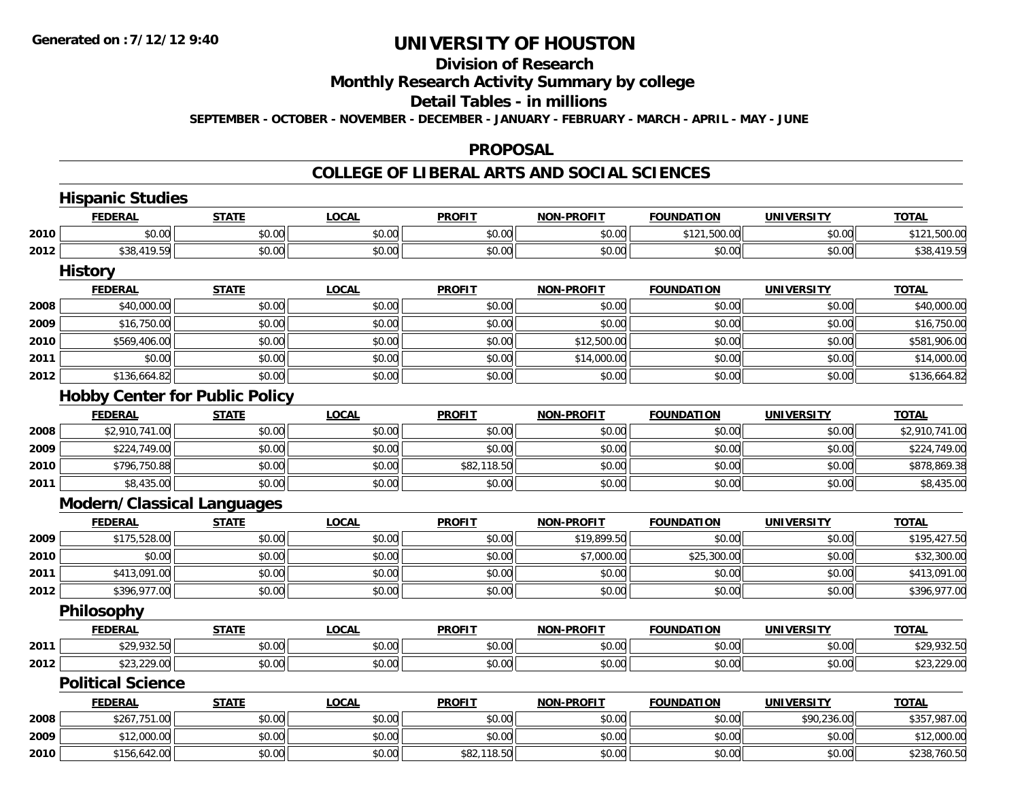#### **Division of Research**

## **Monthly Research Activity Summary by college**

#### **Detail Tables - in millions**

**SEPTEMBER - OCTOBER - NOVEMBER - DECEMBER - JANUARY - FEBRUARY - MARCH - APRIL - MAY - JUNE**

#### **PROPOSAL**

|      | <b>Hispanic Studies</b>               |              |              |               |                   |                   |                   |                |
|------|---------------------------------------|--------------|--------------|---------------|-------------------|-------------------|-------------------|----------------|
|      | <b>FEDERAL</b>                        | <b>STATE</b> | <b>LOCAL</b> | <b>PROFIT</b> | <b>NON-PROFIT</b> | <b>FOUNDATION</b> | <b>UNIVERSITY</b> | <b>TOTAL</b>   |
| 2010 | \$0.00                                | \$0.00       | \$0.00       | \$0.00        | \$0.00            | \$121,500.00      | \$0.00            | \$121,500.00   |
| 2012 | \$38,419.59                           | \$0.00       | \$0.00       | \$0.00        | \$0.00            | \$0.00            | \$0.00            | \$38,419.59    |
|      | <b>History</b>                        |              |              |               |                   |                   |                   |                |
|      | <b>FEDERAL</b>                        | <b>STATE</b> | <b>LOCAL</b> | <b>PROFIT</b> | <b>NON-PROFIT</b> | <b>FOUNDATION</b> | <b>UNIVERSITY</b> | <b>TOTAL</b>   |
| 2008 | \$40,000.00                           | \$0.00       | \$0.00       | \$0.00        | \$0.00            | \$0.00            | \$0.00            | \$40,000.00    |
| 2009 | \$16,750.00                           | \$0.00       | \$0.00       | \$0.00        | \$0.00            | \$0.00            | \$0.00            | \$16,750.00    |
| 2010 | \$569,406.00                          | \$0.00       | \$0.00       | \$0.00        | \$12,500.00       | \$0.00            | \$0.00            | \$581,906.00   |
| 2011 | \$0.00                                | \$0.00       | \$0.00       | \$0.00        | \$14,000.00       | \$0.00            | \$0.00            | \$14,000.00    |
| 2012 | \$136,664.82                          | \$0.00       | \$0.00       | \$0.00        | \$0.00            | \$0.00            | \$0.00            | \$136,664.82   |
|      | <b>Hobby Center for Public Policy</b> |              |              |               |                   |                   |                   |                |
|      | <b>FEDERAL</b>                        | <b>STATE</b> | <b>LOCAL</b> | <b>PROFIT</b> | <b>NON-PROFIT</b> | <b>FOUNDATION</b> | <b>UNIVERSITY</b> | <b>TOTAL</b>   |
| 2008 | \$2,910,741.00                        | \$0.00       | \$0.00       | \$0.00        | \$0.00            | \$0.00            | \$0.00            | \$2,910,741.00 |
| 2009 | \$224,749.00                          | \$0.00       | \$0.00       | \$0.00        | \$0.00            | \$0.00            | \$0.00            | \$224,749.00   |
| 2010 | \$796,750.88                          | \$0.00       | \$0.00       | \$82,118.50   | \$0.00            | \$0.00            | \$0.00            | \$878,869.38   |
| 2011 | \$8,435.00                            | \$0.00       | \$0.00       | \$0.00        | \$0.00            | \$0.00            | \$0.00            | \$8,435.00     |
|      | <b>Modern/Classical Languages</b>     |              |              |               |                   |                   |                   |                |
|      | <b>FEDERAL</b>                        | <b>STATE</b> | <b>LOCAL</b> | <b>PROFIT</b> | <b>NON-PROFIT</b> | <b>FOUNDATION</b> | <b>UNIVERSITY</b> | <b>TOTAL</b>   |
| 2009 | \$175,528.00                          | \$0.00       | \$0.00       | \$0.00        | \$19,899.50       | \$0.00            | \$0.00            | \$195,427.50   |
| 2010 | \$0.00                                | \$0.00       | \$0.00       | \$0.00        | \$7,000.00        | \$25,300.00       | \$0.00            | \$32,300.00    |
| 2011 | \$413,091.00                          | \$0.00       | \$0.00       | \$0.00        | \$0.00            | \$0.00            | \$0.00            | \$413,091.00   |
| 2012 | \$396,977.00                          | \$0.00       | \$0.00       | \$0.00        | \$0.00            | \$0.00            | \$0.00            | \$396,977.00   |
|      | <b>Philosophy</b>                     |              |              |               |                   |                   |                   |                |
|      | <b>FEDERAL</b>                        | <b>STATE</b> | <b>LOCAL</b> | <b>PROFIT</b> | <b>NON-PROFIT</b> | <b>FOUNDATION</b> | <b>UNIVERSITY</b> | <b>TOTAL</b>   |
| 2011 | \$29,932.50                           | \$0.00       | \$0.00       | \$0.00        | \$0.00            | \$0.00            | \$0.00            | \$29,932.50    |
| 2012 | \$23,229.00                           | \$0.00       | \$0.00       | \$0.00        | \$0.00            | \$0.00            | \$0.00            | \$23,229.00    |
|      | <b>Political Science</b>              |              |              |               |                   |                   |                   |                |
|      | <b>FEDERAL</b>                        | <b>STATE</b> | <b>LOCAL</b> | <b>PROFIT</b> | <b>NON-PROFIT</b> | <b>FOUNDATION</b> | <b>UNIVERSITY</b> | <b>TOTAL</b>   |
| 2008 | \$267,751.00                          | \$0.00       | \$0.00       | \$0.00        | \$0.00            | \$0.00            | \$90,236.00       | \$357,987.00   |
| 2009 | \$12,000.00                           | \$0.00       | \$0.00       | \$0.00        | \$0.00            | \$0.00            | \$0.00            | \$12,000.00    |
| 2010 | \$156,642.00                          | \$0.00       | \$0.00       | \$82,118.50   | \$0.00            | \$0.00            | \$0.00            | \$238,760.50   |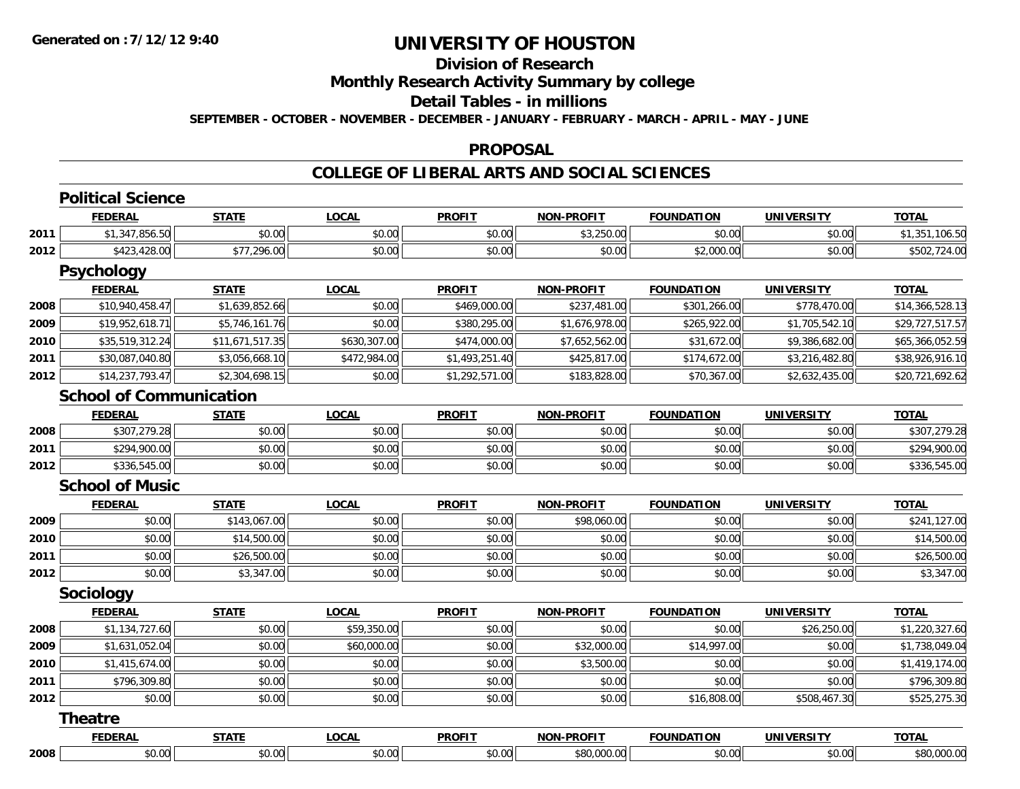## **Division of Research**

**Monthly Research Activity Summary by college**

#### **Detail Tables - in millions**

**SEPTEMBER - OCTOBER - NOVEMBER - DECEMBER - JANUARY - FEBRUARY - MARCH - APRIL - MAY - JUNE**

#### **PROPOSAL**

|      | <b>Political Science</b>       |                 |              |                |                   |                   |                   |                 |
|------|--------------------------------|-----------------|--------------|----------------|-------------------|-------------------|-------------------|-----------------|
|      | <b>FEDERAL</b>                 | <b>STATE</b>    | <b>LOCAL</b> | <b>PROFIT</b>  | <b>NON-PROFIT</b> | <b>FOUNDATION</b> | <b>UNIVERSITY</b> | <b>TOTAL</b>    |
| 2011 | \$1,347,856.50                 | \$0.00          | \$0.00       | \$0.00         | \$3,250.00        | \$0.00            | \$0.00            | \$1,351,106.50  |
| 2012 | \$423,428.00                   | \$77,296.00     | \$0.00       | \$0.00         | \$0.00            | \$2,000.00        | \$0.00            | \$502,724.00    |
|      | <b>Psychology</b>              |                 |              |                |                   |                   |                   |                 |
|      | <b>FEDERAL</b>                 | <b>STATE</b>    | <b>LOCAL</b> | <b>PROFIT</b>  | <b>NON-PROFIT</b> | <b>FOUNDATION</b> | <b>UNIVERSITY</b> | <b>TOTAL</b>    |
| 2008 | \$10,940,458.47                | \$1,639,852.66  | \$0.00       | \$469,000.00   | \$237,481.00      | \$301,266.00      | \$778,470.00      | \$14,366,528.13 |
| 2009 | \$19,952,618.71                | \$5,746,161.76  | \$0.00       | \$380,295.00   | \$1,676,978.00    | \$265,922.00      | \$1,705,542.10    | \$29,727,517.57 |
| 2010 | \$35,519,312.24                | \$11,671,517.35 | \$630,307.00 | \$474,000.00   | \$7,652,562.00    | \$31,672.00       | \$9,386,682.00    | \$65,366,052.59 |
| 2011 | \$30,087,040.80                | \$3,056,668.10  | \$472,984.00 | \$1,493,251.40 | \$425,817.00      | \$174,672.00      | \$3,216,482.80    | \$38,926,916.10 |
| 2012 | \$14,237,793.47                | \$2,304,698.15  | \$0.00       | \$1,292,571.00 | \$183,828.00      | \$70,367.00       | \$2,632,435.00    | \$20,721,692.62 |
|      | <b>School of Communication</b> |                 |              |                |                   |                   |                   |                 |
|      | <b>FEDERAL</b>                 | <b>STATE</b>    | <b>LOCAL</b> | <b>PROFIT</b>  | <b>NON-PROFIT</b> | <b>FOUNDATION</b> | <b>UNIVERSITY</b> | <b>TOTAL</b>    |
| 2008 | \$307,279.28                   | \$0.00          | \$0.00       | \$0.00         | \$0.00            | \$0.00            | \$0.00            | \$307,279.28    |
| 2011 | \$294,900.00                   | \$0.00          | \$0.00       | \$0.00         | \$0.00            | \$0.00            | \$0.00            | \$294,900.00    |
| 2012 | \$336,545.00                   | \$0.00          | \$0.00       | \$0.00         | \$0.00            | \$0.00            | \$0.00            | \$336,545.00    |
|      | <b>School of Music</b>         |                 |              |                |                   |                   |                   |                 |
|      | <b>FEDERAL</b>                 | <b>STATE</b>    | <b>LOCAL</b> | <b>PROFIT</b>  | <b>NON-PROFIT</b> | <b>FOUNDATION</b> | <b>UNIVERSITY</b> | <b>TOTAL</b>    |
| 2009 | \$0.00                         | \$143,067.00    | \$0.00       | \$0.00         | \$98,060.00       | \$0.00            | \$0.00            | \$241,127.00    |
| 2010 | \$0.00                         | \$14,500.00     | \$0.00       | \$0.00         | \$0.00            | \$0.00            | \$0.00            | \$14,500.00     |
| 2011 | \$0.00                         | \$26,500.00     | \$0.00       | \$0.00         | \$0.00            | \$0.00            | \$0.00            | \$26,500.00     |
| 2012 | \$0.00                         | \$3,347.00      | \$0.00       | \$0.00         | \$0.00            | \$0.00            | \$0.00            | \$3,347.00      |
|      | Sociology                      |                 |              |                |                   |                   |                   |                 |
|      | <b>FEDERAL</b>                 | <b>STATE</b>    | <b>LOCAL</b> | <b>PROFIT</b>  | <b>NON-PROFIT</b> | <b>FOUNDATION</b> | <b>UNIVERSITY</b> | <b>TOTAL</b>    |
| 2008 | \$1,134,727.60                 | \$0.00          | \$59,350.00  | \$0.00         | \$0.00            | \$0.00            | \$26,250.00       | \$1,220,327.60  |
| 2009 | \$1,631,052.04                 | \$0.00          | \$60,000.00  | \$0.00         | \$32,000.00       | \$14,997.00       | \$0.00            | \$1,738,049.04  |
| 2010 | \$1,415,674.00                 | \$0.00          | \$0.00       | \$0.00         | \$3,500.00        | \$0.00            | \$0.00            | \$1,419,174.00  |
| 2011 | \$796,309.80                   | \$0.00          | \$0.00       | \$0.00         | \$0.00            | \$0.00            | \$0.00            | \$796,309.80    |
| 2012 | \$0.00                         | \$0.00          | \$0.00       | \$0.00         | \$0.00            | \$16,808.00       | \$508,467.30      | \$525,275.30    |
|      | <b>Theatre</b>                 |                 |              |                |                   |                   |                   |                 |
|      | <b>FEDERAL</b>                 | <b>STATE</b>    | <b>LOCAL</b> | <b>PROFIT</b>  | <b>NON-PROFIT</b> | <b>FOUNDATION</b> | <b>UNIVERSITY</b> | <b>TOTAL</b>    |
| 2008 | \$0.00                         | \$0.00          | \$0.00       | \$0.00         | \$80,000.00       | \$0.00            | \$0.00            | \$80,000.00     |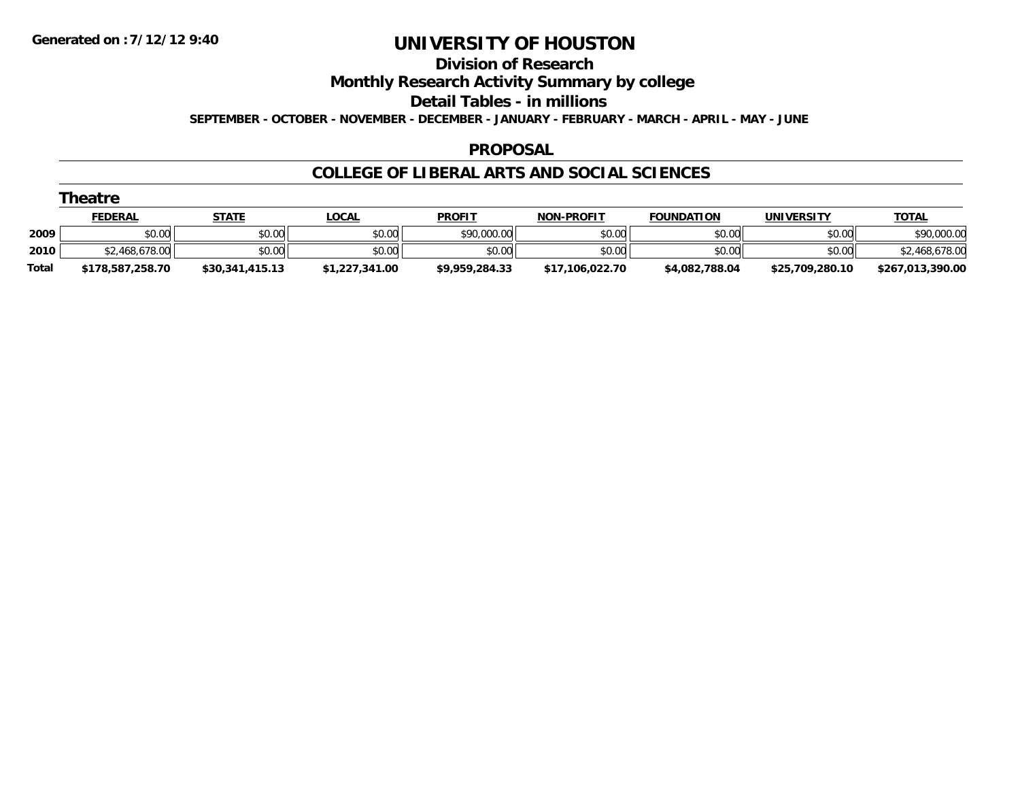#### **Division of Research**

**Monthly Research Activity Summary by college**

**Detail Tables - in millions**

**SEPTEMBER - OCTOBER - NOVEMBER - DECEMBER - JANUARY - FEBRUARY - MARCH - APRIL - MAY - JUNE**

### **PROPOSAL**

|       | Theatre          |                 |                |                |                   |                   |                   |                  |
|-------|------------------|-----------------|----------------|----------------|-------------------|-------------------|-------------------|------------------|
|       | <b>FEDERAL</b>   | <b>STATE</b>    | <u>LOCAL</u>   | <b>PROFIT</b>  | <b>NON-PROFIT</b> | <b>FOUNDATION</b> | <b>UNIVERSITY</b> | <b>TOTAL</b>     |
| 2009  | \$0.00           | \$0.00          | \$0.00         | \$90,000.00    | \$0.00            | \$0.00            | \$0.00            | \$90,000.00      |
| 2010  | \$2,468,678.00   | \$0.00          | \$0.00         | \$0.00         | \$0.00            | \$0.00            | \$0.00            | \$2,468,678.00   |
| Total | \$178,587,258.70 | \$30,341,415.13 | \$1,227,341.00 | \$9,959,284.33 | \$17,106,022.70   | \$4,082,788.04    | \$25,709,280.10   | \$267,013,390.00 |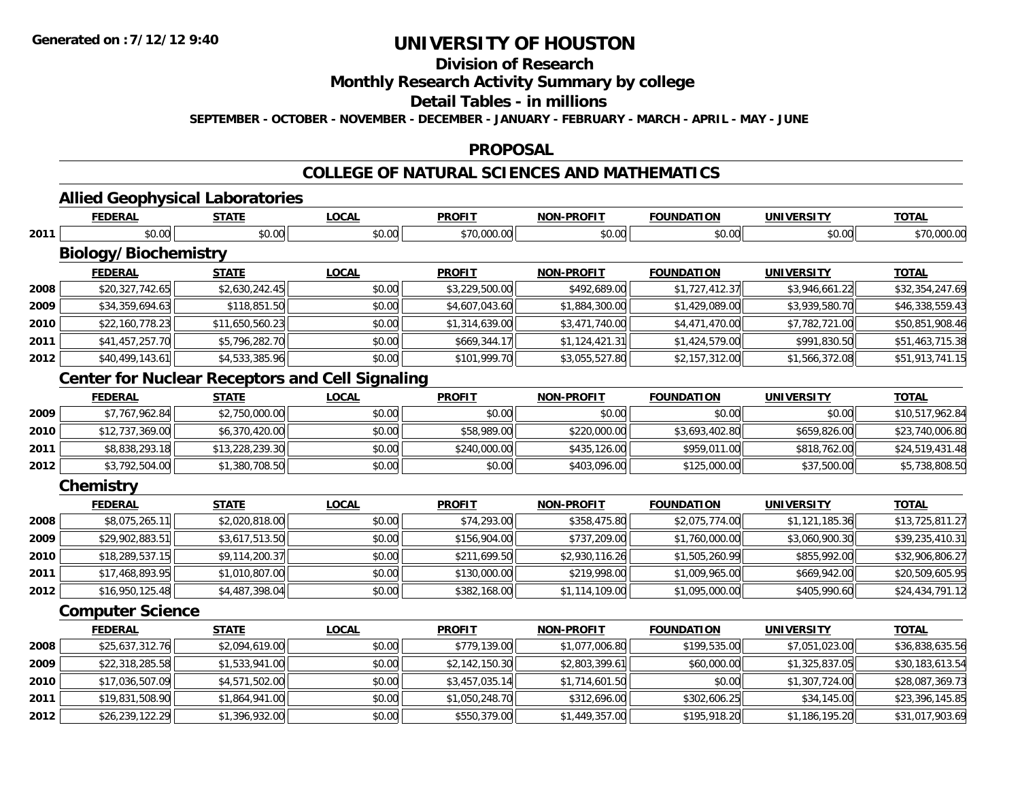## **Division of Research**

**Monthly Research Activity Summary by college**

#### **Detail Tables - in millions**

**SEPTEMBER - OCTOBER - NOVEMBER - DECEMBER - JANUARY - FEBRUARY - MARCH - APRIL - MAY - JUNE**

#### **PROPOSAL**

### **COLLEGE OF NATURAL SCIENCES AND MATHEMATICS**

# **Allied Geophysical Laboratories**

|      | <b>FEDERAL</b>                                         | <b>STATE</b>    | <b>LOCAL</b> | <b>PROFIT</b>  | <b>NON-PROFIT</b> | <b>FOUNDATION</b> | <b>UNIVERSITY</b> | <b>TOTAL</b>    |
|------|--------------------------------------------------------|-----------------|--------------|----------------|-------------------|-------------------|-------------------|-----------------|
| 2011 | \$0.00                                                 | \$0.00          | \$0.00       | \$70,000.00    | \$0.00            | \$0.00            | \$0.00            | \$70,000.00     |
|      | <b>Biology/Biochemistry</b>                            |                 |              |                |                   |                   |                   |                 |
|      | <b>FEDERAL</b>                                         | <b>STATE</b>    | <b>LOCAL</b> | <b>PROFIT</b>  | <b>NON-PROFIT</b> | <b>FOUNDATION</b> | <b>UNIVERSITY</b> | <b>TOTAL</b>    |
| 2008 | \$20,327,742.65                                        | \$2,630,242.45  | \$0.00       | \$3,229,500.00 | \$492,689.00      | \$1,727,412.37    | \$3,946,661.22    | \$32,354,247.69 |
| 2009 | \$34,359,694.63                                        | \$118,851.50    | \$0.00       | \$4,607,043.60 | \$1,884,300.00    | \$1,429,089.00    | \$3,939,580.70    | \$46,338,559.43 |
| 2010 | \$22,160,778.23                                        | \$11,650,560.23 | \$0.00       | \$1,314,639.00 | \$3,471,740.00    | \$4,471,470.00    | \$7,782,721.00    | \$50,851,908.46 |
| 2011 | \$41,457,257.70                                        | \$5,796,282.70  | \$0.00       | \$669,344.17   | \$1,124,421.31    | \$1,424,579.00    | \$991,830.50      | \$51,463,715.38 |
| 2012 | \$40,499,143.61                                        | \$4,533,385.96  | \$0.00       | \$101,999.70   | \$3,055,527.80    | \$2,157,312.00    | \$1,566,372.08    | \$51,913,741.15 |
|      | <b>Center for Nuclear Receptors and Cell Signaling</b> |                 |              |                |                   |                   |                   |                 |
|      | <b>FEDERAL</b>                                         | <b>STATE</b>    | <b>LOCAL</b> | <b>PROFIT</b>  | <b>NON-PROFIT</b> | <b>FOUNDATION</b> | <b>UNIVERSITY</b> | <b>TOTAL</b>    |
| 2009 | \$7,767,962.84                                         | \$2,750,000.00  | \$0.00       | \$0.00         | \$0.00            | \$0.00            | \$0.00            | \$10,517,962.84 |
| 2010 | \$12,737,369.00                                        | \$6,370,420.00  | \$0.00       | \$58,989.00    | \$220,000.00      | \$3,693,402.80    | \$659,826.00      | \$23,740,006.80 |
| 2011 | \$8,838,293.18                                         | \$13,228,239.30 | \$0.00       | \$240,000.00   | \$435,126.00      | \$959,011.00      | \$818,762.00      | \$24,519,431.48 |
| 2012 | \$3,792,504.00                                         | \$1,380,708.50  | \$0.00       | \$0.00         | \$403,096.00      | \$125,000.00      | \$37,500.00       | \$5,738,808.50  |
|      | Chemistry                                              |                 |              |                |                   |                   |                   |                 |
|      | <b>FEDERAL</b>                                         | <b>STATE</b>    | <b>LOCAL</b> | <b>PROFIT</b>  | <b>NON-PROFIT</b> | <b>FOUNDATION</b> | <b>UNIVERSITY</b> | <b>TOTAL</b>    |
| 2008 | \$8,075,265.11                                         | \$2,020,818.00  | \$0.00       | \$74,293.00    | \$358,475.80      | \$2,075,774.00    | \$1,121,185.36    | \$13,725,811.27 |
| 2009 | \$29,902,883.51                                        | \$3,617,513.50  | \$0.00       | \$156,904.00   | \$737,209.00      | \$1,760,000.00    | \$3,060,900.30    | \$39,235,410.31 |
| 2010 | \$18,289,537.15                                        | \$9,114,200.37  | \$0.00       | \$211,699.50   | \$2,930,116.26    | \$1,505,260.99    | \$855,992.00      | \$32,906,806.27 |
| 2011 | \$17,468,893.95                                        | \$1,010,807.00  | \$0.00       | \$130,000.00   | \$219,998.00      | \$1,009,965.00    | \$669,942.00      | \$20,509,605.95 |
| 2012 | \$16,950,125.48                                        | \$4,487,398.04  | \$0.00       | \$382,168.00   | \$1,114,109.00    | \$1,095,000.00    | \$405,990.60      | \$24,434,791.12 |
|      | <b>Computer Science</b>                                |                 |              |                |                   |                   |                   |                 |
|      | <b>FEDERAL</b>                                         | <b>STATE</b>    | <b>LOCAL</b> | <b>PROFIT</b>  | <b>NON-PROFIT</b> | <b>FOUNDATION</b> | <b>UNIVERSITY</b> | <b>TOTAL</b>    |
| 2008 | \$25,637,312.76                                        | \$2,094,619.00  | \$0.00       | \$779,139.00   | \$1,077,006.80    | \$199,535.00      | \$7,051,023.00    | \$36,838,635.56 |
| 2009 | \$22,318,285.58                                        | \$1,533,941.00  | \$0.00       | \$2,142,150.30 | \$2,803,399.61    | \$60,000.00       | \$1,325,837.05    | \$30,183,613.54 |
| 2010 | \$17,036,507.09                                        | \$4,571,502.00  | \$0.00       | \$3,457,035.14 | \$1,714,601.50    | \$0.00            | \$1,307,724.00    | \$28,087,369.73 |
| 2011 | \$19,831,508.90                                        | \$1,864,941.00  | \$0.00       | \$1,050,248.70 | \$312,696.00      | \$302,606.25      | \$34,145.00       | \$23,396,145.85 |
| 2012 | \$26,239,122.29                                        | \$1,396,932.00  | \$0.00       | \$550,379.00   | \$1,449,357.00    | \$195,918.20      | \$1,186,195.20    | \$31,017,903.69 |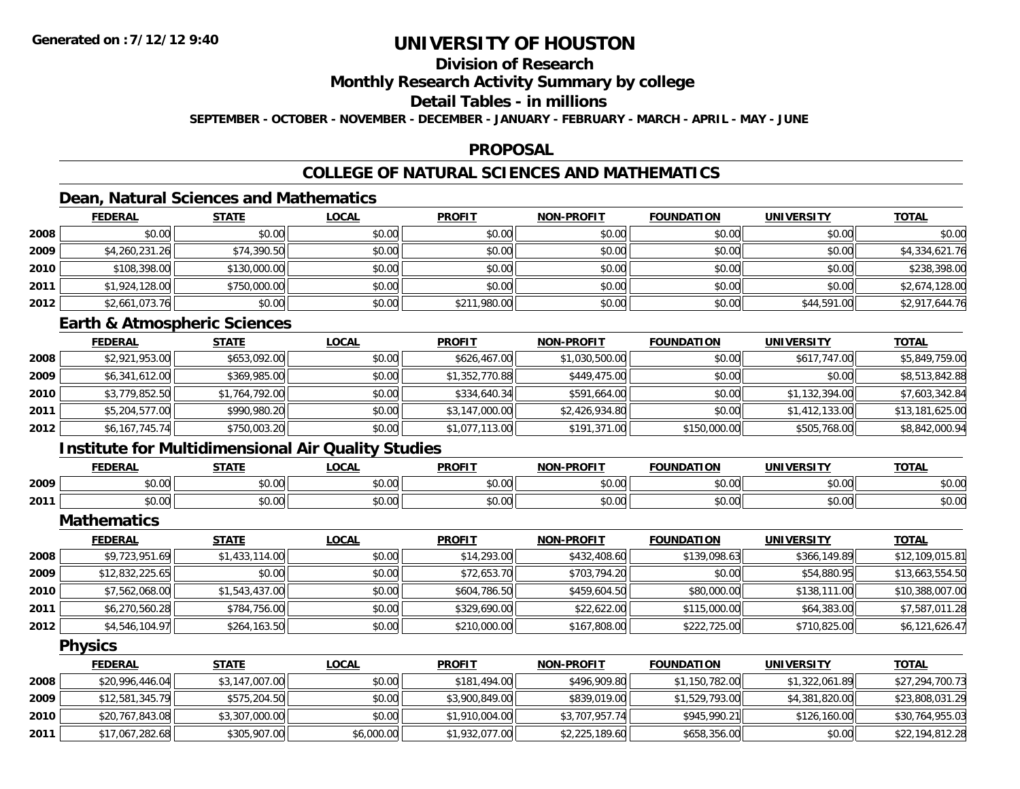## **Division of Research**

**Monthly Research Activity Summary by college**

### **Detail Tables - in millions**

**SEPTEMBER - OCTOBER - NOVEMBER - DECEMBER - JANUARY - FEBRUARY - MARCH - APRIL - MAY - JUNE**

### **PROPOSAL**

## **COLLEGE OF NATURAL SCIENCES AND MATHEMATICS**

## **Dean, Natural Sciences and Mathematics**

|      | <b>FEDERAL</b> | <b>STATE</b> | <u>LOCAL</u> | <b>PROFIT</b> | <b>NON-PROFIT</b> | <b>FOUNDATION</b> | <b>UNIVERSITY</b> | <b>TOTAL</b>   |
|------|----------------|--------------|--------------|---------------|-------------------|-------------------|-------------------|----------------|
| 2008 | \$0.00         | \$0.00       | \$0.00       | \$0.00        | \$0.00            | \$0.00            | \$0.00            | \$0.00         |
| 2009 | \$4,260,231.26 | \$74,390.50  | \$0.00       | \$0.00        | \$0.00            | \$0.00            | \$0.00            | \$4,334,621.76 |
| 2010 | \$108,398.00   | \$130,000.00 | \$0.00       | \$0.00        | \$0.00            | \$0.00            | \$0.00            | \$238,398.00   |
| 2011 | \$1,924,128.00 | \$750,000.00 | \$0.00       | \$0.00        | \$0.00            | \$0.00            | \$0.00            | \$2,674,128.00 |
| 2012 | \$2,661,073.76 | \$0.00       | \$0.00       | \$211,980.00  | \$0.00            | \$0.00            | \$44,591.00       | \$2,917,644.76 |

### **Earth & Atmospheric Sciences**

|      | <u>FEDERAL</u> | <b>STATE</b>   | <b>LOCAL</b> | <b>PROFIT</b>  | <b>NON-PROFIT</b> | <b>FOUNDATION</b> | <b>UNIVERSITY</b> | <b>TOTAL</b>    |
|------|----------------|----------------|--------------|----------------|-------------------|-------------------|-------------------|-----------------|
| 2008 | \$2,921,953.00 | \$653,092.00   | \$0.00       | \$626,467.00   | \$1,030,500.00    | \$0.00            | \$617,747.00      | \$5,849,759.00  |
| 2009 | \$6,341,612.00 | \$369,985.00   | \$0.00       | \$1,352,770.88 | \$449,475.00      | \$0.00            | \$0.00            | \$8,513,842.88  |
| 2010 | \$3,779,852.50 | \$1,764,792.00 | \$0.00       | \$334,640.34   | \$591,664.00      | \$0.00            | \$1,132,394.00    | \$7,603,342.84  |
| 2011 | \$5,204,577.00 | \$990,980.20   | \$0.00       | \$3,147,000.00 | \$2,426,934.80    | \$0.00            | \$1,412,133.00    | \$13,181,625.00 |
| 2012 | \$6,167,745.74 | \$750,003.20   | \$0.00       | \$1,077,113.00 | \$191,371.00      | \$150,000.00      | \$505,768.00      | \$8,842,000.94  |

### **Institute for Multidimensional Air Quality Studies**

|      | <b>FEDERAL</b> | <b>CTATE</b>           | 0.01<br>.UCAI              | <b>PROFIT</b> | ------                  | I INDA.<br>.                 | <b>INIVEDSITY</b> | <b>TOTAL</b>             |
|------|----------------|------------------------|----------------------------|---------------|-------------------------|------------------------------|-------------------|--------------------------|
| 2009 | 0000<br>וטטוע  | $\sim$ $\sim$<br>שט.טע | مہ م+<br>PU.UU             | 0000<br>JU.UU | $\mathbb{R}^n$<br>PU.UU | nn nn<br>. <i>U U</i><br>, J | 0000<br>JU.UU     | $\circ$ $\circ$<br>DU.UG |
| 2011 | ቀስ ሰሰ<br>DU.UU | 0000<br>JU.UU          | $*$ $\cap$ $\cap$<br>DU.UU | \$0.00        | \$0.00                  | $\sim$ 00<br>DU.UU           | 0000<br>DU.UU     | $n \alpha$<br>งบ.บบ      |

**Mathematics**

|      | <b>FEDERAL</b>  | <u>STATE</u>   | <b>LOCAL</b> | <b>PROFIT</b> | <b>NON-PROFIT</b> | <b>FOUNDATION</b> | <b>UNIVERSITY</b> | <b>TOTAL</b>    |
|------|-----------------|----------------|--------------|---------------|-------------------|-------------------|-------------------|-----------------|
| 2008 | \$9,723,951.69  | \$1,433,114.00 | \$0.00       | \$14,293.00   | \$432,408.60      | \$139,098.63      | \$366,149.89      | \$12,109,015.81 |
| 2009 | \$12,832,225.65 | \$0.00         | \$0.00       | \$72,653.70   | \$703.794.20      | \$0.00            | \$54,880.95       | \$13,663,554.50 |
| 2010 | \$7,562,068.00  | \$1,543,437.00 | \$0.00       | \$604,786.50  | \$459,604.50      | \$80,000.00       | \$138,111,00      | \$10,388,007.00 |
| 2011 | \$6,270,560.28  | \$784,756.00   | \$0.00       | \$329,690.00  | \$22,622.00       | \$115,000.00      | \$64,383.00       | \$7,587,011.28  |
| 2012 | \$4,546,104.97  | \$264,163.50   | \$0.00       | \$210,000.00  | \$167,808.00      | \$222,725.00      | \$710,825.00      | \$6,121,626.47  |

**Physics**

|      | <b>FEDERAL</b>  | <u>STATE</u>   | <u>LOCAL</u> | <b>PROFIT</b>  | <b>NON-PROFIT</b> | <b>FOUNDATION</b> | UNIVERSITY     | <b>TOTAL</b>    |
|------|-----------------|----------------|--------------|----------------|-------------------|-------------------|----------------|-----------------|
| 2008 | \$20,996,446.04 | \$3,147,007.00 | \$0.00       | \$181,494.00   | \$496,909.80      | \$1,150,782,00    | \$1,322,061.89 | \$27,294,700.73 |
| 2009 | \$12,581,345.79 | \$575,204.50   | \$0.00       | \$3,900,849.00 | \$839,019,00      | \$1,529,793,00    | \$4,381,820,00 | \$23,808,031.29 |
| 2010 | \$20,767,843.08 | \$3,307,000.00 | \$0.00       | \$1,910,004.00 | \$3,707,957.74    | \$945,990.21      | \$126,160.00   | \$30,764,955.03 |
| 2011 | \$17,067,282.68 | \$305,907.00   | \$6,000.00   | \$1,932,077.00 | \$2,225,189.60    | \$658,356.00      | \$0.00         | \$22,194,812.28 |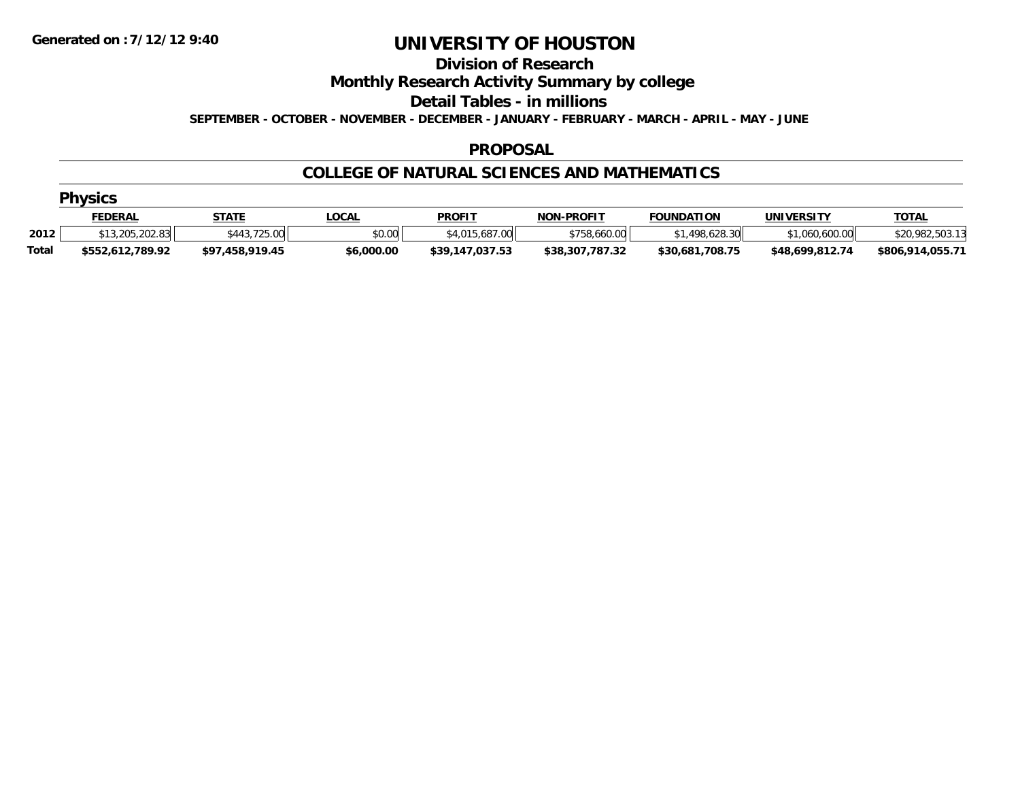## **Division of Research**

**Monthly Research Activity Summary by college**

**Detail Tables - in millions**

**SEPTEMBER - OCTOBER - NOVEMBER - DECEMBER - JANUARY - FEBRUARY - MARCH - APRIL - MAY - JUNE**

### **PROPOSAL**

### **COLLEGE OF NATURAL SCIENCES AND MATHEMATICS**

| $ -$<br><b>Physics</b> |  |
|------------------------|--|
|                        |  |

|              | FEDERAL          | STATE                    | _OCAL      | <b>PROFIT</b>                              | <b>NON-PROFIT</b> | <b>FOUNDATION</b> | UNIVERSITY       | <u>TOTAL</u>     |
|--------------|------------------|--------------------------|------------|--------------------------------------------|-------------------|-------------------|------------------|------------------|
| 2012         | \$13,205,202.83  | フつら<br>\$443<br>, 20. UU | \$0.00     | 107<br>\$4.015<br>00 <sup>1</sup><br>15.08 | \$758.660.00      | \$1,498,628.30    | .600.00<br>1.060 | \$20,982,503.13  |
| <b>Total</b> | \$552.612.789.92 | \$97.458.919.45          | \$6,000.00 | \$39,147,037.53                            | \$38,307,787.32   | \$30.681.708.75   | \$48.699.812.74  | \$806,914,055.71 |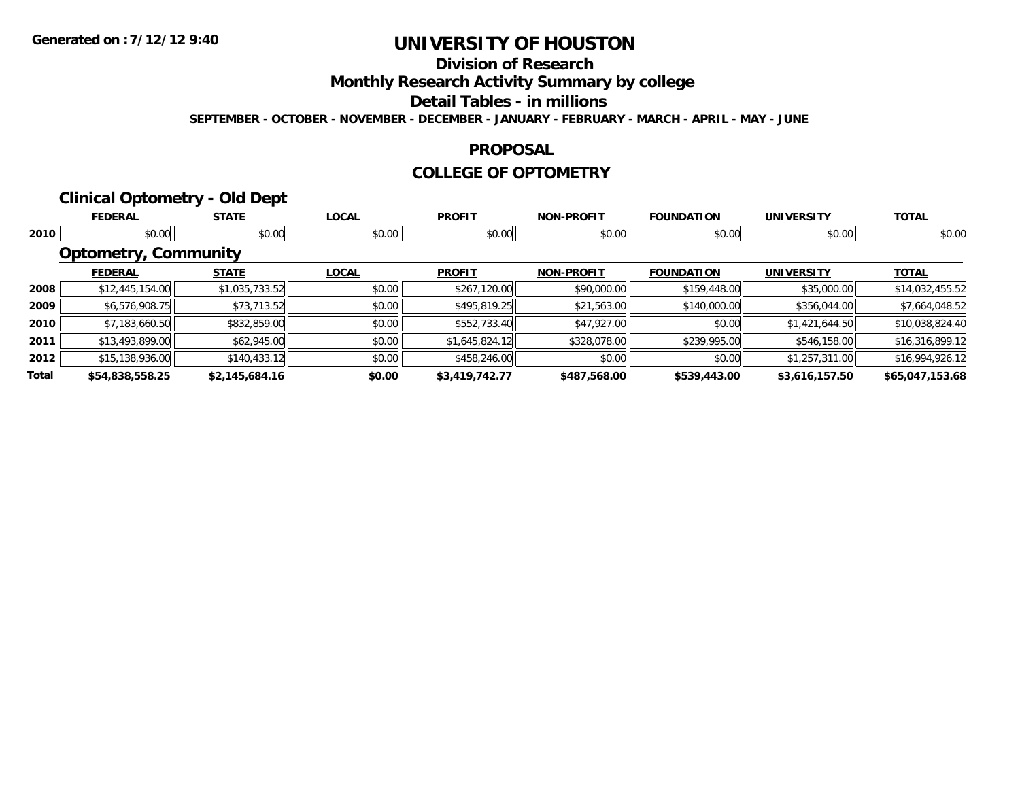## **Division of Research**

**Monthly Research Activity Summary by college**

#### **Detail Tables - in millions**

**SEPTEMBER - OCTOBER - NOVEMBER - DECEMBER - JANUARY - FEBRUARY - MARCH - APRIL - MAY - JUNE**

#### **PROPOSAL**

#### **COLLEGE OF OPTOMETRY**

### **Clinical Optometry - Old Dept**

|       | <b>FEDERAL</b>              | <b>STATE</b>   | <b>LOCAL</b> | <b>PROFIT</b>  | <b>NON-PROFIT</b> | <b>FOUNDATION</b> | <b>UNIVERSITY</b> | <b>TOTAL</b>    |
|-------|-----------------------------|----------------|--------------|----------------|-------------------|-------------------|-------------------|-----------------|
| 2010  | \$0.00                      | \$0.00         | \$0.00       | \$0.00         | \$0.00            | \$0.00            | \$0.00            | \$0.00          |
|       | <b>Optometry, Community</b> |                |              |                |                   |                   |                   |                 |
|       | <b>FEDERAL</b>              | <b>STATE</b>   | <b>LOCAL</b> | <b>PROFIT</b>  | <b>NON-PROFIT</b> | <b>FOUNDATION</b> | <b>UNIVERSITY</b> | <b>TOTAL</b>    |
| 2008  | \$12,445,154.00             | \$1,035,733.52 | \$0.00       | \$267,120.00   | \$90,000.00       | \$159,448.00      | \$35,000.00       | \$14,032,455.52 |
| 2009  | \$6,576,908.75              | \$73,713.52    | \$0.00       | \$495,819.25   | \$21,563.00       | \$140,000.00      | \$356,044.00      | \$7,664,048.52  |
| 2010  | \$7,183,660.50              | \$832,859.00   | \$0.00       | \$552,733.40   | \$47,927.00       | \$0.00            | \$1,421,644.50    | \$10,038,824.40 |
| 2011  | \$13,493,899.00             | \$62,945.00    | \$0.00       | \$1,645,824.12 | \$328,078.00      | \$239,995.00      | \$546,158.00      | \$16,316,899.12 |
| 2012  | \$15,138,936.00             | \$140,433.12   | \$0.00       | \$458,246.00   | \$0.00            | \$0.00            | \$1,257,311.00    | \$16,994,926.12 |
| Total | \$54,838,558.25             | \$2,145,684.16 | \$0.00       | \$3,419,742.77 | \$487,568.00      | \$539,443.00      | \$3,616,157.50    | \$65,047,153.68 |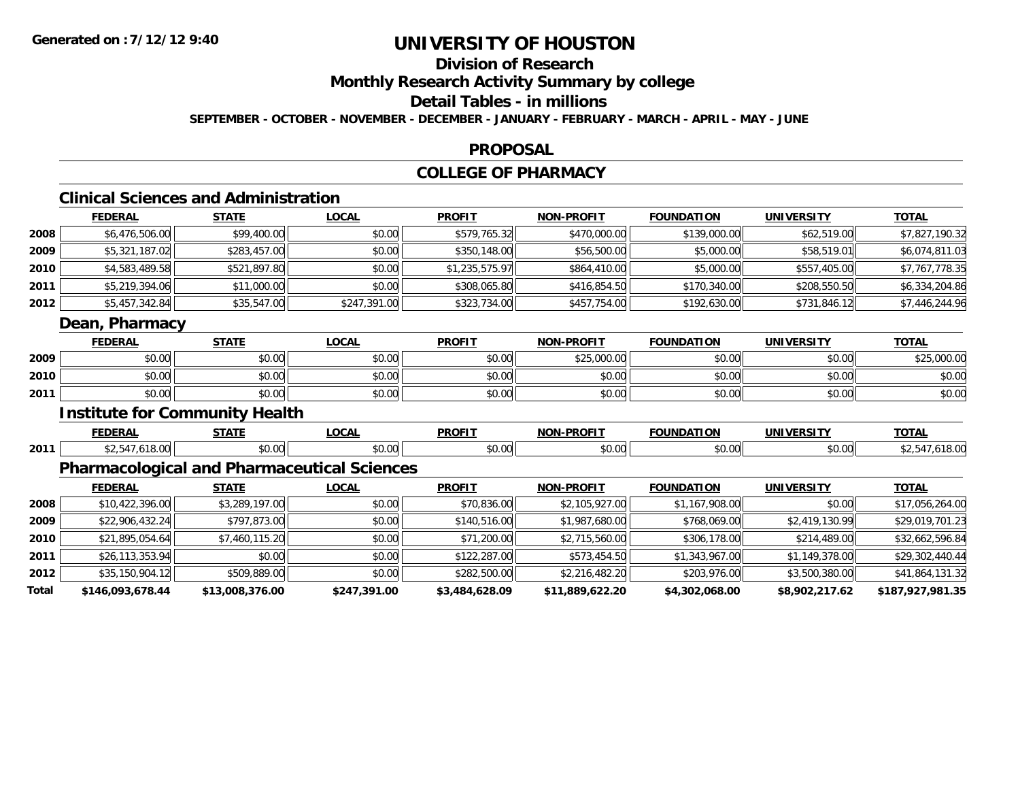## **Division of Research**

### **Monthly Research Activity Summary by college**

### **Detail Tables - in millions**

**SEPTEMBER - OCTOBER - NOVEMBER - DECEMBER - JANUARY - FEBRUARY - MARCH - APRIL - MAY - JUNE**

#### **PROPOSAL**

### **COLLEGE OF PHARMACY**

## **Clinical Sciences and Administration**

|      | <b>FEDERAL</b> | <b>STATE</b> | <b>LOCAL</b> | <b>PROFIT</b>  | <b>NON-PROFIT</b> | <b>FOUNDATION</b> | <b>UNIVERSITY</b> | <u>TOTAL</u>   |
|------|----------------|--------------|--------------|----------------|-------------------|-------------------|-------------------|----------------|
| 2008 | \$6,476,506.00 | \$99,400.00  | \$0.00       | \$579,765.32   | \$470,000.00      | \$139,000.00      | \$62,519.00       | \$7,827,190.32 |
| 2009 | \$5,321,187.02 | \$283,457.00 | \$0.00       | \$350,148.00   | \$56,500.00       | \$5,000.00        | \$58,519.01       | \$6,074,811.03 |
| 2010 | \$4,583,489.58 | \$521,897.80 | \$0.00       | \$1,235,575.97 | \$864,410.00      | \$5,000.00        | \$557,405.00      | \$7,767,778.35 |
| 2011 | \$5,219,394.06 | \$11,000.00  | \$0.00       | \$308,065.80   | \$416,854.50      | \$170,340.00      | \$208,550.50      | \$6,334,204.86 |
| 2012 | \$5,457,342.84 | \$35,547.00  | \$247,391.00 | \$323,734.00   | \$457,754.00      | \$192,630.00      | \$731,846.12      | \$7,446,244.96 |
|      | Dean, Pharmacy |              |              |                |                   |                   |                   |                |
|      | <b>FEDERAL</b> | <b>STATE</b> | <b>LOCAL</b> | <b>PROFIT</b>  | <b>NON-PROFIT</b> | <b>FOUNDATION</b> | <b>UNIVERSITY</b> | <u>TOTAL</u>   |

|      | -------           | - –                | -----  | .      |                    | ------------       | -              | .                                              |
|------|-------------------|--------------------|--------|--------|--------------------|--------------------|----------------|------------------------------------------------|
| 2009 | ሶስ ሰሰ<br>,u.u     | $\sim$ 00<br>DU.UU | \$0.00 | \$0.00 | A<br>723.UUU.UU    | 0000<br>JU.UU      | nn na<br>DU.UG | 00000<br>$\mathbf{A} \cap \mathbf{C}$<br>NU UN |
| 2010 | $\sim$ 00<br>ט.טע | $\sim$ 00<br>JU.UU | \$0.00 | \$0.00 | $\sim$ 00<br>pu.uu | $\sim$ 00<br>JU.UU | \$0.00         | \$0.00                                         |
| 2011 | \$0.00            | \$0.00             | \$0.00 | \$0.00 | \$0.00             | ሶስ ሰሰ<br>JU.UU     | \$0.00         | \$0.00                                         |

### **Institute for Community Health**

|      | <b>FEDERAL</b> | 6787F         | $\sim$<br>UUMI | <b>PROFIT</b>                                       | <b>DDOEIT</b><br>חחו | ------<br>JUNDA :<br>1 U J F | INIWEDO        | $T^{\sim}$<br>- 73 |
|------|----------------|---------------|----------------|-----------------------------------------------------|----------------------|------------------------------|----------------|--------------------|
| 2011 |                | ሐሴ ሰሰ<br>ט.טי | ሶስ ሰሰ<br>ט.טי  | $\uparrow$ $\uparrow$ $\uparrow$ $\uparrow$<br>JU.U | $\sim$ 00<br>ט.טי    | $\sim$ 00                    | ሶስ ሰሰ<br>50.UU | $\sim$             |

## **Pharmacological and Pharmaceutical Sciences**

|       | <b>FEDERAL</b>   | <b>STATE</b>    | <b>LOCAL</b> | <b>PROFIT</b>  | <b>NON-PROFIT</b> | <b>FOUNDATION</b> | <b>UNIVERSITY</b> | <b>TOTAL</b>     |
|-------|------------------|-----------------|--------------|----------------|-------------------|-------------------|-------------------|------------------|
| 2008  | \$10,422,396.00  | \$3,289,197.00  | \$0.00       | \$70,836.00    | \$2,105,927.00    | \$1,167,908.00    | \$0.00            | \$17,056,264.00  |
| 2009  | \$22,906,432.24  | \$797,873.00    | \$0.00       | \$140,516.00   | \$1,987,680.00    | \$768,069.00      | \$2,419,130.99    | \$29,019,701.23  |
| 2010  | \$21,895,054.64  | \$7,460,115.20  | \$0.00       | \$71,200.00    | \$2,715,560.00    | \$306,178.00      | \$214,489.00      | \$32,662,596.84  |
| 2011  | \$26,113,353.94  | \$0.00          | \$0.00       | \$122,287.00   | \$573,454.50      | \$1,343,967.00    | \$1,149,378.00    | \$29,302,440.44  |
| 2012  | \$35,150,904.12  | \$509,889.00    | \$0.00       | \$282,500.00   | \$2,216,482.20    | \$203,976.00      | \$3,500,380.00    | \$41,864,131.32  |
| Total | \$146,093,678.44 | \$13,008,376.00 | \$247,391.00 | \$3,484,628.09 | \$11,889,622.20   | \$4,302,068.00    | \$8,902,217.62    | \$187,927,981.35 |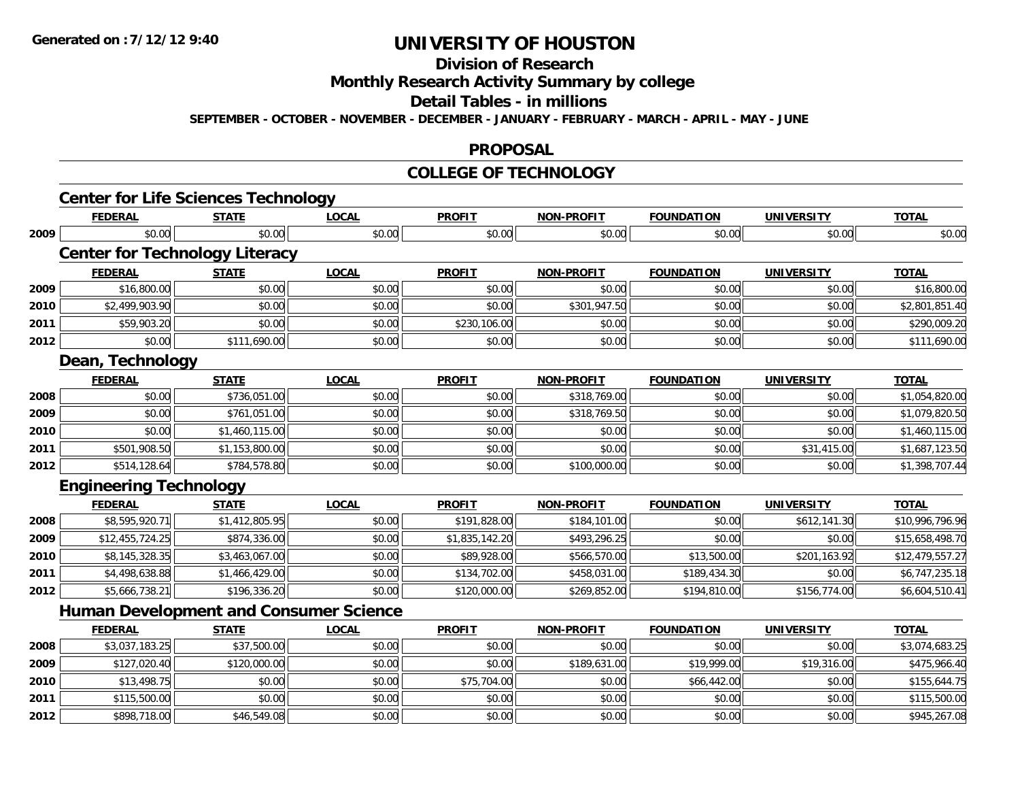## **Division of Research**

**Monthly Research Activity Summary by college**

#### **Detail Tables - in millions**

**SEPTEMBER - OCTOBER - NOVEMBER - DECEMBER - JANUARY - FEBRUARY - MARCH - APRIL - MAY - JUNE**

#### **PROPOSAL**

#### **COLLEGE OF TECHNOLOGY**

|      | <b>Center for Life Sciences Technology</b>    |                |              |                |                   |                   |                   |                 |
|------|-----------------------------------------------|----------------|--------------|----------------|-------------------|-------------------|-------------------|-----------------|
|      | <b>FEDERAL</b>                                | <b>STATE</b>   | <b>LOCAL</b> | <b>PROFIT</b>  | <b>NON-PROFIT</b> | <b>FOUNDATION</b> | <b>UNIVERSITY</b> | <b>TOTAL</b>    |
| 2009 | \$0.00                                        | \$0.00         | \$0.00       | \$0.00         | \$0.00            | \$0.00            | \$0.00            | \$0.00          |
|      | <b>Center for Technology Literacy</b>         |                |              |                |                   |                   |                   |                 |
|      | <b>FEDERAL</b>                                | <b>STATE</b>   | <b>LOCAL</b> | <b>PROFIT</b>  | <b>NON-PROFIT</b> | <b>FOUNDATION</b> | <b>UNIVERSITY</b> | <b>TOTAL</b>    |
| 2009 | \$16,800.00                                   | \$0.00         | \$0.00       | \$0.00         | \$0.00            | \$0.00            | \$0.00            | \$16,800.00     |
| 2010 | \$2,499,903.90                                | \$0.00         | \$0.00       | \$0.00         | \$301,947.50      | \$0.00            | \$0.00            | \$2,801,851.40  |
| 2011 | \$59,903.20                                   | \$0.00         | \$0.00       | \$230,106.00   | \$0.00            | \$0.00            | \$0.00            | \$290,009.20    |
| 2012 | \$0.00                                        | \$111,690.00   | \$0.00       | \$0.00         | \$0.00            | \$0.00            | \$0.00            | \$111,690.00    |
|      | Dean, Technology                              |                |              |                |                   |                   |                   |                 |
|      | <b>FEDERAL</b>                                | <b>STATE</b>   | <b>LOCAL</b> | <b>PROFIT</b>  | <b>NON-PROFIT</b> | <b>FOUNDATION</b> | <b>UNIVERSITY</b> | <b>TOTAL</b>    |
| 2008 | \$0.00                                        | \$736,051.00   | \$0.00       | \$0.00         | \$318,769.00      | \$0.00            | \$0.00            | \$1,054,820.00  |
| 2009 | \$0.00                                        | \$761,051.00   | \$0.00       | \$0.00         | \$318,769.50      | \$0.00            | \$0.00            | \$1,079,820.50  |
| 2010 | \$0.00                                        | \$1,460,115.00 | \$0.00       | \$0.00         | \$0.00            | \$0.00            | \$0.00            | \$1,460,115.00  |
| 2011 | \$501,908.50                                  | \$1,153,800.00 | \$0.00       | \$0.00         | \$0.00            | \$0.00            | \$31,415.00       | \$1,687,123.50  |
| 2012 | \$514,128.64                                  | \$784,578.80   | \$0.00       | \$0.00         | \$100,000.00      | \$0.00            | \$0.00            | \$1,398,707.44  |
|      | <b>Engineering Technology</b>                 |                |              |                |                   |                   |                   |                 |
|      | <b>FEDERAL</b>                                | <b>STATE</b>   | <b>LOCAL</b> | <b>PROFIT</b>  | <b>NON-PROFIT</b> | <b>FOUNDATION</b> | <b>UNIVERSITY</b> | <b>TOTAL</b>    |
| 2008 | \$8,595,920.71                                | \$1,412,805.95 | \$0.00       | \$191,828.00   | \$184,101.00      | \$0.00            | \$612,141.30      | \$10,996,796.96 |
| 2009 | \$12,455,724.25                               | \$874,336.00   | \$0.00       | \$1,835,142.20 | \$493,296.25      | \$0.00            | \$0.00            | \$15,658,498.70 |
| 2010 | \$8,145,328.35                                | \$3,463,067.00 | \$0.00       | \$89,928.00    | \$566,570.00      | \$13,500.00       | \$201,163.92      | \$12,479,557.27 |
| 2011 | \$4,498,638.88                                | \$1,466,429.00 | \$0.00       | \$134,702.00   | \$458,031.00      | \$189,434.30      | \$0.00            | \$6,747,235.18  |
| 2012 | \$5,666,738.21                                | \$196,336.20   | \$0.00       | \$120,000.00   | \$269,852.00      | \$194,810.00      | \$156,774.00      | \$6,604,510.41  |
|      | <b>Human Development and Consumer Science</b> |                |              |                |                   |                   |                   |                 |
|      | <b>FEDERAL</b>                                | <b>STATE</b>   | <b>LOCAL</b> | <b>PROFIT</b>  | <b>NON-PROFIT</b> | <b>FOUNDATION</b> | <b>UNIVERSITY</b> | <b>TOTAL</b>    |
| 2008 | \$3,037,183.25                                | \$37,500.00    | \$0.00       | \$0.00         | \$0.00            | \$0.00            | \$0.00            | \$3,074,683.25  |
| 2009 | \$127,020.40                                  | \$120,000.00   | \$0.00       | \$0.00         | \$189,631.00      | \$19,999.00       | \$19,316.00       | \$475,966.40    |
| 2010 | \$13,498.75                                   | \$0.00         | \$0.00       | \$75,704.00    | \$0.00            | \$66,442.00       | \$0.00            | \$155,644.75    |
| 2011 | \$115,500.00                                  | \$0.00         | \$0.00       | \$0.00         | \$0.00            | \$0.00            | \$0.00            | \$115,500.00    |
| 2012 | \$898,718.00                                  | \$46,549.08    | \$0.00       | \$0.00         | \$0.00            | \$0.00            | \$0.00            | \$945,267.08    |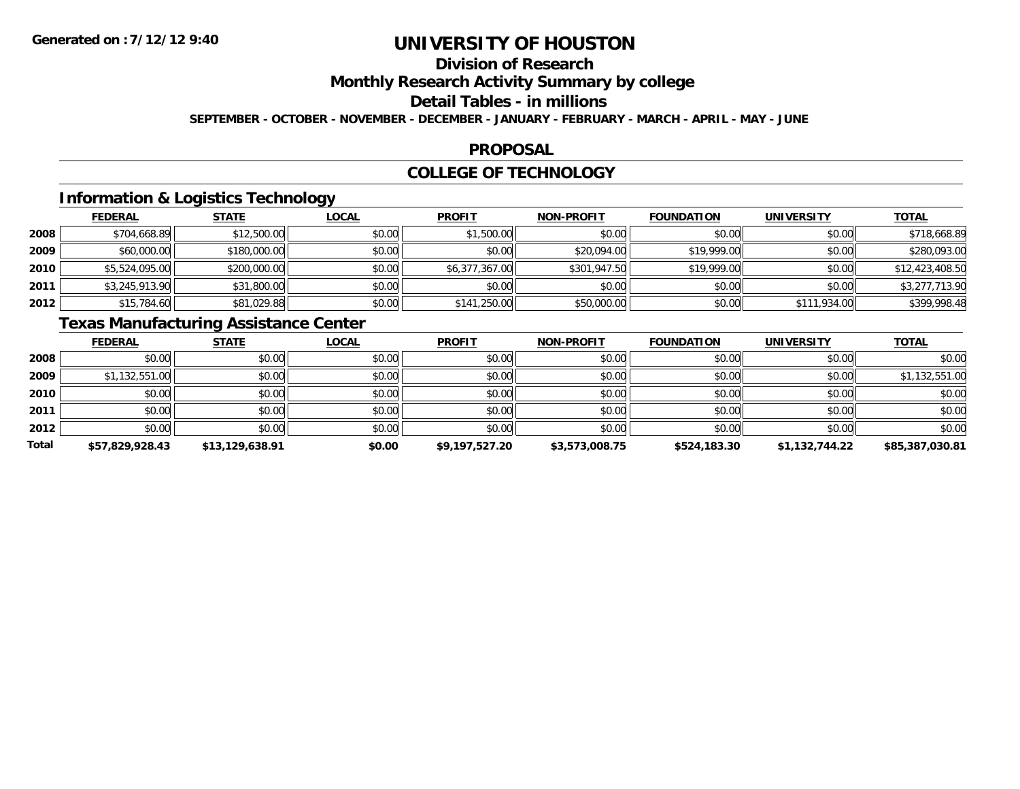# **Division of Research**

**Monthly Research Activity Summary by college**

#### **Detail Tables - in millions**

**SEPTEMBER - OCTOBER - NOVEMBER - DECEMBER - JANUARY - FEBRUARY - MARCH - APRIL - MAY - JUNE**

### **PROPOSAL**

### **COLLEGE OF TECHNOLOGY**

## **Information & Logistics Technology**

|      | <b>FEDERAL</b> | <b>STATE</b> | <b>LOCAL</b> | <b>PROFIT</b>  | <b>NON-PROFIT</b> | <b>FOUNDATION</b> | <b>UNIVERSITY</b> | <b>TOTAL</b>    |
|------|----------------|--------------|--------------|----------------|-------------------|-------------------|-------------------|-----------------|
| 2008 | \$704,668.89   | \$12,500.00  | \$0.00       | \$1,500.00     | \$0.00            | \$0.00            | \$0.00            | \$718,668.89    |
| 2009 | \$60,000.00    | \$180,000.00 | \$0.00       | \$0.00         | \$20,094.00       | \$19,999.00       | \$0.00            | \$280,093.00    |
| 2010 | \$5,524,095.00 | \$200,000.00 | \$0.00       | \$6,377,367.00 | \$301,947.50      | \$19,999.00       | \$0.00            | \$12,423,408.50 |
| 2011 | \$3,245,913.90 | \$31,800.00  | \$0.00       | \$0.00         | \$0.00            | \$0.00            | \$0.00            | \$3,277,713.90  |
| 2012 | \$15,784.60    | \$81,029.88  | \$0.00       | \$141,250.00   | \$50,000.00       | \$0.00            | \$111,934.00      | \$399,998.48    |

## **Texas Manufacturing Assistance Center**

|       | <b>FEDERAL</b>  | <b>STATE</b>    | <u>LOCAL</u> | <b>PROFIT</b>  | <b>NON-PROFIT</b> | <b>FOUNDATION</b> | <b>UNIVERSITY</b> | <b>TOTAL</b>    |
|-------|-----------------|-----------------|--------------|----------------|-------------------|-------------------|-------------------|-----------------|
| 2008  | \$0.00          | \$0.00          | \$0.00       | \$0.00         | \$0.00            | \$0.00            | \$0.00            | \$0.00          |
| 2009  | \$1,132,551.00  | \$0.00          | \$0.00       | \$0.00         | \$0.00            | \$0.00            | \$0.00            | \$1,132,551.00  |
| 2010  | \$0.00          | \$0.00          | \$0.00       | \$0.00         | \$0.00            | \$0.00            | \$0.00            | \$0.00          |
| 2011  | \$0.00          | \$0.00          | \$0.00       | \$0.00         | \$0.00            | \$0.00            | \$0.00            | \$0.00          |
| 2012  | \$0.00          | \$0.00          | \$0.00       | \$0.00         | \$0.00            | \$0.00            | \$0.00            | \$0.00          |
| Total | \$57,829,928.43 | \$13,129,638.91 | \$0.00       | \$9,197,527.20 | \$3,573,008.75    | \$524,183.30      | \$1,132,744.22    | \$85,387,030.81 |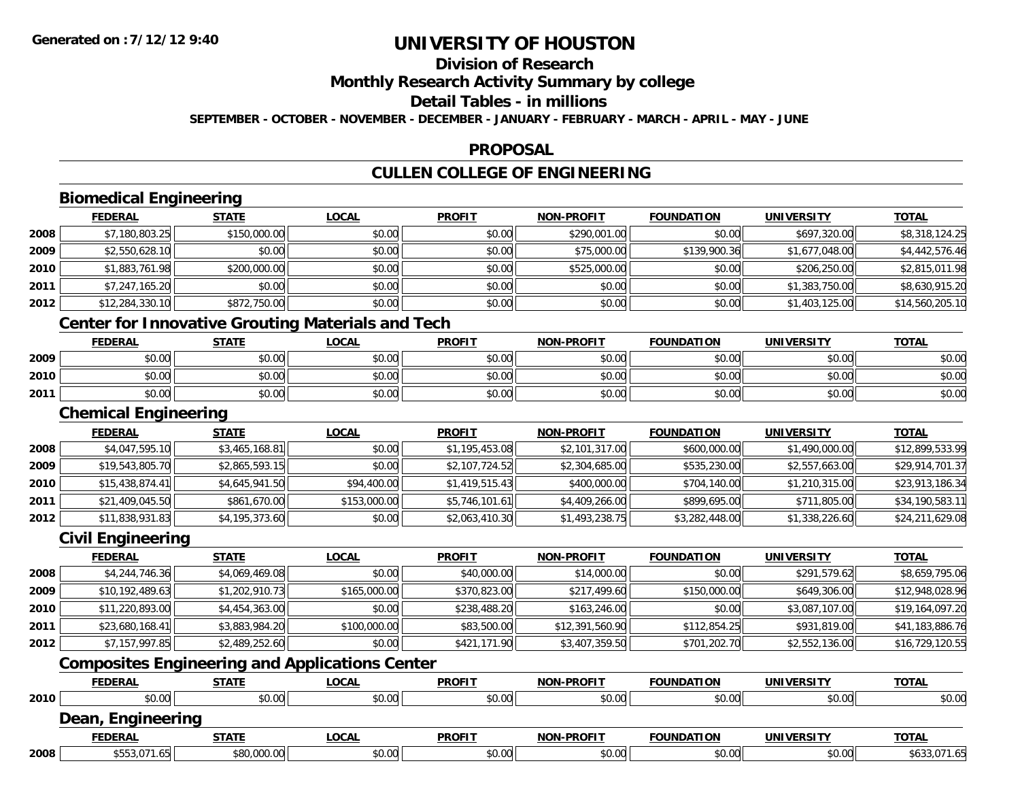## **Division of Research**

**Monthly Research Activity Summary by college**

### **Detail Tables - in millions**

**SEPTEMBER - OCTOBER - NOVEMBER - DECEMBER - JANUARY - FEBRUARY - MARCH - APRIL - MAY - JUNE**

### **PROPOSAL**

## **CULLEN COLLEGE OF ENGINEERING**

## **Biomedical Engineering**

|      | <b>FEDERAL</b>  | <b>STATE</b> | <u>LOCAL</u>                                      | <b>PROFIT</b> | <b>NON-PROFIT</b> | <b>FOUNDATION</b> | <b>UNIVERSITY</b> | <b>TOTAL</b>    |
|------|-----------------|--------------|---------------------------------------------------|---------------|-------------------|-------------------|-------------------|-----------------|
| 2008 | \$7,180,803.25  | \$150,000.00 | \$0.00                                            | \$0.00        | \$290,001.00      | \$0.00            | \$697,320.00      | \$8,318,124.25  |
| 2009 | \$2,550,628.10  | \$0.00       | \$0.00                                            | \$0.00        | \$75,000.00       | \$139,900.36      | \$1,677,048.00    | \$4,442,576.46  |
| 2010 | \$1,883,761.98  | \$200,000.00 | \$0.00                                            | \$0.00        | \$525,000.00      | \$0.00            | \$206,250.00      | \$2,815,011.98  |
| 2011 | \$7,247,165.20  | \$0.00       | \$0.00                                            | \$0.00        | \$0.00            | \$0.00            | \$1,383,750.00    | \$8,630,915.20  |
| 2012 | \$12,284,330.10 | \$872,750.00 | \$0.00                                            | \$0.00        | \$0.00            | \$0.00            | \$1,403,125.00    | \$14,560,205.10 |
|      |                 |              | Contar for Innovative Crouting Meterials and Tool |               |                   |                   |                   |                 |

#### **Center for Innovative Grouting Materials and Tech**

|      | <b>FEDERAL</b> | <b>STATE</b>                               | LOCAL                             | <b>PROFIT</b>                                       | <b>NON-PROFIT</b> | <b>FOUNDATION</b> | <b>IINIVERSITY</b> | <b>TOTAL</b> |
|------|----------------|--------------------------------------------|-----------------------------------|-----------------------------------------------------|-------------------|-------------------|--------------------|--------------|
| 2009 | 0000<br>ט.טע   | ¢∩<br>$\sim$<br>JU.UL                      | $\sigma \cap \sigma$<br>JU.UU     | $\triangle$ $\triangle$ $\triangle$<br>JU.          | 40.00<br>vv.vv    | \$0.00            | \$0.00             | \$0.00       |
| 2010 | 0000<br>,u.uu  | $\mathfrak{e}\cap\mathfrak{e}\cap$<br>J∪.∪ | 0 <sub>n</sub><br>JU.UU           | $\mathsf{A} \cap \mathsf{A} \cap \mathsf{A}$<br>JU. | 40.00<br>vv.vv    | \$0.00            | \$0.00             | \$0.00       |
| 2011 | 0000<br>,u.uu  | \$0.00                                     | $\sigma$ $\sim$ $\sigma$<br>DU.UU | 0.00<br>JU.UU                                       | \$0.00            | \$0.00            | \$0.00             | \$0.00       |

### **Chemical Engineering**

|      | <b>FEDERAL</b>  | <b>STATE</b>   | <b>LOCAL</b> | <b>PROFIT</b>  | <b>NON-PROFIT</b> | <b>FOUNDATION</b> | UNIVERSITY     | <b>TOTAL</b>    |
|------|-----------------|----------------|--------------|----------------|-------------------|-------------------|----------------|-----------------|
| 2008 | \$4,047,595.10  | \$3,465,168.81 | \$0.00       | \$1,195,453.08 | \$2,101,317.00    | \$600,000.00      | \$1,490,000.00 | \$12,899,533.99 |
| 2009 | \$19,543,805.70 | \$2,865,593.15 | \$0.00       | \$2,107,724.52 | \$2,304,685.00    | \$535,230.00      | \$2,557,663.00 | \$29,914,701.37 |
| 2010 | \$15,438,874.41 | \$4,645,941.50 | \$94,400.00  | \$1,419,515.43 | \$400,000.00      | \$704,140.00      | \$1,210,315.00 | \$23,913,186.34 |
| 2011 | \$21,409,045.50 | \$861,670.00   | \$153,000.00 | \$5,746,101.61 | \$4,409,266.00    | \$899,695.00      | \$711,805.00   | \$34,190,583.11 |
| 2012 | \$11,838,931.83 | \$4,195,373.60 | \$0.00       | \$2,063,410.30 | \$1,493,238.75    | \$3,282,448.00    | \$1,338,226.60 | \$24,211,629.08 |

### **Civil Engineering**

|      | <b>FEDERAL</b>  | <u>STATE</u>   | <b>LOCAL</b> | <b>PROFIT</b> | <b>NON-PROFIT</b> | <b>FOUNDATION</b> | <b>UNIVERSITY</b> | <b>TOTAL</b>    |
|------|-----------------|----------------|--------------|---------------|-------------------|-------------------|-------------------|-----------------|
| 2008 | \$4,244,746.36  | \$4,069,469.08 | \$0.00       | \$40,000.00   | \$14,000.00       | \$0.00            | \$291,579.62      | \$8,659,795.06  |
| 2009 | \$10,192,489.63 | \$1,202,910.73 | \$165,000.00 | \$370,823.00  | \$217,499.60      | \$150,000.00      | \$649,306.00      | \$12,948,028.96 |
| 2010 | \$11,220,893.00 | \$4,454,363.00 | \$0.00       | \$238,488.20  | \$163,246.00      | \$0.00            | \$3,087,107.00    | \$19,164,097.20 |
| 2011 | \$23,680,168.41 | \$3,883,984.20 | \$100,000.00 | \$83,500.00   | \$12,391,560.90   | \$112,854.25      | \$931,819.00      | \$41,183,886.76 |
| 2012 | \$7,157,997.85  | \$2,489,252.60 | \$0.00       | \$421,171.90  | \$3,407,359.50    | \$701,202.70      | \$2,552,136.00    | \$16,729,120.55 |

### **Composites Engineering and Applications Center**

|      | <b>FEDERAL</b>    | <b>STATE</b> | <u>LOCAL</u> | <b>PROFIT</b> | <b>NON-PROFIT</b> | <b>FOUNDATION</b> | <b>UNIVERSITY</b> | <b>TOTAL</b> |
|------|-------------------|--------------|--------------|---------------|-------------------|-------------------|-------------------|--------------|
| 2010 | \$0.00            | \$0.00       | \$0.00       | \$0.00        | \$0.00            | \$0.00            | \$0.00            | \$0.00       |
|      | Dean, Engineering |              |              |               |                   |                   |                   |              |
|      | <b>FEDERAL</b>    | STATE        | <u>LOCAL</u> | <b>PROFIT</b> | <b>NON-PROFIT</b> | <b>FOUNDATION</b> | UNIVERSITY        | <b>TOTAL</b> |
| 2008 | \$553,071.65      | \$80,000.00  | \$0.00       | \$0.00        | \$0.00            | \$0.00            | \$0.00            | \$633,071.65 |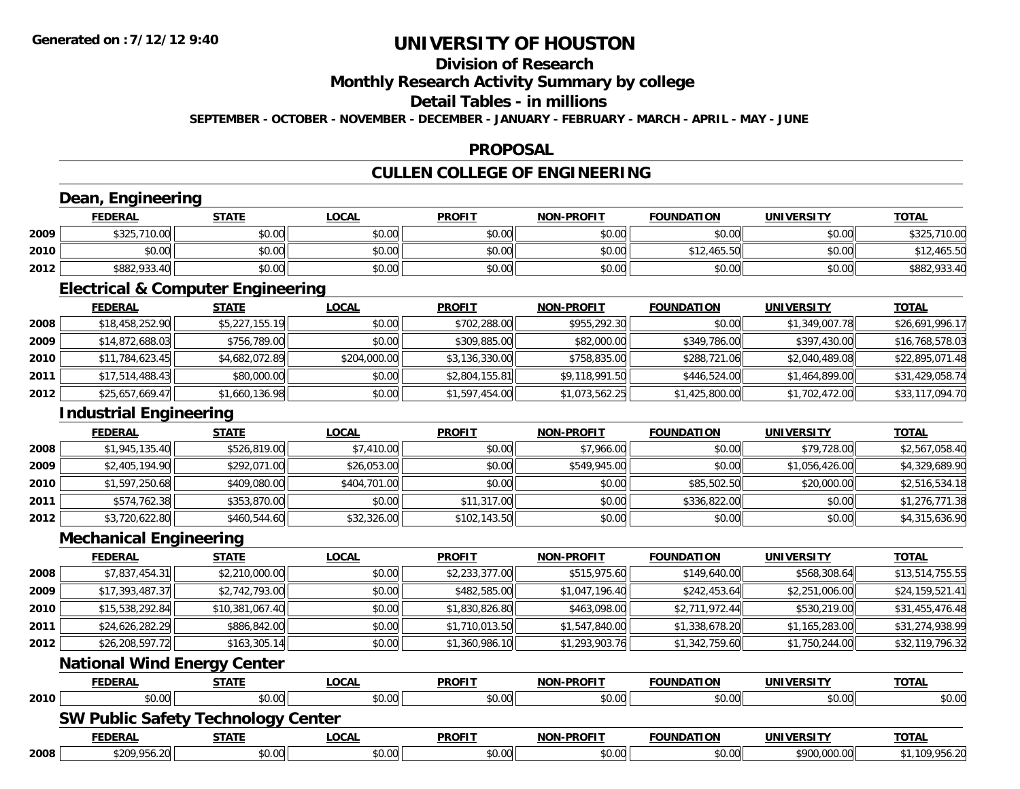## **Division of Research**

### **Monthly Research Activity Summary by college**

#### **Detail Tables - in millions**

**SEPTEMBER - OCTOBER - NOVEMBER - DECEMBER - JANUARY - FEBRUARY - MARCH - APRIL - MAY - JUNE**

### **PROPOSAL**

## **CULLEN COLLEGE OF ENGINEERING**

## **Dean, Engineering**

|      | <b>FEDERAL</b> | <b>STATE</b> | <u>LOCAL</u> | <b>PROFIT</b> | <b>NON-PROFIT</b> | <b>FOUNDATION</b> | UNIVERSITY | <b>TOTAL</b>      |
|------|----------------|--------------|--------------|---------------|-------------------|-------------------|------------|-------------------|
| 2009 | \$325,710.00   | \$0.00       | \$0.00       | \$0.00        | \$0.00            | \$0.00            | \$0.00     | ,710.00<br>\$325, |
| 2010 | \$0.00         | \$0.00       | \$0.00       | \$0.00        | \$0.00            | \$12,465.50       | \$0.00     | 12,465.50         |
| 2012 | \$882,933.40   | \$0.00       | \$0.00       | \$0.00        | \$0.00            | \$0.00            | \$0.00     | \$882,933.40      |

<u> 1989 - Johann Stoff, deutscher Stoffen und der Stoffen und der Stoffen und der Stoffen und der Stoffen und de</u>

<u> 1980 - Johann Barn, amerikan besteman besteman besteman besteman besteman besteman besteman besteman bestema</u>

### **Electrical & Computer Engineering**

|      | <b>FEDERAL</b>  | <u>STATE</u>   | <b>LOCAL</b> | <b>PROFIT</b>  | <b>NON-PROFIT</b> | <b>FOUNDATION</b> | <b>UNIVERSITY</b> | <b>TOTAL</b>    |
|------|-----------------|----------------|--------------|----------------|-------------------|-------------------|-------------------|-----------------|
| 2008 | \$18,458,252.90 | \$5,227,155.19 | \$0.00       | \$702,288.00   | \$955,292.30      | \$0.00            | \$1,349,007.78    | \$26,691,996.17 |
| 2009 | \$14,872,688.03 | \$756,789.00   | \$0.00       | \$309,885.00   | \$82,000.00       | \$349,786.00      | \$397,430.00      | \$16,768,578.03 |
| 2010 | \$11,784,623.45 | \$4,682,072.89 | \$204,000.00 | \$3,136,330.00 | \$758,835,00      | \$288,721.06      | \$2,040,489.08    | \$22,895,071.48 |
| 2011 | \$17,514,488.43 | \$80,000.00    | \$0.00       | \$2,804,155.81 | \$9,118,991.50    | \$446,524.00      | \$1,464,899.00    | \$31,429,058.74 |
| 2012 | \$25,657,669.47 | \$1,660,136.98 | \$0.00       | \$1,597,454.00 | \$1,073,562.25    | \$1,425,800.00    | \$1,702,472.00    | \$33,117,094.70 |

## **Industrial Engineering**

|      | <b>FEDERAL</b> | <b>STATE</b> | <u>LOCAL</u> | <b>PROFIT</b> | <b>NON-PROFIT</b> | <b>FOUNDATION</b> | <b>UNIVERSITY</b> | <b>TOTAL</b>   |
|------|----------------|--------------|--------------|---------------|-------------------|-------------------|-------------------|----------------|
| 2008 | \$1,945,135.40 | \$526,819.00 | \$7,410.00   | \$0.00        | \$7,966.00        | \$0.00            | \$79,728.00       | \$2,567,058.40 |
| 2009 | \$2,405,194.90 | \$292,071.00 | \$26,053.00  | \$0.00        | \$549,945.00      | \$0.00            | \$1,056,426.00    | \$4,329,689.90 |
| 2010 | \$1,597,250.68 | \$409,080.00 | \$404,701.00 | \$0.00        | \$0.00            | \$85,502.50       | \$20,000.00       | \$2,516,534.18 |
| 2011 | \$574,762.38   | \$353,870.00 | \$0.00       | \$11,317.00   | \$0.00            | \$336,822.00      | \$0.00            | \$1,276,771.38 |
| 2012 | \$3,720,622.80 | \$460,544.60 | \$32,326.00  | \$102,143.50  | \$0.00            | \$0.00            | \$0.00            | \$4,315,636.90 |

<u> 1989 - Johann Stoff, deutscher Stoffen und der Stoffen und der Stoffen und der Stoffen und der Stoffen und de</u>

#### **Mechanical Engineering**

|      | <b>FEDERAL</b>  | <b>STATE</b>    | <b>LOCAL</b> | <b>PROFIT</b>  | <b>NON-PROFIT</b> | <b>FOUNDATION</b> | UNIVERSITY     | <u>TOTAL</u>    |
|------|-----------------|-----------------|--------------|----------------|-------------------|-------------------|----------------|-----------------|
| 2008 | \$7,837,454.31  | \$2,210,000.00  | \$0.00       | \$2,233,377.00 | \$515,975.60      | \$149,640.00      | \$568,308.64   | \$13,514,755.55 |
| 2009 | \$17,393,487.37 | \$2,742,793.00  | \$0.00       | \$482,585.00   | \$1,047,196.40    | \$242,453.64      | \$2,251,006.00 | \$24,159,521.41 |
| 2010 | \$15,538,292.84 | \$10,381,067.40 | \$0.00       | \$1,830,826.80 | \$463,098.00      | \$2,711,972.44    | \$530,219.00   | \$31,455,476.48 |
| 2011 | \$24,626,282.29 | \$886,842.00    | \$0.00       | \$1,710,013.50 | \$1,547,840.00    | \$1,338,678.20    | \$1,165,283.00 | \$31,274,938.99 |
| 2012 | \$26,208,597.72 | \$163,305.14    | \$0.00       | \$1,360,986.10 | \$1,293,903.76    | \$1,342,759.60    | \$1,750,244.00 | \$32,119,796.32 |
|      | ---             | $\sim$ $\sim$   |              |                |                   |                   |                |                 |

#### **National Wind Energy Center**

|      | <b>FEDERAL</b>                            | <u>STATE</u> | <u>LOCAL</u> | <b>PROFIT</b> | <b>NON-PROFIT</b> | <b>FOUNDATION</b> | <b>UNIVERSITY</b> | <b>TOTAL</b>   |
|------|-------------------------------------------|--------------|--------------|---------------|-------------------|-------------------|-------------------|----------------|
| 2010 | \$0.00                                    | \$0.00       | \$0.00       | \$0.00        | \$0.00            | \$0.00            | \$0.00            | \$0.00         |
|      | <b>SW Public Safety Technology Center</b> |              |              |               |                   |                   |                   |                |
|      | <b>FEDERAL</b>                            | <u>STATE</u> | <u>LOCAL</u> | <b>PROFIT</b> | <b>NON-PROFIT</b> | <b>FOUNDATION</b> | <b>UNIVERSITY</b> | <u>TOTAL</u>   |
| 2008 | \$209,956.20                              | \$0.00       | \$0.00       | \$0.00        | \$0.00            | \$0.00            | \$900,000.00      | \$1,109,956.20 |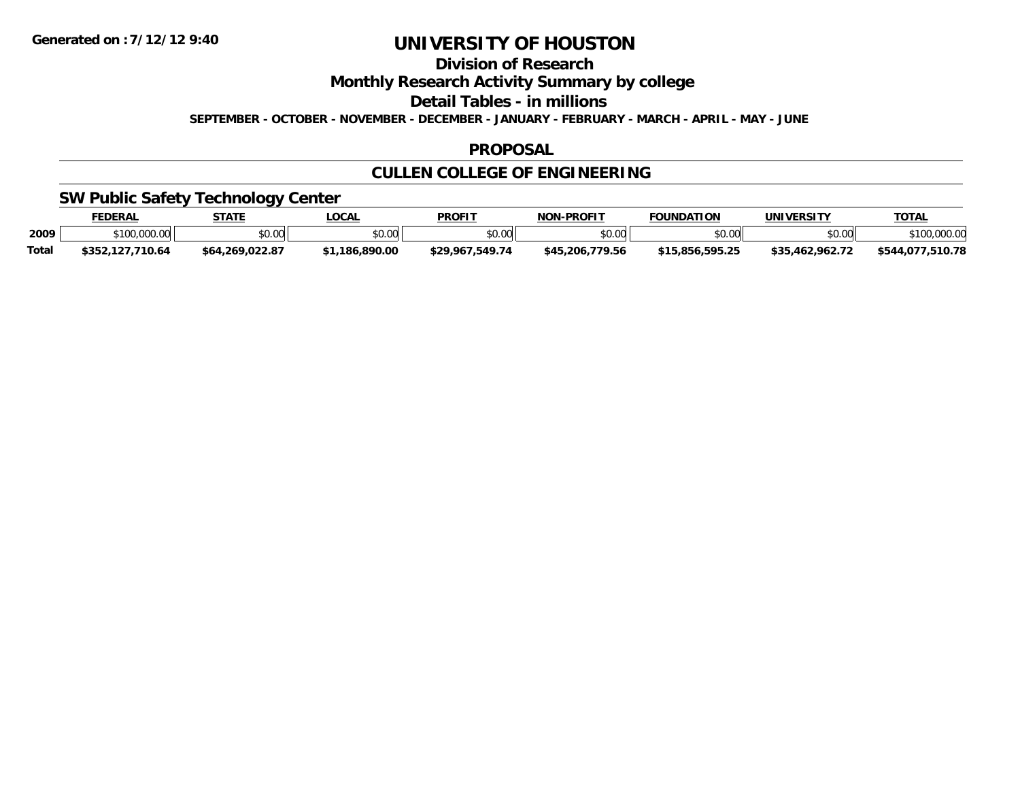**Division of Research**

**Monthly Research Activity Summary by college**

**Detail Tables - in millions**

**SEPTEMBER - OCTOBER - NOVEMBER - DECEMBER - JANUARY - FEBRUARY - MARCH - APRIL - MAY - JUNE**

### **PROPOSAL**

## **CULLEN COLLEGE OF ENGINEERING**

### **SW Public Safety Technology Center**

|              | <b>FEDERAL</b>       | <b>STATE</b>    | <b>OCAL</b> | PROFIT             | <b>J-PROFIT</b><br>NON-      | <b>FOUNDATION</b>  | UNIVERSITY  | <b>TOTAL</b>        |
|--------------|----------------------|-----------------|-------------|--------------------|------------------------------|--------------------|-------------|---------------------|
| 2009         | \$100,000.00         | \$0.00          | \$0.00      | ≮N UU<br>טט.טע     | \$0.00                       | \$0.00             | \$0.00      | 00000               |
| <b>Total</b> | 127.710.64<br>\$352. | \$64,269,022.87 | .186.890.00 | 549.74<br>\$29.967 | $^{\circ}$ 206.779.56<br>€ДБ | . 505 JF<br>. Q.F. | .462.962.72 | .510.78<br>\$544.07 |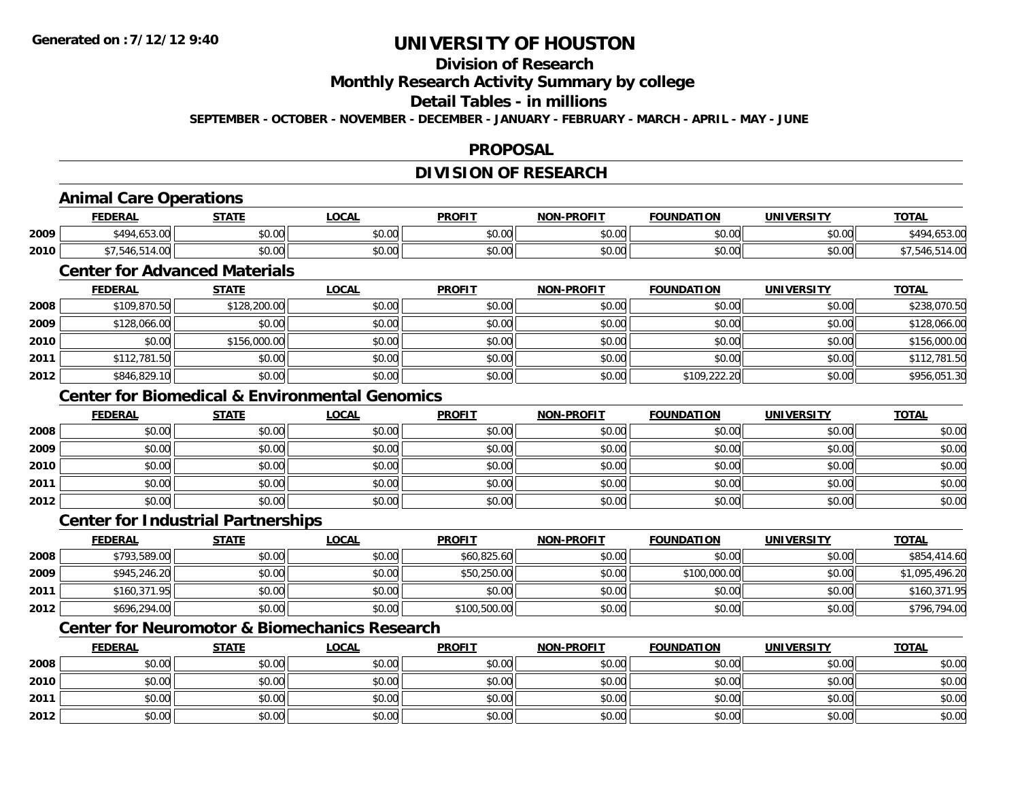## **Division of Research**

**Monthly Research Activity Summary by college**

### **Detail Tables - in millions**

**SEPTEMBER - OCTOBER - NOVEMBER - DECEMBER - JANUARY - FEBRUARY - MARCH - APRIL - MAY - JUNE**

### **PROPOSAL**

## **DIVISION OF RESEARCH**

## **Animal Care Operations**

|      | <b>DERAI</b>             | 27.77              | <b>OCAL</b>   | <b>PROFIT</b>                            | $W-PROF$<br>ימא | .<br>מרו<br>TON    | <b>INIVEI</b>      | TOTA.      |
|------|--------------------------|--------------------|---------------|------------------------------------------|-----------------|--------------------|--------------------|------------|
| 2009 | $*$ 4 $\cap$ 4<br>$\sim$ | ሶስ ሰሰ<br>JU.UU     | 0000<br>PO.OO | 0 <sub>n</sub><br>JU.U                   | 0000<br>pu.uu   | $\sim$ 00<br>JU.UU | $\sim$ 00<br>vu.vu | ∕ 40∡<br>. |
| 2010 |                          | $\sim$ 00<br>DU.UU | 0000<br>PO.OO | $\mathfrak{g} \cap \mathfrak{g}$<br>vu.u | 0000<br>JU.UU   | $\sim$ 00<br>vv.vv | ልስ ሀህ<br>vv.vv     |            |

## **Center for Advanced Materials**

|      | <b>FEDERAL</b> | <u>STATE</u> | <b>LOCAL</b> | <b>PROFIT</b> | <b>NON-PROFIT</b> | <b>FOUNDATION</b> | <b>UNIVERSITY</b> | <b>TOTAL</b> |
|------|----------------|--------------|--------------|---------------|-------------------|-------------------|-------------------|--------------|
| 2008 | \$109,870.50   | \$128,200.00 | \$0.00       | \$0.00        | \$0.00            | \$0.00            | \$0.00            | \$238,070.50 |
| 2009 | \$128,066.00   | \$0.00       | \$0.00       | \$0.00        | \$0.00            | \$0.00            | \$0.00            | \$128,066.00 |
| 2010 | \$0.00         | \$156,000.00 | \$0.00       | \$0.00        | \$0.00            | \$0.00            | \$0.00            | \$156,000.00 |
| 2011 | \$112,781.50   | \$0.00       | \$0.00       | \$0.00        | \$0.00            | \$0.00            | \$0.00            | \$112,781.50 |
| 2012 | \$846,829.10   | \$0.00       | \$0.00       | \$0.00        | \$0.00            | \$109,222.20      | \$0.00            | \$956,051.30 |

### **Center for Biomedical & Environmental Genomics**

|      | <b>FEDERAL</b> | <b>STATE</b> | <u>LOCAL</u> | <b>PROFIT</b> | <b>NON-PROFIT</b> | <b>FOUNDATION</b> | <b>UNIVERSITY</b> | <b>TOTAL</b> |
|------|----------------|--------------|--------------|---------------|-------------------|-------------------|-------------------|--------------|
| 2008 | \$0.00         | \$0.00       | \$0.00       | \$0.00        | \$0.00            | \$0.00            | \$0.00            | \$0.00       |
| 2009 | \$0.00         | \$0.00       | \$0.00       | \$0.00        | \$0.00            | \$0.00            | \$0.00            | \$0.00       |
| 2010 | \$0.00         | \$0.00       | \$0.00       | \$0.00        | \$0.00            | \$0.00            | \$0.00            | \$0.00       |
| 2011 | \$0.00         | \$0.00       | \$0.00       | \$0.00        | \$0.00            | \$0.00            | \$0.00            | \$0.00       |
| 2012 | \$0.00         | \$0.00       | \$0.00       | \$0.00        | \$0.00            | \$0.00            | \$0.00            | \$0.00       |

### **Center for Industrial Partnerships**

|      | <b>FEDERAL</b> | <u>STATE</u> | <u>LOCAL</u> | <b>PROFIT</b> | <b>NON-PROFIT</b> | <b>FOUNDATION</b> | <b>UNIVERSITY</b> | <b>TOTAL</b>   |
|------|----------------|--------------|--------------|---------------|-------------------|-------------------|-------------------|----------------|
| 2008 | \$793,589.00   | \$0.00       | \$0.00       | \$60,825.60   | \$0.00            | \$0.00            | \$0.00            | \$854,414.60   |
| 2009 | \$945,246.20   | \$0.00       | \$0.00       | \$50,250.00   | \$0.00            | \$100,000.00      | \$0.00            | \$1,095,496.20 |
| 2011 | \$160,371.95   | \$0.00       | \$0.00       | \$0.00        | \$0.00            | \$0.00            | \$0.00            | \$160,371.95   |
| 2012 | \$696,294.00   | \$0.00       | \$0.00       | \$100,500.00  | \$0.00            | \$0.00            | \$0.00            | \$796,794.00   |

## **Center for Neuromotor & Biomechanics Research**

|      | <b>FEDERAL</b> | <b>STATE</b> | <u>LOCAL</u> | <b>PROFIT</b> | <b>NON-PROFIT</b> | <b>FOUNDATION</b> | <b>UNIVERSITY</b> | <b>TOTAL</b> |
|------|----------------|--------------|--------------|---------------|-------------------|-------------------|-------------------|--------------|
| 2008 | \$0.00         | \$0.00       | \$0.00       | \$0.00        | \$0.00            | \$0.00            | \$0.00            | \$0.00       |
| 2010 | \$0.00         | \$0.00       | \$0.00       | \$0.00        | \$0.00            | \$0.00            | \$0.00            | \$0.00       |
| 2011 | \$0.00         | \$0.00       | \$0.00       | \$0.00        | \$0.00            | \$0.00            | \$0.00            | \$0.00       |
| 2012 | \$0.00         | \$0.00       | \$0.00       | \$0.00        | \$0.00            | \$0.00            | \$0.00            | \$0.00       |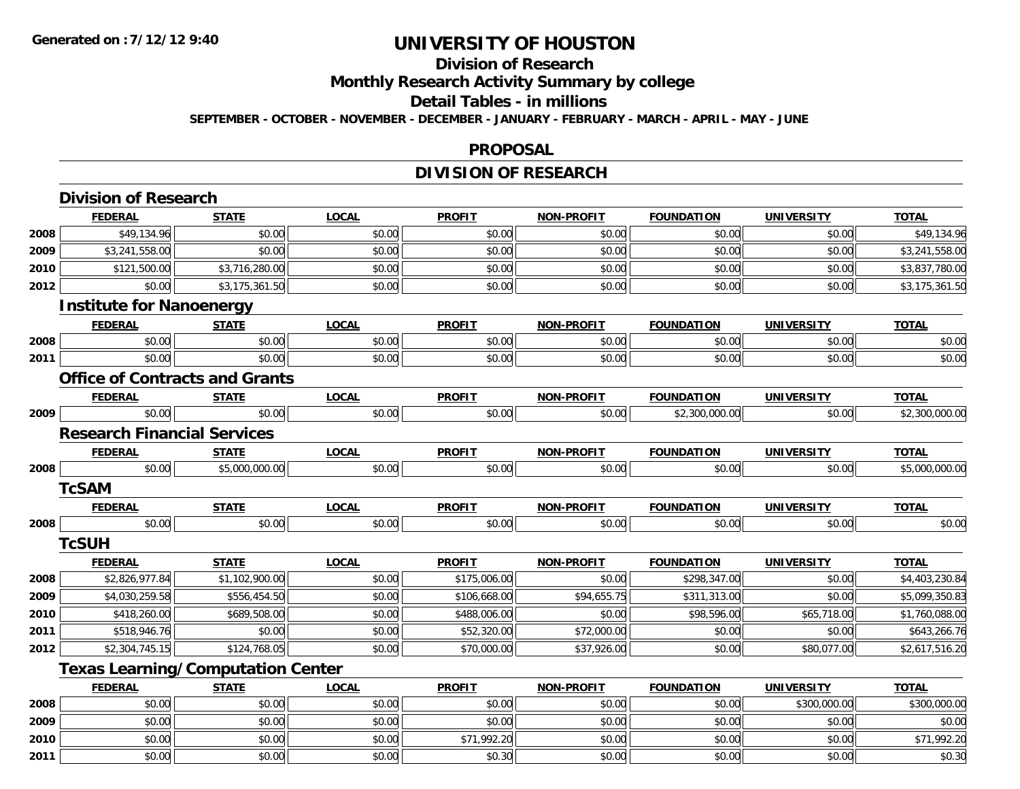## **Division of Research**

**Monthly Research Activity Summary by college**

#### **Detail Tables - in millions**

**SEPTEMBER - OCTOBER - NOVEMBER - DECEMBER - JANUARY - FEBRUARY - MARCH - APRIL - MAY - JUNE**

#### **PROPOSAL**

## **DIVISION OF RESEARCH**

|      | <b>Division of Research</b>              |                |              |               |                   |                   |                   |                |
|------|------------------------------------------|----------------|--------------|---------------|-------------------|-------------------|-------------------|----------------|
|      | <b>FEDERAL</b>                           | <b>STATE</b>   | <b>LOCAL</b> | <b>PROFIT</b> | NON-PROFIT        | <b>FOUNDATION</b> | <b>UNIVERSITY</b> | <b>TOTAL</b>   |
| 2008 | \$49,134.96                              | \$0.00         | \$0.00       | \$0.00        | \$0.00            | \$0.00            | \$0.00            | \$49,134.96    |
| 2009 | \$3,241,558.00                           | \$0.00         | \$0.00       | \$0.00        | \$0.00            | \$0.00            | \$0.00            | \$3,241,558.00 |
| 2010 | \$121,500.00                             | \$3,716,280.00 | \$0.00       | \$0.00        | \$0.00            | \$0.00            | \$0.00            | \$3,837,780.00 |
| 2012 | \$0.00                                   | \$3,175,361.50 | \$0.00       | \$0.00        | \$0.00            | \$0.00            | \$0.00            | \$3,175,361.50 |
|      | <b>Institute for Nanoenergy</b>          |                |              |               |                   |                   |                   |                |
|      | <b>FEDERAL</b>                           | <b>STATE</b>   | <b>LOCAL</b> | <b>PROFIT</b> | <b>NON-PROFIT</b> | <b>FOUNDATION</b> | <b>UNIVERSITY</b> | <b>TOTAL</b>   |
| 2008 | \$0.00                                   | \$0.00         | \$0.00       | \$0.00        | \$0.00            | \$0.00            | \$0.00            | \$0.00         |
| 2011 | \$0.00                                   | \$0.00         | \$0.00       | \$0.00        | \$0.00            | \$0.00            | \$0.00            | \$0.00         |
|      | <b>Office of Contracts and Grants</b>    |                |              |               |                   |                   |                   |                |
|      | <b>FEDERAL</b>                           | <b>STATE</b>   | <b>LOCAL</b> | <b>PROFIT</b> | <b>NON-PROFIT</b> | <b>FOUNDATION</b> | <b>UNIVERSITY</b> | <b>TOTAL</b>   |
| 2009 | \$0.00                                   | \$0.00         | \$0.00       | \$0.00        | \$0.00            | \$2,300,000.00    | \$0.00            | \$2,300,000.00 |
|      | <b>Research Financial Services</b>       |                |              |               |                   |                   |                   |                |
|      | <b>FEDERAL</b>                           | <b>STATE</b>   | <b>LOCAL</b> | <b>PROFIT</b> | <b>NON-PROFIT</b> | <b>FOUNDATION</b> | <b>UNIVERSITY</b> | <b>TOTAL</b>   |
| 2008 | \$0.00                                   | \$5,000,000.00 | \$0.00       | \$0.00        | \$0.00            | \$0.00            | \$0.00            | \$5,000,000.00 |
|      | <b>TcSAM</b>                             |                |              |               |                   |                   |                   |                |
|      | <b>FEDERAL</b>                           | <b>STATE</b>   | <b>LOCAL</b> | <b>PROFIT</b> | <b>NON-PROFIT</b> | <b>FOUNDATION</b> | <b>UNIVERSITY</b> | <b>TOTAL</b>   |
| 2008 | \$0.00                                   | \$0.00         | \$0.00       | \$0.00        | \$0.00            | \$0.00            | \$0.00            | \$0.00         |
|      | <b>TcSUH</b>                             |                |              |               |                   |                   |                   |                |
|      | <b>FEDERAL</b>                           | <b>STATE</b>   | <b>LOCAL</b> | <b>PROFIT</b> | <b>NON-PROFIT</b> | <b>FOUNDATION</b> | <b>UNIVERSITY</b> | <b>TOTAL</b>   |
| 2008 | \$2,826,977.84                           | \$1,102,900.00 | \$0.00       | \$175,006.00  | \$0.00            | \$298,347.00      | \$0.00            | \$4,403,230.84 |
| 2009 | \$4,030,259.58                           | \$556,454.50   | \$0.00       | \$106,668.00  | \$94,655.75       | \$311,313.00      | \$0.00            | \$5,099,350.83 |
| 2010 | \$418,260.00                             | \$689,508.00   | \$0.00       | \$488,006.00  | \$0.00            | \$98,596.00       | \$65,718.00       | \$1,760,088.00 |
| 2011 | \$518,946.76                             | \$0.00         | \$0.00       | \$52,320.00   | \$72,000.00       | \$0.00            | \$0.00            | \$643,266.76   |
| 2012 | \$2,304,745.15                           | \$124,768.05   | \$0.00       | \$70,000.00   | \$37,926.00       | \$0.00            | \$80,077.00       | \$2,617,516.20 |
|      | <b>Texas Learning/Computation Center</b> |                |              |               |                   |                   |                   |                |
|      | <b>FEDERAL</b>                           | <b>STATE</b>   | <b>LOCAL</b> | <b>PROFIT</b> | <b>NON-PROFIT</b> | <b>FOUNDATION</b> | <b>UNIVERSITY</b> | <b>TOTAL</b>   |
| 2008 | \$0.00                                   | \$0.00         | \$0.00       | \$0.00        | \$0.00            | \$0.00            | \$300,000.00      | \$300,000.00   |
| 2009 | \$0.00                                   | \$0.00         | \$0.00       | \$0.00        | \$0.00            | \$0.00            | \$0.00            | \$0.00         |
| 2010 | \$0.00                                   | \$0.00         | \$0.00       | \$71,992.20   | \$0.00            | \$0.00            | \$0.00            | \$71,992.20    |
| 2011 | \$0.00                                   | \$0.00         | \$0.00       | \$0.30        | \$0.00            | \$0.00            | \$0.00            | \$0.30         |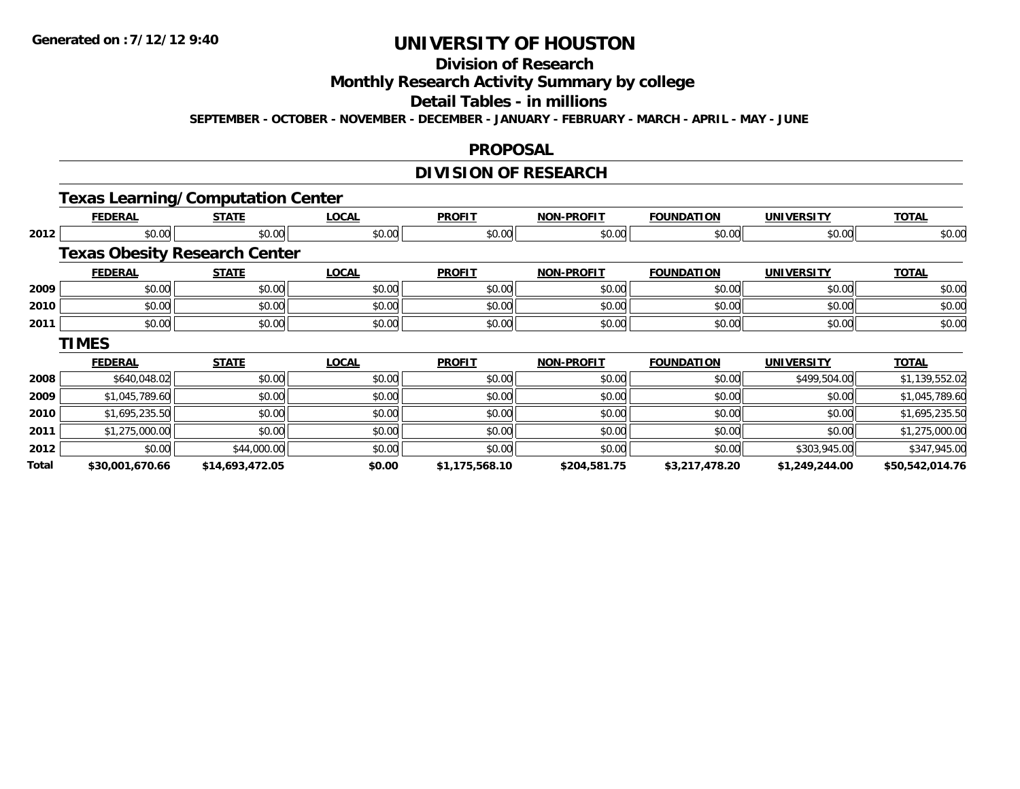## **Division of Research**

**Monthly Research Activity Summary by college**

#### **Detail Tables - in millions**

**SEPTEMBER - OCTOBER - NOVEMBER - DECEMBER - JANUARY - FEBRUARY - MARCH - APRIL - MAY - JUNE**

#### **PROPOSAL**

## **DIVISION OF RESEARCH**

## **Texas Learning/Computation Center**

|       | <b>FEDERAL</b>                       | <b>STATE</b>    | <b>LOCAL</b> | <b>PROFIT</b>  | <b>NON-PROFIT</b> | <b>FOUNDATION</b> | <b>UNIVERSITY</b> | <b>TOTAL</b>    |
|-------|--------------------------------------|-----------------|--------------|----------------|-------------------|-------------------|-------------------|-----------------|
| 2012  | \$0.00                               | \$0.00          | \$0.00       | \$0.00         | \$0.00            | \$0.00            | \$0.00            | \$0.00          |
|       | <b>Texas Obesity Research Center</b> |                 |              |                |                   |                   |                   |                 |
|       | <b>FEDERAL</b>                       | <b>STATE</b>    | <b>LOCAL</b> | <b>PROFIT</b>  | <b>NON-PROFIT</b> | <b>FOUNDATION</b> | <b>UNIVERSITY</b> | <b>TOTAL</b>    |
| 2009  | \$0.00                               | \$0.00          | \$0.00       | \$0.00         | \$0.00            | \$0.00            | \$0.00            | \$0.00          |
| 2010  | \$0.00                               | \$0.00          | \$0.00       | \$0.00         | \$0.00            | \$0.00            | \$0.00            | \$0.00          |
| 2011  | \$0.00                               | \$0.00          | \$0.00       | \$0.00         | \$0.00            | \$0.00            | \$0.00            | \$0.00          |
|       | <b>TIMES</b>                         |                 |              |                |                   |                   |                   |                 |
|       | <b>FEDERAL</b>                       | <b>STATE</b>    | <b>LOCAL</b> | <b>PROFIT</b>  | <b>NON-PROFIT</b> | <b>FOUNDATION</b> | <b>UNIVERSITY</b> | <b>TOTAL</b>    |
| 2008  | \$640,048.02                         | \$0.00          | \$0.00       | \$0.00         | \$0.00            | \$0.00            | \$499,504.00      | \$1,139,552.02  |
| 2009  | \$1,045,789.60                       | \$0.00          | \$0.00       | \$0.00         | \$0.00            | \$0.00            | \$0.00            | \$1,045,789.60  |
| 2010  | \$1,695,235.50                       | \$0.00          | \$0.00       | \$0.00         | \$0.00            | \$0.00            | \$0.00            | \$1,695,235.50  |
| 2011  | \$1,275,000.00                       | \$0.00          | \$0.00       | \$0.00         | \$0.00            | \$0.00            | \$0.00            | \$1,275,000.00  |
| 2012  | \$0.00                               | \$44,000.00     | \$0.00       | \$0.00         | \$0.00            | \$0.00            | \$303,945.00      | \$347,945.00    |
| Total | \$30,001,670.66                      | \$14,693,472.05 | \$0.00       | \$1,175,568.10 | \$204,581.75      | \$3,217,478.20    | \$1,249,244.00    | \$50,542,014.76 |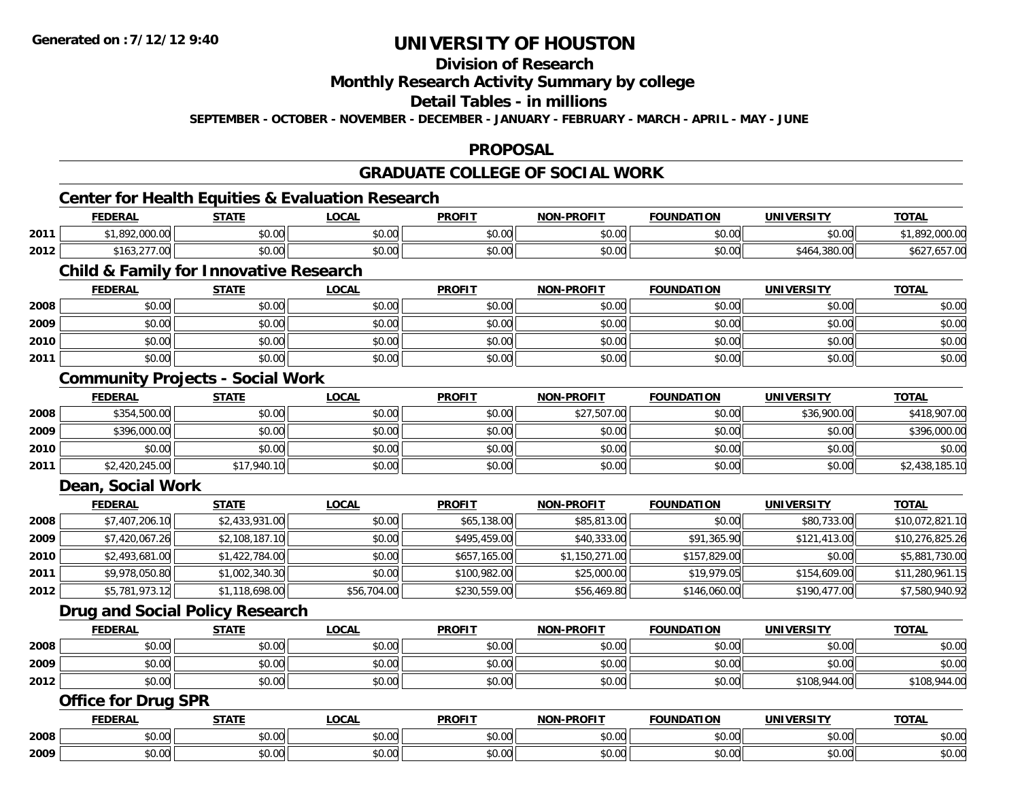## **Division of Research**

### **Monthly Research Activity Summary by college**

### **Detail Tables - in millions**

**SEPTEMBER - OCTOBER - NOVEMBER - DECEMBER - JANUARY - FEBRUARY - MARCH - APRIL - MAY - JUNE**

### **PROPOSAL**

## **GRADUATE COLLEGE OF SOCIAL WORK**

<u> 1989 - Johann Stoff, deutscher Stoff, der Stoff, der Stoff, der Stoff, der Stoff, der Stoff, der Stoff, der S</u>

## **Center for Health Equities & Evaluation Research**

|      | <b>FEDERAL</b>   | <b>STATE</b><br>,,,, | .OCAI                | <b>PROFIT</b>                              | <b>NON-PROFIT</b> | <b>FOUNDATION</b> | UNIVERSITY              | <u>TOTAL</u>    |
|------|------------------|----------------------|----------------------|--------------------------------------------|-------------------|-------------------|-------------------------|-----------------|
| 2011 | 000              | \$0.00               | 0.00<br>DU.UU        | $\mathsf{A} \cap \mathsf{A} \cap$<br>JU.UU | 0000<br>JU.UU     | \$0.00            | \$0.00                  |                 |
| 2012 | ، 163.21<br>7.UU | \$0.00               | 0.00<br><b>DU.UU</b> | $\mathsf{A} \cap \mathsf{A} \cap$<br>JU.UU | 0000<br>\$U.UU    | \$0.00            | ാററ<br>.380.00<br>5404. | ∠ספ<br>,007. GO |

## **Child & Family for Innovative Research**

|      | <b>FEDERAL</b> | <b>STATE</b> | <b>LOCAL</b> | <b>PROFIT</b> | <b>NON-PROFIT</b> | <b>FOUNDATION</b> | <b>UNIVERSITY</b> | <b>TOTAL</b> |
|------|----------------|--------------|--------------|---------------|-------------------|-------------------|-------------------|--------------|
| 2008 | \$0.00         | \$0.00       | \$0.00       | \$0.00        | \$0.00            | \$0.00            | \$0.00            | \$0.00       |
| 2009 | \$0.00         | \$0.00       | \$0.00       | \$0.00        | \$0.00            | \$0.00            | \$0.00            | \$0.00       |
| 2010 | \$0.00         | \$0.00       | \$0.00       | \$0.00        | \$0.00            | \$0.00            | \$0.00            | \$0.00       |
| 2011 | \$0.00         | \$0.00       | \$0.00       | \$0.00        | \$0.00            | \$0.00            | \$0.00            | \$0.00       |

### **Community Projects - Social Work**

|      | <b>FEDERAL</b> | <b>STATE</b> | <u>LOCAL</u> | <b>PROFIT</b> | <b>NON-PROFIT</b> | <b>FOUNDATION</b> | <b>UNIVERSITY</b> | <b>TOTAL</b>   |
|------|----------------|--------------|--------------|---------------|-------------------|-------------------|-------------------|----------------|
| 2008 | \$354,500.00   | \$0.00       | \$0.00       | \$0.00        | \$27,507.00       | \$0.00            | \$36,900.00       | \$418,907.00   |
| 2009 | \$396,000.00   | \$0.00       | \$0.00       | \$0.00        | \$0.00            | \$0.00            | \$0.00            | \$396,000.00   |
| 2010 | \$0.00         | \$0.00       | \$0.00       | \$0.00        | \$0.00            | \$0.00            | \$0.00            | \$0.00         |
| 2011 | \$2,420,245.00 | \$17,940.10  | \$0.00       | \$0.00        | \$0.00            | \$0.00            | \$0.00            | \$2,438,185.10 |

### **Dean, Social Work**

|      | <b>FEDERAL</b> | <b>STATE</b>   | <b>LOCAL</b> | <b>PROFIT</b> | <b>NON-PROFIT</b> | <b>FOUNDATION</b> | <b>UNIVERSITY</b> | <u>TOTAL</u>    |
|------|----------------|----------------|--------------|---------------|-------------------|-------------------|-------------------|-----------------|
| 2008 | \$7,407,206.10 | \$2,433,931.00 | \$0.00       | \$65,138.00   | \$85,813.00       | \$0.00            | \$80,733.00       | \$10,072,821.10 |
| 2009 | \$7,420,067.26 | \$2,108,187.10 | \$0.00       | \$495,459,00  | \$40,333.00       | \$91,365.90       | \$121,413.00      | \$10,276,825.26 |
| 2010 | \$2,493,681.00 | \$1,422,784.00 | \$0.00       | \$657,165.00  | \$1,150,271.00    | \$157,829.00      | \$0.00            | \$5,881,730.00  |
| 2011 | \$9,978,050.80 | \$1,002,340.30 | \$0.00       | \$100,982.00  | \$25,000.00       | \$19,979.05       | \$154,609.00      | \$11,280,961.15 |
| 2012 | \$5,781,973.12 | \$1,118,698.00 | \$56,704.00  | \$230,559.00  | \$56,469.80       | \$146,060.00      | \$190,477.00      | \$7,580,940.92  |

### **Drug and Social Policy Research**

|      | <b>FEDERAL</b> | <b>STATE</b> | <u>LOCAL</u> | <b>PROFIT</b> | <b>NON-PROFIT</b> | <b>FOUNDATION</b> | UNIVERSITY   | <b>TOTAL</b> |
|------|----------------|--------------|--------------|---------------|-------------------|-------------------|--------------|--------------|
| 2008 | \$0.00         | \$0.00       | \$0.00       | \$0.00        | \$0.00            | \$0.00            | \$0.00       | \$0.00       |
| 2009 | \$0.00         | \$0.00       | \$0.00       | \$0.00        | \$0.00            | \$0.00            | \$0.00       | \$0.00       |
| 2012 | \$0.00         | \$0.00       | \$0.00       | \$0.00        | \$0.00            | \$0.00            | \$108,944.00 | \$108,944.00 |

### **Office for Drug SPR**

|      | <b>FEDERAL</b>                        | <b>CTATE</b><br>,,,,,,  | .OCAL                  | <b>PROFIT</b>                        | <b>-PROFIT</b><br><b>NION!</b> | <b>FOUNDATION</b> | <b>UNIVERSITY</b>    | <b>TOTAL</b> |
|------|---------------------------------------|-------------------------|------------------------|--------------------------------------|--------------------------------|-------------------|----------------------|--------------|
| 2008 | $*$ $\circ$ $\circ$<br>JU.UU          | \$0.00                  | $\sim$ $\sim$<br>vv.vv | $\sim$<br><b>↑∩</b><br>JU.UU         | ტი იი<br>vv.vv                 | \$0.00            | 0000<br>vu.vu        | \$0.00       |
| 2009 | $\uparrow$ $\wedge$ $\wedge$<br>PU.UU | $\overline{a}$<br>50.00 | $\sim$<br>vv.vv        | $\sim$<br>$\uparrow$ $\cap$<br>JU.UU | 0000<br>PO.OO                  | \$0.00            | 0000<br><b>JU.UU</b> | \$0.00       |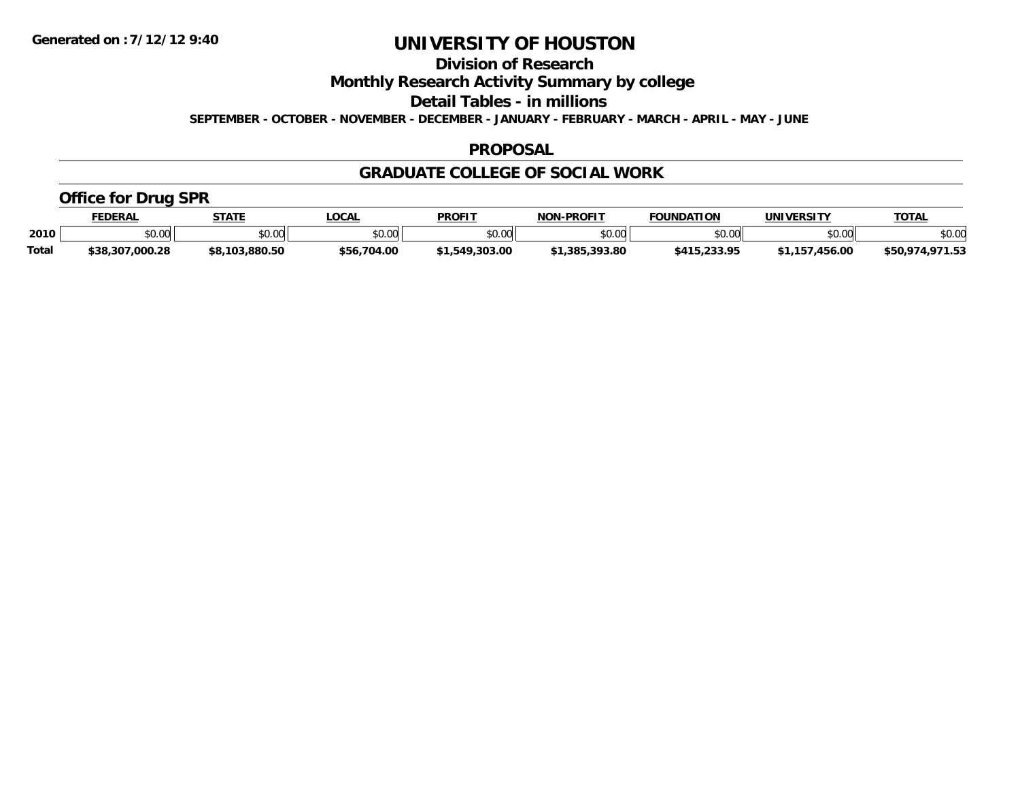**Division of Research**

**Monthly Research Activity Summary by college**

**Detail Tables - in millions**

**SEPTEMBER - OCTOBER - NOVEMBER - DECEMBER - JANUARY - FEBRUARY - MARCH - APRIL - MAY - JUNE**

#### **PROPOSAL**

### **GRADUATE COLLEGE OF SOCIAL WORK**

### **Office for Drug SPR**

|              | <b>EDERAL</b>   | <b>STATE</b>          | .OCAL            | <b>PROFIT</b>       | <b>J-PROFIT</b><br><b>NON</b> | <b>FOUNDATION</b> | UNIVERSITY                 | <b>TOTAL</b>                     |
|--------------|-----------------|-----------------------|------------------|---------------------|-------------------------------|-------------------|----------------------------|----------------------------------|
| 2010         | \$0.00          | 0000<br>40.00         | \$0.00           | 40.00<br>JU.UU      | 0000<br>vv.vv                 | \$0.00            | $*$ $\cap$ $\cap$<br>JU.UU | \$0.00                           |
| <b>Total</b> | \$38,307,000.28 | $.$ 000 Fr<br>\$8.103 | ,704.00<br>\$56. | .303.00<br>. .549 ^ | .393.80<br><b>C1 20F</b>      | ה פפר             | .456.00                    | $0.74$ $0.72$<br>\$50.97<br>⊓.ບວ |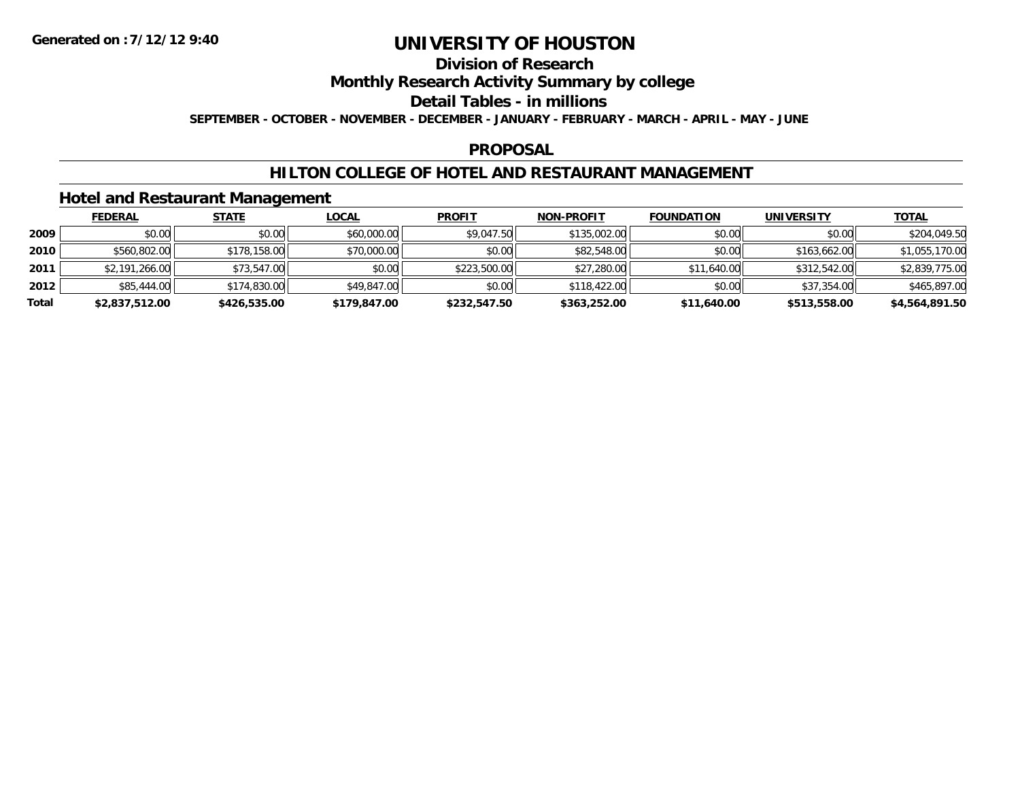## **Division of Research**

### **Monthly Research Activity Summary by college**

#### **Detail Tables - in millions**

**SEPTEMBER - OCTOBER - NOVEMBER - DECEMBER - JANUARY - FEBRUARY - MARCH - APRIL - MAY - JUNE**

### **PROPOSAL**

### **HILTON COLLEGE OF HOTEL AND RESTAURANT MANAGEMENT**

### **Hotel and Restaurant Management**

|       | <b>FEDERAL</b> | <u>STATE</u> | <u>LOCAL</u> | <b>PROFIT</b> | <b>NON-PROFIT</b> | <b>FOUNDATION</b> | <b>UNIVERSITY</b> | <b>TOTAL</b>   |
|-------|----------------|--------------|--------------|---------------|-------------------|-------------------|-------------------|----------------|
| 2009  | \$0.00         | \$0.00       | \$60,000.00  | \$9,047.50    | \$135,002.00      | \$0.00            | \$0.00            | \$204,049.50   |
| 2010  | \$560,802.00   | \$178,158.00 | \$70,000.00  | \$0.00        | \$82,548.00       | \$0.00            | \$163,662.00      | \$1,055,170.00 |
| 2011  | \$2,191,266.00 | \$73,547.00  | \$0.00       | \$223,500.00  | \$27,280.00       | \$11,640.00       | \$312,542.00      | \$2,839,775.00 |
| 2012  | \$85,444.00    | \$174,830.00 | \$49,847,00  | \$0.00        | \$118,422.00      | \$0.00            | \$37,354.00       | \$465,897.00   |
| Total | \$2,837,512.00 | \$426,535.00 | \$179,847.00 | \$232,547.50  | \$363,252.00      | \$11,640.00       | \$513,558.00      | \$4,564,891.50 |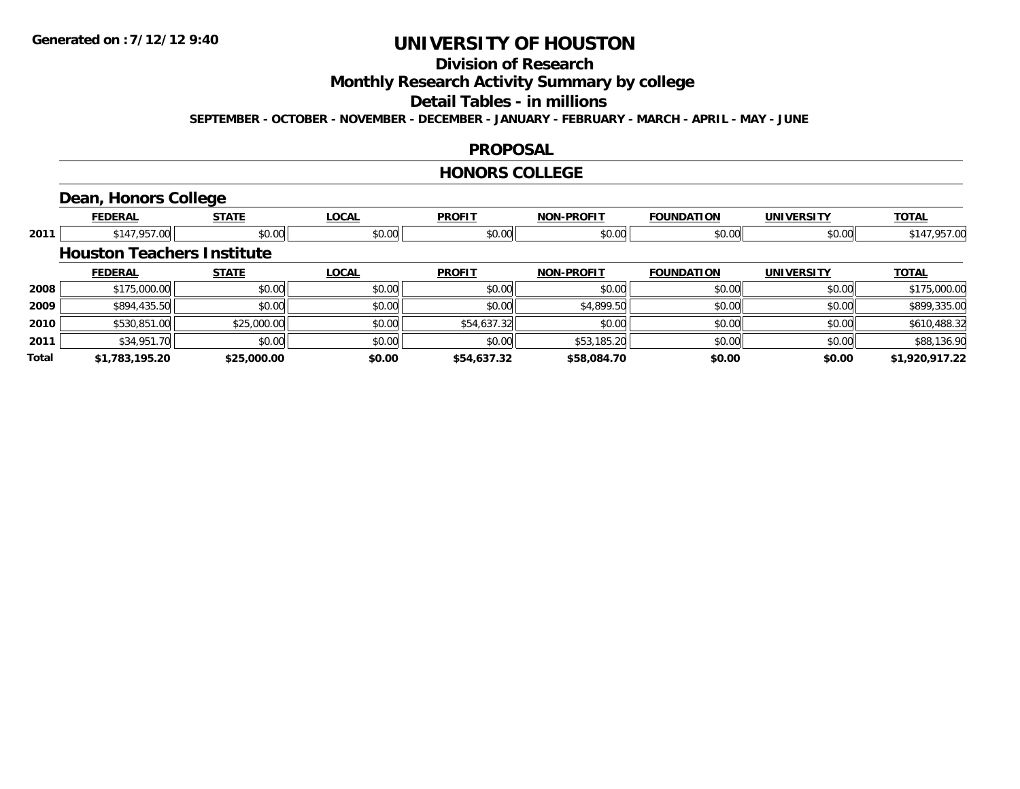## **Division of Research**

**Monthly Research Activity Summary by college**

#### **Detail Tables - in millions**

**SEPTEMBER - OCTOBER - NOVEMBER - DECEMBER - JANUARY - FEBRUARY - MARCH - APRIL - MAY - JUNE**

### **PROPOSAL**

#### **HONORS COLLEGE**

## **Dean, Honors College**

|       | <b>FEDERAL</b>                    | <b>STATE</b> | <b>LOCAL</b> | <b>PROFIT</b> | <b>NON-PROFIT</b> | <b>FOUNDATION</b> | <b>UNIVERSITY</b> | <b>TOTAL</b>   |
|-------|-----------------------------------|--------------|--------------|---------------|-------------------|-------------------|-------------------|----------------|
| 2011  | \$147,957.00                      | \$0.00       | \$0.00       | \$0.00        | \$0.00            | \$0.00            | \$0.00            | \$147,957.00   |
|       | <b>Houston Teachers Institute</b> |              |              |               |                   |                   |                   |                |
|       | <b>FEDERAL</b>                    | <b>STATE</b> | <b>LOCAL</b> | <b>PROFIT</b> | <b>NON-PROFIT</b> | <b>FOUNDATION</b> | <b>UNIVERSITY</b> | <b>TOTAL</b>   |
| 2008  | \$175,000.00                      | \$0.00       | \$0.00       | \$0.00        | \$0.00            | \$0.00            | \$0.00            | \$175,000.00   |
| 2009  | \$894,435.50                      | \$0.00       | \$0.00       | \$0.00        | \$4,899.50        | \$0.00            | \$0.00            | \$899,335.00   |
| 2010  | \$530,851.00                      | \$25,000.00  | \$0.00       | \$54,637.32   | \$0.00            | \$0.00            | \$0.00            | \$610,488.32   |
| 2011  | \$34,951.70                       | \$0.00       | \$0.00       | \$0.00        | \$53,185.20       | \$0.00            | \$0.00            | \$88,136.90    |
| Total | \$1,783,195.20                    | \$25,000.00  | \$0.00       | \$54,637.32   | \$58,084.70       | \$0.00            | \$0.00            | \$1,920,917.22 |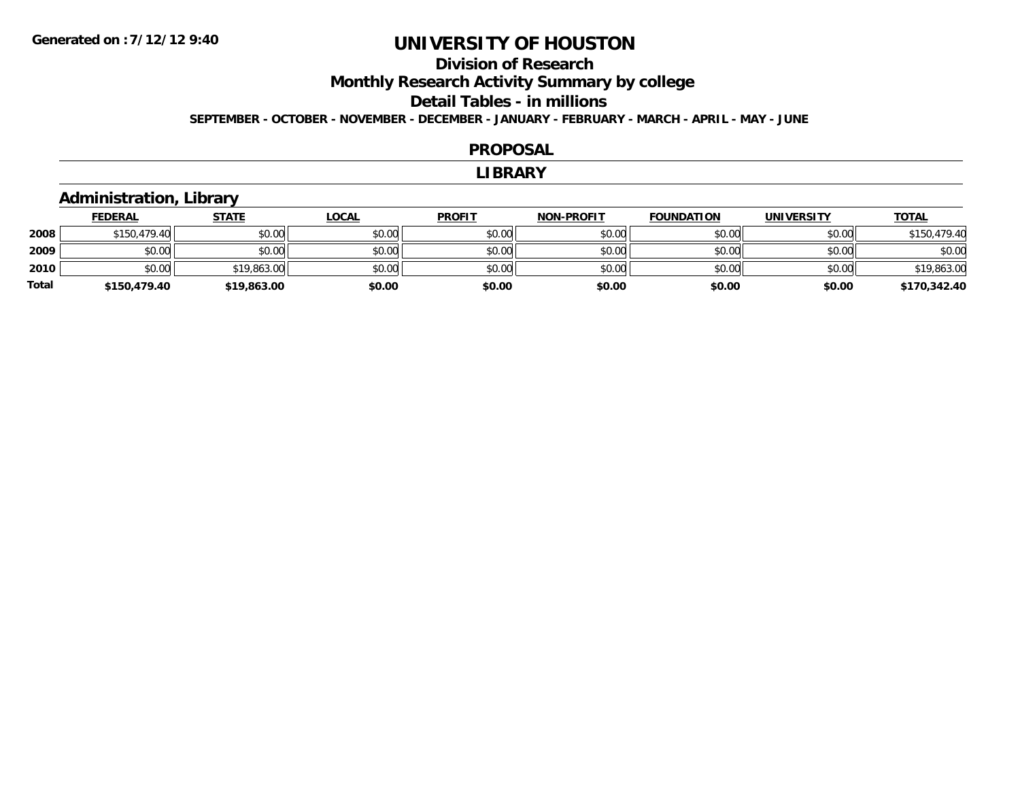## **Division of ResearchMonthly Research Activity Summary by college Detail Tables - in millions SEPTEMBER - OCTOBER - NOVEMBER - DECEMBER - JANUARY - FEBRUARY - MARCH - APRIL - MAY - JUNE**

#### **PROPOSAL**

#### **LIBRARY**

### **Administration, Library**

|       | <b>FEDERAL</b> | <u>STATE</u> | <u>LOCAL</u> | <b>PROFIT</b> | <b>NON-PROFIT</b> | <b>FOUNDATION</b> | <b>UNIVERSITY</b> | <b>TOTAL</b> |
|-------|----------------|--------------|--------------|---------------|-------------------|-------------------|-------------------|--------------|
| 2008  | \$150,479.40   | \$0.00       | \$0.00       | \$0.00        | \$0.00            | \$0.00            | \$0.00            | \$150,479.40 |
| 2009  | \$0.00         | \$0.00       | \$0.00       | \$0.00        | \$0.00            | \$0.00            | \$0.00            | \$0.00       |
| 2010  | \$0.00         | \$19,863.00  | \$0.00       | \$0.00        | \$0.00            | \$0.00            | \$0.00            | \$19,863.00  |
| Total | \$150,479.40   | \$19,863.00  | \$0.00       | \$0.00        | \$0.00            | \$0.00            | \$0.00            | \$170,342.40 |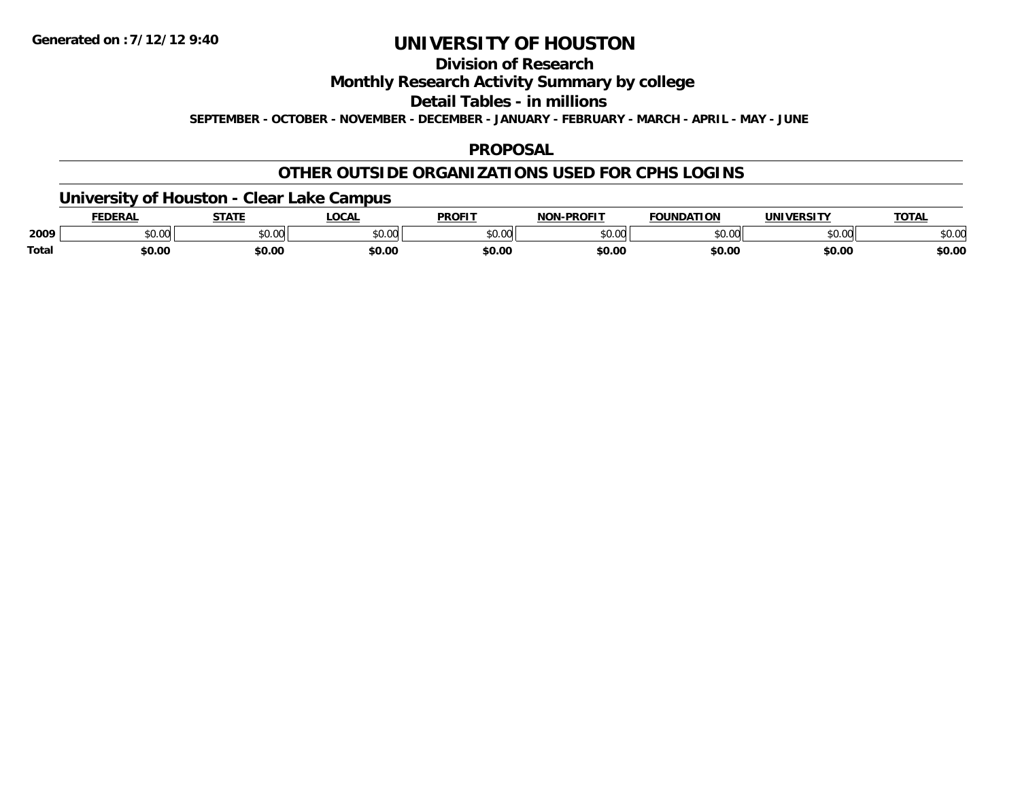### **Division of Research**

**Monthly Research Activity Summary by college**

**Detail Tables - in millions**

**SEPTEMBER - OCTOBER - NOVEMBER - DECEMBER - JANUARY - FEBRUARY - MARCH - APRIL - MAY - JUNE**

### **PROPOSAL**

### **OTHER OUTSIDE ORGANIZATIONS USED FOR CPHS LOGINS**

### **University of Houston - Clear Lake Campus**

|       | FEDERAL | -----  | .OCAI         | <b>PROFIT</b>      | -PROFIT<br>NON | <b>FOUNDATION</b> | <b>UNIVERSITY</b>   | <b>TOTAL</b> |
|-------|---------|--------|---------------|--------------------|----------------|-------------------|---------------------|--------------|
| 2009  | \$0.00  | \$0.00 | ስ ላለ<br>pu.uu | $\sim$ 00<br>וטטוע | ልስ ስስ<br>PU.UU | \$0.00            | $\sim$ 00<br>וטט.טע | \$0.00       |
| Total | \$0.00  | \$0.00 | \$0.00        | \$0.00             | \$0.00         | \$0.00            | \$0.00              | \$0.00       |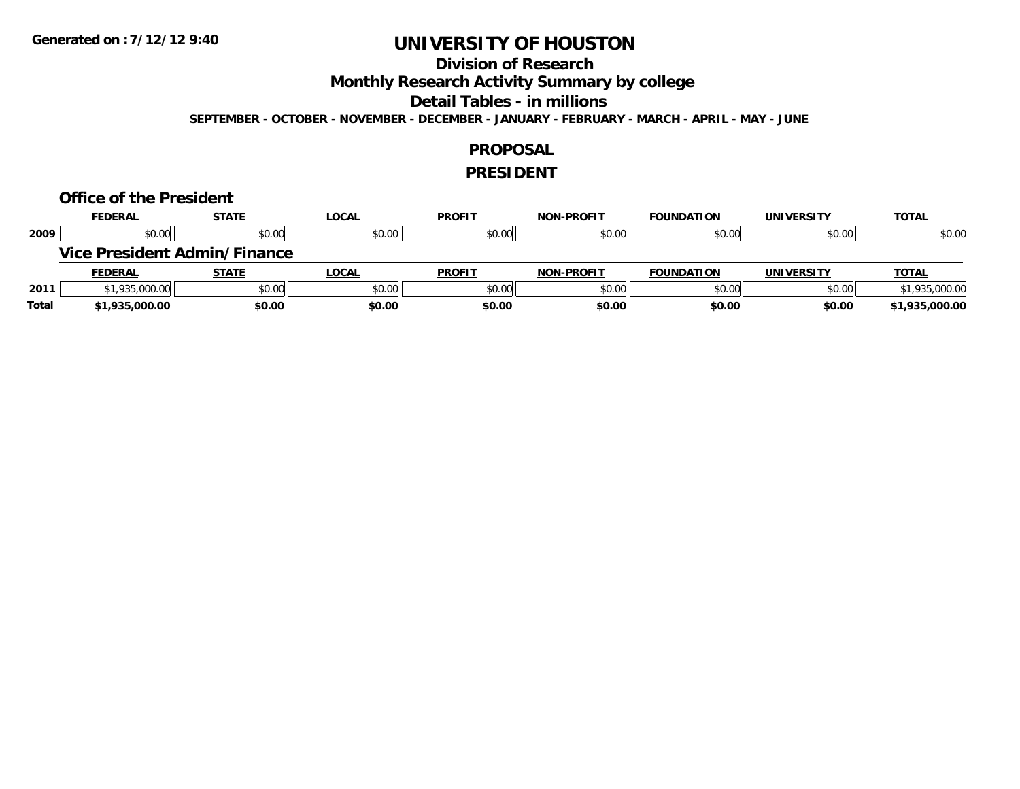## **Division of Research**

**Monthly Research Activity Summary by college**

#### **Detail Tables - in millions**

**SEPTEMBER - OCTOBER - NOVEMBER - DECEMBER - JANUARY - FEBRUARY - MARCH - APRIL - MAY - JUNE**

#### **PROPOSAL**

#### **PRESIDENT**

#### **Office of the President**

|      | <b>FEDERAL</b>                      | <b>STATE</b> | <u>LOCAL</u> | <b>PROFIT</b> | <b>NON-PROFIT</b> | <b>FOUNDATION</b> | <b>UNIVERSITY</b> | <b>TOTAL</b>   |
|------|-------------------------------------|--------------|--------------|---------------|-------------------|-------------------|-------------------|----------------|
| 2009 | \$0.00                              | \$0.00       | \$0.00       | \$0.00        | \$0.00            | \$0.00            | \$0.00            | \$0.00         |
|      | <b>Vice President Admin/Finance</b> |              |              |               |                   |                   |                   |                |
|      |                                     |              |              |               |                   |                   |                   |                |
|      | <b>FEDERAL</b>                      | <u>STATE</u> | <u>LOCAL</u> | <b>PROFIT</b> | <b>NON-PROFIT</b> | <b>FOUNDATION</b> | <b>UNIVERSITY</b> | <b>TOTAL</b>   |
| 2011 | \$1,935,000.00                      | \$0.00       | \$0.00       | \$0.00        | \$0.00            | \$0.00            | \$0.00            | \$1,935,000.00 |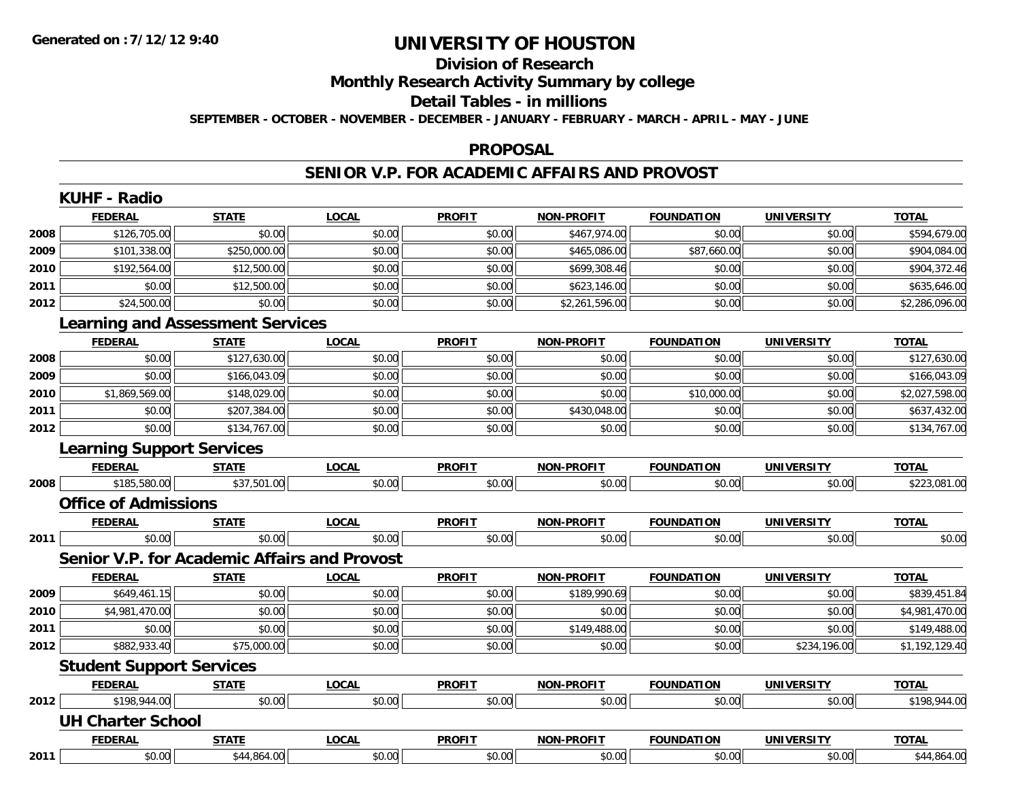# **Division of Research**

## **Monthly Research Activity Summary by college**

#### **Detail Tables - in millions**

**SEPTEMBER - OCTOBER - NOVEMBER - DECEMBER - JANUARY - FEBRUARY - MARCH - APRIL - MAY - JUNE**

#### **PROPOSAL**

### **SENIOR V.P. FOR ACADEMIC AFFAIRS AND PROVOST**

|      | <b>FEDERAL</b>                   | <b>STATE</b>                                        | <b>LOCAL</b> | <b>PROFIT</b> | <b>NON-PROFIT</b> | <b>FOUNDATION</b> | <b>UNIVERSITY</b> | <b>TOTAL</b>   |
|------|----------------------------------|-----------------------------------------------------|--------------|---------------|-------------------|-------------------|-------------------|----------------|
| 2008 | \$126,705.00                     | \$0.00                                              | \$0.00       | \$0.00        | \$467,974.00      | \$0.00            | \$0.00            | \$594,679.00   |
| 2009 | \$101,338.00                     | \$250,000.00                                        | \$0.00       | \$0.00        | \$465,086.00      | \$87,660.00       | \$0.00            | \$904,084.00   |
| 2010 | \$192,564.00                     | \$12,500.00                                         | \$0.00       | \$0.00        | \$699,308.46      | \$0.00            | \$0.00            | \$904,372.46   |
| 2011 | \$0.00                           | \$12,500.00                                         | \$0.00       | \$0.00        | \$623,146.00      | \$0.00            | \$0.00            | \$635,646.00   |
| 2012 | \$24,500.00                      | \$0.00                                              | \$0.00       | \$0.00        | \$2,261,596.00    | \$0.00            | \$0.00            | \$2,286,096.00 |
|      |                                  | <b>Learning and Assessment Services</b>             |              |               |                   |                   |                   |                |
|      | <b>FEDERAL</b>                   | <b>STATE</b>                                        | <b>LOCAL</b> | <b>PROFIT</b> | <b>NON-PROFIT</b> | <b>FOUNDATION</b> | <b>UNIVERSITY</b> | <b>TOTAL</b>   |
| 2008 | \$0.00                           | \$127,630.00                                        | \$0.00       | \$0.00        | \$0.00            | \$0.00            | \$0.00            | \$127,630.00   |
| 2009 | \$0.00                           | \$166,043.09                                        | \$0.00       | \$0.00        | \$0.00            | \$0.00            | \$0.00            | \$166,043.09   |
| 2010 | \$1,869,569.00                   | \$148,029.00                                        | \$0.00       | \$0.00        | \$0.00            | \$10,000.00       | \$0.00            | \$2,027,598.00 |
| 2011 | \$0.00                           | \$207,384.00                                        | \$0.00       | \$0.00        | \$430,048.00      | \$0.00            | \$0.00            | \$637,432.00   |
| 2012 | \$0.00                           | \$134,767.00                                        | \$0.00       | \$0.00        | \$0.00            | \$0.00            | \$0.00            | \$134,767.00   |
|      | <b>Learning Support Services</b> |                                                     |              |               |                   |                   |                   |                |
|      | <b>FEDERAL</b>                   | <b>STATE</b>                                        | <b>LOCAL</b> | <b>PROFIT</b> | <b>NON-PROFIT</b> | <b>FOUNDATION</b> | <b>UNIVERSITY</b> | <b>TOTAL</b>   |
| 2008 | \$185,580.00                     | \$37,501.00                                         | \$0.00       | \$0.00        | \$0.00            | \$0.00            | \$0.00            | \$223,081.00   |
|      | <b>Office of Admissions</b>      |                                                     |              |               |                   |                   |                   |                |
|      | <b>FEDERAL</b>                   | <b>STATE</b>                                        | <b>LOCAL</b> | <b>PROFIT</b> | <b>NON-PROFIT</b> | <b>FOUNDATION</b> | <b>UNIVERSITY</b> | <b>TOTAL</b>   |
| 2011 | \$0.00                           | \$0.00                                              | \$0.00       | \$0.00        | \$0.00            | \$0.00            | \$0.00            | \$0.00         |
|      |                                  | <b>Senior V.P. for Academic Affairs and Provost</b> |              |               |                   |                   |                   |                |
|      | <b>FEDERAL</b>                   | <b>STATE</b>                                        | <b>LOCAL</b> | <b>PROFIT</b> | <b>NON-PROFIT</b> | <b>FOUNDATION</b> | <b>UNIVERSITY</b> | <b>TOTAL</b>   |
| 2009 | \$649,461.15                     | \$0.00                                              | \$0.00       | \$0.00        | \$189,990.69      | \$0.00            | \$0.00            | \$839,451.84   |
| 2010 | \$4,981,470.00                   | \$0.00                                              | \$0.00       | \$0.00        | \$0.00            | \$0.00            | \$0.00            | \$4,981,470.00 |
| 2011 | \$0.00                           | \$0.00                                              | \$0.00       | \$0.00        | \$149,488.00      | \$0.00            | \$0.00            | \$149,488.00   |
| 2012 | \$882,933.40                     | \$75,000.00                                         | \$0.00       | \$0.00        | \$0.00            | \$0.00            | \$234,196.00      | \$1,192,129.40 |
|      | <b>Student Support Services</b>  |                                                     |              |               |                   |                   |                   |                |
|      | <b>FEDERAL</b>                   | <b>STATE</b>                                        | <b>LOCAL</b> | <b>PROFIT</b> | <b>NON-PROFIT</b> | <b>FOUNDATION</b> | <b>UNIVERSITY</b> | <b>TOTAL</b>   |
| 2012 | \$198,944.00                     | \$0.00                                              | \$0.00       | \$0.00        | \$0.00            | \$0.00            | \$0.00            | \$198,944.00   |
|      | <b>UH Charter School</b>         |                                                     |              |               |                   |                   |                   |                |
|      | <b>FEDERAL</b>                   | <b>STATE</b>                                        | <b>LOCAL</b> | <b>PROFIT</b> | <b>NON-PROFIT</b> | <b>FOUNDATION</b> | <b>UNIVERSITY</b> | <b>TOTAL</b>   |
| 2011 | \$0.00                           | \$44,864.00                                         | \$0.00       | \$0.00        | \$0.00            | \$0.00            | \$0.00            | \$44,864.00    |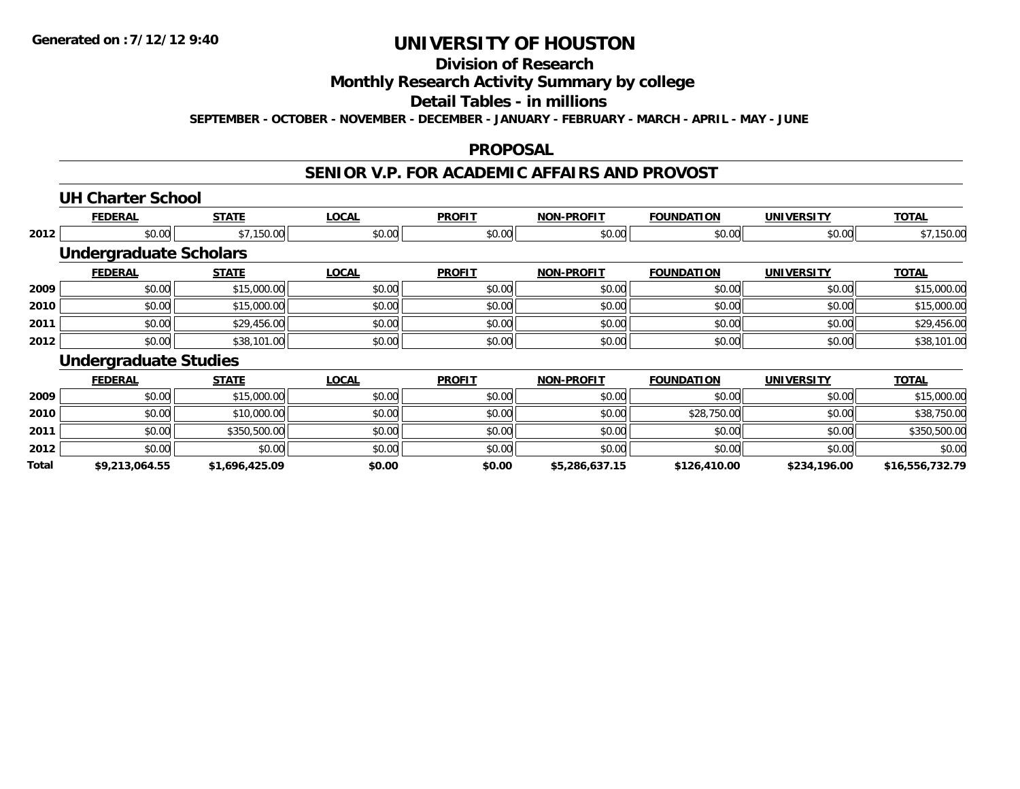## **Division of Research**

### **Monthly Research Activity Summary by college**

#### **Detail Tables - in millions**

**SEPTEMBER - OCTOBER - NOVEMBER - DECEMBER - JANUARY - FEBRUARY - MARCH - APRIL - MAY - JUNE**

#### **PROPOSAL**

### **SENIOR V.P. FOR ACADEMIC AFFAIRS AND PROVOST**

#### **UH Charter School**

**Total**

|      | <b>FEDERAL</b>                | <b>STATE</b> | <b>LOCAL</b> | <b>PROFIT</b> | <b>NON-PROFIT</b> | <b>FOUNDATION</b> | <b>UNIVERSITY</b> | <b>TOTAL</b> |
|------|-------------------------------|--------------|--------------|---------------|-------------------|-------------------|-------------------|--------------|
| 2012 | \$0.00                        | \$7,150.00   | \$0.00       | \$0.00        | \$0.00            | \$0.00            | \$0.00            | \$7,150.00   |
|      | <b>Undergraduate Scholars</b> |              |              |               |                   |                   |                   |              |
|      | <b>FEDERAL</b>                | <b>STATE</b> | <b>LOCAL</b> | <b>PROFIT</b> | <b>NON-PROFIT</b> | <b>FOUNDATION</b> | <b>UNIVERSITY</b> | <b>TOTAL</b> |
| 2009 | \$0.00                        | \$15,000.00  | \$0.00       | \$0.00        | \$0.00            | \$0.00            | \$0.00            | \$15,000.00  |
| 2010 | \$0.00                        | \$15,000.00  | \$0.00       | \$0.00        | \$0.00            | \$0.00            | \$0.00            | \$15,000.00  |
| 2011 | \$0.00                        | \$29,456.00  | \$0.00       | \$0.00        | \$0.00            | \$0.00            | \$0.00            | \$29,456.00  |
| 2012 | \$0.00                        | \$38,101.00  | \$0.00       | \$0.00        | \$0.00            | \$0.00            | \$0.00            | \$38,101.00  |
|      | <b>Undergraduate Studies</b>  |              |              |               |                   |                   |                   |              |
|      | <b>FEDERAL</b>                | <b>STATE</b> | <b>LOCAL</b> | <b>PROFIT</b> | <b>NON-PROFIT</b> | <b>FOUNDATION</b> | <b>UNIVERSITY</b> | <b>TOTAL</b> |
| 2009 | \$0.00                        | \$15,000.00  | \$0.00       | \$0.00        | \$0.00            | \$0.00            | \$0.00            | \$15,000.00  |
| 2010 | \$0.00                        | \$10,000.00  | \$0.00       | \$0.00        | \$0.00            | \$28,750.00       | \$0.00            | \$38,750.00  |
| 2011 | \$0.00                        | \$350,500.00 | \$0.00       | \$0.00        | \$0.00            | \$0.00            | \$0.00            | \$350,500.00 |
| 2012 | \$0.00                        | \$0.00       | \$0.00       | \$0.00        | \$0.00            | \$0.00            | \$0.00            | \$0.00       |

**\$9,213,064.55 \$1,696,425.09 \$0.00 \$0.00 \$5,286,637.15 \$126,410.00 \$234,196.00 \$16,556,732.79**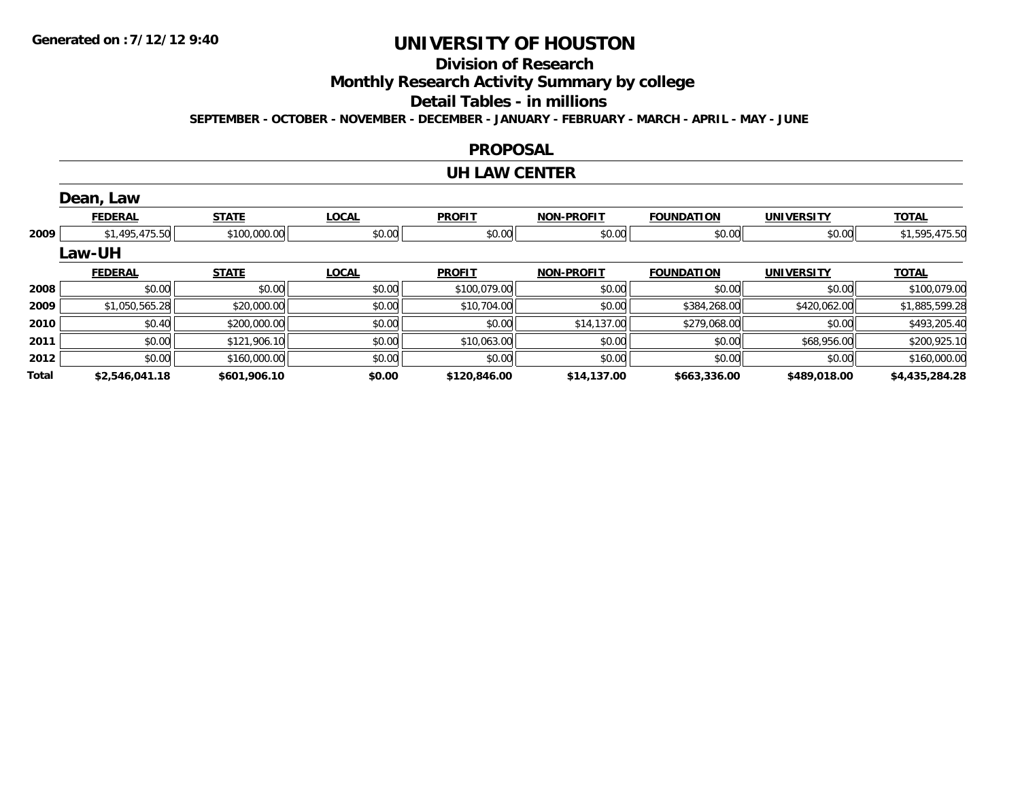## **Division of Research**

**Monthly Research Activity Summary by college**

#### **Detail Tables - in millions**

**SEPTEMBER - OCTOBER - NOVEMBER - DECEMBER - JANUARY - FEBRUARY - MARCH - APRIL - MAY - JUNE**

#### **PROPOSAL**

#### **UH LAW CENTER**

|       | Dean, Law      |              |              |               |                   |                   |                   |                |
|-------|----------------|--------------|--------------|---------------|-------------------|-------------------|-------------------|----------------|
|       | <b>FEDERAL</b> | <b>STATE</b> | <b>LOCAL</b> | <b>PROFIT</b> | <b>NON-PROFIT</b> | <b>FOUNDATION</b> | <b>UNIVERSITY</b> | <b>TOTAL</b>   |
| 2009  | \$1,495,475.50 | \$100,000.00 | \$0.00       | \$0.00        | \$0.00            | \$0.00            | \$0.00            | \$1,595,475.50 |
|       | <b>Law-UH</b>  |              |              |               |                   |                   |                   |                |
|       | <b>FEDERAL</b> | <b>STATE</b> | <b>LOCAL</b> | <b>PROFIT</b> | <b>NON-PROFIT</b> | <b>FOUNDATION</b> | <b>UNIVERSITY</b> | <b>TOTAL</b>   |
| 2008  | \$0.00         | \$0.00       | \$0.00       | \$100,079.00  | \$0.00            | \$0.00            | \$0.00            | \$100,079.00   |
| 2009  | \$1,050,565.28 | \$20,000.00  | \$0.00       | \$10,704.00   | \$0.00            | \$384,268.00      | \$420,062.00      | \$1,885,599.28 |
| 2010  | \$0.40         | \$200,000.00 | \$0.00       | \$0.00        | \$14,137.00       | \$279,068.00      | \$0.00            | \$493,205.40   |
| 2011  | \$0.00         | \$121,906.10 | \$0.00       | \$10,063.00   | \$0.00            | \$0.00            | \$68,956.00       | \$200,925.10   |
| 2012  | \$0.00         | \$160,000.00 | \$0.00       | \$0.00        | \$0.00            | \$0.00            | \$0.00            | \$160,000.00   |
| Total | \$2,546,041.18 | \$601,906.10 | \$0.00       | \$120,846.00  | \$14,137.00       | \$663,336.00      | \$489,018.00      | \$4,435,284.28 |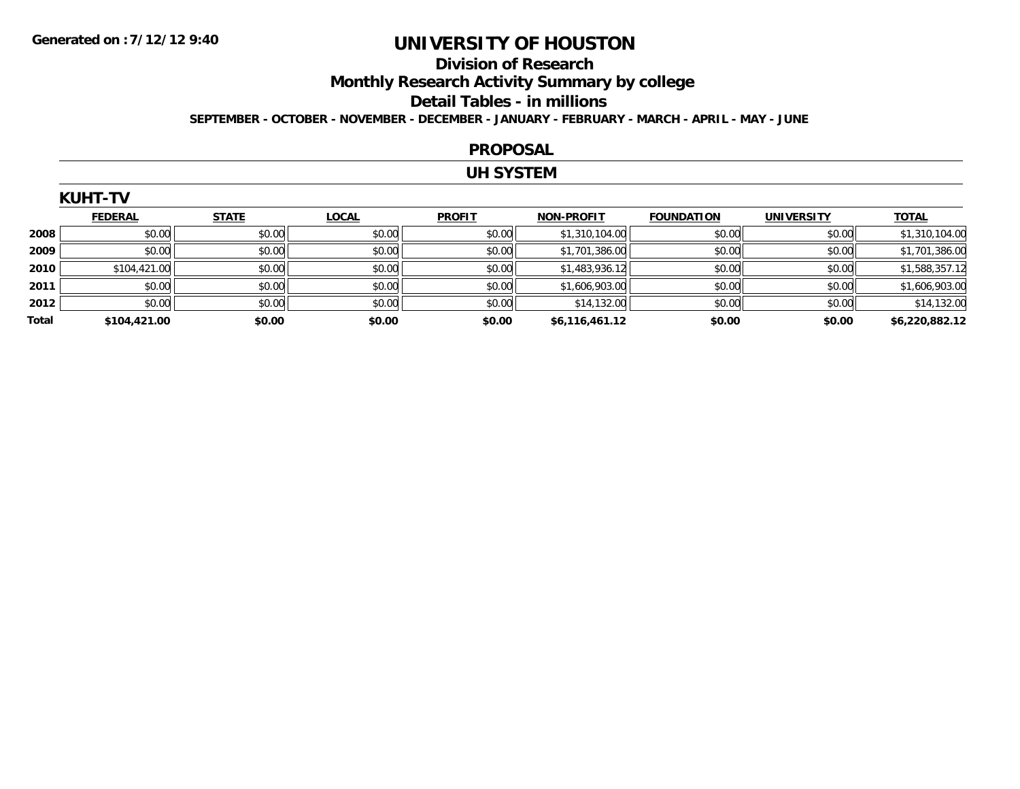# **Division of Research**

**Monthly Research Activity Summary by college**

#### **Detail Tables - in millions**

**SEPTEMBER - OCTOBER - NOVEMBER - DECEMBER - JANUARY - FEBRUARY - MARCH - APRIL - MAY - JUNE**

#### **PROPOSAL**

### **UH SYSTEM**

| NUMI-IV |                |                              |              |               |                   |                   |            |                                 |  |
|---------|----------------|------------------------------|--------------|---------------|-------------------|-------------------|------------|---------------------------------|--|
|         | <b>FEDERAL</b> | <b>STATE</b>                 | <b>LOCAL</b> | <b>PROFIT</b> | <b>NON-PROFIT</b> | <b>FOUNDATION</b> | UNIVERSITY | <b>TOTAL</b>                    |  |
| 2008    | \$0.00         | \$0.00                       | \$0.00       | \$0.00        | \$1,310,104.00    | \$0.00            | \$0.00     | .104.00                         |  |
| 2009    | \$0.00         | \$0.00                       | \$0.00       | \$0.00        | \$1,701,386.00    | \$0.00            | \$0.00     | .386.00                         |  |
| 2010    |                | $\mathsf{A} \cap \mathsf{A}$ | 0.00         | 0.00          | 0.102021          | 0.001             | 0.00       | $A$ $A$ $B$ $A$ $A$ $B$ $A$ $A$ |  |

| <b>Total</b> | \$104,421.00 | \$0.00 | \$0.00 | \$0.00 | \$6,116,461.12 | \$0.00 | \$0.00 | \$6,220,882.12 |
|--------------|--------------|--------|--------|--------|----------------|--------|--------|----------------|
| 2012         | \$0.00       | \$0.00 | \$0.00 | \$0.00 | \$14,132.00    | \$0.00 | \$0.00 | \$14,132.00    |
| 2011         | \$0.00       | \$0.00 | \$0.00 | \$0.00 | \$1,606,903.00 | \$0.00 | \$0.00 | \$1,606,903.00 |
| 2010         | \$104,421.00 | \$0.00 | \$0.00 | \$0.00 | \$1,483,936.12 | \$0.00 | \$0.00 | \$1,588,357.12 |
| 2009         | \$0.00       | \$0.00 | \$0.00 | \$0.00 | \$1,701,386.00 | \$0.00 | \$0.00 | \$1,701,386.00 |
|              |              |        |        |        |                |        |        |                |

#### **KUHT-TV**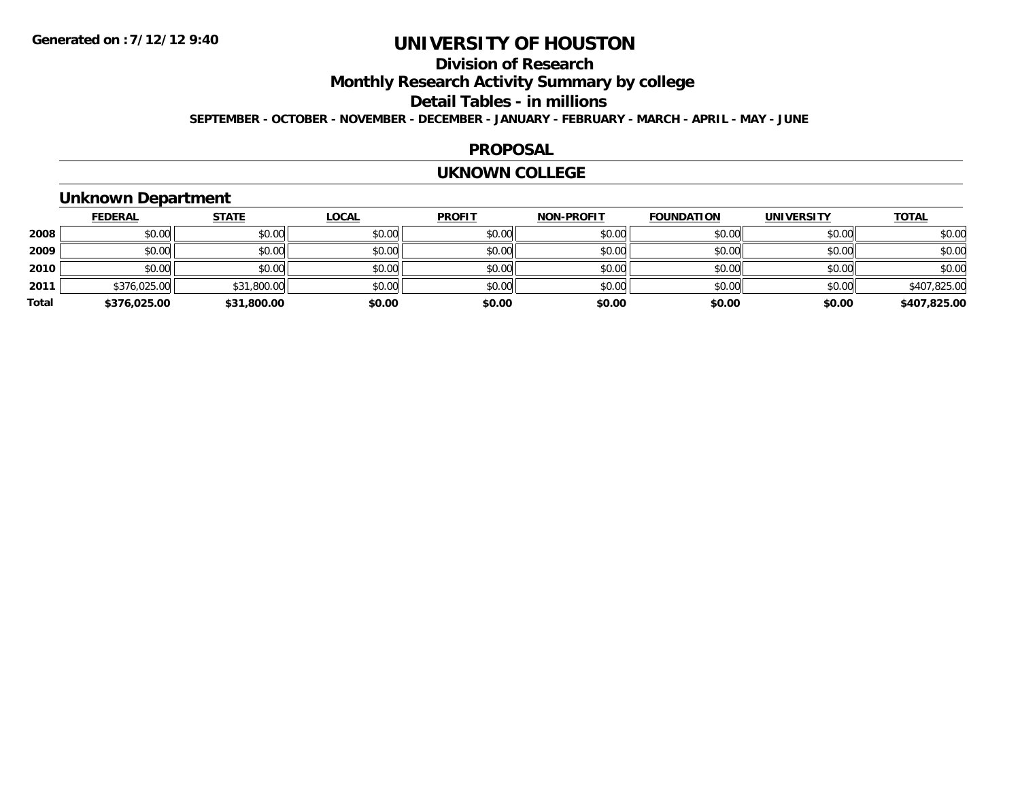## **Division of Research**

**Monthly Research Activity Summary by college**

#### **Detail Tables - in millions**

**SEPTEMBER - OCTOBER - NOVEMBER - DECEMBER - JANUARY - FEBRUARY - MARCH - APRIL - MAY - JUNE**

### **PROPOSAL**

#### **UKNOWN COLLEGE**

### **Unknown Department**

|       | <b>FEDERAL</b> | <b>STATE</b> | <b>LOCAL</b> | <b>PROFIT</b> | <b>NON-PROFIT</b> | <b>FOUNDATION</b> | <b>UNIVERSITY</b> | <b>TOTAL</b> |
|-------|----------------|--------------|--------------|---------------|-------------------|-------------------|-------------------|--------------|
| 2008  | \$0.00         | \$0.00       | \$0.00       | \$0.00        | \$0.00            | \$0.00            | \$0.00            | \$0.00       |
| 2009  | \$0.00         | \$0.00       | \$0.00       | \$0.00        | \$0.00            | \$0.00            | \$0.00            | \$0.00       |
| 2010  | \$0.00         | \$0.00       | \$0.00       | \$0.00        | \$0.00            | \$0.00            | \$0.00            | \$0.00       |
| 2011  | \$376,025.00   | \$31,800.00  | \$0.00       | \$0.00        | \$0.00            | \$0.00            | \$0.00            | \$407,825.00 |
| Total | \$376,025.00   | \$31,800.00  | \$0.00       | \$0.00        | \$0.00            | \$0.00            | \$0.00            | \$407,825.00 |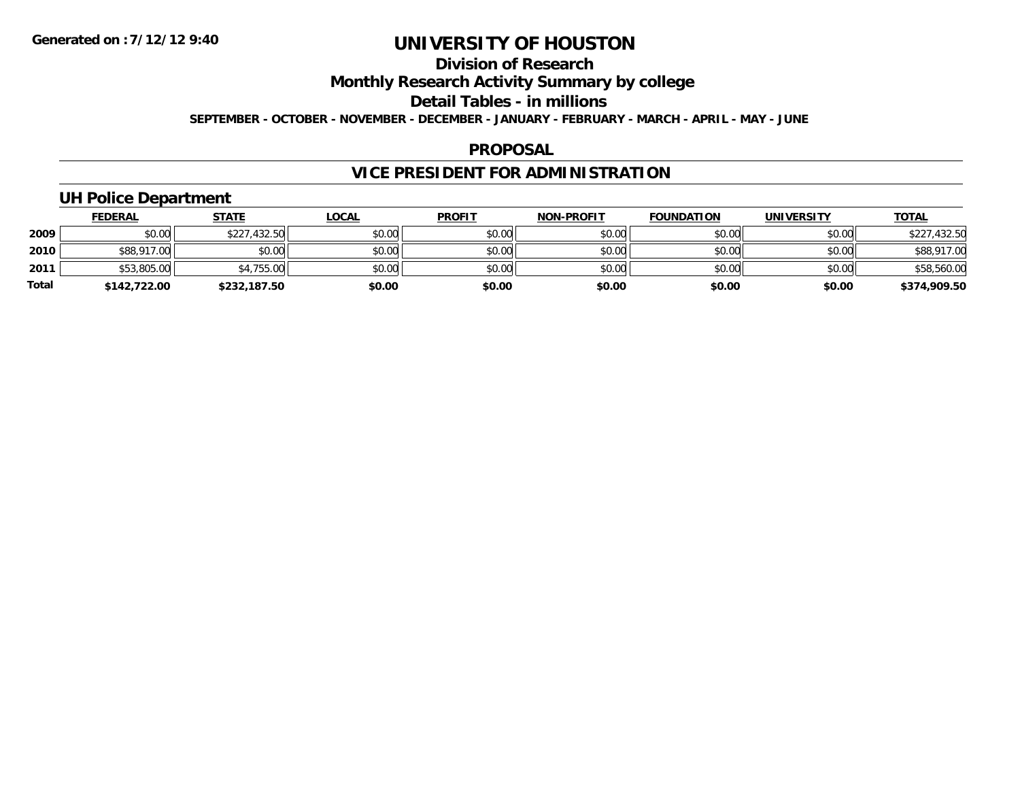## **Division of Research**

### **Monthly Research Activity Summary by college**

#### **Detail Tables - in millions**

**SEPTEMBER - OCTOBER - NOVEMBER - DECEMBER - JANUARY - FEBRUARY - MARCH - APRIL - MAY - JUNE**

### **PROPOSAL**

## **VICE PRESIDENT FOR ADMINISTRATION**

### **UH Police Department**

|              | <b>FEDERAL</b> | <b>STATE</b> | <u>LOCAL</u> | <b>PROFIT</b> | <b>NON-PROFIT</b> | <b>FOUNDATION</b> | <b>UNIVERSITY</b> | <b>TOTAL</b> |
|--------------|----------------|--------------|--------------|---------------|-------------------|-------------------|-------------------|--------------|
| 2009         | \$0.00         | \$227,432.50 | \$0.00       | \$0.00        | \$0.00            | \$0.00            | \$0.00            | \$227,432.50 |
| 2010         | \$88,917.00    | \$0.00       | \$0.00       | \$0.00        | \$0.00            | \$0.00            | \$0.00            | \$88,917.00  |
| 2011         | \$53,805.00    | \$4,755.00   | \$0.00       | \$0.00        | \$0.00            | \$0.00            | \$0.00            | \$58,560.00  |
| <b>Total</b> | \$142,722.00   | \$232,187.50 | \$0.00       | \$0.00        | \$0.00            | \$0.00            | \$0.00            | \$374,909.50 |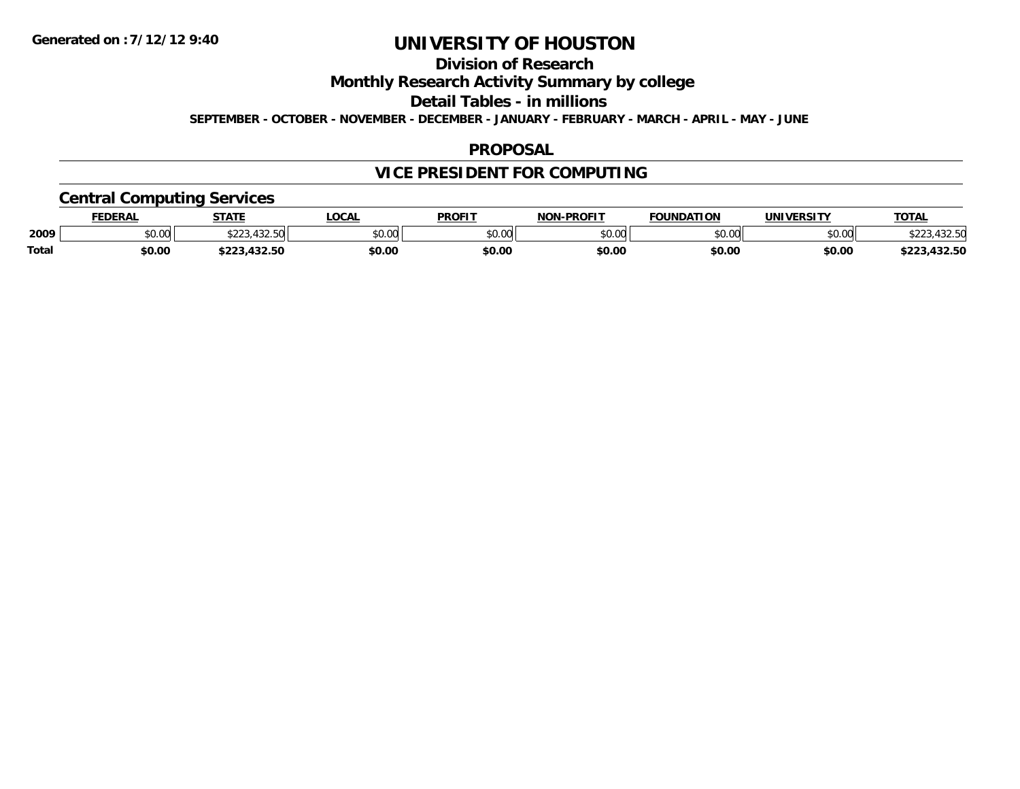## **Division of Research**

**Monthly Research Activity Summary by college**

**Detail Tables - in millions**

**SEPTEMBER - OCTOBER - NOVEMBER - DECEMBER - JANUARY - FEBRUARY - MARCH - APRIL - MAY - JUNE**

### **PROPOSAL**

## **VICE PRESIDENT FOR COMPUTING**

### **Central Computing Services**

|       | <b>FEDERAL</b> | <b>STATE</b>                        | <b>LOCAL</b> | <b>PROFIT</b> | <b>I-PROFIT</b><br><b>NON</b> | <b>FOUNDATION</b> | UNIVERSITY | <b>TOTAL</b>             |
|-------|----------------|-------------------------------------|--------------|---------------|-------------------------------|-------------------|------------|--------------------------|
| 2009  | \$0.00         | 122 E<br>$\wedge$ $\wedge$ $\wedge$ | \$0.00       | 0000<br>JU.UU | \$0.00                        | \$0.00            | \$0.00     | 122 F<br>, JZ.JM         |
| Total | \$0.00         | $\sim$<br>$\cdots$<br>.432.30       | \$0.00       | \$0.00        | \$0.00                        | \$0.00            | \$0.00     | $\sim$<br>ホワワク<br>132.JL |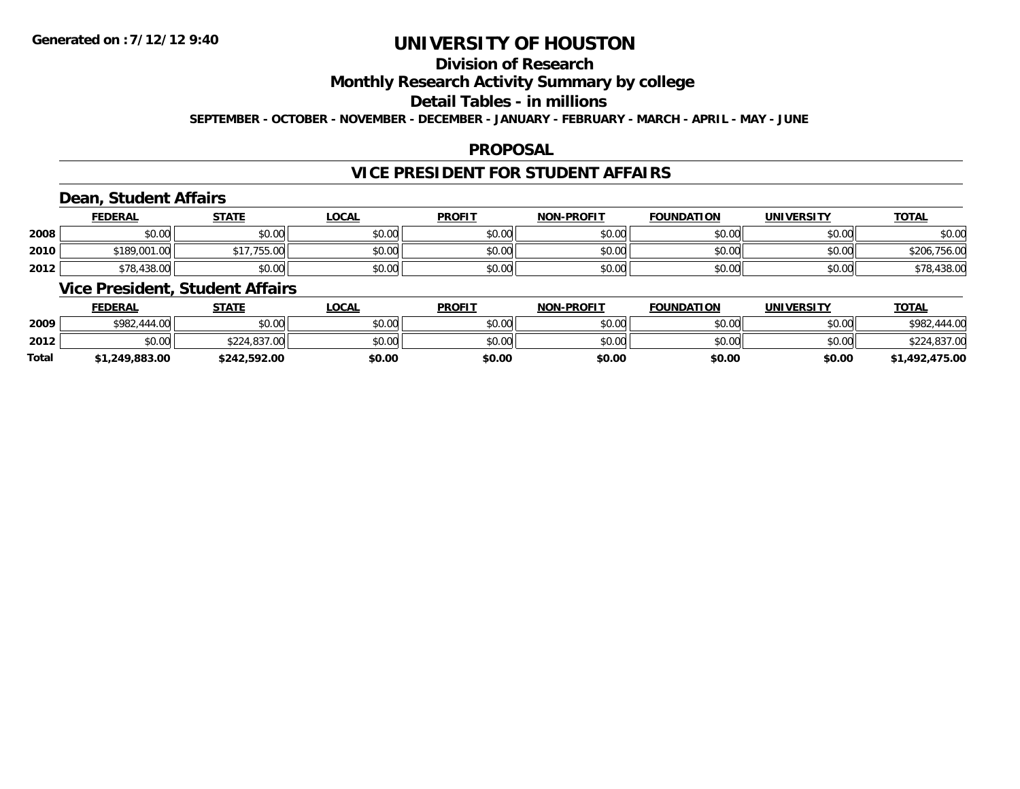## **Division of Research**

### **Monthly Research Activity Summary by college**

#### **Detail Tables - in millions**

**SEPTEMBER - OCTOBER - NOVEMBER - DECEMBER - JANUARY - FEBRUARY - MARCH - APRIL - MAY - JUNE**

### **PROPOSAL**

### **VICE PRESIDENT FOR STUDENT AFFAIRS**

### **Dean, Student Affairs**

|      | <b>FEDERAL</b> | STATE       | <u>LOCAL</u> | <b>PROFIT</b> | <b>NON-PROFIT</b> | <b>FOUNDATION</b> | <b>UNIVERSITY</b> | <b>TOTAL</b> |
|------|----------------|-------------|--------------|---------------|-------------------|-------------------|-------------------|--------------|
| 2008 | \$0.00         | \$0.00      | \$0.00       | \$0.00        | \$0.00            | \$0.00            | \$0.00            | \$0.00       |
| 2010 | \$189,001.00   | \$17,755.00 | \$0.00       | \$0.00        | \$0.00            | \$0.00            | \$0.00            | \$206,756.00 |
| 2012 | \$78,438.00    | \$0.00      | \$0.00       | \$0.00        | \$0.00            | \$0.00            | \$0.00            | \$78,438.00  |

### **Vice President, Student Affairs**

|              | <b>FEDERAL</b> | <u>STATE</u> | <b>LOCAL</b> | <b>PROFIT</b> | <b>NON-PROFIT</b> | <b>FOUNDATION</b> | <b>UNIVERSITY</b> | <b>TOTAL</b>      |
|--------------|----------------|--------------|--------------|---------------|-------------------|-------------------|-------------------|-------------------|
| 2009         | \$982,444.00   | \$0.00       | \$0.00       | \$0.00        | \$0.00            | \$0.00            | \$0.00            | \$982.<br>.444.00 |
| 2012         | \$0.00         | \$224,837,00 | \$0.00       | \$0.00        | \$0.00            | \$0.00            | \$0.00            | \$224,837.00      |
| <b>Total</b> | \$1,249,883.00 | \$242,592.00 | \$0.00       | \$0.00        | \$0.00            | \$0.00            | \$0.00            | \$1,492,475.00    |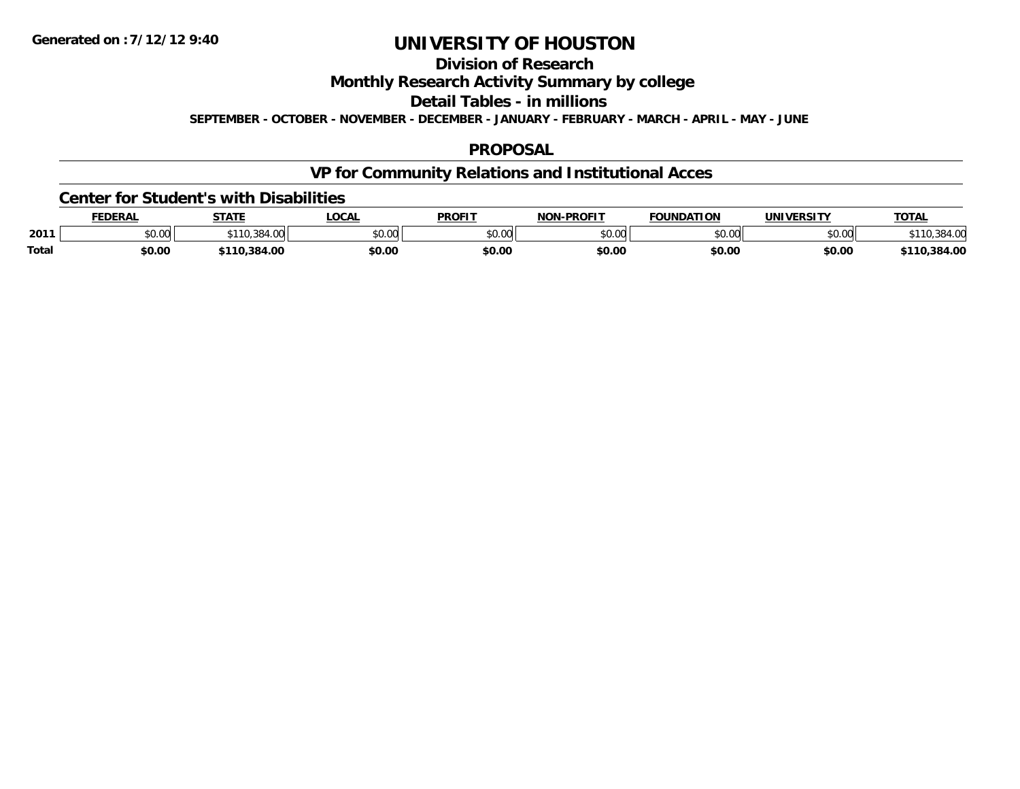## **Division of Research**

**Monthly Research Activity Summary by college**

**Detail Tables - in millions**

**SEPTEMBER - OCTOBER - NOVEMBER - DECEMBER - JANUARY - FEBRUARY - MARCH - APRIL - MAY - JUNE**

### **PROPOSAL**

## **VP for Community Relations and Institutional Acces**

### **Center for Student's with Disabilities**

|              | <b>FEDERAL</b> | <b>STATE</b> | LOCAI         | <b>PROFIT</b> | -PROFIT<br>NON | FOUNDATION         | <b>IINIVERSITY</b> | <b>TOTAL</b>          |
|--------------|----------------|--------------|---------------|---------------|----------------|--------------------|--------------------|-----------------------|
| 2011         | JU.UU          | ົດດ ^        | 0000<br>JU.UU | 0000<br>טט.טי | \$0.00         | $\sim$ 00<br>JU.UU | \$0.00             | $20.4 \times 10^{-4}$ |
| <b>Total</b> | \$0.00         | 384.00       | \$0.OC        | \$0.00        | \$0.00         | \$0.00             | \$0.00             | 384.00                |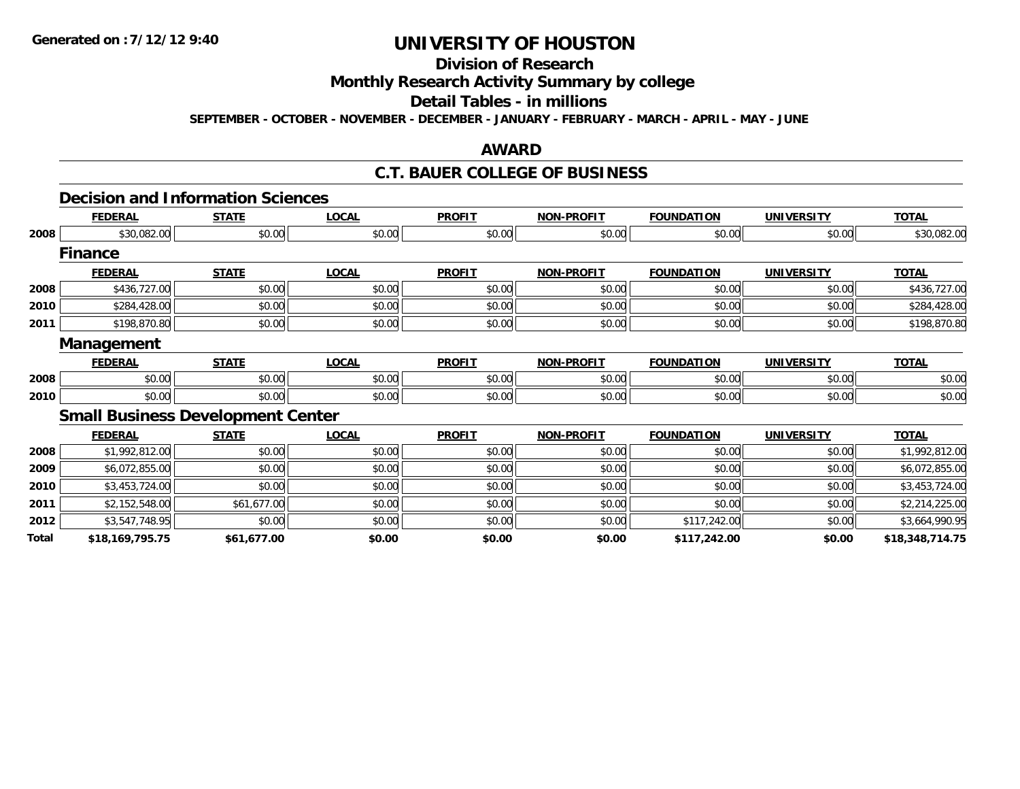# **Division of Research**

## **Monthly Research Activity Summary by college**

### **Detail Tables - in millions**

**SEPTEMBER - OCTOBER - NOVEMBER - DECEMBER - JANUARY - FEBRUARY - MARCH - APRIL - MAY - JUNE**

### **AWARD**

### **C.T. BAUER COLLEGE OF BUSINESS**

# **Decision and Information Sciences**

|       | <b>FEDERAL</b>  | <b>STATE</b>                             | LOCAL        | <b>PROFIT</b> | <b>NON-PROFIT</b> | <b>FOUNDATION</b> | <b>UNIVERSITY</b> | <b>TOTAL</b>    |
|-------|-----------------|------------------------------------------|--------------|---------------|-------------------|-------------------|-------------------|-----------------|
| 2008  | \$30,082.00     | \$0.00                                   | \$0.00       | \$0.00        | \$0.00            | \$0.00            | \$0.00            | \$30,082.00     |
|       | <b>Finance</b>  |                                          |              |               |                   |                   |                   |                 |
|       | <b>FEDERAL</b>  | <b>STATE</b>                             | <b>LOCAL</b> | <b>PROFIT</b> | <b>NON-PROFIT</b> | <b>FOUNDATION</b> | <b>UNIVERSITY</b> | <b>TOTAL</b>    |
| 2008  | \$436,727.00    | \$0.00                                   | \$0.00       | \$0.00        | \$0.00            | \$0.00            | \$0.00            | \$436,727.00    |
| 2010  | \$284,428.00    | \$0.00                                   | \$0.00       | \$0.00        | \$0.00            | \$0.00            | \$0.00            | \$284,428.00    |
| 2011  | \$198,870.80    | \$0.00                                   | \$0.00       | \$0.00        | \$0.00            | \$0.00            | \$0.00            | \$198,870.80    |
|       | Management      |                                          |              |               |                   |                   |                   |                 |
|       | <b>FEDERAL</b>  | <b>STATE</b>                             | <b>LOCAL</b> | <b>PROFIT</b> | <b>NON-PROFIT</b> | <b>FOUNDATION</b> | <b>UNIVERSITY</b> | <b>TOTAL</b>    |
| 2008  | \$0.00          | \$0.00                                   | \$0.00       | \$0.00        | \$0.00            | \$0.00            | \$0.00            | \$0.00          |
| 2010  | \$0.00          | \$0.00                                   | \$0.00       | \$0.00        | \$0.00            | \$0.00            | \$0.00            | \$0.00          |
|       |                 | <b>Small Business Development Center</b> |              |               |                   |                   |                   |                 |
|       | <b>FEDERAL</b>  | <b>STATE</b>                             | <b>LOCAL</b> | <b>PROFIT</b> | <b>NON-PROFIT</b> | <b>FOUNDATION</b> | <b>UNIVERSITY</b> | <b>TOTAL</b>    |
| 2008  | \$1,992,812.00  | \$0.00                                   | \$0.00       | \$0.00        | \$0.00            | \$0.00            | \$0.00            | \$1,992,812.00  |
| 2009  | \$6,072,855.00  | \$0.00                                   | \$0.00       | \$0.00        | \$0.00            | \$0.00            | \$0.00            | \$6,072,855.00  |
| 2010  | \$3,453,724.00  | \$0.00                                   | \$0.00       | \$0.00        | \$0.00            | \$0.00            | \$0.00            | \$3,453,724.00  |
| 2011  | \$2,152,548.00  | \$61,677.00                              | \$0.00       | \$0.00        | \$0.00            | \$0.00            | \$0.00            | \$2,214,225.00  |
| 2012  | \$3,547,748.95  | \$0.00                                   | \$0.00       | \$0.00        | \$0.00            | \$117,242.00      | \$0.00            | \$3,664,990.95  |
| Total | \$18,169,795.75 | \$61,677.00                              | \$0.00       | \$0.00        | \$0.00            | \$117,242.00      | \$0.00            | \$18,348,714.75 |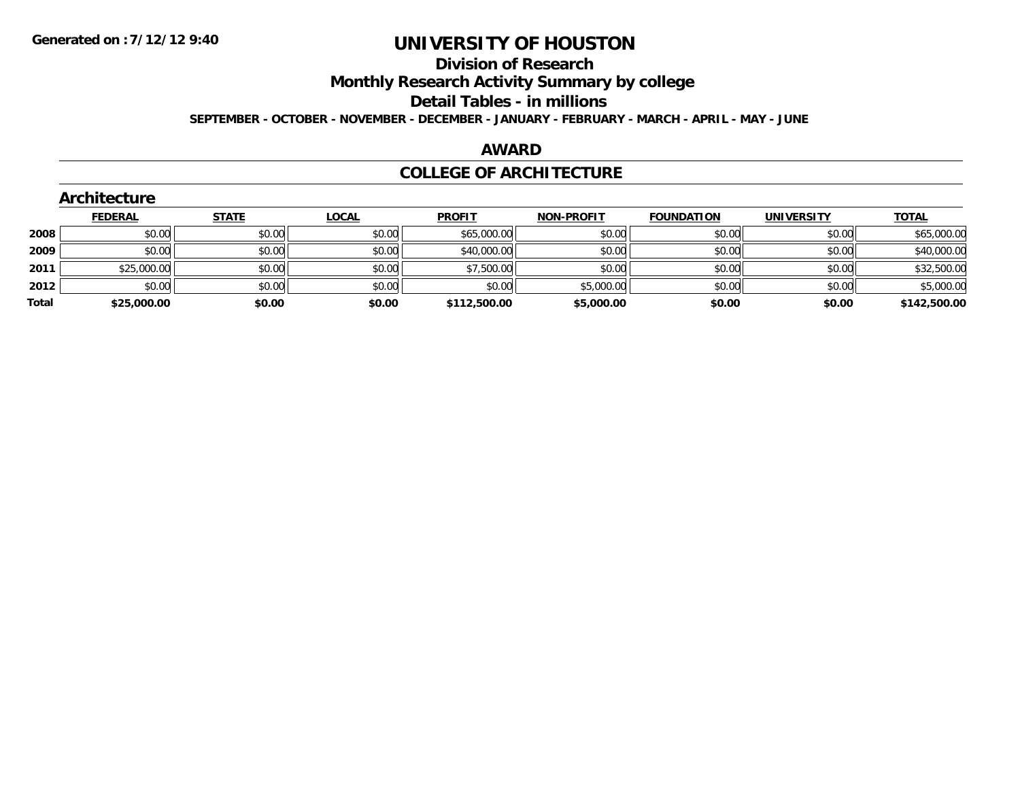# **Division of Research**

**Monthly Research Activity Summary by college**

#### **Detail Tables - in millions**

**SEPTEMBER - OCTOBER - NOVEMBER - DECEMBER - JANUARY - FEBRUARY - MARCH - APRIL - MAY - JUNE**

### **AWARD**

### **COLLEGE OF ARCHITECTURE**

|       | ALCHILECTULE   |              |              |               |                   |                   |                   |              |
|-------|----------------|--------------|--------------|---------------|-------------------|-------------------|-------------------|--------------|
|       | <b>FEDERAL</b> | <b>STATE</b> | <u>LOCAL</u> | <b>PROFIT</b> | <b>NON-PROFIT</b> | <b>FOUNDATION</b> | <b>UNIVERSITY</b> | <u>TOTAL</u> |
| 2008  | \$0.00         | \$0.00       | \$0.00       | \$65,000.00   | \$0.00            | \$0.00            | \$0.00            | \$65,000.00  |
| 2009  | \$0.00         | \$0.00       | \$0.00       | \$40,000.00   | \$0.00            | \$0.00            | \$0.00            | \$40,000.00  |
| 2011  | \$25,000.00    | \$0.00       | \$0.00       | \$7,500.00    | \$0.00            | \$0.00            | \$0.00            | \$32,500.00  |
| 2012  | \$0.00         | \$0.00       | \$0.00       | \$0.00        | \$5,000.00        | \$0.00            | \$0.00            | \$5,000.00   |
| Total | \$25,000.00    | \$0.00       | \$0.00       | \$112,500.00  | \$5,000.00        | \$0.00            | \$0.00            | \$142,500.00 |

#### **Architecture**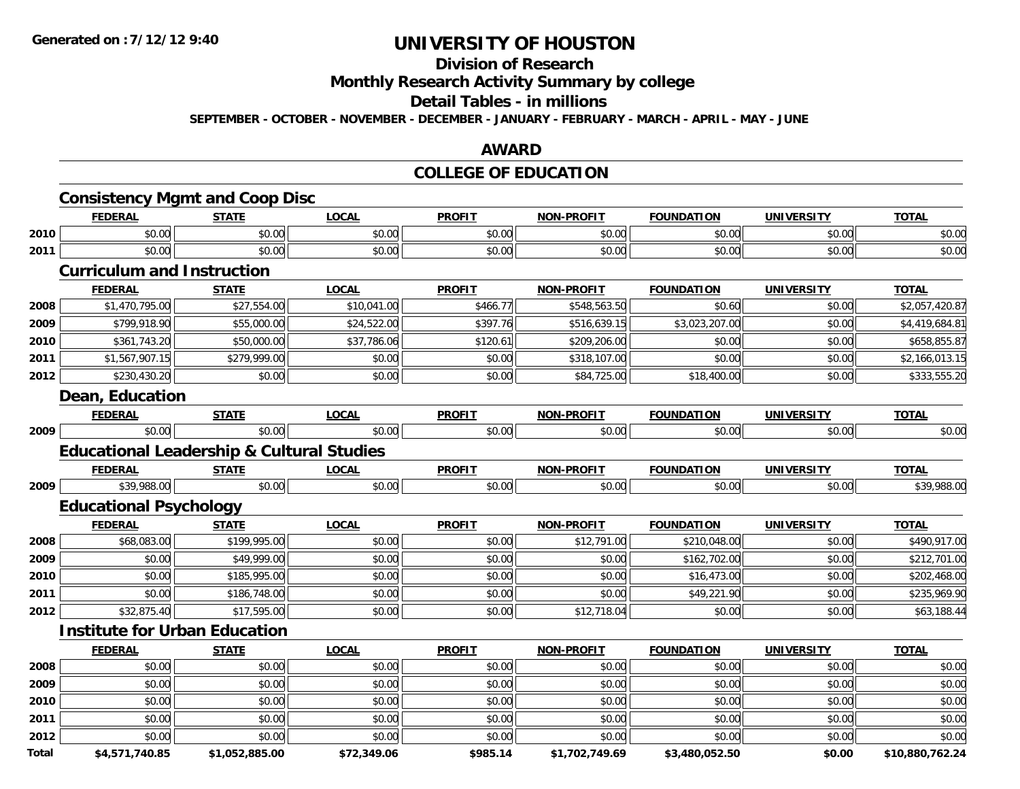## **Division of Research**

**Monthly Research Activity Summary by college**

#### **Detail Tables - in millions**

**SEPTEMBER - OCTOBER - NOVEMBER - DECEMBER - JANUARY - FEBRUARY - MARCH - APRIL - MAY - JUNE**

### **AWARD**

## **COLLEGE OF EDUCATION**

|       | <b>Consistency Mgmt and Coop Disc</b>                |                |              |               |                   |                   |                   |                 |
|-------|------------------------------------------------------|----------------|--------------|---------------|-------------------|-------------------|-------------------|-----------------|
|       | <b>FEDERAL</b>                                       | <b>STATE</b>   | <b>LOCAL</b> | <b>PROFIT</b> | <b>NON-PROFIT</b> | <b>FOUNDATION</b> | <b>UNIVERSITY</b> | <b>TOTAL</b>    |
| 2010  | \$0.00                                               | \$0.00         | \$0.00       | \$0.00        | \$0.00            | \$0.00            | \$0.00            | \$0.00          |
| 2011  | \$0.00                                               | \$0.00         | \$0.00       | \$0.00        | \$0.00            | \$0.00            | \$0.00            | \$0.00          |
|       | <b>Curriculum and Instruction</b>                    |                |              |               |                   |                   |                   |                 |
|       | <b>FEDERAL</b>                                       | <b>STATE</b>   | <b>LOCAL</b> | <b>PROFIT</b> | <b>NON-PROFIT</b> | <b>FOUNDATION</b> | <b>UNIVERSITY</b> | <b>TOTAL</b>    |
| 2008  | \$1,470,795.00                                       | \$27,554.00    | \$10,041.00  | \$466.77      | \$548,563.50      | \$0.60            | \$0.00            | \$2,057,420.87  |
| 2009  | \$799,918.90                                         | \$55,000.00    | \$24,522.00  | \$397.76      | \$516,639.15      | \$3,023,207.00    | \$0.00            | \$4,419,684.81  |
| 2010  | \$361,743.20                                         | \$50,000.00    | \$37,786.06  | \$120.61      | \$209,206.00      | \$0.00            | \$0.00            | \$658,855.87    |
| 2011  | \$1,567,907.15                                       | \$279,999.00   | \$0.00       | \$0.00        | \$318,107.00      | \$0.00            | \$0.00            | \$2,166,013.15  |
| 2012  | \$230,430.20                                         | \$0.00         | \$0.00       | \$0.00        | \$84,725.00       | \$18,400.00       | \$0.00            | \$333,555.20    |
|       | Dean, Education                                      |                |              |               |                   |                   |                   |                 |
|       | <b>FEDERAL</b>                                       | <b>STATE</b>   | <b>LOCAL</b> | <b>PROFIT</b> | <b>NON-PROFIT</b> | <b>FOUNDATION</b> | <b>UNIVERSITY</b> | <b>TOTAL</b>    |
| 2009  | \$0.00                                               | \$0.00         | \$0.00       | \$0.00        | \$0.00            | \$0.00            | \$0.00            | \$0.00          |
|       | <b>Educational Leadership &amp; Cultural Studies</b> |                |              |               |                   |                   |                   |                 |
|       | <b>FEDERAL</b>                                       | <b>STATE</b>   | <b>LOCAL</b> | <b>PROFIT</b> | <b>NON-PROFIT</b> | <b>FOUNDATION</b> | <b>UNIVERSITY</b> | <b>TOTAL</b>    |
| 2009  | \$39,988.00                                          | \$0.00         | \$0.00       | \$0.00        | \$0.00            | \$0.00            | \$0.00            | \$39,988.00     |
|       | <b>Educational Psychology</b>                        |                |              |               |                   |                   |                   |                 |
|       | <b>FEDERAL</b>                                       | <b>STATE</b>   | <b>LOCAL</b> | <b>PROFIT</b> | <b>NON-PROFIT</b> | <b>FOUNDATION</b> | <b>UNIVERSITY</b> | <b>TOTAL</b>    |
| 2008  | \$68,083.00                                          | \$199,995.00   | \$0.00       | \$0.00        | \$12,791.00       | \$210,048.00      | \$0.00            | \$490,917.00    |
| 2009  | \$0.00                                               | \$49,999.00    | \$0.00       | \$0.00        | \$0.00            | \$162,702.00      | \$0.00            | \$212,701.00    |
| 2010  | \$0.00                                               | \$185,995.00   | \$0.00       | \$0.00        | \$0.00            | \$16,473.00       | \$0.00            | \$202,468.00    |
| 2011  | \$0.00                                               | \$186,748.00   | \$0.00       | \$0.00        | \$0.00            | \$49,221.90       | \$0.00            | \$235,969.90    |
| 2012  | \$32,875.40                                          | \$17,595.00    | \$0.00       | \$0.00        | \$12,718.04       | \$0.00            | \$0.00            | \$63,188.44     |
|       | <b>Institute for Urban Education</b>                 |                |              |               |                   |                   |                   |                 |
|       | <b>FEDERAL</b>                                       | <b>STATE</b>   | <b>LOCAL</b> | <b>PROFIT</b> | <b>NON-PROFIT</b> | <b>FOUNDATION</b> | <b>UNIVERSITY</b> | <b>TOTAL</b>    |
| 2008  | \$0.00                                               | \$0.00         | \$0.00       | \$0.00        | \$0.00            | \$0.00            | \$0.00            | \$0.00          |
| 2009  | \$0.00                                               | \$0.00         | \$0.00       | \$0.00        | \$0.00            | \$0.00            | \$0.00            | \$0.00          |
| 2010  | \$0.00                                               | \$0.00         | \$0.00       | \$0.00        | \$0.00            | \$0.00            | \$0.00            | \$0.00          |
| 2011  | \$0.00                                               | \$0.00         | \$0.00       | \$0.00        | \$0.00            | \$0.00            | \$0.00            | \$0.00          |
| 2012  | \$0.00                                               | \$0.00         | \$0.00       | \$0.00        | \$0.00            | \$0.00            | \$0.00            | \$0.00          |
| Total | \$4,571,740.85                                       | \$1,052,885.00 | \$72,349.06  | \$985.14      | \$1,702,749.69    | \$3,480,052.50    | \$0.00            | \$10,880,762.24 |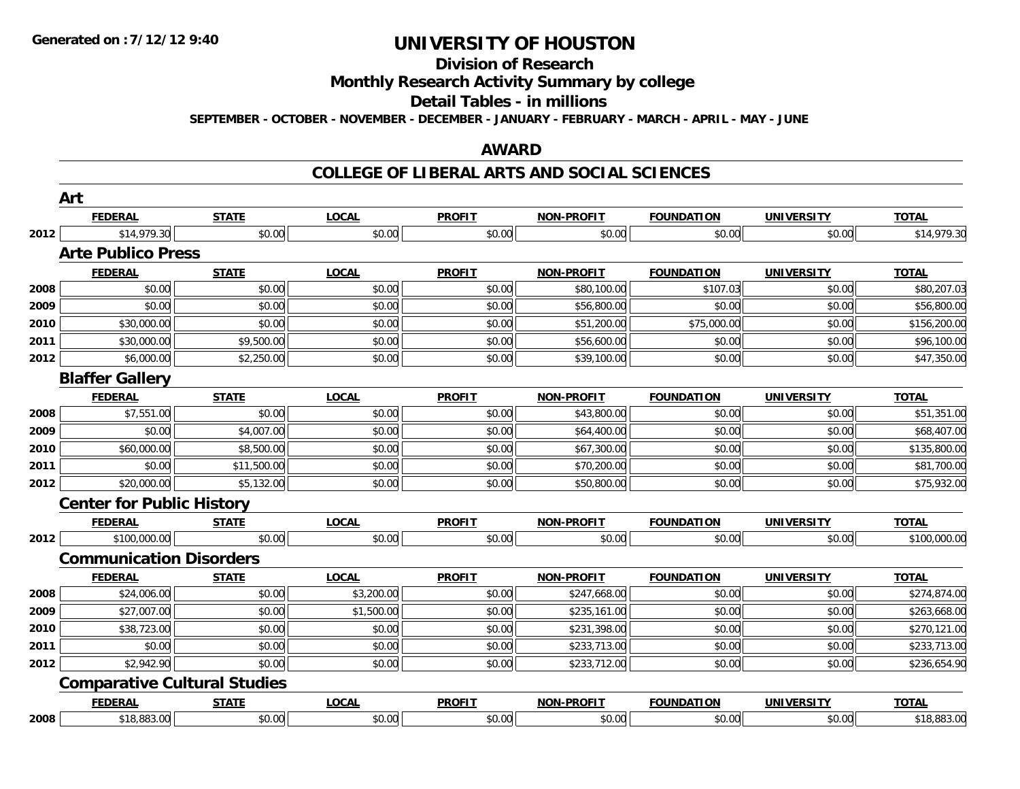#### **Division of Research**

**Monthly Research Activity Summary by college**

#### **Detail Tables - in millions**

**SEPTEMBER - OCTOBER - NOVEMBER - DECEMBER - JANUARY - FEBRUARY - MARCH - APRIL - MAY - JUNE**

### **AWARD**

|      | Art                                 |              |              |               |                   |                   |                   |              |
|------|-------------------------------------|--------------|--------------|---------------|-------------------|-------------------|-------------------|--------------|
|      | <b>FEDERAL</b>                      | <b>STATE</b> | <b>LOCAL</b> | <b>PROFIT</b> | NON-PROFIT        | <b>FOUNDATION</b> | <b>UNIVERSITY</b> | <b>TOTAL</b> |
| 2012 | \$14,979.30                         | \$0.00       | \$0.00       | \$0.00        | \$0.00            | \$0.00            | \$0.00            | \$14,979.30  |
|      | <b>Arte Publico Press</b>           |              |              |               |                   |                   |                   |              |
|      | <b>FEDERAL</b>                      | <b>STATE</b> | <b>LOCAL</b> | <b>PROFIT</b> | <b>NON-PROFIT</b> | <b>FOUNDATION</b> | <b>UNIVERSITY</b> | <b>TOTAL</b> |
| 2008 | \$0.00                              | \$0.00       | \$0.00       | \$0.00        | \$80,100.00       | \$107.03          | \$0.00            | \$80,207.03  |
| 2009 | \$0.00                              | \$0.00       | \$0.00       | \$0.00        | \$56,800.00       | \$0.00            | \$0.00            | \$56,800.00  |
| 2010 | \$30,000.00                         | \$0.00       | \$0.00       | \$0.00        | \$51,200.00       | \$75,000.00       | \$0.00            | \$156,200.00 |
| 2011 | \$30,000.00                         | \$9,500.00   | \$0.00       | \$0.00        | \$56,600.00       | \$0.00            | \$0.00            | \$96,100.00  |
| 2012 | \$6,000.00                          | \$2,250.00   | \$0.00       | \$0.00        | \$39,100.00       | \$0.00            | \$0.00            | \$47,350.00  |
|      | <b>Blaffer Gallery</b>              |              |              |               |                   |                   |                   |              |
|      | <b>FEDERAL</b>                      | <b>STATE</b> | <b>LOCAL</b> | <b>PROFIT</b> | <b>NON-PROFIT</b> | <b>FOUNDATION</b> | <b>UNIVERSITY</b> | <b>TOTAL</b> |
| 2008 | \$7,551.00                          | \$0.00       | \$0.00       | \$0.00        | \$43,800.00       | \$0.00            | \$0.00            | \$51,351.00  |
| 2009 | \$0.00                              | \$4,007.00   | \$0.00       | \$0.00        | \$64,400.00       | \$0.00            | \$0.00            | \$68,407.00  |
| 2010 | \$60,000.00                         | \$8,500.00   | \$0.00       | \$0.00        | \$67,300.00       | \$0.00            | \$0.00            | \$135,800.00 |
| 2011 | \$0.00                              | \$11,500.00  | \$0.00       | \$0.00        | \$70,200.00       | \$0.00            | \$0.00            | \$81,700.00  |
| 2012 | \$20,000.00                         | \$5,132.00   | \$0.00       | \$0.00        | \$50,800.00       | \$0.00            | \$0.00            | \$75,932.00  |
|      | <b>Center for Public History</b>    |              |              |               |                   |                   |                   |              |
|      | <b>FEDERAL</b>                      | <b>STATE</b> | <b>LOCAL</b> | <b>PROFIT</b> | <b>NON-PROFIT</b> | <b>FOUNDATION</b> | <b>UNIVERSITY</b> | <b>TOTAL</b> |
| 2012 | \$100,000.00                        | \$0.00       | \$0.00       | \$0.00        | \$0.00            | \$0.00            | \$0.00            | \$100,000.00 |
|      | <b>Communication Disorders</b>      |              |              |               |                   |                   |                   |              |
|      | <b>FEDERAL</b>                      | <b>STATE</b> | <b>LOCAL</b> | <b>PROFIT</b> | <b>NON-PROFIT</b> | <b>FOUNDATION</b> | <b>UNIVERSITY</b> | <b>TOTAL</b> |
| 2008 | \$24,006.00                         | \$0.00       | \$3,200.00   | \$0.00        | \$247,668.00      | \$0.00            | \$0.00            | \$274,874.00 |
| 2009 | \$27,007.00                         | \$0.00       | \$1,500.00   | \$0.00        | \$235,161.00      | \$0.00            | \$0.00            | \$263,668.00 |
| 2010 | \$38,723.00                         | \$0.00       | \$0.00       | \$0.00        | \$231,398.00      | \$0.00            | \$0.00            | \$270,121.00 |
| 2011 | \$0.00                              | \$0.00       | \$0.00       | \$0.00        | \$233,713.00      | \$0.00            | \$0.00            | \$233,713.00 |
| 2012 | \$2,942.90                          | \$0.00       | \$0.00       | \$0.00        | \$233,712.00      | \$0.00            | \$0.00            | \$236,654.90 |
|      | <b>Comparative Cultural Studies</b> |              |              |               |                   |                   |                   |              |
|      | <b>FEDERAL</b>                      | <b>STATE</b> | <b>LOCAL</b> | <b>PROFIT</b> | <b>NON-PROFIT</b> | <b>FOUNDATION</b> | <b>UNIVERSITY</b> | <b>TOTAL</b> |
| 2008 | \$18,883.00                         | \$0.00       | \$0.00       | \$0.00        | \$0.00            | \$0.00            | \$0.00            | \$18,883.00  |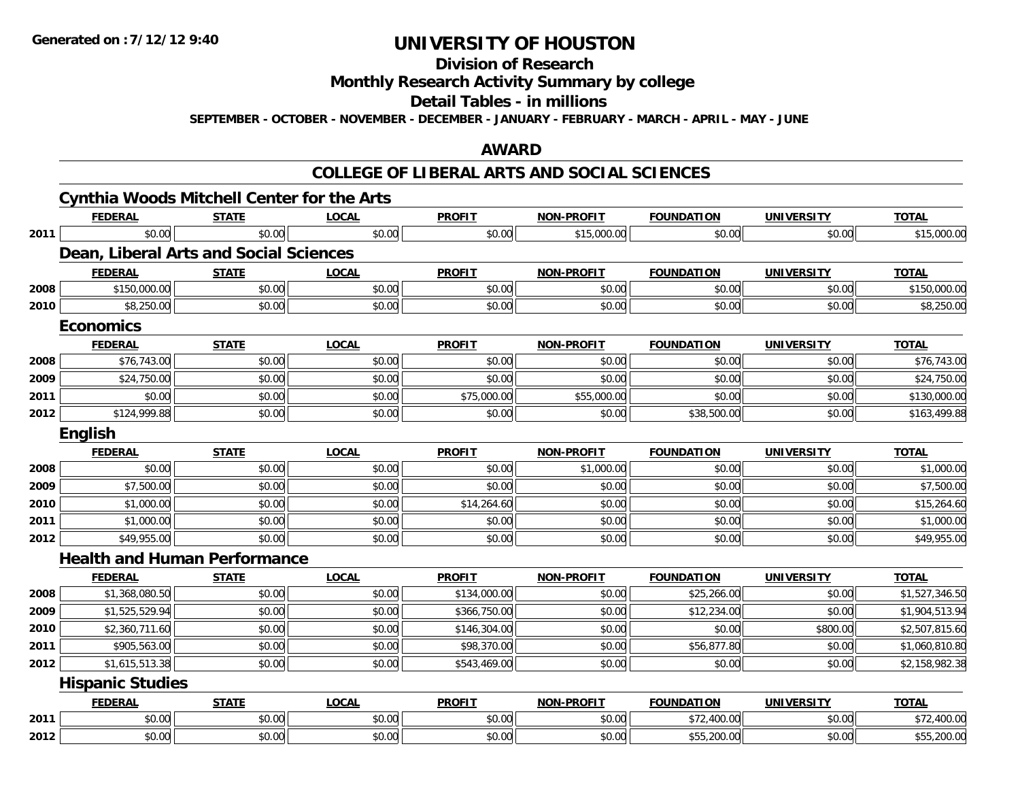#### **Division of Research**

# **Monthly Research Activity Summary by college**

### **Detail Tables - in millions**

**SEPTEMBER - OCTOBER - NOVEMBER - DECEMBER - JANUARY - FEBRUARY - MARCH - APRIL - MAY - JUNE**

### **AWARD**

|      |                         | <b>Cynthia Woods Mitchell Center for the Arts</b> |              |               |                   |                   |                   |                |
|------|-------------------------|---------------------------------------------------|--------------|---------------|-------------------|-------------------|-------------------|----------------|
|      | <b>FEDERAL</b>          | <b>STATE</b>                                      | <b>LOCAL</b> | <b>PROFIT</b> | <b>NON-PROFIT</b> | <b>FOUNDATION</b> | <b>UNIVERSITY</b> | <b>TOTAL</b>   |
| 2011 | \$0.00                  | \$0.00                                            | \$0.00       | \$0.00        | \$15,000.00       | \$0.00            | \$0.00            | \$15,000.00    |
|      |                         | Dean, Liberal Arts and Social Sciences            |              |               |                   |                   |                   |                |
|      | <b>FEDERAL</b>          | <b>STATE</b>                                      | <b>LOCAL</b> | <b>PROFIT</b> | <b>NON-PROFIT</b> | <b>FOUNDATION</b> | <b>UNIVERSITY</b> | <b>TOTAL</b>   |
| 2008 | \$150,000.00            | \$0.00                                            | \$0.00       | \$0.00        | \$0.00            | \$0.00            | \$0.00            | \$150,000.00   |
| 2010 | \$8,250.00              | \$0.00                                            | \$0.00       | \$0.00        | \$0.00            | \$0.00            | \$0.00            | \$8,250.00     |
|      | <b>Economics</b>        |                                                   |              |               |                   |                   |                   |                |
|      | <b>FEDERAL</b>          | <b>STATE</b>                                      | <b>LOCAL</b> | <b>PROFIT</b> | <b>NON-PROFIT</b> | <b>FOUNDATION</b> | <b>UNIVERSITY</b> | <b>TOTAL</b>   |
| 2008 | \$76,743.00             | \$0.00                                            | \$0.00       | \$0.00        | \$0.00            | \$0.00            | \$0.00            | \$76,743.00    |
| 2009 | \$24,750.00             | \$0.00                                            | \$0.00       | \$0.00        | \$0.00            | \$0.00            | \$0.00            | \$24,750.00    |
| 2011 | \$0.00                  | \$0.00                                            | \$0.00       | \$75,000.00   | \$55,000.00       | \$0.00            | \$0.00            | \$130,000.00   |
| 2012 | \$124,999.88            | \$0.00                                            | \$0.00       | \$0.00        | \$0.00            | \$38,500.00       | \$0.00            | \$163,499.88   |
|      | English                 |                                                   |              |               |                   |                   |                   |                |
|      | <b>FEDERAL</b>          | <b>STATE</b>                                      | <b>LOCAL</b> | <b>PROFIT</b> | <b>NON-PROFIT</b> | <b>FOUNDATION</b> | <b>UNIVERSITY</b> | <b>TOTAL</b>   |
| 2008 | \$0.00                  | \$0.00                                            | \$0.00       | \$0.00        | \$1,000.00        | \$0.00            | \$0.00            | \$1,000.00     |
| 2009 | \$7,500.00              | \$0.00                                            | \$0.00       | \$0.00        | \$0.00            | \$0.00            | \$0.00            | \$7,500.00     |
| 2010 | \$1,000.00              | \$0.00                                            | \$0.00       | \$14,264.60   | \$0.00            | \$0.00            | \$0.00            | \$15,264.60    |
| 2011 | \$1,000.00              | \$0.00                                            | \$0.00       | \$0.00        | \$0.00            | \$0.00            | \$0.00            | \$1,000.00     |
| 2012 | \$49,955.00             | \$0.00                                            | \$0.00       | \$0.00        | \$0.00            | \$0.00            | \$0.00            | \$49,955.00    |
|      |                         | <b>Health and Human Performance</b>               |              |               |                   |                   |                   |                |
|      | <b>FEDERAL</b>          | <b>STATE</b>                                      | <b>LOCAL</b> | <b>PROFIT</b> | <b>NON-PROFIT</b> | <b>FOUNDATION</b> | <b>UNIVERSITY</b> | <b>TOTAL</b>   |
| 2008 | \$1,368,080.50          | \$0.00                                            | \$0.00       | \$134,000.00  | \$0.00            | \$25,266.00       | \$0.00            | \$1,527,346.50 |
| 2009 | \$1,525,529.94          | \$0.00                                            | \$0.00       | \$366,750.00  | \$0.00            | \$12,234.00       | \$0.00            | \$1,904,513.94 |
| 2010 | \$2,360,711.60          | \$0.00                                            | \$0.00       | \$146,304.00  | \$0.00            | \$0.00            | \$800.00          | \$2,507,815.60 |
| 2011 | \$905,563.00            | \$0.00                                            | \$0.00       | \$98,370.00   | \$0.00            | \$56,877.80       | \$0.00            | \$1,060,810.80 |
| 2012 | \$1,615,513.38          | \$0.00                                            | \$0.00       | \$543,469.00  | \$0.00            | \$0.00            | \$0.00            | \$2,158,982.38 |
|      | <b>Hispanic Studies</b> |                                                   |              |               |                   |                   |                   |                |
|      | <b>FEDERAL</b>          | <b>STATE</b>                                      | <b>LOCAL</b> | <b>PROFIT</b> | <b>NON-PROFIT</b> | <b>FOUNDATION</b> | <b>UNIVERSITY</b> | <b>TOTAL</b>   |
| 2011 | \$0.00                  | \$0.00                                            | \$0.00       | \$0.00        | \$0.00            | \$72,400.00       | \$0.00            | \$72,400.00    |
| 2012 | \$0.00                  | \$0.00                                            | \$0.00       | \$0.00        | \$0.00            | \$55,200.00       | \$0.00            | \$55,200.00    |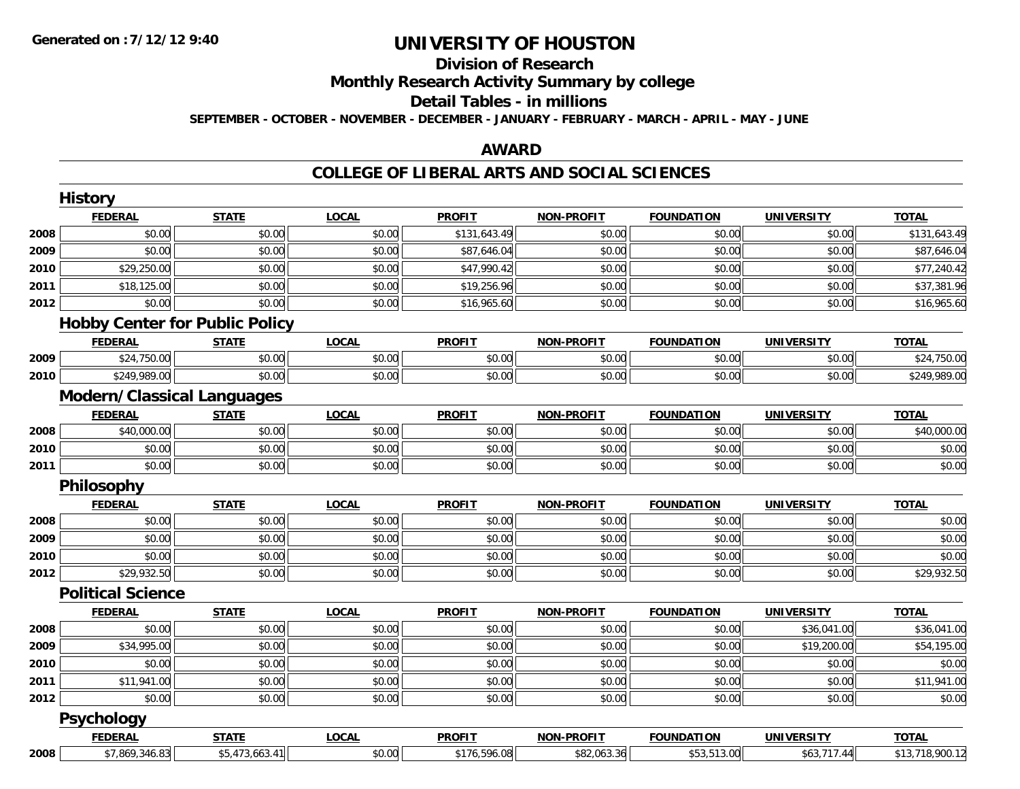# **Division of Research**

**Monthly Research Activity Summary by college**

#### **Detail Tables - in millions**

**SEPTEMBER - OCTOBER - NOVEMBER - DECEMBER - JANUARY - FEBRUARY - MARCH - APRIL - MAY - JUNE**

## **AWARD**

|      | <b>History</b>                        |                |              |               |                   |                   |                   |                         |
|------|---------------------------------------|----------------|--------------|---------------|-------------------|-------------------|-------------------|-------------------------|
|      | <b>FEDERAL</b>                        | <b>STATE</b>   | <b>LOCAL</b> | <b>PROFIT</b> | <b>NON-PROFIT</b> | <b>FOUNDATION</b> | <b>UNIVERSITY</b> | <b>TOTAL</b>            |
| 2008 | \$0.00                                | \$0.00         | \$0.00       | \$131,643.49  | \$0.00            | \$0.00            | \$0.00            | \$131,643.49            |
| 2009 | \$0.00                                | \$0.00         | \$0.00       | \$87,646.04   | \$0.00            | \$0.00            | \$0.00            | \$87,646.04             |
| 2010 | \$29,250.00                           | \$0.00         | \$0.00       | \$47,990.42   | \$0.00            | \$0.00            | \$0.00            | \$77,240.42             |
| 2011 | \$18,125.00                           | \$0.00         | \$0.00       | \$19,256.96   | \$0.00            | \$0.00            | \$0.00            | \$37,381.96             |
| 2012 | \$0.00                                | \$0.00         | \$0.00       | \$16,965.60   | \$0.00            | \$0.00            | \$0.00            | \$16,965.60             |
|      | <b>Hobby Center for Public Policy</b> |                |              |               |                   |                   |                   |                         |
|      | <b>FEDERAL</b>                        | <b>STATE</b>   | <b>LOCAL</b> | <b>PROFIT</b> | <b>NON-PROFIT</b> | <b>FOUNDATION</b> | <b>UNIVERSITY</b> | <b>TOTAL</b>            |
| 2009 | \$24,750.00                           | \$0.00         | \$0.00       | \$0.00        | \$0.00            | \$0.00            | \$0.00            | \$24,750.00             |
| 2010 | \$249,989.00                          | \$0.00         | \$0.00       | \$0.00        | \$0.00            | \$0.00            | \$0.00            | \$249,989.00            |
|      | <b>Modern/Classical Languages</b>     |                |              |               |                   |                   |                   |                         |
|      | <b>FEDERAL</b>                        | <b>STATE</b>   | <b>LOCAL</b> | <b>PROFIT</b> | <b>NON-PROFIT</b> | <b>FOUNDATION</b> | <b>UNIVERSITY</b> | <b>TOTAL</b>            |
| 2008 | \$40,000.00                           | \$0.00         | \$0.00       | \$0.00        | \$0.00            | \$0.00            | \$0.00            | \$40,000.00             |
| 2010 | \$0.00                                | \$0.00         | \$0.00       | \$0.00        | \$0.00            | \$0.00            | \$0.00            | \$0.00                  |
| 2011 | \$0.00                                | \$0.00         | \$0.00       | \$0.00        | \$0.00            | \$0.00            | \$0.00            | \$0.00                  |
|      | Philosophy                            |                |              |               |                   |                   |                   |                         |
|      | <b>FEDERAL</b>                        | <b>STATE</b>   | <b>LOCAL</b> | <b>PROFIT</b> | <b>NON-PROFIT</b> | <b>FOUNDATION</b> | <b>UNIVERSITY</b> | <b>TOTAL</b>            |
| 2008 | \$0.00                                | \$0.00         | \$0.00       | \$0.00        | \$0.00            | \$0.00            | \$0.00            | \$0.00                  |
| 2009 | \$0.00                                | \$0.00         | \$0.00       | \$0.00        | \$0.00            | \$0.00            | \$0.00            | \$0.00                  |
| 2010 | \$0.00                                | \$0.00         | \$0.00       | \$0.00        | \$0.00            | \$0.00            | \$0.00            | \$0.00                  |
| 2012 | \$29,932.50                           | \$0.00         | \$0.00       | \$0.00        | \$0.00            | \$0.00            | \$0.00            | \$29,932.50             |
|      | <b>Political Science</b>              |                |              |               |                   |                   |                   |                         |
|      | <b>FEDERAL</b>                        | <b>STATE</b>   | <b>LOCAL</b> | <b>PROFIT</b> | <b>NON-PROFIT</b> | <b>FOUNDATION</b> | <b>UNIVERSITY</b> | <b>TOTAL</b>            |
| 2008 | \$0.00                                | \$0.00         | \$0.00       | \$0.00        | \$0.00            | \$0.00            | \$36,041.00       | $\overline{$36,041.00}$ |
| 2009 | \$34,995.00                           | \$0.00         | \$0.00       | \$0.00        | \$0.00            | \$0.00            | \$19,200.00       | \$54,195.00             |
| 2010 | \$0.00                                | \$0.00         | \$0.00       | \$0.00        | \$0.00            | \$0.00            | \$0.00            | \$0.00                  |
| 2011 | \$11,941.00                           | \$0.00         | \$0.00       | \$0.00        | \$0.00            | \$0.00            | \$0.00            | \$11,941.00             |
| 2012 | \$0.00                                | \$0.00         | \$0.00       | \$0.00        | \$0.00            | \$0.00            | \$0.00            | \$0.00                  |
|      | Psychology                            |                |              |               |                   |                   |                   |                         |
|      | <b>FEDERAL</b>                        | <b>STATE</b>   | <b>LOCAL</b> | <b>PROFIT</b> | <b>NON-PROFIT</b> | <b>FOUNDATION</b> | <b>UNIVERSITY</b> | <b>TOTAL</b>            |
| 2008 | \$7,869,346.83                        | \$5,473,663.41 | \$0.00       | \$176,596.08  | \$82,063.36       | \$53,513.00       | \$63,717.44       | \$13,718,900.12         |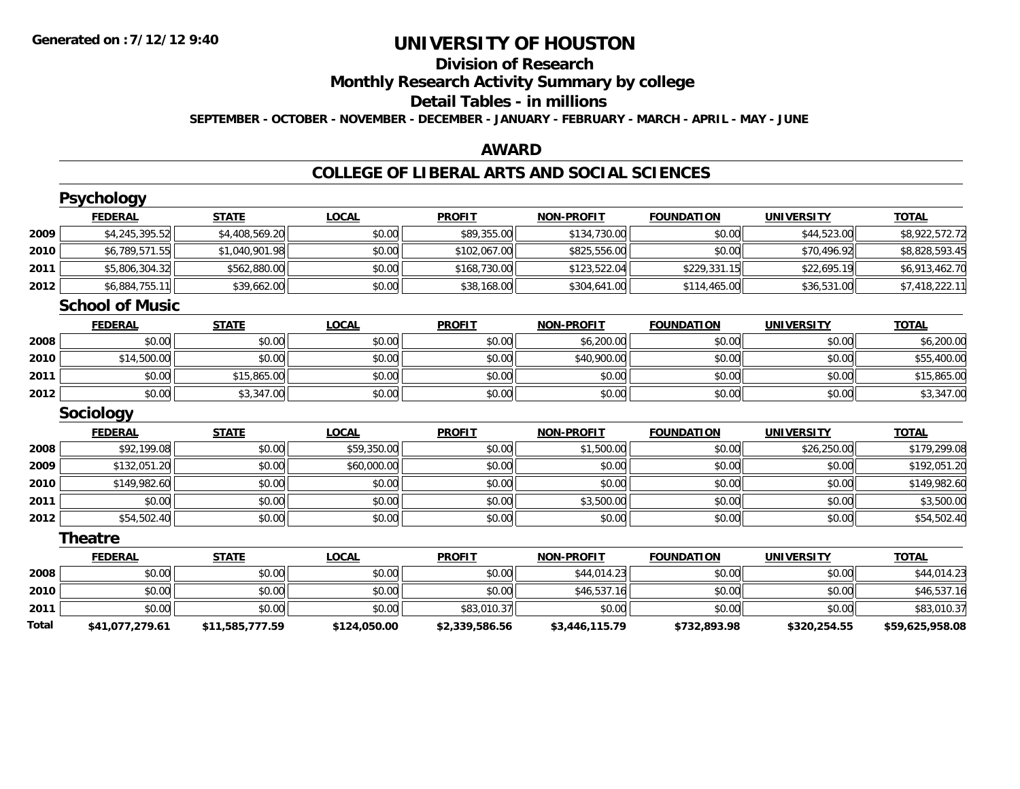# **Division of Research**

**Monthly Research Activity Summary by college**

### **Detail Tables - in millions**

**SEPTEMBER - OCTOBER - NOVEMBER - DECEMBER - JANUARY - FEBRUARY - MARCH - APRIL - MAY - JUNE**

## **AWARD**

|       | <b>Psychology</b>      |                 |              |                |                   |                   |                   |                 |
|-------|------------------------|-----------------|--------------|----------------|-------------------|-------------------|-------------------|-----------------|
|       | <b>FEDERAL</b>         | <b>STATE</b>    | <b>LOCAL</b> | <b>PROFIT</b>  | <b>NON-PROFIT</b> | <b>FOUNDATION</b> | <b>UNIVERSITY</b> | <b>TOTAL</b>    |
| 2009  | \$4,245,395.52         | \$4,408,569.20  | \$0.00       | \$89,355.00    | \$134,730.00      | \$0.00            | \$44,523.00       | \$8,922,572.72  |
| 2010  | \$6,789,571.55         | \$1,040,901.98  | \$0.00       | \$102,067.00   | \$825,556.00      | \$0.00            | \$70.496.92       | \$8,828,593.45  |
| 2011  | \$5,806,304.32         | \$562,880.00    | \$0.00       | \$168,730.00   | \$123,522.04      | \$229,331.15      | \$22,695.19       | \$6,913,462.70  |
| 2012  | \$6,884,755.11         | \$39,662.00     | \$0.00       | \$38,168.00    | \$304,641.00      | \$114,465.00      | \$36,531.00       | \$7,418,222.11  |
|       | <b>School of Music</b> |                 |              |                |                   |                   |                   |                 |
|       | <b>FEDERAL</b>         | <b>STATE</b>    | <b>LOCAL</b> | <b>PROFIT</b>  | <b>NON-PROFIT</b> | <b>FOUNDATION</b> | <b>UNIVERSITY</b> | <b>TOTAL</b>    |
| 2008  | \$0.00                 | \$0.00          | \$0.00       | \$0.00         | \$6,200.00        | \$0.00            | \$0.00            | \$6,200.00      |
| 2010  | \$14,500.00            | \$0.00          | \$0.00       | \$0.00         | \$40,900.00       | \$0.00            | \$0.00            | \$55,400.00     |
| 2011  | \$0.00                 | \$15,865.00     | \$0.00       | \$0.00         | \$0.00            | \$0.00            | \$0.00            | \$15,865.00     |
| 2012  | \$0.00                 | \$3,347.00      | \$0.00       | \$0.00         | \$0.00            | \$0.00            | \$0.00            | \$3,347.00      |
|       | <b>Sociology</b>       |                 |              |                |                   |                   |                   |                 |
|       | <b>FEDERAL</b>         | <b>STATE</b>    | <b>LOCAL</b> | <b>PROFIT</b>  | <b>NON-PROFIT</b> | <b>FOUNDATION</b> | <b>UNIVERSITY</b> | <b>TOTAL</b>    |
| 2008  | \$92,199.08            | \$0.00          | \$59,350.00  | \$0.00         | \$1,500.00        | \$0.00            | \$26,250.00       | \$179,299.08    |
| 2009  | \$132,051.20           | \$0.00          | \$60,000.00  | \$0.00         | \$0.00            | \$0.00            | \$0.00            | \$192,051.20    |
| 2010  | \$149,982.60           | \$0.00          | \$0.00       | \$0.00         | \$0.00            | \$0.00            | \$0.00            | \$149,982.60    |
| 2011  | \$0.00                 | \$0.00          | \$0.00       | \$0.00         | \$3,500.00        | \$0.00            | \$0.00            | \$3,500.00      |
| 2012  | \$54,502.40            | \$0.00          | \$0.00       | \$0.00         | \$0.00            | \$0.00            | \$0.00            | \$54,502.40     |
|       | <b>Theatre</b>         |                 |              |                |                   |                   |                   |                 |
|       | <b>FEDERAL</b>         | <b>STATE</b>    | <b>LOCAL</b> | <b>PROFIT</b>  | <b>NON-PROFIT</b> | <b>FOUNDATION</b> | <b>UNIVERSITY</b> | <b>TOTAL</b>    |
| 2008  | \$0.00                 | \$0.00          | \$0.00       | \$0.00         | \$44,014.23       | \$0.00            | \$0.00            | \$44,014.23     |
| 2010  | \$0.00                 | \$0.00          | \$0.00       | \$0.00         | \$46,537.16       | \$0.00            | \$0.00            | \$46,537.16     |
| 2011  | \$0.00                 | \$0.00          | \$0.00       | \$83,010.37    | \$0.00            | \$0.00            | \$0.00            | \$83,010.37     |
| Total | \$41,077,279.61        | \$11,585,777.59 | \$124,050.00 | \$2,339,586.56 | \$3,446,115.79    | \$732,893.98      | \$320,254.55      | \$59,625,958.08 |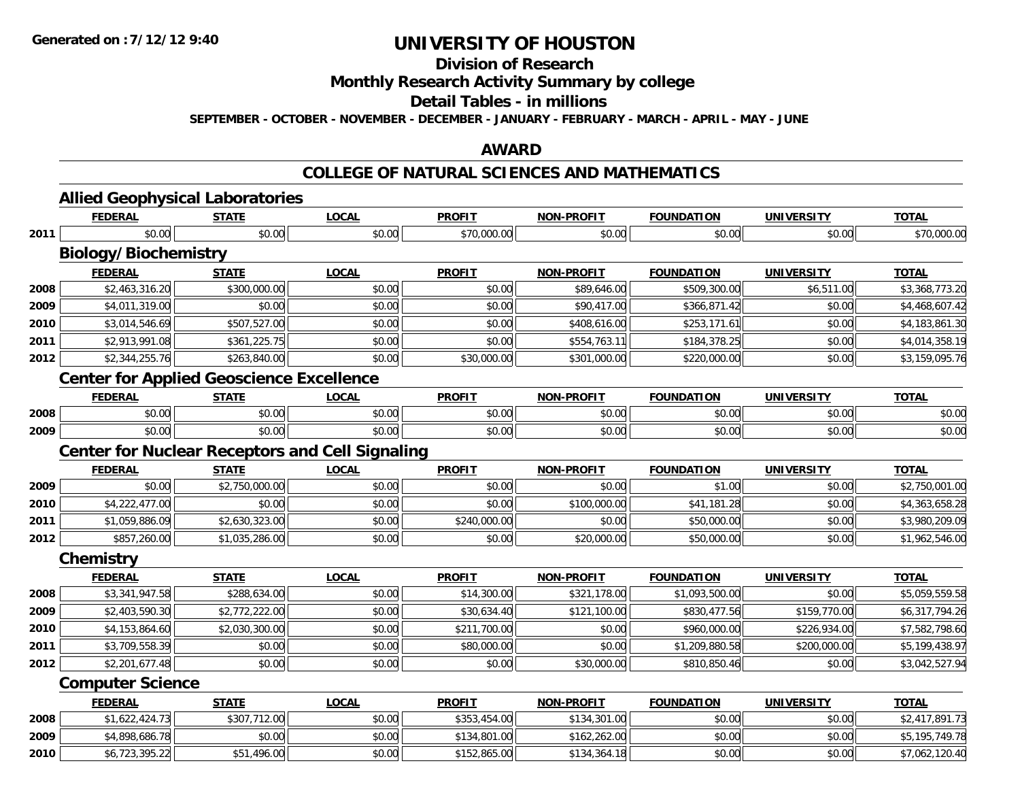# **Division of Research**

## **Monthly Research Activity Summary by college**

### **Detail Tables - in millions**

**SEPTEMBER - OCTOBER - NOVEMBER - DECEMBER - JANUARY - FEBRUARY - MARCH - APRIL - MAY - JUNE**

### **AWARD**

### **COLLEGE OF NATURAL SCIENCES AND MATHEMATICS**

|      | <b>FEDERAL</b>              | <b>STATE</b>                                    | <b>LOCAL</b>                                           | <b>PROFIT</b> | <b>NON-PROFIT</b> | <b>FOUNDATION</b>        | <b>UNIVERSITY</b> | <b>TOTAL</b>   |
|------|-----------------------------|-------------------------------------------------|--------------------------------------------------------|---------------|-------------------|--------------------------|-------------------|----------------|
| 2011 | \$0.00                      | \$0.00                                          | \$0.00                                                 | \$70,000.00   | \$0.00            | \$0.00                   | \$0.00            | \$70,000.00    |
|      | <b>Biology/Biochemistry</b> |                                                 |                                                        |               |                   |                          |                   |                |
|      | <b>FEDERAL</b>              | <b>STATE</b>                                    | <b>LOCAL</b>                                           | <b>PROFIT</b> | <b>NON-PROFIT</b> | <b>FOUNDATION</b>        | <b>UNIVERSITY</b> | <b>TOTAL</b>   |
| 2008 | \$2,463,316.20              | \$300,000.00                                    | \$0.00                                                 | \$0.00        | \$89,646.00       | \$509,300.00             | \$6,511.00        | \$3,368,773.20 |
| 2009 | \$4,011,319.00              | \$0.00                                          | \$0.00                                                 | \$0.00        | \$90,417.00       | \$366,871.42             | \$0.00            | \$4,468,607.42 |
| 2010 | \$3,014,546.69              | \$507,527.00                                    | \$0.00                                                 | \$0.00        | \$408,616.00      | \$253,171.61             | \$0.00            | \$4,183,861.30 |
| 2011 | \$2,913,991.08              | \$361,225.75                                    | \$0.00                                                 | \$0.00        | \$554,763.11      | \$184,378.25             | \$0.00            | \$4,014,358.19 |
| 2012 | \$2,344,255.76              | \$263,840.00                                    | \$0.00                                                 | \$30,000.00   | \$301,000.00      | \$220,000.00             | \$0.00            | \$3,159,095.76 |
|      |                             | <b>Center for Applied Geoscience Excellence</b> |                                                        |               |                   |                          |                   |                |
|      | <b>FEDERAL</b>              | <b>STATE</b>                                    | <b>LOCAL</b>                                           | <b>PROFIT</b> | <b>NON-PROFIT</b> | <b>FOUNDATION</b>        | <b>UNIVERSITY</b> | <b>TOTAL</b>   |
| 2008 | \$0.00                      | \$0.00                                          | \$0.00                                                 | \$0.00        | \$0.00            | \$0.00                   | \$0.00            | \$0.00         |
| 2009 | \$0.00                      | \$0.00                                          | \$0.00                                                 | \$0.00        | \$0.00            | \$0.00                   | \$0.00            | \$0.00         |
|      |                             |                                                 | <b>Center for Nuclear Receptors and Cell Signaling</b> |               |                   |                          |                   |                |
|      | <b>FEDERAL</b>              | <b>STATE</b>                                    | <b>LOCAL</b>                                           | <b>PROFIT</b> | <b>NON-PROFIT</b> | <b>FOUNDATION</b>        | <b>UNIVERSITY</b> | <b>TOTAL</b>   |
| 2009 | \$0.00                      | \$2,750,000.00                                  | \$0.00                                                 | \$0.00        | \$0.00            | \$1.00                   | \$0.00            | \$2,750,001.00 |
| 2010 | \$4,222,477.00              | \$0.00                                          | \$0.00                                                 | \$0.00        | \$100,000.00      | \$41,181.28              | \$0.00            | \$4,363,658.28 |
| 2011 | \$1,059,886.09              | \$2,630,323.00                                  | \$0.00                                                 | \$240,000.00  | \$0.00            | \$50,000.00              | \$0.00            | \$3,980,209.09 |
| 2012 | \$857,260.00                | \$1,035,286.00                                  | \$0.00                                                 | \$0.00        | \$20,000.00       | \$50,000.00              | \$0.00            | \$1,962,546.00 |
|      | Chemistry                   |                                                 |                                                        |               |                   |                          |                   |                |
|      | <b>FEDERAL</b>              | <b>STATE</b>                                    | <b>LOCAL</b>                                           | <b>PROFIT</b> | <b>NON-PROFIT</b> | <b>FOUNDATION</b>        | <b>UNIVERSITY</b> | <b>TOTAL</b>   |
| 2008 | \$3,341,947.58              | \$288,634.00                                    | \$0.00                                                 | \$14,300.00   | \$321,178.00      | \$1,093,500.00           | \$0.00            | \$5,059,559.58 |
| 2009 | \$2,403,590.30              | \$2,772,222.00                                  | \$0.00                                                 | \$30,634.40   | \$121,100.00      | \$830,477.56             | \$159,770.00      | \$6,317,794.26 |
| 2010 | \$4,153,864.60              | \$2,030,300.00                                  | \$0.00                                                 | \$211,700.00  | \$0.00            | $\overline{$960,000.00}$ | \$226,934.00      | \$7,582,798.60 |
| 2011 | \$3,709,558.39              | \$0.00                                          | \$0.00                                                 | \$80,000.00   | \$0.00            | \$1,209,880.58           | \$200,000.00      | \$5,199,438.97 |
| 2012 | \$2,201,677.48              | \$0.00                                          | \$0.00                                                 | \$0.00        | \$30,000.00       | \$810,850.46             | \$0.00            | \$3,042,527.94 |
|      | <b>Computer Science</b>     |                                                 |                                                        |               |                   |                          |                   |                |
|      | <b>FEDERAL</b>              | <b>STATE</b>                                    | <b>LOCAL</b>                                           | <b>PROFIT</b> | <b>NON-PROFIT</b> | <b>FOUNDATION</b>        | <b>UNIVERSITY</b> | <b>TOTAL</b>   |
| 2008 | \$1,622,424.73              | \$307,712.00                                    | \$0.00                                                 | \$353,454.00  | \$134,301.00      | \$0.00                   | \$0.00            | \$2,417,891.73 |
| 2009 | \$4,898,686.78              | \$0.00                                          | \$0.00                                                 | \$134,801.00  | \$162,262.00      | \$0.00                   | \$0.00            | \$5,195,749.78 |
| 2010 | \$6,723,395.22              | \$51,496.00                                     | \$0.00                                                 | \$152,865.00  | \$134,364.18      | \$0.00                   | \$0.00            | \$7,062,120.40 |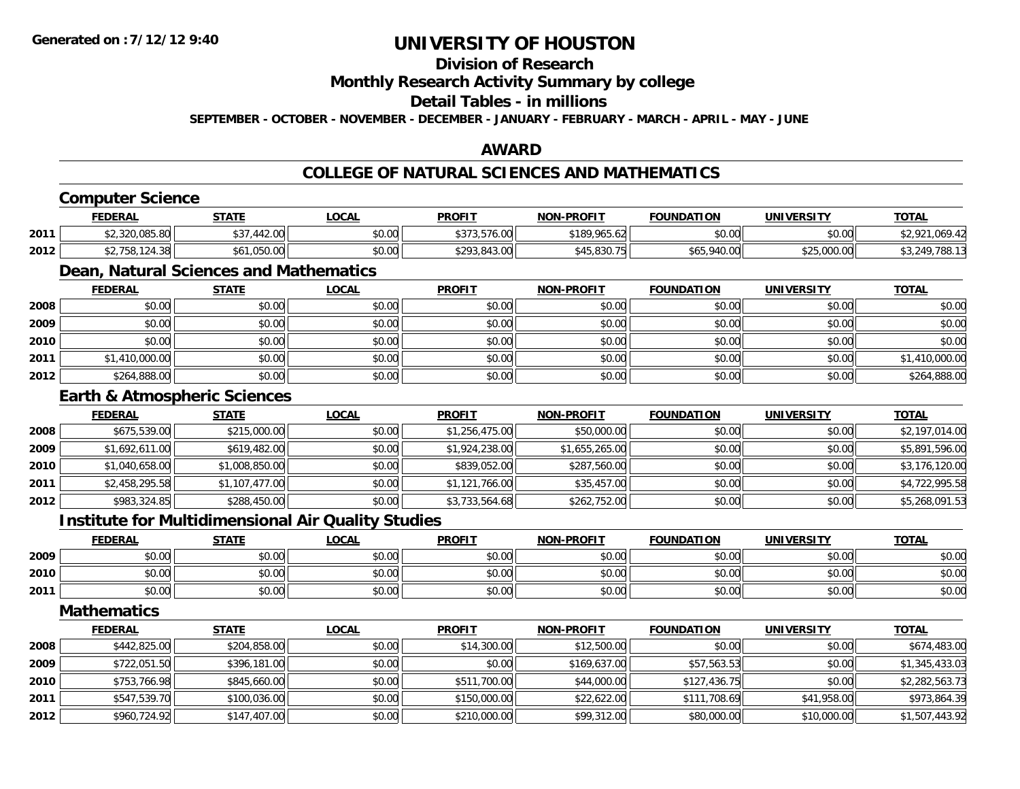## **Division of Research**

**Monthly Research Activity Summary by college**

#### **Detail Tables - in millions**

**SEPTEMBER - OCTOBER - NOVEMBER - DECEMBER - JANUARY - FEBRUARY - MARCH - APRIL - MAY - JUNE**

## **AWARD**

## **COLLEGE OF NATURAL SCIENCES AND MATHEMATICS**

## **Computer Science**

|      | <b>FEDERAL</b>                                          | STATE                                              | LOCAL                                 | <b>PROFIT</b>                         | NON-PROFIT                         | <b>FOUNDATION</b> | UNIVERSITY           | <b>TOTAL</b>               |
|------|---------------------------------------------------------|----------------------------------------------------|---------------------------------------|---------------------------------------|------------------------------------|-------------------|----------------------|----------------------------|
| 2011 | $\sim$ $\sim$ $\sim$ $\sim$ $\sim$ $\sim$<br>ZU.U83.8UI | $\uparrow$ $\uparrow$<br>11000<br>51.442.06<br>ى ر | $\mathsf{A} \cap \mathsf{A}$<br>JU.UU | $\sim$ $\sim$ $\sim$<br>FT/OM<br>، رو | \$189.965.<br>$\sqrt{2}$<br>100.02 | \$0.00            | \$0.00               | uu :                       |
| 2012 | 147.JU                                                  | <b>OEO</b>                                         | nn nn<br>JU.UU                        | $+00$<br>.843.00<br>∽∠ہ               | \$45,830.75                        | \$65,940<br>40.00 | 0.000<br>\$25,000.00 | 700<br>249<br>788<br>JJ.ZT |

## **Dean, Natural Sciences and Mathematics**

|      | <b>FEDERAL</b> | <u>STATE</u> | <u>LOCAL</u> | <b>PROFIT</b> | <b>NON-PROFIT</b> | <b>FOUNDATION</b> | <b>UNIVERSITY</b> | <b>TOTAL</b>   |
|------|----------------|--------------|--------------|---------------|-------------------|-------------------|-------------------|----------------|
| 2008 | \$0.00         | \$0.00       | \$0.00       | \$0.00        | \$0.00            | \$0.00            | \$0.00            | \$0.00         |
| 2009 | \$0.00         | \$0.00       | \$0.00       | \$0.00        | \$0.00            | \$0.00            | \$0.00            | \$0.00         |
| 2010 | \$0.00         | \$0.00       | \$0.00       | \$0.00        | \$0.00            | \$0.00            | \$0.00            | \$0.00         |
| 2011 | \$1,410,000.00 | \$0.00       | \$0.00       | \$0.00        | \$0.00            | \$0.00            | \$0.00            | \$1,410,000.00 |
| 2012 | \$264,888.00   | \$0.00       | \$0.00       | \$0.00        | \$0.00            | \$0.00            | \$0.00            | \$264,888.00   |

### **Earth & Atmospheric Sciences**

|      | <b>FEDERAL</b> | <b>STATE</b>   | <b>LOCAL</b> | <b>PROFIT</b>  | <b>NON-PROFIT</b> | <b>FOUNDATION</b> | <b>UNIVERSITY</b> | <b>TOTAL</b>   |
|------|----------------|----------------|--------------|----------------|-------------------|-------------------|-------------------|----------------|
| 2008 | \$675,539.00   | \$215,000.00   | \$0.00       | \$1,256,475.00 | \$50,000.00       | \$0.00            | \$0.00            | \$2,197,014.00 |
| 2009 | \$1,692,611.00 | \$619,482.00   | \$0.00       | \$1,924,238.00 | \$1,655,265.00    | \$0.00            | \$0.00            | \$5,891,596.00 |
| 2010 | \$1,040,658.00 | \$1,008,850.00 | \$0.00       | \$839,052.00   | \$287,560.00      | \$0.00            | \$0.00            | \$3,176,120.00 |
| 2011 | \$2,458,295.58 | \$1,107,477.00 | \$0.00       | \$1,121,766.00 | \$35,457.00       | \$0.00            | \$0.00            | \$4,722,995.58 |
| 2012 | \$983,324.85   | \$288,450.00   | \$0.00       | \$3,733,564.68 | \$262,752.00      | \$0.00            | \$0.00            | \$5,268,091.53 |

## **Institute for Multidimensional Air Quality Studies**

|      | <b>FEDERAL</b> | <b>STATE</b> | <u>LOCAL</u> | <b>PROFIT</b> | <b>NON-PROFIT</b> | <b>FOUNDATION</b> | <b>UNIVERSITY</b> | <b>TOTAL</b> |
|------|----------------|--------------|--------------|---------------|-------------------|-------------------|-------------------|--------------|
| 2009 | \$0.00         | \$0.00       | \$0.00       | \$0.00        | \$0.00            | \$0.00            | \$0.00            | \$0.00       |
| 2010 | \$0.00         | \$0.00       | \$0.00       | \$0.00        | \$0.00            | \$0.00            | \$0.00            | \$0.00       |
| 2011 | \$0.00         | \$0.00       | \$0.00       | \$0.00        | \$0.00            | \$0.00            | \$0.00            | \$0.00       |

### **Mathematics**

|      | <b>FEDERAL</b> | <b>STATE</b> | <u>LOCAL</u> | <b>PROFIT</b> | <b>NON-PROFIT</b> | <b>FOUNDATION</b> | <b>UNIVERSITY</b> | <b>TOTAL</b>   |
|------|----------------|--------------|--------------|---------------|-------------------|-------------------|-------------------|----------------|
| 2008 | \$442,825.00   | \$204,858.00 | \$0.00       | \$14,300.00   | \$12,500.00       | \$0.00            | \$0.00            | \$674,483.00   |
| 2009 | \$722,051.50   | \$396,181.00 | \$0.00       | \$0.00        | \$169,637.00      | \$57,563.53       | \$0.00            | \$1,345,433.03 |
| 2010 | \$753,766.98   | \$845,660.00 | \$0.00       | \$511,700.00  | \$44,000.00       | \$127,436.75      | \$0.00            | \$2,282,563.73 |
| 2011 | \$547,539.70   | \$100,036.00 | \$0.00       | \$150,000.00  | \$22,622.00       | \$111,708.69      | \$41,958.00       | \$973,864.39   |
| 2012 | \$960,724.92   | \$147,407.00 | \$0.00       | \$210,000.00  | \$99,312.00       | \$80,000.00       | \$10,000.00       | \$1,507,443.92 |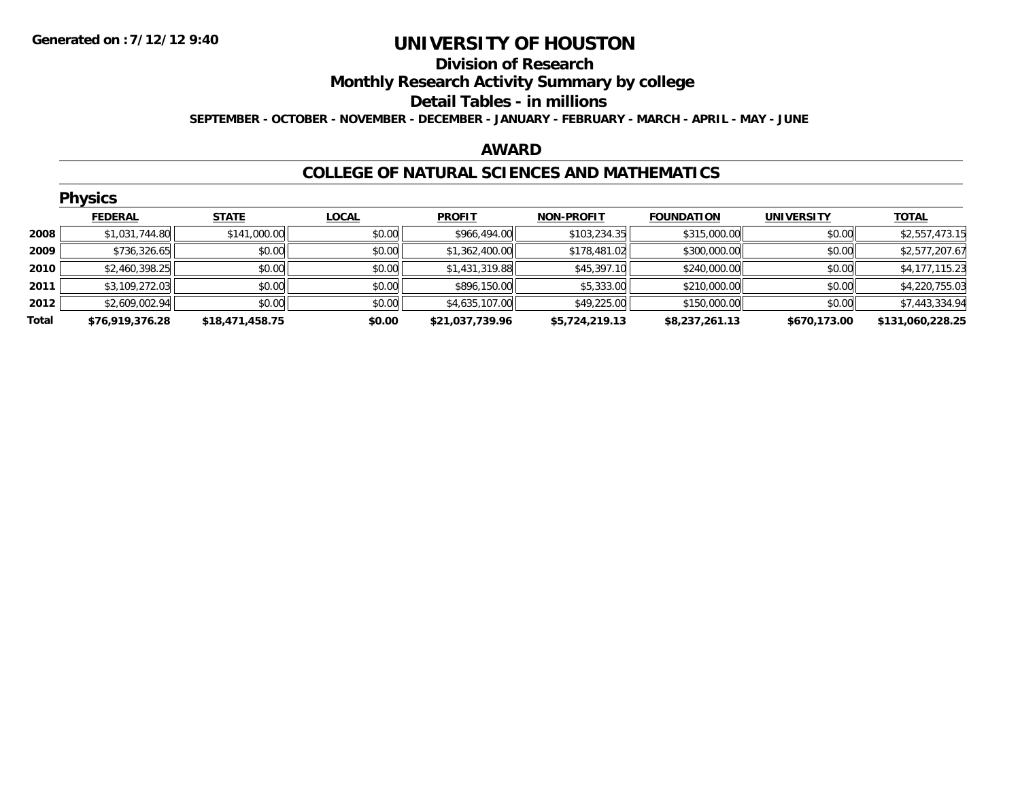### **Division of Research Monthly Research Activity Summary by college**

### **Detail Tables - in millions**

**SEPTEMBER - OCTOBER - NOVEMBER - DECEMBER - JANUARY - FEBRUARY - MARCH - APRIL - MAY - JUNE**

### **AWARD**

## **COLLEGE OF NATURAL SCIENCES AND MATHEMATICS**

|       | <b>Physics</b>  |                 |              |                 |                   |                   |                   |                  |  |  |  |  |
|-------|-----------------|-----------------|--------------|-----------------|-------------------|-------------------|-------------------|------------------|--|--|--|--|
|       | <b>FEDERAL</b>  | <b>STATE</b>    | <b>LOCAL</b> | <b>PROFIT</b>   | <b>NON-PROFIT</b> | <b>FOUNDATION</b> | <b>UNIVERSITY</b> | <b>TOTAL</b>     |  |  |  |  |
| 2008  | \$1,031,744.80  | \$141,000.00    | \$0.00       | \$966,494.00    | \$103,234.35      | \$315,000.00      | \$0.00            | \$2,557,473.15   |  |  |  |  |
| 2009  | \$736,326.65    | \$0.00          | \$0.00       | \$1,362,400.00  | \$178,481.02      | \$300,000.00      | \$0.00            | \$2,577,207.67   |  |  |  |  |
| 2010  | \$2,460,398.25  | \$0.00          | \$0.00       | \$1,431,319.88  | \$45,397.10       | \$240,000.00      | \$0.00            | \$4,177,115.23   |  |  |  |  |
| 2011  | \$3,109,272.03  | \$0.00          | \$0.00       | \$896,150.00    | \$5,333.00        | \$210,000.00      | \$0.00            | \$4,220,755.03   |  |  |  |  |
| 2012  | \$2,609,002.94  | \$0.00          | \$0.00       | \$4,635,107.00  | \$49,225.00       | \$150,000.00      | \$0.00            | \$7,443,334.94   |  |  |  |  |
| Total | \$76,919,376.28 | \$18,471,458.75 | \$0.00       | \$21,037,739.96 | \$5,724,219.13    | \$8,237,261.13    | \$670,173.00      | \$131,060,228.25 |  |  |  |  |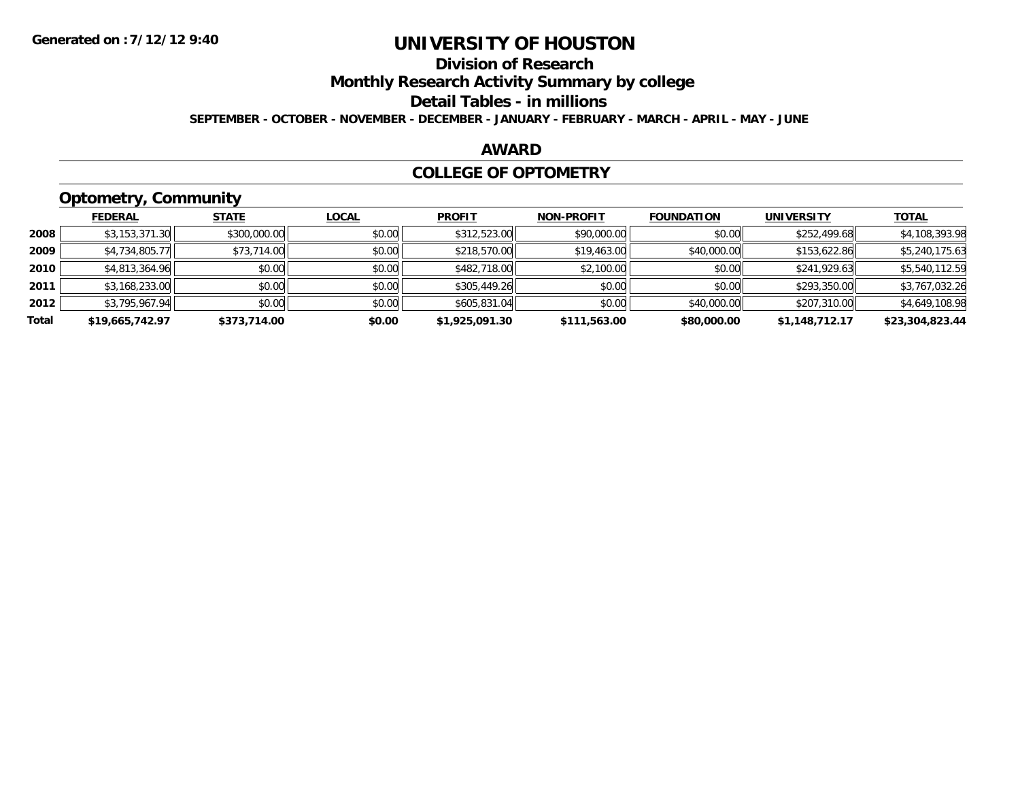# **Division of Research**

**Monthly Research Activity Summary by college**

#### **Detail Tables - in millions**

**SEPTEMBER - OCTOBER - NOVEMBER - DECEMBER - JANUARY - FEBRUARY - MARCH - APRIL - MAY - JUNE**

### **AWARD**

### **COLLEGE OF OPTOMETRY**

# **Optometry, Community**

|       | .               |              |              |                |                   |                   |                   |                 |
|-------|-----------------|--------------|--------------|----------------|-------------------|-------------------|-------------------|-----------------|
|       | <b>FEDERAL</b>  | <b>STATE</b> | <b>LOCAL</b> | <b>PROFIT</b>  | <b>NON-PROFIT</b> | <b>FOUNDATION</b> | <b>UNIVERSITY</b> | <b>TOTAL</b>    |
| 2008  | \$3,153,371.30  | \$300,000.00 | \$0.00       | \$312,523.00   | \$90,000.00       | \$0.00            | \$252,499.68      | \$4,108,393.98  |
| 2009  | \$4,734,805.77  | \$73,714.00  | \$0.00       | \$218,570.00   | \$19,463.00       | \$40,000.00       | \$153,622.86      | \$5,240,175.63  |
| 2010  | \$4,813,364.96  | \$0.00       | \$0.00       | \$482,718.00   | \$2,100.00        | \$0.00            | \$241,929.63      | \$5,540,112.59  |
| 2011  | \$3,168,233.00  | \$0.00       | \$0.00       | \$305,449.26   | \$0.00            | \$0.00            | \$293,350.00      | \$3,767,032.26  |
| 2012  | \$3,795,967.94  | \$0.00       | \$0.00       | \$605,831.04   | \$0.00            | \$40,000.00       | \$207,310.00      | \$4,649,108.98  |
| Total | \$19,665,742.97 | \$373,714.00 | \$0.00       | \$1,925,091.30 | \$111,563.00      | \$80,000.00       | \$1,148,712.17    | \$23,304,823.44 |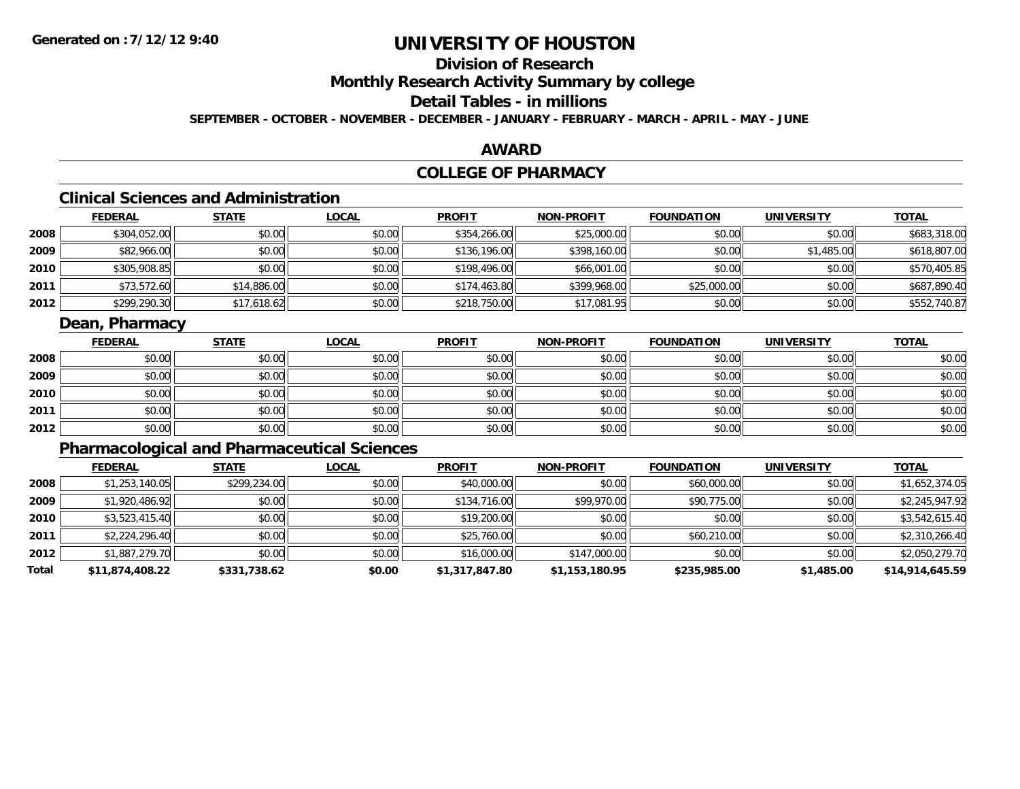# **Division of Research**

**Monthly Research Activity Summary by college**

## **Detail Tables - in millions**

**SEPTEMBER - OCTOBER - NOVEMBER - DECEMBER - JANUARY - FEBRUARY - MARCH - APRIL - MAY - JUNE**

### **AWARD**

# **COLLEGE OF PHARMACY**

# **Clinical Sciences and Administration**

|      | <b>FEDERAL</b> | <u>STATE</u> | <b>LOCAL</b> | <b>PROFIT</b> | <b>NON-PROFIT</b> | <b>FOUNDATION</b> | <b>UNIVERSITY</b> | <b>TOTAL</b> |
|------|----------------|--------------|--------------|---------------|-------------------|-------------------|-------------------|--------------|
| 2008 | \$304,052.00   | \$0.00       | \$0.00       | \$354,266.00  | \$25,000.00       | \$0.00            | \$0.00            | \$683,318.00 |
| 2009 | \$82,966.00    | \$0.00       | \$0.00       | \$136,196.00  | \$398,160.00      | \$0.00            | \$1,485.00        | \$618,807.00 |
| 2010 | \$305,908.85   | \$0.00       | \$0.00       | \$198,496.00  | \$66,001.00       | \$0.00            | \$0.00            | \$570,405.85 |
| 2011 | \$73,572.60    | \$14,886.00  | \$0.00       | \$174,463.80  | \$399,968.00      | \$25,000.00       | \$0.00            | \$687,890.40 |
| 2012 | \$299,290.30   | \$17,618.62  | \$0.00       | \$218,750.00  | \$17,081.95       | \$0.00            | \$0.00            | \$552,740.87 |

## **Dean, Pharmacy**

|      | <u>FEDERAL</u> | <b>STATE</b> | <u>LOCAL</u> | <b>PROFIT</b> | <b>NON-PROFIT</b> | <b>FOUNDATION</b> | <b>UNIVERSITY</b> | <b>TOTAL</b> |
|------|----------------|--------------|--------------|---------------|-------------------|-------------------|-------------------|--------------|
| 2008 | \$0.00         | \$0.00       | \$0.00       | \$0.00        | \$0.00            | \$0.00            | \$0.00            | \$0.00       |
| 2009 | \$0.00         | \$0.00       | \$0.00       | \$0.00        | \$0.00            | \$0.00            | \$0.00            | \$0.00       |
| 2010 | \$0.00         | \$0.00       | \$0.00       | \$0.00        | \$0.00            | \$0.00            | \$0.00            | \$0.00       |
| 2011 | \$0.00         | \$0.00       | \$0.00       | \$0.00        | \$0.00            | \$0.00            | \$0.00            | \$0.00       |
| 2012 | \$0.00         | \$0.00       | \$0.00       | \$0.00        | \$0.00            | \$0.00            | \$0.00            | \$0.00       |

# **Pharmacological and Pharmaceutical Sciences**

|       | <b>FEDERAL</b>  | <b>STATE</b> | <b>LOCAL</b> | <b>PROFIT</b>  | <b>NON-PROFIT</b> | <b>FOUNDATION</b> | <b>UNIVERSITY</b> | <u>TOTAL</u>    |
|-------|-----------------|--------------|--------------|----------------|-------------------|-------------------|-------------------|-----------------|
| 2008  | \$1,253,140.05  | \$299,234.00 | \$0.00       | \$40,000.00    | \$0.00            | \$60,000.00       | \$0.00            | \$1,652,374.05  |
| 2009  | \$1,920,486.92  | \$0.00       | \$0.00       | \$134,716.00   | \$99,970.00       | \$90,775.00       | \$0.00            | \$2,245,947.92  |
| 2010  | \$3,523,415.40  | \$0.00       | \$0.00       | \$19,200.00    | \$0.00            | \$0.00            | \$0.00            | \$3,542,615.40  |
| 2011  | \$2,224,296.40  | \$0.00       | \$0.00       | \$25,760.00    | \$0.00            | \$60,210.00       | \$0.00            | \$2,310,266.40  |
| 2012  | \$1,887,279.70  | \$0.00       | \$0.00       | \$16,000.00    | \$147,000.00      | \$0.00            | \$0.00            | \$2,050,279.70  |
| Total | \$11,874,408.22 | \$331,738.62 | \$0.00       | \$1,317,847.80 | \$1,153,180.95    | \$235,985.00      | \$1,485.00        | \$14,914,645.59 |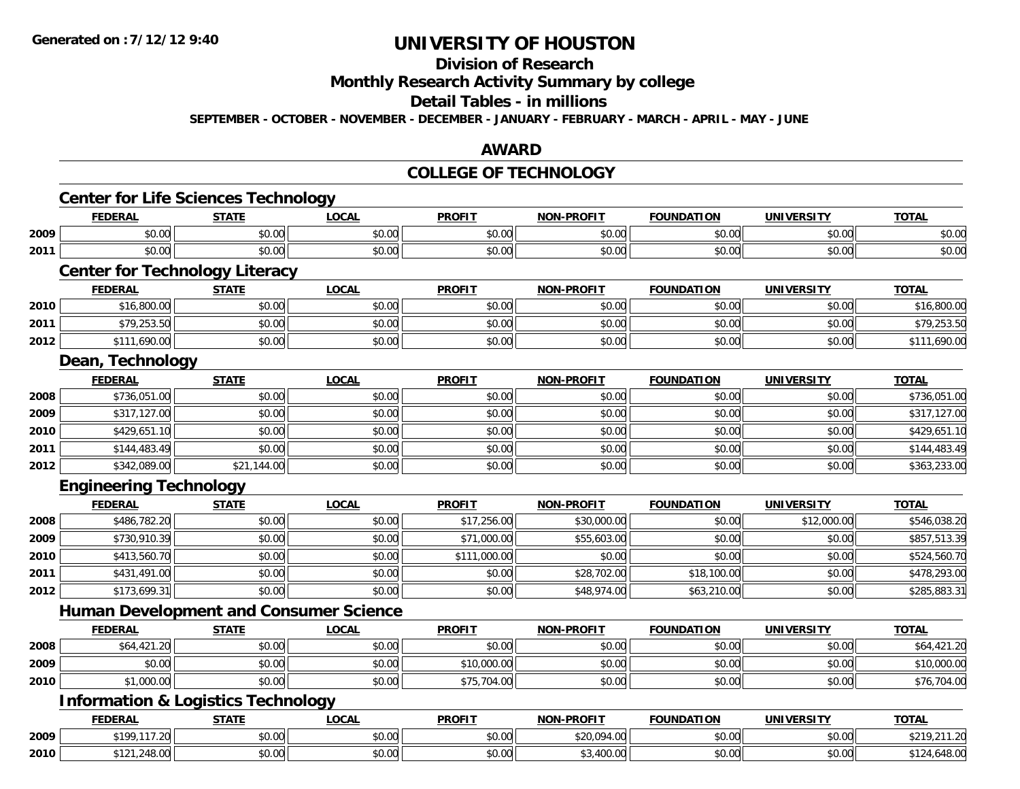# **Division of Research**

**Monthly Research Activity Summary by college**

#### **Detail Tables - in millions**

**SEPTEMBER - OCTOBER - NOVEMBER - DECEMBER - JANUARY - FEBRUARY - MARCH - APRIL - MAY - JUNE**

### **AWARD**

### **COLLEGE OF TECHNOLOGY**

|      | <b>FEDERAL</b>                                | <b>STATE</b> | <b>LOCAL</b> | <b>PROFIT</b> | <b>NON-PROFIT</b> | <b>FOUNDATION</b> | <b>UNIVERSITY</b> | <b>TOTAL</b> |
|------|-----------------------------------------------|--------------|--------------|---------------|-------------------|-------------------|-------------------|--------------|
| 2009 | \$0.00                                        | \$0.00       | \$0.00       | \$0.00        | \$0.00            | \$0.00            | \$0.00            | \$0.00       |
| 2011 | \$0.00                                        | \$0.00       | \$0.00       | \$0.00        | \$0.00            | \$0.00            | \$0.00            | \$0.00       |
|      | <b>Center for Technology Literacy</b>         |              |              |               |                   |                   |                   |              |
|      | <b>FEDERAL</b>                                | <b>STATE</b> | <b>LOCAL</b> | <b>PROFIT</b> | <b>NON-PROFIT</b> | <b>FOUNDATION</b> | <b>UNIVERSITY</b> | <b>TOTAL</b> |
| 2010 | \$16,800.00                                   | \$0.00       | \$0.00       | \$0.00        | \$0.00            | \$0.00            | \$0.00            | \$16,800.00  |
| 2011 | \$79,253.50                                   | \$0.00       | \$0.00       | \$0.00        | \$0.00            | \$0.00            | \$0.00            | \$79,253.50  |
| 2012 | \$111,690.00                                  | \$0.00       | \$0.00       | \$0.00        | \$0.00            | \$0.00            | \$0.00            | \$111,690.00 |
|      | Dean, Technology                              |              |              |               |                   |                   |                   |              |
|      | <b>FEDERAL</b>                                | <b>STATE</b> | <b>LOCAL</b> | <b>PROFIT</b> | <b>NON-PROFIT</b> | <b>FOUNDATION</b> | <b>UNIVERSITY</b> | <b>TOTAL</b> |
| 2008 | \$736,051.00                                  | \$0.00       | \$0.00       | \$0.00        | \$0.00            | \$0.00            | \$0.00            | \$736,051.00 |
| 2009 | \$317,127.00                                  | \$0.00       | \$0.00       | \$0.00        | \$0.00            | \$0.00            | \$0.00            | \$317,127.00 |
| 2010 | \$429,651.10                                  | \$0.00       | \$0.00       | \$0.00        | \$0.00            | \$0.00            | \$0.00            | \$429,651.10 |
| 2011 | \$144,483.49                                  | \$0.00       | \$0.00       | \$0.00        | \$0.00            | \$0.00            | \$0.00            | \$144,483.49 |
| 2012 | \$342,089.00                                  | \$21,144.00  | \$0.00       | \$0.00        | \$0.00            | \$0.00            | \$0.00            | \$363,233.00 |
|      | <b>Engineering Technology</b>                 |              |              |               |                   |                   |                   |              |
|      | <b>FEDERAL</b>                                | <b>STATE</b> | <b>LOCAL</b> | <b>PROFIT</b> | <b>NON-PROFIT</b> | <b>FOUNDATION</b> | <b>UNIVERSITY</b> | <b>TOTAL</b> |
| 2008 | \$486,782.20                                  | \$0.00       | \$0.00       | \$17,256.00   | \$30,000.00       | \$0.00            | \$12,000.00       | \$546,038.20 |
| 2009 | \$730,910.39                                  | \$0.00       | \$0.00       | \$71,000.00   | \$55,603.00       | \$0.00            | \$0.00            | \$857,513.39 |
| 2010 | \$413,560.70                                  | \$0.00       | \$0.00       | \$111,000.00  | \$0.00            | \$0.00            | \$0.00            | \$524,560.70 |
| 2011 | \$431,491.00                                  | \$0.00       | \$0.00       | \$0.00        | \$28,702.00       | \$18,100.00       | \$0.00            | \$478,293.00 |
| 2012 | \$173,699.31                                  | \$0.00       | \$0.00       | \$0.00        | \$48,974.00       | \$63,210.00       | \$0.00            | \$285,883.31 |
|      | <b>Human Development and Consumer Science</b> |              |              |               |                   |                   |                   |              |
|      | <b>FEDERAL</b>                                | <b>STATE</b> | <b>LOCAL</b> | <b>PROFIT</b> | <b>NON-PROFIT</b> | <b>FOUNDATION</b> | <b>UNIVERSITY</b> | <b>TOTAL</b> |
| 2008 | \$64,421.20                                   | \$0.00       | \$0.00       | \$0.00        | \$0.00            | \$0.00            | \$0.00            | \$64,421.20  |
| 2009 | \$0.00                                        | \$0.00       | \$0.00       | \$10,000.00   | \$0.00            | \$0.00            | \$0.00            | \$10,000.00  |
| 2010 | \$1,000.00                                    | \$0.00       | \$0.00       | \$75,704.00   | \$0.00            | \$0.00            | \$0.00            | \$76,704.00  |
|      | <b>Information &amp; Logistics Technology</b> |              |              |               |                   |                   |                   |              |
|      | <b>FEDERAL</b>                                | <b>STATE</b> | <b>LOCAL</b> | <b>PROFIT</b> | <b>NON-PROFIT</b> | <b>FOUNDATION</b> | <b>UNIVERSITY</b> | <b>TOTAL</b> |
|      | \$199,117.20                                  | \$0.00       | \$0.00       | \$0.00        | \$20,094.00       | \$0.00            | \$0.00            | \$219,211.20 |
| 2009 |                                               |              |              |               |                   |                   |                   |              |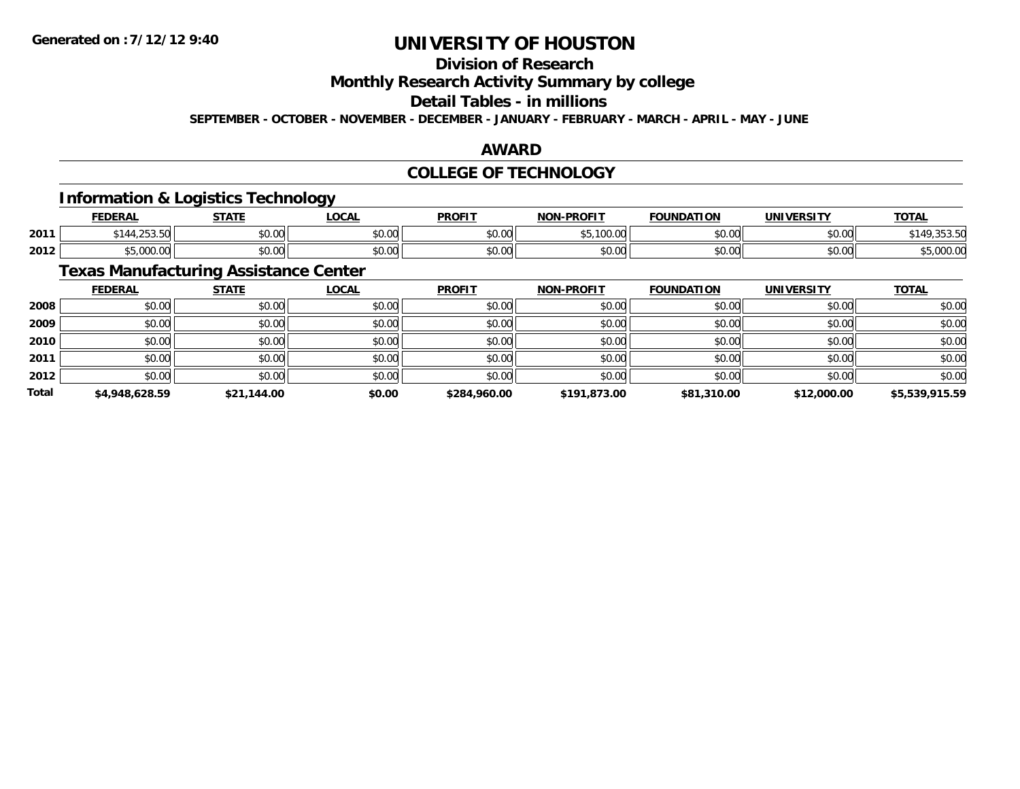# **Division of Research**

**Monthly Research Activity Summary by college**

### **Detail Tables - in millions**

**SEPTEMBER - OCTOBER - NOVEMBER - DECEMBER - JANUARY - FEBRUARY - MARCH - APRIL - MAY - JUNE**

## **AWARD**

## **COLLEGE OF TECHNOLOGY**

## **Information & Logistics Technology**

|      | EENEDA<br>ERA                          | <b>СТЛТІ</b>   | <b>LOCAL</b>                              | <b>PROFIT</b> | <b>-PROFIT</b><br>NON  | <b>DATION</b><br><b>FOUND</b> | UNIVERSITY<br>. R. 31 | <b>TOTAL</b> |
|------|----------------------------------------|----------------|-------------------------------------------|---------------|------------------------|-------------------------------|-----------------------|--------------|
| 2011 | $\sim$ $\sim$ $\sim$<br>.<br>1.2.1.1.1 | ሶስ ስስ<br>וטטוע | $\uparrow$ $\uparrow$ $\uparrow$<br>JU.UU | \$0.00        | * -<br>,,,,,,,,<br>. ب | \$0.00                        | \$0.00                | ,,,,,,,,     |
| 2012 | $\Omega$                               | 0.00<br>JU.UU  | 0.00<br><b>DU.UU</b>                      | \$0.00        | $\sim$ 00<br>JU.UU     | \$0.00                        | \$0.00                | ,uuu.u       |

## **Texas Manufacturing Assistance Center**

|              | <b>FEDERAL</b> | <b>STATE</b> | <u>LOCAL</u> | <b>PROFIT</b> | <b>NON-PROFIT</b> | <b>FOUNDATION</b> | <b>UNIVERSITY</b> | <b>TOTAL</b>   |
|--------------|----------------|--------------|--------------|---------------|-------------------|-------------------|-------------------|----------------|
| 2008         | \$0.00         | \$0.00       | \$0.00       | \$0.00        | \$0.00            | \$0.00            | \$0.00            | \$0.00         |
| 2009         | \$0.00         | \$0.00       | \$0.00       | \$0.00        | \$0.00            | \$0.00            | \$0.00            | \$0.00         |
| 2010         | \$0.00         | \$0.00       | \$0.00       | \$0.00        | \$0.00            | \$0.00            | \$0.00            | \$0.00         |
| 2011         | \$0.00         | \$0.00       | \$0.00       | \$0.00        | \$0.00            | \$0.00            | \$0.00            | \$0.00         |
| 2012         | \$0.00         | \$0.00       | \$0.00       | \$0.00        | \$0.00            | \$0.00            | \$0.00            | \$0.00         |
| <b>Total</b> | \$4,948,628.59 | \$21,144.00  | \$0.00       | \$284,960.00  | \$191,873.00      | \$81,310.00       | \$12,000.00       | \$5,539,915.59 |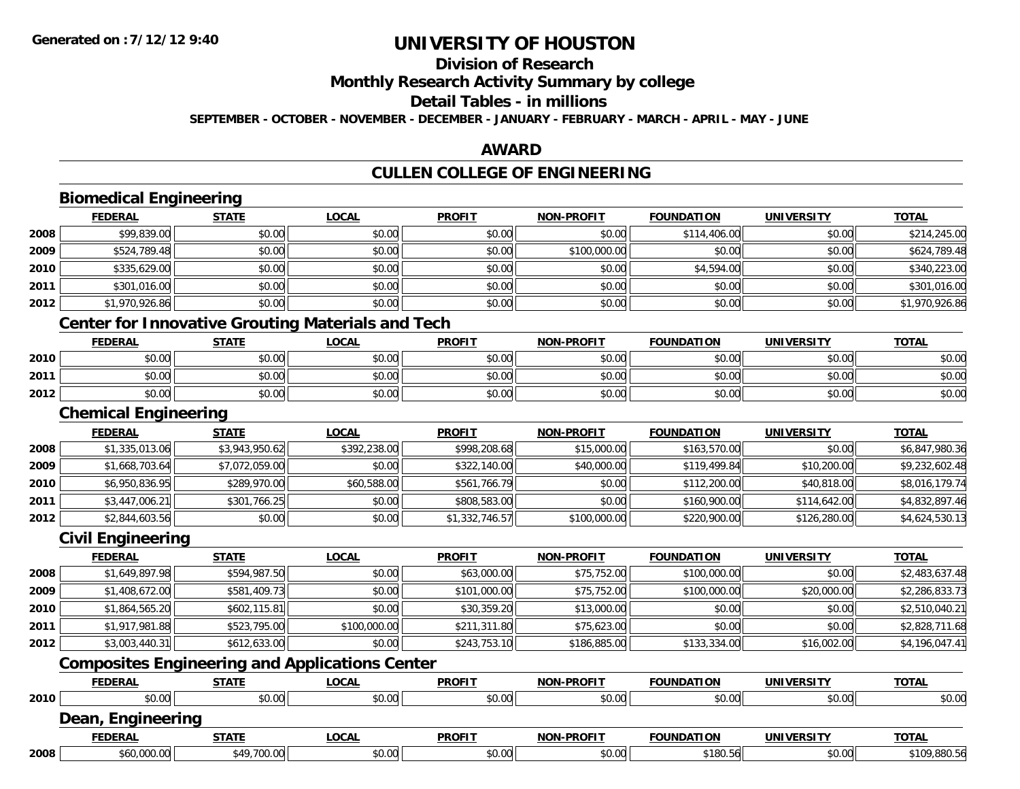# **Division of Research**

**Monthly Research Activity Summary by college**

#### **Detail Tables - in millions**

**SEPTEMBER - OCTOBER - NOVEMBER - DECEMBER - JANUARY - FEBRUARY - MARCH - APRIL - MAY - JUNE**

## **AWARD**

## **CULLEN COLLEGE OF ENGINEERING**

|      | <b>FEDERAL</b>                                           | <b>STATE</b>   | <b>LOCAL</b> | <b>PROFIT</b>  | <b>NON-PROFIT</b> | <b>FOUNDATION</b> | <b>UNIVERSITY</b> | <b>TOTAL</b>   |
|------|----------------------------------------------------------|----------------|--------------|----------------|-------------------|-------------------|-------------------|----------------|
| 2008 | \$99,839.00                                              | \$0.00         | \$0.00       | \$0.00         | \$0.00            | \$114,406.00      | \$0.00            | \$214,245.00   |
| 2009 | \$524,789.48                                             | \$0.00         | \$0.00       | \$0.00         | \$100,000.00      | \$0.00            | \$0.00            | \$624,789.48   |
| 2010 | \$335,629.00                                             | \$0.00         | \$0.00       | \$0.00         | \$0.00            | \$4,594.00        | \$0.00            | \$340,223.00   |
| 2011 | \$301,016.00                                             | \$0.00         | \$0.00       | \$0.00         | \$0.00            | \$0.00            | \$0.00            | \$301,016.00   |
| 2012 | \$1,970,926.86                                           | \$0.00         | \$0.00       | \$0.00         | \$0.00            | \$0.00            | \$0.00            | \$1,970,926.86 |
|      | <b>Center for Innovative Grouting Materials and Tech</b> |                |              |                |                   |                   |                   |                |
|      | <b>FEDERAL</b>                                           | <b>STATE</b>   | <b>LOCAL</b> | <b>PROFIT</b>  | <b>NON-PROFIT</b> | <b>FOUNDATION</b> | <b>UNIVERSITY</b> | <b>TOTAL</b>   |
| 2010 | \$0.00                                                   | \$0.00         | \$0.00       | \$0.00         | \$0.00            | \$0.00            | \$0.00            | \$0.00         |
| 2011 | \$0.00                                                   | \$0.00         | \$0.00       | \$0.00         | \$0.00            | \$0.00            | \$0.00            | \$0.00         |
| 2012 | \$0.00                                                   | \$0.00         | \$0.00       | \$0.00         | \$0.00            | \$0.00            | \$0.00            | \$0.00         |
|      | <b>Chemical Engineering</b>                              |                |              |                |                   |                   |                   |                |
|      | <b>FEDERAL</b>                                           | <b>STATE</b>   | <b>LOCAL</b> | <b>PROFIT</b>  | <b>NON-PROFIT</b> | <b>FOUNDATION</b> | <b>UNIVERSITY</b> | <b>TOTAL</b>   |
| 2008 | \$1,335,013.06                                           | \$3,943,950.62 | \$392,238.00 | \$998,208.68   | \$15,000.00       | \$163,570.00      | \$0.00            | \$6,847,980.36 |
| 2009 | \$1,668,703.64                                           | \$7,072,059.00 | \$0.00       | \$322,140.00   | \$40,000.00       | \$119,499.84      | \$10,200.00       | \$9,232,602.48 |
| 2010 | \$6,950,836.95                                           | \$289,970.00   | \$60,588.00  | \$561,766.79   | \$0.00            | \$112,200.00      | \$40,818.00       | \$8,016,179.74 |
| 2011 | \$3,447,006.21                                           | \$301,766.25   | \$0.00       | \$808,583.00   | \$0.00            | \$160,900.00      | \$114,642.00      | \$4,832,897.46 |
| 2012 | \$2,844,603.56                                           | \$0.00         | \$0.00       | \$1,332,746.57 | \$100,000.00      | \$220,900.00      | \$126,280.00      | \$4,624,530.13 |
|      | <b>Civil Engineering</b>                                 |                |              |                |                   |                   |                   |                |
|      | <b>FEDERAL</b>                                           | <b>STATE</b>   | <b>LOCAL</b> | <b>PROFIT</b>  | <b>NON-PROFIT</b> | <b>FOUNDATION</b> | <b>UNIVERSITY</b> | <b>TOTAL</b>   |
| 2008 | \$1,649,897.98                                           | \$594,987.50   | \$0.00       | \$63,000.00    | \$75,752.00       | \$100,000.00      | \$0.00            | \$2,483,637.48 |
| 2009 | \$1,408,672.00                                           | \$581,409.73   | \$0.00       | \$101,000.00   | \$75,752.00       | \$100,000.00      | \$20,000.00       | \$2,286,833.73 |
| 2010 | \$1,864,565.20                                           | \$602,115.81   | \$0.00       | \$30,359.20    | \$13,000.00       | \$0.00            | \$0.00            | \$2,510,040.21 |
| 2011 | \$1,917,981.88                                           | \$523,795.00   | \$100,000.00 | \$211,311.80   | \$75,623.00       | \$0.00            | \$0.00            | \$2,828,711.68 |
| 2012 | \$3,003,440.31                                           | \$612,633.00   | \$0.00       | \$243,753.10   | \$186,885.00      | \$133,334.00      | \$16,002.00       | \$4,196,047.41 |
|      | <b>Composites Engineering and Applications Center</b>    |                |              |                |                   |                   |                   |                |
|      | <b>FEDERAL</b>                                           | <b>STATE</b>   | <b>LOCAL</b> | <b>PROFIT</b>  | <b>NON-PROFIT</b> | <b>FOUNDATION</b> | <b>UNIVERSITY</b> | <b>TOTAL</b>   |
| 2010 | \$0.00                                                   | \$0.00         | \$0.00       | \$0.00         | \$0.00            | \$0.00            | \$0.00            | \$0.00         |
|      | Dean, Engineering                                        |                |              |                |                   |                   |                   |                |
|      | <b>FEDERAL</b>                                           | <b>STATE</b>   | <b>LOCAL</b> | <b>PROFIT</b>  | <b>NON-PROFIT</b> | <b>FOUNDATION</b> | <b>UNIVERSITY</b> | <b>TOTAL</b>   |
| 2008 | \$60,000.00                                              | \$49,700.00    | \$0.00       | \$0.00         | \$0.00            | \$180.56          | \$0.00            | \$109,880.56   |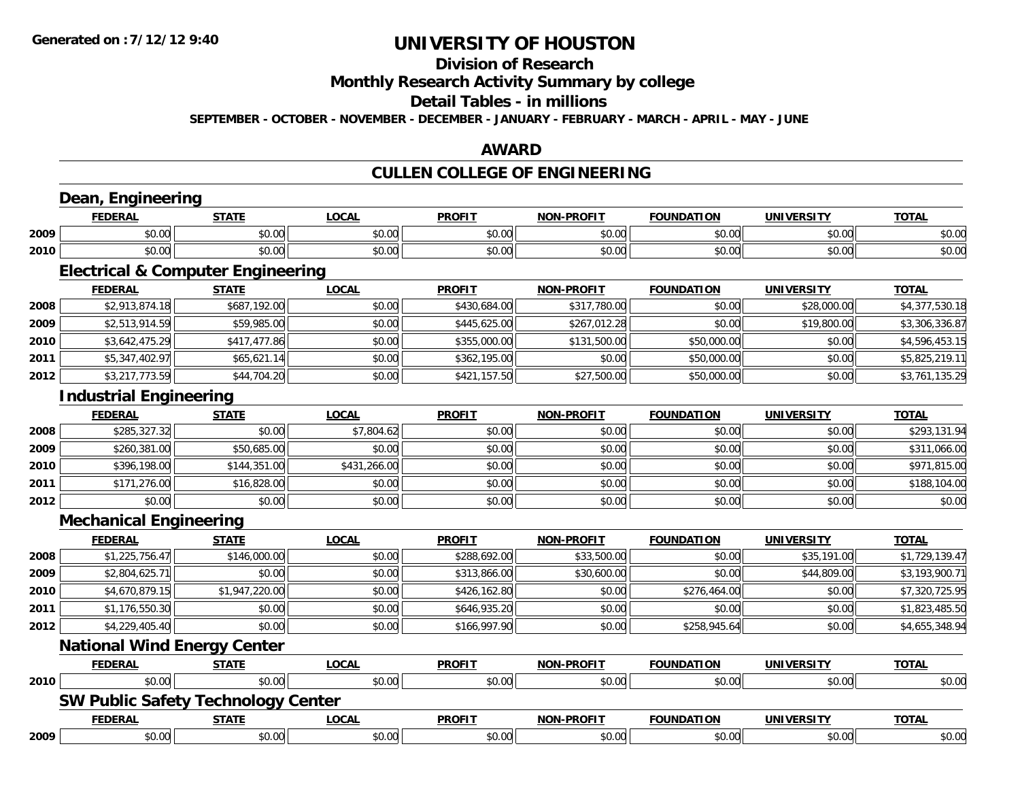# **Division of Research**

# **Monthly Research Activity Summary by college**

### **Detail Tables - in millions**

**SEPTEMBER - OCTOBER - NOVEMBER - DECEMBER - JANUARY - FEBRUARY - MARCH - APRIL - MAY - JUNE**

### **AWARD**

# **CULLEN COLLEGE OF ENGINEERING**

|      | Dean, Engineering                            |                |              |               |                   |                   |                   |                |
|------|----------------------------------------------|----------------|--------------|---------------|-------------------|-------------------|-------------------|----------------|
|      | <b>FEDERAL</b>                               | <b>STATE</b>   | <b>LOCAL</b> | <b>PROFIT</b> | <b>NON-PROFIT</b> | <b>FOUNDATION</b> | <b>UNIVERSITY</b> | <b>TOTAL</b>   |
| 2009 | \$0.00                                       | \$0.00         | \$0.00       | \$0.00        | \$0.00            | \$0.00            | \$0.00            | \$0.00         |
| 2010 | \$0.00                                       | \$0.00         | \$0.00       | \$0.00        | \$0.00            | \$0.00            | \$0.00            | \$0.00         |
|      | <b>Electrical &amp; Computer Engineering</b> |                |              |               |                   |                   |                   |                |
|      | <b>FEDERAL</b>                               | <b>STATE</b>   | <b>LOCAL</b> | <b>PROFIT</b> | <b>NON-PROFIT</b> | <b>FOUNDATION</b> | <b>UNIVERSITY</b> | <b>TOTAL</b>   |
| 2008 | \$2,913,874.18                               | \$687,192.00   | \$0.00       | \$430,684.00  | \$317,780.00      | \$0.00            | \$28,000.00       | \$4,377,530.18 |
| 2009 | \$2,513,914.59                               | \$59,985.00    | \$0.00       | \$445,625.00  | \$267,012.28      | \$0.00            | \$19,800.00       | \$3,306,336.87 |
| 2010 | \$3,642,475.29                               | \$417,477.86   | \$0.00       | \$355,000.00  | \$131,500.00      | \$50,000.00       | \$0.00            | \$4,596,453.15 |
| 2011 | \$5,347,402.97                               | \$65,621.14    | \$0.00       | \$362,195.00  | \$0.00            | \$50,000.00       | \$0.00            | \$5,825,219.11 |
| 2012 | \$3,217,773.59                               | \$44,704.20    | \$0.00       | \$421,157.50  | \$27,500.00       | \$50,000.00       | \$0.00            | \$3,761,135.29 |
|      | <b>Industrial Engineering</b>                |                |              |               |                   |                   |                   |                |
|      | <b>FEDERAL</b>                               | <b>STATE</b>   | <b>LOCAL</b> | <b>PROFIT</b> | <b>NON-PROFIT</b> | <b>FOUNDATION</b> | <b>UNIVERSITY</b> | <b>TOTAL</b>   |
| 2008 | \$285,327.32                                 | \$0.00         | \$7,804.62   | \$0.00        | \$0.00            | \$0.00            | \$0.00            | \$293,131.94   |
| 2009 | \$260,381.00                                 | \$50,685.00    | \$0.00       | \$0.00        | \$0.00            | \$0.00            | \$0.00            | \$311,066.00   |
| 2010 | \$396,198.00                                 | \$144,351.00   | \$431,266.00 | \$0.00        | \$0.00            | \$0.00            | \$0.00            | \$971,815.00   |
| 2011 | \$171,276.00                                 | \$16,828.00    | \$0.00       | \$0.00        | \$0.00            | \$0.00            | \$0.00            | \$188,104.00   |
| 2012 | \$0.00                                       | \$0.00         | \$0.00       | \$0.00        | \$0.00            | \$0.00            | \$0.00            | \$0.00         |
|      | <b>Mechanical Engineering</b>                |                |              |               |                   |                   |                   |                |
|      | <b>FEDERAL</b>                               | <b>STATE</b>   | <b>LOCAL</b> | <b>PROFIT</b> | <b>NON-PROFIT</b> | <b>FOUNDATION</b> | <b>UNIVERSITY</b> | <b>TOTAL</b>   |
| 2008 | \$1,225,756.47                               | \$146,000.00   | \$0.00       | \$288,692.00  | \$33,500.00       | \$0.00            | \$35,191.00       | \$1,729,139.47 |
| 2009 | \$2,804,625.71                               | \$0.00         | \$0.00       | \$313,866.00  | \$30,600.00       | \$0.00            | \$44,809.00       | \$3,193,900.71 |
| 2010 | \$4,670,879.15                               | \$1,947,220.00 | \$0.00       | \$426,162.80  | \$0.00            | \$276,464.00      | \$0.00            | \$7,320,725.95 |
| 2011 | \$1,176,550.30                               | \$0.00         | \$0.00       | \$646,935.20  | \$0.00            | \$0.00            | \$0.00            | \$1,823,485.50 |
| 2012 | \$4,229,405.40                               | \$0.00         | \$0.00       | \$166,997.90  | \$0.00            | \$258,945.64      | \$0.00            | \$4,655,348.94 |
|      | <b>National Wind Energy Center</b>           |                |              |               |                   |                   |                   |                |
|      | <b>FEDERAL</b>                               | <b>STATE</b>   | <b>LOCAL</b> | <b>PROFIT</b> | <b>NON-PROFIT</b> | <b>FOUNDATION</b> | <b>UNIVERSITY</b> | <b>TOTAL</b>   |
| 2010 | \$0.00                                       | \$0.00         | \$0.00       | \$0.00        | \$0.00            | \$0.00            | \$0.00            | \$0.00         |
|      | <b>SW Public Safety Technology Center</b>    |                |              |               |                   |                   |                   |                |
|      | <b>FEDERAL</b>                               | <b>STATE</b>   | <b>LOCAL</b> | <b>PROFIT</b> | <b>NON-PROFIT</b> | <b>FOUNDATION</b> | <b>UNIVERSITY</b> | <b>TOTAL</b>   |
| 2009 | \$0.00                                       | \$0.00         | \$0.00       | \$0.00        | \$0.00            | \$0.00            | \$0.00            | \$0.00         |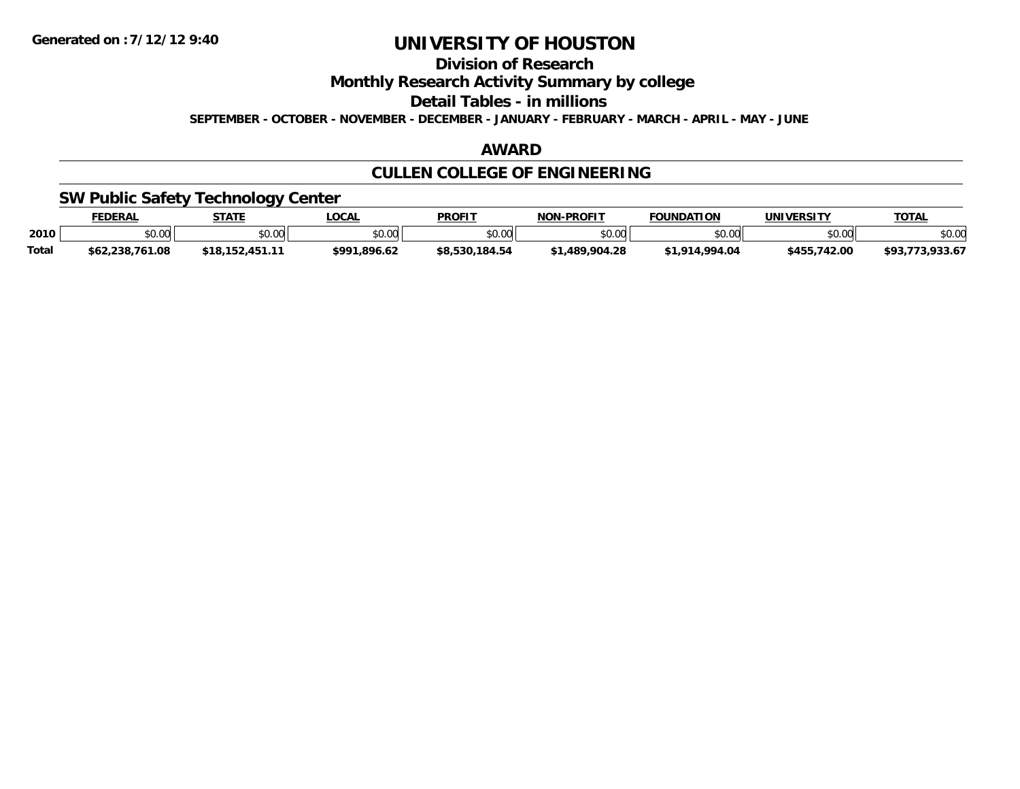**Division of Research**

**Monthly Research Activity Summary by college**

**Detail Tables - in millions**

**SEPTEMBER - OCTOBER - NOVEMBER - DECEMBER - JANUARY - FEBRUARY - MARCH - APRIL - MAY - JUNE**

## **AWARD**

# **CULLEN COLLEGE OF ENGINEERING**

## **SW Public Safety Technology Center**

|       | <b>FEDERAL</b>  | <b>STATE</b> | .OCAI        | <b>PROFIT</b>  | -PROFIT<br>NON- | <b>FOUNDATION</b>        | <b>UNIVERSITY</b> | <b>TOTAL</b>   |
|-------|-----------------|--------------|--------------|----------------|-----------------|--------------------------|-------------------|----------------|
| 2010  | \$0.00          | \$0.00       | \$0.00       | \$0.00         | \$0.00          | mn na                    | \$0.00            | \$0.00         |
| Total | \$62,238,761.08 | *18∴         | \$991.896.62 | \$8,530,184.54 | .489.904.28     | 4.994.04<br><b>¢1 01</b> | \$455,742.00      | 0.227<br>799.0 |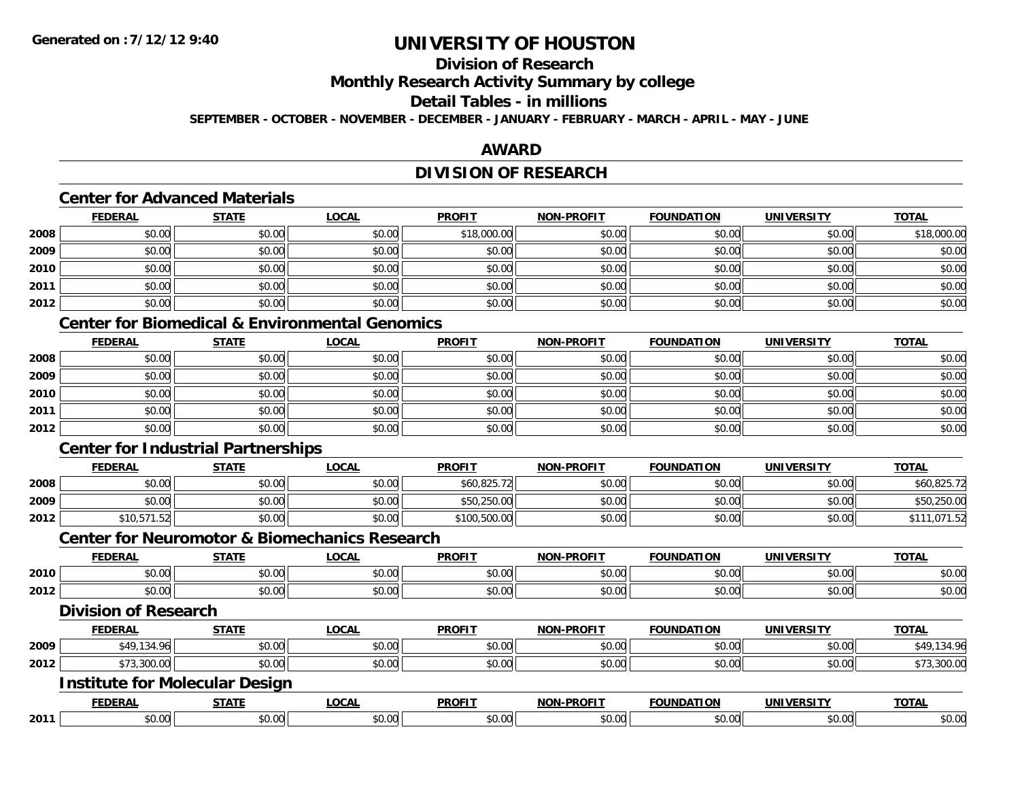## **Division of Research**

**Monthly Research Activity Summary by college**

## **Detail Tables - in millions**

**SEPTEMBER - OCTOBER - NOVEMBER - DECEMBER - JANUARY - FEBRUARY - MARCH - APRIL - MAY - JUNE**

## **AWARD**

## **DIVISION OF RESEARCH**

### **Center for Advanced Materials**

|      | <b>FEDERAL</b> | <b>STATE</b> | <b>LOCAL</b> | <b>PROFIT</b> | <b>NON-PROFIT</b> | <b>FOUNDATION</b> | <b>UNIVERSITY</b> | <b>TOTAL</b> |
|------|----------------|--------------|--------------|---------------|-------------------|-------------------|-------------------|--------------|
| 2008 | \$0.00         | \$0.00       | \$0.00       | \$18,000.00   | \$0.00            | \$0.00            | \$0.00            | \$18,000.00  |
| 2009 | \$0.00         | \$0.00       | \$0.00       | \$0.00        | \$0.00            | \$0.00            | \$0.00            | \$0.00       |
| 2010 | \$0.00         | \$0.00       | \$0.00       | \$0.00        | \$0.00            | \$0.00            | \$0.00            | \$0.00       |
| 2011 | \$0.00         | \$0.00       | \$0.00       | \$0.00        | \$0.00            | \$0.00            | \$0.00            | \$0.00       |
| 2012 | \$0.00         | \$0.00       | \$0.00       | \$0.00        | \$0.00            | \$0.00            | \$0.00            | \$0.00       |

# **Center for Biomedical & Environmental Genomics**

|      | <b>FEDERAL</b> | <b>STATE</b> | <b>LOCAL</b> | <b>PROFIT</b> | <b>NON-PROFIT</b> | <b>FOUNDATION</b> | <b>UNIVERSITY</b> | <b>TOTAL</b> |
|------|----------------|--------------|--------------|---------------|-------------------|-------------------|-------------------|--------------|
| 2008 | \$0.00         | \$0.00       | \$0.00       | \$0.00        | \$0.00            | \$0.00            | \$0.00            | \$0.00       |
| 2009 | \$0.00         | \$0.00       | \$0.00       | \$0.00        | \$0.00            | \$0.00            | \$0.00            | \$0.00       |
| 2010 | \$0.00         | \$0.00       | \$0.00       | \$0.00        | \$0.00            | \$0.00            | \$0.00            | \$0.00       |
| 2011 | \$0.00         | \$0.00       | \$0.00       | \$0.00        | \$0.00            | \$0.00            | \$0.00            | \$0.00       |
| 2012 | \$0.00         | \$0.00       | \$0.00       | \$0.00        | \$0.00            | \$0.00            | \$0.00            | \$0.00       |

## **Center for Industrial Partnerships**

|      | <b>FEDERAL</b> | <b>STATE</b> | <b>_OCAL</b> | <b>PROFIT</b> | <b>NON-PROFIT</b> | <b>FOUNDATION</b> | UNIVERSITY | <u>TOTAL</u> |
|------|----------------|--------------|--------------|---------------|-------------------|-------------------|------------|--------------|
| 2008 | \$0.00         | \$0.00       | \$0.00       | \$60,825.72   | \$0.00            | \$0.00            | \$0.00     | \$60,825.72  |
| 2009 | \$0.00         | \$0.00       | \$0.00       | \$50,250.00   | \$0.00            | \$0.00            | \$0.00     | \$50,250.00  |
| 2012 | 10,571.52      | \$0.00       | \$0.00       | \$100,500.00  | \$0.00            | \$0.00            | \$0.00     | .071.52      |

### **Center for Neuromotor & Biomechanics Research**

|      |                             |                                       | <u>UUTINI TULITUUTUI ULEEN HUITIVUTUITUU INVUVULUIT</u> |               |                   |                   |                   |              |
|------|-----------------------------|---------------------------------------|---------------------------------------------------------|---------------|-------------------|-------------------|-------------------|--------------|
|      | <b>FEDERAL</b>              | <b>STATE</b>                          | <b>LOCAL</b>                                            | <b>PROFIT</b> | <b>NON-PROFIT</b> | <b>FOUNDATION</b> | <b>UNIVERSITY</b> | <b>TOTAL</b> |
| 2010 | \$0.00                      | \$0.00                                | \$0.00                                                  | \$0.00        | \$0.00            | \$0.00            | \$0.00            | \$0.00       |
| 2012 | \$0.00                      | \$0.00                                | \$0.00                                                  | \$0.00        | \$0.00            | \$0.00            | \$0.00            | \$0.00       |
|      | <b>Division of Research</b> |                                       |                                                         |               |                   |                   |                   |              |
|      | <b>FEDERAL</b>              | <b>STATE</b>                          | <b>LOCAL</b>                                            | <b>PROFIT</b> | <b>NON-PROFIT</b> | <b>FOUNDATION</b> | <b>UNIVERSITY</b> | <b>TOTAL</b> |
| 2009 | \$49,134.96                 | \$0.00                                | \$0.00                                                  | \$0.00        | \$0.00            | \$0.00            | \$0.00            | \$49,134.96  |
| 2012 | \$73,300.00                 | \$0.00                                | \$0.00                                                  | \$0.00        | \$0.00            | \$0.00            | \$0.00            | \$73,300.00  |
|      |                             | <b>Institute for Molecular Design</b> |                                                         |               |                   |                   |                   |              |
|      |                             |                                       |                                                         |               |                   |                   |                   |              |

|      | EEDEDAI<br>-CRAL            | -----                       | _OCAI        | <b>PROFIT</b>   | $\sim$ - - - - - - $\sim$<br>וחרות<br>יםם | <b>JNDATION</b>                                    | UNIVE<br>ידו המי | $-2 - 1$<br>$\mathbf{u}$ |
|------|-----------------------------|-----------------------------|--------------|-----------------|-------------------------------------------|----------------------------------------------------|------------------|--------------------------|
| 2011 | $\ddot{\phantom{1}}$<br>טע, | $\sim$ $\sim$ $\sim$<br>ט.ט | ົດ ດ<br>U.UU | $\sim$<br>טט.טע | $\sim$ 00<br>וט.טי                        | n nnli<br>$\mathcal{L} \cap \mathcal{L}$<br>,u.uur | $\sim$<br>JU.UU  | JU.UL                    |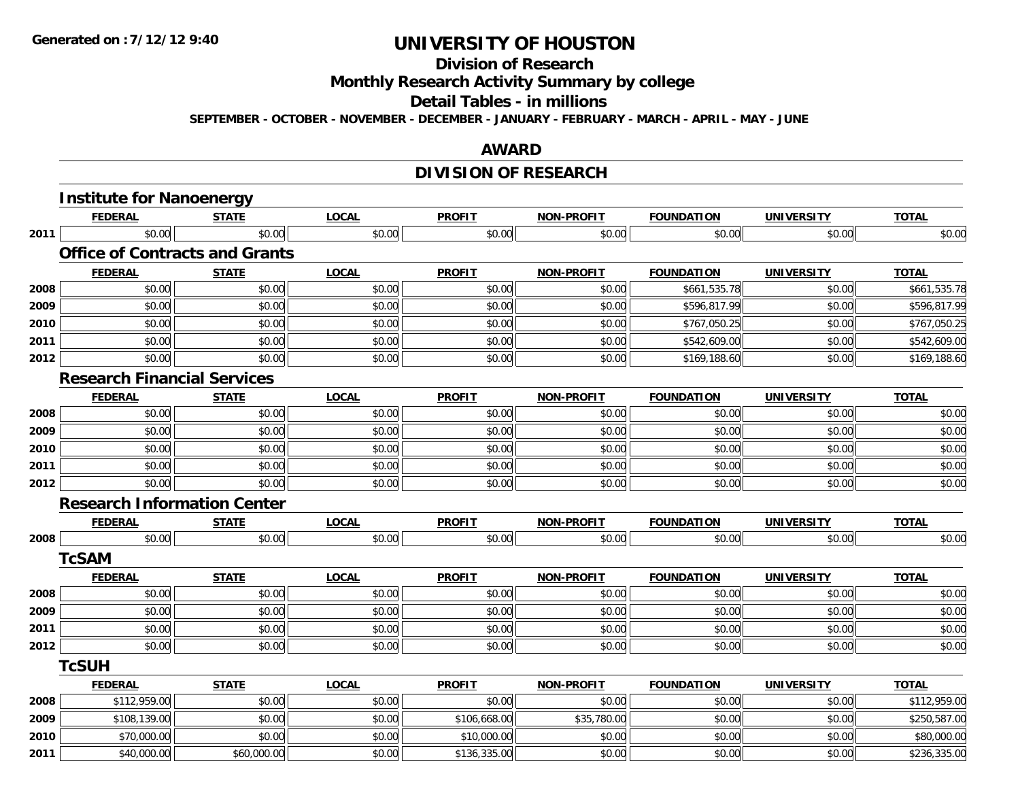# **Division of Research**

**Monthly Research Activity Summary by college**

#### **Detail Tables - in millions**

**SEPTEMBER - OCTOBER - NOVEMBER - DECEMBER - JANUARY - FEBRUARY - MARCH - APRIL - MAY - JUNE**

### **AWARD**

# **DIVISION OF RESEARCH**

|      | <b>Institute for Nanoenergy</b>       |              |              |               |                   |                   |                   |              |
|------|---------------------------------------|--------------|--------------|---------------|-------------------|-------------------|-------------------|--------------|
|      | <b>FEDERAL</b>                        | <b>STATE</b> | <b>LOCAL</b> | <b>PROFIT</b> | <b>NON-PROFIT</b> | <b>FOUNDATION</b> | <b>UNIVERSITY</b> | <b>TOTAL</b> |
| 2011 | \$0.00                                | \$0.00       | \$0.00       | \$0.00        | \$0.00            | \$0.00            | \$0.00            | \$0.00       |
|      | <b>Office of Contracts and Grants</b> |              |              |               |                   |                   |                   |              |
|      | <b>FEDERAL</b>                        | <b>STATE</b> | <b>LOCAL</b> | <b>PROFIT</b> | <b>NON-PROFIT</b> | <b>FOUNDATION</b> | <b>UNIVERSITY</b> | <b>TOTAL</b> |
| 2008 | \$0.00                                | \$0.00       | \$0.00       | \$0.00        | \$0.00            | \$661,535.78      | \$0.00            | \$661,535.78 |
| 2009 | \$0.00                                | \$0.00       | \$0.00       | \$0.00        | \$0.00            | \$596,817.99      | \$0.00            | \$596,817.99 |
| 2010 | \$0.00                                | \$0.00       | \$0.00       | \$0.00        | \$0.00            | \$767,050.25      | \$0.00            | \$767,050.25 |
| 2011 | \$0.00                                | \$0.00       | \$0.00       | \$0.00        | \$0.00            | \$542,609.00      | \$0.00            | \$542,609.00 |
| 2012 | \$0.00                                | \$0.00       | \$0.00       | \$0.00        | \$0.00            | \$169,188.60      | \$0.00            | \$169,188.60 |
|      | <b>Research Financial Services</b>    |              |              |               |                   |                   |                   |              |
|      | <b>FEDERAL</b>                        | <b>STATE</b> | <b>LOCAL</b> | <b>PROFIT</b> | <b>NON-PROFIT</b> | <b>FOUNDATION</b> | <b>UNIVERSITY</b> | <b>TOTAL</b> |
| 2008 | \$0.00                                | \$0.00       | \$0.00       | \$0.00        | \$0.00            | \$0.00            | \$0.00            | \$0.00       |
| 2009 | \$0.00                                | \$0.00       | \$0.00       | \$0.00        | \$0.00            | \$0.00            | \$0.00            | \$0.00       |
| 2010 | \$0.00                                | \$0.00       | \$0.00       | \$0.00        | \$0.00            | \$0.00            | \$0.00            | \$0.00       |
| 2011 | \$0.00                                | \$0.00       | \$0.00       | \$0.00        | \$0.00            | \$0.00            | \$0.00            | \$0.00       |
| 2012 | \$0.00                                | \$0.00       | \$0.00       | \$0.00        | \$0.00            | \$0.00            | \$0.00            | \$0.00       |
|      | <b>Research Information Center</b>    |              |              |               |                   |                   |                   |              |
|      | <b>FEDERAL</b>                        | <b>STATE</b> | <b>LOCAL</b> | <b>PROFIT</b> | <b>NON-PROFIT</b> | <b>FOUNDATION</b> | <b>UNIVERSITY</b> | <b>TOTAL</b> |
| 2008 | \$0.00                                | \$0.00       | \$0.00       | \$0.00        | \$0.00            | \$0.00            | \$0.00            | \$0.00       |
|      | <b>TcSAM</b>                          |              |              |               |                   |                   |                   |              |
|      | <b>FEDERAL</b>                        | <b>STATE</b> | <b>LOCAL</b> | <b>PROFIT</b> | <b>NON-PROFIT</b> | <b>FOUNDATION</b> | <b>UNIVERSITY</b> | <b>TOTAL</b> |
| 2008 | \$0.00                                | \$0.00       | \$0.00       | \$0.00        | \$0.00            | \$0.00            | \$0.00            | \$0.00       |
| 2009 | \$0.00                                | \$0.00       | \$0.00       | \$0.00        | \$0.00            | \$0.00            | \$0.00            | \$0.00       |
| 2011 | \$0.00                                | \$0.00       | \$0.00       | \$0.00        | \$0.00            | \$0.00            | \$0.00            | \$0.00       |
| 2012 | \$0.00                                | \$0.00       | \$0.00       | \$0.00        | \$0.00            | \$0.00            | \$0.00            | \$0.00       |
|      | <b>TcSUH</b>                          |              |              |               |                   |                   |                   |              |
|      | <b>FEDERAL</b>                        | <b>STATE</b> | <b>LOCAL</b> | <b>PROFIT</b> | <b>NON-PROFIT</b> | <b>FOUNDATION</b> | <b>UNIVERSITY</b> | <b>TOTAL</b> |
| 2008 | \$112,959.00                          | \$0.00       | \$0.00       | \$0.00        | \$0.00            | \$0.00            | \$0.00            | \$112,959.00 |
| 2009 | \$108,139.00                          | \$0.00       | \$0.00       | \$106,668.00  | \$35,780.00       | \$0.00            | \$0.00            | \$250,587.00 |
| 2010 | \$70,000.00                           | \$0.00       | \$0.00       | \$10,000.00   | \$0.00            | \$0.00            | \$0.00            | \$80,000.00  |
| 2011 | \$40,000.00                           | \$60,000.00  | \$0.00       | \$136,335.00  | \$0.00            | \$0.00            | \$0.00            | \$236,335.00 |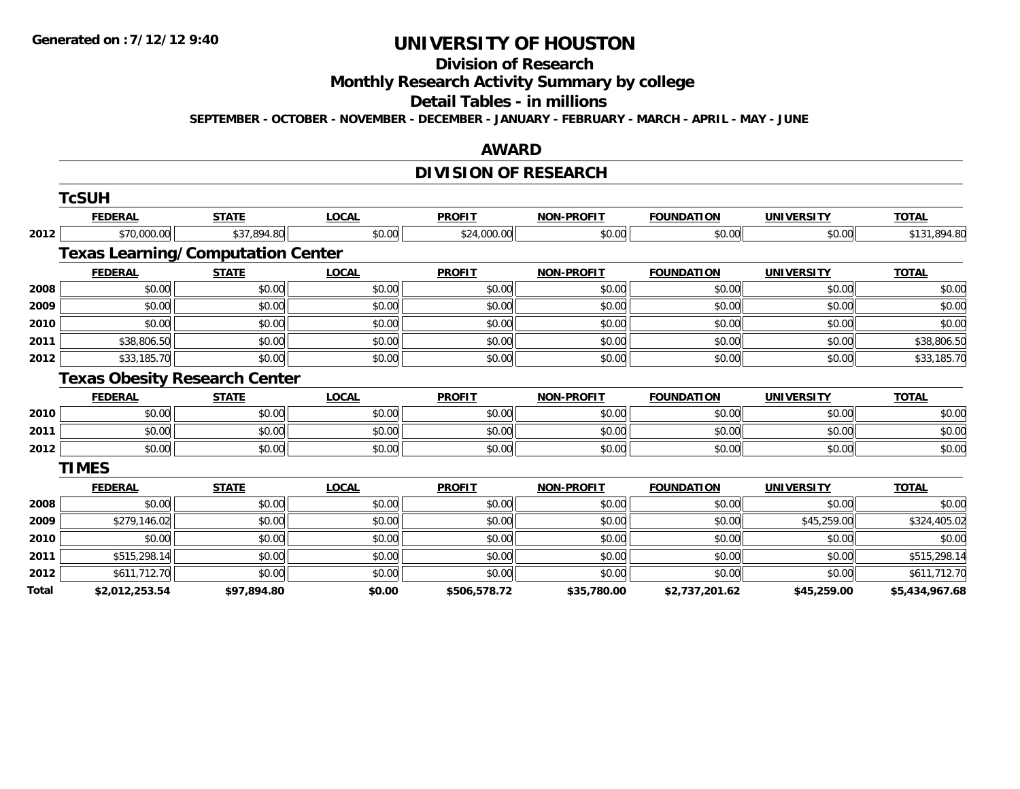#### **Division of Research**

**Monthly Research Activity Summary by college**

### **Detail Tables - in millions**

**SEPTEMBER - OCTOBER - NOVEMBER - DECEMBER - JANUARY - FEBRUARY - MARCH - APRIL - MAY - JUNE**

### **AWARD**

## **DIVISION OF RESEARCH**

|       | <b>TcSUH</b>   |                                          |              |               |                   |                   |                   |                |
|-------|----------------|------------------------------------------|--------------|---------------|-------------------|-------------------|-------------------|----------------|
|       | <b>FEDERAL</b> | <b>STATE</b>                             | <b>LOCAL</b> | <b>PROFIT</b> | <b>NON-PROFIT</b> | <b>FOUNDATION</b> | <b>UNIVERSITY</b> | <b>TOTAL</b>   |
| 2012  | \$70,000.00    | \$37,894.80                              | \$0.00       | \$24,000.00   | \$0.00            | \$0.00            | \$0.00            | \$131,894.80   |
|       |                | <b>Texas Learning/Computation Center</b> |              |               |                   |                   |                   |                |
|       | <b>FEDERAL</b> | <b>STATE</b>                             | <b>LOCAL</b> | <b>PROFIT</b> | <b>NON-PROFIT</b> | <b>FOUNDATION</b> | <b>UNIVERSITY</b> | <b>TOTAL</b>   |
| 2008  | \$0.00         | \$0.00                                   | \$0.00       | \$0.00        | \$0.00            | \$0.00            | \$0.00            | \$0.00         |
| 2009  | \$0.00         | \$0.00                                   | \$0.00       | \$0.00        | \$0.00            | \$0.00            | \$0.00            | \$0.00         |
| 2010  | \$0.00         | \$0.00                                   | \$0.00       | \$0.00        | \$0.00            | \$0.00            | \$0.00            | \$0.00         |
| 2011  | \$38,806.50    | \$0.00                                   | \$0.00       | \$0.00        | \$0.00            | \$0.00            | \$0.00            | \$38,806.50    |
| 2012  | \$33,185.70    | \$0.00                                   | \$0.00       | \$0.00        | \$0.00            | \$0.00            | \$0.00            | \$33,185.70    |
|       |                | <b>Texas Obesity Research Center</b>     |              |               |                   |                   |                   |                |
|       | <b>FEDERAL</b> | <b>STATE</b>                             | <b>LOCAL</b> | <b>PROFIT</b> | <b>NON-PROFIT</b> | <b>FOUNDATION</b> | <b>UNIVERSITY</b> | <b>TOTAL</b>   |
| 2010  | \$0.00         | \$0.00                                   | \$0.00       | \$0.00        | \$0.00            | \$0.00            | \$0.00            | \$0.00         |
| 2011  | \$0.00         | \$0.00                                   | \$0.00       | \$0.00        | \$0.00            | \$0.00            | \$0.00            | \$0.00         |
| 2012  | \$0.00         | \$0.00                                   | \$0.00       | \$0.00        | \$0.00            | \$0.00            | \$0.00            | \$0.00         |
|       | <b>TIMES</b>   |                                          |              |               |                   |                   |                   |                |
|       | <b>FEDERAL</b> | <b>STATE</b>                             | <b>LOCAL</b> | <b>PROFIT</b> | <b>NON-PROFIT</b> | <b>FOUNDATION</b> | <b>UNIVERSITY</b> | <b>TOTAL</b>   |
| 2008  | \$0.00         | \$0.00                                   | \$0.00       | \$0.00        | \$0.00            | \$0.00            | \$0.00            | \$0.00         |
| 2009  | \$279,146.02   | \$0.00                                   | \$0.00       | \$0.00        | \$0.00            | \$0.00            | \$45,259.00       | \$324,405.02   |
| 2010  | \$0.00         | \$0.00                                   | \$0.00       | \$0.00        | \$0.00            | \$0.00            | \$0.00            | \$0.00         |
| 2011  | \$515,298.14   | \$0.00                                   | \$0.00       | \$0.00        | \$0.00            | \$0.00            | \$0.00            | \$515,298.14   |
| 2012  | \$611,712.70   | \$0.00                                   | \$0.00       | \$0.00        | \$0.00            | \$0.00            | \$0.00            | \$611,712.70   |
| Total | \$2,012,253.54 | \$97,894.80                              | \$0.00       | \$506,578.72  | \$35,780.00       | \$2,737,201.62    | \$45,259.00       | \$5,434,967.68 |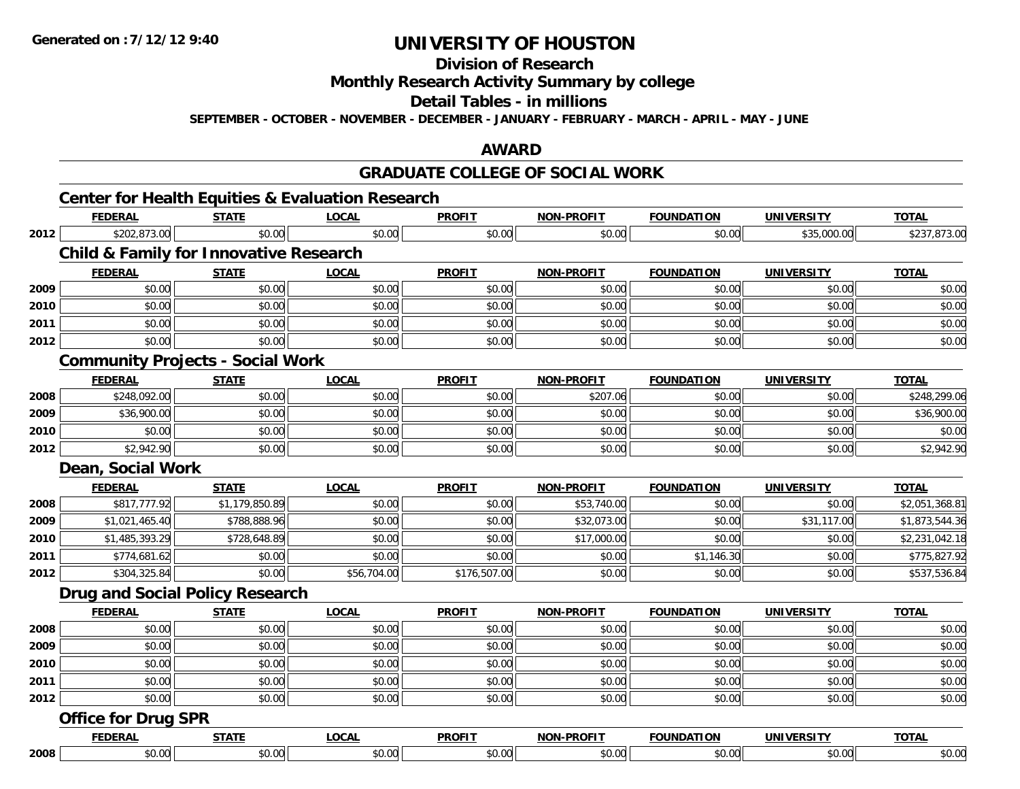**2008**

# **UNIVERSITY OF HOUSTON**

**Division of Research**

**Monthly Research Activity Summary by college**

**Detail Tables - in millions**

**SEPTEMBER - OCTOBER - NOVEMBER - DECEMBER - JANUARY - FEBRUARY - MARCH - APRIL - MAY - JUNE**

### **AWARD**

# **GRADUATE COLLEGE OF SOCIAL WORK**

|      |                                                   |                | <b>Center for Health Equities &amp; Evaluation Research</b> |               | GRADUATE COLLEGE OF SOCIAL WORK |                   |                   |                |
|------|---------------------------------------------------|----------------|-------------------------------------------------------------|---------------|---------------------------------|-------------------|-------------------|----------------|
|      | <b>FEDERAL</b>                                    | <b>STATE</b>   | <b>LOCAL</b>                                                | <b>PROFIT</b> | NON-PROFIT                      | <b>FOUNDATION</b> | <b>UNIVERSITY</b> | <b>TOTAL</b>   |
| 2012 | \$202,873.00                                      | \$0.00         | \$0.00                                                      | \$0.00        | \$0.00                          | \$0.00            | \$35,000.00       | \$237,873.00   |
|      | <b>Child &amp; Family for Innovative Research</b> |                |                                                             |               |                                 |                   |                   |                |
|      | <b>FEDERAL</b>                                    | <b>STATE</b>   | <b>LOCAL</b>                                                | <b>PROFIT</b> | NON-PROFIT                      | <b>FOUNDATION</b> | <b>UNIVERSITY</b> | <b>TOTAL</b>   |
| 2009 | \$0.00                                            | \$0.00         | \$0.00                                                      | \$0.00        | \$0.00                          | \$0.00            | \$0.00            | \$0.00         |
| 2010 | \$0.00                                            | \$0.00         | \$0.00                                                      | \$0.00        | \$0.00                          | \$0.00            | \$0.00            | \$0.00         |
| 2011 | \$0.00                                            | \$0.00         | \$0.00                                                      | \$0.00        | \$0.00                          | \$0.00            | \$0.00            | \$0.00         |
| 2012 | \$0.00                                            | \$0.00         | \$0.00                                                      | \$0.00        | \$0.00                          | \$0.00            | \$0.00            | \$0.00         |
|      | <b>Community Projects - Social Work</b>           |                |                                                             |               |                                 |                   |                   |                |
|      | <b>FEDERAL</b>                                    | <b>STATE</b>   | <b>LOCAL</b>                                                | <b>PROFIT</b> | NON-PROFIT                      | <b>FOUNDATION</b> | <b>UNIVERSITY</b> | <b>TOTAL</b>   |
| 2008 | \$248,092.00                                      | \$0.00         | \$0.00                                                      | \$0.00        | \$207.06                        | \$0.00            | \$0.00            | \$248,299.06   |
| 2009 | \$36,900.00                                       | \$0.00         | \$0.00                                                      | \$0.00        | \$0.00                          | \$0.00            | \$0.00            | \$36,900.00    |
| 2010 | \$0.00                                            | \$0.00         | \$0.00                                                      | \$0.00        | \$0.00                          | \$0.00            | \$0.00            | \$0.00         |
| 2012 | \$2,942.90                                        | \$0.00         | \$0.00                                                      | \$0.00        | \$0.00                          | \$0.00            | \$0.00            | \$2,942.90     |
|      | Dean, Social Work                                 |                |                                                             |               |                                 |                   |                   |                |
|      | <b>FEDERAL</b>                                    | <b>STATE</b>   | LOCAL                                                       | <b>PROFIT</b> | <b>NON-PROFIT</b>               | <b>FOUNDATION</b> | <b>UNIVERSITY</b> | <b>TOTAL</b>   |
| 2008 | \$817,777.92                                      | \$1,179,850.89 | \$0.00                                                      | \$0.00        | \$53,740.00                     | \$0.00            | \$0.00            | \$2,051,368.81 |
| 2009 | \$1,021,465.40                                    | \$788,888.96   | \$0.00                                                      | \$0.00        | \$32,073.00                     | \$0.00            | \$31,117.00       | \$1,873,544.36 |
| 2010 | \$1,485,393.29                                    | \$728,648.89   | \$0.00                                                      | \$0.00        | \$17,000.00                     | \$0.00            | \$0.00            | \$2,231,042.18 |
| 2011 | \$774,681.62                                      | \$0.00         | \$0.00                                                      | \$0.00        | \$0.00                          | \$1,146.30        | \$0.00            | \$775,827.92   |
| 2012 | \$304,325.84                                      | \$0.00         | \$56,704.00                                                 | \$176,507.00  | \$0.00                          | \$0.00            | \$0.00            | \$537,536.84   |
|      | <b>Drug and Social Policy Research</b>            |                |                                                             |               |                                 |                   |                   |                |
|      | <b>FEDERAL</b>                                    | <b>STATE</b>   | <b>LOCAL</b>                                                | <b>PROFIT</b> | <b>NON-PROFIT</b>               | <b>FOUNDATION</b> | <b>UNIVERSITY</b> | <b>TOTAL</b>   |
| 2008 | \$0.00                                            | \$0.00         | \$0.00                                                      | \$0.00        | \$0.00                          | \$0.00            | \$0.00            | \$0.00         |
| 2009 | \$0.00                                            | \$0.00         | \$0.00                                                      | \$0.00        | \$0.00                          | \$0.00            | \$0.00            | \$0.00         |
| 2010 | \$0.00                                            | \$0.00         | \$0.00                                                      | \$0.00        | \$0.00                          | \$0.00            | \$0.00            | \$0.00         |
| 2011 | \$0.00                                            | \$0.00         | \$0.00                                                      | \$0.00        | \$0.00                          | \$0.00            | \$0.00            | \$0.00         |
| 2012 | \$0.00                                            | \$0.00         | \$0.00                                                      | \$0.00        | \$0.00                          | \$0.00            | \$0.00            | \$0.00         |
|      | <b>Office for Drug SPR</b>                        |                |                                                             |               |                                 |                   |                   |                |
|      | <b>FEDERAL</b>                                    | <b>STATE</b>   | <b>LOCAL</b>                                                | <b>PROFIT</b> | <b>NON-PROFIT</b>               | <b>FOUNDATION</b> | <b>UNIVERSITY</b> | <b>TOTAL</b>   |

8 \$0.00 \$0.00 \$0.00 \$0.00 \$0.00 \$0.00 \$0.00 \$0.00 \$0.00 \$0.00 \$0.00 \$0.00 \$0.00 \$0.00 \$0.00 \$0.00 \$0.00 \$0.00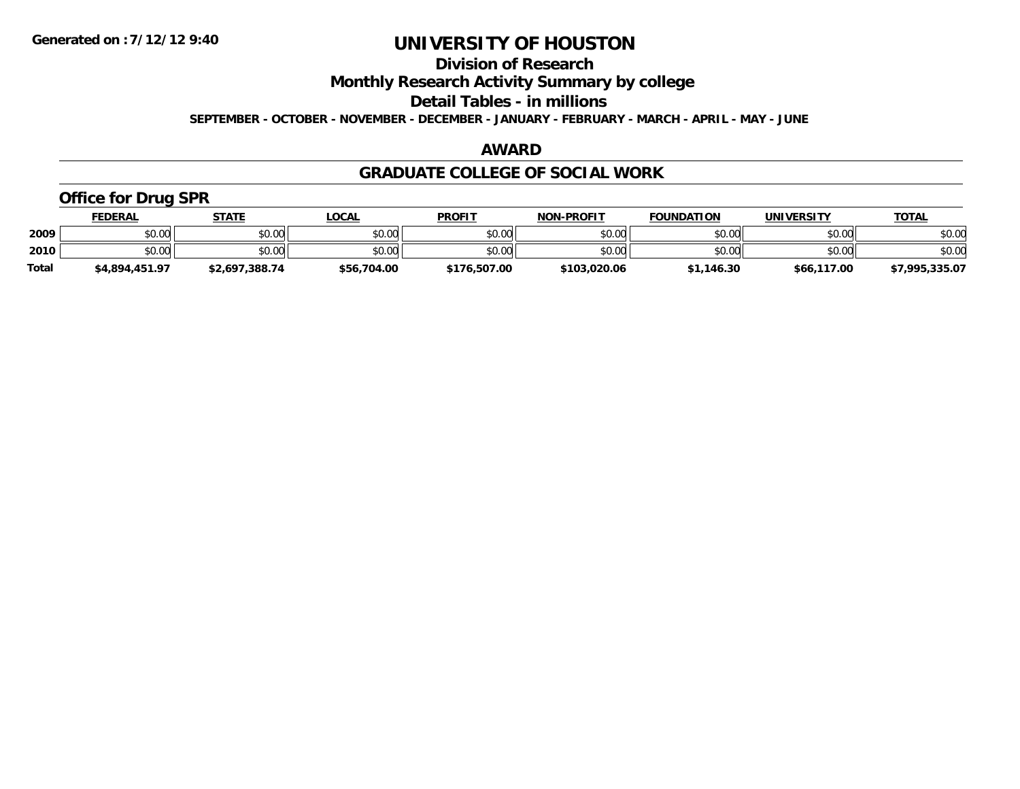## **Division of Research**

**Monthly Research Activity Summary by college**

**Detail Tables - in millions**

**SEPTEMBER - OCTOBER - NOVEMBER - DECEMBER - JANUARY - FEBRUARY - MARCH - APRIL - MAY - JUNE**

## **AWARD**

### **GRADUATE COLLEGE OF SOCIAL WORK**

## **Office for Drug SPR**

|              | <u>FEDERAL</u> | STATE          | <u>LOCAL</u> | <b>PROFIT</b> | <b>NON-PROFIT</b> | <b>FOUNDATION</b> | <b>UNIVERSITY</b> | <b>TOTAL</b>   |
|--------------|----------------|----------------|--------------|---------------|-------------------|-------------------|-------------------|----------------|
| 2009         | \$0.00         | \$0.00         | \$0.00       | \$0.00        | \$0.00            | \$0.00            | \$0.00            | \$0.00         |
| 2010         | \$0.00         | \$0.00         | \$0.00       | \$0.00        | \$0.00            | \$0.00            | \$0.00            | \$0.00         |
| <b>Total</b> | \$4,894,451.97 | \$2,697,388.74 | \$56,704.00  | \$176,507.00  | \$103,020.06      | \$1,146.30        | \$66,117.00       | \$7,995,335.07 |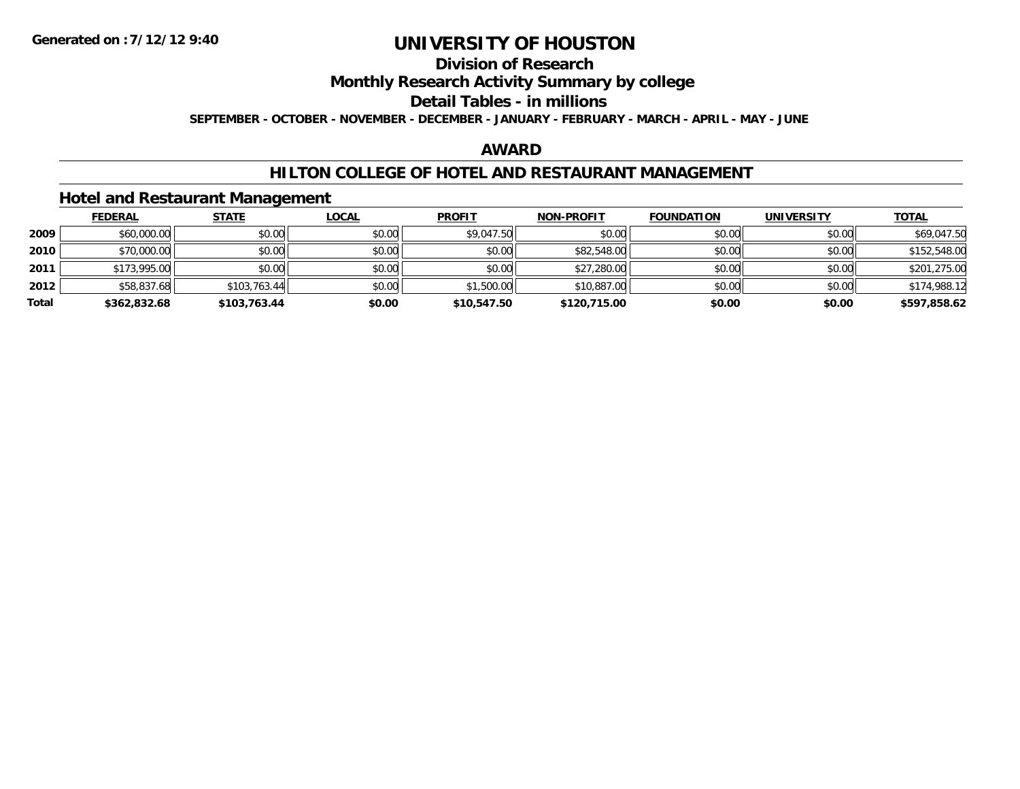# **Division of Research**

## **Monthly Research Activity Summary by college**

### **Detail Tables - in millions**

**SEPTEMBER - OCTOBER - NOVEMBER - DECEMBER - JANUARY - FEBRUARY - MARCH - APRIL - MAY - JUNE**

## **AWARD**

## **HILTON COLLEGE OF HOTEL AND RESTAURANT MANAGEMENT**

### **Hotel and Restaurant Management**

|       | <b>FEDERAL</b> | <u>STATE</u> | <b>LOCAL</b> | <b>PROFIT</b> | <b>NON-PROFIT</b> | <b>FOUNDATION</b> | <b>UNIVERSITY</b> | <b>TOTAL</b> |
|-------|----------------|--------------|--------------|---------------|-------------------|-------------------|-------------------|--------------|
| 2009  | \$60,000.00    | \$0.00       | \$0.00       | \$9,047.50    | \$0.00            | \$0.00            | \$0.00            | \$69,047.50  |
| 2010  | \$70,000.00    | \$0.00       | \$0.00       | \$0.00        | \$82,548.00       | \$0.00            | \$0.00            | \$152,548.00 |
| 2011  | \$173,995.00   | \$0.00       | \$0.00       | \$0.00        | \$27,280.00       | \$0.00            | \$0.00            | \$201,275.00 |
| 2012  | \$58,837.68    | \$103,763.44 | \$0.00       | \$1,500.00    | \$10,887.00       | \$0.00            | \$0.00            | \$174,988.12 |
| Total | \$362,832.68   | \$103,763.44 | \$0.00       | \$10,547.50   | \$120,715.00      | \$0.00            | \$0.00            | \$597,858.62 |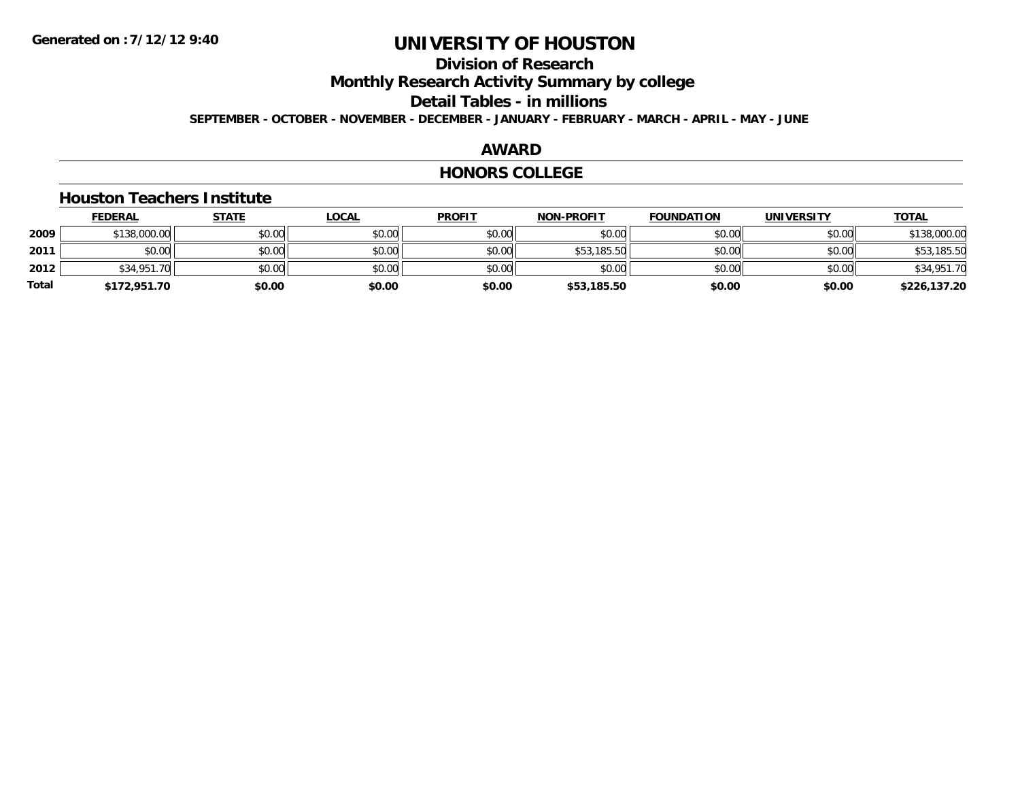# **Division of Research**

**Monthly Research Activity Summary by college**

**Detail Tables - in millions**

**SEPTEMBER - OCTOBER - NOVEMBER - DECEMBER - JANUARY - FEBRUARY - MARCH - APRIL - MAY - JUNE**

### **AWARD**

### **HONORS COLLEGE**

### **Houston Teachers Institute**

|       | <b>FEDERAL</b> | <u>STATE</u> | <u>LOCAL</u> | <b>PROFIT</b> | <b>NON-PROFIT</b> | <b>FOUNDATION</b> | <b>UNIVERSITY</b> | <b>TOTAL</b> |
|-------|----------------|--------------|--------------|---------------|-------------------|-------------------|-------------------|--------------|
| 2009  | \$138,000.00   | \$0.00       | \$0.00       | \$0.00        | \$0.00            | \$0.00            | \$0.00            | \$138,000.00 |
| 2011  | \$0.00         | \$0.00       | \$0.00       | \$0.00        | \$53,185.50       | \$0.00            | \$0.00            | \$53,185.50  |
| 2012  | \$34,951.70    | \$0.00       | \$0.00       | \$0.00        | \$0.00            | \$0.00            | \$0.00            | \$34,951.70  |
| Total | \$172,951.70   | \$0.00       | \$0.00       | \$0.00        | \$53,185.50       | \$0.00            | \$0.00            | \$226,137.20 |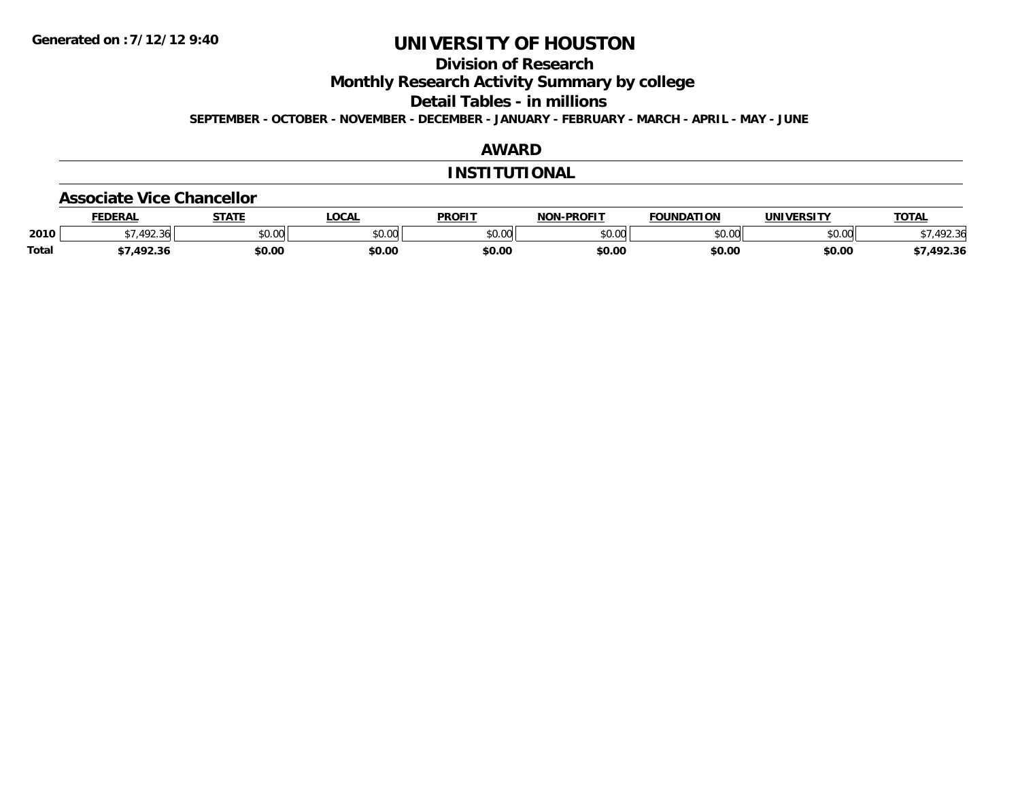**Division of Research**

**Monthly Research Activity Summary by college**

**Detail Tables - in millions**

**SEPTEMBER - OCTOBER - NOVEMBER - DECEMBER - JANUARY - FEBRUARY - MARCH - APRIL - MAY - JUNE**

## **AWARD**

### **INSTITUTIONAL**

#### **Associate Vice Chancellor**

|              | <b>FEDERAL</b>      | 27.77                | <b>OCAL</b>     | <b>PROFIT</b> | <b>NON-PROFIT</b> | FOUNDATION    | UNIVERSITY    | <b>TOTAL</b>         |
|--------------|---------------------|----------------------|-----------------|---------------|-------------------|---------------|---------------|----------------------|
| 2010         | $\sqrt{2}$<br>92.36 | 0000<br><b>JU.UU</b> | 0000<br>- DU.UU | \$0.00        | \$0.00            | 0000<br>DU.UU | 0000<br>JU.UU | 102.21<br>՝<br>72.30 |
| <b>Total</b> | 1022                | \$0.00               | \$0.00          | \$0.00        | \$0.00            | \$0.00        | \$0.00        | ,492.36              |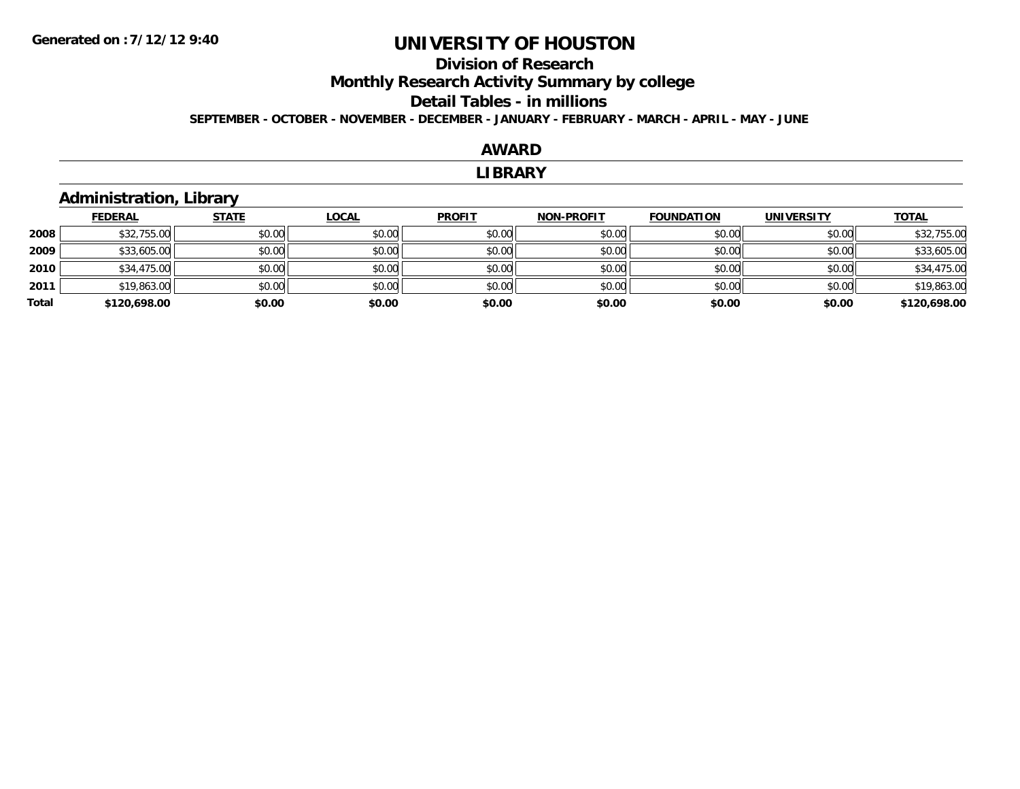# **Division of ResearchMonthly Research Activity Summary by college Detail Tables - in millions**

**SEPTEMBER - OCTOBER - NOVEMBER - DECEMBER - JANUARY - FEBRUARY - MARCH - APRIL - MAY - JUNE**

### **AWARD**

#### **LIBRARY**

## **Administration, Library**

|       | <b>FEDERAL</b> | <b>STATE</b> | <u>LOCAL</u> | <b>PROFIT</b> | <b>NON-PROFIT</b> | <b>FOUNDATION</b> | <b>UNIVERSITY</b> | <b>TOTAL</b> |
|-------|----------------|--------------|--------------|---------------|-------------------|-------------------|-------------------|--------------|
| 2008  | \$32,755.00    | \$0.00       | \$0.00       | \$0.00        | \$0.00            | \$0.00            | \$0.00            | \$32,755.00  |
| 2009  | \$33,605.00    | \$0.00       | \$0.00       | \$0.00        | \$0.00            | \$0.00            | \$0.00            | \$33,605.00  |
| 2010  | \$34,475.00    | \$0.00       | \$0.00       | \$0.00        | \$0.00            | \$0.00            | \$0.00            | \$34,475.00  |
| 2011  | \$19,863.00    | \$0.00       | \$0.00       | \$0.00        | \$0.00            | \$0.00            | \$0.00            | \$19,863.00  |
| Total | \$120,698.00   | \$0.00       | \$0.00       | \$0.00        | \$0.00            | \$0.00            | \$0.00            | \$120,698.00 |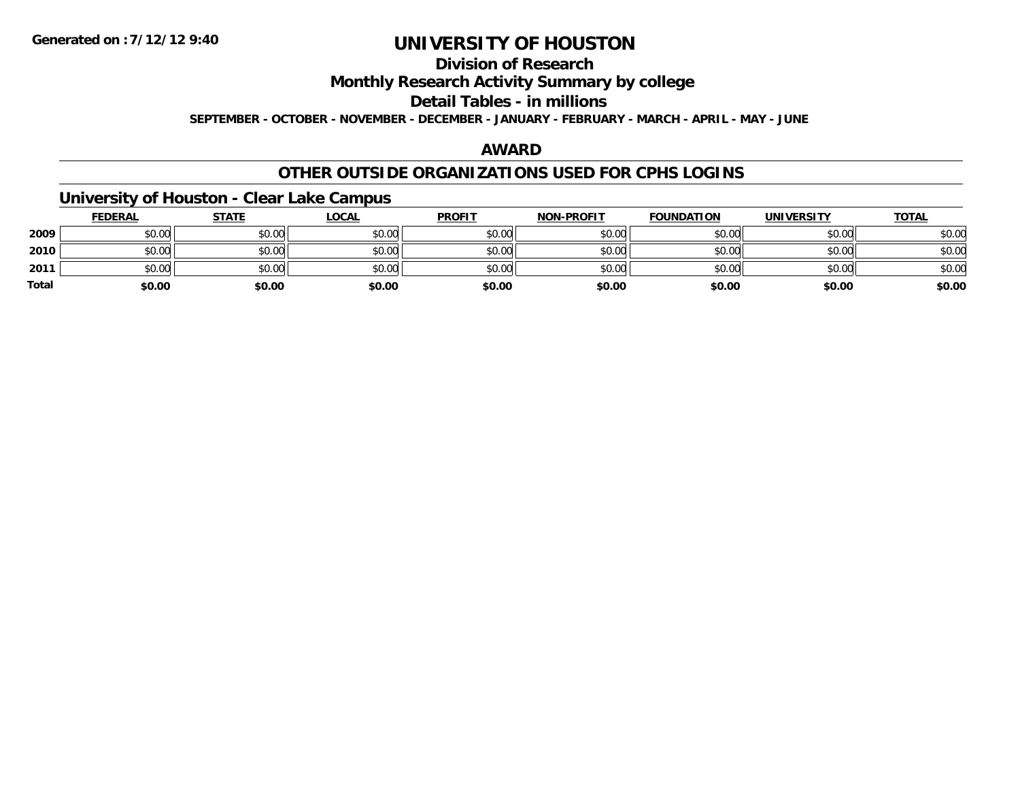## **Division of Research**

**Monthly Research Activity Summary by college**

### **Detail Tables - in millions**

**SEPTEMBER - OCTOBER - NOVEMBER - DECEMBER - JANUARY - FEBRUARY - MARCH - APRIL - MAY - JUNE**

## **AWARD**

### **OTHER OUTSIDE ORGANIZATIONS USED FOR CPHS LOGINS**

## **University of Houston - Clear Lake Campus**

|              | <b>FEDERAL</b> | <b>STATE</b> | <b>LOCAL</b> | <b>PROFIT</b> | <b>NON-PROFIT</b> | <b>FOUNDATION</b> | UNIVERSITY | <b>TOTAL</b> |
|--------------|----------------|--------------|--------------|---------------|-------------------|-------------------|------------|--------------|
| 2009         | \$0.00         | \$0.00       | \$0.00       | \$0.00        | \$0.00            | \$0.00            | \$0.00     | \$0.00       |
| 2010         | \$0.00         | \$0.00       | \$0.00       | \$0.00        | \$0.00            | \$0.00            | \$0.00     | \$0.00       |
| 2011         | \$0.00         | \$0.00       | \$0.00       | \$0.00        | \$0.00            | \$0.00            | \$0.00     | \$0.00       |
| <b>Total</b> | \$0.00         | \$0.00       | \$0.00       | \$0.00        | \$0.00            | \$0.00            | \$0.00     | \$0.00       |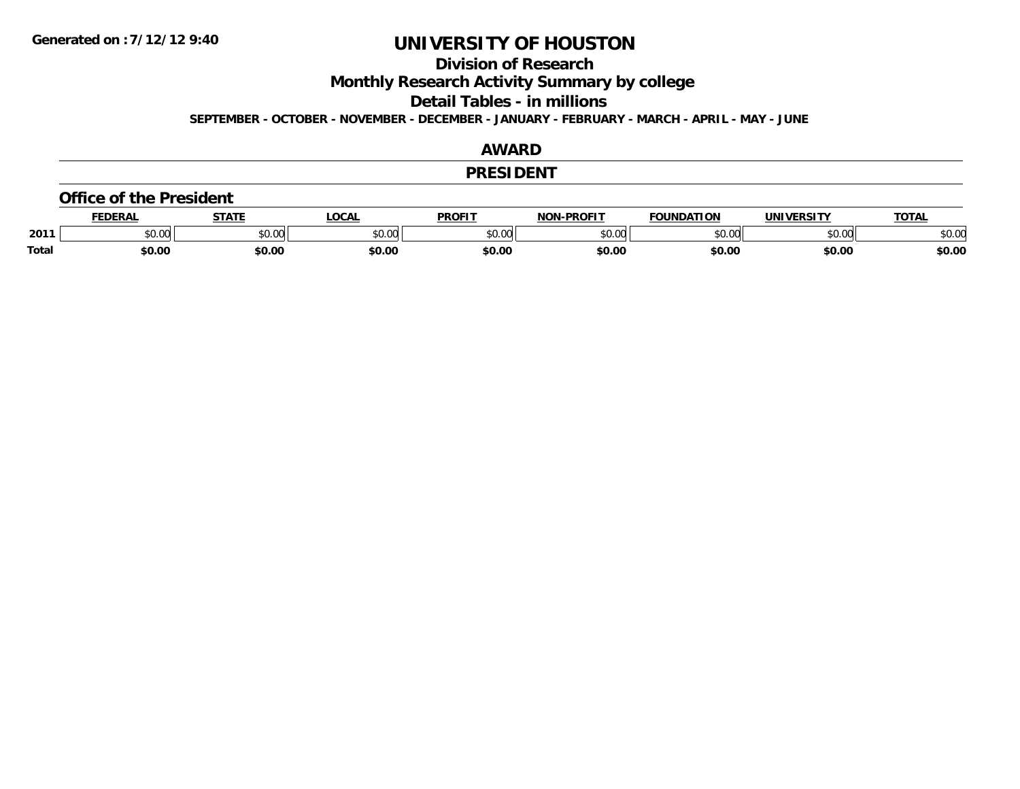**Division of Research**

**Monthly Research Activity Summary by college**

**Detail Tables - in millions**

**SEPTEMBER - OCTOBER - NOVEMBER - DECEMBER - JANUARY - FEBRUARY - MARCH - APRIL - MAY - JUNE**

### **AWARD**

### **PRESIDENT**

#### **Office of the President**

|              | <b>DERAI</b> | <b>STATE</b> | <b>OCAL</b> | <b>PROFIT</b>  | <b>DDOCLT</b><br>NIAR | <b>FOUNDATION</b> | <b>UNIVERSITY</b> | <b>TAT</b>    |
|--------------|--------------|--------------|-------------|----------------|-----------------------|-------------------|-------------------|---------------|
| 2011         | 0.00٪        | JU.UU        | \$0.00      | ტი იი<br>JU.UU | $\sim$ 00<br>וטטוע    | nn nn<br>JU.UU    | to ool<br>DU.UU   | 0000<br>JU.UU |
| <b>Total</b> | 60.00        | \$0.00       | \$0.00      | \$0.00         | \$0.00                | \$0.00            | \$0.00            | \$0.00        |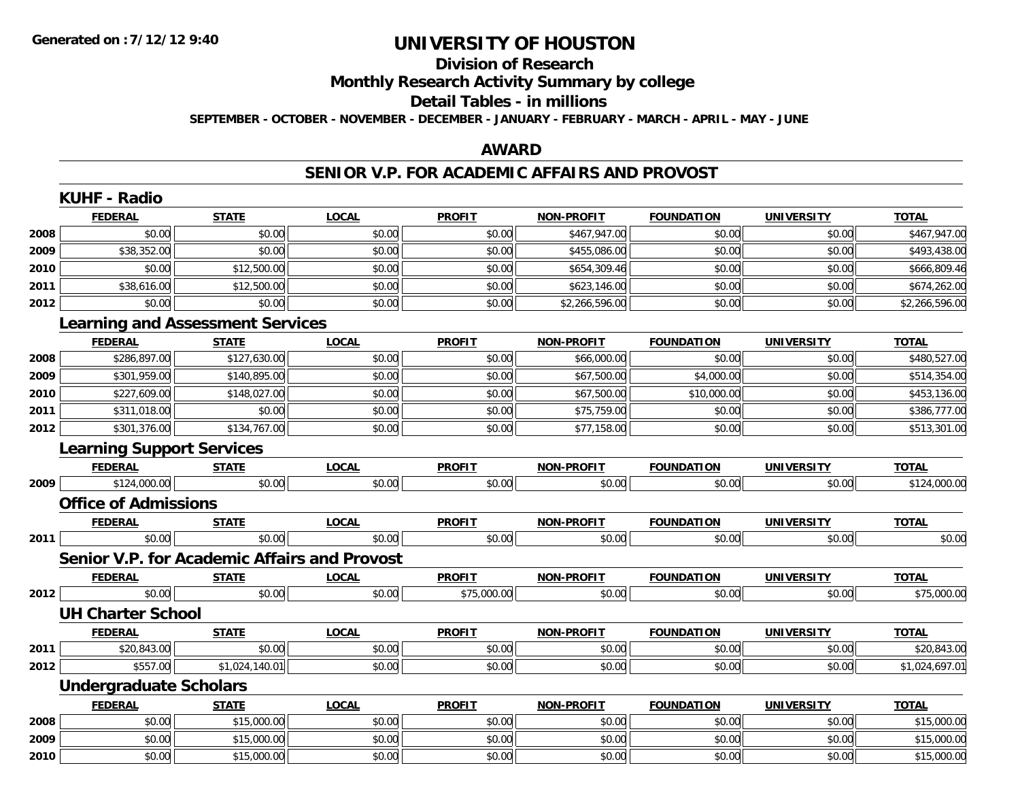# **Division of Research**

**Monthly Research Activity Summary by college**

#### **Detail Tables - in millions**

**SEPTEMBER - OCTOBER - NOVEMBER - DECEMBER - JANUARY - FEBRUARY - MARCH - APRIL - MAY - JUNE**

## **AWARD**

### **SENIOR V.P. FOR ACADEMIC AFFAIRS AND PROVOST**

|      | <b>KUHF - Radio</b>              |                                                     |              |               |                   |                   |                   |                |
|------|----------------------------------|-----------------------------------------------------|--------------|---------------|-------------------|-------------------|-------------------|----------------|
|      | <b>FEDERAL</b>                   | <b>STATE</b>                                        | <b>LOCAL</b> | <b>PROFIT</b> | <b>NON-PROFIT</b> | <b>FOUNDATION</b> | <b>UNIVERSITY</b> | <b>TOTAL</b>   |
| 2008 | \$0.00                           | \$0.00                                              | \$0.00       | \$0.00        | \$467,947.00      | \$0.00            | \$0.00            | \$467,947.00   |
| 2009 | \$38,352.00                      | \$0.00                                              | \$0.00       | \$0.00        | \$455,086.00      | \$0.00            | \$0.00            | \$493,438.00   |
| 2010 | \$0.00                           | \$12,500.00                                         | \$0.00       | \$0.00        | \$654,309.46      | \$0.00            | \$0.00            | \$666,809.46   |
| 2011 | \$38,616.00                      | \$12,500.00                                         | \$0.00       | \$0.00        | \$623,146.00      | \$0.00            | \$0.00            | \$674,262.00   |
| 2012 | \$0.00                           | \$0.00                                              | \$0.00       | \$0.00        | \$2,266,596.00    | \$0.00            | \$0.00            | \$2,266,596.00 |
|      |                                  | <b>Learning and Assessment Services</b>             |              |               |                   |                   |                   |                |
|      | <b>FEDERAL</b>                   | <b>STATE</b>                                        | <b>LOCAL</b> | <b>PROFIT</b> | <b>NON-PROFIT</b> | <b>FOUNDATION</b> | <b>UNIVERSITY</b> | <b>TOTAL</b>   |
| 2008 | \$286,897.00                     | \$127,630.00                                        | \$0.00       | \$0.00        | \$66,000.00       | \$0.00            | \$0.00            | \$480,527.00   |
| 2009 | \$301,959.00                     | \$140,895.00                                        | \$0.00       | \$0.00        | \$67,500.00       | \$4,000.00        | \$0.00            | \$514,354.00   |
| 2010 | \$227,609.00                     | \$148,027.00                                        | \$0.00       | \$0.00        | \$67,500.00       | \$10,000.00       | \$0.00            | \$453,136.00   |
| 2011 | \$311,018.00                     | \$0.00                                              | \$0.00       | \$0.00        | \$75,759.00       | \$0.00            | \$0.00            | \$386,777.00   |
| 2012 | \$301,376.00                     | \$134,767.00                                        | \$0.00       | \$0.00        | \$77,158.00       | \$0.00            | \$0.00            | \$513,301.00   |
|      | <b>Learning Support Services</b> |                                                     |              |               |                   |                   |                   |                |
|      | <b>FEDERAL</b>                   | <b>STATE</b>                                        | <b>LOCAL</b> | <b>PROFIT</b> | <b>NON-PROFIT</b> | <b>FOUNDATION</b> | <b>UNIVERSITY</b> | <b>TOTAL</b>   |
| 2009 | \$124,000.00                     | \$0.00                                              | \$0.00       | \$0.00        | \$0.00            | \$0.00            | \$0.00            | \$124,000.00   |
|      | <b>Office of Admissions</b>      |                                                     |              |               |                   |                   |                   |                |
|      | <b>FEDERAL</b>                   | <b>STATE</b>                                        | <b>LOCAL</b> | <b>PROFIT</b> | <b>NON-PROFIT</b> | <b>FOUNDATION</b> | <b>UNIVERSITY</b> | <b>TOTAL</b>   |
| 2011 | \$0.00                           | \$0.00                                              | \$0.00       | \$0.00        | \$0.00            | \$0.00            | \$0.00            | \$0.00         |
|      |                                  | <b>Senior V.P. for Academic Affairs and Provost</b> |              |               |                   |                   |                   |                |
|      | <b>FEDERAL</b>                   | <b>STATE</b>                                        | <b>LOCAL</b> | <b>PROFIT</b> | <b>NON-PROFIT</b> | <b>FOUNDATION</b> | <b>UNIVERSITY</b> | <b>TOTAL</b>   |
| 2012 | \$0.00                           | \$0.00                                              | \$0.00       | \$75,000.00   | \$0.00            | \$0.00            | \$0.00            | \$75,000.00    |
|      | <b>UH Charter School</b>         |                                                     |              |               |                   |                   |                   |                |
|      | <b>FEDERAL</b>                   | <b>STATE</b>                                        | <b>LOCAL</b> | <b>PROFIT</b> | NON-PROFIT        | <b>FOUNDATION</b> | <b>UNIVERSITY</b> | <b>TOTAL</b>   |
| 2011 | \$20,843.00                      | \$0.00                                              | \$0.00       | \$0.00        | \$0.00            | \$0.00            | \$0.00            | \$20,843.00    |
| 2012 | \$557.00                         | \$1,024,140.01                                      | \$0.00       | \$0.00        | \$0.00            | \$0.00            | \$0.00            | \$1,024,697.01 |
|      | <b>Undergraduate Scholars</b>    |                                                     |              |               |                   |                   |                   |                |
|      | <b>FEDERAL</b>                   | <b>STATE</b>                                        | <b>LOCAL</b> | <b>PROFIT</b> | <b>NON-PROFIT</b> | <b>FOUNDATION</b> | <b>UNIVERSITY</b> | <b>TOTAL</b>   |
| 2008 | \$0.00                           | \$15,000.00                                         | \$0.00       | \$0.00        | \$0.00            | \$0.00            | \$0.00            | \$15,000.00    |
| 2009 | \$0.00                           | \$15,000.00                                         | \$0.00       | \$0.00        | \$0.00            | \$0.00            | \$0.00            | \$15,000.00    |
| 2010 | \$0.00                           | \$15,000.00                                         | \$0.00       | \$0.00        | \$0.00            | \$0.00            | \$0.00            | \$15,000.00    |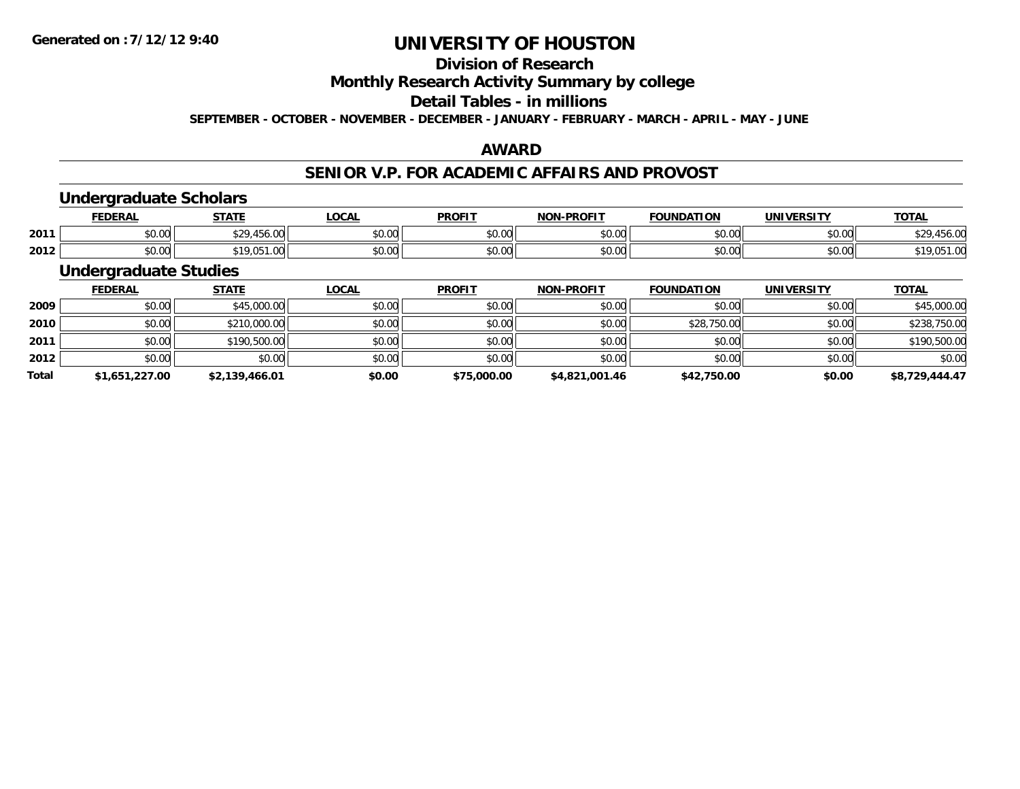# **Division of Research**

**Monthly Research Activity Summary by college**

### **Detail Tables - in millions**

**SEPTEMBER - OCTOBER - NOVEMBER - DECEMBER - JANUARY - FEBRUARY - MARCH - APRIL - MAY - JUNE**

## **AWARD**

## **SENIOR V.P. FOR ACADEMIC AFFAIRS AND PROVOST**

## **Undergraduate Scholars**

|      | EDERAL | <b>STATE</b><br>171          | <b>LOCAL</b>  | <b>PROFIT</b> | -PROFIT<br>NON | <b>FOUNDATION</b>  | <b>'INIVERSITY</b> | <b>TOTAL</b> |
|------|--------|------------------------------|---------------|---------------|----------------|--------------------|--------------------|--------------|
| 2011 | \$0.00 | $\sim$ $\sim$<br><b>TUU.</b> | 0000<br>PO.OO | 0.00<br>pu.uu | \$0.00         | $\sim$ 00<br>JU.UU | $\sim$ 00<br>JU.UU | 456.U        |
| 2012 | \$0.00 | $\cap$<br>¢10                | 0000<br>PO.OO | 0000<br>DU.UU | \$0.00         | $\sim$ 00<br>טט.טע | 0000<br>ง∪.∪บ      | . U.J        |

## **Undergraduate Studies**

|              | <b>FEDERAL</b> | <u>STATE</u>   | <u>LOCAL</u> | <b>PROFIT</b> | <b>NON-PROFIT</b> | <b>FOUNDATION</b> | <b>UNIVERSITY</b> | <b>TOTAL</b>   |
|--------------|----------------|----------------|--------------|---------------|-------------------|-------------------|-------------------|----------------|
| 2009         | \$0.00         | \$45,000.00    | \$0.00       | \$0.00        | \$0.00            | \$0.00            | \$0.00            | \$45,000.00    |
| 2010         | \$0.00         | \$210,000.00   | \$0.00       | \$0.00        | \$0.00            | \$28,750.00       | \$0.00            | \$238,750.00   |
| 2011         | \$0.00         | \$190,500.00   | \$0.00       | \$0.00        | \$0.00            | \$0.00            | \$0.00            | \$190,500.00   |
| 2012         | \$0.00         | \$0.00         | \$0.00       | \$0.00        | \$0.00            | \$0.00            | \$0.00            | \$0.00         |
| <b>Total</b> | \$1,651,227.00 | \$2,139,466.01 | \$0.00       | \$75,000.00   | \$4,821,001.46    | \$42,750.00       | \$0.00            | \$8,729,444.47 |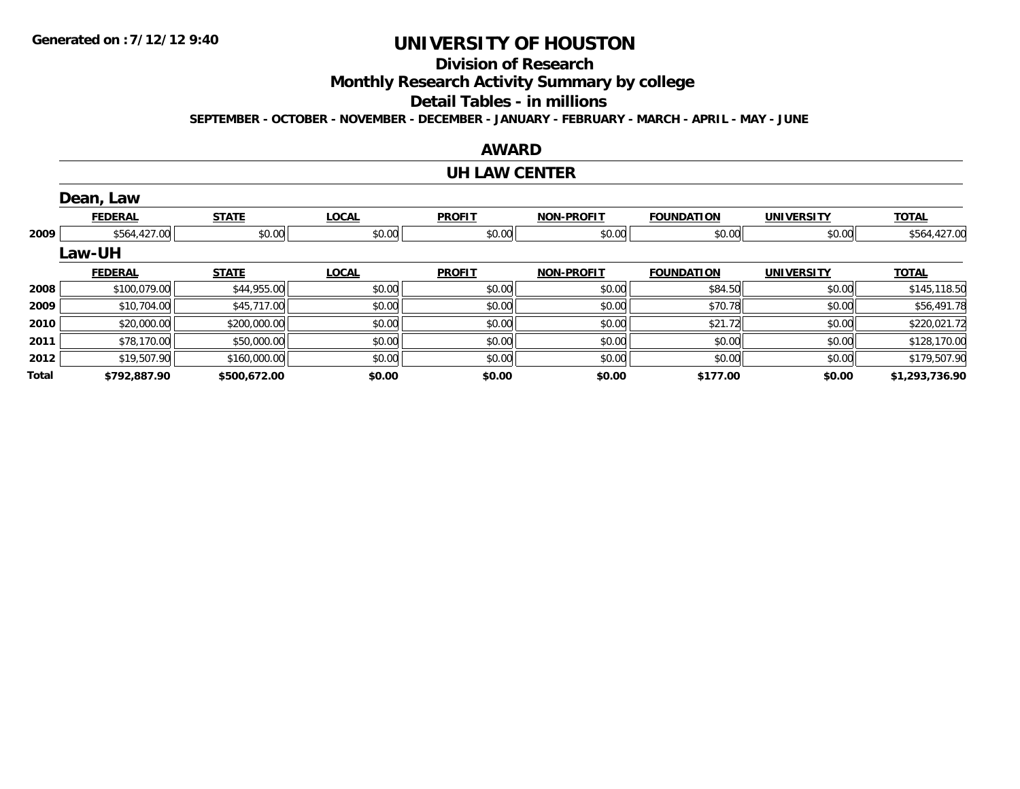## **Division of Research**

**Monthly Research Activity Summary by college**

### **Detail Tables - in millions**

**SEPTEMBER - OCTOBER - NOVEMBER - DECEMBER - JANUARY - FEBRUARY - MARCH - APRIL - MAY - JUNE**

### **AWARD**

### **UH LAW CENTER**

|       | Dean, Law      |              |              |               |                   |                   |                   |                |
|-------|----------------|--------------|--------------|---------------|-------------------|-------------------|-------------------|----------------|
|       | <b>FEDERAL</b> | <b>STATE</b> | <b>LOCAL</b> | <b>PROFIT</b> | <b>NON-PROFIT</b> | <b>FOUNDATION</b> | <b>UNIVERSITY</b> | <b>TOTAL</b>   |
| 2009  | \$564,427.00   | \$0.00       | \$0.00       | \$0.00        | \$0.00            | \$0.00            | \$0.00            | \$564,427.00   |
|       | Law-UH         |              |              |               |                   |                   |                   |                |
|       | <b>FEDERAL</b> | <b>STATE</b> | <b>LOCAL</b> | <b>PROFIT</b> | <b>NON-PROFIT</b> | <b>FOUNDATION</b> | <b>UNIVERSITY</b> | <b>TOTAL</b>   |
| 2008  | \$100,079.00   | \$44,955.00  | \$0.00       | \$0.00        | \$0.00            | \$84.50           | \$0.00            | \$145,118.50   |
| 2009  | \$10,704.00    | \$45,717.00  | \$0.00       | \$0.00        | \$0.00            | \$70.78           | \$0.00            | \$56,491.78    |
| 2010  | \$20,000.00    | \$200,000.00 | \$0.00       | \$0.00        | \$0.00            | \$21.72           | \$0.00            | \$220,021.72   |
| 2011  | \$78,170.00    | \$50,000.00  | \$0.00       | \$0.00        | \$0.00            | \$0.00            | \$0.00            | \$128,170.00   |
| 2012  | \$19,507.90    | \$160,000.00 | \$0.00       | \$0.00        | \$0.00            | \$0.00            | \$0.00            | \$179,507.90   |
| Total | \$792,887.90   | \$500,672.00 | \$0.00       | \$0.00        | \$0.00            | \$177.00          | \$0.00            | \$1,293,736.90 |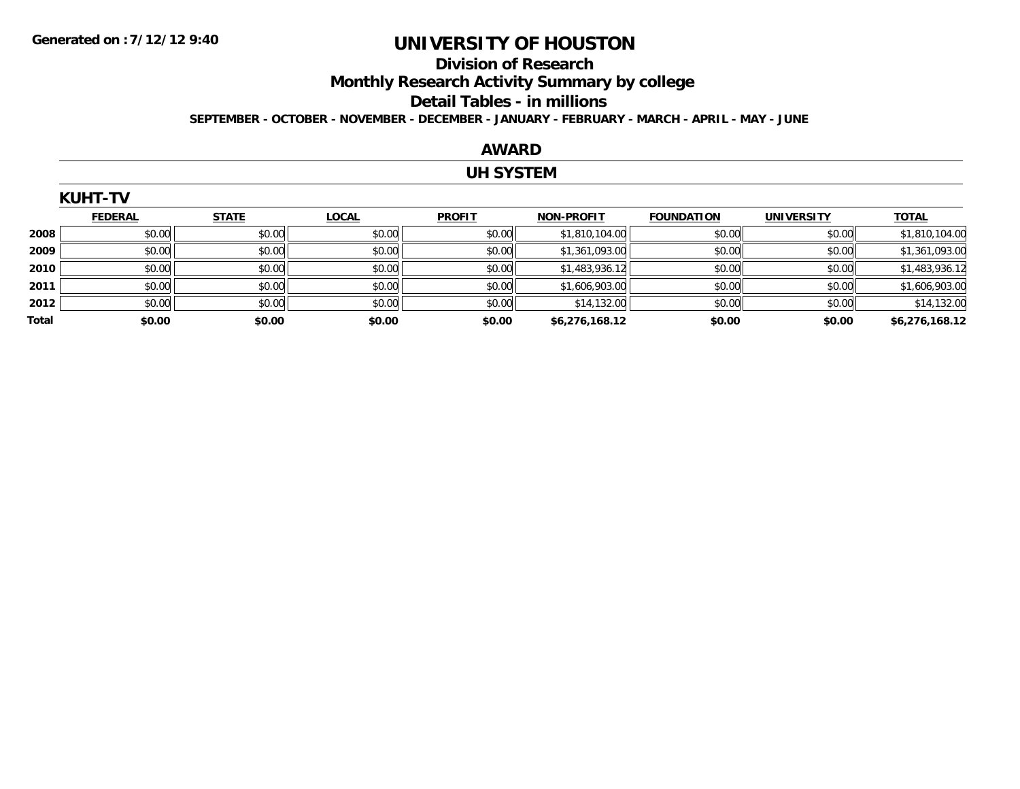### **Division of Research**

**Monthly Research Activity Summary by college**

#### **Detail Tables - in millions**

**SEPTEMBER - OCTOBER - NOVEMBER - DECEMBER - JANUARY - FEBRUARY - MARCH - APRIL - MAY - JUNE**

### **AWARD**

### **UH SYSTEM**

|       | <b>KUHT-TV</b> |              |              |               |                   |                   |                   |                |  |  |  |
|-------|----------------|--------------|--------------|---------------|-------------------|-------------------|-------------------|----------------|--|--|--|
|       | <b>FEDERAL</b> | <b>STATE</b> | <b>LOCAL</b> | <b>PROFIT</b> | <b>NON-PROFIT</b> | <b>FOUNDATION</b> | <b>UNIVERSITY</b> | <b>TOTAL</b>   |  |  |  |
| 2008  | \$0.00         | \$0.00       | \$0.00       | \$0.00        | \$1,810,104.00    | \$0.00            | \$0.00            | \$1,810,104.00 |  |  |  |
| 2009  | \$0.00         | \$0.00       | \$0.00       | \$0.00        | \$1,361,093.00    | \$0.00            | \$0.00            | \$1,361,093.00 |  |  |  |
| 2010  | \$0.00         | \$0.00       | \$0.00       | \$0.00        | \$1,483,936.12    | \$0.00            | \$0.00            | \$1,483,936.12 |  |  |  |
| 2011  | \$0.00         | \$0.00       | \$0.00       | \$0.00        | \$1,606,903.00    | \$0.00            | \$0.00            | \$1,606,903.00 |  |  |  |
| 2012  | \$0.00         | \$0.00       | \$0.00       | \$0.00        | \$14,132.00       | \$0.00            | \$0.00            | \$14,132.00    |  |  |  |
| Total | \$0.00         | \$0.00       | \$0.00       | \$0.00        | \$6,276,168.12    | \$0.00            | \$0.00            | \$6,276,168.12 |  |  |  |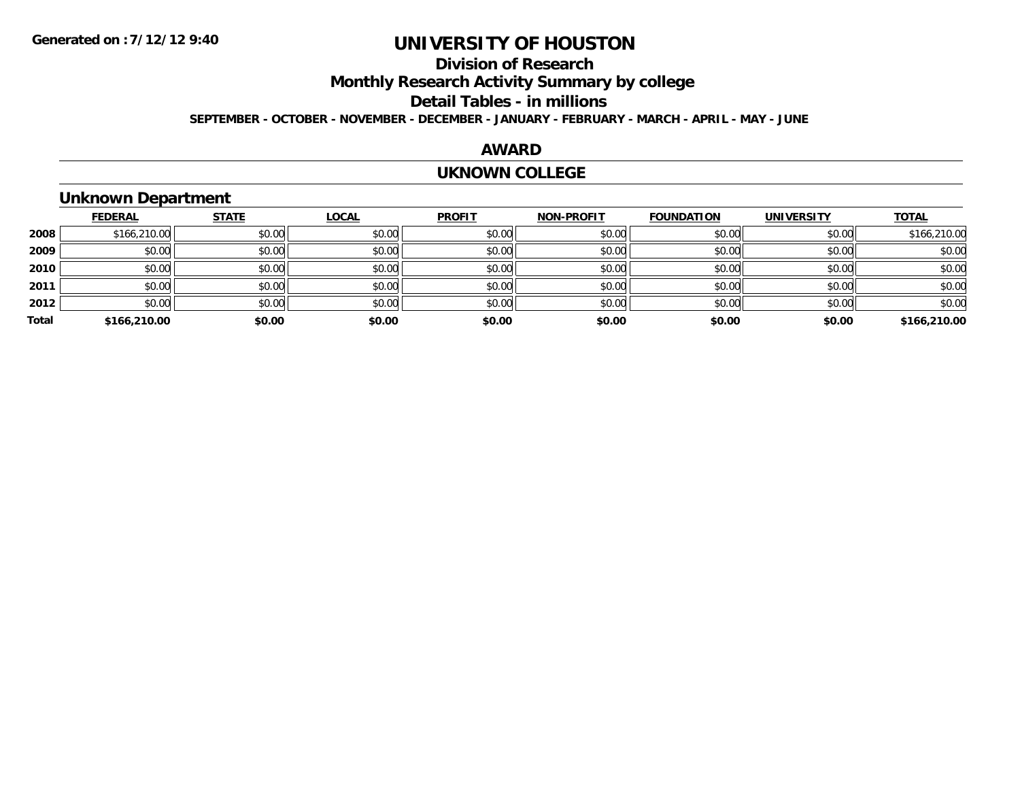# **Division of Research**

**Monthly Research Activity Summary by college**

#### **Detail Tables - in millions**

**SEPTEMBER - OCTOBER - NOVEMBER - DECEMBER - JANUARY - FEBRUARY - MARCH - APRIL - MAY - JUNE**

### **AWARD**

### **UKNOWN COLLEGE**

## **Unknown Department**

|       | <b>FEDERAL</b> | <b>STATE</b> | <b>LOCAL</b> | <b>PROFIT</b> | <b>NON-PROFIT</b> | <b>FOUNDATION</b> | <b>UNIVERSITY</b> | <b>TOTAL</b> |
|-------|----------------|--------------|--------------|---------------|-------------------|-------------------|-------------------|--------------|
| 2008  | \$166,210.00   | \$0.00       | \$0.00       | \$0.00        | \$0.00            | \$0.00            | \$0.00            | \$166,210.00 |
| 2009  | \$0.00         | \$0.00       | \$0.00       | \$0.00        | \$0.00            | \$0.00            | \$0.00            | \$0.00       |
| 2010  | \$0.00         | \$0.00       | \$0.00       | \$0.00        | \$0.00            | \$0.00            | \$0.00            | \$0.00       |
| 2011  | \$0.00         | \$0.00       | \$0.00       | \$0.00        | \$0.00            | \$0.00            | \$0.00            | \$0.00       |
| 2012  | \$0.00         | \$0.00       | \$0.00       | \$0.00        | \$0.00            | \$0.00            | \$0.00            | \$0.00       |
| Total | \$166,210.00   | \$0.00       | \$0.00       | \$0.00        | \$0.00            | \$0.00            | \$0.00            | \$166,210.00 |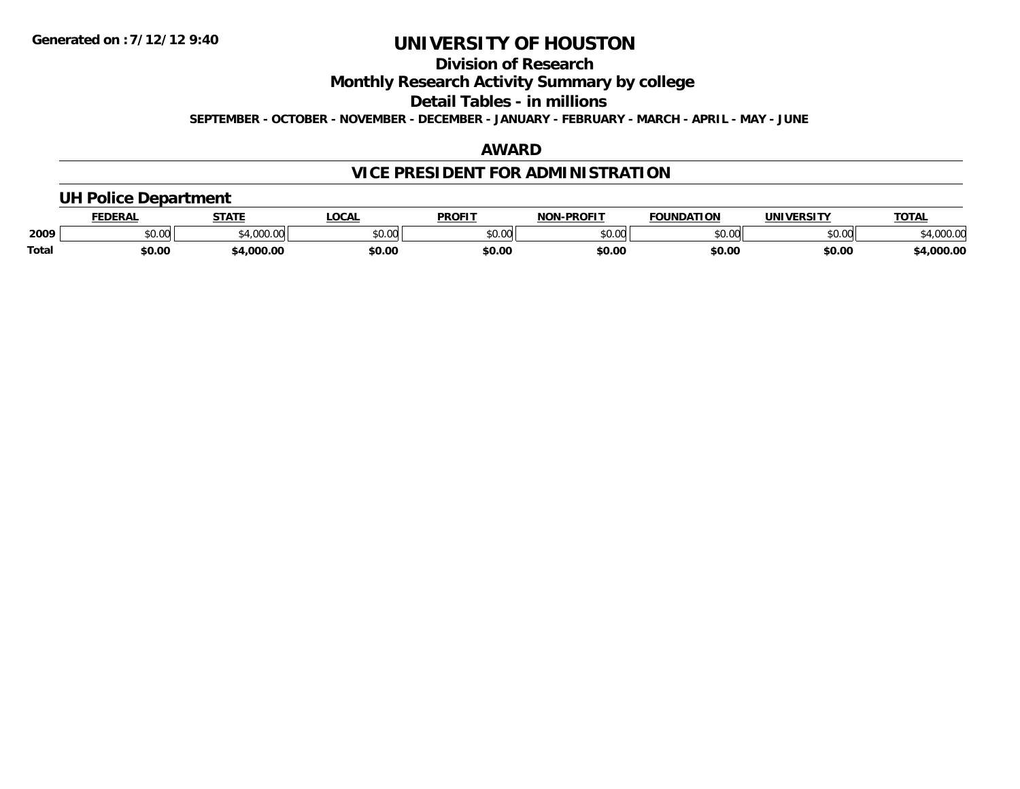## **Division of Research**

**Monthly Research Activity Summary by college**

**Detail Tables - in millions**

**SEPTEMBER - OCTOBER - NOVEMBER - DECEMBER - JANUARY - FEBRUARY - MARCH - APRIL - MAY - JUNE**

## **AWARD**

# **VICE PRESIDENT FOR ADMINISTRATION**

## **UH Police Department**

|              | <b>EDERAL</b>                    | <b>STATE</b>        | <b>LOCAL</b> | <b>PROFIT</b>  | <b>-PROFIT</b><br><b>NON</b> | <b>FOUNDATION</b> | <b><i>'INIVERSITY</i></b><br>ERDI | <b>TOTA</b>      |
|--------------|----------------------------------|---------------------|--------------|----------------|------------------------------|-------------------|-----------------------------------|------------------|
| 2009         | $\circ$ $\circ$ $\circ$<br>pu.uu | $A$ 000 $C$<br>uuu. | \$0.00       | 40.00<br>JU.UU | ልስ ባህ<br>PU.UU               | \$0.00            | 0000<br>JU.UU                     | מח החו<br>JUU.UU |
| <b>Total</b> | \$0.00                           | .000.00             | \$0.00       | \$0.00         | \$0.00                       | \$0.00            | \$0.00                            | ,000.00          |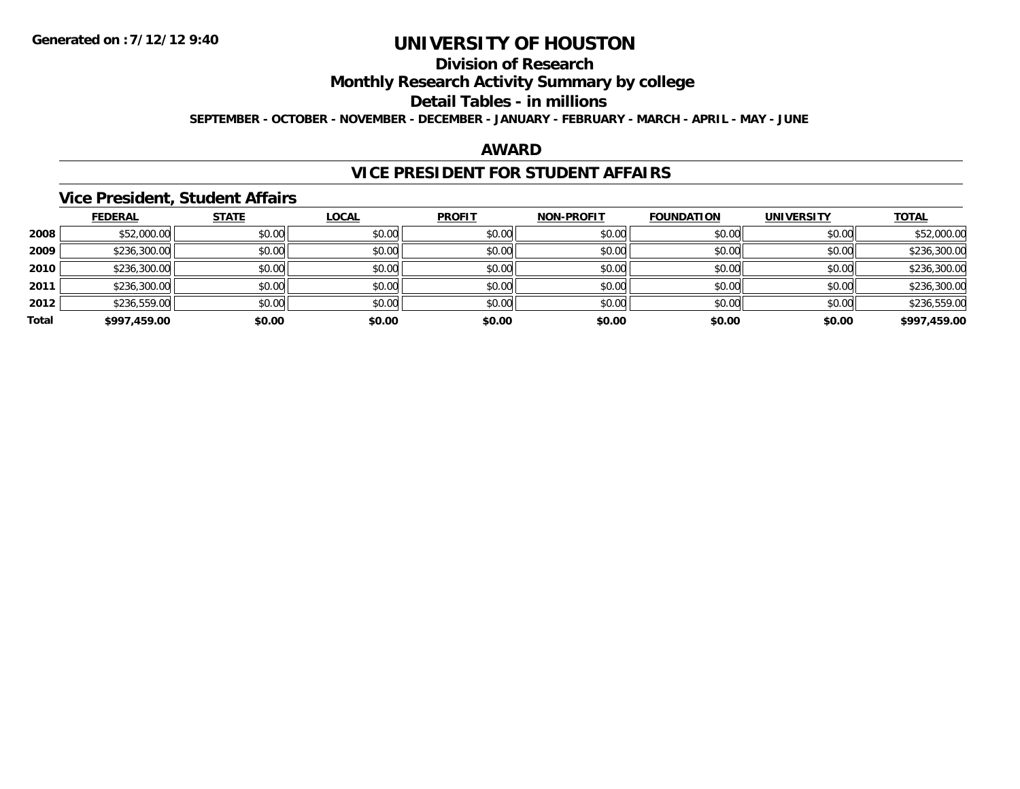# **Division of Research**

**Monthly Research Activity Summary by college**

#### **Detail Tables - in millions**

**SEPTEMBER - OCTOBER - NOVEMBER - DECEMBER - JANUARY - FEBRUARY - MARCH - APRIL - MAY - JUNE**

## **AWARD**

## **VICE PRESIDENT FOR STUDENT AFFAIRS**

### **Vice President, Student Affairs**

|       | <b>FEDERAL</b> | <b>STATE</b> | <b>LOCAL</b> | <b>PROFIT</b> | <b>NON-PROFIT</b> | <b>FOUNDATION</b> | <b>UNIVERSITY</b> | <b>TOTAL</b> |
|-------|----------------|--------------|--------------|---------------|-------------------|-------------------|-------------------|--------------|
| 2008  | \$52,000.00    | \$0.00       | \$0.00       | \$0.00        | \$0.00            | \$0.00            | \$0.00            | \$52,000.00  |
| 2009  | \$236,300.00   | \$0.00       | \$0.00       | \$0.00        | \$0.00            | \$0.00            | \$0.00            | \$236,300.00 |
| 2010  | \$236,300.00   | \$0.00       | \$0.00       | \$0.00        | \$0.00            | \$0.00            | \$0.00            | \$236,300.00 |
| 2011  | \$236,300.00   | \$0.00       | \$0.00       | \$0.00        | \$0.00            | \$0.00            | \$0.00            | \$236,300.00 |
| 2012  | \$236,559.00   | \$0.00       | \$0.00       | \$0.00        | \$0.00            | \$0.00            | \$0.00            | \$236,559.00 |
| Total | \$997,459.00   | \$0.00       | \$0.00       | \$0.00        | \$0.00            | \$0.00            | \$0.00            | \$997,459.00 |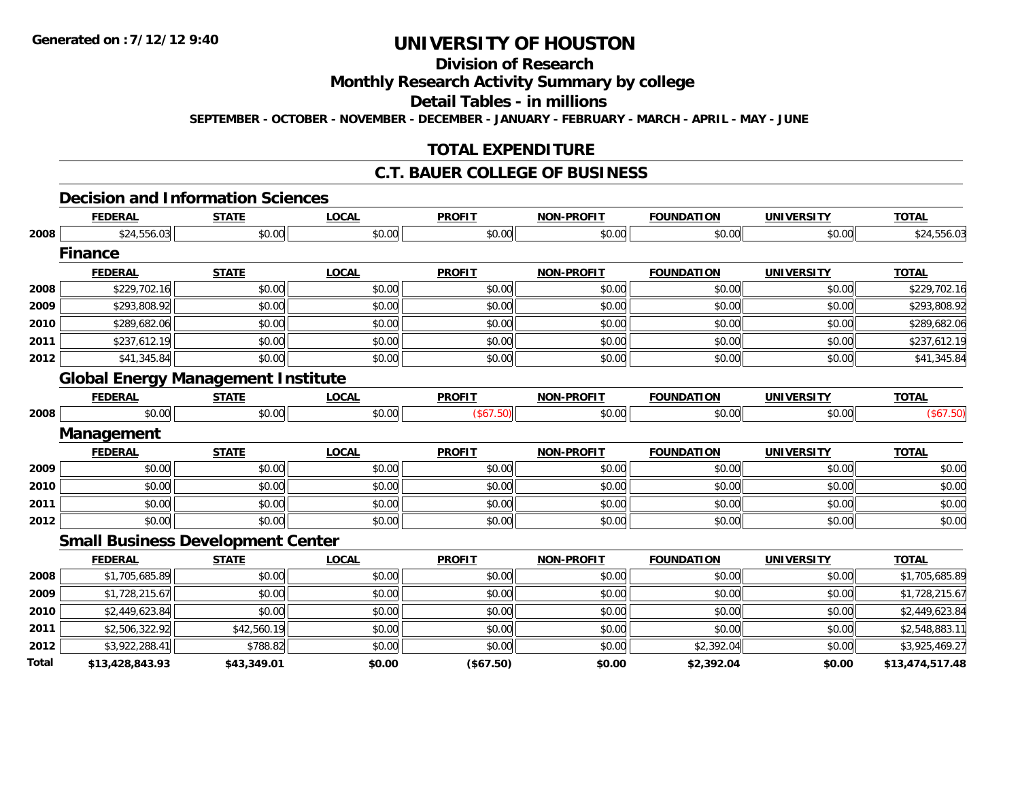**Total**

# **UNIVERSITY OF HOUSTON**

# **Division of Research**

#### **Monthly Research Activity Summary by college**

#### **Detail Tables - in millions**

**SEPTEMBER - OCTOBER - NOVEMBER - DECEMBER - JANUARY - FEBRUARY - MARCH - APRIL - MAY - JUNE**

### **TOTAL EXPENDITURE**

#### **C.T. BAUER COLLEGE OF BUSINESS**

#### **Decision and Information Sciences**

|      | <b>FEDERAL</b>                            | <b>STATE</b> | <b>LOCAL</b> | <b>PROFIT</b> | <b>NON-PROFIT</b> | <b>FOUNDATION</b> | <b>UNIVERSITY</b> | <b>TOTAL</b>   |
|------|-------------------------------------------|--------------|--------------|---------------|-------------------|-------------------|-------------------|----------------|
| 2008 | \$24,556.03                               | \$0.00       | \$0.00       | \$0.00        | \$0.00            | \$0.00            | \$0.00            | \$24,556.03    |
|      | <b>Finance</b>                            |              |              |               |                   |                   |                   |                |
|      | <b>FEDERAL</b>                            | <b>STATE</b> | <b>LOCAL</b> | <b>PROFIT</b> | <b>NON-PROFIT</b> | <b>FOUNDATION</b> | <b>UNIVERSITY</b> | <b>TOTAL</b>   |
| 2008 | \$229,702.16                              | \$0.00       | \$0.00       | \$0.00        | \$0.00            | \$0.00            | \$0.00            | \$229,702.16   |
| 2009 | \$293,808.92                              | \$0.00       | \$0.00       | \$0.00        | \$0.00            | \$0.00            | \$0.00            | \$293,808.92   |
| 2010 | \$289,682.06                              | \$0.00       | \$0.00       | \$0.00        | \$0.00            | \$0.00            | \$0.00            | \$289,682.06   |
| 2011 | \$237,612.19                              | \$0.00       | \$0.00       | \$0.00        | \$0.00            | \$0.00            | \$0.00            | \$237,612.19   |
| 2012 | \$41,345.84                               | \$0.00       | \$0.00       | \$0.00        | \$0.00            | \$0.00            | \$0.00            | \$41,345.84    |
|      | <b>Global Energy Management Institute</b> |              |              |               |                   |                   |                   |                |
|      | <b>FEDERAL</b>                            | <b>STATE</b> | <b>LOCAL</b> | <b>PROFIT</b> | <b>NON-PROFIT</b> | <b>FOUNDATION</b> | <b>UNIVERSITY</b> | <b>TOTAL</b>   |
| 2008 | \$0.00                                    | \$0.00       | \$0.00       | (\$67.50)     | \$0.00            | \$0.00            | \$0.00            | (\$67.50)      |
|      | Management                                |              |              |               |                   |                   |                   |                |
|      | <b>FEDERAL</b>                            | <b>STATE</b> | <b>LOCAL</b> | <b>PROFIT</b> | <b>NON-PROFIT</b> | <b>FOUNDATION</b> | <b>UNIVERSITY</b> | <b>TOTAL</b>   |
| 2009 | \$0.00                                    | \$0.00       | \$0.00       | \$0.00        | \$0.00            | \$0.00            | \$0.00            | \$0.00         |
| 2010 | \$0.00                                    | \$0.00       | \$0.00       | \$0.00        | \$0.00            | \$0.00            | \$0.00            | \$0.00         |
| 2011 | \$0.00                                    | \$0.00       | \$0.00       | \$0.00        | \$0.00            | \$0.00            | \$0.00            | \$0.00         |
| 2012 | \$0.00                                    | \$0.00       | \$0.00       | \$0.00        | \$0.00            | \$0.00            | \$0.00            | \$0.00         |
|      | <b>Small Business Development Center</b>  |              |              |               |                   |                   |                   |                |
|      | <b>FEDERAL</b>                            | <b>STATE</b> | <b>LOCAL</b> | <b>PROFIT</b> | <b>NON-PROFIT</b> | <b>FOUNDATION</b> | <b>UNIVERSITY</b> | <b>TOTAL</b>   |
| 2008 | \$1,705,685.89                            | \$0.00       | \$0.00       | \$0.00        | \$0.00            | \$0.00            | \$0.00            | \$1,705,685.89 |
| 2009 | \$1,728,215.67                            | \$0.00       | \$0.00       | \$0.00        | \$0.00            | \$0.00            | \$0.00            | \$1,728,215.67 |
| 2010 | \$2,449,623.84                            | \$0.00       | \$0.00       | \$0.00        | \$0.00            | \$0.00            | \$0.00            | \$2,449,623.84 |
| 2011 | \$2,506,322.92                            | \$42,560.19  | \$0.00       | \$0.00        | \$0.00            | \$0.00            | \$0.00            | \$2,548,883.11 |
| 2012 | \$3,922,288.41                            | \$788.82     | \$0.00       | \$0.00        | \$0.00            | \$2,392.04        | \$0.00            | \$3,925,469.27 |

**\$13,428,843.93 \$43,349.01 \$0.00 (\$67.50) \$0.00 \$2,392.04 \$0.00 \$13,474,517.48**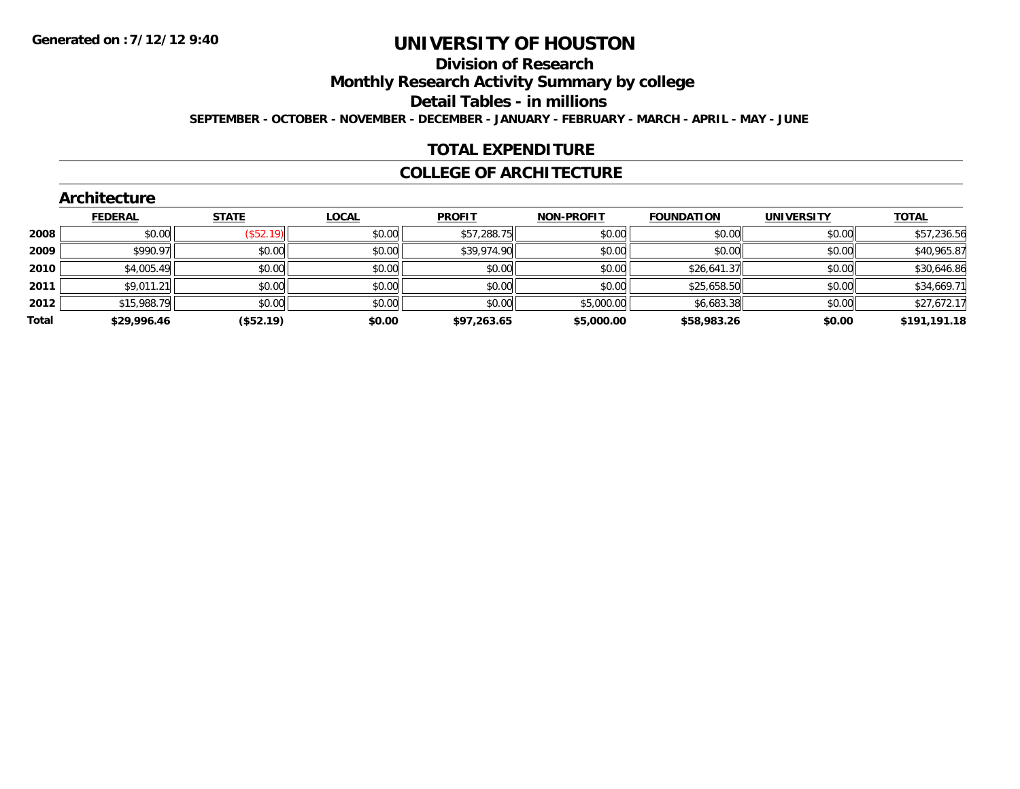#### **Division of Research**

**Monthly Research Activity Summary by college**

**Detail Tables - in millions**

**SEPTEMBER - OCTOBER - NOVEMBER - DECEMBER - JANUARY - FEBRUARY - MARCH - APRIL - MAY - JUNE**

#### **TOTAL EXPENDITURE**

#### **COLLEGE OF ARCHITECTURE**

#### **FEDERAL STATE LOCAL PROFIT NON-PROFIT FOUNDATION UNIVERSITY TOTALTOTAL 2008** \$0.00 (\$52.19) \$0.00 \$57,288.75 \$0.00 \$0.00 \$0.00 \$57,236.56 **2009** \$990.97 \$0.00 \$0.00 \$39,974.90 \$0.00 \$0.00 \$0.00 \$40,965.87 **2010** $\textsf{0} \parallel \textsf{0} \parallel \textsf{0} \parallel \textsf{0} \parallel \textsf{0} \parallel \textsf{0} \parallel \textsf{0} \parallel \textsf{0} \parallel \textsf{0} \parallel \textsf{0} \parallel \textsf{0} \parallel \textsf{0} \parallel \textsf{0} \parallel \textsf{0} \parallel \textsf{0} \parallel \textsf{0} \parallel \textsf{0} \parallel \textsf{0} \parallel \textsf{0} \parallel \textsf{0} \parallel \textsf{0} \parallel \textsf{0} \parallel \textsf{0} \parallel \textsf{0} \parallel \textsf{0} \parallel \textsf{0} \parallel \textsf{0} \parallel \textsf{$ **2011**1 \$9,011.21| \$0.00| \$0.00| \$0.00| \$0.00| \$0.00| \$0.00| \$0.00| \$25,658.50| \$0.50| \$34,669.71 **2012**2 | \$15,988.79|| \$0.00| \$0.00|| \$0.00|| \$0.00|| \$0.00|| \$5,000.00|| \$6,683.38|| \$0.00|| \$27,672.17 **Total\$29,996.46 (\$52.19) \$0.00 \$97,263.65 \$5,000.00 \$58,983.26 \$0.00 \$191,191.18**

#### **Architecture**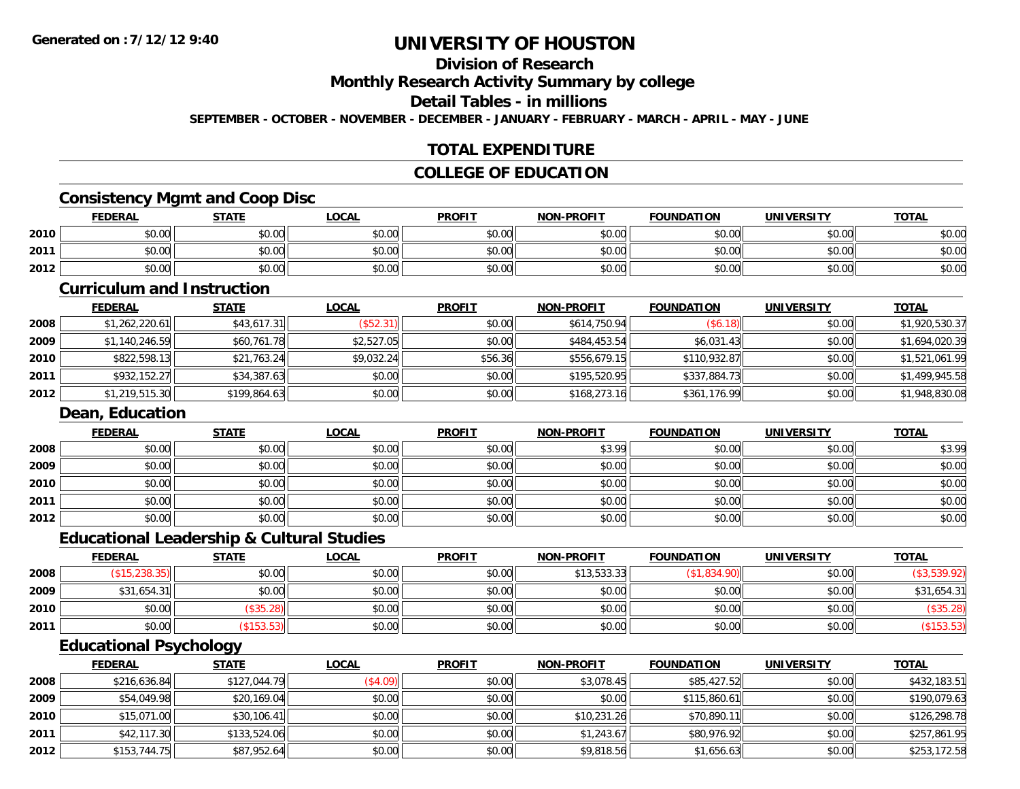### **Division of Research**

**Monthly Research Activity Summary by college**

#### **Detail Tables - in millions**

**SEPTEMBER - OCTOBER - NOVEMBER - DECEMBER - JANUARY - FEBRUARY - MARCH - APRIL - MAY - JUNE**

### **TOTAL EXPENDITURE**

#### **COLLEGE OF EDUCATION**

#### **Consistency Mgmt and Coop Disc**

|      | <b>FEDERAL</b>        | <b>STATE</b> | LOCAL  | <b>PROFIT</b> | <b>I-PROFIT</b><br><b>NON</b> | <b>FOUNDATION</b> | <b>UNIVERSITY</b> | <b>TOTAL</b> |
|------|-----------------------|--------------|--------|---------------|-------------------------------|-------------------|-------------------|--------------|
| 2010 | <b>CO OC</b><br>DU.UU | \$0.00       | \$0.00 | \$0.00        | \$0.00                        | \$0.00            | \$0.00            | \$0.00       |
| 2011 | ሰሰ ሰሰ<br>DU.UU        | \$0.00       | \$0.00 | \$0.00        | \$0.00                        | \$0.00            | \$0.00            | \$0.00       |
| 2012 | \$0.00                | \$0.00       | \$0.00 | \$0.00        | \$0.00                        | \$0.00            | \$0.00            | \$0.00       |

#### **Curriculum and Instruction**

|      | <b>FEDERAL</b> | <b>STATE</b> | <u>LOCAL</u> | <b>PROFIT</b> | <b>NON-PROFIT</b> | <b>FOUNDATION</b> | <b>UNIVERSITY</b> | <b>TOTAL</b>   |
|------|----------------|--------------|--------------|---------------|-------------------|-------------------|-------------------|----------------|
| 2008 | \$1,262,220.61 | \$43,617.31  | (\$52.31)    | \$0.00        | \$614,750.94      | (\$6.18)          | \$0.00            | \$1,920,530.37 |
| 2009 | \$1,140,246.59 | \$60,761.78  | \$2,527.05   | \$0.00        | \$484,453.54      | \$6,031.43        | \$0.00            | \$1,694,020.39 |
| 2010 | \$822,598.13   | \$21,763.24  | \$9,032.24   | \$56.36       | \$556,679.15      | \$110,932.87      | \$0.00            | \$1,521,061.99 |
| 2011 | \$932,152.27   | \$34,387.63  | \$0.00       | \$0.00        | \$195,520.95      | \$337,884.73      | \$0.00            | \$1,499,945.58 |
| 2012 | \$1,219,515.30 | \$199,864.63 | \$0.00       | \$0.00        | \$168.273.16      | \$361,176.99      | \$0.00            | \$1,948,830.08 |

#### **Dean, Education**

|      | <b>FEDERAL</b> | <b>STATE</b> | <u>LOCAL</u> | <b>PROFIT</b> | <b>NON-PROFIT</b> | <b>FOUNDATION</b> | <b>UNIVERSITY</b> | <b>TOTAL</b> |
|------|----------------|--------------|--------------|---------------|-------------------|-------------------|-------------------|--------------|
| 2008 | \$0.00         | \$0.00       | \$0.00       | \$0.00        | \$3.99            | \$0.00            | \$0.00            | \$3.99       |
| 2009 | \$0.00         | \$0.00       | \$0.00       | \$0.00        | \$0.00            | \$0.00            | \$0.00            | \$0.00       |
| 2010 | \$0.00         | \$0.00       | \$0.00       | \$0.00        | \$0.00            | \$0.00            | \$0.00            | \$0.00       |
| 2011 | \$0.00         | \$0.00       | \$0.00       | \$0.00        | \$0.00            | \$0.00            | \$0.00            | \$0.00       |
| 2012 | \$0.00         | \$0.00       | \$0.00       | \$0.00        | \$0.00            | \$0.00            | \$0.00            | \$0.00       |

#### **Educational Leadership & Cultural Studies**

|      | <u>FEDERAL</u> | <u>STATE</u> | <b>LOCAL</b> | <b>PROFIT</b> | <b>NON-PROFIT</b> | <b>FOUNDATION</b> | <b>UNIVERSITY</b> | <b>TOTAL</b> |
|------|----------------|--------------|--------------|---------------|-------------------|-------------------|-------------------|--------------|
| 2008 | (238.35)       | \$0.00       | \$0.00       | \$0.00        | \$13,533.33       | \$1,834           | \$0.00            |              |
| 2009 | \$31,654.31    | \$0.00       | \$0.00       | \$0.00        | \$0.00            | \$0.00            | \$0.00            | \$31,654.31  |
| 2010 | \$0.00         | \$35.28)     | \$0.00       | \$0.00        | \$0.00            | \$0.00            | \$0.00            | (\$35.28)    |
| 2011 | \$0.00         | $$153.53$ ]  | \$0.00       | \$0.00        | \$0.00            | \$0.00            | \$0.00            |              |

### **Educational Psychology**

|      | <b>FEDERAL</b> | <u>STATE</u> | <b>LOCAL</b> | <b>PROFIT</b> | <b>NON-PROFIT</b> | <b>FOUNDATION</b> | <b>UNIVERSITY</b> | <b>TOTAL</b> |
|------|----------------|--------------|--------------|---------------|-------------------|-------------------|-------------------|--------------|
| 2008 | \$216,636.84   | \$127,044.79 | (\$4.09)     | \$0.00        | \$3,078.45        | \$85,427.52       | \$0.00            | \$432,183.51 |
| 2009 | \$54,049.98    | \$20,169.04  | \$0.00       | \$0.00        | \$0.00            | \$115,860.61      | \$0.00            | \$190,079.63 |
| 2010 | \$15,071.00    | \$30,106.41  | \$0.00       | \$0.00        | \$10,231.26       | \$70,890.11       | \$0.00            | \$126,298.78 |
| 2011 | \$42,117.30    | \$133,524.06 | \$0.00       | \$0.00        | \$1,243.67        | \$80,976.92       | \$0.00            | \$257,861.95 |
| 2012 | \$153,744.75   | \$87,952.64  | \$0.00       | \$0.00        | \$9,818.56        | \$1,656.63        | \$0.00            | \$253,172.58 |

<u> 1989 - Johann Stoff, deutscher Stoffen und der Stoffen und der Stoffen und der Stoffen und der Stoffen und de</u>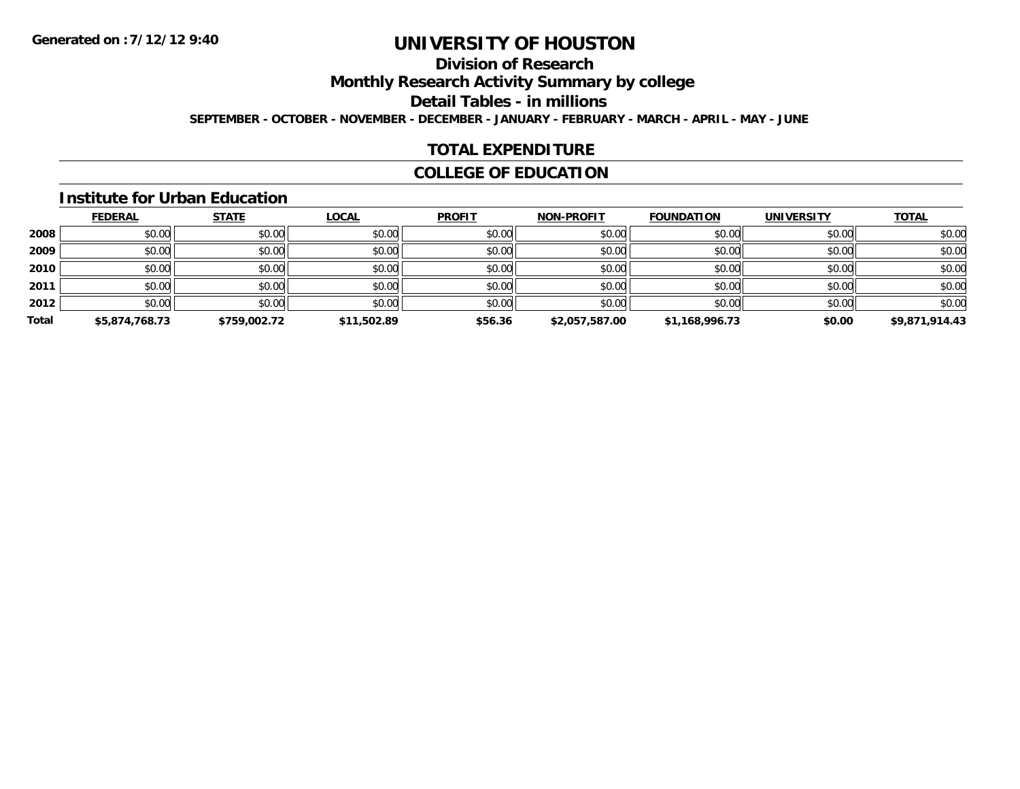# **Division of Research**

**Monthly Research Activity Summary by college**

**Detail Tables - in millions**

**SEPTEMBER - OCTOBER - NOVEMBER - DECEMBER - JANUARY - FEBRUARY - MARCH - APRIL - MAY - JUNE**

### **TOTAL EXPENDITURE**

#### **COLLEGE OF EDUCATION**

#### **Institute for Urban Education**

|       | <b>FEDERAL</b> | <b>STATE</b> | <b>LOCAL</b> | <b>PROFIT</b> | <b>NON-PROFIT</b> | <b>FOUNDATION</b> | <b>UNIVERSITY</b> | <b>TOTAL</b>   |
|-------|----------------|--------------|--------------|---------------|-------------------|-------------------|-------------------|----------------|
| 2008  | \$0.00         | \$0.00       | \$0.00       | \$0.00        | \$0.00            | \$0.00            | \$0.00            | \$0.00         |
| 2009  | \$0.00         | \$0.00       | \$0.00       | \$0.00        | \$0.00            | \$0.00            | \$0.00            | \$0.00         |
| 2010  | \$0.00         | \$0.00       | \$0.00       | \$0.00        | \$0.00            | \$0.00            | \$0.00            | \$0.00         |
| 2011  | \$0.00         | \$0.00       | \$0.00       | \$0.00        | \$0.00            | \$0.00            | \$0.00            | \$0.00         |
| 2012  | \$0.00         | \$0.00       | \$0.00       | \$0.00        | \$0.00            | \$0.00            | \$0.00            | \$0.00         |
| Total | \$5,874,768.73 | \$759,002.72 | \$11,502.89  | \$56.36       | \$2,057,587.00    | \$1,168,996.73    | \$0.00            | \$9,871,914.43 |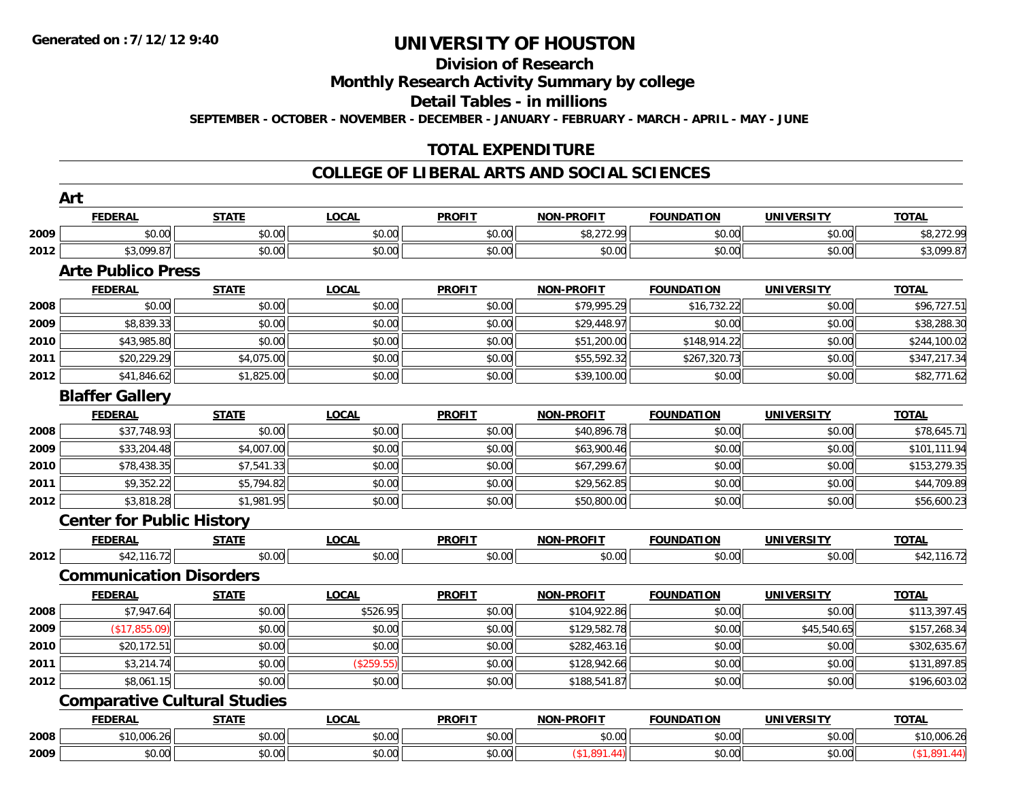# **Division of Research**

**Monthly Research Activity Summary by college**

**Detail Tables - in millions**

**SEPTEMBER - OCTOBER - NOVEMBER - DECEMBER - JANUARY - FEBRUARY - MARCH - APRIL - MAY - JUNE**

### **TOTAL EXPENDITURE**

#### **COLLEGE OF LIBERAL ARTS AND SOCIAL SCIENCES**

|      | <b>FEDERAL</b>                   | <b>STATE</b>                        | <b>LOCAL</b> | <b>PROFIT</b> | <b>NON-PROFIT</b> | <b>FOUNDATION</b> | <b>UNIVERSITY</b> | <b>TOTAL</b> |
|------|----------------------------------|-------------------------------------|--------------|---------------|-------------------|-------------------|-------------------|--------------|
| 2009 | \$0.00                           | \$0.00                              | \$0.00       | \$0.00        | \$8,272.99        | \$0.00            | \$0.00            | \$8,272.99   |
| 2012 | \$3,099.87                       | \$0.00                              | \$0.00       | \$0.00        | \$0.00            | \$0.00            | \$0.00            | \$3,099.87   |
|      | <b>Arte Publico Press</b>        |                                     |              |               |                   |                   |                   |              |
|      | <b>FEDERAL</b>                   | <b>STATE</b>                        | <b>LOCAL</b> | <b>PROFIT</b> | <b>NON-PROFIT</b> | <b>FOUNDATION</b> | <b>UNIVERSITY</b> | <b>TOTAL</b> |
| 2008 | \$0.00                           | \$0.00                              | \$0.00       | \$0.00        | \$79,995.29       | \$16,732.22       | \$0.00            | \$96,727.51  |
| 2009 | \$8,839.33                       | \$0.00                              | \$0.00       | \$0.00        | \$29,448.97       | \$0.00            | \$0.00            | \$38,288.30  |
| 2010 | \$43,985.80                      | \$0.00                              | \$0.00       | \$0.00        | \$51,200.00       | \$148,914.22      | \$0.00            | \$244,100.02 |
| 2011 | \$20,229.29                      | \$4,075.00                          | \$0.00       | \$0.00        | \$55,592.32       | \$267,320.73      | \$0.00            | \$347,217.34 |
| 2012 | \$41,846.62                      | \$1,825.00                          | \$0.00       | \$0.00        | \$39,100.00       | \$0.00            | \$0.00            | \$82,771.62  |
|      | <b>Blaffer Gallery</b>           |                                     |              |               |                   |                   |                   |              |
|      | <b>FEDERAL</b>                   | <b>STATE</b>                        | <b>LOCAL</b> | <b>PROFIT</b> | <b>NON-PROFIT</b> | <b>FOUNDATION</b> | <b>UNIVERSITY</b> | <b>TOTAL</b> |
| 2008 | \$37,748.93                      | \$0.00                              | \$0.00       | \$0.00        | \$40,896.78       | \$0.00            | \$0.00            | \$78,645.71  |
| 2009 | \$33,204.48                      | \$4,007.00                          | \$0.00       | \$0.00        | \$63,900.46       | \$0.00            | \$0.00            | \$101,111.94 |
| 2010 | \$78,438.35                      | \$7,541.33                          | \$0.00       | \$0.00        | \$67,299.67       | \$0.00            | \$0.00            | \$153,279.35 |
| 2011 | \$9,352.22                       | \$5,794.82                          | \$0.00       | \$0.00        | \$29,562.85       | \$0.00            | \$0.00            | \$44,709.89  |
| 2012 | \$3,818.28                       | \$1,981.95                          | \$0.00       | \$0.00        | \$50,800.00       | \$0.00            | \$0.00            | \$56,600.23  |
|      | <b>Center for Public History</b> |                                     |              |               |                   |                   |                   |              |
|      | <b>FEDERAL</b>                   | <u>STATE</u>                        | <b>LOCAL</b> | <b>PROFIT</b> | <b>NON-PROFIT</b> | <b>FOUNDATION</b> | <b>UNIVERSITY</b> | <b>TOTAL</b> |
| 2012 | \$42,116.72                      | \$0.00                              | \$0.00       | \$0.00        | \$0.00            | \$0.00            | \$0.00            | \$42,116.72  |
|      | <b>Communication Disorders</b>   |                                     |              |               |                   |                   |                   |              |
|      | <b>FEDERAL</b>                   | <b>STATE</b>                        | <b>LOCAL</b> | <b>PROFIT</b> | <b>NON-PROFIT</b> | <b>FOUNDATION</b> | <b>UNIVERSITY</b> | <b>TOTAL</b> |
| 2008 | \$7,947.64                       | \$0.00                              | \$526.95     | \$0.00        | \$104,922.86      | \$0.00            | \$0.00            | \$113,397.45 |
| 2009 | (\$17,855.09)                    | \$0.00                              | \$0.00       | \$0.00        | \$129,582.78      | \$0.00            | \$45,540.65       | \$157,268.34 |
| 2010 | \$20,172.51                      | \$0.00                              | \$0.00       | \$0.00        | \$282,463.16      | \$0.00            | \$0.00            | \$302,635.67 |
| 2011 | \$3,214.74                       | \$0.00                              | (\$259.55)   | \$0.00        | \$128,942.66      | \$0.00            | \$0.00            | \$131,897.85 |
| 2012 | \$8,061.15                       | \$0.00                              | \$0.00       | \$0.00        | \$188,541.87      | \$0.00            | \$0.00            | \$196,603.02 |
|      |                                  | <b>Comparative Cultural Studies</b> |              |               |                   |                   |                   |              |
|      | <b>FEDERAL</b>                   | <b>STATE</b>                        | <b>LOCAL</b> | <b>PROFIT</b> | <b>NON-PROFIT</b> | <b>FOUNDATION</b> | <b>UNIVERSITY</b> | <b>TOTAL</b> |
| 2008 | \$10,006.26                      | \$0.00                              | \$0.00       | \$0.00        | \$0.00            | \$0.00            | \$0.00            | \$10,006.26  |
| 2009 | \$0.00                           | \$0.00                              | \$0.00       | \$0.00        | (\$1,891.44)      | \$0.00            | \$0.00            | (\$1,891.44) |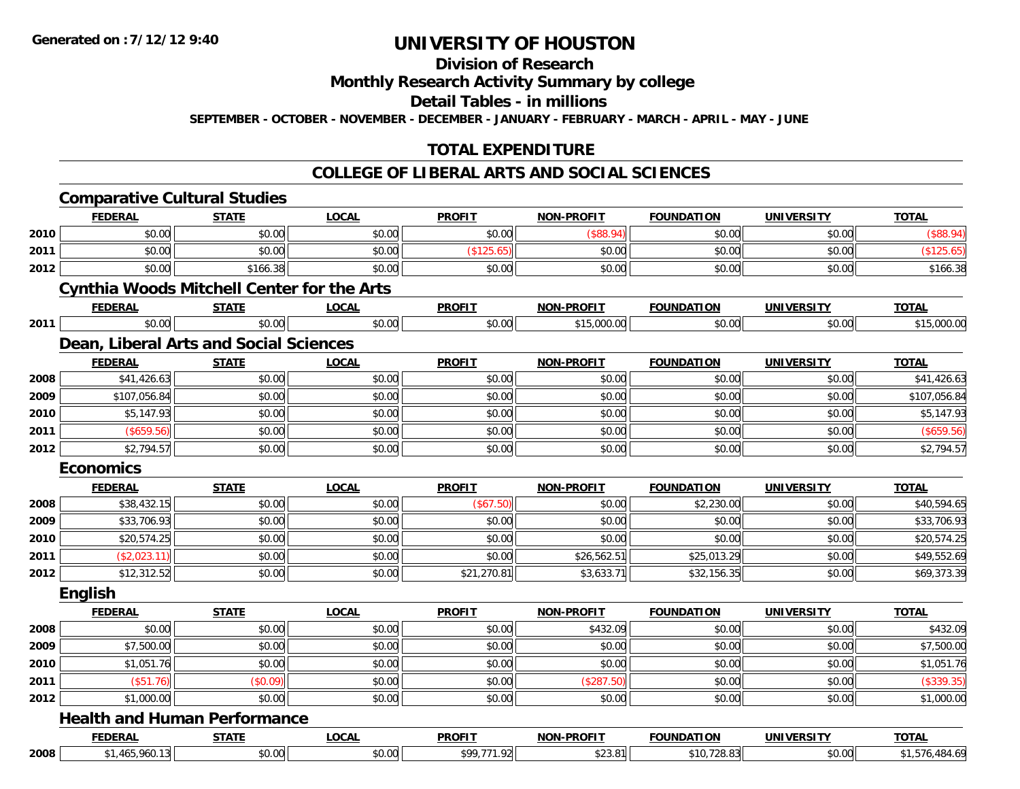#### **Division of Research**

**Monthly Research Activity Summary by college**

**Detail Tables - in millions**

**SEPTEMBER - OCTOBER - NOVEMBER - DECEMBER - JANUARY - FEBRUARY - MARCH - APRIL - MAY - JUNE**

### **TOTAL EXPENDITURE**

#### **COLLEGE OF LIBERAL ARTS AND SOCIAL SCIENCES**

|      | <b>Comparative Cultural Studies</b>               |              |              |               |                   |                   |                   |                |
|------|---------------------------------------------------|--------------|--------------|---------------|-------------------|-------------------|-------------------|----------------|
|      | <b>FEDERAL</b>                                    | <b>STATE</b> | <b>LOCAL</b> | <b>PROFIT</b> | <b>NON-PROFIT</b> | <b>FOUNDATION</b> | <b>UNIVERSITY</b> | <b>TOTAL</b>   |
| 2010 | \$0.00                                            | \$0.00       | \$0.00       | \$0.00        | (\$88.94)         | \$0.00            | \$0.00            | (\$88.94)      |
| 2011 | \$0.00                                            | \$0.00       | \$0.00       | (\$125.65)    | \$0.00            | \$0.00            | \$0.00            | (\$125.65)     |
| 2012 | \$0.00                                            | \$166.38     | \$0.00       | \$0.00        | \$0.00            | \$0.00            | \$0.00            | \$166.38       |
|      | <b>Cynthia Woods Mitchell Center for the Arts</b> |              |              |               |                   |                   |                   |                |
|      | <b>FEDERAL</b>                                    | <b>STATE</b> | <u>LOCAL</u> | <b>PROFIT</b> | <b>NON-PROFIT</b> | <b>FOUNDATION</b> | <b>UNIVERSITY</b> | <b>TOTAL</b>   |
| 2011 | \$0.00                                            | \$0.00       | \$0.00       | \$0.00        | \$15,000.00       | \$0.00            | \$0.00            | \$15,000.00    |
|      | Dean, Liberal Arts and Social Sciences            |              |              |               |                   |                   |                   |                |
|      | <b>FEDERAL</b>                                    | <b>STATE</b> | <b>LOCAL</b> | <b>PROFIT</b> | <b>NON-PROFIT</b> | <b>FOUNDATION</b> | <b>UNIVERSITY</b> | <b>TOTAL</b>   |
| 2008 | \$41,426.63                                       | \$0.00       | \$0.00       | \$0.00        | \$0.00            | \$0.00            | \$0.00            | \$41,426.63    |
| 2009 | \$107,056.84                                      | \$0.00       | \$0.00       | \$0.00        | \$0.00            | \$0.00            | \$0.00            | \$107,056.84   |
| 2010 | \$5,147.93                                        | \$0.00       | \$0.00       | \$0.00        | \$0.00            | \$0.00            | \$0.00            | \$5,147.93     |
| 2011 | (\$659.56)                                        | \$0.00       | \$0.00       | \$0.00        | \$0.00            | \$0.00            | \$0.00            | (\$659.56)     |
| 2012 | \$2,794.57                                        | \$0.00       | \$0.00       | \$0.00        | \$0.00            | \$0.00            | \$0.00            | \$2,794.57     |
|      | <b>Economics</b>                                  |              |              |               |                   |                   |                   |                |
|      | <b>FEDERAL</b>                                    | <b>STATE</b> | <b>LOCAL</b> | <b>PROFIT</b> | <b>NON-PROFIT</b> | <b>FOUNDATION</b> | <b>UNIVERSITY</b> | <b>TOTAL</b>   |
| 2008 | \$38,432.15                                       | \$0.00       | \$0.00       | (\$67.50)     | \$0.00            | \$2,230.00        | \$0.00            | \$40,594.65    |
| 2009 | \$33,706.93                                       | \$0.00       | \$0.00       | \$0.00        | \$0.00            | \$0.00            | \$0.00            | \$33,706.93    |
| 2010 | \$20,574.25                                       | \$0.00       | \$0.00       | \$0.00        | \$0.00            | \$0.00            | \$0.00            | \$20,574.25    |
| 2011 | (\$2,023.11)                                      | \$0.00       | \$0.00       | \$0.00        | \$26,562.51       | \$25,013.29       | \$0.00            | \$49,552.69    |
| 2012 | \$12,312.52                                       | \$0.00       | \$0.00       | \$21,270.81   | \$3,633.71        | \$32,156.35       | \$0.00            | \$69,373.39    |
|      | <b>English</b>                                    |              |              |               |                   |                   |                   |                |
|      | <b>FEDERAL</b>                                    | <b>STATE</b> | LOCAL        | <b>PROFIT</b> | <b>NON-PROFIT</b> | <b>FOUNDATION</b> | <b>UNIVERSITY</b> | <b>TOTAL</b>   |
| 2008 | \$0.00                                            | \$0.00       | \$0.00       | \$0.00        | \$432.09          | \$0.00            | \$0.00            | \$432.09       |
| 2009 | \$7,500.00                                        | \$0.00       | \$0.00       | \$0.00        | \$0.00            | \$0.00            | \$0.00            | \$7,500.00     |
| 2010 | \$1,051.76                                        | \$0.00       | \$0.00       | \$0.00        | \$0.00            | \$0.00            | \$0.00            | \$1,051.76     |
| 2011 | $($ \$51.76)                                      | (\$0.09)     | \$0.00       | \$0.00        | (\$287.50)        | \$0.00            | \$0.00            | (\$339.35)     |
| 2012 | \$1,000.00                                        | \$0.00       | \$0.00       | \$0.00        | \$0.00            | \$0.00            | \$0.00            | \$1,000.00     |
|      | <b>Health and Human Performance</b>               |              |              |               |                   |                   |                   |                |
|      | <b>FEDERAL</b>                                    | <b>STATE</b> | <b>LOCAL</b> | <b>PROFIT</b> | <b>NON-PROFIT</b> | <b>FOUNDATION</b> | <b>UNIVERSITY</b> | <b>TOTAL</b>   |
| 2008 | \$1,465,960.13                                    | \$0.00       | \$0.00       | \$99,771.92   | \$23.81           | \$10,728.83       | \$0.00            | \$1,576,484.69 |
|      |                                                   |              |              |               |                   |                   |                   |                |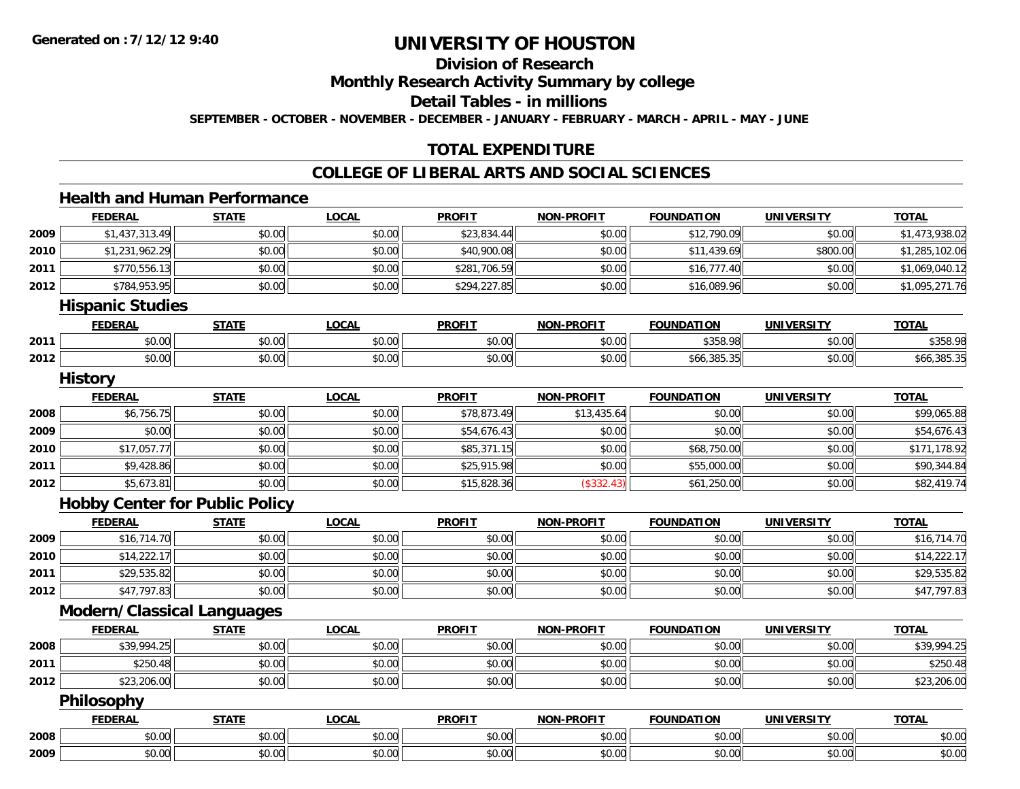# **Division of Research**

**Monthly Research Activity Summary by college**

**Detail Tables - in millions**

**SEPTEMBER - OCTOBER - NOVEMBER - DECEMBER - JANUARY - FEBRUARY - MARCH - APRIL - MAY - JUNE**

### **TOTAL EXPENDITURE**

#### **COLLEGE OF LIBERAL ARTS AND SOCIAL SCIENCES**

#### **Health and Human Performance**

|      | <b>FEDERAL</b>                        | <b>STATE</b> | <b>LOCAL</b> | <b>PROFIT</b> | <b>NON-PROFIT</b> | <b>FOUNDATION</b> | <b>UNIVERSITY</b> | <b>TOTAL</b>   |
|------|---------------------------------------|--------------|--------------|---------------|-------------------|-------------------|-------------------|----------------|
| 2009 | \$1,437,313.49                        | \$0.00       | \$0.00       | \$23,834.44   | \$0.00            | \$12,790.09       | \$0.00            | \$1,473,938.02 |
| 2010 | \$1,231,962.29                        | \$0.00       | \$0.00       | \$40,900.08   | \$0.00            | \$11,439.69       | \$800.00          | \$1,285,102.06 |
| 2011 | \$770,556.13                          | \$0.00       | \$0.00       | \$281,706.59  | \$0.00            | \$16,777.40       | \$0.00            | \$1,069,040.12 |
| 2012 | \$784,953.95                          | \$0.00       | \$0.00       | \$294,227.85  | \$0.00            | \$16,089.96       | \$0.00            | \$1,095,271.76 |
|      | <b>Hispanic Studies</b>               |              |              |               |                   |                   |                   |                |
|      | <b>FEDERAL</b>                        | <b>STATE</b> | <b>LOCAL</b> | <b>PROFIT</b> | <b>NON-PROFIT</b> | <b>FOUNDATION</b> | <b>UNIVERSITY</b> | <b>TOTAL</b>   |
| 2011 | \$0.00                                | \$0.00       | \$0.00       | \$0.00        | \$0.00            | \$358.98          | \$0.00            | \$358.98       |
| 2012 | \$0.00                                | \$0.00       | \$0.00       | \$0.00        | \$0.00            | \$66,385.35       | \$0.00            | \$66,385.35    |
|      | <b>History</b>                        |              |              |               |                   |                   |                   |                |
|      | <b>FEDERAL</b>                        | <b>STATE</b> | <b>LOCAL</b> | <b>PROFIT</b> | <b>NON-PROFIT</b> | <b>FOUNDATION</b> | <b>UNIVERSITY</b> | <b>TOTAL</b>   |
| 2008 | \$6,756.75                            | \$0.00       | \$0.00       | \$78,873.49   | \$13,435.64       | \$0.00            | \$0.00            | \$99,065.88    |
| 2009 | \$0.00                                | \$0.00       | \$0.00       | \$54,676.43   | \$0.00            | \$0.00            | \$0.00            | \$54,676.43    |
| 2010 | \$17,057.77                           | \$0.00       | \$0.00       | \$85,371.15   | \$0.00            | \$68,750.00       | \$0.00            | \$171,178.92   |
| 2011 | \$9,428.86                            | \$0.00       | \$0.00       | \$25,915.98   | \$0.00            | \$55,000.00       | \$0.00            | \$90,344.84    |
| 2012 | \$5,673.81                            | \$0.00       | \$0.00       | \$15,828.36   | (\$332.43)        | \$61,250.00       | \$0.00            | \$82,419.74    |
|      | <b>Hobby Center for Public Policy</b> |              |              |               |                   |                   |                   |                |
|      | <b>FEDERAL</b>                        | <b>STATE</b> | <b>LOCAL</b> | <b>PROFIT</b> | <b>NON-PROFIT</b> | <b>FOUNDATION</b> | <b>UNIVERSITY</b> | <b>TOTAL</b>   |
| 2009 | \$16,714.70                           | \$0.00       | \$0.00       | \$0.00        | \$0.00            | \$0.00            | \$0.00            | \$16,714.70    |
| 2010 | \$14,222.17                           | \$0.00       | \$0.00       | \$0.00        | \$0.00            | \$0.00            | \$0.00            | \$14,222.17    |
| 2011 | \$29,535.82                           | \$0.00       | \$0.00       | \$0.00        | \$0.00            | \$0.00            | \$0.00            | \$29,535.82    |
| 2012 | \$47,797.83                           | \$0.00       | \$0.00       | \$0.00        | \$0.00            | \$0.00            | \$0.00            | \$47,797.83    |
|      | <b>Modern/Classical Languages</b>     |              |              |               |                   |                   |                   |                |
|      | <b>FEDERAL</b>                        | <b>STATE</b> | <b>LOCAL</b> | <b>PROFIT</b> | <b>NON-PROFIT</b> | <b>FOUNDATION</b> | <b>UNIVERSITY</b> | <b>TOTAL</b>   |
| 2008 | \$39,994.25                           | \$0.00       | \$0.00       | \$0.00        | \$0.00            | \$0.00            | \$0.00            | \$39,994.25    |
| 2011 | \$250.48                              | \$0.00       | \$0.00       | \$0.00        | \$0.00            | \$0.00            | \$0.00            | \$250.48       |
| 2012 | \$23,206.00                           | \$0.00       | \$0.00       | \$0.00        | \$0.00            | \$0.00            | \$0.00            | \$23,206.00    |
|      | Philosophy                            |              |              |               |                   |                   |                   |                |
|      | <b>FEDERAL</b>                        | <b>STATE</b> | <b>LOCAL</b> | <b>PROFIT</b> | <b>NON-PROFIT</b> | <b>FOUNDATION</b> | <b>UNIVERSITY</b> | <b>TOTAL</b>   |
| 2008 | \$0.00                                | \$0.00       | \$0.00       | \$0.00        | \$0.00            | \$0.00            | \$0.00            | \$0.00         |
| 2009 | \$0.00                                | \$0.00       | \$0.00       | \$0.00        | \$0.00            | \$0.00            | \$0.00            | \$0.00         |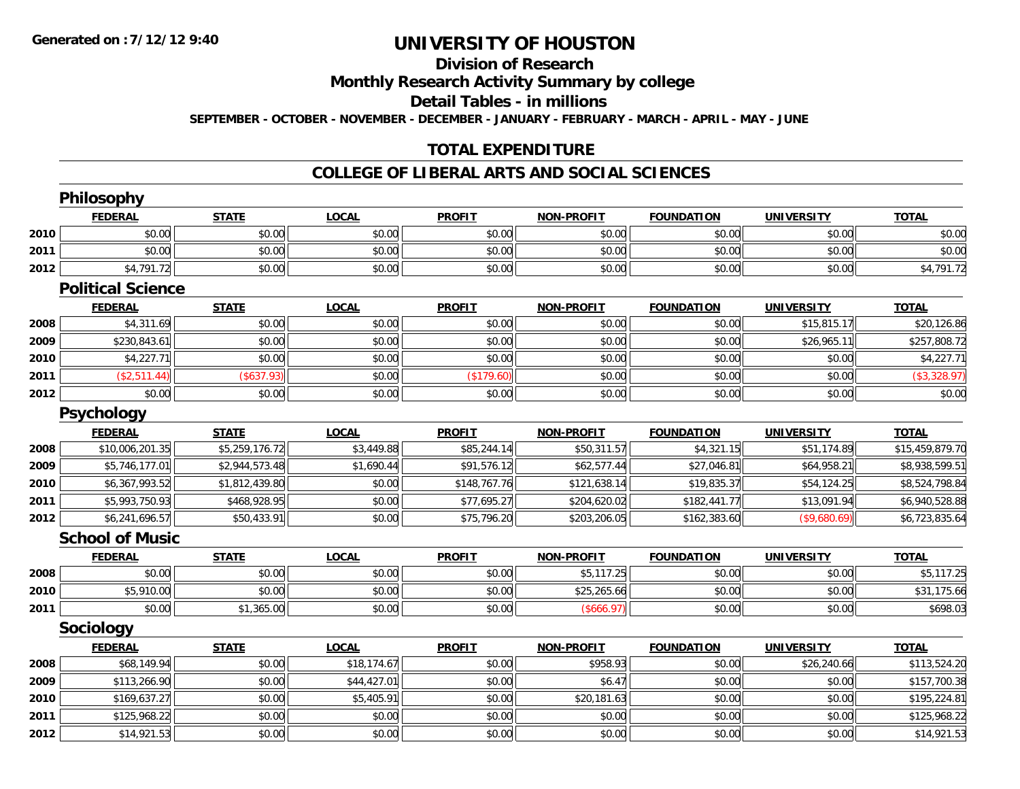# **Division of Research**

**Monthly Research Activity Summary by college**

**Detail Tables - in millions**

**SEPTEMBER - OCTOBER - NOVEMBER - DECEMBER - JANUARY - FEBRUARY - MARCH - APRIL - MAY - JUNE**

### **TOTAL EXPENDITURE**

#### **COLLEGE OF LIBERAL ARTS AND SOCIAL SCIENCES**

|      | Philosophy               |                |              |               |                   |                   |                   |                 |
|------|--------------------------|----------------|--------------|---------------|-------------------|-------------------|-------------------|-----------------|
|      | <b>FEDERAL</b>           | <b>STATE</b>   | <b>LOCAL</b> | <b>PROFIT</b> | <b>NON-PROFIT</b> | <b>FOUNDATION</b> | <b>UNIVERSITY</b> | <b>TOTAL</b>    |
| 2010 | \$0.00                   | \$0.00         | \$0.00       | \$0.00        | \$0.00            | \$0.00            | \$0.00            | \$0.00          |
| 2011 | \$0.00                   | \$0.00         | \$0.00       | \$0.00        | \$0.00            | \$0.00            | \$0.00            | \$0.00          |
| 2012 | \$4,791.72               | \$0.00         | \$0.00       | \$0.00        | \$0.00            | \$0.00            | \$0.00            | \$4,791.72      |
|      | <b>Political Science</b> |                |              |               |                   |                   |                   |                 |
|      | <b>FEDERAL</b>           | <b>STATE</b>   | <b>LOCAL</b> | <b>PROFIT</b> | <b>NON-PROFIT</b> | <b>FOUNDATION</b> | <b>UNIVERSITY</b> | <b>TOTAL</b>    |
| 2008 | \$4,311.69               | \$0.00         | \$0.00       | \$0.00        | \$0.00            | \$0.00            | \$15,815.17       | \$20,126.86     |
| 2009 | \$230,843.61             | \$0.00         | \$0.00       | \$0.00        | \$0.00            | \$0.00            | \$26,965.11       | \$257,808.72    |
| 2010 | \$4,227.71               | \$0.00         | \$0.00       | \$0.00        | \$0.00            | \$0.00            | \$0.00            | \$4,227.71      |
| 2011 | (\$2,511.44)             | (\$637.93)     | \$0.00       | (\$179.60)    | \$0.00            | \$0.00            | \$0.00            | (\$3,328.97)    |
| 2012 | \$0.00                   | \$0.00         | \$0.00       | \$0.00        | \$0.00            | \$0.00            | \$0.00            | \$0.00          |
|      | <b>Psychology</b>        |                |              |               |                   |                   |                   |                 |
|      | <b>FEDERAL</b>           | <b>STATE</b>   | <b>LOCAL</b> | <b>PROFIT</b> | <b>NON-PROFIT</b> | <b>FOUNDATION</b> | <b>UNIVERSITY</b> | <b>TOTAL</b>    |
| 2008 | \$10,006,201.35          | \$5,259,176.72 | \$3,449.88   | \$85,244.14   | \$50,311.57       | \$4,321.15        | \$51,174.89       | \$15,459,879.70 |
| 2009 | \$5,746,177.01           | \$2,944,573.48 | \$1,690.44   | \$91,576.12   | \$62,577.44       | \$27,046.81       | \$64,958.21       | \$8,938,599.51  |
| 2010 | \$6,367,993.52           | \$1,812,439.80 | \$0.00       | \$148,767.76  | \$121,638.14      | \$19,835.37       | \$54,124.25       | \$8,524,798.84  |
| 2011 | \$5,993,750.93           | \$468,928.95   | \$0.00       | \$77,695.27   | \$204,620.02      | \$182,441.77      | \$13,091.94       | \$6,940,528.88  |
| 2012 | \$6,241,696.57           | \$50,433.91    | \$0.00       | \$75,796.20   | \$203,206.05      | \$162,383.60      | (\$9,680.69)      | \$6,723,835.64  |
|      | <b>School of Music</b>   |                |              |               |                   |                   |                   |                 |
|      | <b>FEDERAL</b>           | <b>STATE</b>   | <b>LOCAL</b> | <b>PROFIT</b> | <b>NON-PROFIT</b> | <b>FOUNDATION</b> | <b>UNIVERSITY</b> | <b>TOTAL</b>    |
| 2008 | \$0.00                   | \$0.00         | \$0.00       | \$0.00        | \$5,117.25        | \$0.00            | \$0.00            | \$5,117.25      |
| 2010 | \$5,910.00               | \$0.00         | \$0.00       | \$0.00        | \$25,265.66       | \$0.00            | \$0.00            | \$31,175.66     |
| 2011 | \$0.00                   | \$1,365.00     | \$0.00       | \$0.00        | (\$666.97)        | \$0.00            | \$0.00            | \$698.03        |
|      | <b>Sociology</b>         |                |              |               |                   |                   |                   |                 |
|      | <b>FEDERAL</b>           | <b>STATE</b>   | <b>LOCAL</b> | <b>PROFIT</b> | <b>NON-PROFIT</b> | <b>FOUNDATION</b> | <b>UNIVERSITY</b> | <b>TOTAL</b>    |
| 2008 | \$68,149.94              | \$0.00         | \$18,174.67  | \$0.00        | \$958.93          | \$0.00            | \$26,240.66       | \$113,524.20    |
| 2009 | \$113,266.90             | \$0.00         | \$44,427.01  | \$0.00        | \$6.47            | \$0.00            | \$0.00            | \$157,700.38    |
| 2010 | \$169,637.27             | \$0.00         | \$5,405.91   | \$0.00        | \$20,181.63       | \$0.00            | \$0.00            | \$195,224.81    |
| 2011 | \$125,968.22             | \$0.00         | \$0.00       | \$0.00        | \$0.00            | \$0.00            | \$0.00            | \$125,968.22    |
| 2012 | \$14,921.53              | \$0.00         | \$0.00       | \$0.00        | \$0.00            | \$0.00            | \$0.00            | \$14,921.53     |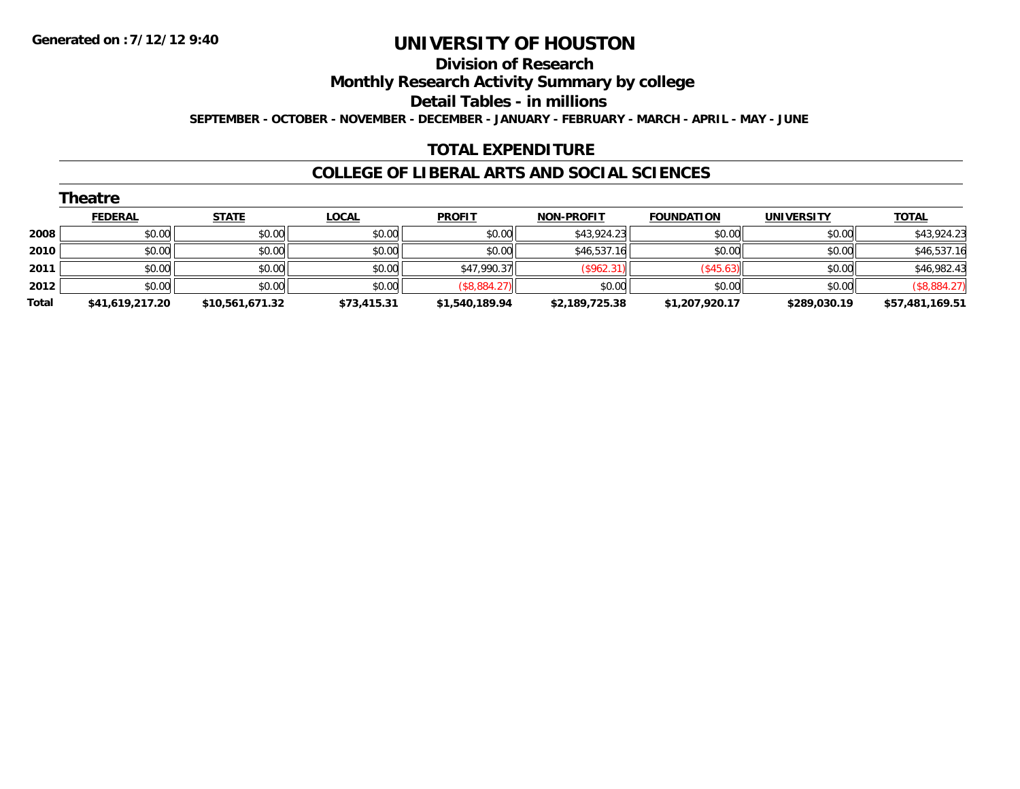#### **Division of Research**

**Monthly Research Activity Summary by college**

**Detail Tables - in millions**

**SEPTEMBER - OCTOBER - NOVEMBER - DECEMBER - JANUARY - FEBRUARY - MARCH - APRIL - MAY - JUNE**

#### **TOTAL EXPENDITURE**

#### **COLLEGE OF LIBERAL ARTS AND SOCIAL SCIENCES**

|       | Theatre         |                 |              |                |                   |                          |                   |                 |
|-------|-----------------|-----------------|--------------|----------------|-------------------|--------------------------|-------------------|-----------------|
|       | <b>FEDERAL</b>  | <b>STATE</b>    | <b>LOCAL</b> | <b>PROFIT</b>  | <b>NON-PROFIT</b> | <b>FOUNDATION</b>        | <b>UNIVERSITY</b> | <b>TOTAL</b>    |
| 2008  | \$0.00          | \$0.00          | \$0.00       | \$0.00         | \$43,924.23       | \$0.00                   | \$0.00            | \$43,924.23     |
| 2010  | \$0.00          | \$0.00          | \$0.00       | \$0.00         | \$46,537.16       | \$0.00                   | \$0.00            | \$46,537.16     |
| 2011  | \$0.00          | \$0.00          | \$0.00       | \$47,990.37    | (\$962.31)        | $($ \$45.63) $\parallel$ | \$0.00            | \$46,982.43     |
| 2012  | \$0.00          | \$0.00          | \$0.00       | (\$8,884.27)   | \$0.00            | \$0.00                   | \$0.00            | (\$8,884.27)    |
| Total | \$41,619,217.20 | \$10,561,671.32 | \$73,415.31  | \$1,540,189.94 | \$2,189,725.38    | \$1,207,920.17           | \$289,030.19      | \$57,481,169.51 |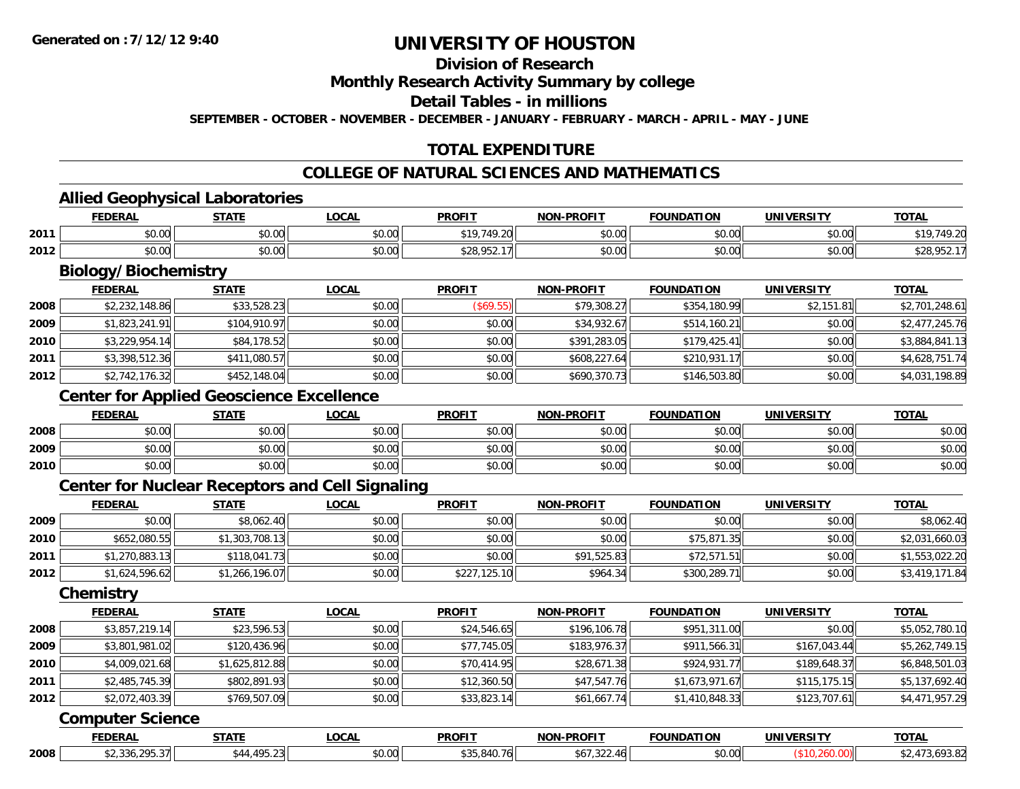### **Division of Research**

#### **Monthly Research Activity Summary by college**

#### **Detail Tables - in millions**

**SEPTEMBER - OCTOBER - NOVEMBER - DECEMBER - JANUARY - FEBRUARY - MARCH - APRIL - MAY - JUNE**

### **TOTAL EXPENDITURE**

#### **COLLEGE OF NATURAL SCIENCES AND MATHEMATICS**

#### **Allied Geophysical Laboratories**

|      | <b>FEDERAL</b>         | <b>CTATE</b>       | <b>OCAL</b>   | <b>PROFIT</b>                                                            | <b>NON-PROFIT</b> | <b>FOUNDATION</b>       | UNIVERSITY | <b>TOTAL</b>                     |
|------|------------------------|--------------------|---------------|--------------------------------------------------------------------------|-------------------|-------------------------|------------|----------------------------------|
| 2011 | $\sim$ 00<br>וטט.      | ሶስ ሰሰ<br>DU.UU     | 0.00<br>JU.UU | <b>\$10 7/10</b>                                                         | 0000<br>JU.UU     | $n \cap \Omega$<br>u.uu | \$0.00     |                                  |
| 2012 | $\sim$ $\sim$<br>vu.uu | $\sim$ 00<br>JU.UU | 0.00<br>JU.UU | $\begin{array}{c} \hline \end{array}$<br>ມ∠ບ<br>$\overline{\phantom{a}}$ | 0000<br>JU.UU     | 40.00<br>v.vv           | \$0.00     | J∠O.<br>$\overline{\phantom{a}}$ |

# **Biology/Biochemistry**

|      | <b>FEDERAL</b> | <u>STATE</u> | <b>LOCAL</b> | <b>PROFIT</b> | <b>NON-PROFIT</b> | <b>FOUNDATION</b> | <b>UNIVERSITY</b> | <b>TOTAL</b>   |
|------|----------------|--------------|--------------|---------------|-------------------|-------------------|-------------------|----------------|
| 2008 | \$2,232,148.86 | \$33,528.23  | \$0.00       | (\$69.55)     | \$79,308.27       | \$354,180.99      | \$2,151.81        | \$2,701,248.61 |
| 2009 | \$1,823,241.91 | \$104,910.97 | \$0.00       | \$0.00        | \$34,932.67       | \$514,160.21      | \$0.00            | \$2,477,245.76 |
| 2010 | \$3.229.954.14 | \$84,178.52  | \$0.00       | \$0.00        | \$391,283.05      | \$179.425.41      | \$0.00            | \$3,884,841.13 |
| 2011 | \$3,398,512.36 | \$411,080.57 | \$0.00       | \$0.00        | \$608,227.64      | \$210,931.17      | \$0.00            | \$4,628,751.74 |
| 2012 | \$2,742,176.32 | \$452,148.04 | \$0.00       | \$0.00        | \$690,370.73      | \$146,503.80      | \$0.00            | \$4,031,198.89 |

### **Center for Applied Geoscience Excellence**

|      | <b>FEDERAL</b> | <b>STATE</b>   | <b>LOCAL</b>   | <b>PROFIT</b> | <b>NON-PROFIT</b> | <b>FOUNDATION</b> | <b>UNIVERSITY</b> | <b>TOTAL</b> |
|------|----------------|----------------|----------------|---------------|-------------------|-------------------|-------------------|--------------|
| 2008 | \$0.00         | ልስ ሰሰ<br>JU.UU | 40.00<br>DU.UU | \$0.00        | \$0.00            | \$0.00            | \$0.00            | \$0.00       |
| 2009 | \$0.00         | ሶስ ሰሰ<br>งบ.บบ | \$0.00         | \$0.00        | \$0.00            | \$0.00            | \$0.00            | \$0.00       |
| 2010 | \$0.00         | \$0.00         | \$0.00         | \$0.00        | \$0.00            | \$0.00            | \$0.00            | \$0.00       |

#### **Center for Nuclear Receptors and Cell Signaling**

|      | <b>FEDERAL</b> | <u>STATE</u>   | <u>LOCAL</u> | <b>PROFIT</b> | <b>NON-PROFIT</b> | <b>FOUNDATION</b> | <b>UNIVERSITY</b> | <b>TOTAL</b>   |
|------|----------------|----------------|--------------|---------------|-------------------|-------------------|-------------------|----------------|
| 2009 | \$0.00         | \$8,062.40     | \$0.00       | \$0.00        | \$0.00            | \$0.00            | \$0.00            | \$8,062.40     |
| 2010 | \$652,080.55   | \$1,303,708.13 | \$0.00       | \$0.00        | \$0.00            | \$75,871.35       | \$0.00            | \$2,031,660.03 |
| 2011 | \$1,270,883.13 | \$118,041.73   | \$0.00       | \$0.00        | \$91,525.83       | \$72,571.51       | \$0.00            | \$1,553,022.20 |
| 2012 | \$1,624,596.62 | \$1,266,196.07 | \$0.00       | \$227,125.10  | \$964.34          | \$300,289.71      | \$0.00            | \$3,419,171.84 |

#### **Chemistry**

|      | <b>FEDERAL</b> | <b>STATE</b>   | <b>LOCAL</b> | <b>PROFIT</b> | <b>NON-PROFIT</b> | <b>FOUNDATION</b> | <b>UNIVERSITY</b> | <b>TOTAL</b>   |
|------|----------------|----------------|--------------|---------------|-------------------|-------------------|-------------------|----------------|
| 2008 | \$3,857,219.14 | \$23,596.53    | \$0.00       | \$24,546.65   | \$196,106.78      | \$951,311.00      | \$0.00            | \$5,052,780.10 |
| 2009 | \$3,801,981.02 | \$120,436.96   | \$0.00       | \$77,745.05   | \$183,976.37      | \$911,566.31      | \$167,043.44      | \$5,262,749.15 |
| 2010 | \$4,009,021.68 | \$1,625,812.88 | \$0.00       | \$70,414.95   | \$28,671.38       | \$924,931.77      | \$189,648.37      | \$6,848,501.03 |
| 2011 | \$2,485,745.39 | \$802,891.93   | \$0.00       | \$12,360.50   | \$47,547.76       | \$1,673,971.67    | \$115.175.15      | \$5,137,692.40 |
| 2012 | \$2,072,403.39 | \$769,507.09   | \$0.00       | \$33,823.14   | \$61,667.74       | \$1,410,848.33    | \$123,707.61      | \$4,471,957.29 |

#### **Computer Science**

|      | EEDEDA | -----          | 001<br>$\mathbf{U}$ | <b>PROFIT</b> | ,,,,,, <del>,</del> | $\sim$ וו ומחוומ $\sim$ | INIVE | <b>TOTAL</b><br>. . |
|------|--------|----------------|---------------------|---------------|---------------------|-------------------------|-------|---------------------|
| 2008 | 1.1.11 | $\overline{1}$ | $\sim$ 00<br>וט.טי  | / 61          |                     | \$0.00                  |       |                     |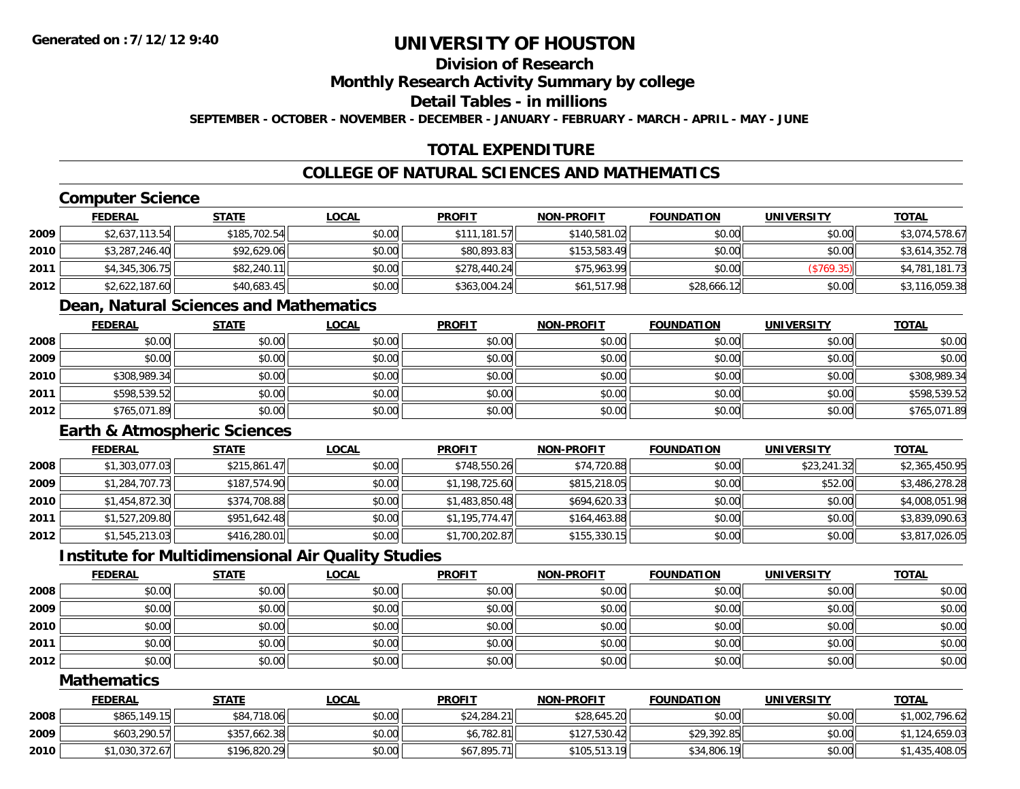### **Division of Research**

**Monthly Research Activity Summary by college**

**Detail Tables - in millions**

**SEPTEMBER - OCTOBER - NOVEMBER - DECEMBER - JANUARY - FEBRUARY - MARCH - APRIL - MAY - JUNE**

### **TOTAL EXPENDITURE**

### **COLLEGE OF NATURAL SCIENCES AND MATHEMATICS**

### **Computer Science**

|      | <b>FEDERAL</b> | <u>STATE</u> | <u>LOCAL</u> | <b>PROFIT</b> | <b>NON-PROFIT</b> | <b>FOUNDATION</b> | UNIVERSITY | <u>TOTAL</u>   |
|------|----------------|--------------|--------------|---------------|-------------------|-------------------|------------|----------------|
| 2009 | \$2,637,113.54 | \$185,702.54 | \$0.00       | \$111,181.57  | \$140,581.02      | \$0.00            | \$0.00     | \$3,074,578.67 |
| 2010 | \$3,287,246.40 | \$92,629.06  | \$0.00       | \$80,893.83   | \$153,583.49      | \$0.00            | \$0.00     | \$3,614,352.78 |
| 2011 | \$4,345,306.75 | \$82,240.11  | \$0.00       | \$278,440.24  | \$75,963.99       | \$0.00            | (\$769.35) | \$4,781,181.73 |
| 2012 | \$2,622,187.60 | \$40,683.45  | \$0.00       | \$363,004.24  | \$61,517.98       | \$28,666.12       | \$0.00     | \$3,116,059.38 |

#### **Dean, Natural Sciences and Mathematics**

|      | <b>FEDERAL</b> | <b>STATE</b> | <b>LOCAL</b> | <b>PROFIT</b> | <b>NON-PROFIT</b> | <b>FOUNDATION</b> | <b>UNIVERSITY</b> | <b>TOTAL</b> |
|------|----------------|--------------|--------------|---------------|-------------------|-------------------|-------------------|--------------|
| 2008 | \$0.00         | \$0.00       | \$0.00       | \$0.00        | \$0.00            | \$0.00            | \$0.00            | \$0.00       |
| 2009 | \$0.00         | \$0.00       | \$0.00       | \$0.00        | \$0.00            | \$0.00            | \$0.00            | \$0.00       |
| 2010 | \$308,989.34   | \$0.00       | \$0.00       | \$0.00        | \$0.00            | \$0.00            | \$0.00            | \$308,989.34 |
| 2011 | \$598,539.52   | \$0.00       | \$0.00       | \$0.00        | \$0.00            | \$0.00            | \$0.00            | \$598,539.52 |
| 2012 | \$765,071.89   | \$0.00       | \$0.00       | \$0.00        | \$0.00            | \$0.00            | \$0.00            | \$765,071.89 |

### **Earth & Atmospheric Sciences**

|      | <b>FEDERAL</b> | <b>STATE</b> | <b>LOCAL</b> | <b>PROFIT</b>  | <b>NON-PROFIT</b> | <b>FOUNDATION</b> | <b>UNIVERSITY</b> | <b>TOTAL</b>   |
|------|----------------|--------------|--------------|----------------|-------------------|-------------------|-------------------|----------------|
| 2008 | \$1,303,077.03 | \$215,861.47 | \$0.00       | \$748,550.26   | \$74,720.88       | \$0.00            | \$23,241.32       | \$2,365,450.95 |
| 2009 | \$1,284,707.73 | \$187,574.90 | \$0.00       | \$1,198,725.60 | \$815,218.05      | \$0.00            | \$52.00           | \$3,486,278.28 |
| 2010 | \$1,454,872.30 | \$374,708.88 | \$0.00       | \$1,483,850.48 | \$694,620.33      | \$0.00            | \$0.00            | \$4,008,051.98 |
| 2011 | \$1,527,209.80 | \$951,642.48 | \$0.00       | \$1,195,774.47 | \$164,463.88      | \$0.00            | \$0.00            | \$3,839,090.63 |
| 2012 | \$1,545,213.03 | \$416,280.01 | \$0.00       | \$1,700,202.87 | \$155,330.15      | \$0.00            | \$0.00            | \$3,817,026.05 |

#### **Institute for Multidimensional Air Quality Studies**

|      | <b>FEDERAL</b> | <b>STATE</b> | <u>LOCAL</u> | <b>PROFIT</b> | <b>NON-PROFIT</b> | <b>FOUNDATION</b> | <b>UNIVERSITY</b> | <b>TOTAL</b> |
|------|----------------|--------------|--------------|---------------|-------------------|-------------------|-------------------|--------------|
| 2008 | \$0.00         | \$0.00       | \$0.00       | \$0.00        | \$0.00            | \$0.00            | \$0.00            | \$0.00       |
| 2009 | \$0.00         | \$0.00       | \$0.00       | \$0.00        | \$0.00            | \$0.00            | \$0.00            | \$0.00       |
| 2010 | \$0.00         | \$0.00       | \$0.00       | \$0.00        | \$0.00            | \$0.00            | \$0.00            | \$0.00       |
| 2011 | \$0.00         | \$0.00       | \$0.00       | \$0.00        | \$0.00            | \$0.00            | \$0.00            | \$0.00       |
| 2012 | \$0.00         | \$0.00       | \$0.00       | \$0.00        | \$0.00            | \$0.00            | \$0.00            | \$0.00       |

#### **Mathematics**

|      | <u>FEDERAL</u> | <u>STATE</u> | <u>LOCAL</u> | <b>PROFIT</b> | <b>NON-PROFIT</b> | <b>FOUNDATION</b> | UNIVERSITY | <b>TOTAL</b>   |
|------|----------------|--------------|--------------|---------------|-------------------|-------------------|------------|----------------|
| 2008 | \$865,149.15   | \$84,718.06  | \$0.00       | \$24,284.21   | \$28,645.20       | \$0.00            | \$0.00     | \$1,002,796.62 |
| 2009 | \$603,290.57   | \$357,662.38 | \$0.00       | \$6,782.81    | \$127,530.42      | \$29,392.85       | \$0.00     | \$1,124,659.03 |
| 2010 | \$1,030,372.67 | \$196,820.29 | \$0.00       | \$67,895.71   | \$105,513.19      | \$34,806.19       | \$0.00     | \$1,435,408.05 |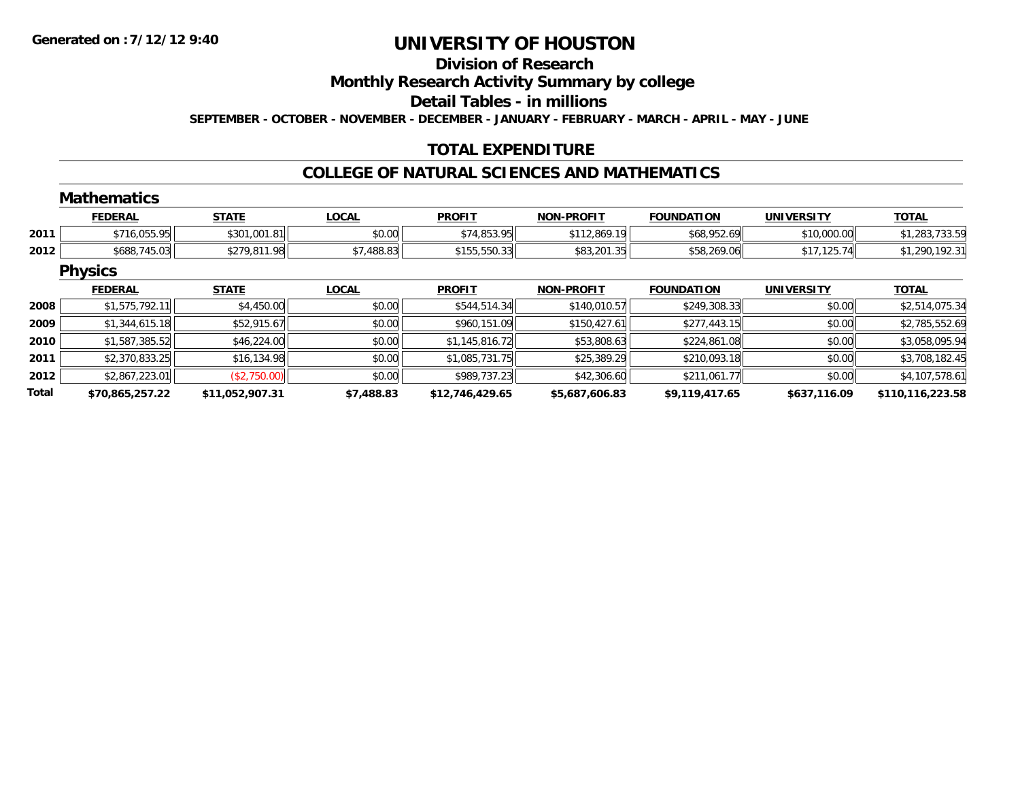#### **Division of Research**

**Monthly Research Activity Summary by college**

**Detail Tables - in millions**

**SEPTEMBER - OCTOBER - NOVEMBER - DECEMBER - JANUARY - FEBRUARY - MARCH - APRIL - MAY - JUNE**

### **TOTAL EXPENDITURE**

#### **COLLEGE OF NATURAL SCIENCES AND MATHEMATICS**

#### **MathematicsFEDERAL STATE LOCAL PROFIT NON-PROFIT FOUNDATION UNIVERSITY TOTALTOTAL 2011** \$716,055.95 \$301,001.81 \$0.00 \$74,853.95 \$112,869.19 \$68,952.69 \$10,000.00 \$1,283,733.59 **2012** \$688,745.03 \$279,811.98 \$7,488.83 \$155,550.33 \$83,201.35 \$58,269.06 \$17,125.74 \$1,290,192.31 **Physics FEDERAL STATE LOCAL PROFIT NON-PROFIT FOUNDATION UNIVERSITY TOTALTOTAL 2008**8 \$1,575,792.11 \$4,450.00 \$4,450.00 \$0.00 \$50.00 \$544,514.34 \$140,010.57 \$249,308.33 \$140,010.57 \$2,514,075.34 **20099** \$1,344,615.18 \$52,915.67 \$52,915.67 \$0.00 \$960,151.09 \$960,151.09 \$150,427.61 \$277,443.15 \$2.785,552.69 **20100** \$1,587,385.52 \$46,224.00 \$46,224.00 \$0.00 \$1,145,816.72 \$3,145,816.72 \$53,808.63 \$224,861.08 \$224,861.08 \$3,058,095.94 **2011** \$2,370,833.25 \$16,134.98 \$0.00 \$1,085,731.75 \$25,389.29 \$210,093.18 \$0.00 \$3,708,182.45 **2012**2 | \$2,867,223.01|| (\$2,750.00)|| \$0.00|| \$989,737.23|| \$42,306.60|| \$211,061.77|| \$0.00|| \$4,107,578.61 **Total\$70,865,257.22 \$11,052,907.31 \$7,488.83 \$12,746,429.65 \$5,687,606.83 \$9,119,417.65 \$637,116.09 \$110,116,223.58**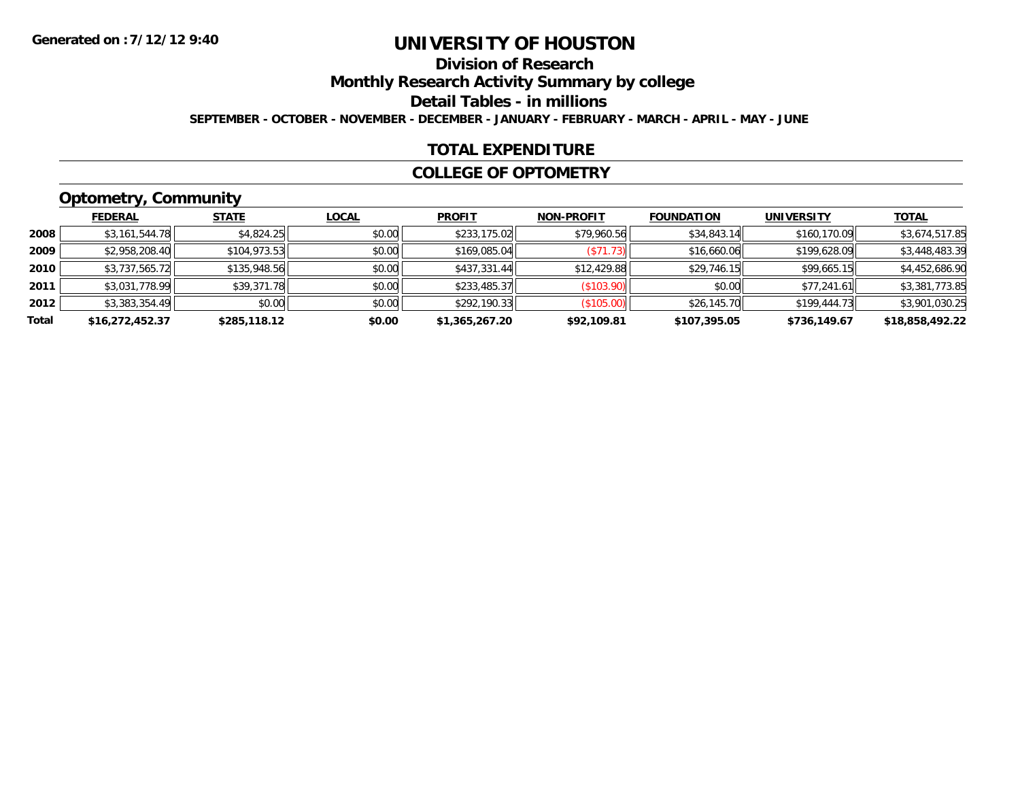# **Division of Research**

**Monthly Research Activity Summary by college**

**Detail Tables - in millions**

**SEPTEMBER - OCTOBER - NOVEMBER - DECEMBER - JANUARY - FEBRUARY - MARCH - APRIL - MAY - JUNE**

### **TOTAL EXPENDITURE**

#### **COLLEGE OF OPTOMETRY**

# **Optometry, Community**

|       | .               |              |              |                |                   |                   |              |                 |
|-------|-----------------|--------------|--------------|----------------|-------------------|-------------------|--------------|-----------------|
|       | <b>FEDERAL</b>  | <b>STATE</b> | <b>LOCAL</b> | <b>PROFIT</b>  | <b>NON-PROFIT</b> | <b>FOUNDATION</b> | UNIVERSITY   | <b>TOTAL</b>    |
| 2008  | \$3,161,544.78  | \$4,824.25   | \$0.00       | \$233,175.02   | \$79,960.56       | \$34,843.14       | \$160,170.09 | \$3,674,517.85  |
| 2009  | \$2,958,208.40  | \$104,973.53 | \$0.00       | \$169,085.04   | (S71.73)          | \$16,660.06       | \$199,628.09 | \$3,448,483.39  |
| 2010  | \$3,737,565.72  | \$135,948.56 | \$0.00       | \$437,331.44   | \$12,429.88       | \$29,746.15       | \$99,665.15  | \$4,452,686.90  |
| 2011  | \$3,031,778.99  | \$39,371.78  | \$0.00       | \$233,485.37   | (\$103.90)        | \$0.00            | \$77,241.61  | \$3,381,773.85  |
| 2012  | \$3,383,354.49  | \$0.00       | \$0.00       | \$292,190.33   | (\$105.00)        | \$26,145.70       | \$199,444.73 | \$3,901,030.25  |
| Total | \$16,272,452.37 | \$285,118.12 | \$0.00       | \$1,365,267.20 | \$92,109.81       | \$107,395.05      | \$736,149.67 | \$18,858,492.22 |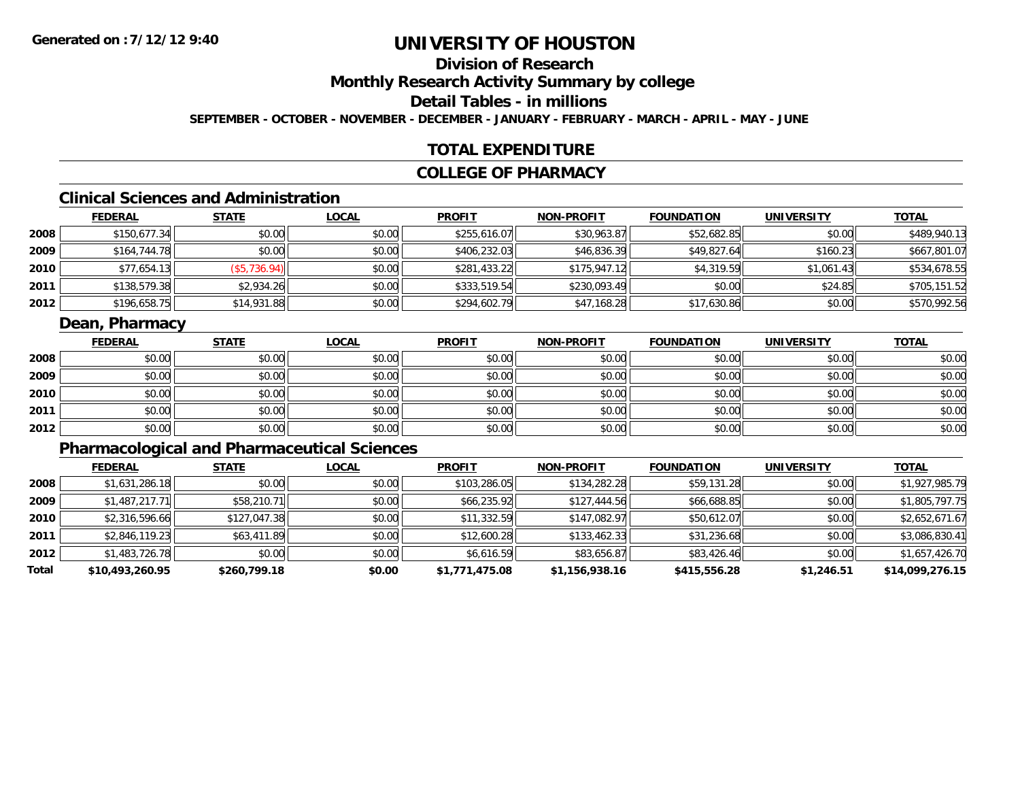# **Division of Research**

**Monthly Research Activity Summary by college**

### **Detail Tables - in millions**

**SEPTEMBER - OCTOBER - NOVEMBER - DECEMBER - JANUARY - FEBRUARY - MARCH - APRIL - MAY - JUNE**

#### **TOTAL EXPENDITURE**

#### **COLLEGE OF PHARMACY**

### **Clinical Sciences and Administration**

|      | <b>FEDERAL</b> | <b>STATE</b> | <u>LOCAL</u> | <b>PROFIT</b> | <b>NON-PROFIT</b> | <b>FOUNDATION</b> | <b>UNIVERSITY</b> | <b>TOTAL</b> |
|------|----------------|--------------|--------------|---------------|-------------------|-------------------|-------------------|--------------|
| 2008 | \$150,677.34   | \$0.00       | \$0.00       | \$255,616.07  | \$30,963.87       | \$52,682.85       | \$0.00            | \$489,940.13 |
| 2009 | \$164,744.78   | \$0.00       | \$0.00       | \$406,232.03  | \$46,836.39       | \$49,827.64       | \$160.23          | \$667,801.07 |
| 2010 | \$77,654.13    | (\$5,736.94) | \$0.00       | \$281,433.22  | \$175,947.12      | \$4,319.59        | \$1,061.43        | \$534,678.55 |
| 2011 | \$138,579.38   | \$2,934.26   | \$0.00       | \$333,519.54  | \$230,093.49      | \$0.00            | \$24.85           | \$705,151.52 |
| 2012 | \$196,658.75   | \$14,931.88  | \$0.00       | \$294,602.79  | \$47,168.28       | \$17,630.86       | \$0.00            | \$570,992.56 |

#### **Dean, Pharmacy**

|      | <b>FEDERAL</b> | <b>STATE</b> | <u>LOCAL</u> | <b>PROFIT</b> | <b>NON-PROFIT</b> | <b>FOUNDATION</b> | <b>UNIVERSITY</b> | <b>TOTAL</b> |
|------|----------------|--------------|--------------|---------------|-------------------|-------------------|-------------------|--------------|
| 2008 | \$0.00         | \$0.00       | \$0.00       | \$0.00        | \$0.00            | \$0.00            | \$0.00            | \$0.00       |
| 2009 | \$0.00         | \$0.00       | \$0.00       | \$0.00        | \$0.00            | \$0.00            | \$0.00            | \$0.00       |
| 2010 | \$0.00         | \$0.00       | \$0.00       | \$0.00        | \$0.00            | \$0.00            | \$0.00            | \$0.00       |
| 2011 | \$0.00         | \$0.00       | \$0.00       | \$0.00        | \$0.00            | \$0.00            | \$0.00            | \$0.00       |
| 2012 | \$0.00         | \$0.00       | \$0.00       | \$0.00        | \$0.00            | \$0.00            | \$0.00            | \$0.00       |

# **Pharmacological and Pharmaceutical Sciences**

|       | <b>FEDERAL</b>  | <b>STATE</b> | <b>LOCAL</b> | <b>PROFIT</b>  | <b>NON-PROFIT</b> | <b>FOUNDATION</b> | <b>UNIVERSITY</b> | <b>TOTAL</b>    |
|-------|-----------------|--------------|--------------|----------------|-------------------|-------------------|-------------------|-----------------|
| 2008  | \$1,631,286.18  | \$0.00       | \$0.00       | \$103,286.05   | \$134,282.28      | \$59,131.28       | \$0.00            | \$1,927,985.79  |
| 2009  | \$1,487,217.71  | \$58,210.71  | \$0.00       | \$66,235.92    | \$127,444.56      | \$66,688.85       | \$0.00            | \$1,805,797.75  |
| 2010  | \$2,316,596.66  | \$127,047.38 | \$0.00       | \$11,332.59    | \$147,082.97      | \$50,612.07       | \$0.00            | \$2,652,671.67  |
| 2011  | \$2,846,119.23  | \$63,411.89  | \$0.00       | \$12,600.28    | \$133.462.33      | \$31,236.68       | \$0.00            | \$3,086,830.41  |
| 2012  | \$1,483,726.78  | \$0.00       | \$0.00       | \$6,616.59     | \$83,656.87       | \$83,426.46       | \$0.00            | \$1,657,426.70  |
| Total | \$10,493,260.95 | \$260,799.18 | \$0.00       | \$1,771,475.08 | \$1,156,938.16    | \$415,556.28      | \$1,246.51        | \$14,099,276.15 |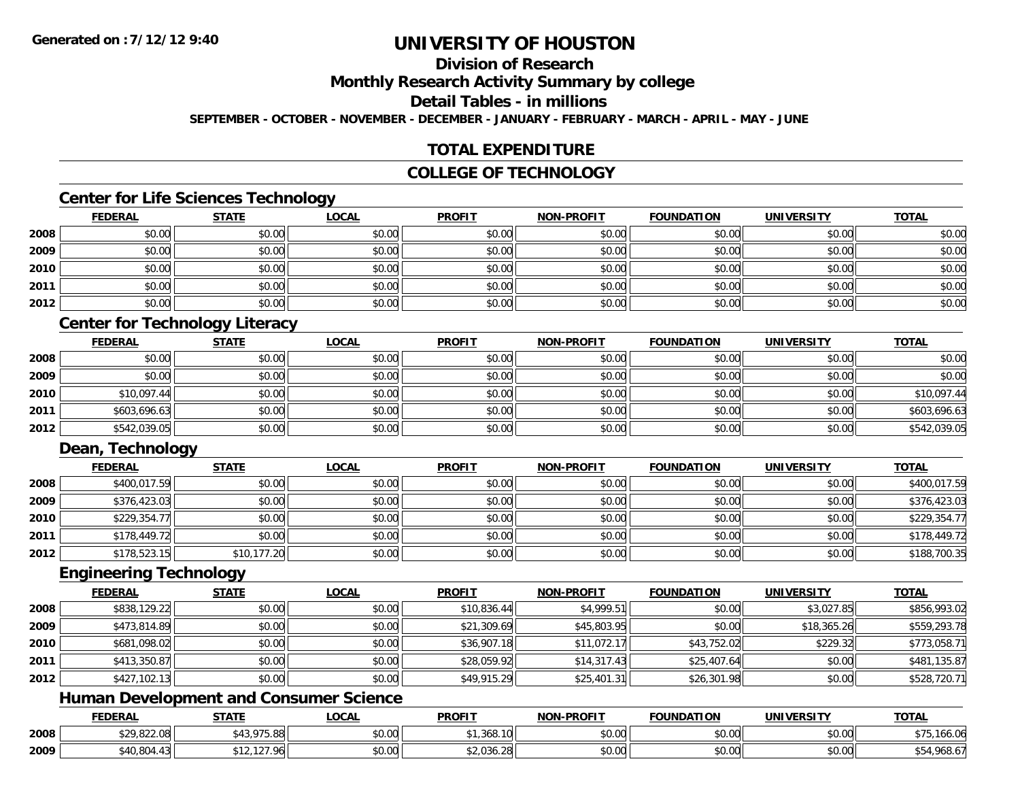### **Division of Research**

**Monthly Research Activity Summary by college**

**Detail Tables - in millions**

**SEPTEMBER - OCTOBER - NOVEMBER - DECEMBER - JANUARY - FEBRUARY - MARCH - APRIL - MAY - JUNE**

### **TOTAL EXPENDITURE**

#### **COLLEGE OF TECHNOLOGY**

#### **Center for Life Sciences Technology**

|      | <u>FEDERAL</u> | <b>STATE</b> | <u>LOCAL</u> | <b>PROFIT</b> | <b>NON-PROFIT</b> | <b>FOUNDATION</b> | <b>UNIVERSITY</b> | <b>TOTAL</b> |
|------|----------------|--------------|--------------|---------------|-------------------|-------------------|-------------------|--------------|
| 2008 | \$0.00         | \$0.00       | \$0.00       | \$0.00        | \$0.00            | \$0.00            | \$0.00            | \$0.00       |
| 2009 | \$0.00         | \$0.00       | \$0.00       | \$0.00        | \$0.00            | \$0.00            | \$0.00            | \$0.00       |
| 2010 | \$0.00         | \$0.00       | \$0.00       | \$0.00        | \$0.00            | \$0.00            | \$0.00            | \$0.00       |
| 2011 | \$0.00         | \$0.00       | \$0.00       | \$0.00        | \$0.00            | \$0.00            | \$0.00            | \$0.00       |
| 2012 | \$0.00         | \$0.00       | \$0.00       | \$0.00        | \$0.00            | \$0.00            | \$0.00            | \$0.00       |

### **Center for Technology Literacy**

|      | <b>FEDERAL</b> | <u>STATE</u> | <u>LOCAL</u> | <b>PROFIT</b> | <b>NON-PROFIT</b> | <b>FOUNDATION</b> | <b>UNIVERSITY</b> | <b>TOTAL</b> |
|------|----------------|--------------|--------------|---------------|-------------------|-------------------|-------------------|--------------|
| 2008 | \$0.00         | \$0.00       | \$0.00       | \$0.00        | \$0.00            | \$0.00            | \$0.00            | \$0.00       |
| 2009 | \$0.00         | \$0.00       | \$0.00       | \$0.00        | \$0.00            | \$0.00            | \$0.00            | \$0.00       |
| 2010 | \$10,097.44    | \$0.00       | \$0.00       | \$0.00        | \$0.00            | \$0.00            | \$0.00            | \$10,097.44  |
| 2011 | \$603,696.63   | \$0.00       | \$0.00       | \$0.00        | \$0.00            | \$0.00            | \$0.00            | \$603,696.63 |
| 2012 | \$542,039.05   | \$0.00       | \$0.00       | \$0.00        | \$0.00            | \$0.00            | \$0.00            | \$542,039.05 |

### **Dean, Technology**

|      | <u>FEDERAL</u> | <u>STATE</u> | <u>LOCAL</u> | <b>PROFIT</b> | <b>NON-PROFIT</b> | <b>FOUNDATION</b> | <b>UNIVERSITY</b> | <b>TOTAL</b> |
|------|----------------|--------------|--------------|---------------|-------------------|-------------------|-------------------|--------------|
| 2008 | \$400,017.59   | \$0.00       | \$0.00       | \$0.00        | \$0.00            | \$0.00            | \$0.00            | \$400,017.59 |
| 2009 | \$376,423.03   | \$0.00       | \$0.00       | \$0.00        | \$0.00            | \$0.00            | \$0.00            | \$376,423.03 |
| 2010 | \$229,354.77   | \$0.00       | \$0.00       | \$0.00        | \$0.00            | \$0.00            | \$0.00            | \$229,354.77 |
| 2011 | \$178,449.72   | \$0.00       | \$0.00       | \$0.00        | \$0.00            | \$0.00            | \$0.00            | \$178,449.72 |
| 2012 | \$178,523.15   | \$10,177.20  | \$0.00       | \$0.00        | \$0.00            | \$0.00            | \$0.00            | \$188,700.35 |

#### **Engineering Technology**

|      | <b>FEDERAL</b> | <b>STATE</b> | <u>LOCAL</u> | <b>PROFIT</b> | <b>NON-PROFIT</b> | <b>FOUNDATION</b> | UNIVERSITY  | <b>TOTAL</b> |
|------|----------------|--------------|--------------|---------------|-------------------|-------------------|-------------|--------------|
| 2008 | \$838,129.22   | \$0.00       | \$0.00       | \$10,836.44   | \$4,999.51        | \$0.00            | \$3,027.85  | \$856,993.02 |
| 2009 | \$473,814.89   | \$0.00       | \$0.00       | \$21,309.69   | \$45,803.95       | \$0.00            | \$18,365.26 | \$559,293.78 |
| 2010 | \$681,098.02   | \$0.00       | \$0.00       | \$36,907.18   | \$11,072.17       | \$43,752.02       | \$229.32    | \$773,058.71 |
| 2011 | \$413,350.87   | \$0.00       | \$0.00       | \$28,059.92   | \$14,317.43       | \$25,407.64       | \$0.00      | \$481,135.87 |
| 2012 | \$427,102.13   | \$0.00       | \$0.00       | \$49,915.29   | \$25,401.31       | \$26,301.98       | \$0.00      | \$528,720.71 |

#### **Human Development and Consumer Science**

|      | <b>FEDERAL</b>       | <b>STATE</b>                                  | <b>_OCAL</b>       | <b>PROFIT</b>      | <b>NON-PROFIT</b>                          | <b>FOUNDATION</b> | <b>UNIVERSITY</b>    | <b>TOTAL</b>      |
|------|----------------------|-----------------------------------------------|--------------------|--------------------|--------------------------------------------|-------------------|----------------------|-------------------|
| 2008 | 0.00000<br>7.OZZ.UOI | 07500<br>៱ រ へ<br>, , , , , , ,               | $\sim$ 00<br>vu.uu | 20.01<br>. ,368.10 | $\theta$ $\theta$ $\theta$<br>DU.UU        | \$0.00            | $\sim$ 00<br>\$U.UU  | . 166.06          |
| 2009 | 0.10001<br>ب 004.    | $\sim$ $\sim$ $\sim$<br>$\sim$<br>$\sim$ 1.4. | $\sim$ 00<br>vv.vv | \$2,036.28         | $\theta$ $\theta$ $\theta$<br><b>DU.UU</b> | \$0.00            | 0.00<br><b>DU.UG</b> | $-4,968.6$<br>ູບບ |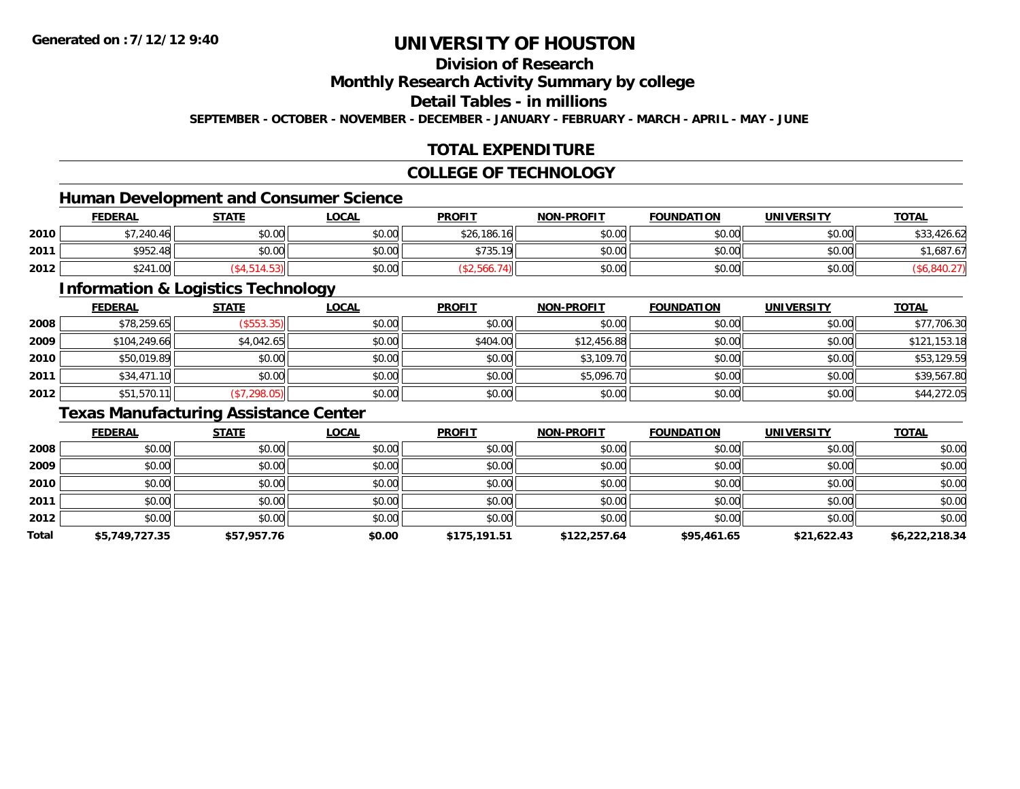### **Division of Research**

#### **Monthly Research Activity Summary by college**

#### **Detail Tables - in millions**

**SEPTEMBER - OCTOBER - NOVEMBER - DECEMBER - JANUARY - FEBRUARY - MARCH - APRIL - MAY - JUNE**

### **TOTAL EXPENDITURE**

#### **COLLEGE OF TECHNOLOGY**

### **Human Development and Consumer Science**

|      | <b>FEDERAL</b>       | <b>STATE</b> | <b>_OCAL</b> | <b>PROFIT</b> | <b>NON-PROFIT</b> | <b>FOUNDATION</b> | UNIVERSITY | <b>TOTAL</b>         |
|------|----------------------|--------------|--------------|---------------|-------------------|-------------------|------------|----------------------|
| 2010 | \$7.240.46           | \$0.00       | \$0.00       | \$26,186.16   | \$0.00            | \$0.00            | \$0.00     | \$33,426.62<br>\$33, |
| 2011 | \$952.48             | \$0.00       | \$0.00       | \$735.        | \$0.00            | \$0.00l           | \$0.00 l   | ,687.67              |
| 2012 | 0.011<br>1.00<br>524 |              | \$0.00       |               | \$0.00            | \$0.00            | \$0.00     |                      |

<u> 1980 - Johann Stoff, deutscher Stoffen und der Stoffen und der Stoffen und der Stoffen und der Stoffen und der</u>

#### **Information & Logistics Technology**

|      | <b>FEDERAL</b> | <b>STATE</b>  | <b>LOCAL</b> | <b>PROFIT</b> | <b>NON-PROFIT</b> | <b>FOUNDATION</b> | <b>UNIVERSITY</b> | <b>TOTAL</b> |
|------|----------------|---------------|--------------|---------------|-------------------|-------------------|-------------------|--------------|
| 2008 | \$78,259.65    | $($ \$553.35) | \$0.00       | \$0.00        | \$0.00            | \$0.00            | \$0.00            | \$77,706.30  |
| 2009 | \$104,249.66   | \$4,042.65    | \$0.00       | \$404.00      | \$12,456.88       | \$0.00            | \$0.00            | \$121,153.18 |
| 2010 | \$50,019.89    | \$0.00        | \$0.00       | \$0.00        | \$3,109.70        | \$0.00            | \$0.00            | \$53,129.59  |
| 2011 | \$34,471.10    | \$0.00        | \$0.00       | \$0.00        | \$5,096.70        | \$0.00            | \$0.00            | \$39,567.80  |
| 2012 | \$51,570.11    | (\$7,298.05)  | \$0.00       | \$0.00        | \$0.00            | \$0.00            | \$0.00            | \$44,272.05  |

### **Texas Manufacturing Assistance Center**

|       | <b>FEDERAL</b> | <b>STATE</b> | <b>LOCAL</b> | <b>PROFIT</b> | <b>NON-PROFIT</b> | <b>FOUNDATION</b> | <b>UNIVERSITY</b> | <b>TOTAL</b>   |
|-------|----------------|--------------|--------------|---------------|-------------------|-------------------|-------------------|----------------|
| 2008  | \$0.00         | \$0.00       | \$0.00       | \$0.00        | \$0.00            | \$0.00            | \$0.00            | \$0.00         |
| 2009  | \$0.00         | \$0.00       | \$0.00       | \$0.00        | \$0.00            | \$0.00            | \$0.00            | \$0.00         |
| 2010  | \$0.00         | \$0.00       | \$0.00       | \$0.00        | \$0.00            | \$0.00            | \$0.00            | \$0.00         |
| 2011  | \$0.00         | \$0.00       | \$0.00       | \$0.00        | \$0.00            | \$0.00            | \$0.00            | \$0.00         |
| 2012  | \$0.00         | \$0.00       | \$0.00       | \$0.00        | \$0.00            | \$0.00            | \$0.00            | \$0.00         |
| Total | \$5,749,727.35 | \$57,957.76  | \$0.00       | \$175,191.51  | \$122,257.64      | \$95,461.65       | \$21,622.43       | \$6,222,218.34 |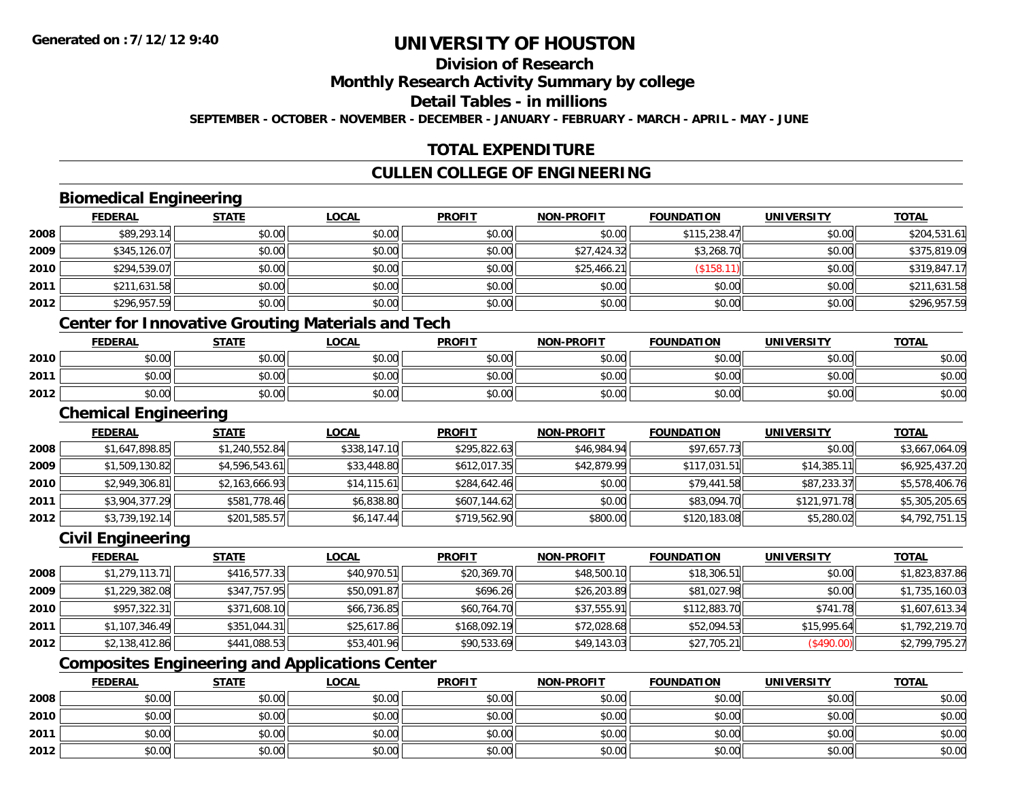# **Division of Research**

**Monthly Research Activity Summary by college**

**Detail Tables - in millions**

**SEPTEMBER - OCTOBER - NOVEMBER - DECEMBER - JANUARY - FEBRUARY - MARCH - APRIL - MAY - JUNE**

### **TOTAL EXPENDITURE**

### **CULLEN COLLEGE OF ENGINEERING**

### **Biomedical Engineering**

|      | <b>FEDERAL</b> | <b>STATE</b> | <b>LOCAL</b> | <b>PROFIT</b> | <b>NON-PROFIT</b> | <b>FOUNDATION</b> | <b>UNIVERSITY</b> | <b>TOTAL</b> |
|------|----------------|--------------|--------------|---------------|-------------------|-------------------|-------------------|--------------|
| 2008 | \$89,293.14    | \$0.00       | \$0.00       | \$0.00        | \$0.00            | \$115,238.47      | \$0.00            | \$204,531.61 |
| 2009 | \$345,126.07   | \$0.00       | \$0.00       | \$0.00        | \$27,424.32       | \$3,268.70        | \$0.00            | \$375,819.09 |
| 2010 | \$294,539.07   | \$0.00       | \$0.00       | \$0.00        | \$25,466.21       | \$158.            | \$0.00            | \$319,847.17 |
| 2011 | \$211,631.58   | \$0.00       | \$0.00       | \$0.00        | \$0.00            | \$0.00            | \$0.00            | \$211,631.58 |
| 2012 | \$296,957.59   | \$0.00       | \$0.00       | \$0.00        | \$0.00            | \$0.00            | \$0.00            | \$296,957.59 |

#### **Center for Innovative Grouting Materials and Tech**

|      | <b>FEDERAL</b> | <b>STATE</b>   | <u>LOCAL</u>  | <b>PROFIT</b>                                        | <b>NON-PROFIT</b> | <b>FOUNDATION</b> | UNIVERSITY | <b>TOTAL</b> |
|------|----------------|----------------|---------------|------------------------------------------------------|-------------------|-------------------|------------|--------------|
| 2010 | 0000<br>DU.UU  | \$0.00         | 0000<br>JU.UU | ≮∩ ∩∩<br><b>SU.UU</b>                                | \$0.00            | \$0.00            | \$0.00     | \$0.00       |
| 2011 | \$0.00         | ≮N UU<br>PU.UU | \$0.00        | $\mathsf{A}\cap\mathsf{A}\cap\mathsf{A}$<br>$-40.06$ | \$0.00            | \$0.00            | \$0.00     | \$0.00       |
| 2012 | \$0.00         | \$0.00         | \$0.00        | ≮N UU<br><b>SU.UU</b>                                | \$0.00            | \$0.00            | \$0.00     | \$0.00       |

#### **Chemical Engineering**

|      | <b>FEDERAL</b> | <b>STATE</b>   | <b>LOCAL</b> | <b>PROFIT</b> | <b>NON-PROFIT</b> | <b>FOUNDATION</b> | <b>UNIVERSITY</b> | <b>TOTAL</b>   |
|------|----------------|----------------|--------------|---------------|-------------------|-------------------|-------------------|----------------|
| 2008 | \$1,647,898.85 | \$1,240,552.84 | \$338,147.10 | \$295,822.63  | \$46,984.94       | \$97,657.73       | \$0.00            | \$3,667,064.09 |
| 2009 | \$1,509,130.82 | \$4,596,543.61 | \$33,448.80  | \$612,017.35  | \$42,879.99       | \$117,031.51      | \$14,385.11       | \$6,925,437.20 |
| 2010 | \$2,949,306.81 | \$2,163,666.93 | \$14, 115.61 | \$284,642.46  | \$0.00            | \$79,441.58       | \$87,233.37       | \$5,578,406.76 |
| 2011 | \$3,904,377.29 | \$581,778.46   | \$6,838.80   | \$607,144.62  | \$0.00            | \$83,094.70       | \$121,971.78      | \$5,305,205.65 |
| 2012 | \$3,739,192.14 | \$201,585.57   | \$6,147.44   | \$719,562.90  | \$800.00          | \$120,183.08      | \$5,280.02        | \$4,792,751.15 |

#### **Civil Engineering**

|      | <b>FEDERAL</b> | <b>STATE</b> | <b>LOCAL</b> | <b>PROFIT</b> | <b>NON-PROFIT</b> | <b>FOUNDATION</b> | <b>UNIVERSITY</b> | <b>TOTAL</b>   |
|------|----------------|--------------|--------------|---------------|-------------------|-------------------|-------------------|----------------|
| 2008 | \$1,279,113.71 | \$416,577.33 | \$40,970.51  | \$20,369.70   | \$48,500.10       | \$18,306.51       | \$0.00            | \$1,823,837.86 |
| 2009 | \$1,229,382.08 | \$347,757.95 | \$50,091.87  | \$696.26      | \$26,203.89       | \$81,027.98       | \$0.00            | \$1,735,160.03 |
| 2010 | \$957,322.31   | \$371,608.10 | \$66,736.85  | \$60,764.70   | \$37,555.91       | \$112,883.70      | \$741.78          | \$1,607,613.34 |
| 2011 | \$1,107,346.49 | \$351,044.31 | \$25,617.86  | \$168,092.19  | \$72,028.68       | \$52,094.53       | \$15.995.64       | \$1,792,219.70 |
| 2012 | \$2,138,412.86 | \$441,088.53 | \$53,401.96  | \$90,533.69   | \$49,143.03       | \$27,705.21       | (\$490.00)        | \$2,799,795.27 |

### **Composites Engineering and Applications Center**

|      | <b>FEDERAL</b> | <b>STATE</b> | <u>LOCAL</u> | <b>PROFIT</b> | <b>NON-PROFIT</b> | <b>FOUNDATION</b> | <b>UNIVERSITY</b> | <b>TOTAL</b> |
|------|----------------|--------------|--------------|---------------|-------------------|-------------------|-------------------|--------------|
| 2008 | \$0.00         | \$0.00       | \$0.00       | \$0.00        | \$0.00            | \$0.00            | \$0.00            | \$0.00       |
| 2010 | \$0.00         | \$0.00       | \$0.00       | \$0.00        | \$0.00            | \$0.00            | \$0.00            | \$0.00       |
| 2011 | \$0.00         | \$0.00       | \$0.00       | \$0.00        | \$0.00            | \$0.00            | \$0.00            | \$0.00       |
| 2012 | \$0.00         | \$0.00       | \$0.00       | \$0.00        | \$0.00            | \$0.00            | \$0.00            | \$0.00       |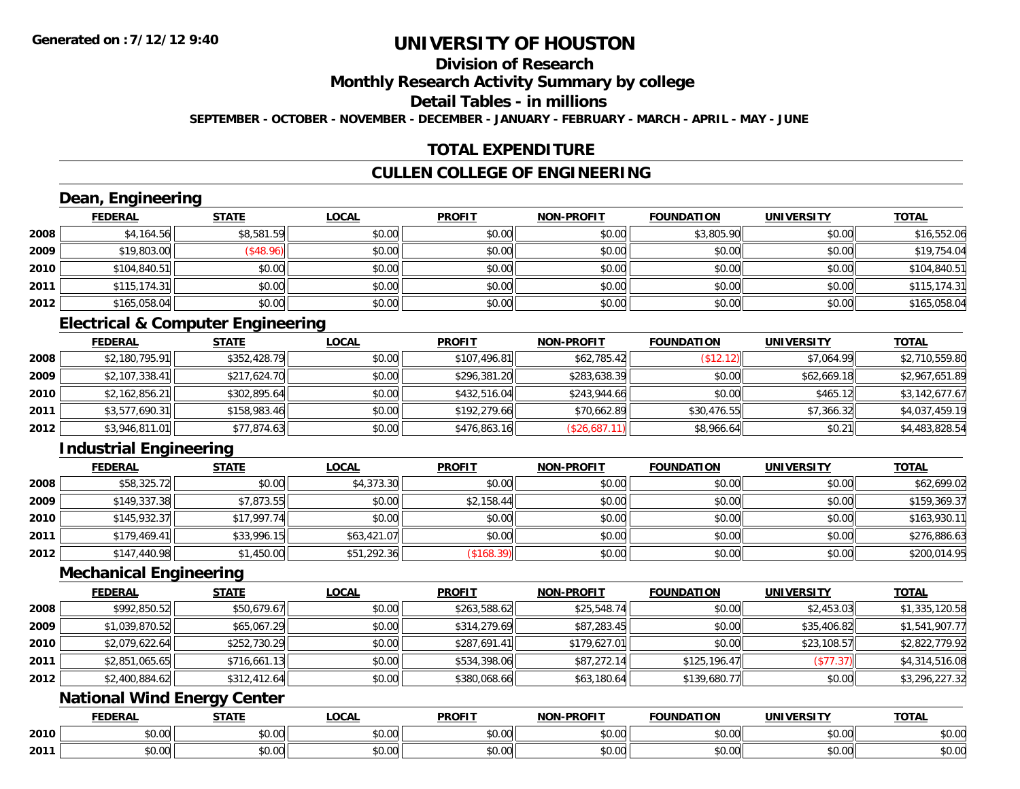# **Division of Research**

**Monthly Research Activity Summary by college**

**Detail Tables - in millions**

**SEPTEMBER - OCTOBER - NOVEMBER - DECEMBER - JANUARY - FEBRUARY - MARCH - APRIL - MAY - JUNE**

### **TOTAL EXPENDITURE**

### **CULLEN COLLEGE OF ENGINEERING**

# **Dean, Engineering**

|      | <b>FEDERAL</b> | <b>STATE</b> | <b>LOCAL</b> | <b>PROFIT</b> | <b>NON-PROFIT</b> | <b>FOUNDATION</b> | <b>UNIVERSITY</b> | <b>TOTAL</b> |
|------|----------------|--------------|--------------|---------------|-------------------|-------------------|-------------------|--------------|
| 2008 | \$4,164.56     | \$8,581.59   | \$0.00       | \$0.00        | \$0.00            | \$3,805.90        | \$0.00            | \$16,552.06  |
| 2009 | \$19,803.00    | \$48.96      | \$0.00       | \$0.00        | \$0.00            | \$0.00            | \$0.00            | \$19,754.04  |
| 2010 | \$104,840.51   | \$0.00       | \$0.00       | \$0.00        | \$0.00            | \$0.00            | \$0.00            | \$104,840.51 |
| 2011 | \$115,174.31   | \$0.00       | \$0.00       | \$0.00        | \$0.00            | \$0.00            | \$0.00            | \$115,174.31 |
| 2012 | \$165,058.04   | \$0.00       | \$0.00       | \$0.00        | \$0.00            | \$0.00            | \$0.00            | \$165,058.04 |

### **Electrical & Computer Engineering**

|      | FEDERAL        | <b>STATE</b> | <b>LOCAL</b> | <b>PROFIT</b> | <b>NON-PROFIT</b> | <b>FOUNDATION</b> | <b>UNIVERSITY</b> | <b>TOTAL</b>   |
|------|----------------|--------------|--------------|---------------|-------------------|-------------------|-------------------|----------------|
| 2008 | \$2,180,795.91 | \$352,428.79 | \$0.00       | \$107,496.81  | \$62,785.42       | (\$12.12)         | \$7.064.99        | \$2,710,559.80 |
| 2009 | \$2,107,338.41 | \$217,624.70 | \$0.00       | \$296,381.20  | \$283,638.39      | \$0.00            | \$62,669.18       | \$2,967,651.89 |
| 2010 | \$2,162,856.21 | \$302,895.64 | \$0.00       | \$432,516.04  | \$243,944.66      | \$0.00            | \$465.12          | \$3,142,677.67 |
| 2011 | \$3,577,690.31 | \$158,983.46 | \$0.00       | \$192,279.66  | \$70,662.89       | \$30,476.55       | \$7,366.32        | \$4,037,459.19 |
| 2012 | \$3,946,811.01 | \$77,874.63  | \$0.00       | \$476,863.16  | (\$26,687.11)     | \$8,966.64        | \$0.21            | \$4,483,828.54 |

### **Industrial Engineering**

|      | <b>FEDERAL</b> | <b>STATE</b> | <u>LOCAL</u> | <b>PROFIT</b> | <b>NON-PROFIT</b> | <b>FOUNDATION</b> | <b>UNIVERSITY</b> | <b>TOTAL</b> |
|------|----------------|--------------|--------------|---------------|-------------------|-------------------|-------------------|--------------|
| 2008 | \$58,325.72    | \$0.00       | \$4,373.30   | \$0.00        | \$0.00            | \$0.00            | \$0.00            | \$62,699.02  |
| 2009 | \$149,337.38   | \$7,873.55   | \$0.00       | \$2,158.44    | \$0.00            | \$0.00            | \$0.00            | \$159,369.37 |
| 2010 | \$145,932.37   | \$17,997.74  | \$0.00       | \$0.00        | \$0.00            | \$0.00            | \$0.00            | \$163,930.11 |
| 2011 | \$179.469.41   | \$33,996.15  | \$63,421.07  | \$0.00        | \$0.00            | \$0.00            | \$0.00            | \$276,886.63 |
| 2012 | \$147,440.98   | \$1,450.00   | \$51,292.36  | (\$168.39)    | \$0.00            | \$0.00            | \$0.00            | \$200,014.95 |

#### **Mechanical Engineering**

|      | <b>FEDERAL</b> | <b>STATE</b> | <b>LOCAL</b> | <b>PROFIT</b> | <b>NON-PROFIT</b> | <b>FOUNDATION</b> | <b>UNIVERSITY</b> | <b>TOTAL</b>   |
|------|----------------|--------------|--------------|---------------|-------------------|-------------------|-------------------|----------------|
| 2008 | \$992,850.52   | \$50,679.67  | \$0.00       | \$263,588.62  | \$25,548.74       | \$0.00            | \$2,453.03        | \$1,335,120.58 |
| 2009 | \$1,039,870.52 | \$65,067.29  | \$0.00       | \$314,279.69  | \$87,283.45       | \$0.00            | \$35,406.82       | \$1,541,907.77 |
| 2010 | \$2,079,622.64 | \$252,730.29 | \$0.00       | \$287,691.41  | \$179,627.01      | \$0.00            | \$23,108.57       | \$2,822,779.92 |
| 2011 | \$2,851,065.65 | \$716,661.13 | \$0.00       | \$534,398.06  | \$87,272.14       | \$125,196.47      | (\$77.37)         | \$4,314,516.08 |
| 2012 | \$2,400,884.62 | \$312,412.64 | \$0.00       | \$380,068.66  | \$63,180.64       | \$139,680.77      | \$0.00            | \$3,296,227.32 |

### **National Wind Energy Center**

|      | <b>FEDERAL</b> | 27.77              | 0 <sub>n</sub><br>71<br>WU. | <b>PROFIT</b> | <b>DDOFIT</b><br><b>NON</b> | <b>FOUNDATION</b> | UNIVERSITY                    | <b>TOTAL</b>      |
|------|----------------|--------------------|-----------------------------|---------------|-----------------------------|-------------------|-------------------------------|-------------------|
| 2010 | 0 t<br>טט.     | $\sim$ 00<br>JU.UU | 0000<br>vv.vv               | 0.00<br>DU.UU | 0000<br>JU.UU               | vv.vv             | \$0.00                        | JU.UU             |
| 2011 | vv.vv          | $\sim$<br>JU.U     | $\sim$ 00<br>PO.OO          | 0.00<br>JU.UU | 0000<br>PO.OO               | JU.UU             | $n \cap \neg$<br><b>JU.UU</b> | $\cdots$<br>JU.UU |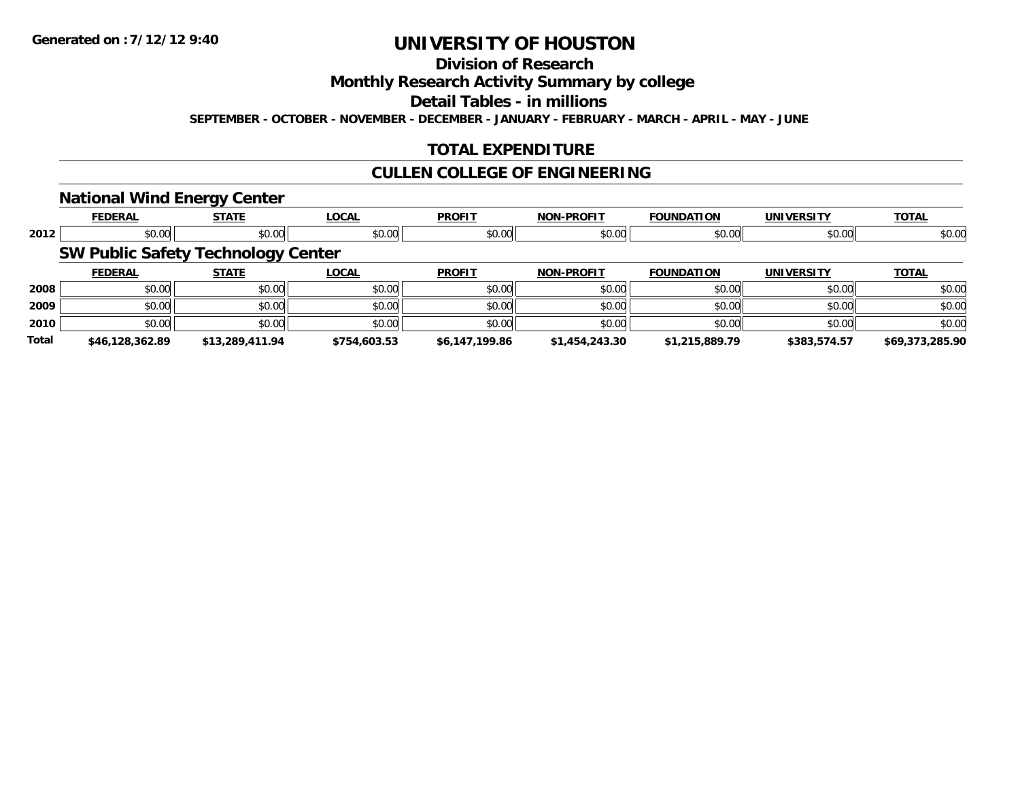# **Division of Research**

**Monthly Research Activity Summary by college**

**Detail Tables - in millions**

**SEPTEMBER - OCTOBER - NOVEMBER - DECEMBER - JANUARY - FEBRUARY - MARCH - APRIL - MAY - JUNE**

### **TOTAL EXPENDITURE**

#### **CULLEN COLLEGE OF ENGINEERING**

#### **National Wind Energy Center**

|              | <b>FEDERAL</b>                            | --<br><b>STATE</b> | <b>LOCAL</b> | <b>PROFIT</b>  | <b>NON-PROFIT</b> | <b>FOUNDATION</b> | <b>UNIVERSITY</b> | <b>TOTAL</b>    |
|--------------|-------------------------------------------|--------------------|--------------|----------------|-------------------|-------------------|-------------------|-----------------|
|              |                                           |                    |              |                |                   |                   |                   |                 |
| 2012         | \$0.00                                    | \$0.00             | \$0.00       | \$0.00         | \$0.00            | \$0.00            | \$0.00            | \$0.00          |
|              | <b>SW Public Safety Technology Center</b> |                    |              |                |                   |                   |                   |                 |
|              | <b>FEDERAL</b>                            | <b>STATE</b>       | <b>LOCAL</b> | <b>PROFIT</b>  | <b>NON-PROFIT</b> | <b>FOUNDATION</b> | <b>UNIVERSITY</b> | <b>TOTAL</b>    |
| 2008         | \$0.00                                    | \$0.00             | \$0.00       | \$0.00         | \$0.00            | \$0.00            | \$0.00            | \$0.00          |
| 2009         | \$0.00                                    | \$0.00             | \$0.00       | \$0.00         | \$0.00            | \$0.00            | \$0.00            | \$0.00          |
| 2010         | \$0.00                                    | \$0.00             | \$0.00       | \$0.00         | \$0.00            | \$0.00            | \$0.00            | \$0.00          |
| <b>Total</b> | \$46.128.362.89                           | \$13,289,411.94    | \$754,603.53 | \$6,147,199.86 | \$1,454,243.30    | \$1,215,889.79    | \$383,574.57      | \$69,373,285.90 |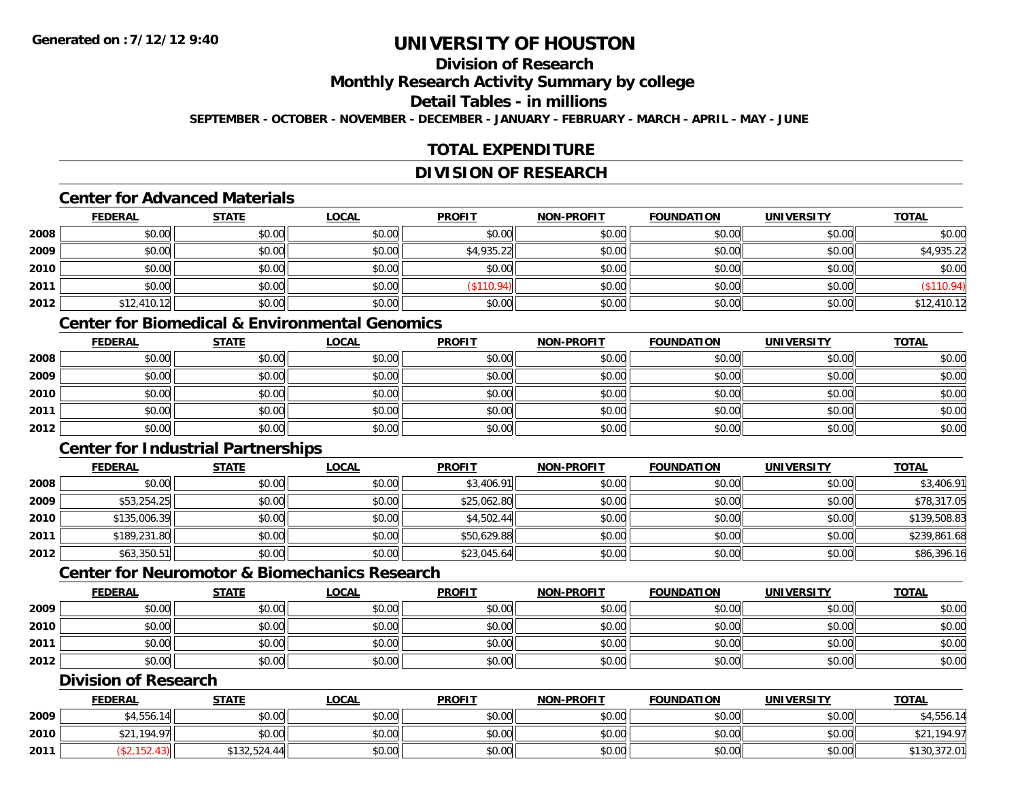# **Division of Research**

**Monthly Research Activity Summary by college**

#### **Detail Tables - in millions**

**SEPTEMBER - OCTOBER - NOVEMBER - DECEMBER - JANUARY - FEBRUARY - MARCH - APRIL - MAY - JUNE**

### **TOTAL EXPENDITURE**

### **DIVISION OF RESEARCH**

### **Center for Advanced Materials**

|      | <b>FEDERAL</b> | <b>STATE</b> | <b>LOCAL</b> | <b>PROFIT</b> | <b>NON-PROFIT</b> | <b>FOUNDATION</b> | <b>UNIVERSITY</b> | <b>TOTAL</b> |
|------|----------------|--------------|--------------|---------------|-------------------|-------------------|-------------------|--------------|
| 2008 | \$0.00         | \$0.00       | \$0.00       | \$0.00        | \$0.00            | \$0.00            | \$0.00            | \$0.00       |
| 2009 | \$0.00         | \$0.00       | \$0.00       | \$4,935.22    | \$0.00            | \$0.00            | \$0.00            | \$4,935.22   |
| 2010 | \$0.00         | \$0.00       | \$0.00       | \$0.00        | \$0.00            | \$0.00            | \$0.00            | \$0.00       |
| 2011 | \$0.00         | \$0.00       | \$0.00       | \$110.94      | \$0.00            | \$0.00            | \$0.00            | \$110.94)    |
| 2012 | \$12,410.12    | \$0.00       | \$0.00       | \$0.00        | \$0.00            | \$0.00            | \$0.00            | \$12,410.12  |

### **Center for Biomedical & Environmental Genomics**

|      | <u>FEDERAL</u> | <u>STATE</u> | <u>LOCAL</u> | <b>PROFIT</b> | <b>NON-PROFIT</b> | <b>FOUNDATION</b> | <b>UNIVERSITY</b> | <b>TOTAL</b> |
|------|----------------|--------------|--------------|---------------|-------------------|-------------------|-------------------|--------------|
| 2008 | \$0.00         | \$0.00       | \$0.00       | \$0.00        | \$0.00            | \$0.00            | \$0.00            | \$0.00       |
| 2009 | \$0.00         | \$0.00       | \$0.00       | \$0.00        | \$0.00            | \$0.00            | \$0.00            | \$0.00       |
| 2010 | \$0.00         | \$0.00       | \$0.00       | \$0.00        | \$0.00            | \$0.00            | \$0.00            | \$0.00       |
| 2011 | \$0.00         | \$0.00       | \$0.00       | \$0.00        | \$0.00            | \$0.00            | \$0.00            | \$0.00       |
| 2012 | \$0.00         | \$0.00       | \$0.00       | \$0.00        | \$0.00            | \$0.00            | \$0.00            | \$0.00       |

### **Center for Industrial Partnerships**

|      | <u>FEDERAL</u> | <u>STATE</u> | <u>LOCAL</u> | <b>PROFIT</b> | <b>NON-PROFIT</b> | <b>FOUNDATION</b> | <b>UNIVERSITY</b> | <b>TOTAL</b> |
|------|----------------|--------------|--------------|---------------|-------------------|-------------------|-------------------|--------------|
| 2008 | \$0.00         | \$0.00       | \$0.00       | \$3,406.91    | \$0.00            | \$0.00            | \$0.00            | \$3,406.91   |
| 2009 | \$53,254.25    | \$0.00       | \$0.00       | \$25,062.80   | \$0.00            | \$0.00            | \$0.00            | \$78,317.05  |
| 2010 | \$135,006.39   | \$0.00       | \$0.00       | \$4,502.44    | \$0.00            | \$0.00            | \$0.00            | \$139,508.83 |
| 2011 | \$189,231.80   | \$0.00       | \$0.00       | \$50,629.88   | \$0.00            | \$0.00            | \$0.00            | \$239,861.68 |
| 2012 | \$63,350.51    | \$0.00       | \$0.00       | \$23,045.64   | \$0.00            | \$0.00            | \$0.00            | \$86,396.16  |

# **Center for Neuromotor & Biomechanics Research**

|      | <u>FEDERAL</u> | <b>STATE</b> | <u>LOCAL</u> | <b>PROFIT</b> | <b>NON-PROFIT</b> | <b>FOUNDATION</b> | <b>UNIVERSITY</b> | <b>TOTAL</b> |
|------|----------------|--------------|--------------|---------------|-------------------|-------------------|-------------------|--------------|
| 2009 | \$0.00         | \$0.00       | \$0.00       | \$0.00        | \$0.00            | \$0.00            | \$0.00            | \$0.00       |
| 2010 | \$0.00         | \$0.00       | \$0.00       | \$0.00        | \$0.00            | \$0.00            | \$0.00            | \$0.00       |
| 2011 | \$0.00         | \$0.00       | \$0.00       | \$0.00        | \$0.00            | \$0.00            | \$0.00            | \$0.00       |
| 2012 | \$0.00         | \$0.00       | \$0.00       | \$0.00        | \$0.00            | \$0.00            | \$0.00            | \$0.00       |

#### **Division of Research**

|      | <b>FEDERAL</b> | <b>STATE</b> | <u>LOCAL</u> | <b>PROFIT</b> | <b>NON-PROFIT</b> | <b>FOUNDATION</b> | UNIVERSITY | <b>TOTAL</b>     |
|------|----------------|--------------|--------------|---------------|-------------------|-------------------|------------|------------------|
| 2009 | \$4,556.<br>11 | \$0.00       | \$0.00       | \$0.00        | \$0.00            | \$0.00            | \$0.00     | \$4,556.14       |
| 2010 | .194.97        | \$0.00       | \$0.00       | \$0.00        | \$0.00            | \$0.00            | \$0.00     | ,194.97<br>ሐ ኅ 1 |
| 2011 |                | \$132,524.44 | \$0.00       | \$0.00        | \$0.00            | \$0.00            | \$0.00     | \$130,372.01     |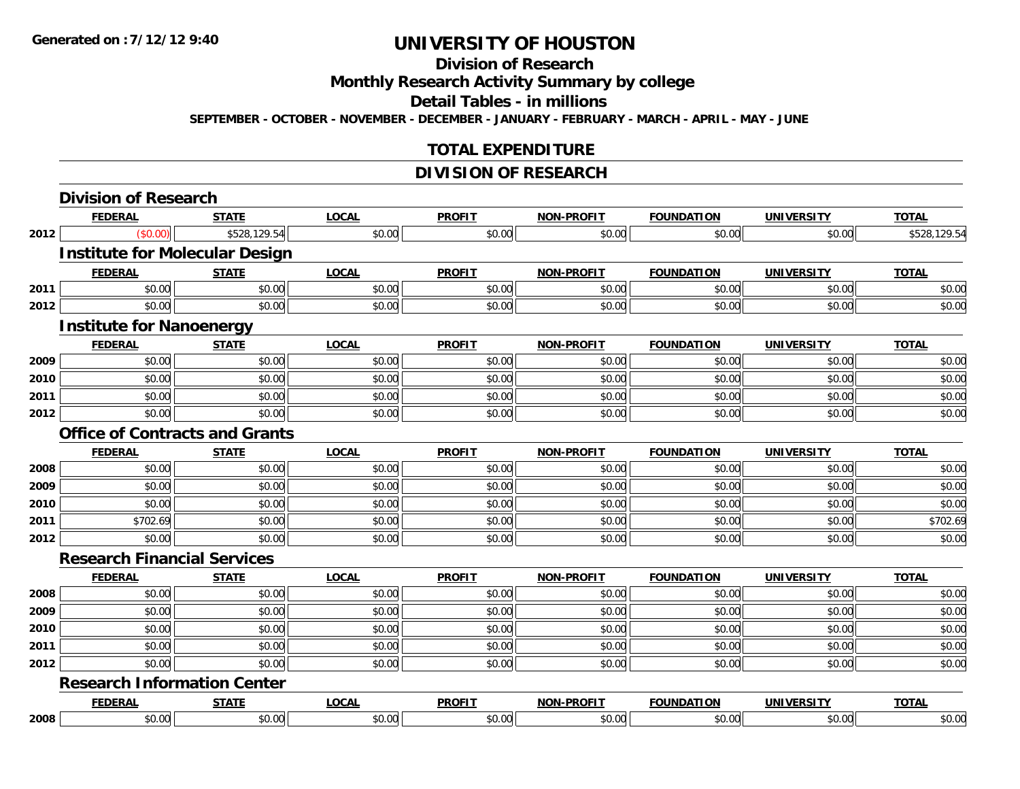#### **Division of Research**

**Monthly Research Activity Summary by college**

**Detail Tables - in millions**

**SEPTEMBER - OCTOBER - NOVEMBER - DECEMBER - JANUARY - FEBRUARY - MARCH - APRIL - MAY - JUNE**

### **TOTAL EXPENDITURE**

### **DIVISION OF RESEARCH**

|      | <b>Division of Research</b>           |              |              |               |                   |                   |                   |              |
|------|---------------------------------------|--------------|--------------|---------------|-------------------|-------------------|-------------------|--------------|
|      | <b>FEDERAL</b>                        | <b>STATE</b> | <b>LOCAL</b> | <b>PROFIT</b> | <b>NON-PROFIT</b> | <b>FOUNDATION</b> | <b>UNIVERSITY</b> | <b>TOTAL</b> |
| 2012 | (\$0.00)                              | \$528,129.54 | \$0.00       | \$0.00        | \$0.00            | \$0.00            | \$0.00            | \$528,129.54 |
|      | <b>Institute for Molecular Design</b> |              |              |               |                   |                   |                   |              |
|      | <b>FEDERAL</b>                        | <b>STATE</b> | <b>LOCAL</b> | <b>PROFIT</b> | <b>NON-PROFIT</b> | <b>FOUNDATION</b> | <b>UNIVERSITY</b> | <b>TOTAL</b> |
| 2011 | \$0.00                                | \$0.00       | \$0.00       | \$0.00        | \$0.00            | \$0.00            | \$0.00            | \$0.00       |
| 2012 | \$0.00                                | \$0.00       | \$0.00       | \$0.00        | \$0.00            | \$0.00            | \$0.00            | \$0.00       |
|      | <b>Institute for Nanoenergy</b>       |              |              |               |                   |                   |                   |              |
|      | <b>FEDERAL</b>                        | <b>STATE</b> | <b>LOCAL</b> | <b>PROFIT</b> | <b>NON-PROFIT</b> | <b>FOUNDATION</b> | <b>UNIVERSITY</b> | <b>TOTAL</b> |
| 2009 | \$0.00                                | \$0.00       | \$0.00       | \$0.00        | \$0.00            | \$0.00            | \$0.00            | \$0.00       |
| 2010 | \$0.00                                | \$0.00       | \$0.00       | \$0.00        | \$0.00            | \$0.00            | \$0.00            | \$0.00       |
| 2011 | \$0.00                                | \$0.00       | \$0.00       | \$0.00        | \$0.00            | \$0.00            | \$0.00            | \$0.00       |
| 2012 | \$0.00                                | \$0.00       | \$0.00       | \$0.00        | \$0.00            | \$0.00            | \$0.00            | \$0.00       |
|      | <b>Office of Contracts and Grants</b> |              |              |               |                   |                   |                   |              |
|      | <b>FEDERAL</b>                        | <b>STATE</b> | <b>LOCAL</b> | <b>PROFIT</b> | <b>NON-PROFIT</b> | <b>FOUNDATION</b> | <b>UNIVERSITY</b> | <b>TOTAL</b> |
| 2008 | \$0.00                                | \$0.00       | \$0.00       | \$0.00        | \$0.00            | \$0.00            | \$0.00            | \$0.00       |
| 2009 | \$0.00                                | \$0.00       | \$0.00       | \$0.00        | \$0.00            | \$0.00            | \$0.00            | \$0.00       |
| 2010 | \$0.00                                | \$0.00       | \$0.00       | \$0.00        | \$0.00            | \$0.00            | \$0.00            | \$0.00       |
| 2011 | \$702.69                              | \$0.00       | \$0.00       | \$0.00        | \$0.00            | \$0.00            | \$0.00            | \$702.69     |
| 2012 | \$0.00                                | \$0.00       | \$0.00       | \$0.00        | \$0.00            | \$0.00            | \$0.00            | \$0.00       |
|      | <b>Research Financial Services</b>    |              |              |               |                   |                   |                   |              |
|      | <b>FEDERAL</b>                        | <b>STATE</b> | <b>LOCAL</b> | <b>PROFIT</b> | <b>NON-PROFIT</b> | <b>FOUNDATION</b> | <b>UNIVERSITY</b> | <b>TOTAL</b> |
| 2008 | \$0.00                                | \$0.00       | \$0.00       | \$0.00        | \$0.00            | \$0.00            | \$0.00            | \$0.00       |
| 2009 | \$0.00                                | \$0.00       | \$0.00       | \$0.00        | \$0.00            | \$0.00            | \$0.00            | \$0.00       |
| 2010 | \$0.00                                | \$0.00       | \$0.00       | \$0.00        | \$0.00            | \$0.00            | \$0.00            | \$0.00       |
| 2011 | \$0.00                                | \$0.00       | \$0.00       | \$0.00        | \$0.00            | \$0.00            | \$0.00            | \$0.00       |
| 2012 | \$0.00                                | \$0.00       | \$0.00       | \$0.00        | \$0.00            | \$0.00            | \$0.00            | \$0.00       |
|      | <b>Research Information Center</b>    |              |              |               |                   |                   |                   |              |
|      | <b>FEDERAL</b>                        | <b>STATE</b> | <b>LOCAL</b> | <b>PROFIT</b> | <b>NON-PROFIT</b> | <b>FOUNDATION</b> | <b>UNIVERSITY</b> | <b>TOTAL</b> |
| 2008 | \$0.00                                | \$0.00       | \$0.00       | \$0.00        | \$0.00            | \$0.00            | \$0.00            | \$0.00       |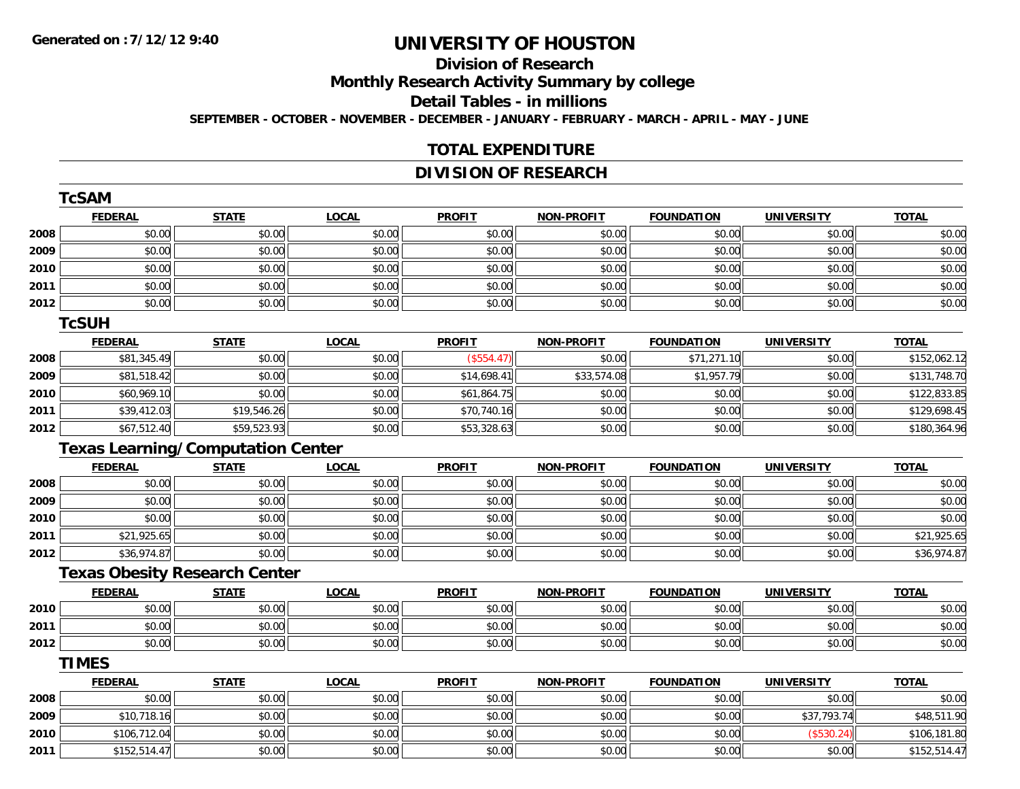### **Division of Research**

**Monthly Research Activity Summary by college**

**Detail Tables - in millions**

**SEPTEMBER - OCTOBER - NOVEMBER - DECEMBER - JANUARY - FEBRUARY - MARCH - APRIL - MAY - JUNE**

#### **TOTAL EXPENDITURE**

# **DIVISION OF RESEARCH**

|      | <b>TcSAM</b>                             |              |              |               |                   |                   |                   |              |
|------|------------------------------------------|--------------|--------------|---------------|-------------------|-------------------|-------------------|--------------|
|      | <b>FEDERAL</b>                           | <b>STATE</b> | <b>LOCAL</b> | <b>PROFIT</b> | <b>NON-PROFIT</b> | <b>FOUNDATION</b> | <b>UNIVERSITY</b> | <b>TOTAL</b> |
| 2008 | \$0.00                                   | \$0.00       | \$0.00       | \$0.00        | \$0.00            | \$0.00            | \$0.00            | \$0.00       |
| 2009 | \$0.00                                   | \$0.00       | \$0.00       | \$0.00        | \$0.00            | \$0.00            | \$0.00            | \$0.00       |
| 2010 | \$0.00                                   | \$0.00       | \$0.00       | \$0.00        | \$0.00            | \$0.00            | \$0.00            | \$0.00       |
| 2011 | \$0.00                                   | \$0.00       | \$0.00       | \$0.00        | \$0.00            | \$0.00            | \$0.00            | \$0.00       |
| 2012 | \$0.00                                   | \$0.00       | \$0.00       | \$0.00        | \$0.00            | \$0.00            | \$0.00            | \$0.00       |
|      | <b>TcSUH</b>                             |              |              |               |                   |                   |                   |              |
|      | <b>FEDERAL</b>                           | <b>STATE</b> | <b>LOCAL</b> | <b>PROFIT</b> | <b>NON-PROFIT</b> | <b>FOUNDATION</b> | <b>UNIVERSITY</b> | <b>TOTAL</b> |
| 2008 | \$81,345.49                              | \$0.00       | \$0.00       | (\$554.47)    | \$0.00            | \$71,271.10       | \$0.00            | \$152,062.12 |
| 2009 | \$81,518.42                              | \$0.00       | \$0.00       | \$14,698.41   | \$33,574.08       | \$1,957.79        | \$0.00            | \$131,748.70 |
| 2010 | \$60,969.10                              | \$0.00       | \$0.00       | \$61,864.75   | \$0.00            | \$0.00            | \$0.00            | \$122,833.85 |
| 2011 | \$39,412.03                              | \$19,546.26  | \$0.00       | \$70,740.16   | \$0.00            | \$0.00            | \$0.00            | \$129,698.45 |
| 2012 | \$67,512.40                              | \$59,523.93  | \$0.00       | \$53,328.63   | \$0.00            | \$0.00            | \$0.00            | \$180,364.96 |
|      | <b>Texas Learning/Computation Center</b> |              |              |               |                   |                   |                   |              |
|      | <b>FEDERAL</b>                           | <b>STATE</b> | <b>LOCAL</b> | <b>PROFIT</b> | <b>NON-PROFIT</b> | <b>FOUNDATION</b> | <b>UNIVERSITY</b> | <b>TOTAL</b> |
| 2008 | \$0.00                                   | \$0.00       | \$0.00       | \$0.00        | \$0.00            | \$0.00            | \$0.00            | \$0.00       |
| 2009 | \$0.00                                   | \$0.00       | \$0.00       | \$0.00        | \$0.00            | \$0.00            | \$0.00            | \$0.00       |
| 2010 | \$0.00                                   | \$0.00       | \$0.00       | \$0.00        | \$0.00            | \$0.00            | \$0.00            | \$0.00       |
| 2011 | \$21,925.65                              | \$0.00       | \$0.00       | \$0.00        | \$0.00            | \$0.00            | \$0.00            | \$21,925.65  |
| 2012 | \$36,974.87                              | \$0.00       | \$0.00       | \$0.00        | \$0.00            | \$0.00            | \$0.00            | \$36,974.87  |
|      | <b>Texas Obesity Research Center</b>     |              |              |               |                   |                   |                   |              |
|      | <b>FEDERAL</b>                           | <b>STATE</b> | <b>LOCAL</b> | <b>PROFIT</b> | <b>NON-PROFIT</b> | <b>FOUNDATION</b> | <b>UNIVERSITY</b> | <b>TOTAL</b> |
| 2010 | \$0.00                                   | \$0.00       | \$0.00       | \$0.00        | \$0.00            | \$0.00            | \$0.00            | \$0.00       |
| 2011 | \$0.00                                   | \$0.00       | \$0.00       | \$0.00        | \$0.00            | \$0.00            | \$0.00            | \$0.00       |
| 2012 | \$0.00                                   | \$0.00       | \$0.00       | \$0.00        | \$0.00            | \$0.00            | \$0.00            | \$0.00       |
|      | <b>TIMES</b>                             |              |              |               |                   |                   |                   |              |
|      | <b>FEDERAL</b>                           | <b>STATE</b> | <b>LOCAL</b> | <b>PROFIT</b> | <b>NON-PROFIT</b> | <b>FOUNDATION</b> | <b>UNIVERSITY</b> | <b>TOTAL</b> |
| 2008 | \$0.00                                   | \$0.00       | \$0.00       | \$0.00        | \$0.00            | \$0.00            | \$0.00            | \$0.00       |
| 2009 | \$10,718.16                              | \$0.00       | \$0.00       | \$0.00        | \$0.00            | \$0.00            | \$37,793.74       | \$48,511.90  |
| 2010 | \$106,712.04                             | \$0.00       | \$0.00       | \$0.00        | \$0.00            | \$0.00            | (\$530.24)        | \$106,181.80 |
| 2011 | \$152,514.47                             | \$0.00       | \$0.00       | \$0.00        | \$0.00            | \$0.00            | \$0.00            | \$152,514.47 |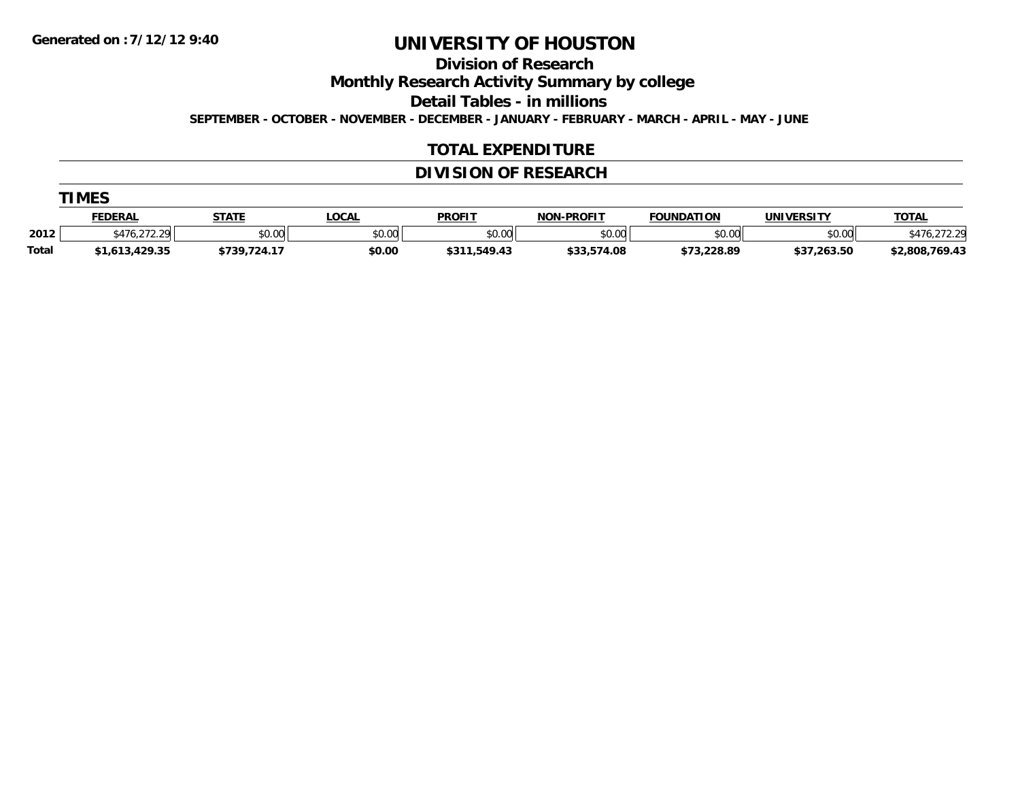**Division of Research**

**Monthly Research Activity Summary by college**

**Detail Tables - in millions**

**SEPTEMBER - OCTOBER - NOVEMBER - DECEMBER - JANUARY - FEBRUARY - MARCH - APRIL - MAY - JUNE**

#### **TOTAL EXPENDITURE**

### **DIVISION OF RESEARCH**

|       | <b>TIMES</b>   |              |              |               |                   |                   |                   |                |  |  |  |  |
|-------|----------------|--------------|--------------|---------------|-------------------|-------------------|-------------------|----------------|--|--|--|--|
|       | <u>FEDERAL</u> | <u>STATE</u> | <u>LOCAL</u> | <b>PROFIT</b> | <b>NON-PROFIT</b> | <b>FOUNDATION</b> | <b>UNIVERSITY</b> | <b>TOTAL</b>   |  |  |  |  |
| 2012  | \$476,272.29   | \$0.00       | \$0.00       | \$0.00        | \$0.00            | \$0.00            | \$0.00            | 476,272.29     |  |  |  |  |
| Total | \$1,613,429.35 | \$739,724.17 | \$0.00       | \$311,549.43  | \$33,574.08       | \$73,228.89       | \$37,263.50       | \$2,808,769.43 |  |  |  |  |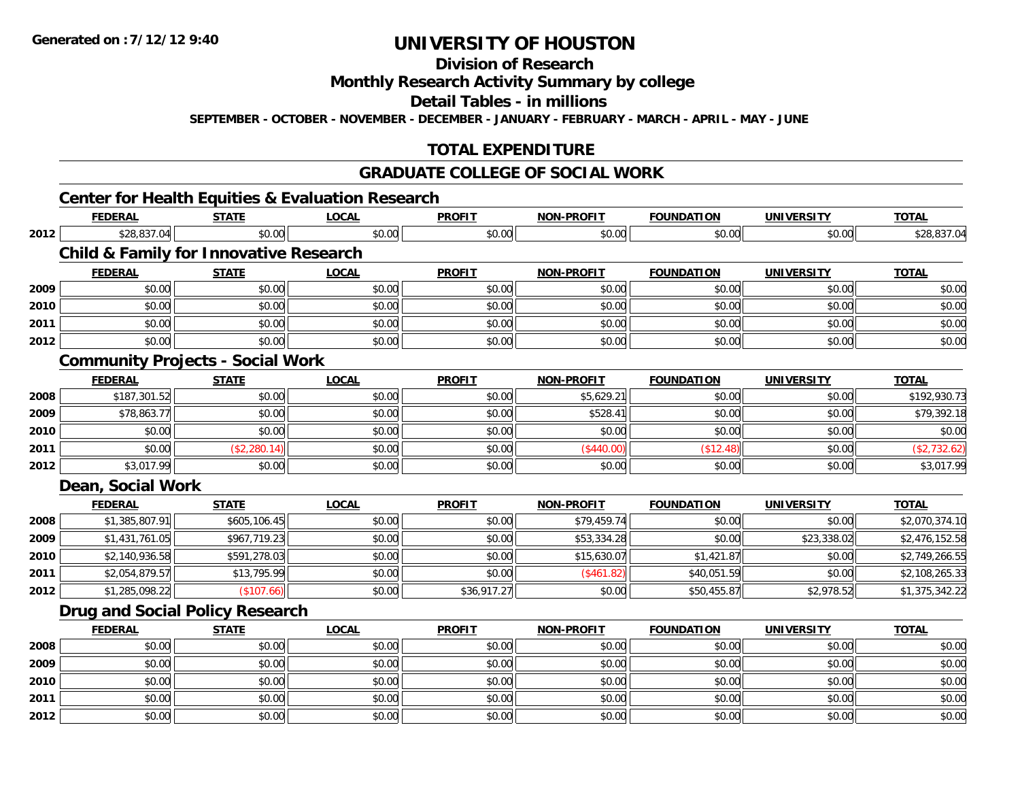### **Division of Research**

#### **Monthly Research Activity Summary by college**

#### **Detail Tables - in millions**

**SEPTEMBER - OCTOBER - NOVEMBER - DECEMBER - JANUARY - FEBRUARY - MARCH - APRIL - MAY - JUNE**

### **TOTAL EXPENDITURE**

#### **GRADUATE COLLEGE OF SOCIAL WORK**

### **Center for Health Equities & Evaluation Research**

|      | <b>FEDERAL</b>                                    | <b>STATE</b> | <b>LOCAL</b> | <b>PROFIT</b> | <b>NON-PROFIT</b> | <b>FOUNDATION</b> | <b>UNIVERSITY</b> | <b>TOTAL</b>   |
|------|---------------------------------------------------|--------------|--------------|---------------|-------------------|-------------------|-------------------|----------------|
| 2012 | \$28,837.04                                       | \$0.00       | \$0.00       | \$0.00        | \$0.00            | \$0.00            | \$0.00            | \$28,837.04    |
|      | <b>Child &amp; Family for Innovative Research</b> |              |              |               |                   |                   |                   |                |
|      | <b>FEDERAL</b>                                    | <b>STATE</b> | <b>LOCAL</b> | <b>PROFIT</b> | <b>NON-PROFIT</b> | <b>FOUNDATION</b> | <b>UNIVERSITY</b> | <b>TOTAL</b>   |
| 2009 | \$0.00                                            | \$0.00       | \$0.00       | \$0.00        | \$0.00            | \$0.00            | \$0.00            | \$0.00         |
| 2010 | \$0.00                                            | \$0.00       | \$0.00       | \$0.00        | \$0.00            | \$0.00            | \$0.00            | \$0.00         |
| 2011 | \$0.00                                            | \$0.00       | \$0.00       | \$0.00        | \$0.00            | \$0.00            | \$0.00            | \$0.00         |
| 2012 | \$0.00                                            | \$0.00       | \$0.00       | \$0.00        | \$0.00            | \$0.00            | \$0.00            | \$0.00         |
|      | <b>Community Projects - Social Work</b>           |              |              |               |                   |                   |                   |                |
|      | <b>FEDERAL</b>                                    | <b>STATE</b> | <b>LOCAL</b> | <b>PROFIT</b> | <b>NON-PROFIT</b> | <b>FOUNDATION</b> | <b>UNIVERSITY</b> | <b>TOTAL</b>   |
| 2008 | \$187,301.52                                      | \$0.00       | \$0.00       | \$0.00        | \$5,629.21        | \$0.00            | \$0.00            | \$192,930.73   |
| 2009 | \$78,863.77                                       | \$0.00       | \$0.00       | \$0.00        | \$528.41          | \$0.00            | \$0.00            | \$79,392.18    |
| 2010 | \$0.00                                            | \$0.00       | \$0.00       | \$0.00        | \$0.00            | \$0.00            | \$0.00            | \$0.00         |
| 2011 | \$0.00                                            | (\$2,280.14) | \$0.00       | \$0.00        | (\$440.00)        | (\$12.48)         | \$0.00            | (\$2,732.62)   |
| 2012 | \$3,017.99                                        | \$0.00       | \$0.00       | \$0.00        | \$0.00            | \$0.00            | \$0.00            | \$3,017.99     |
|      | Dean, Social Work                                 |              |              |               |                   |                   |                   |                |
|      | <b>FEDERAL</b>                                    | <b>STATE</b> | <b>LOCAL</b> | <b>PROFIT</b> | <b>NON-PROFIT</b> | <b>FOUNDATION</b> | <b>UNIVERSITY</b> | <b>TOTAL</b>   |
| 2008 | \$1,385,807.91                                    | \$605,106.45 | \$0.00       | \$0.00        | \$79,459.74       | \$0.00            | \$0.00            | \$2,070,374.10 |
| 2009 | \$1,431,761.05                                    | \$967,719.23 | \$0.00       | \$0.00        | \$53,334.28       | \$0.00            | \$23,338.02       | \$2,476,152.58 |
| 2010 | \$2,140,936.58                                    | \$591,278.03 | \$0.00       | \$0.00        | \$15,630.07       | \$1,421.87        | \$0.00            | \$2,749,266.55 |
| 2011 | \$2,054,879.57                                    | \$13,795.99  | \$0.00       | \$0.00        | (\$461.82)        | \$40,051.59       | \$0.00            | \$2,108,265.33 |
| 2012 | \$1,285,098.22                                    | (\$107.66)   | \$0.00       | \$36,917.27   | \$0.00            | \$50,455.87       | \$2,978.52        | \$1,375,342.22 |
|      | Drug and Social Policy Research                   |              |              |               |                   |                   |                   |                |
|      | <b>FEDERAL</b>                                    | <b>STATE</b> | <b>LOCAL</b> | <b>PROFIT</b> | <b>NON-PROFIT</b> | <b>FOUNDATION</b> | <b>UNIVERSITY</b> | <b>TOTAL</b>   |
| 2008 | \$0.00                                            | \$0.00       | \$0.00       | \$0.00        | \$0.00            | \$0.00            | \$0.00            | \$0.00         |
| 2009 | \$0.00                                            | \$0.00       | \$0.00       | \$0.00        | \$0.00            | \$0.00            | \$0.00            | \$0.00         |
| 2010 | \$0.00                                            | \$0.00       | \$0.00       | \$0.00        | \$0.00            | \$0.00            | \$0.00            | \$0.00         |
| 2011 | \$0.00                                            | \$0.00       | \$0.00       | \$0.00        | \$0.00            | \$0.00            | \$0.00            | \$0.00         |
| 2012 | \$0.00                                            | \$0.00       | \$0.00       | \$0.00        | \$0.00            | \$0.00            | \$0.00            | \$0.00         |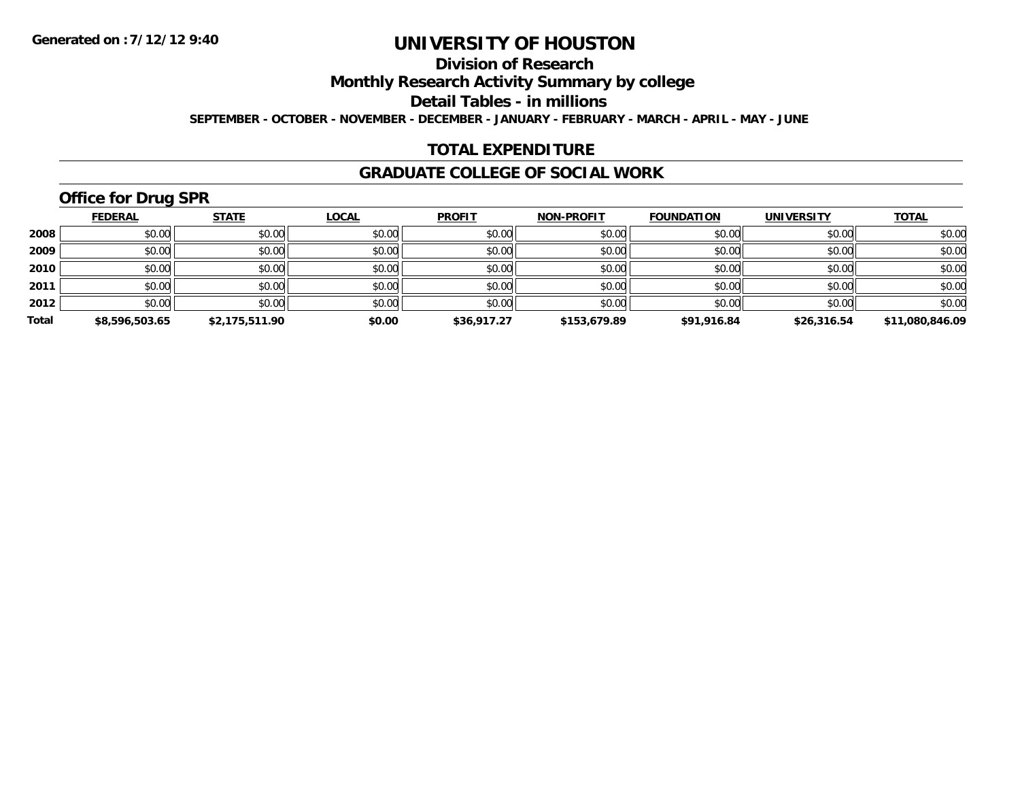### **Division of Research**

**Monthly Research Activity Summary by college**

**Detail Tables - in millions**

**SEPTEMBER - OCTOBER - NOVEMBER - DECEMBER - JANUARY - FEBRUARY - MARCH - APRIL - MAY - JUNE**

### **TOTAL EXPENDITURE**

#### **GRADUATE COLLEGE OF SOCIAL WORK**

# **Office for Drug SPR**

|       | <b>FEDERAL</b> | <b>STATE</b>   | <b>LOCAL</b> | <b>PROFIT</b> | <b>NON-PROFIT</b> | <b>FOUNDATION</b> | <b>UNIVERSITY</b> | <b>TOTAL</b>    |
|-------|----------------|----------------|--------------|---------------|-------------------|-------------------|-------------------|-----------------|
| 2008  | \$0.00         | \$0.00         | \$0.00       | \$0.00        | \$0.00            | \$0.00            | \$0.00            | \$0.00          |
| 2009  | \$0.00         | \$0.00         | \$0.00       | \$0.00        | \$0.00            | \$0.00            | \$0.00            | \$0.00          |
| 2010  | \$0.00         | \$0.00         | \$0.00       | \$0.00        | \$0.00            | \$0.00            | \$0.00            | \$0.00          |
| 2011  | \$0.00         | \$0.00         | \$0.00       | \$0.00        | \$0.00            | \$0.00            | \$0.00            | \$0.00          |
| 2012  | \$0.00         | \$0.00         | \$0.00       | \$0.00        | \$0.00            | \$0.00            | \$0.00            | \$0.00          |
| Total | \$8,596,503.65 | \$2,175,511.90 | \$0.00       | \$36,917.27   | \$153,679.89      | \$91,916.84       | \$26,316.54       | \$11,080,846.09 |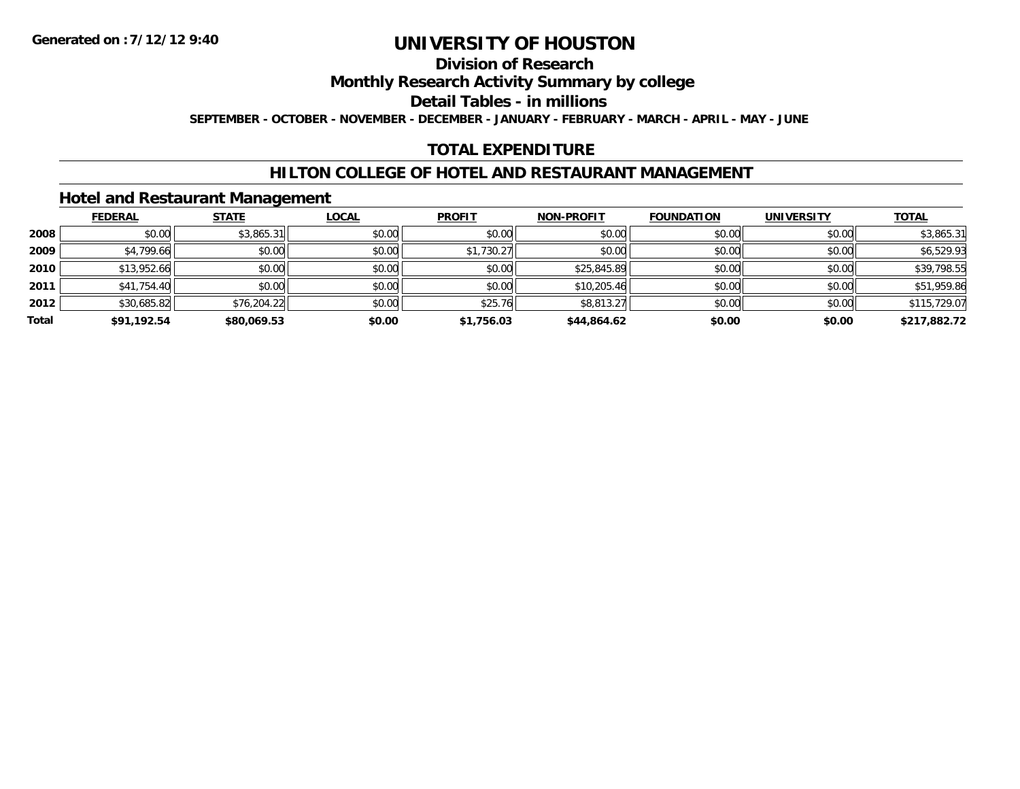#### **Division of Research**

**Monthly Research Activity Summary by college**

**Detail Tables - in millions**

**SEPTEMBER - OCTOBER - NOVEMBER - DECEMBER - JANUARY - FEBRUARY - MARCH - APRIL - MAY - JUNE**

### **TOTAL EXPENDITURE**

#### **HILTON COLLEGE OF HOTEL AND RESTAURANT MANAGEMENT**

#### **Hotel and Restaurant Management**

|       | <b>FEDERAL</b> | <b>STATE</b> | <b>LOCAL</b> | <b>PROFIT</b> | <b>NON-PROFIT</b> | <b>FOUNDATION</b> | <b>UNIVERSITY</b> | <b>TOTAL</b> |
|-------|----------------|--------------|--------------|---------------|-------------------|-------------------|-------------------|--------------|
| 2008  | \$0.00         | \$3,865.31   | \$0.00       | \$0.00        | \$0.00            | \$0.00            | \$0.00            | \$3,865.31   |
| 2009  | \$4,799.66     | \$0.00       | \$0.00       | \$1,730.27    | \$0.00            | \$0.00            | \$0.00            | \$6,529.93   |
| 2010  | \$13,952.66    | \$0.00       | \$0.00       | \$0.00        | \$25,845.89       | \$0.00            | \$0.00            | \$39,798.55  |
| 2011  | \$41,754.40    | \$0.00       | \$0.00       | \$0.00        | \$10,205.46       | \$0.00            | \$0.00            | \$51,959.86  |
| 2012  | \$30,685.82    | \$76,204.22  | \$0.00       | \$25.76       | \$8,813.27        | \$0.00            | \$0.00            | \$115,729.07 |
| Total | \$91,192.54    | \$80,069.53  | \$0.00       | \$1,756.03    | \$44,864.62       | \$0.00            | \$0.00            | \$217,882.72 |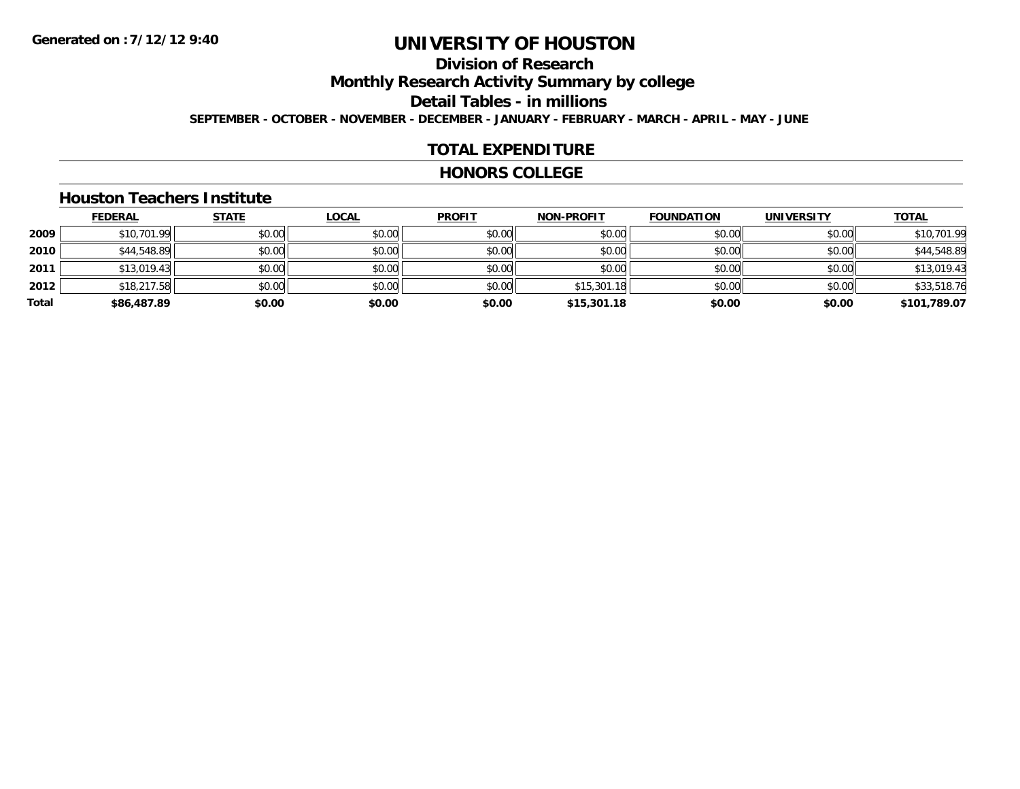# **Division of Research**

**Monthly Research Activity Summary by college**

**Detail Tables - in millions**

**SEPTEMBER - OCTOBER - NOVEMBER - DECEMBER - JANUARY - FEBRUARY - MARCH - APRIL - MAY - JUNE**

#### **TOTAL EXPENDITURE**

#### **HONORS COLLEGE**

#### **Houston Teachers Institute**

|       | <b>FEDERAL</b> | <b>STATE</b> | <u>LOCAL</u> | <b>PROFIT</b> | <b>NON-PROFIT</b> | <b>FOUNDATION</b> | <b>UNIVERSITY</b> | <b>TOTAL</b> |
|-------|----------------|--------------|--------------|---------------|-------------------|-------------------|-------------------|--------------|
| 2009  | \$10,701.99    | \$0.00       | \$0.00       | \$0.00        | \$0.00            | \$0.00            | \$0.00            | \$10,701.99  |
| 2010  | \$44,548.89    | \$0.00       | \$0.00       | \$0.00        | \$0.00            | \$0.00            | \$0.00            | \$44,548.89  |
| 2011  | \$13,019.43    | \$0.00       | \$0.00       | \$0.00        | \$0.00            | \$0.00            | \$0.00            | \$13,019.43  |
| 2012  | \$18,217.58    | \$0.00       | \$0.00       | \$0.00        | \$15,301.18       | \$0.00            | \$0.00            | \$33,518.76  |
| Total | \$86,487.89    | \$0.00       | \$0.00       | \$0.00        | \$15,301.18       | \$0.00            | \$0.00            | \$101,789.07 |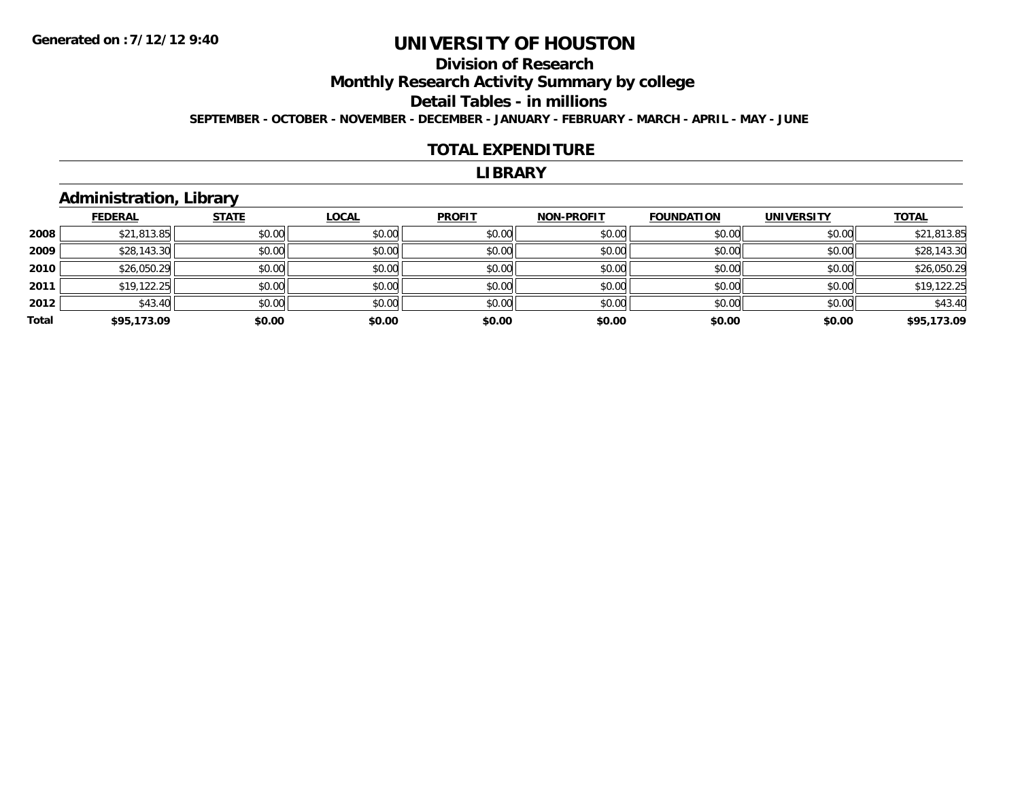# **Division of Research**

**Monthly Research Activity Summary by college**

#### **Detail Tables - in millions**

**SEPTEMBER - OCTOBER - NOVEMBER - DECEMBER - JANUARY - FEBRUARY - MARCH - APRIL - MAY - JUNE**

#### **TOTAL EXPENDITURE**

#### **LIBRARY**

### **Administration, Library**

|       | <b>FEDERAL</b> | <b>STATE</b> | <b>LOCAL</b> | <b>PROFIT</b> | <b>NON-PROFIT</b> | <b>FOUNDATION</b> | <b>UNIVERSITY</b> | <b>TOTAL</b> |
|-------|----------------|--------------|--------------|---------------|-------------------|-------------------|-------------------|--------------|
| 2008  | \$21,813.85    | \$0.00       | \$0.00       | \$0.00        | \$0.00            | \$0.00            | \$0.00            | \$21,813.85  |
| 2009  | \$28,143.30    | \$0.00       | \$0.00       | \$0.00        | \$0.00            | \$0.00            | \$0.00            | \$28,143.30  |
| 2010  | \$26,050.29    | \$0.00       | \$0.00       | \$0.00        | \$0.00            | \$0.00            | \$0.00            | \$26,050.29  |
| 2011  | \$19,122.25    | \$0.00       | \$0.00       | \$0.00        | \$0.00            | \$0.00            | \$0.00            | \$19,122.25  |
| 2012  | \$43.40        | \$0.00       | \$0.00       | \$0.00        | \$0.00            | \$0.00            | \$0.00            | \$43.40      |
| Total | \$95,173.09    | \$0.00       | \$0.00       | \$0.00        | \$0.00            | \$0.00            | \$0.00            | \$95,173.09  |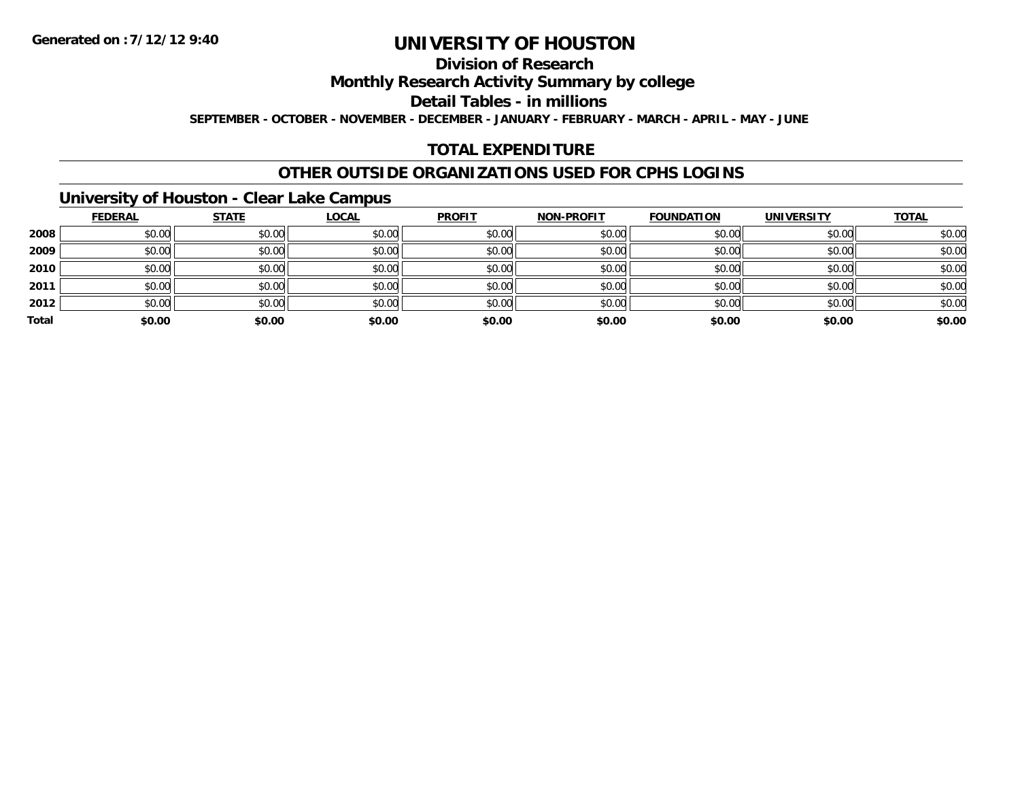#### **Division of Research**

**Monthly Research Activity Summary by college**

**Detail Tables - in millions**

**SEPTEMBER - OCTOBER - NOVEMBER - DECEMBER - JANUARY - FEBRUARY - MARCH - APRIL - MAY - JUNE**

### **TOTAL EXPENDITURE**

#### **OTHER OUTSIDE ORGANIZATIONS USED FOR CPHS LOGINS**

### **University of Houston - Clear Lake Campus**

|       | <b>FEDERAL</b> | <b>STATE</b> | <u>LOCAL</u> | <b>PROFIT</b> | <b>NON-PROFIT</b> | <b>FOUNDATION</b> | <b>UNIVERSITY</b> | <b>TOTAL</b> |
|-------|----------------|--------------|--------------|---------------|-------------------|-------------------|-------------------|--------------|
| 2008  | \$0.00         | \$0.00       | \$0.00       | \$0.00        | \$0.00            | \$0.00            | \$0.00            | \$0.00       |
| 2009  | \$0.00         | \$0.00       | \$0.00       | \$0.00        | \$0.00            | \$0.00            | \$0.00            | \$0.00       |
| 2010  | \$0.00         | \$0.00       | \$0.00       | \$0.00        | \$0.00            | \$0.00            | \$0.00            | \$0.00       |
| 2011  | \$0.00         | \$0.00       | \$0.00       | \$0.00        | \$0.00            | \$0.00            | \$0.00            | \$0.00       |
| 2012  | \$0.00         | \$0.00       | \$0.00       | \$0.00        | \$0.00            | \$0.00            | \$0.00            | \$0.00       |
| Total | \$0.00         | \$0.00       | \$0.00       | \$0.00        | \$0.00            | \$0.00            | \$0.00            | \$0.00       |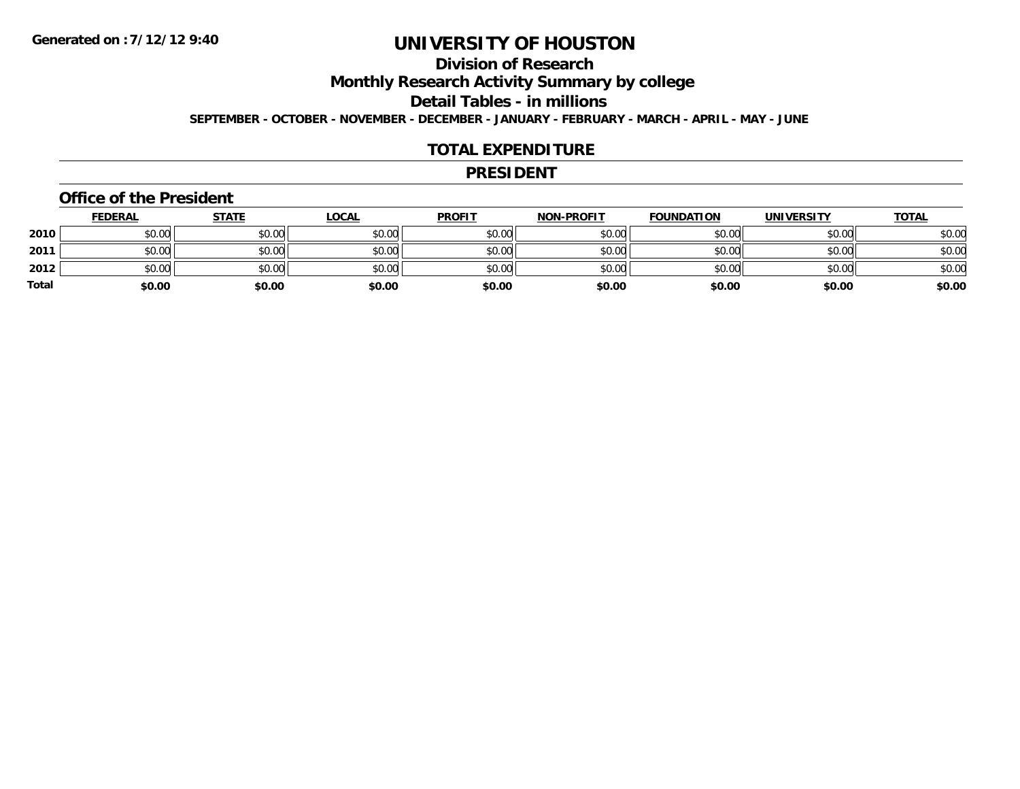### **Division of Research**

**Monthly Research Activity Summary by college**

**Detail Tables - in millions**

**SEPTEMBER - OCTOBER - NOVEMBER - DECEMBER - JANUARY - FEBRUARY - MARCH - APRIL - MAY - JUNE**

#### **TOTAL EXPENDITURE**

#### **PRESIDENT**

#### **Office of the President**

|       | <b>FEDERAL</b> | <u>STATE</u> | <b>LOCAL</b> | <b>PROFIT</b> | <b>NON-PROFIT</b> | <b>FOUNDATION</b> | <b>UNIVERSITY</b> | <b>TOTAL</b> |
|-------|----------------|--------------|--------------|---------------|-------------------|-------------------|-------------------|--------------|
| 2010  | \$0.00         | \$0.00       | \$0.00       | \$0.00        | \$0.00            | \$0.00            | \$0.00            | \$0.00       |
| 2011  | \$0.00         | \$0.00       | \$0.00       | \$0.00        | \$0.00            | \$0.00            | \$0.00            | \$0.00       |
| 2012  | \$0.00         | \$0.00       | \$0.00       | \$0.00        | \$0.00            | \$0.00            | \$0.00            | \$0.00       |
| Total | \$0.00         | \$0.00       | \$0.00       | \$0.00        | \$0.00            | \$0.00            | \$0.00            | \$0.00       |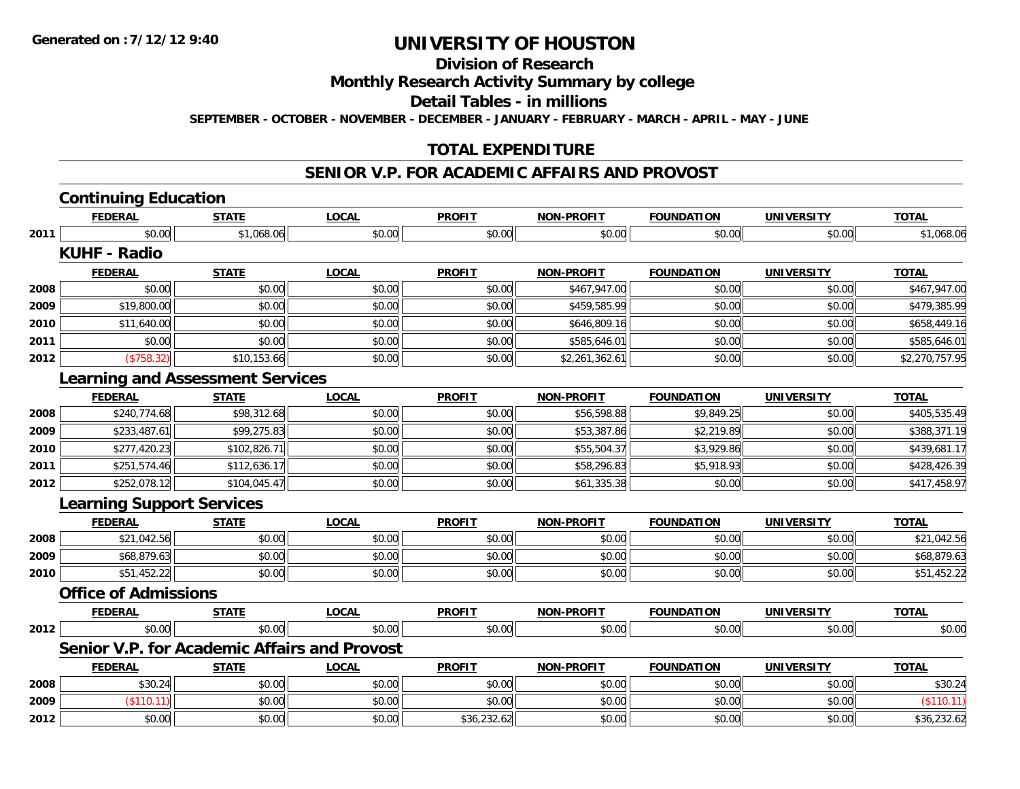**Division of Research**

**Monthly Research Activity Summary by college**

**Detail Tables - in millions**

**SEPTEMBER - OCTOBER - NOVEMBER - DECEMBER - JANUARY - FEBRUARY - MARCH - APRIL - MAY - JUNE**

### **TOTAL EXPENDITURE**

#### **SENIOR V.P. FOR ACADEMIC AFFAIRS AND PROVOST**

|      | <b>Continuing Education</b>      |                                         |                                                     |               |                   |                   |                   |                |
|------|----------------------------------|-----------------------------------------|-----------------------------------------------------|---------------|-------------------|-------------------|-------------------|----------------|
|      | <b>FEDERAL</b>                   | <b>STATE</b>                            | <b>LOCAL</b>                                        | <b>PROFIT</b> | <b>NON-PROFIT</b> | <b>FOUNDATION</b> | <b>UNIVERSITY</b> | <b>TOTAL</b>   |
| 2011 | \$0.00                           | \$1,068.06                              | \$0.00                                              | \$0.00        | \$0.00            | \$0.00            | \$0.00            | \$1,068.06     |
|      | <b>KUHF - Radio</b>              |                                         |                                                     |               |                   |                   |                   |                |
|      | <b>FEDERAL</b>                   | <b>STATE</b>                            | <b>LOCAL</b>                                        | <b>PROFIT</b> | <b>NON-PROFIT</b> | <b>FOUNDATION</b> | <b>UNIVERSITY</b> | <b>TOTAL</b>   |
| 2008 | \$0.00                           | \$0.00                                  | \$0.00                                              | \$0.00        | \$467,947.00      | \$0.00            | \$0.00            | \$467,947.00   |
| 2009 | \$19,800.00                      | \$0.00                                  | \$0.00                                              | \$0.00        | \$459,585.99      | \$0.00            | \$0.00            | \$479,385.99   |
| 2010 | \$11,640.00                      | \$0.00                                  | \$0.00                                              | \$0.00        | \$646,809.16      | \$0.00            | \$0.00            | \$658,449.16   |
| 2011 | \$0.00                           | \$0.00                                  | \$0.00                                              | \$0.00        | \$585,646.01      | \$0.00            | \$0.00            | \$585,646.01   |
| 2012 | (\$758.32)                       | \$10,153.66                             | \$0.00                                              | \$0.00        | \$2,261,362.61    | \$0.00            | \$0.00            | \$2,270,757.95 |
|      |                                  | <b>Learning and Assessment Services</b> |                                                     |               |                   |                   |                   |                |
|      | <b>FEDERAL</b>                   | <b>STATE</b>                            | <b>LOCAL</b>                                        | <b>PROFIT</b> | <b>NON-PROFIT</b> | <b>FOUNDATION</b> | <b>UNIVERSITY</b> | <b>TOTAL</b>   |
| 2008 | \$240,774.68                     | \$98,312.68                             | \$0.00                                              | \$0.00        | \$56,598.88       | \$9,849.25        | \$0.00            | \$405,535.49   |
| 2009 | \$233,487.61                     | \$99,275.83                             | \$0.00                                              | \$0.00        | \$53,387.86       | \$2,219.89        | \$0.00            | \$388,371.19   |
| 2010 | \$277,420.23                     | \$102,826.71                            | \$0.00                                              | \$0.00        | \$55,504.37       | \$3,929.86        | \$0.00            | \$439,681.17   |
| 2011 | \$251,574.46                     | \$112,636.17                            | \$0.00                                              | \$0.00        | \$58,296.83       | \$5,918.93        | \$0.00            | \$428,426.39   |
| 2012 | \$252,078.12                     | \$104,045.47                            | \$0.00                                              | \$0.00        | \$61,335.38       | \$0.00            | \$0.00            | \$417,458.97   |
|      | <b>Learning Support Services</b> |                                         |                                                     |               |                   |                   |                   |                |
|      | <b>FEDERAL</b>                   | <b>STATE</b>                            | <b>LOCAL</b>                                        | <b>PROFIT</b> | <b>NON-PROFIT</b> | <b>FOUNDATION</b> | <b>UNIVERSITY</b> | <b>TOTAL</b>   |
| 2008 | \$21,042.56                      | \$0.00                                  | \$0.00                                              | \$0.00        | \$0.00            | \$0.00            | \$0.00            | \$21,042.56    |
| 2009 | \$68,879.63                      | \$0.00                                  | \$0.00                                              | \$0.00        | \$0.00            | \$0.00            | \$0.00            | \$68,879.63    |
| 2010 | \$51,452.22                      | \$0.00                                  | \$0.00                                              | \$0.00        | \$0.00            | \$0.00            | \$0.00            | \$51,452.22    |
|      | <b>Office of Admissions</b>      |                                         |                                                     |               |                   |                   |                   |                |
|      | <b>FEDERAL</b>                   | <b>STATE</b>                            | <b>LOCAL</b>                                        | <b>PROFIT</b> | <b>NON-PROFIT</b> | <b>FOUNDATION</b> | <b>UNIVERSITY</b> | <b>TOTAL</b>   |
| 2012 | \$0.00                           | \$0.00                                  | \$0.00                                              | \$0.00        | \$0.00            | \$0.00            | \$0.00            | \$0.00         |
|      |                                  |                                         | <b>Senior V.P. for Academic Affairs and Provost</b> |               |                   |                   |                   |                |
|      | <b>FEDERAL</b>                   | <b>STATE</b>                            | <b>LOCAL</b>                                        | <b>PROFIT</b> | <b>NON-PROFIT</b> | <b>FOUNDATION</b> | <b>UNIVERSITY</b> | <b>TOTAL</b>   |
| 2008 | \$30.24                          | \$0.00                                  | \$0.00                                              | \$0.00        | \$0.00            | \$0.00            | \$0.00            | \$30.24        |
| 2009 | (\$110.11)                       | \$0.00                                  | \$0.00                                              | \$0.00        | \$0.00            | \$0.00            | \$0.00            | (\$110.11)     |
| 2012 | \$0.00                           | \$0.00                                  | \$0.00                                              | \$36,232.62   | \$0.00            | \$0.00            | \$0.00            | \$36,232.62    |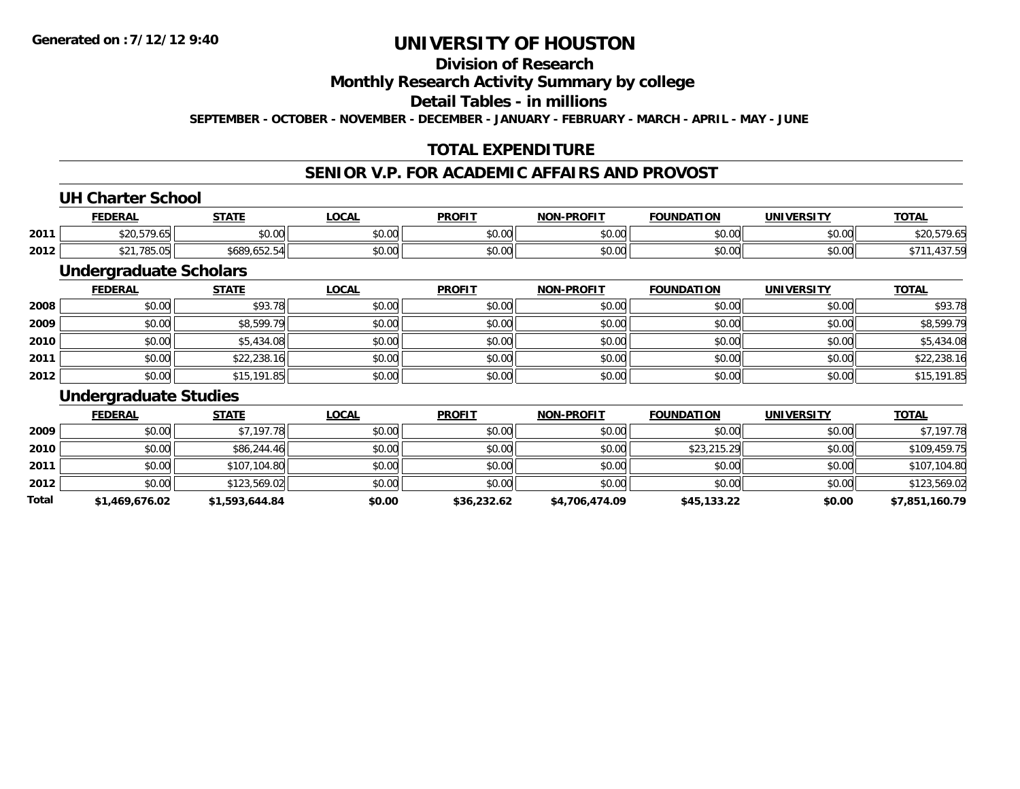### **Division of Research**

**Monthly Research Activity Summary by college**

**Detail Tables - in millions**

**SEPTEMBER - OCTOBER - NOVEMBER - DECEMBER - JANUARY - FEBRUARY - MARCH - APRIL - MAY - JUNE**

### **TOTAL EXPENDITURE**

#### **SENIOR V.P. FOR ACADEMIC AFFAIRS AND PROVOST**

#### **UH Charter School**

|      | <b>FEDERAL</b> | <b>CTATE</b>     | .OCAL         | <b>PROFIT</b>          | <b>NON-PROFIT</b> | וחרוז<br><b>EOLINDAT</b> | <b><i>INIVERSITY</i></b>                       | <u>тота.</u>         |
|------|----------------|------------------|---------------|------------------------|-------------------|--------------------------|------------------------------------------------|----------------------|
| 2011 | $-70$          | ტი იი<br>JU.UU   | 0.00<br>pu.uu | JU.UU                  | 0000<br>ง∪.∪บ     | 0000<br>DU.UU            | $\mathfrak{c} \cap \mathfrak{c} \cap$<br>DU.UU | <b>ሐገስ</b><br>- 7.05 |
| 2012 | .785.05<br>ΨZΙ | 680ء<br>7.002.04 | 0.00<br>pu.uu | $\sim$ $\sim$<br>JU.UU | 0000<br>JU.UU     | 0000<br>DU.UU            | \$0.00                                         | $  \sim$             |

#### **Undergraduate Scholars**

|      | <u>FEDERAL</u> | <b>STATE</b> | <b>LOCAL</b> | <b>PROFIT</b> | <b>NON-PROFIT</b> | <b>FOUNDATION</b> | <b>UNIVERSITY</b> | <b>TOTAL</b> |
|------|----------------|--------------|--------------|---------------|-------------------|-------------------|-------------------|--------------|
| 2008 | \$0.00         | \$93.78      | \$0.00       | \$0.00        | \$0.00            | \$0.00            | \$0.00            | \$93.78      |
| 2009 | \$0.00         | \$8,599.79   | \$0.00       | \$0.00        | \$0.00            | \$0.00            | \$0.00            | \$8,599.79   |
| 2010 | \$0.00         | \$5,434.08   | \$0.00       | \$0.00        | \$0.00            | \$0.00            | \$0.00            | \$5,434.08   |
| 2011 | \$0.00         | \$22,238.16  | \$0.00       | \$0.00        | \$0.00            | \$0.00            | \$0.00            | \$22,238.16  |
| 2012 | \$0.00         | \$15,191.85  | \$0.00       | \$0.00        | \$0.00            | \$0.00            | \$0.00            | \$15,191.85  |

#### **Undergraduate Studies**

|       | <b>FEDERAL</b> | <b>STATE</b>   | <u>LOCAL</u> | <b>PROFIT</b> | <b>NON-PROFIT</b> | <b>FOUNDATION</b> | <b>UNIVERSITY</b> | <b>TOTAL</b>   |
|-------|----------------|----------------|--------------|---------------|-------------------|-------------------|-------------------|----------------|
| 2009  | \$0.00         | \$7,197.78     | \$0.00       | \$0.00        | \$0.00            | \$0.00            | \$0.00            | \$7,197.78     |
| 2010  | \$0.00         | \$86,244.46    | \$0.00       | \$0.00        | \$0.00            | \$23,215.29       | \$0.00            | \$109,459.75   |
| 2011  | \$0.00         | \$107,104.80   | \$0.00       | \$0.00        | \$0.00            | \$0.00            | \$0.00            | \$107,104.80   |
| 2012  | \$0.00         | \$123,569.02   | \$0.00       | \$0.00        | \$0.00            | \$0.00            | \$0.00            | \$123,569.02   |
| Total | \$1,469,676.02 | \$1,593,644.84 | \$0.00       | \$36,232.62   | \$4,706,474.09    | \$45,133.22       | \$0.00            | \$7,851,160.79 |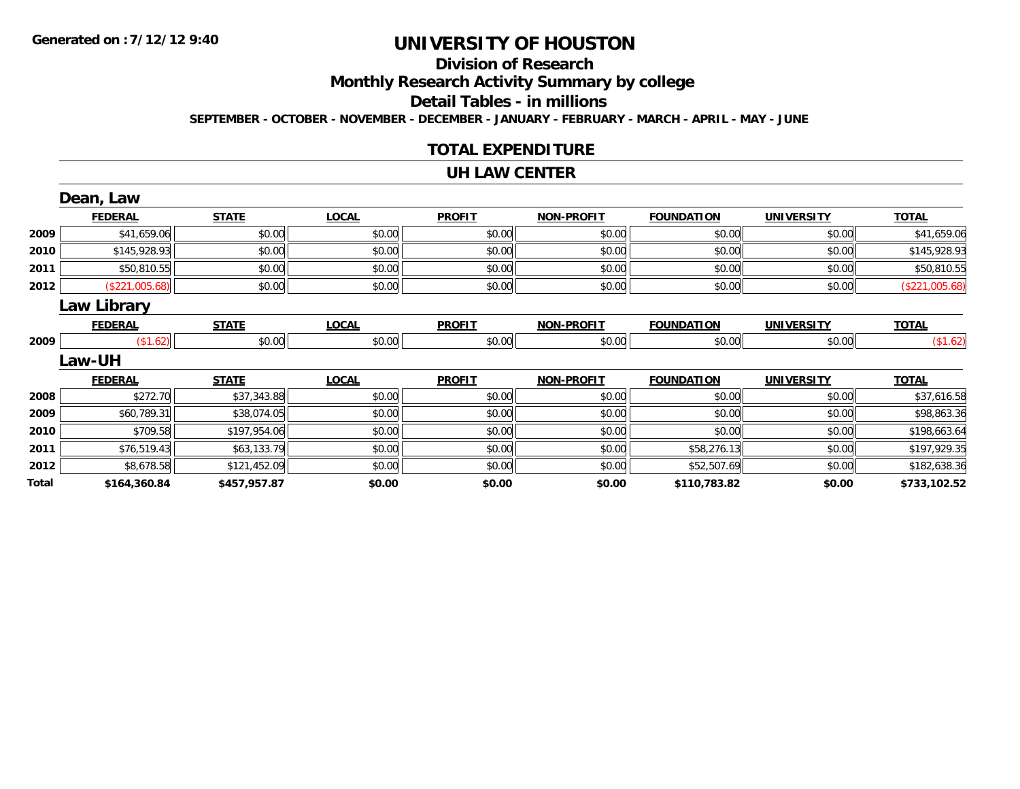# **Division of Research**

**Monthly Research Activity Summary by college**

**Detail Tables - in millions**

**SEPTEMBER - OCTOBER - NOVEMBER - DECEMBER - JANUARY - FEBRUARY - MARCH - APRIL - MAY - JUNE**

#### **TOTAL EXPENDITURE**

#### **UH LAW CENTER**

|       | Dean, Law          |              |              |               |                   |                   |                   |                |
|-------|--------------------|--------------|--------------|---------------|-------------------|-------------------|-------------------|----------------|
|       | <b>FEDERAL</b>     | <b>STATE</b> | <b>LOCAL</b> | <b>PROFIT</b> | <b>NON-PROFIT</b> | <b>FOUNDATION</b> | <b>UNIVERSITY</b> | <b>TOTAL</b>   |
| 2009  | \$41,659.06        | \$0.00       | \$0.00       | \$0.00        | \$0.00            | \$0.00            | \$0.00            | \$41,659.06    |
| 2010  | \$145,928.93       | \$0.00       | \$0.00       | \$0.00        | \$0.00            | \$0.00            | \$0.00            | \$145,928.93   |
| 2011  | \$50,810.55        | \$0.00       | \$0.00       | \$0.00        | \$0.00            | \$0.00            | \$0.00            | \$50,810.55    |
| 2012  | (\$221,005.68)     | \$0.00       | \$0.00       | \$0.00        | \$0.00            | \$0.00            | \$0.00            | (\$221,005.68) |
|       | <b>Law Library</b> |              |              |               |                   |                   |                   |                |
|       | <b>FEDERAL</b>     | <b>STATE</b> | <b>LOCAL</b> | <b>PROFIT</b> | <b>NON-PROFIT</b> | <b>FOUNDATION</b> | <b>UNIVERSITY</b> | <b>TOTAL</b>   |
| 2009  | (\$1.62)           | \$0.00       | \$0.00       | \$0.00        | \$0.00            | \$0.00            | \$0.00            | (\$1.62)       |
|       | Law-UH             |              |              |               |                   |                   |                   |                |
|       | <b>FEDERAL</b>     | <b>STATE</b> | <b>LOCAL</b> | <b>PROFIT</b> | <b>NON-PROFIT</b> | <b>FOUNDATION</b> | <b>UNIVERSITY</b> | <b>TOTAL</b>   |
| 2008  | \$272.70           | \$37,343.88  | \$0.00       | \$0.00        | \$0.00            | \$0.00            | \$0.00            | \$37,616.58    |
| 2009  | \$60,789.31        | \$38,074.05  | \$0.00       | \$0.00        | \$0.00            | \$0.00            | \$0.00            | \$98,863.36    |
| 2010  | \$709.58           | \$197,954.06 | \$0.00       | \$0.00        | \$0.00            | \$0.00            | \$0.00            | \$198,663.64   |
| 2011  | \$76,519.43        | \$63,133.79  | \$0.00       | \$0.00        | \$0.00            | \$58,276.13       | \$0.00            | \$197,929.35   |
| 2012  | \$8,678.58         | \$121,452.09 | \$0.00       | \$0.00        | \$0.00            | \$52,507.69       | \$0.00            | \$182,638.36   |
| Total | \$164,360.84       | \$457,957.87 | \$0.00       | \$0.00        | \$0.00            | \$110,783.82      | \$0.00            | \$733,102.52   |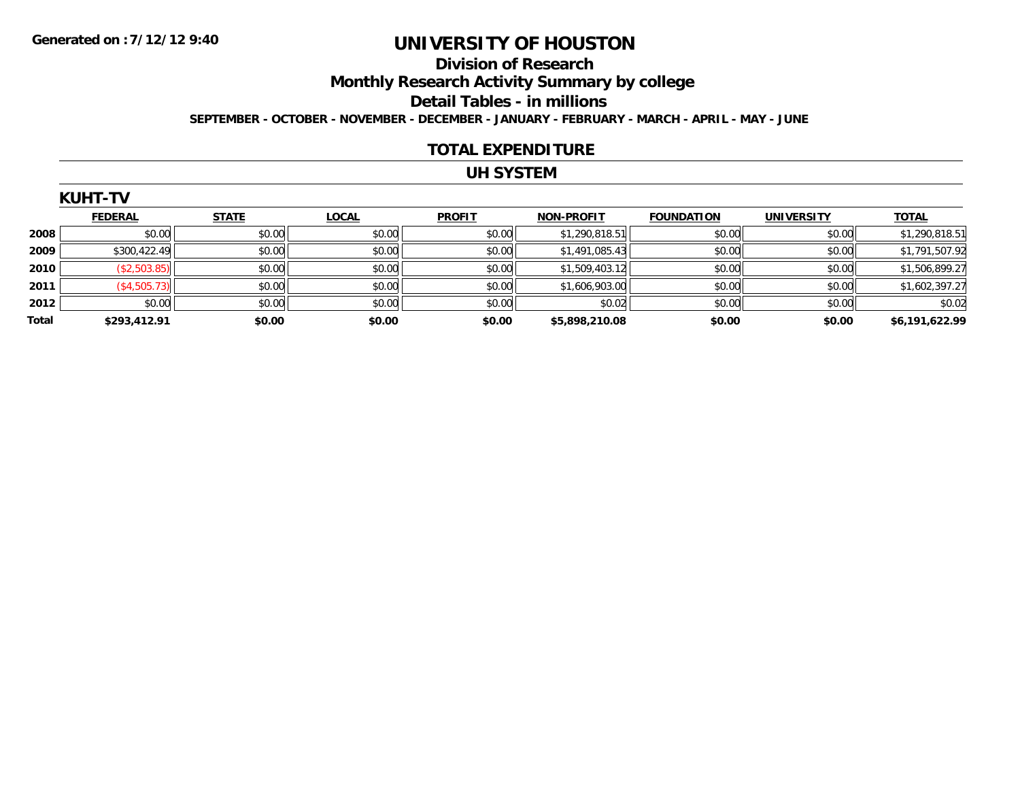#### **Division of Research**

**Monthly Research Activity Summary by college**

**Detail Tables - in millions**

**SEPTEMBER - OCTOBER - NOVEMBER - DECEMBER - JANUARY - FEBRUARY - MARCH - APRIL - MAY - JUNE**

#### **TOTAL EXPENDITURE**

### **UH SYSTEM**

|              | <b>FEDERAL</b> | <b>STATE</b> | <b>LOCAL</b> | <b>PROFIT</b> | <b>NON-PROFIT</b> | <b>FOUNDATION</b> | <b>UNIVERSITY</b> | <b>TOTAL</b>   |
|--------------|----------------|--------------|--------------|---------------|-------------------|-------------------|-------------------|----------------|
| 2008         | \$0.00         | \$0.00       | \$0.00       | \$0.00        | \$1,290,818.51    | \$0.00            | \$0.00            | \$1,290,818.51 |
| 2009         | \$300,422.49   | \$0.00       | \$0.00       | \$0.00        | \$1,491,085.43    | \$0.00            | \$0.00            | \$1,791,507.92 |
| 2010         | (\$2,503.85)   | \$0.00       | \$0.00       | \$0.00        | \$1,509,403.12    | \$0.00            | \$0.00            | \$1,506,899.27 |
| 2011         | (\$4,505.73)   | \$0.00       | \$0.00       | \$0.00        | \$1,606,903.00    | \$0.00            | \$0.00            | \$1,602,397.27 |
| 2012         | \$0.00         | \$0.00       | \$0.00       | \$0.00        | \$0.02            | \$0.00            | \$0.00            | \$0.02         |
| <b>Total</b> | \$293,412.91   | \$0.00       | \$0.00       | \$0.00        | \$5,898,210.08    | \$0.00            | \$0.00            | \$6,191,622.99 |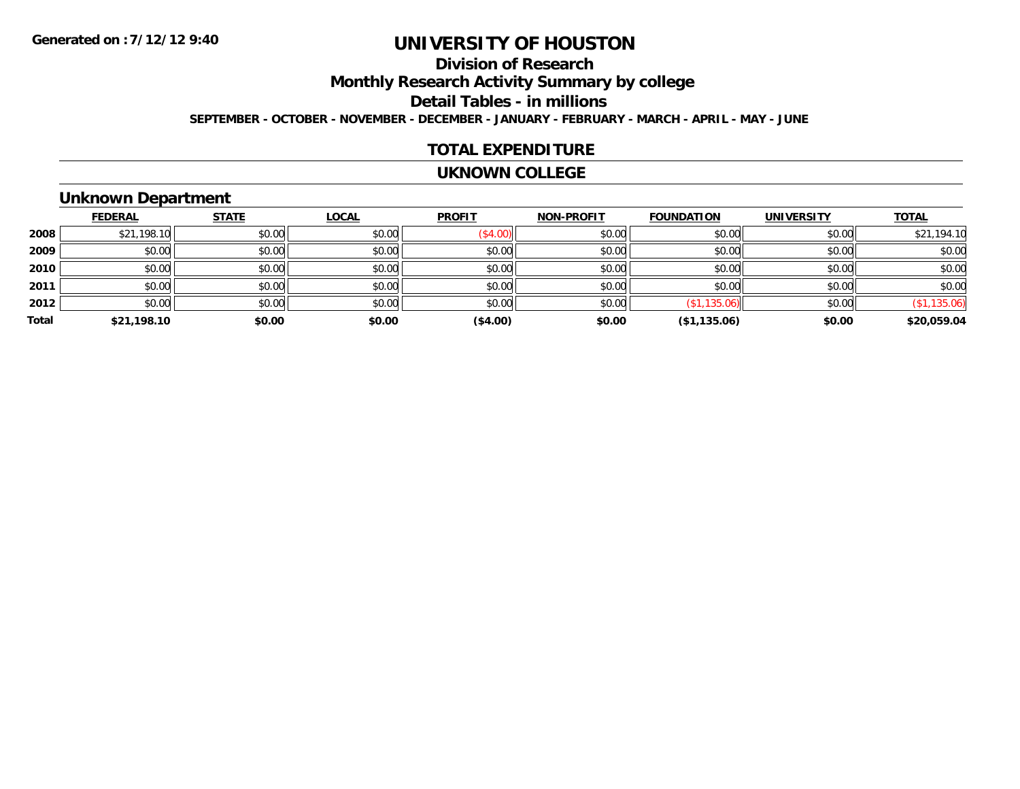# **Division of Research**

**Monthly Research Activity Summary by college**

**Detail Tables - in millions**

**SEPTEMBER - OCTOBER - NOVEMBER - DECEMBER - JANUARY - FEBRUARY - MARCH - APRIL - MAY - JUNE**

#### **TOTAL EXPENDITURE**

#### **UKNOWN COLLEGE**

#### **Unknown Department**

|       | <b>FEDERAL</b> | <b>STATE</b> | <b>LOCAL</b> | <b>PROFIT</b> | <b>NON-PROFIT</b> | <b>FOUNDATION</b> | <b>UNIVERSITY</b> | <b>TOTAL</b> |
|-------|----------------|--------------|--------------|---------------|-------------------|-------------------|-------------------|--------------|
| 2008  | \$21,198.10    | \$0.00       | \$0.00       | (\$4.00)      | \$0.00            | \$0.00            | \$0.00            | \$21,194.10  |
| 2009  | \$0.00         | \$0.00       | \$0.00       | \$0.00        | \$0.00            | \$0.00            | \$0.00            | \$0.00       |
| 2010  | \$0.00         | \$0.00       | \$0.00       | \$0.00        | \$0.00            | \$0.00            | \$0.00            | \$0.00       |
| 2011  | \$0.00         | \$0.00       | \$0.00       | \$0.00        | \$0.00            | \$0.00            | \$0.00            | \$0.00       |
| 2012  | \$0.00         | \$0.00       | \$0.00       | \$0.00        | \$0.00            | (\$1,135.06)      | \$0.00            | (\$1,135.06) |
| Total | \$21,198.10    | \$0.00       | \$0.00       | (\$4.00)      | \$0.00            | (\$1,135.06)      | \$0.00            | \$20,059.04  |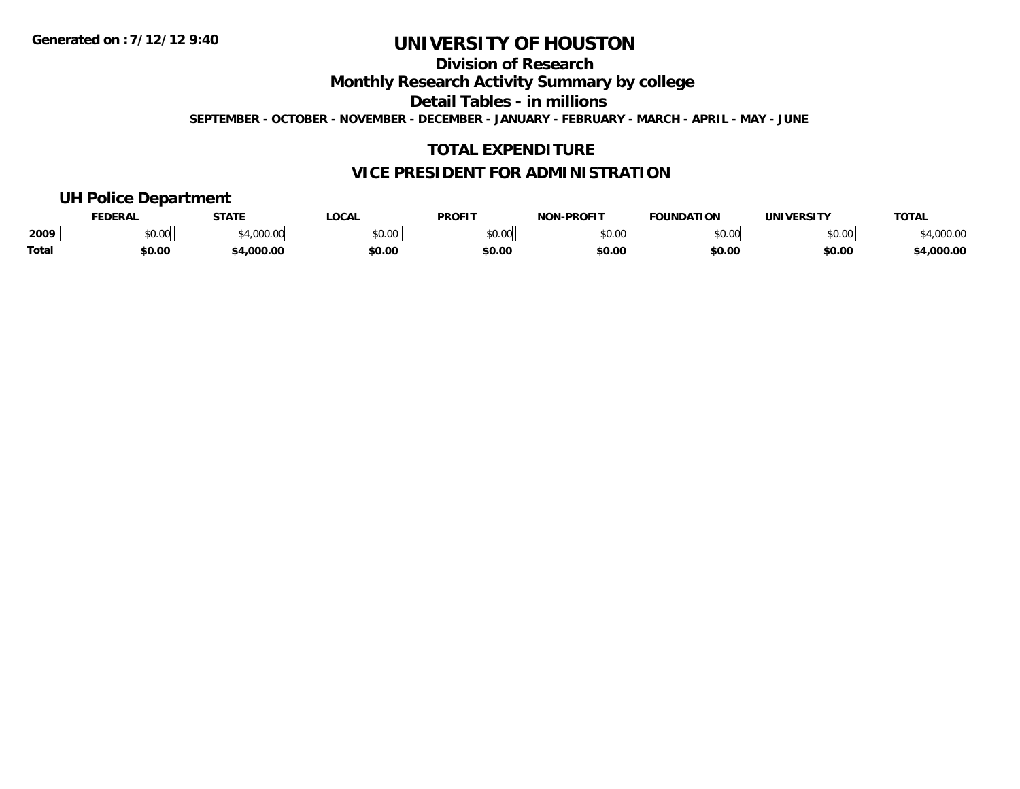**Division of Research**

**Monthly Research Activity Summary by college**

**Detail Tables - in millions**

**SEPTEMBER - OCTOBER - NOVEMBER - DECEMBER - JANUARY - FEBRUARY - MARCH - APRIL - MAY - JUNE**

### **TOTAL EXPENDITURE**

### **VICE PRESIDENT FOR ADMINISTRATION**

#### **UH Police Department**

|       | <b>FEDERAL</b> | <b>STATE</b>                | <b>LOCAL</b>  | <b>PROFIT</b> | -PROFIT<br>חחו | <b>FOUNDATION</b> | UNIVERSITY | <b>TOTA</b>      |
|-------|----------------|-----------------------------|---------------|---------------|----------------|-------------------|------------|------------------|
| 2009  | ሶስ ስስ<br>vv.vv | $^{\ast}$ 1.000.00<br>uuu.u | 0.00<br>PU.UU | 0000<br>JU.UU | 0000<br>ט.טע   | \$0.00            | \$0.00     | מח החו<br>UUU.UU |
| Total | \$0.00         | .000.00                     | \$0.00        | \$0.00        | \$0.00         | \$0.00            | \$0.00     | ,000.00          |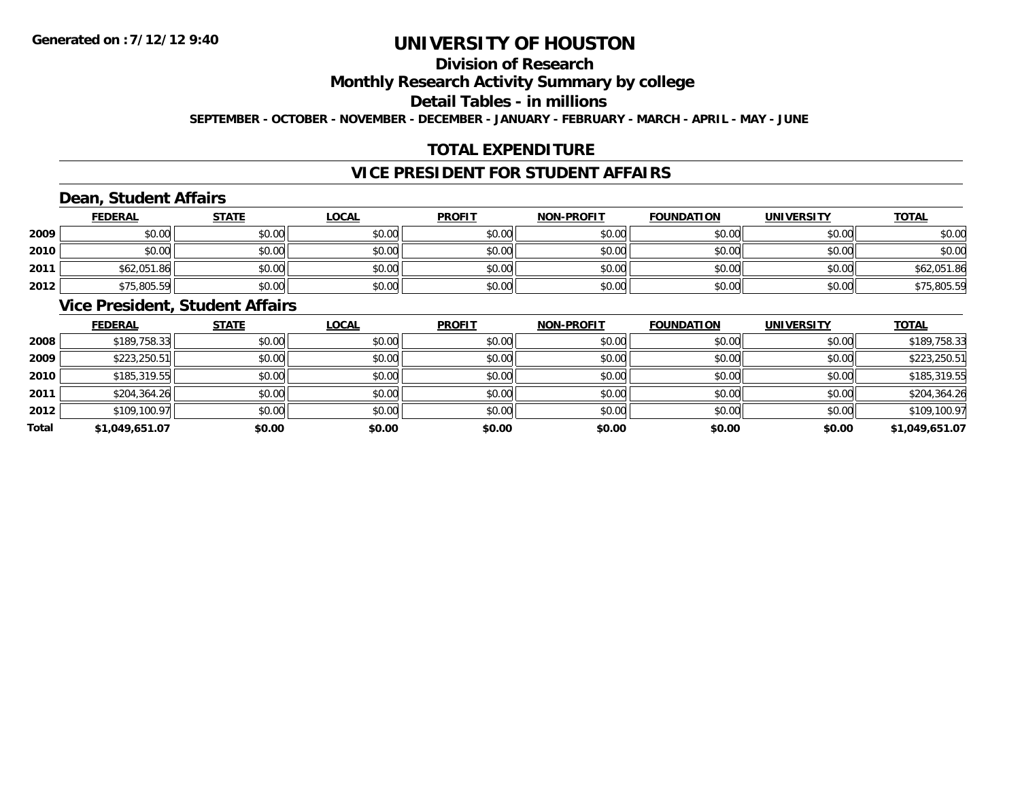# **Division of Research**

**Monthly Research Activity Summary by college**

**Detail Tables - in millions**

**SEPTEMBER - OCTOBER - NOVEMBER - DECEMBER - JANUARY - FEBRUARY - MARCH - APRIL - MAY - JUNE**

# **TOTAL EXPENDITURE**

# **VICE PRESIDENT FOR STUDENT AFFAIRS**

# **Dean, Student Affairs**

|      | <b>FEDERAL</b> | <b>STATE</b> | <u>LOCAL</u> | <b>PROFIT</b> | <b>NON-PROFIT</b> | <b>FOUNDATION</b> | <b>UNIVERSITY</b> | <b>TOTAL</b> |
|------|----------------|--------------|--------------|---------------|-------------------|-------------------|-------------------|--------------|
| 2009 | \$0.00         | \$0.00       | \$0.00       | \$0.00        | \$0.00            | \$0.00            | \$0.00            | \$0.00       |
| 2010 | \$0.00         | \$0.00       | \$0.00       | \$0.00        | \$0.00            | \$0.00            | \$0.00            | \$0.00       |
| 2011 | \$62,051.86    | \$0.00       | \$0.00       | \$0.00        | \$0.00            | \$0.00            | \$0.00            | \$62,051.86  |
| 2012 | \$75,805.59    | \$0.00       | \$0.00       | \$0.00        | \$0.00            | \$0.00            | \$0.00            | \$75,805.59  |

#### **Vice President, Student Affairs**

|       | <b>FEDERAL</b> | <b>STATE</b> | LOCAL  | <b>PROFIT</b> | <b>NON-PROFIT</b> | <b>FOUNDATION</b> | <b>UNIVERSITY</b> | <b>TOTAL</b>   |
|-------|----------------|--------------|--------|---------------|-------------------|-------------------|-------------------|----------------|
| 2008  | \$189,758.33   | \$0.00       | \$0.00 | \$0.00        | \$0.00            | \$0.00            | \$0.00            | \$189,758.33   |
| 2009  | \$223,250.51   | \$0.00       | \$0.00 | \$0.00        | \$0.00            | \$0.00            | \$0.00            | \$223,250.51   |
| 2010  | \$185,319.55   | \$0.00       | \$0.00 | \$0.00        | \$0.00            | \$0.00            | \$0.00            | \$185,319.55   |
| 2011  | \$204,364.26   | \$0.00       | \$0.00 | \$0.00        | \$0.00            | \$0.00            | \$0.00            | \$204,364.26   |
| 2012  | \$109,100.97   | \$0.00       | \$0.00 | \$0.00        | \$0.00            | \$0.00            | \$0.00            | \$109,100.97   |
| Total | \$1,049,651.07 | \$0.00       | \$0.00 | \$0.00        | \$0.00            | \$0.00            | \$0.00            | \$1,049,651.07 |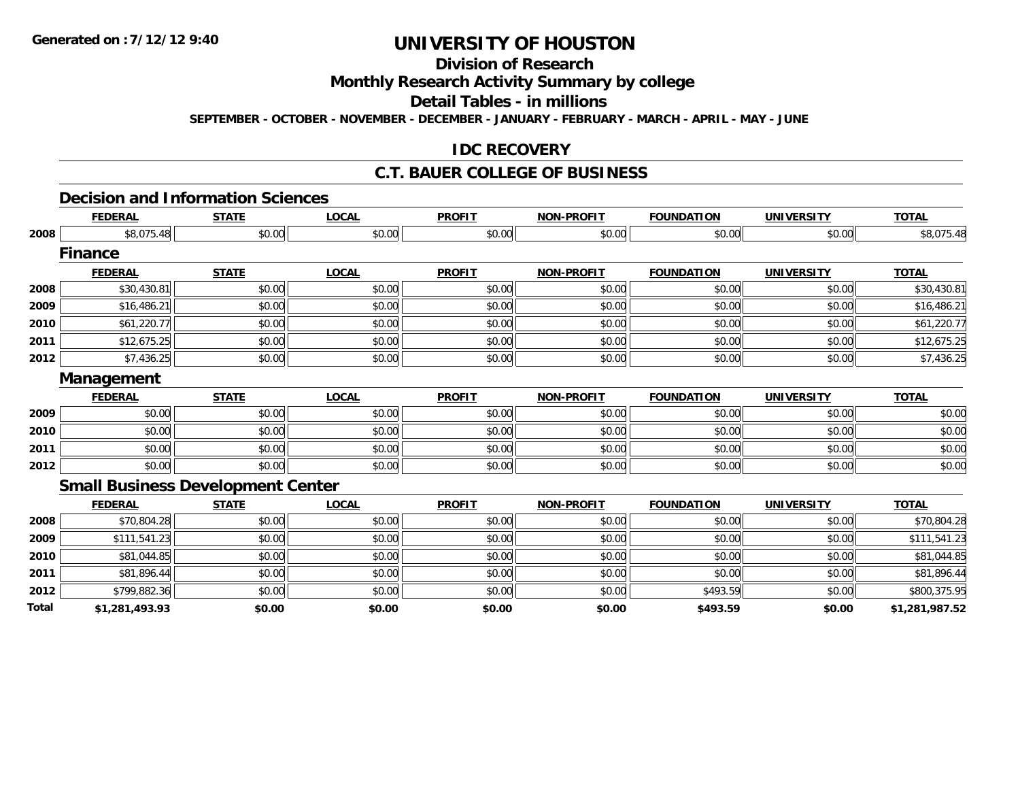# **Division of Research**

**Monthly Research Activity Summary by college**

**Detail Tables - in millions**

**SEPTEMBER - OCTOBER - NOVEMBER - DECEMBER - JANUARY - FEBRUARY - MARCH - APRIL - MAY - JUNE**

### **IDC RECOVERY**

#### **C.T. BAUER COLLEGE OF BUSINESS**

#### **Decision and Information Sciences**

|       | <b>FEDERAL</b>                           | <b>STATE</b> | <b>LOCAL</b> | <b>PROFIT</b> | <b>NON-PROFIT</b> | <b>FOUNDATION</b> | <b>UNIVERSITY</b> | <b>TOTAL</b>   |
|-------|------------------------------------------|--------------|--------------|---------------|-------------------|-------------------|-------------------|----------------|
| 2008  | \$8,075.48                               | \$0.00       | \$0.00       | \$0.00        | \$0.00            | \$0.00            | \$0.00            | \$8,075.48     |
|       | <b>Finance</b>                           |              |              |               |                   |                   |                   |                |
|       | <b>FEDERAL</b>                           | <b>STATE</b> | <b>LOCAL</b> | <b>PROFIT</b> | <b>NON-PROFIT</b> | <b>FOUNDATION</b> | <b>UNIVERSITY</b> | <b>TOTAL</b>   |
| 2008  | \$30,430.81                              | \$0.00       | \$0.00       | \$0.00        | \$0.00            | \$0.00            | \$0.00            | \$30,430.81    |
| 2009  | \$16,486.21                              | \$0.00       | \$0.00       | \$0.00        | \$0.00            | \$0.00            | \$0.00            | \$16,486.21    |
| 2010  | \$61,220.77                              | \$0.00       | \$0.00       | \$0.00        | \$0.00            | \$0.00            | \$0.00            | \$61,220.77    |
| 2011  | \$12,675.25                              | \$0.00       | \$0.00       | \$0.00        | \$0.00            | \$0.00            | \$0.00            | \$12,675.25    |
| 2012  | \$7,436.25                               | \$0.00       | \$0.00       | \$0.00        | \$0.00            | \$0.00            | \$0.00            | \$7,436.25     |
|       | Management                               |              |              |               |                   |                   |                   |                |
|       | <b>FEDERAL</b>                           | <b>STATE</b> | <b>LOCAL</b> | <b>PROFIT</b> | <b>NON-PROFIT</b> | <b>FOUNDATION</b> | <b>UNIVERSITY</b> | <b>TOTAL</b>   |
| 2009  | \$0.00                                   | \$0.00       | \$0.00       | \$0.00        | \$0.00            | \$0.00            | \$0.00            | \$0.00         |
| 2010  | \$0.00                                   | \$0.00       | \$0.00       | \$0.00        | \$0.00            | \$0.00            | \$0.00            | \$0.00         |
| 2011  | \$0.00                                   | \$0.00       | \$0.00       | \$0.00        | \$0.00            | \$0.00            | \$0.00            | \$0.00         |
| 2012  | \$0.00                                   | \$0.00       | \$0.00       | \$0.00        | \$0.00            | \$0.00            | \$0.00            | \$0.00         |
|       | <b>Small Business Development Center</b> |              |              |               |                   |                   |                   |                |
|       | <b>FEDERAL</b>                           | <b>STATE</b> | <b>LOCAL</b> | <b>PROFIT</b> | <b>NON-PROFIT</b> | <b>FOUNDATION</b> | <b>UNIVERSITY</b> | <b>TOTAL</b>   |
| 2008  | \$70,804.28                              | \$0.00       | \$0.00       | \$0.00        | \$0.00            | \$0.00            | \$0.00            | \$70,804.28    |
| 2009  | \$111,541.23                             | \$0.00       | \$0.00       | \$0.00        | \$0.00            | \$0.00            | \$0.00            | \$111,541.23   |
| 2010  | \$81,044.85                              | \$0.00       | \$0.00       | \$0.00        | \$0.00            | \$0.00            | \$0.00            | \$81,044.85    |
| 2011  | \$81,896.44                              | \$0.00       | \$0.00       | \$0.00        | \$0.00            | \$0.00            | \$0.00            | \$81,896.44    |
| 2012  | \$799,882.36                             | \$0.00       | \$0.00       | \$0.00        | \$0.00            | \$493.59          | \$0.00            | \$800,375.95   |
| Total | \$1,281,493.93                           | \$0.00       | \$0.00       | \$0.00        | \$0.00            | \$493.59          | \$0.00            | \$1,281,987.52 |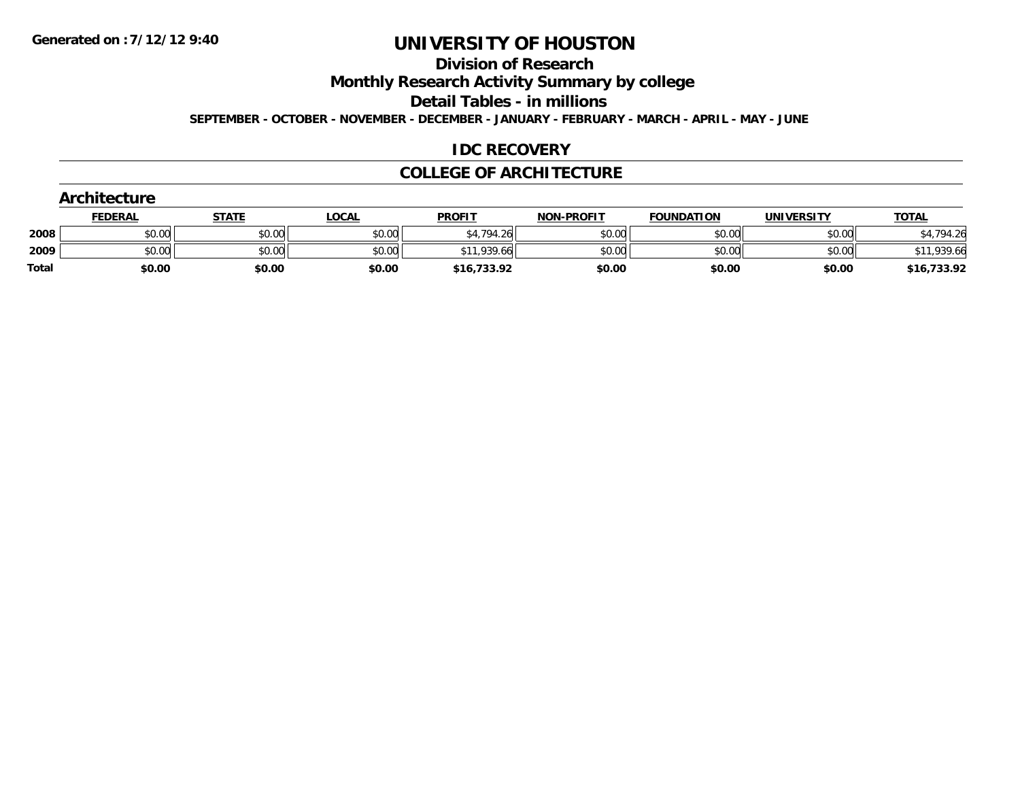# **Division of Research**

**Monthly Research Activity Summary by college**

**Detail Tables - in millions**

**SEPTEMBER - OCTOBER - NOVEMBER - DECEMBER - JANUARY - FEBRUARY - MARCH - APRIL - MAY - JUNE**

### **IDC RECOVERY**

#### **COLLEGE OF ARCHITECTURE**

|              | Architecture   |              |              |               |                   |                   |                   |              |  |  |  |
|--------------|----------------|--------------|--------------|---------------|-------------------|-------------------|-------------------|--------------|--|--|--|
|              | <b>FEDERAL</b> | <b>STATE</b> | <u>LOCAL</u> | <b>PROFIT</b> | <b>NON-PROFIT</b> | <b>FOUNDATION</b> | <b>UNIVERSITY</b> | <b>TOTAL</b> |  |  |  |
| 2008         | \$0.00         | \$0.00       | \$0.00       | \$4,794.26    | \$0.00            | \$0.00            | \$0.00            | \$4,794.26   |  |  |  |
| 2009         | \$0.00         | \$0.00       | \$0.00       | \$11,939.66   | \$0.00            | \$0.00            | \$0.00            | \$11,939.66  |  |  |  |
| <b>Total</b> | \$0.00         | \$0.00       | \$0.00       | \$16,733.92   | \$0.00            | \$0.00            | \$0.00            | \$16,733.92  |  |  |  |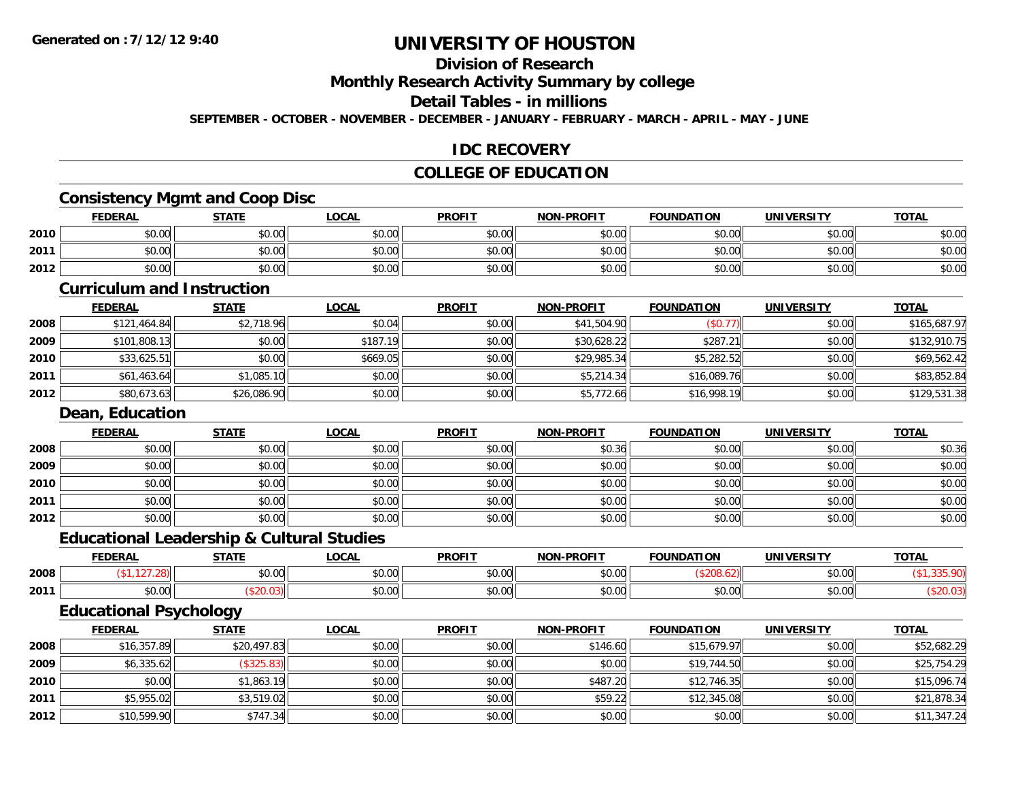# **Division of Research**

**Monthly Research Activity Summary by college**

#### **Detail Tables - in millions**

**SEPTEMBER - OCTOBER - NOVEMBER - DECEMBER - JANUARY - FEBRUARY - MARCH - APRIL - MAY - JUNE**

### **IDC RECOVERY**

# **COLLEGE OF EDUCATION**

### **Consistency Mgmt and Coop Disc**

|      | <u>FEDERAL</u> | <b>STATE</b> | <u>LOCAL</u> | <b>PROFIT</b> | <b>NON-PROFIT</b> | <b>FOUNDATION</b> | <b>UNIVERSITY</b> | <b>TOTAL</b> |
|------|----------------|--------------|--------------|---------------|-------------------|-------------------|-------------------|--------------|
| 2010 | \$0.00         | \$0.00       | \$0.00       | \$0.00        | \$0.00            | \$0.00            | \$0.00            | \$0.00       |
| 2011 | \$0.00         | \$0.00       | \$0.00       | \$0.00        | \$0.00            | \$0.00            | \$0.00            | \$0.00       |
| 2012 | \$0.00         | \$0.00       | \$0.00       | \$0.00        | \$0.00            | \$0.00            | \$0.00            | \$0.00       |

#### **Curriculum and Instruction**

|      | <b>FEDERAL</b> | <b>STATE</b> | <b>LOCAL</b> | <b>PROFIT</b> | <b>NON-PROFIT</b> | <b>FOUNDATION</b> | <b>UNIVERSITY</b> | <b>TOTAL</b> |
|------|----------------|--------------|--------------|---------------|-------------------|-------------------|-------------------|--------------|
| 2008 | \$121,464.84   | \$2,718.96   | \$0.04       | \$0.00        | \$41,504.90       | (\$0.77)          | \$0.00            | \$165,687.97 |
| 2009 | \$101,808.13   | \$0.00       | \$187.19     | \$0.00        | \$30,628.22       | \$287.21          | \$0.00            | \$132,910.75 |
| 2010 | \$33,625.51    | \$0.00       | \$669.05     | \$0.00        | \$29,985.34       | \$5,282.52        | \$0.00            | \$69,562.42  |
| 2011 | \$61,463.64    | \$1,085.10   | \$0.00       | \$0.00        | \$5,214.34        | \$16,089.76       | \$0.00            | \$83,852.84  |
| 2012 | \$80,673.63    | \$26,086.90  | \$0.00       | \$0.00        | \$5,772.66        | \$16,998.19       | \$0.00            | \$129,531.38 |

#### **Dean, Education**

|      | <b>FEDERAL</b> | <b>STATE</b> | <b>LOCAL</b> | <b>PROFIT</b> | <b>NON-PROFIT</b> | <b>FOUNDATION</b> | <b>UNIVERSITY</b> | <b>TOTAL</b> |
|------|----------------|--------------|--------------|---------------|-------------------|-------------------|-------------------|--------------|
| 2008 | \$0.00         | \$0.00       | \$0.00       | \$0.00        | \$0.36            | \$0.00            | \$0.00            | \$0.36       |
| 2009 | \$0.00         | \$0.00       | \$0.00       | \$0.00        | \$0.00            | \$0.00            | \$0.00            | \$0.00       |
| 2010 | \$0.00         | \$0.00       | \$0.00       | \$0.00        | \$0.00            | \$0.00            | \$0.00            | \$0.00       |
| 2011 | \$0.00         | \$0.00       | \$0.00       | \$0.00        | \$0.00            | \$0.00            | \$0.00            | \$0.00       |
| 2012 | \$0.00         | \$0.00       | \$0.00       | \$0.00        | \$0.00            | \$0.00            | \$0.00            | \$0.00       |

#### **Educational Leadership & Cultural Studies**

|      | <b>FEDERAL</b>     | <b>STATE</b> | <b>OCAL</b>             | <b>PROFIT</b> | <b>LPROFIT</b><br><b>NON</b> | <b>FOUNDATION</b>      | <b>UNIVERSITY</b>    | <b>TOTAL</b> |
|------|--------------------|--------------|-------------------------|---------------|------------------------------|------------------------|----------------------|--------------|
| 2008 |                    | \$0.00       | 0 <sup>n</sup><br>vu.vu | 0.00<br>JU.UU | \$0.00                       |                        | 0000<br>PU.UU        |              |
| 2011 | $\sim$ 00<br>JU.UU |              | 0000<br>JU.UU           | 0000<br>JU.UU | \$0.00                       | $\sim$ $\sim$<br>JU.UU | 0000<br><b>JU.UU</b> |              |

# **Educational Psychology**

|      | <b>FEDERAL</b> | <b>STATE</b> | <u>LOCAL</u> | <b>PROFIT</b> | <b>NON-PROFIT</b> | <b>FOUNDATION</b> | <b>UNIVERSITY</b> | <b>TOTAL</b> |
|------|----------------|--------------|--------------|---------------|-------------------|-------------------|-------------------|--------------|
| 2008 | \$16,357.89    | \$20,497.83  | \$0.00       | \$0.00        | \$146.60          | \$15,679.97       | \$0.00            | \$52,682.29  |
| 2009 | \$6,335.62     | (\$325.83)   | \$0.00       | \$0.00        | \$0.00            | \$19,744.50       | \$0.00            | \$25,754.29  |
| 2010 | \$0.00         | \$1,863.19   | \$0.00       | \$0.00        | \$487.20          | \$12,746.35       | \$0.00            | \$15,096.74  |
| 2011 | \$5,955.02     | \$3,519.02   | \$0.00       | \$0.00        | \$59.22           | \$12,345.08       | \$0.00            | \$21,878.34  |
| 2012 | \$10,599.90    | \$747.34     | \$0.00       | \$0.00        | \$0.00            | \$0.00            | \$0.00            | \$11,347.24  |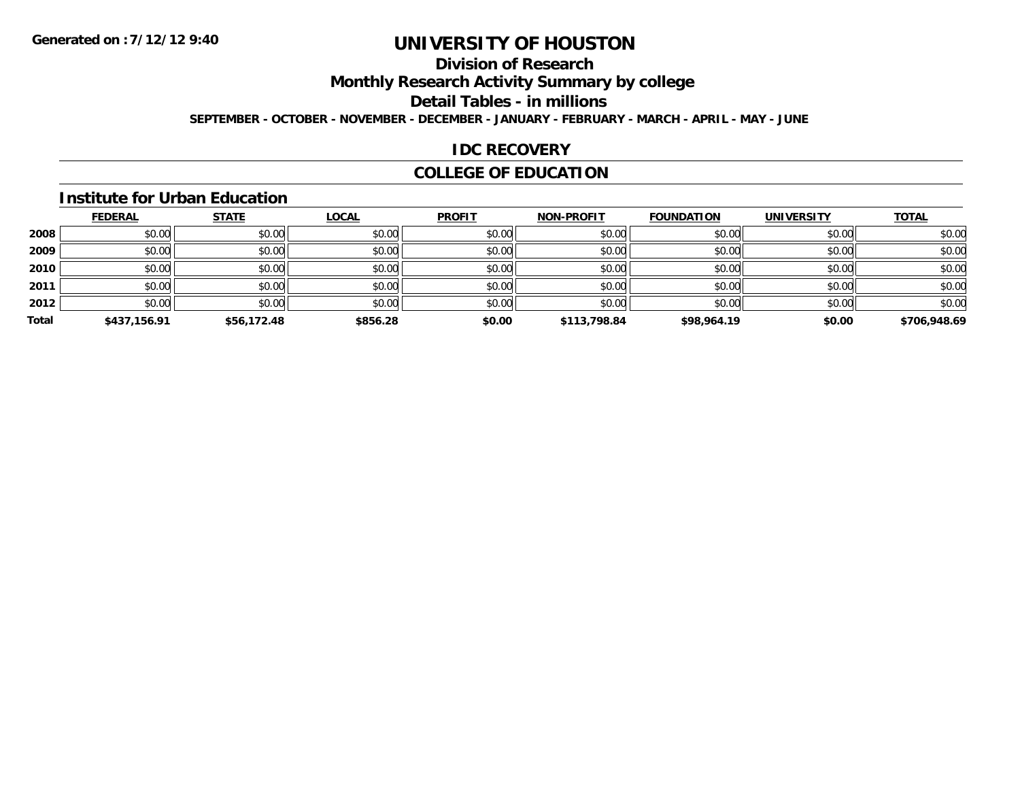# **Division of Research**

**Monthly Research Activity Summary by college**

#### **Detail Tables - in millions**

**SEPTEMBER - OCTOBER - NOVEMBER - DECEMBER - JANUARY - FEBRUARY - MARCH - APRIL - MAY - JUNE**

### **IDC RECOVERY**

# **COLLEGE OF EDUCATION**

#### **Institute for Urban Education**

|       | <b>FEDERAL</b> | <b>STATE</b> | <b>LOCAL</b> | <b>PROFIT</b> | <b>NON-PROFIT</b> | <b>FOUNDATION</b> | <b>UNIVERSITY</b> | <b>TOTAL</b> |
|-------|----------------|--------------|--------------|---------------|-------------------|-------------------|-------------------|--------------|
| 2008  | \$0.00         | \$0.00       | \$0.00       | \$0.00        | \$0.00            | \$0.00            | \$0.00            | \$0.00       |
| 2009  | \$0.00         | \$0.00       | \$0.00       | \$0.00        | \$0.00            | \$0.00            | \$0.00            | \$0.00       |
| 2010  | \$0.00         | \$0.00       | \$0.00       | \$0.00        | \$0.00            | \$0.00            | \$0.00            | \$0.00       |
| 2011  | \$0.00         | \$0.00       | \$0.00       | \$0.00        | \$0.00            | \$0.00            | \$0.00            | \$0.00       |
| 2012  | \$0.00         | \$0.00       | \$0.00       | \$0.00        | \$0.00            | \$0.00            | \$0.00            | \$0.00       |
| Total | \$437,156.91   | \$56,172.48  | \$856.28     | \$0.00        | \$113,798.84      | \$98,964.19       | \$0.00            | \$706,948.69 |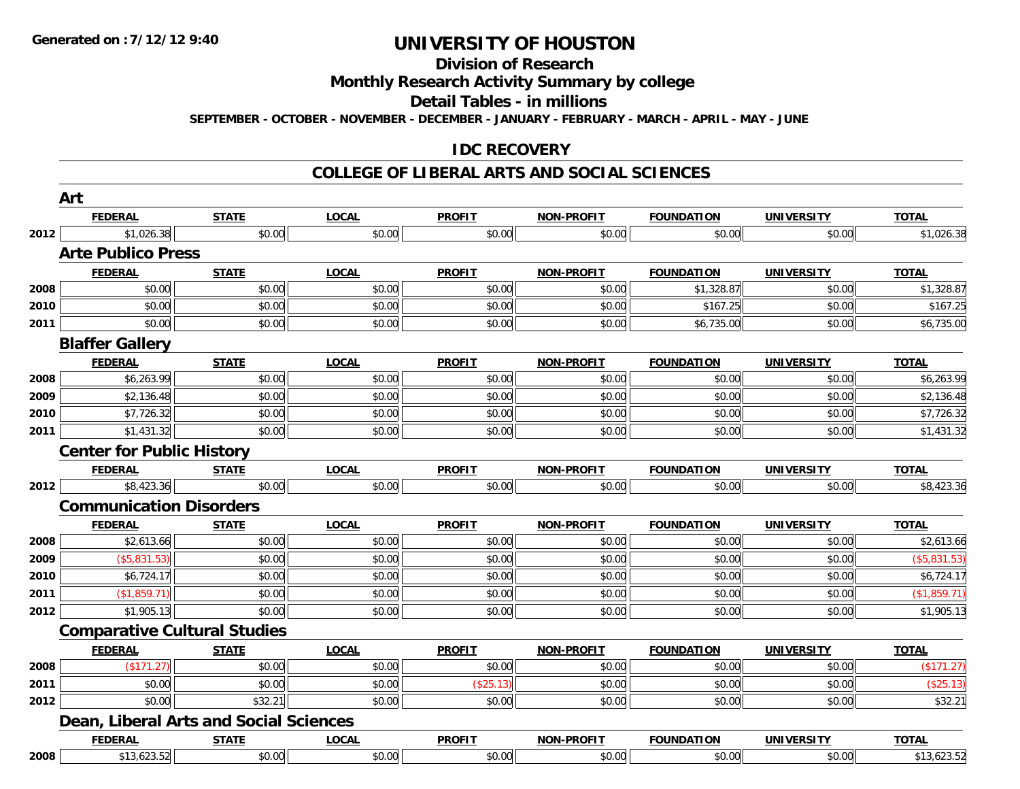# **Division of Research**

**Monthly Research Activity Summary by college**

**Detail Tables - in millions**

**SEPTEMBER - OCTOBER - NOVEMBER - DECEMBER - JANUARY - FEBRUARY - MARCH - APRIL - MAY - JUNE**

### **IDC RECOVERY**

#### **COLLEGE OF LIBERAL ARTS AND SOCIAL SCIENCES**

|      | Art                                    |              |              |               |                   |                   |                   |              |
|------|----------------------------------------|--------------|--------------|---------------|-------------------|-------------------|-------------------|--------------|
|      | <b>FEDERAL</b>                         | <b>STATE</b> | <b>LOCAL</b> | <b>PROFIT</b> | NON-PROFIT        | <b>FOUNDATION</b> | <b>UNIVERSITY</b> | <b>TOTAL</b> |
| 2012 | \$1,026.38                             | \$0.00       | \$0.00       | \$0.00        | \$0.00            | \$0.00            | \$0.00            | \$1,026.38   |
|      | <b>Arte Publico Press</b>              |              |              |               |                   |                   |                   |              |
|      | <b>FEDERAL</b>                         | <b>STATE</b> | <b>LOCAL</b> | <b>PROFIT</b> | <b>NON-PROFIT</b> | <b>FOUNDATION</b> | <b>UNIVERSITY</b> | <b>TOTAL</b> |
| 2008 | \$0.00                                 | \$0.00       | \$0.00       | \$0.00        | \$0.00            | \$1,328.87        | \$0.00            | \$1,328.87   |
| 2010 | \$0.00                                 | \$0.00       | \$0.00       | \$0.00        | \$0.00            | \$167.25          | \$0.00            | \$167.25     |
| 2011 | \$0.00                                 | \$0.00       | \$0.00       | \$0.00        | \$0.00            | \$6,735.00        | \$0.00            | \$6,735.00   |
|      | <b>Blaffer Gallery</b>                 |              |              |               |                   |                   |                   |              |
|      | <b>FEDERAL</b>                         | <b>STATE</b> | <b>LOCAL</b> | <b>PROFIT</b> | <b>NON-PROFIT</b> | <b>FOUNDATION</b> | <b>UNIVERSITY</b> | <b>TOTAL</b> |
| 2008 | \$6,263.99                             | \$0.00       | \$0.00       | \$0.00        | \$0.00            | \$0.00            | \$0.00            | \$6,263.99   |
| 2009 | \$2,136.48                             | \$0.00       | \$0.00       | \$0.00        | \$0.00            | \$0.00            | \$0.00            | \$2,136.48   |
| 2010 | \$7,726.32                             | \$0.00       | \$0.00       | \$0.00        | \$0.00            | \$0.00            | \$0.00            | \$7,726.32   |
| 2011 | \$1,431.32                             | \$0.00       | \$0.00       | \$0.00        | \$0.00            | \$0.00            | \$0.00            | \$1,431.32   |
|      | <b>Center for Public History</b>       |              |              |               |                   |                   |                   |              |
|      | <b>FEDERAL</b>                         | <b>STATE</b> | <b>LOCAL</b> | <b>PROFIT</b> | <b>NON-PROFIT</b> | <b>FOUNDATION</b> | <b>UNIVERSITY</b> | <b>TOTAL</b> |
| 2012 | \$8,423.36                             | \$0.00       | \$0.00       | \$0.00        | \$0.00            | \$0.00            | \$0.00            | \$8,423.36   |
|      | <b>Communication Disorders</b>         |              |              |               |                   |                   |                   |              |
|      | <b>FEDERAL</b>                         | <b>STATE</b> | <b>LOCAL</b> | <b>PROFIT</b> | <b>NON-PROFIT</b> | <b>FOUNDATION</b> | <b>UNIVERSITY</b> | <b>TOTAL</b> |
| 2008 | \$2,613.66                             | \$0.00       | \$0.00       | \$0.00        | \$0.00            | \$0.00            | \$0.00            | \$2,613.66   |
| 2009 | (\$5,831.53)                           | \$0.00       | \$0.00       | \$0.00        | \$0.00            | \$0.00            | \$0.00            | (\$5,831.53) |
| 2010 | \$6,724.17                             | \$0.00       | \$0.00       | \$0.00        | \$0.00            | \$0.00            | \$0.00            | \$6,724.17   |
| 2011 | (\$1,859.71)                           | \$0.00       | \$0.00       | \$0.00        | \$0.00            | \$0.00            | \$0.00            | (\$1,859.71) |
| 2012 | \$1,905.13                             | \$0.00       | \$0.00       | \$0.00        | \$0.00            | \$0.00            | \$0.00            | \$1,905.13   |
|      | <b>Comparative Cultural Studies</b>    |              |              |               |                   |                   |                   |              |
|      | <b>FEDERAL</b>                         | <b>STATE</b> | <b>LOCAL</b> | <b>PROFIT</b> | <b>NON-PROFIT</b> | <b>FOUNDATION</b> | <b>UNIVERSITY</b> | <b>TOTAL</b> |
| 2008 | (\$171.27)                             | \$0.00       | \$0.00       | \$0.00        | \$0.00            | \$0.00            | \$0.00            | (\$171.27)   |
| 2011 | \$0.00                                 | \$0.00       | \$0.00       | (\$25.13)     | \$0.00            | \$0.00            | \$0.00            | (\$25.13)    |
| 2012 | \$0.00                                 | \$32.21      | \$0.00       | \$0.00        | \$0.00            | \$0.00            | \$0.00            | \$32.21      |
|      | Dean, Liberal Arts and Social Sciences |              |              |               |                   |                   |                   |              |
|      | <b>FEDERAL</b>                         | <b>STATE</b> | <b>LOCAL</b> | <b>PROFIT</b> | <b>NON-PROFIT</b> | <b>FOUNDATION</b> | <b>UNIVERSITY</b> | <b>TOTAL</b> |
| 2008 | \$13,623.52                            | \$0.00       | \$0.00       | \$0.00        | \$0.00            | \$0.00            | \$0.00            | \$13,623.52  |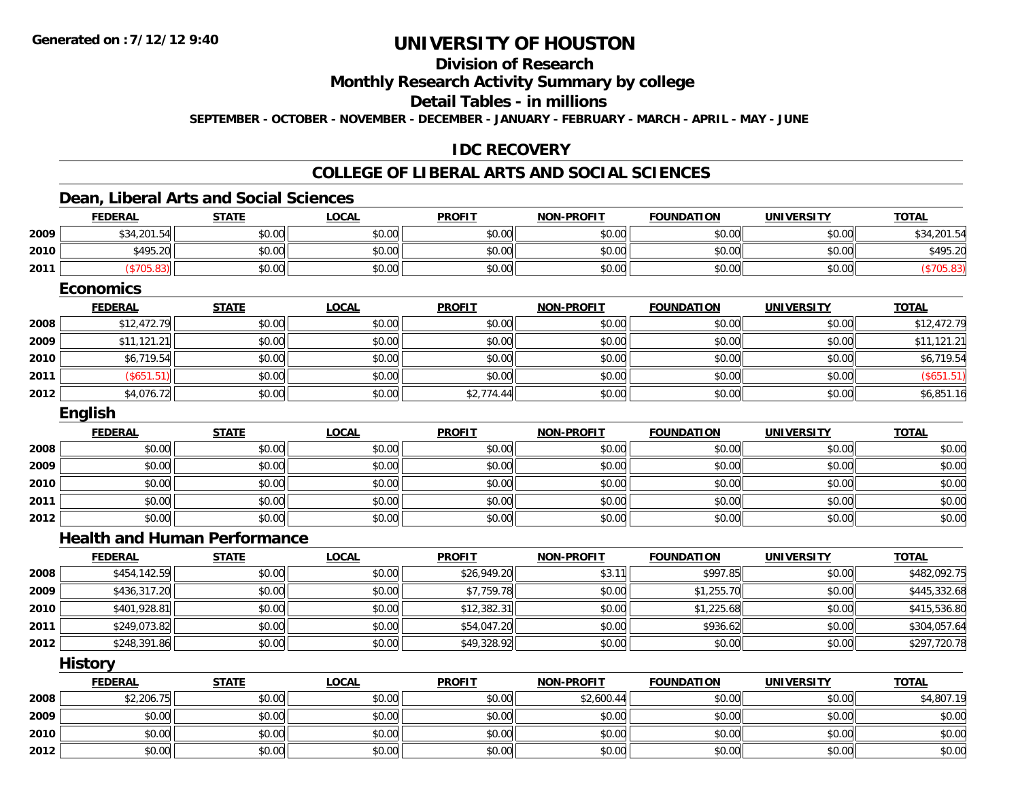**2010**

**2012**

# **UNIVERSITY OF HOUSTON**

# **Division of Research**

**Monthly Research Activity Summary by college**

**Detail Tables - in millions**

**SEPTEMBER - OCTOBER - NOVEMBER - DECEMBER - JANUARY - FEBRUARY - MARCH - APRIL - MAY - JUNE**

# **IDC RECOVERY**

# **COLLEGE OF LIBERAL ARTS AND SOCIAL SCIENCES**

### **Dean, Liberal Arts and Social Sciences**

|      | <b>FEDERAL</b>                      | <b>STATE</b> | <b>LOCAL</b> | <b>PROFIT</b> | <b>NON-PROFIT</b> | <b>FOUNDATION</b> | <b>UNIVERSITY</b> | <b>TOTAL</b> |
|------|-------------------------------------|--------------|--------------|---------------|-------------------|-------------------|-------------------|--------------|
| 2009 | \$34,201.54                         | \$0.00       | \$0.00       | \$0.00        | \$0.00            | \$0.00            | \$0.00            | \$34,201.54  |
| 2010 | \$495.20                            | \$0.00       | \$0.00       | \$0.00        | \$0.00            | \$0.00            | \$0.00            | \$495.20     |
| 2011 | (\$705.83)                          | \$0.00       | \$0.00       | \$0.00        | \$0.00            | \$0.00            | \$0.00            | (\$705.83)   |
|      | <b>Economics</b>                    |              |              |               |                   |                   |                   |              |
|      | <b>FEDERAL</b>                      | <b>STATE</b> | <b>LOCAL</b> | <b>PROFIT</b> | <b>NON-PROFIT</b> | <b>FOUNDATION</b> | <b>UNIVERSITY</b> | <b>TOTAL</b> |
| 2008 | \$12,472.79                         | \$0.00       | \$0.00       | \$0.00        | \$0.00            | \$0.00            | \$0.00            | \$12,472.79  |
| 2009 | \$11,121.21                         | \$0.00       | \$0.00       | \$0.00        | \$0.00            | \$0.00            | \$0.00            | \$11,121.21  |
| 2010 | \$6,719.54                          | \$0.00       | \$0.00       | \$0.00        | \$0.00            | \$0.00            | \$0.00            | \$6,719.54   |
| 2011 | (\$651.51)                          | \$0.00       | \$0.00       | \$0.00        | \$0.00            | \$0.00            | \$0.00            | (\$651.51)   |
| 2012 | \$4,076.72                          | \$0.00       | \$0.00       | \$2,774.44    | \$0.00            | \$0.00            | \$0.00            | \$6,851.16   |
|      | English                             |              |              |               |                   |                   |                   |              |
|      | <b>FEDERAL</b>                      | <b>STATE</b> | <b>LOCAL</b> | <b>PROFIT</b> | NON-PROFIT        | <b>FOUNDATION</b> | <b>UNIVERSITY</b> | <b>TOTAL</b> |
| 2008 | \$0.00                              | \$0.00       | \$0.00       | \$0.00        | \$0.00            | \$0.00            | \$0.00            | \$0.00       |
| 2009 | \$0.00                              | \$0.00       | \$0.00       | \$0.00        | \$0.00            | \$0.00            | \$0.00            | \$0.00       |
| 2010 | \$0.00                              | \$0.00       | \$0.00       | \$0.00        | \$0.00            | \$0.00            | \$0.00            | \$0.00       |
| 2011 | \$0.00                              | \$0.00       | \$0.00       | \$0.00        | \$0.00            | \$0.00            | \$0.00            | \$0.00       |
| 2012 | \$0.00                              | \$0.00       | \$0.00       | \$0.00        | \$0.00            | \$0.00            | \$0.00            | \$0.00       |
|      | <b>Health and Human Performance</b> |              |              |               |                   |                   |                   |              |
|      | <b>FEDERAL</b>                      | <b>STATE</b> | <b>LOCAL</b> | <b>PROFIT</b> | <b>NON-PROFIT</b> | <b>FOUNDATION</b> | <b>UNIVERSITY</b> | <b>TOTAL</b> |
| 2008 | \$454,142.59                        | \$0.00       | \$0.00       | \$26,949.20   | \$3.11            | \$997.85          | \$0.00            | \$482,092.75 |
| 2009 | \$436,317.20                        | \$0.00       | \$0.00       | \$7,759.78    | \$0.00            | \$1,255.70        | \$0.00            | \$445,332.68 |
| 2010 | \$401,928.81                        | \$0.00       | \$0.00       | \$12,382.31   | \$0.00            | \$1,225.68        | \$0.00            | \$415,536.80 |
| 2011 | \$249,073.82                        | \$0.00       | \$0.00       | \$54,047.20   | \$0.00            | \$936.62          | \$0.00            | \$304,057.64 |
| 2012 | \$248,391.86                        | \$0.00       | \$0.00       | \$49,328.92   | \$0.00            | \$0.00            | \$0.00            | \$297,720.78 |
|      | <b>History</b>                      |              |              |               |                   |                   |                   |              |
|      | <b>FEDERAL</b>                      | <b>STATE</b> | <b>LOCAL</b> | <b>PROFIT</b> | NON-PROFIT        | <b>FOUNDATION</b> | <b>UNIVERSITY</b> | <b>TOTAL</b> |
| 2008 | \$2,206.75                          | \$0.00       | \$0.00       | \$0.00        | \$2,600.44        | \$0.00            | \$0.00            | \$4,807.19   |
| 2009 | \$0.00                              | \$0.00       | \$0.00       | \$0.00        | \$0.00            | \$0.00            | \$0.00            | \$0.00       |

0 \$0.00 \$0.00 \$0.00 \$0.00 \$0.00 \$0.00 \$0.00 \$0.00 \$0.00 \$0.00 \$0.00 \$0.00 \$0.00 \$0.00 \$0.00 \$0.00 \$0.00 \$0.00

2 | \$0.00 \$0.00 \$0.00 \$0.00 \$0.00 \$0.00 \$0.00 \$0.00 \$0.00 \$0.00 \$0.00 \$0.00 \$0.00 \$0.00 \$0.00 \$0.00 \$0.00 \$0.0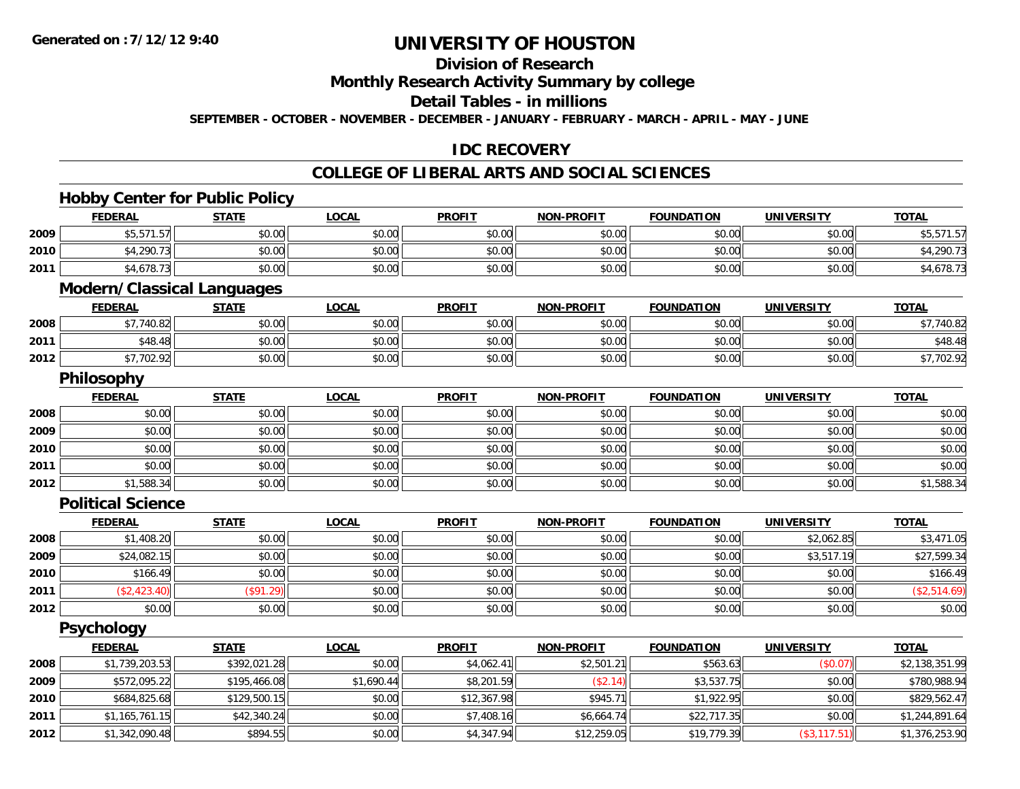# **Division of Research**

**Monthly Research Activity Summary by college**

**Detail Tables - in millions**

**SEPTEMBER - OCTOBER - NOVEMBER - DECEMBER - JANUARY - FEBRUARY - MARCH - APRIL - MAY - JUNE**

# **IDC RECOVERY**

# **COLLEGE OF LIBERAL ARTS AND SOCIAL SCIENCES**

<u> 1980 - Johann Barbara, martxa amerikan bashkar (</u>

# **Hobby Center for Public Policy**

|      | <b>FEDERAL</b> | <b>STATE</b>                      | <u>LOCAL</u> | <b>PROFIT</b> | <b>NON-PROFIT</b> | <b>FOUNDATION</b> | <b>UNIVERSITY</b> | <b>TOTAL</b> |
|------|----------------|-----------------------------------|--------------|---------------|-------------------|-------------------|-------------------|--------------|
| 2009 | \$5,571.57     | \$0.00                            | \$0.00       | \$0.00        | \$0.00            | \$0.00            | \$0.00            | \$5,571.57   |
| 2010 | \$4,290.73     | \$0.00                            | \$0.00       | \$0.00        | \$0.00            | \$0.00            | \$0.00            | \$4,290.73   |
| 2011 | \$4,678.73     | \$0.00                            | \$0.00       | \$0.00        | \$0.00            | \$0.00            | \$0.00            | \$4,678.73   |
|      |                | <b>Modern/Classical Languages</b> |              |               |                   |                   |                   |              |
|      | <b>FEDERAL</b> | <b>STATE</b>                      | <b>LOCAL</b> | <b>PROFIT</b> | <b>NON-PROFIT</b> | <b>FOUNDATION</b> | <b>UNIVERSITY</b> | <b>TOTAL</b> |
|      |                |                                   |              |               |                   |                   |                   |              |

| 2008 | $+771000$              | \$0.00 | 0000<br>ง∪.∪บ | \$0.00 | $n \cap \neg$<br>PU.UU | 0.001<br>JU.UU     | 0.00<br>vu.vu      | 10.02<br>40.Oz                       |
|------|------------------------|--------|---------------|--------|------------------------|--------------------|--------------------|--------------------------------------|
| 2011 | $\Lambda$ O<br>140.401 | \$0.00 | \$0.00        | \$0.00 | ልስ ሀህ<br>JU.UU         | $\sim$ 00<br>JU.UU | $\sim$ 00<br>JU.UU | \$48.4                               |
| 2012 | 47 702 PC<br>77.702.9  | \$0.00 | \$0.00        | \$0.00 | ልስ ሀህ<br>JU.UU         | en uu<br>JU.UU     | ልስ ሰሰ<br>JU.UU     | $\sim$ $\sim$<br>$V_{\ell}$ . $\ell$ |

### **Philosophy**

|      | <u>FEDERAL</u> | <b>STATE</b> | <b>LOCAL</b> | <b>PROFIT</b> | <b>NON-PROFIT</b> | <b>FOUNDATION</b> | <b>UNIVERSITY</b> | <b>TOTAL</b> |
|------|----------------|--------------|--------------|---------------|-------------------|-------------------|-------------------|--------------|
| 2008 | \$0.00         | \$0.00       | \$0.00       | \$0.00        | \$0.00            | \$0.00            | \$0.00            | \$0.00       |
| 2009 | \$0.00         | \$0.00       | \$0.00       | \$0.00        | \$0.00            | \$0.00            | \$0.00            | \$0.00       |
| 2010 | \$0.00         | \$0.00       | \$0.00       | \$0.00        | \$0.00            | \$0.00            | \$0.00            | \$0.00       |
| 2011 | \$0.00         | \$0.00       | \$0.00       | \$0.00        | \$0.00            | \$0.00            | \$0.00            | \$0.00       |
| 2012 | \$1,588.34     | \$0.00       | \$0.00       | \$0.00        | \$0.00            | \$0.00            | \$0.00            | \$1,588.34   |

#### **Political Science**

|      | <b>FEDERAL</b> | <b>STATE</b> | <b>LOCAL</b> | <b>PROFIT</b> | <b>NON-PROFIT</b> | <b>FOUNDATION</b> | <b>UNIVERSITY</b> | <b>TOTAL</b> |
|------|----------------|--------------|--------------|---------------|-------------------|-------------------|-------------------|--------------|
| 2008 | \$1,408.20     | \$0.00       | \$0.00       | \$0.00        | \$0.00            | \$0.00            | \$2,062.85        | \$3,471.05   |
| 2009 | \$24,082.15    | \$0.00       | \$0.00       | \$0.00        | \$0.00            | \$0.00            | \$3,517.19        | \$27,599.34  |
| 2010 | \$166.49       | \$0.00       | \$0.00       | \$0.00        | \$0.00            | \$0.00            | \$0.00            | \$166.49     |
| 2011 | (\$2,423.40)   | (S91.29)     | \$0.00       | \$0.00        | \$0.00            | \$0.00            | \$0.00            | (\$2,514.69) |
| 2012 | \$0.00         | \$0.00       | \$0.00       | \$0.00        | \$0.00            | \$0.00            | \$0.00            | \$0.00       |

**Psychology**

|      | <b>FEDERAL</b> | <b>STATE</b> | <u>LOCAL</u> | <b>PROFIT</b> | <b>NON-PROFIT</b> | <b>FOUNDATION</b> | <b>UNIVERSITY</b> | <b>TOTAL</b>   |
|------|----------------|--------------|--------------|---------------|-------------------|-------------------|-------------------|----------------|
| 2008 | \$1,739,203.53 | \$392,021.28 | \$0.00       | \$4,062.41    | \$2,501.21        | \$563.63          | (\$0.07)          | \$2,138,351.99 |
| 2009 | \$572,095.22   | \$195,466.08 | \$1,690.44   | \$8,201.59    | (\$2.14)          | \$3,537.75        | \$0.00            | \$780,988.94   |
| 2010 | \$684,825.68   | \$129,500.15 | \$0.00       | \$12,367.98   | \$945.71          | \$1.922.95        | \$0.00            | \$829,562.47   |
| 2011 | \$1,165,761.15 | \$42,340.24  | \$0.00       | \$7,408.16    | \$6,664.74        | \$22,717.35       | \$0.00            | \$1,244,891.64 |
| 2012 | \$1,342,090.48 | \$894.55     | \$0.00       | \$4,347.94    | \$12,259.05       | \$19,779.39       | (\$3,117.51)      | \$1,376,253.90 |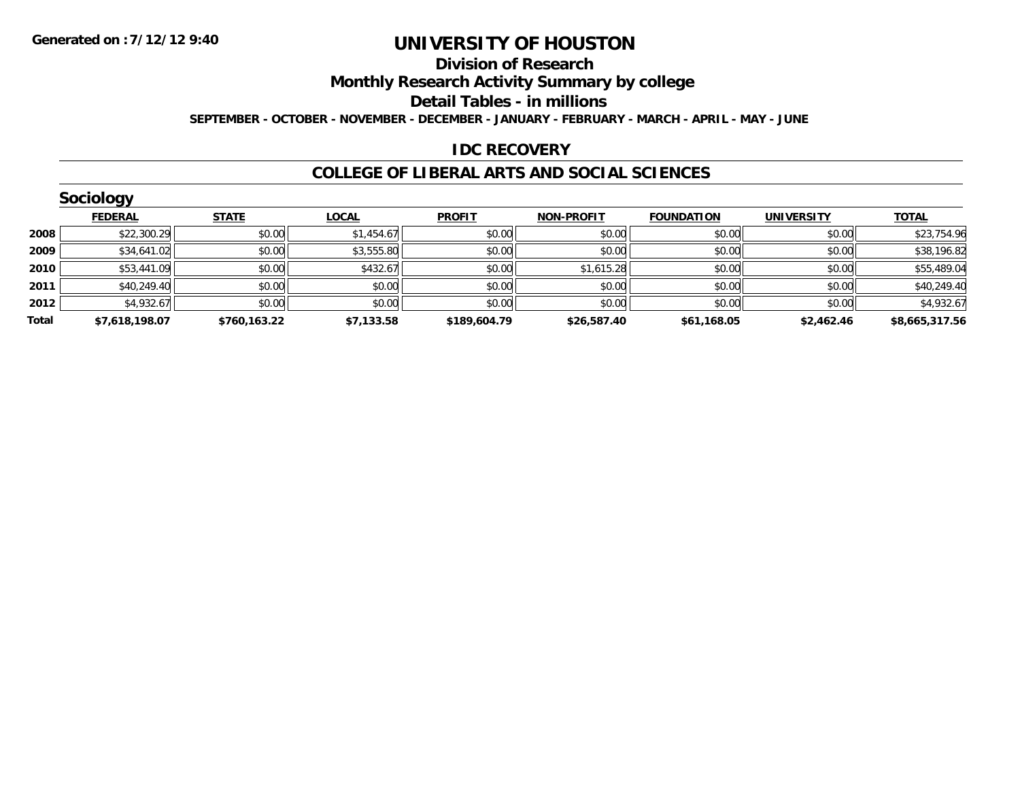#### **Division of Research**

**Monthly Research Activity Summary by college**

**Detail Tables - in millions**

**SEPTEMBER - OCTOBER - NOVEMBER - DECEMBER - JANUARY - FEBRUARY - MARCH - APRIL - MAY - JUNE**

### **IDC RECOVERY**

#### **COLLEGE OF LIBERAL ARTS AND SOCIAL SCIENCES**

|       | Sociology      |              |              |               |                   |                   |                   |                |
|-------|----------------|--------------|--------------|---------------|-------------------|-------------------|-------------------|----------------|
|       | <b>FEDERAL</b> | <b>STATE</b> | <b>LOCAL</b> | <b>PROFIT</b> | <b>NON-PROFIT</b> | <b>FOUNDATION</b> | <b>UNIVERSITY</b> | <b>TOTAL</b>   |
| 2008  | \$22,300.29    | \$0.00       | \$1,454.67   | \$0.00        | \$0.00            | \$0.00            | \$0.00            | \$23,754.96    |
| 2009  | \$34,641.02    | \$0.00       | \$3,555.80   | \$0.00        | \$0.00            | \$0.00            | \$0.00            | \$38,196.82    |
| 2010  | \$53,441.09    | \$0.00       | \$432.67     | \$0.00        | \$1,615.28        | \$0.00            | \$0.00            | \$55,489.04    |
| 2011  | \$40,249.40    | \$0.00       | \$0.00       | \$0.00        | \$0.00            | \$0.00            | \$0.00            | \$40,249.40    |
| 2012  | \$4,932.67     | \$0.00       | \$0.00       | \$0.00        | \$0.00            | \$0.00            | \$0.00            | \$4,932.67     |
| Total | \$7,618,198.07 | \$760,163.22 | \$7,133.58   | \$189,604.79  | \$26,587.40       | \$61,168.05       | \$2,462.46        | \$8,665,317.56 |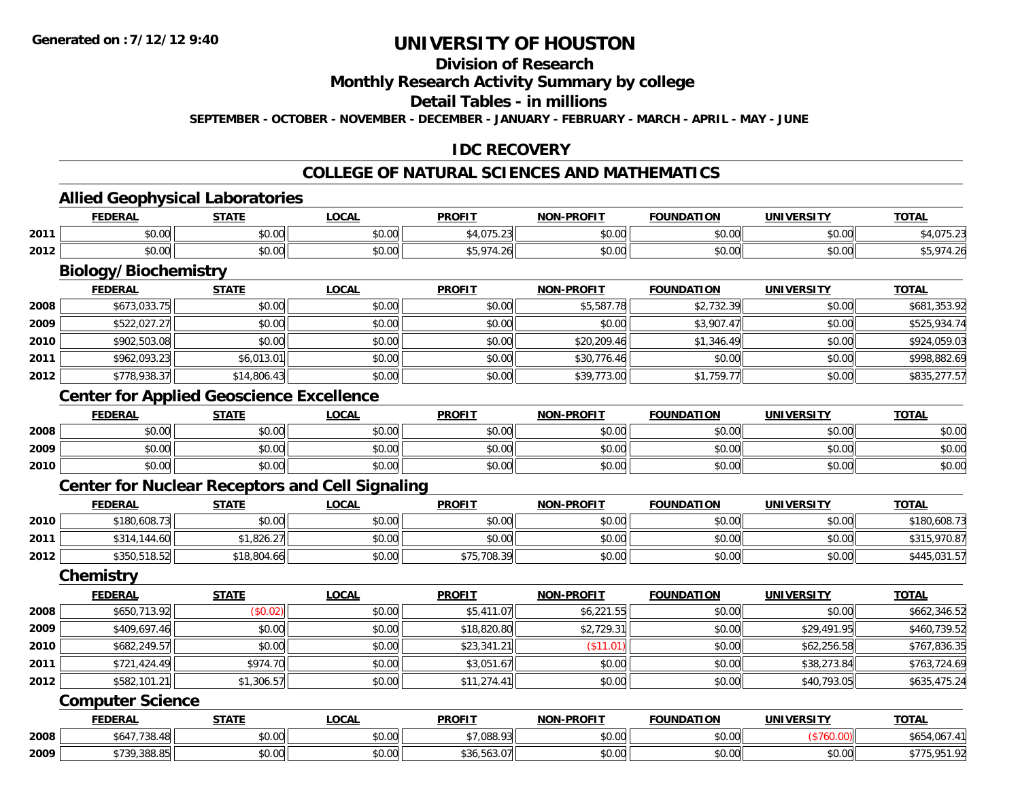# **Division of Research**

#### **Monthly Research Activity Summary by college**

#### **Detail Tables - in millions**

**SEPTEMBER - OCTOBER - NOVEMBER - DECEMBER - JANUARY - FEBRUARY - MARCH - APRIL - MAY - JUNE**

# **IDC RECOVERY**

# **COLLEGE OF NATURAL SCIENCES AND MATHEMATICS**

### **Allied Geophysical Laboratories**

|      | Allied         | Geophysical L<br><b>Laboratories</b> |        |                                       |                   |                   |            |              |  |  |  |
|------|----------------|--------------------------------------|--------|---------------------------------------|-------------------|-------------------|------------|--------------|--|--|--|
|      | <b>FEDERAL</b> | STATE                                | _OCAL  | <b>PROFIT</b>                         | <b>NON-PROFIT</b> | <b>FOUNDATION</b> | UNIVERSITY | <u>TOTAL</u> |  |  |  |
| 2011 | ⊄∩ ∩∩<br>DU.UU | \$0.00                               | \$0.00 | \$4.075.                              | \$0.00            | \$0.00            | \$0.00     |              |  |  |  |
| 2012 | \$0.00         | \$0.00                               | \$0.00 | <b><i>S<sub>5</sub> 974</i></b><br>26 | \$0.00            | \$0.00            | \$0.00     |              |  |  |  |

# **Biology/Biochemistry**

|      | <b>FEDERAL</b> | <u>STATE</u> | <b>LOCAL</b> | <b>PROFIT</b> | <b>NON-PROFIT</b> | <b>FOUNDATION</b> | <b>UNIVERSITY</b> | <b>TOTAL</b> |
|------|----------------|--------------|--------------|---------------|-------------------|-------------------|-------------------|--------------|
| 2008 | \$673,033.75   | \$0.00       | \$0.00       | \$0.00        | \$5,587.78        | \$2,732.39        | \$0.00            | \$681,353.92 |
| 2009 | \$522,027.27   | \$0.00       | \$0.00       | \$0.00        | \$0.00            | \$3,907.47        | \$0.00            | \$525,934.74 |
| 2010 | \$902,503.08   | \$0.00       | \$0.00       | \$0.00        | \$20,209.46       | \$1,346.49        | \$0.00            | \$924,059.03 |
| 2011 | \$962,093.23   | \$6,013.01   | \$0.00       | \$0.00        | \$30,776.46       | \$0.00            | \$0.00            | \$998,882.69 |
| 2012 | \$778,938.37   | \$14,806.43  | \$0.00       | \$0.00        | \$39,773.00       | \$1,759.77        | \$0.00            | \$835,277.57 |

# **Center for Applied Geoscience Excellence**

|      | <b>FEDERAL</b>        | <b>STATE</b>   | LOCAL                         | <b>PROFIT</b>                                         | <b>NON-PROFIT</b> | FOUNDATION | <b>UNIVERSITY</b><br>. | <b>TOTAL</b> |
|------|-----------------------|----------------|-------------------------------|-------------------------------------------------------|-------------------|------------|------------------------|--------------|
| 2008 | ΨΟ.<br>PU.UU          | ልስ ስስ<br>JU.UU | $\uparrow$<br>$\sim$<br>JU.UU | $\mathfrak{c} \cap \mathfrak{c} \cap$<br><b>JU.UU</b> | \$0.00            | \$0.00     | \$0.00                 | \$0.00       |
| 2009 | ልስ ሰሰ<br>pv.uu        | \$0.00         | \$0.00                        | $\triangle$ $\triangle$ $\triangle$<br>JU.UU          | \$0.00            | \$0.00     | \$0.00                 | \$0.00       |
| 2010 | ¢Λ<br>$\sim$<br>DU.UU | \$0.00         | \$0.00                        | $\sim$ $\sim$<br>JU.UU                                | \$0.00            | \$0.00     | \$0.00                 | \$0.00       |

# **Center for Nuclear Receptors and Cell Signaling**

|      | <b>FEDERAL</b> | <u>STATE</u> | <u>LOCAL</u> | <b>PROFIT</b> | <b>NON-PROFIT</b> | <b>FOUNDATION</b> | <b>UNIVERSITY</b> | <b>TOTAL</b> |
|------|----------------|--------------|--------------|---------------|-------------------|-------------------|-------------------|--------------|
| 2010 | \$180,608.73   | \$0.00       | \$0.00       | \$0.00        | \$0.00            | \$0.00            | \$0.00            | \$180,608.73 |
| 2011 | \$314,144.60   | .826.27      | \$0.00       | \$0.00        | \$0.00            | \$0.00            | \$0.00            | \$315,970.87 |
| 2012 | \$350,518.52   | \$18,804.66  | \$0.00       | \$75,708.39   | \$0.00            | \$0.00            | \$0.00            | \$445,031.57 |

#### **Chemistry**

|      | <b>FEDERAL</b> | <b>STATE</b> | <b>LOCAL</b> | <b>PROFIT</b> | <b>NON-PROFIT</b> | <b>FOUNDATION</b> | <b>UNIVERSITY</b> | <b>TOTAL</b> |
|------|----------------|--------------|--------------|---------------|-------------------|-------------------|-------------------|--------------|
| 2008 | \$650,713.92   | (\$0.02)     | \$0.00       | \$5,411.07    | \$6,221.55        | \$0.00            | \$0.00            | \$662,346.52 |
| 2009 | \$409,697.46   | \$0.00       | \$0.00       | \$18,820.80   | \$2,729.31        | \$0.00            | \$29,491.95       | \$460,739.52 |
| 2010 | \$682,249.57   | \$0.00       | \$0.00       | \$23,341.21   | \$11.01]          | \$0.00            | \$62,256.58       | \$767,836.35 |
| 2011 | \$721,424.49   | \$974.70     | \$0.00       | \$3,051.67    | \$0.00            | \$0.00            | \$38,273.84       | \$763,724.69 |
| 2012 | \$582,101.21   | \$1,306.57   | \$0.00       | \$11,274.41   | \$0.00            | \$0.00            | \$40,793.05       | \$635,475.24 |

#### **Computer Science**

|      | <b>FEDERAL</b> | <b>STATE</b> | LOCAL                        | <b>PROFIT</b>       | <b>NON-PROFIT</b>    | <b>FOUNDATION</b> | <b>UNIVERSITY</b> | <b>TOTAL</b>            |
|------|----------------|--------------|------------------------------|---------------------|----------------------|-------------------|-------------------|-------------------------|
| 2008 | $+117700$      | \$0.00       | $\sim$<br><b>↑∩</b><br>PU.UU | $+7.000.02$         | 0.00<br><b>JU.UU</b> | \$0.00            |                   | * * *<br><u>067.411</u> |
| 2009 | \$739,388.85   | \$0.00       | $\sim$<br>$\sim$<br>pu.uu    | \$30.503.U <i>I</i> | 0.00<br><b>DU.UU</b> | \$0.00            | \$0.00            | ホココ<br>וכם דבר<br>.     |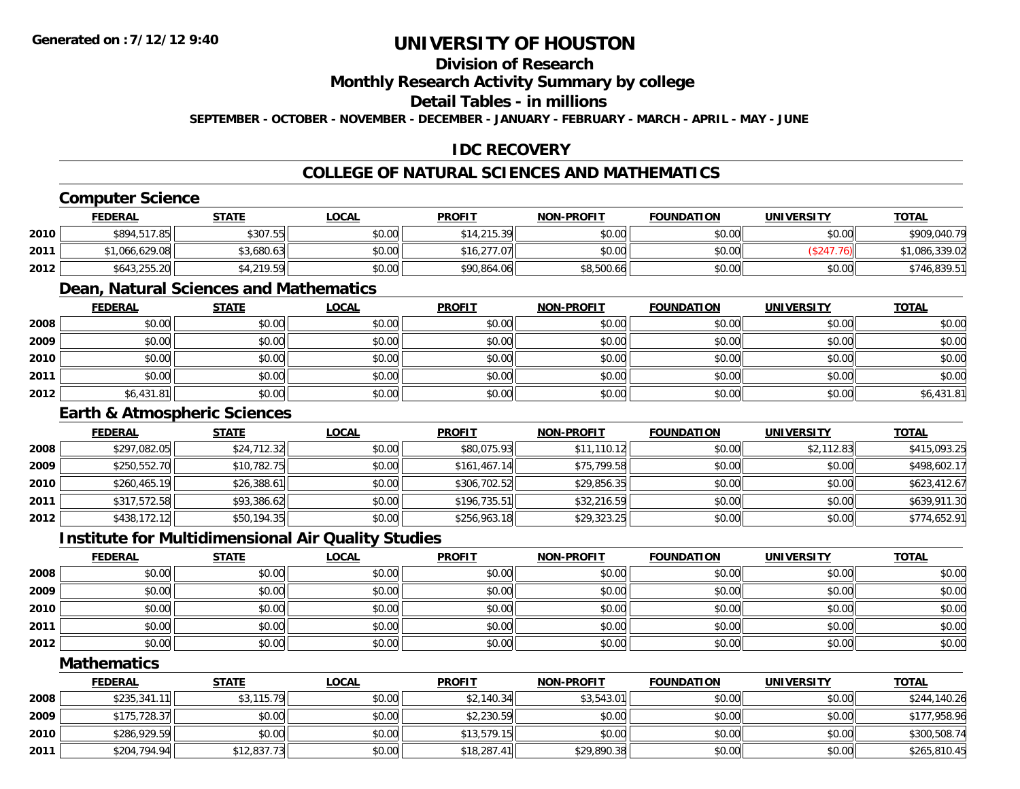# **Division of Research**

#### **Monthly Research Activity Summary by college**

#### **Detail Tables - in millions**

**SEPTEMBER - OCTOBER - NOVEMBER - DECEMBER - JANUARY - FEBRUARY - MARCH - APRIL - MAY - JUNE**

# **IDC RECOVERY**

# **COLLEGE OF NATURAL SCIENCES AND MATHEMATICS**

# **Computer Science**

|      | <b>FEDERAL</b> | <b>STATE</b> | <u>LOCAL</u> | <b>PROFIT</b> | <b>NON-PROFIT</b> | <b>FOUNDATION</b> | UNIVERSITY | <b>TOTAL</b>   |
|------|----------------|--------------|--------------|---------------|-------------------|-------------------|------------|----------------|
| 2010 | \$894,517.85   | \$307.55     | \$0.00       | \$14,215.39   | \$0.00            | \$0.00            | \$0.00     | \$909,040.79   |
| 2011 | \$1,066,629.08 | 3,680.63     | \$0.00       | \$16.277.07   | \$0.00            | \$0.00            | 247.76)    | \$1,086,339.02 |
| 2012 | \$643,255.20   | ا 4.219.59   | \$0.00       | \$90,864.06   | \$8,500.66        | \$0.00            | \$0.00     | \$746,839.51   |

# **Dean, Natural Sciences and Mathematics**

|      | <b>FEDERAL</b> | <b>STATE</b> | <u>LOCAL</u> | <b>PROFIT</b> | <b>NON-PROFIT</b> | <b>FOUNDATION</b> | <b>UNIVERSITY</b> | <b>TOTAL</b> |
|------|----------------|--------------|--------------|---------------|-------------------|-------------------|-------------------|--------------|
| 2008 | \$0.00         | \$0.00       | \$0.00       | \$0.00        | \$0.00            | \$0.00            | \$0.00            | \$0.00       |
| 2009 | \$0.00         | \$0.00       | \$0.00       | \$0.00        | \$0.00            | \$0.00            | \$0.00            | \$0.00       |
| 2010 | \$0.00         | \$0.00       | \$0.00       | \$0.00        | \$0.00            | \$0.00            | \$0.00            | \$0.00       |
| 2011 | \$0.00         | \$0.00       | \$0.00       | \$0.00        | \$0.00            | \$0.00            | \$0.00            | \$0.00       |
| 2012 | \$6,431.81     | \$0.00       | \$0.00       | \$0.00        | \$0.00            | \$0.00            | \$0.00            | \$6,431.81   |

### **Earth & Atmospheric Sciences**

|      | <b>FEDERAL</b> | <b>STATE</b> | <b>LOCAL</b> | <b>PROFIT</b> | <b>NON-PROFIT</b> | <b>FOUNDATION</b> | <b>UNIVERSITY</b> | <b>TOTAL</b> |
|------|----------------|--------------|--------------|---------------|-------------------|-------------------|-------------------|--------------|
| 2008 | \$297,082.05   | \$24,712.32  | \$0.00       | \$80,075.93   | \$11,110.12       | \$0.00            | \$2,112.83        | \$415,093.25 |
| 2009 | \$250,552.70   | \$10,782.75  | \$0.00       | \$161,467.14  | \$75,799.58       | \$0.00            | \$0.00            | \$498,602.17 |
| 2010 | \$260,465.19   | \$26,388.61  | \$0.00       | \$306,702.52  | \$29,856.35       | \$0.00            | \$0.00            | \$623,412.67 |
| 2011 | \$317,572.58   | \$93,386.62  | \$0.00       | \$196,735.51  | \$32,216.59       | \$0.00            | \$0.00            | \$639,911.30 |
| 2012 | \$438,172.12   | \$50,194.35  | \$0.00       | \$256,963.18  | \$29,323.25       | \$0.00            | \$0.00            | \$774,652.91 |

#### **Institute for Multidimensional Air Quality Studies**

|      | <u>FEDERAL</u> | <b>STATE</b> | <b>LOCAL</b> | <b>PROFIT</b> | <b>NON-PROFIT</b> | <b>FOUNDATION</b> | <b>UNIVERSITY</b> | <b>TOTAL</b> |
|------|----------------|--------------|--------------|---------------|-------------------|-------------------|-------------------|--------------|
| 2008 | \$0.00         | \$0.00       | \$0.00       | \$0.00        | \$0.00            | \$0.00            | \$0.00            | \$0.00       |
| 2009 | \$0.00         | \$0.00       | \$0.00       | \$0.00        | \$0.00            | \$0.00            | \$0.00            | \$0.00       |
| 2010 | \$0.00         | \$0.00       | \$0.00       | \$0.00        | \$0.00            | \$0.00            | \$0.00            | \$0.00       |
| 2011 | \$0.00         | \$0.00       | \$0.00       | \$0.00        | \$0.00            | \$0.00            | \$0.00            | \$0.00       |
| 2012 | \$0.00         | \$0.00       | \$0.00       | \$0.00        | \$0.00            | \$0.00            | \$0.00            | \$0.00       |

#### **Mathematics**

|      | <b>FEDERAL</b> | <b>STATE</b> | <u>LOCAL</u> | <b>PROFIT</b> | <b>NON-PROFIT</b> | <b>FOUNDATION</b> | UNIVERSITY | <b>TOTAL</b> |
|------|----------------|--------------|--------------|---------------|-------------------|-------------------|------------|--------------|
| 2008 | \$235,341.11   | \$3,115.79   | \$0.00       | \$2,140.34    | \$3.543.01        | \$0.00            | \$0.00     | \$244,140.26 |
| 2009 | \$175,728.37   | \$0.00       | \$0.00       | \$2,230.59    | \$0.00            | \$0.00            | \$0.00     | \$177,958.96 |
| 2010 | \$286,929.59   | \$0.00       | \$0.00       | \$13.579.15   | \$0.00            | \$0.00            | \$0.00     | \$300,508.74 |
| 2011 | \$204,794.94   | \$12,837.73  | \$0.00       | \$18,287.41   | \$29,890.38       | \$0.00            | \$0.00     | \$265,810.45 |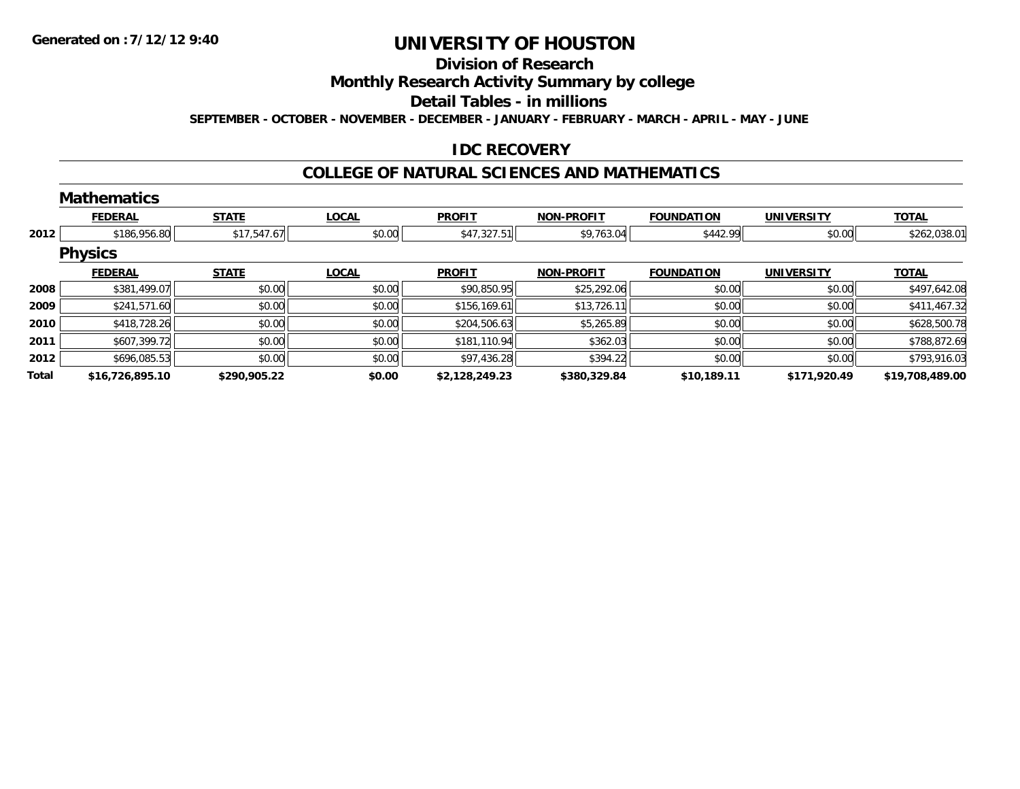# **Division of Research**

# **Monthly Research Activity Summary by college**

#### **Detail Tables - in millions**

**SEPTEMBER - OCTOBER - NOVEMBER - DECEMBER - JANUARY - FEBRUARY - MARCH - APRIL - MAY - JUNE**

### **IDC RECOVERY**

#### **COLLEGE OF NATURAL SCIENCES AND MATHEMATICS**

|       | <b>Mathematics</b> |              |              |                |                   |                   |                   |                 |
|-------|--------------------|--------------|--------------|----------------|-------------------|-------------------|-------------------|-----------------|
|       | <b>FEDERAL</b>     | <b>STATE</b> | <b>LOCAL</b> | <b>PROFIT</b>  | <b>NON-PROFIT</b> | <b>FOUNDATION</b> | <b>UNIVERSITY</b> | <b>TOTAL</b>    |
| 2012  | \$186,956.80       | \$17,547.67  | \$0.00       | \$47,327.51    | \$9,763.04        | \$442.99          | \$0.00            | \$262,038.01    |
|       | <b>Physics</b>     |              |              |                |                   |                   |                   |                 |
|       | <b>FEDERAL</b>     | <b>STATE</b> | <b>LOCAL</b> | <b>PROFIT</b>  | <b>NON-PROFIT</b> | <b>FOUNDATION</b> | <b>UNIVERSITY</b> | <b>TOTAL</b>    |
| 2008  | \$381,499.07       | \$0.00       | \$0.00       | \$90,850.95    | \$25,292.06       | \$0.00            | \$0.00            | \$497,642.08    |
| 2009  | \$241,571.60       | \$0.00       | \$0.00       | \$156,169.61   | \$13,726.11       | \$0.00            | \$0.00            | \$411,467.32    |
| 2010  | \$418,728.26       | \$0.00       | \$0.00       | \$204,506.63   | \$5,265.89        | \$0.00            | \$0.00            | \$628,500.78    |
| 2011  | \$607,399.72       | \$0.00       | \$0.00       | \$181,110.94   | \$362.03          | \$0.00            | \$0.00            | \$788,872.69    |
| 2012  | \$696,085.53       | \$0.00       | \$0.00       | \$97,436.28    | \$394.22          | \$0.00            | \$0.00            | \$793,916.03    |
| Total | \$16,726,895.10    | \$290,905.22 | \$0.00       | \$2,128,249.23 | \$380,329.84      | \$10,189.11       | \$171,920.49      | \$19,708,489.00 |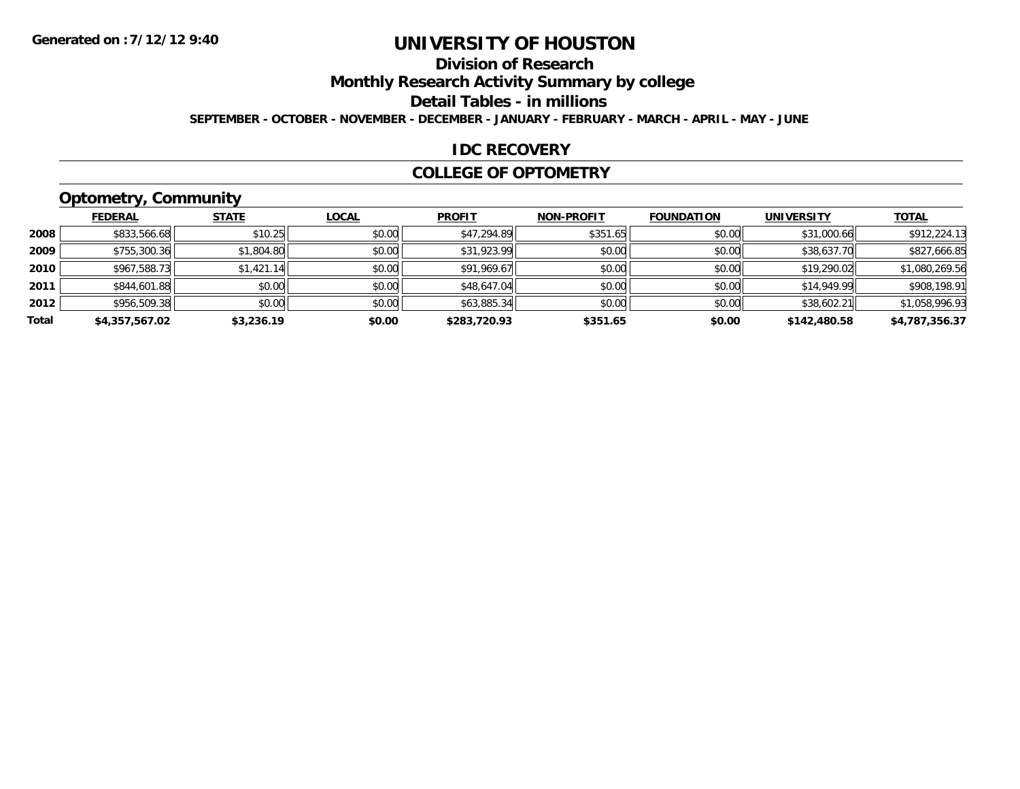# **Division of Research**

**Monthly Research Activity Summary by college**

**Detail Tables - in millions**

**SEPTEMBER - OCTOBER - NOVEMBER - DECEMBER - JANUARY - FEBRUARY - MARCH - APRIL - MAY - JUNE**

### **IDC RECOVERY**

#### **COLLEGE OF OPTOMETRY**

# **Optometry, Community**

|       | .              |              |              |               |                   |                   |                   |                |
|-------|----------------|--------------|--------------|---------------|-------------------|-------------------|-------------------|----------------|
|       | <b>FEDERAL</b> | <b>STATE</b> | <b>LOCAL</b> | <b>PROFIT</b> | <b>NON-PROFIT</b> | <b>FOUNDATION</b> | <b>UNIVERSITY</b> | <b>TOTAL</b>   |
| 2008  | \$833,566.68   | \$10.25      | \$0.00       | \$47,294.89   | \$351.65          | \$0.00            | \$31,000.66       | \$912,224.13   |
| 2009  | \$755,300.36   | \$1,804.80   | \$0.00       | \$31,923.99   | \$0.00            | \$0.00            | \$38,637.70       | \$827,666.85   |
| 2010  | \$967,588.73   | \$1,421.14   | \$0.00       | \$91,969.67   | \$0.00            | \$0.00            | \$19,290.02       | \$1,080,269.56 |
| 2011  | \$844,601.88   | \$0.00       | \$0.00       | \$48,647.04   | \$0.00            | \$0.00            | \$14,949.99       | \$908,198.91   |
| 2012  | \$956,509.38   | \$0.00       | \$0.00       | \$63,885.34   | \$0.00            | \$0.00            | \$38,602.21       | \$1,058,996.93 |
| Total | \$4,357,567.02 | \$3,236.19   | \$0.00       | \$283,720.93  | \$351.65          | \$0.00            | \$142,480.58      | \$4,787,356.37 |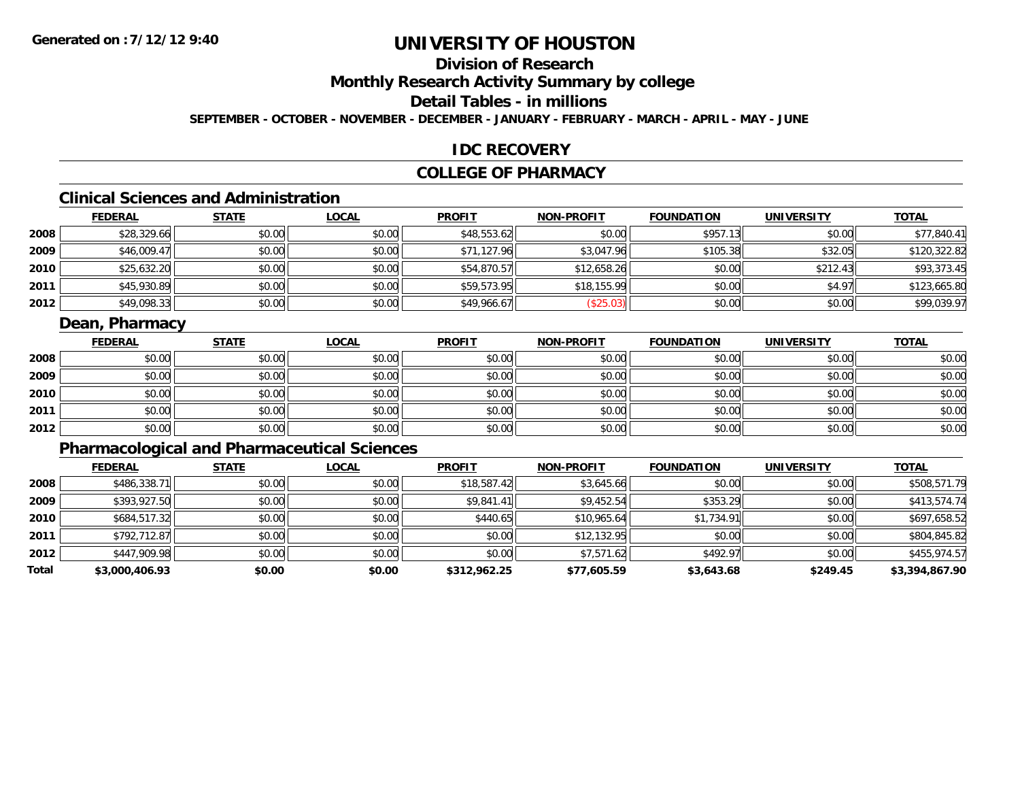# **Division of Research**

**Monthly Research Activity Summary by college**

# **Detail Tables - in millions**

**SEPTEMBER - OCTOBER - NOVEMBER - DECEMBER - JANUARY - FEBRUARY - MARCH - APRIL - MAY - JUNE**

### **IDC RECOVERY**

# **COLLEGE OF PHARMACY**

# **Clinical Sciences and Administration**

|      | <b>FEDERAL</b> | <b>STATE</b> | <u>LOCAL</u> | <b>PROFIT</b> | <b>NON-PROFIT</b> | <b>FOUNDATION</b> | <b>UNIVERSITY</b> | <b>TOTAL</b> |
|------|----------------|--------------|--------------|---------------|-------------------|-------------------|-------------------|--------------|
| 2008 | \$28,329.66    | \$0.00       | \$0.00       | \$48,553.62   | \$0.00            | \$957.13          | \$0.00            | \$77,840.41  |
| 2009 | \$46,009.47    | \$0.00       | \$0.00       | \$71,127.96   | \$3,047.96        | \$105.38          | \$32.05           | \$120,322.82 |
| 2010 | \$25,632.20    | \$0.00       | \$0.00       | \$54,870.57   | \$12,658.26       | \$0.00            | \$212.43          | \$93,373.45  |
| 2011 | \$45,930.89    | \$0.00       | \$0.00       | \$59,573.95   | \$18,155.99       | \$0.00            | \$4.97            | \$123,665.80 |
| 2012 | \$49,098.33    | \$0.00       | \$0.00       | \$49,966.67   | \$25.03           | \$0.00            | \$0.00            | \$99,039.97  |

### **Dean, Pharmacy**

|      | <b>FEDERAL</b> | <b>STATE</b> | <u>LOCAL</u> | <b>PROFIT</b> | <b>NON-PROFIT</b> | <b>FOUNDATION</b> | <b>UNIVERSITY</b> | <b>TOTAL</b> |
|------|----------------|--------------|--------------|---------------|-------------------|-------------------|-------------------|--------------|
| 2008 | \$0.00         | \$0.00       | \$0.00       | \$0.00        | \$0.00            | \$0.00            | \$0.00            | \$0.00       |
| 2009 | \$0.00         | \$0.00       | \$0.00       | \$0.00        | \$0.00            | \$0.00            | \$0.00            | \$0.00       |
| 2010 | \$0.00         | \$0.00       | \$0.00       | \$0.00        | \$0.00            | \$0.00            | \$0.00            | \$0.00       |
| 2011 | \$0.00         | \$0.00       | \$0.00       | \$0.00        | \$0.00            | \$0.00            | \$0.00            | \$0.00       |
| 2012 | \$0.00         | \$0.00       | \$0.00       | \$0.00        | \$0.00            | \$0.00            | \$0.00            | \$0.00       |

# **Pharmacological and Pharmaceutical Sciences**

|       | <b>FEDERAL</b> | <b>STATE</b> | <b>LOCAL</b> | <b>PROFIT</b> | <b>NON-PROFIT</b> | <b>FOUNDATION</b> | <b>UNIVERSITY</b> | <b>TOTAL</b>   |
|-------|----------------|--------------|--------------|---------------|-------------------|-------------------|-------------------|----------------|
| 2008  | \$486,338.71   | \$0.00       | \$0.00       | \$18,587.42   | \$3,645.66        | \$0.00            | \$0.00            | \$508,571.79   |
| 2009  | \$393,927.50   | \$0.00       | \$0.00       | \$9,841.41    | \$9,452.54        | \$353.29          | \$0.00            | \$413,574.74   |
| 2010  | \$684,517.32   | \$0.00       | \$0.00       | \$440.65      | \$10,965.64       | \$1,734.91        | \$0.00            | \$697,658.52   |
| 2011  | \$792,712.87   | \$0.00       | \$0.00       | \$0.00        | \$12,132.95       | \$0.00            | \$0.00            | \$804,845.82   |
| 2012  | \$447,909.98   | \$0.00       | \$0.00       | \$0.00        | \$7,571.62        | \$492.97          | \$0.00            | \$455,974.57   |
| Total | \$3,000,406.93 | \$0.00       | \$0.00       | \$312,962.25  | \$77,605.59       | \$3,643.68        | \$249.45          | \$3,394,867.90 |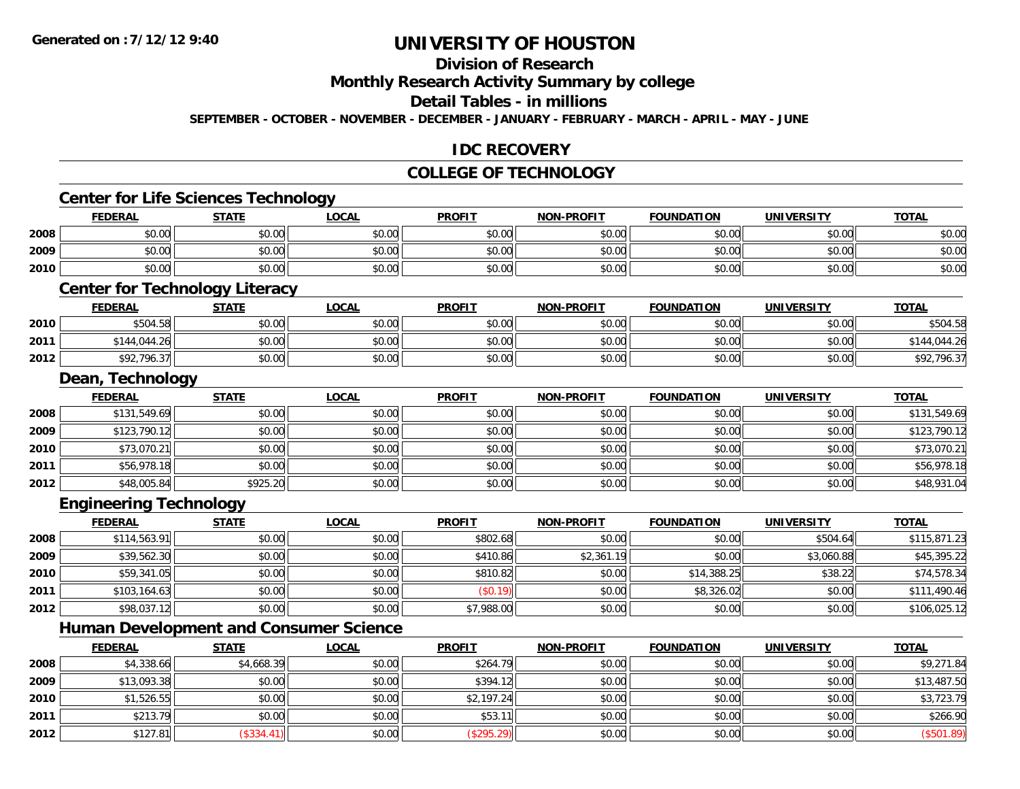# **Division of Research**

**Monthly Research Activity Summary by college**

#### **Detail Tables - in millions**

**SEPTEMBER - OCTOBER - NOVEMBER - DECEMBER - JANUARY - FEBRUARY - MARCH - APRIL - MAY - JUNE**

# **IDC RECOVERY**

#### **COLLEGE OF TECHNOLOGY**

# **Center for Life Sciences Technology**

|      | FEDERAL | STATE  | _OCAL  | PROFI1 | <b>NON-PROFIT</b> | <b>FOUNDATION</b> | UNIVERSITY | <u>TOTAL</u> |
|------|---------|--------|--------|--------|-------------------|-------------------|------------|--------------|
| 2008 | \$0.00  | \$0.00 | \$0.00 | \$0.00 | \$0.00            | \$0.00            | \$0.00     | \$0.00       |
| 2009 | \$0.00  | \$0.00 | \$0.00 | \$0.00 | \$0.00            | \$0.00            | \$0.00     | \$0.00       |
| 2010 | \$0.00  | \$0.00 | \$0.00 | \$0.00 | \$0.00            | \$0.00            | \$0.00     | \$0.00       |

#### **Center for Technology Literacy**

|      | <b>FEDERAL</b>   | <b>STATE</b> | LOCAL  | <b>PROFIT</b> | <b>NON-PROFIT</b> | <b>FOUNDATION</b> | <b>UNIVERSITY</b> | <u> ΤΟΤΑL</u> |
|------|------------------|--------------|--------|---------------|-------------------|-------------------|-------------------|---------------|
| 2010 | \$504.58         | \$0.00       | \$0.00 | \$0.00        | \$0.00            | \$0.00            | \$0.00            | \$504.5       |
| 2011 | \$144.044.26     | \$0.00       | \$0.00 | \$0.00        | \$0.00            | \$0.00            | \$0.00            | \$144,044.26  |
| 2012 | /2.796.37<br>¢oっ | \$0.00       | \$0.00 | \$0.00        | \$0.00            | \$0.00            | \$0.00            | \$92,796.37   |

<u> 1989 - Johann Stoff, deutscher Stoffen und der Stoffen und der Stoffen und der Stoffen und der Stoffen und der</u>

#### **Dean, Technology**

|      | <b>FEDERAL</b> | <b>STATE</b> | <b>LOCAL</b> | <b>PROFIT</b> | <b>NON-PROFIT</b> | <b>FOUNDATION</b> | <b>UNIVERSITY</b> | <b>TOTAL</b> |
|------|----------------|--------------|--------------|---------------|-------------------|-------------------|-------------------|--------------|
| 2008 | \$131,549.69   | \$0.00       | \$0.00       | \$0.00        | \$0.00            | \$0.00            | \$0.00            | \$131,549.69 |
| 2009 | \$123,790.12   | \$0.00       | \$0.00       | \$0.00        | \$0.00            | \$0.00            | \$0.00            | \$123,790.12 |
| 2010 | \$73,070.21    | \$0.00       | \$0.00       | \$0.00        | \$0.00            | \$0.00            | \$0.00            | \$73,070.21  |
| 2011 | \$56,978.18    | \$0.00       | \$0.00       | \$0.00        | \$0.00            | \$0.00            | \$0.00            | \$56,978.18  |
| 2012 | \$48,005.84    | \$925.20     | \$0.00       | \$0.00        | \$0.00            | \$0.00            | \$0.00            | \$48,931.04  |

### **Engineering Technology**

|      | <u>FEDERAL</u> | <u>STATE</u> | <u>LOCAL</u> | <b>PROFIT</b> | <b>NON-PROFIT</b> | <b>FOUNDATION</b> | <b>UNIVERSITY</b> | <b>TOTAL</b> |
|------|----------------|--------------|--------------|---------------|-------------------|-------------------|-------------------|--------------|
| 2008 | \$114,563.91   | \$0.00       | \$0.00       | \$802.68      | \$0.00            | \$0.00            | \$504.64          | \$115,871.23 |
| 2009 | \$39,562.30    | \$0.00       | \$0.00       | \$410.86      | \$2,361.19        | \$0.00            | \$3,060.88        | \$45,395.22  |
| 2010 | \$59,341.05    | \$0.00       | \$0.00       | \$810.82      | \$0.00            | \$14,388.25       | \$38.22           | \$74,578.34  |
| 2011 | \$103,164.63   | \$0.00       | \$0.00       | (S0.19)       | \$0.00            | \$8,326.02        | \$0.00            | \$111,490.46 |
| 2012 | \$98,037.12    | \$0.00       | \$0.00       | \$7,988.00    | \$0.00            | \$0.00            | \$0.00            | \$106,025.12 |

# **Human Development and Consumer Science**

|      | <u>FEDERAL</u> | <b>STATE</b> | <u>LOCAL</u> | <b>PROFIT</b> | <b>NON-PROFIT</b> | <b>FOUNDATION</b> | <b>UNIVERSITY</b> | <b>TOTAL</b> |
|------|----------------|--------------|--------------|---------------|-------------------|-------------------|-------------------|--------------|
| 2008 | \$4,338.66     | \$4,668.39   | \$0.00       | \$264.79      | \$0.00            | \$0.00            | \$0.00            | \$9,271.84   |
| 2009 | \$13,093.38    | \$0.00       | \$0.00       | \$394.12      | \$0.00            | \$0.00            | \$0.00            | \$13,487.50  |
| 2010 | \$1,526.55     | \$0.00       | \$0.00       | \$2,197.24    | \$0.00            | \$0.00            | \$0.00            | \$3,723.79   |
| 2011 | \$213.79       | \$0.00       | \$0.00       | \$53.11       | \$0.00            | \$0.00            | \$0.00            | \$266.90     |
| 2012 | \$127.81       | (\$334.41)   | \$0.00       | (\$295.29)    | \$0.00            | \$0.00            | \$0.00            | (\$501.89)   |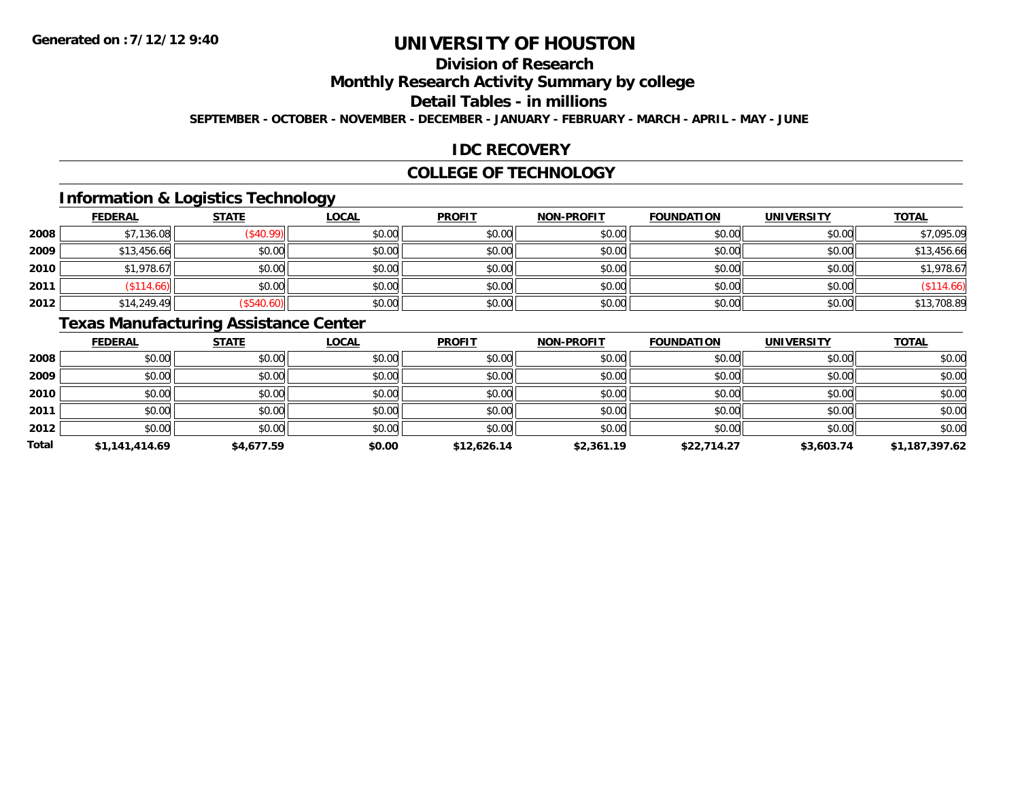# **Division of Research**

**Monthly Research Activity Summary by college**

#### **Detail Tables - in millions**

**SEPTEMBER - OCTOBER - NOVEMBER - DECEMBER - JANUARY - FEBRUARY - MARCH - APRIL - MAY - JUNE**

# **IDC RECOVERY**

#### **COLLEGE OF TECHNOLOGY**

# **Information & Logistics Technology**

|      | <b>FEDERAL</b> | <b>STATE</b> | <u>LOCAL</u> | <b>PROFIT</b> | <b>NON-PROFIT</b> | <b>FOUNDATION</b> | <b>UNIVERSITY</b> | <b>TOTAL</b> |
|------|----------------|--------------|--------------|---------------|-------------------|-------------------|-------------------|--------------|
| 2008 | \$7,136.08     | \$40.99      | \$0.00       | \$0.00        | \$0.00            | \$0.00            | \$0.00            | \$7,095.09   |
| 2009 | \$13,456.66    | \$0.00       | \$0.00       | \$0.00        | \$0.00            | \$0.00            | \$0.00            | \$13,456.66  |
| 2010 | \$1,978.67     | \$0.00       | \$0.00       | \$0.00        | \$0.00            | \$0.00            | \$0.00            | \$1,978.67   |
| 2011 | \$114.66       | \$0.00       | \$0.00       | \$0.00        | \$0.00            | \$0.00            | \$0.00            | (\$114.66)   |
| 2012 | \$14,249.49    | \$540.60     | \$0.00       | \$0.00        | \$0.00            | \$0.00            | \$0.00            | \$13,708.89  |

# **Texas Manufacturing Assistance Center**

|       | <b>FEDERAL</b> | <b>STATE</b> | <b>LOCAL</b> | <b>PROFIT</b> | <b>NON-PROFIT</b> | <b>FOUNDATION</b> | <b>UNIVERSITY</b> | <b>TOTAL</b>   |
|-------|----------------|--------------|--------------|---------------|-------------------|-------------------|-------------------|----------------|
| 2008  | \$0.00         | \$0.00       | \$0.00       | \$0.00        | \$0.00            | \$0.00            | \$0.00            | \$0.00         |
| 2009  | \$0.00         | \$0.00       | \$0.00       | \$0.00        | \$0.00            | \$0.00            | \$0.00            | \$0.00         |
| 2010  | \$0.00         | \$0.00       | \$0.00       | \$0.00        | \$0.00            | \$0.00            | \$0.00            | \$0.00         |
| 2011  | \$0.00         | \$0.00       | \$0.00       | \$0.00        | \$0.00            | \$0.00            | \$0.00            | \$0.00         |
| 2012  | \$0.00         | \$0.00       | \$0.00       | \$0.00        | \$0.00            | \$0.00            | \$0.00            | \$0.00         |
| Total | \$1,141,414.69 | \$4,677.59   | \$0.00       | \$12,626.14   | \$2,361.19        | \$22,714.27       | \$3,603.74        | \$1,187,397.62 |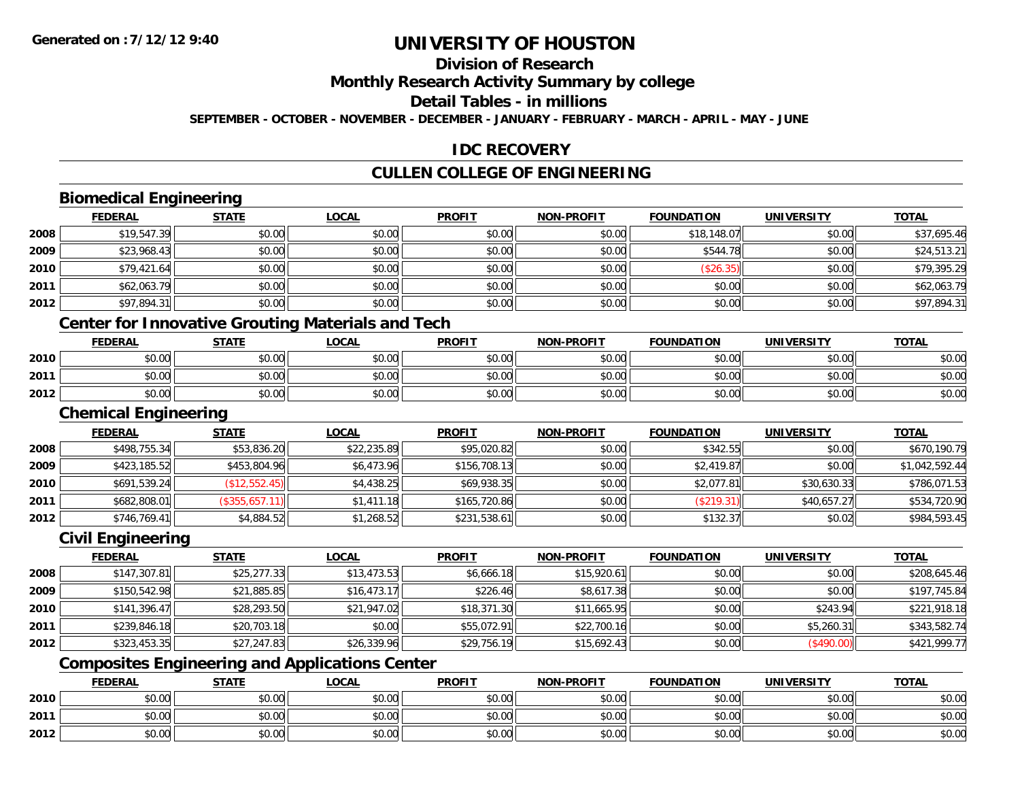# **Division of Research**

### **Monthly Research Activity Summary by college**

#### **Detail Tables - in millions**

**SEPTEMBER - OCTOBER - NOVEMBER - DECEMBER - JANUARY - FEBRUARY - MARCH - APRIL - MAY - JUNE**

### **IDC RECOVERY**

# **CULLEN COLLEGE OF ENGINEERING**

# **Biomedical Engineering**

|      | <b>FEDERAL</b>          | <b>STATE</b>  | <b>LOCAL</b> | <b>PROFIT</b> | <b>NON-PROFIT</b> | <b>FOUNDATION</b> | <b>UNIVERSITY</b> | <b>TOTAL</b> |
|------|-------------------------|---------------|--------------|---------------|-------------------|-------------------|-------------------|--------------|
| 2008 | \$19,547.39             | \$0.00        | \$0.00       | \$0.00        | \$0.00            | \$18,148.07       | \$0.00            | \$37,695.46  |
| 2009 | \$23,968.43             | \$0.00        | \$0.00       | \$0.00        | \$0.00            | \$544.78          | \$0.00            | \$24,513.21  |
| 2010 | \$79,421.64             | \$0.00        | \$0.00       | \$0.00        | \$0.00            | (\$26.35)         | \$0.00            | \$79,395.29  |
| 2011 | \$62,063.79             | \$0.00        | \$0.00       | \$0.00        | \$0.00            | \$0.00            | \$0.00            | \$62,063.79  |
| 2012 | \$97,894.31             | \$0.00        | \$0.00       | \$0.00        | \$0.00            | \$0.00            | \$0.00            | \$97,894.31  |
|      | $\sim$<br>$\sim$<br>___ | - - -<br>$ -$ | ------       | - - -         |                   |                   |                   |              |

#### **Center for Innovative Grouting Materials and Tech**

|      | <b>FEDERAL</b> | <b>STATE</b> | <b>_OCAL</b>  | <b>PROFIT</b>                          | <b>NON-PROFIT</b> | <b>FOUNDATION</b> | <b>IINIVERSITY</b><br>ER.) | <b>TOTAL</b> |
|------|----------------|--------------|---------------|----------------------------------------|-------------------|-------------------|----------------------------|--------------|
| 2010 | 0000<br>,u.uu  | \$0.00       | 0000<br>JU.UU | $\mathfrak{e}\cap\mathfrak{m}$<br>JU.U | 0000<br>PO.OO     | \$0.00            | ≮∩ ∩∩<br>JU.UU             | \$0.00       |
| 2011 | 0000<br>,u.uu  | \$0.00       | 0.00<br>JU.UU | ψU.                                    | 0000<br>PO.OO     | t∩ ∩∩<br>vv.vv    | ≮∩ ∩∩<br>PU.UU             | \$0.00       |
| 2012 | \$0.00         | \$0.00       | 0.00<br>DU.UU | en nn<br>– ມ∪.ບພ                       | \$0.00            | \$0.00            | \$0.00                     | \$0.00       |

<u> 1980 - Johann Barn, amerikan besteman besteman besteman besteman besteman besteman besteman besteman bestema</u>

#### **Chemical Engineering**

|      | <b>FEDERAL</b> | <u>STATE</u>   | <b>LOCAL</b> | <b>PROFIT</b> | <b>NON-PROFIT</b> | <b>FOUNDATION</b> | <b>UNIVERSITY</b> | <b>TOTAL</b>   |
|------|----------------|----------------|--------------|---------------|-------------------|-------------------|-------------------|----------------|
| 2008 | \$498,755.34   | \$53,836.20    | \$22,235.89  | \$95,020.82   | \$0.00            | \$342.55          | \$0.00            | \$670.190.79   |
| 2009 | \$423,185.52   | \$453,804.96   | \$6,473.96   | \$156,708.13  | \$0.00            | \$2,419.87        | \$0.00            | \$1,042,592.44 |
| 2010 | \$691,539.24   | (\$12,552.45)  | \$4,438.25   | \$69,938.35   | \$0.00            | \$2,077.81        | \$30,630.33       | \$786,071.53   |
| 2011 | \$682,808.01   | (\$355,657.11) | \$1,411.18   | \$165,720.86  | \$0.00            | (\$219.31)        | \$40,657.27       | \$534,720.90   |
| 2012 | \$746,769.41   | \$4,884.52     | \$1,268.52   | \$231,538.61  | \$0.00            | \$132.37          | \$0.02            | \$984,593.45   |

### **Civil Engineering**

|      | <b>FEDERAL</b> | <u>STATE</u> | <u>LOCAL</u> | <b>PROFIT</b> | <b>NON-PROFIT</b> | <b>FOUNDATION</b> | <b>UNIVERSITY</b> | <b>TOTAL</b> |
|------|----------------|--------------|--------------|---------------|-------------------|-------------------|-------------------|--------------|
| 2008 | \$147,307.81   | \$25,277.33  | \$13,473.53  | \$6,666.18    | \$15,920.61       | \$0.00            | \$0.00            | \$208,645.46 |
| 2009 | \$150,542.98   | \$21,885.85  | \$16,473.17  | \$226.46      | \$8,617.38        | \$0.00            | \$0.00            | \$197,745.84 |
| 2010 | \$141,396.47   | \$28,293.50  | \$21,947.02  | \$18,371.30   | \$11,665.95       | \$0.00            | \$243.94          | \$221,918.18 |
| 2011 | \$239,846.18   | \$20,703.18  | \$0.00       | \$55,072.91   | \$22,700.16       | \$0.00            | \$5,260.31        | \$343,582.74 |
| 2012 | \$323,453.35   | \$27,247.83  | \$26,339.96  | \$29,756.19   | \$15,692.43       | \$0.00            | (\$490.00)        | \$421,999.77 |

# **Composites Engineering and Applications Center**

|      | <b>FEDERAL</b>               | <b>STATE</b> | _OCAL          | <b>PROFIT</b> | <b>NON-PROFIT</b> | <b>FOUNDATION</b> | <b>UNIVERSITY</b> | <b>TOTAL</b> |
|------|------------------------------|--------------|----------------|---------------|-------------------|-------------------|-------------------|--------------|
| 2010 | $\sim$<br>טע.טע              | \$0.00       | ስስ ስስ<br>JU.UU | \$0.00        | \$0.00            | \$0.00            | \$0.00            | \$0.00       |
| 2011 | <b>↑∩</b><br>$\sim$<br>וטטוע | \$0.00       | ስስ ስስ<br>DU.UU | \$0.00        | \$0.00            | \$0.00            | \$0.00            | \$0.00       |
| 2012 | <b>↑^</b><br>$\sim$<br>וטטוע | \$0.00       | \$0.00         | \$0.00        | \$0.00            | \$0.00            | \$0.00            | \$0.00       |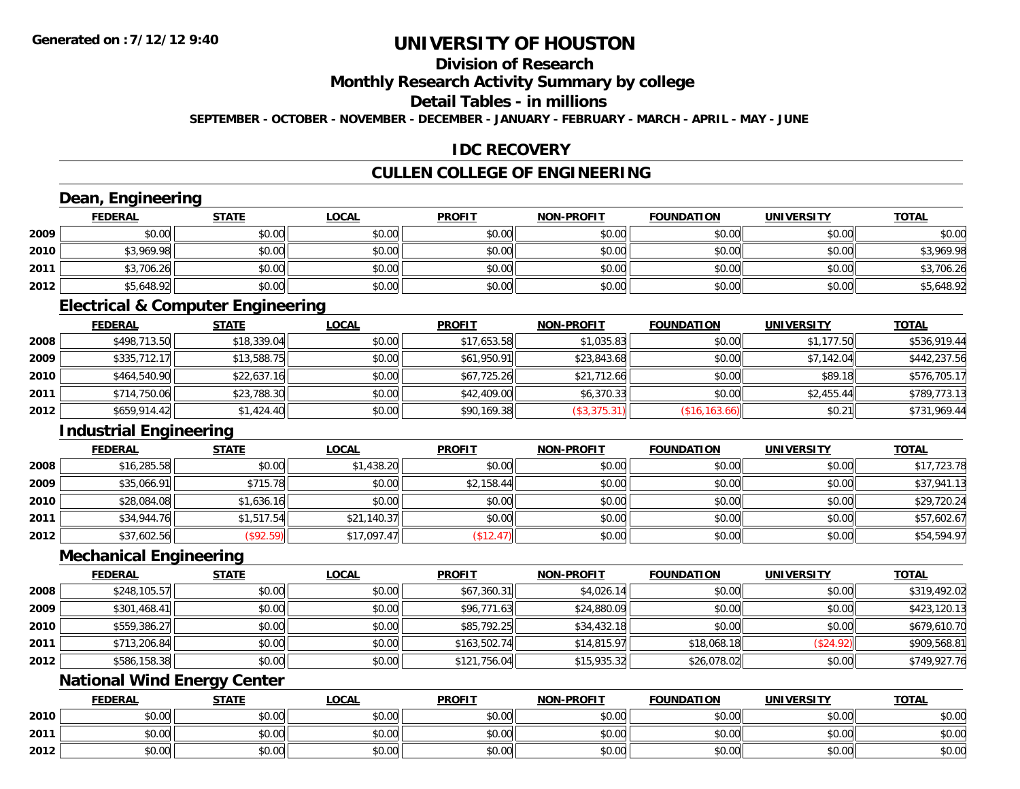**2012**

# **UNIVERSITY OF HOUSTON**

# **Division of Research**

# **Monthly Research Activity Summary by college**

#### **Detail Tables - in millions**

**SEPTEMBER - OCTOBER - NOVEMBER - DECEMBER - JANUARY - FEBRUARY - MARCH - APRIL - MAY - JUNE**

# **IDC RECOVERY**

# **CULLEN COLLEGE OF ENGINEERING**

|      | Dean, Engineering             |                                              |              |               |                   |                   |                   |              |
|------|-------------------------------|----------------------------------------------|--------------|---------------|-------------------|-------------------|-------------------|--------------|
|      | <b>FEDERAL</b>                | <b>STATE</b>                                 | <b>LOCAL</b> | <b>PROFIT</b> | <b>NON-PROFIT</b> | <b>FOUNDATION</b> | <b>UNIVERSITY</b> | <b>TOTAL</b> |
| 2009 | \$0.00                        | \$0.00                                       | \$0.00       | \$0.00        | \$0.00            | \$0.00            | \$0.00            | \$0.00       |
| 2010 | \$3,969.98                    | \$0.00                                       | \$0.00       | \$0.00        | \$0.00            | \$0.00            | \$0.00            | \$3,969.98   |
| 2011 | \$3,706.26                    | \$0.00                                       | \$0.00       | \$0.00        | \$0.00            | \$0.00            | \$0.00            | \$3,706.26   |
| 2012 | \$5,648.92                    | \$0.00                                       | \$0.00       | \$0.00        | \$0.00            | \$0.00            | \$0.00            | \$5,648.92   |
|      |                               | <b>Electrical &amp; Computer Engineering</b> |              |               |                   |                   |                   |              |
|      | <b>FEDERAL</b>                | <b>STATE</b>                                 | <b>LOCAL</b> | <b>PROFIT</b> | <b>NON-PROFIT</b> | <b>FOUNDATION</b> | <b>UNIVERSITY</b> | <b>TOTAL</b> |
| 2008 | \$498,713.50                  | \$18,339.04                                  | \$0.00       | \$17,653.58   | \$1,035.83        | \$0.00            | \$1,177.50        | \$536,919.44 |
| 2009 | \$335,712.17                  | \$13,588.75                                  | \$0.00       | \$61,950.91   | \$23,843.68       | \$0.00            | \$7,142.04        | \$442,237.56 |
| 2010 | \$464,540.90                  | \$22,637.16                                  | \$0.00       | \$67,725.26   | \$21,712.66       | \$0.00            | \$89.18           | \$576,705.17 |
| 2011 | \$714,750.06                  | \$23,788.30                                  | \$0.00       | \$42,409.00   | \$6,370.33        | \$0.00            | \$2,455.44        | \$789,773.13 |
| 2012 | \$659,914.42                  | \$1,424.40                                   | \$0.00       | \$90,169.38   | (\$3,375.31)      | (\$16, 163.66)    | \$0.21            | \$731,969.44 |
|      | <b>Industrial Engineering</b> |                                              |              |               |                   |                   |                   |              |
|      | <b>FEDERAL</b>                | <b>STATE</b>                                 | <b>LOCAL</b> | <b>PROFIT</b> | <b>NON-PROFIT</b> | <b>FOUNDATION</b> | <b>UNIVERSITY</b> | <b>TOTAL</b> |
| 2008 | \$16,285.58                   | \$0.00                                       | \$1,438.20   | \$0.00        | \$0.00            | \$0.00            | \$0.00            | \$17,723.78  |
| 2009 | \$35,066.91                   | \$715.78                                     | \$0.00       | \$2,158.44    | \$0.00            | \$0.00            | \$0.00            | \$37,941.13  |
| 2010 | \$28,084.08                   | \$1,636.16                                   | \$0.00       | \$0.00        | \$0.00            | \$0.00            | \$0.00            | \$29,720.24  |
| 2011 | \$34,944.76                   | \$1,517.54                                   | \$21,140.37  | \$0.00        | \$0.00            | \$0.00            | \$0.00            | \$57,602.67  |
| 2012 | \$37,602.56                   | (\$92.59)                                    | \$17,097.47  | (\$12.47)     | \$0.00            | \$0.00            | \$0.00            | \$54,594.97  |
|      | <b>Mechanical Engineering</b> |                                              |              |               |                   |                   |                   |              |
|      | <b>FEDERAL</b>                | <b>STATE</b>                                 | <b>LOCAL</b> | <b>PROFIT</b> | <b>NON-PROFIT</b> | <b>FOUNDATION</b> | <b>UNIVERSITY</b> | <b>TOTAL</b> |
| 2008 | \$248,105.57                  | \$0.00                                       | \$0.00       | \$67,360.31   | \$4,026.14        | \$0.00            | \$0.00            | \$319,492.02 |
| 2009 | \$301,468.41                  | \$0.00                                       | \$0.00       | \$96,771.63   | \$24,880.09       | \$0.00            | \$0.00            | \$423,120.13 |
| 2010 | \$559,386.27                  | \$0.00                                       | \$0.00       | \$85,792.25   | \$34,432.18       | \$0.00            | \$0.00            | \$679,610.70 |
| 2011 | \$713,206.84                  | \$0.00                                       | \$0.00       | \$163,502.74  | \$14,815.97       | \$18,068.18       | (\$24.92)         | \$909,568.81 |
| 2012 | \$586,158.38                  | \$0.00                                       | \$0.00       | \$121,756.04  | \$15,935.32       | \$26,078.02       | \$0.00            | \$749,927.76 |
|      |                               | <b>National Wind Energy Center</b>           |              |               |                   |                   |                   |              |
|      | <b>FEDERAL</b>                | <b>STATE</b>                                 | <b>LOCAL</b> | <b>PROFIT</b> | <b>NON-PROFIT</b> | <b>FOUNDATION</b> | <b>UNIVERSITY</b> | <b>TOTAL</b> |
| 2010 | \$0.00                        | \$0.00                                       | \$0.00       | \$0.00        | \$0.00            | \$0.00            | \$0.00            | \$0.00       |
| 2011 | \$0.00                        | \$0.00                                       | \$0.00       | \$0.00        | \$0.00            | \$0.00            | \$0.00            | \$0.00       |

2 | \$0.00 \$0.00 \$0.00 \$0.00 \$0.00 \$0.00 \$0.00 \$0.00 \$0.00 \$0.00 \$0.00 \$0.00 \$0.00 \$0.00 \$0.00 \$0.00 \$0.00 \$0.0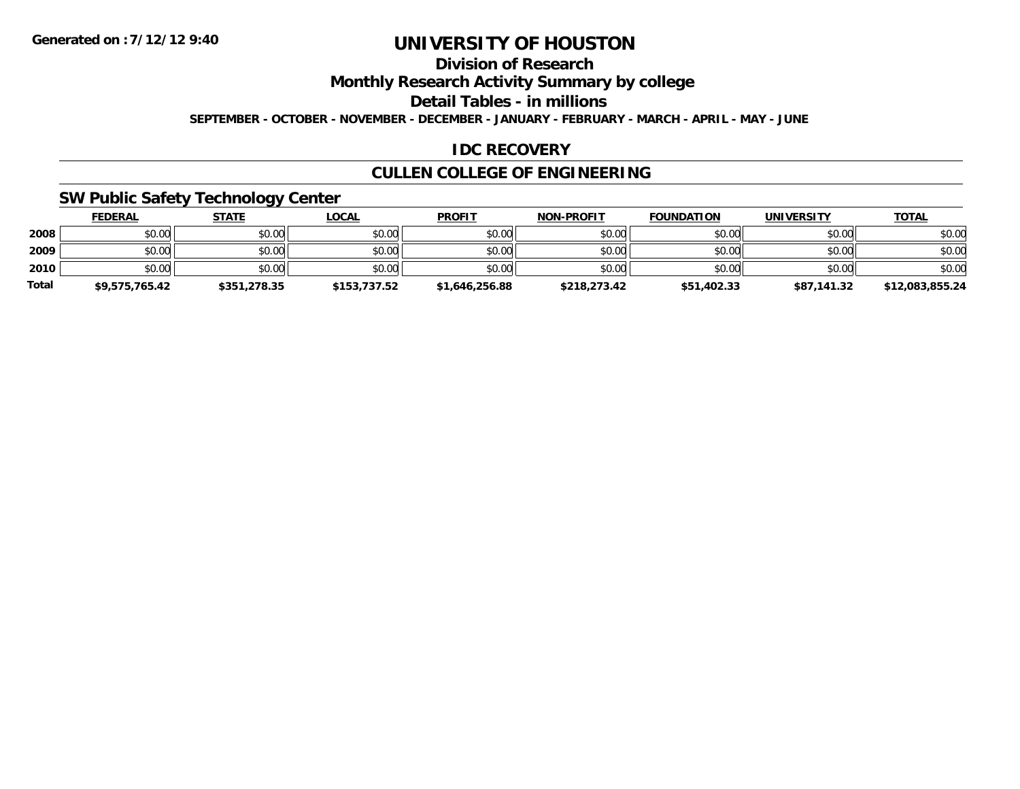# **Division of Research**

**Monthly Research Activity Summary by college**

**Detail Tables - in millions**

**SEPTEMBER - OCTOBER - NOVEMBER - DECEMBER - JANUARY - FEBRUARY - MARCH - APRIL - MAY - JUNE**

# **IDC RECOVERY**

# **CULLEN COLLEGE OF ENGINEERING**

# **SW Public Safety Technology Center**

|              | <b>FEDERAL</b> | <b>STATE</b> | <u>LOCAL</u> | <b>PROFIT</b>  | <b>NON-PROFIT</b> | <b>FOUNDATION</b> | UNIVERSITY  | <b>TOTAL</b>    |
|--------------|----------------|--------------|--------------|----------------|-------------------|-------------------|-------------|-----------------|
| 2008         | \$0.00         | \$0.00       | \$0.00       | \$0.00         | \$0.00            | \$0.00            | \$0.00      | \$0.00          |
| 2009         | \$0.00         | \$0.00       | \$0.00       | \$0.00         | \$0.00            | \$0.00            | \$0.00      | \$0.00          |
| 2010         | \$0.00         | \$0.00       | \$0.00       | \$0.00         | \$0.00            | \$0.00            | \$0.00      | \$0.00          |
| <b>Total</b> | \$9,575,765.42 | \$351,278.35 | \$153,737.52 | \$1,646,256.88 | \$218,273.42      | \$51,402.33       | \$87,141.32 | \$12,083,855.24 |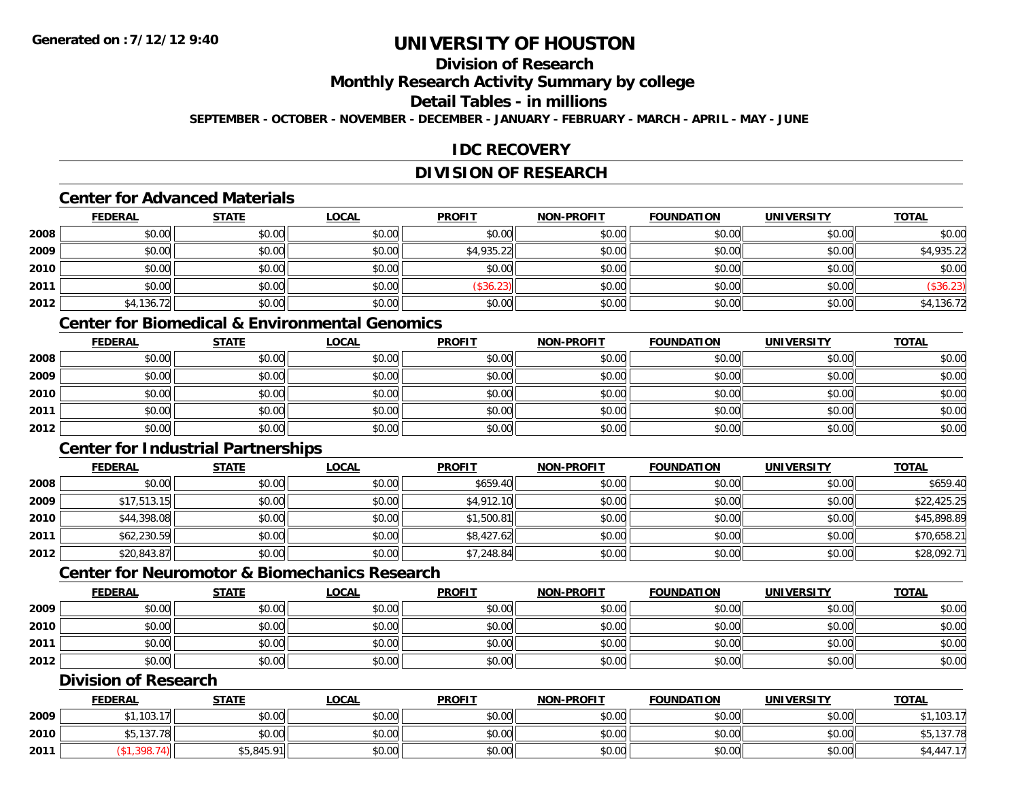# **Division of Research**

**Monthly Research Activity Summary by college**

#### **Detail Tables - in millions**

**SEPTEMBER - OCTOBER - NOVEMBER - DECEMBER - JANUARY - FEBRUARY - MARCH - APRIL - MAY - JUNE**

# **IDC RECOVERY**

# **DIVISION OF RESEARCH**

# **Center for Advanced Materials**

|      | <b>FEDERAL</b> | <b>STATE</b> | <b>LOCAL</b> | <b>PROFIT</b> | <b>NON-PROFIT</b> | <b>FOUNDATION</b> | <b>UNIVERSITY</b> | <b>TOTAL</b> |
|------|----------------|--------------|--------------|---------------|-------------------|-------------------|-------------------|--------------|
| 2008 | \$0.00         | \$0.00       | \$0.00       | \$0.00        | \$0.00            | \$0.00            | \$0.00            | \$0.00       |
| 2009 | \$0.00         | \$0.00       | \$0.00       | \$4,935.22    | \$0.00            | \$0.00            | \$0.00            | \$4,935.22   |
| 2010 | \$0.00         | \$0.00       | \$0.00       | \$0.00        | \$0.00            | \$0.00            | \$0.00            | \$0.00       |
| 2011 | \$0.00         | \$0.00       | \$0.00       | \$36.23]      | \$0.00            | \$0.00            | \$0.00            | (\$36.23)    |
| 2012 | \$4,136.72     | \$0.00       | \$0.00       | \$0.00        | \$0.00            | \$0.00            | \$0.00            | \$4,136.72   |

# **Center for Biomedical & Environmental Genomics**

|      | <u>FEDERAL</u> | <u>STATE</u> | <u>LOCAL</u> | <b>PROFIT</b> | <b>NON-PROFIT</b> | <b>FOUNDATION</b> | <b>UNIVERSITY</b> | <b>TOTAL</b> |
|------|----------------|--------------|--------------|---------------|-------------------|-------------------|-------------------|--------------|
| 2008 | \$0.00         | \$0.00       | \$0.00       | \$0.00        | \$0.00            | \$0.00            | \$0.00            | \$0.00       |
| 2009 | \$0.00         | \$0.00       | \$0.00       | \$0.00        | \$0.00            | \$0.00            | \$0.00            | \$0.00       |
| 2010 | \$0.00         | \$0.00       | \$0.00       | \$0.00        | \$0.00            | \$0.00            | \$0.00            | \$0.00       |
| 2011 | \$0.00         | \$0.00       | \$0.00       | \$0.00        | \$0.00            | \$0.00            | \$0.00            | \$0.00       |
| 2012 | \$0.00         | \$0.00       | \$0.00       | \$0.00        | \$0.00            | \$0.00            | \$0.00            | \$0.00       |

# **Center for Industrial Partnerships**

|      | <b>FEDERAL</b> | <b>STATE</b> | <b>LOCAL</b> | <b>PROFIT</b> | <b>NON-PROFIT</b> | <b>FOUNDATION</b> | <b>UNIVERSITY</b> | <b>TOTAL</b> |
|------|----------------|--------------|--------------|---------------|-------------------|-------------------|-------------------|--------------|
| 2008 | \$0.00         | \$0.00       | \$0.00       | \$659.40      | \$0.00            | \$0.00            | \$0.00            | \$659.40     |
| 2009 | \$17,513.15    | \$0.00       | \$0.00       | \$4,912.10    | \$0.00            | \$0.00            | \$0.00            | \$22,425.25  |
| 2010 | \$44,398.08    | \$0.00       | \$0.00       | \$1,500.81    | \$0.00            | \$0.00            | \$0.00            | \$45,898.89  |
| 2011 | \$62,230.59    | \$0.00       | \$0.00       | \$8,427.62    | \$0.00            | \$0.00            | \$0.00            | \$70,658.21  |
| 2012 | \$20,843.87    | \$0.00       | \$0.00       | \$7,248.84    | \$0.00            | \$0.00            | \$0.00            | \$28,092.71  |

# **Center for Neuromotor & Biomechanics Research**

|      | <b>FEDERAL</b> | <u>STATE</u> | <b>LOCAL</b> | <b>PROFIT</b> | <b>NON-PROFIT</b> | <b>FOUNDATION</b> | <b>UNIVERSITY</b> | <b>TOTAL</b> |
|------|----------------|--------------|--------------|---------------|-------------------|-------------------|-------------------|--------------|
| 2009 | \$0.00         | \$0.00       | \$0.00       | \$0.00        | \$0.00            | \$0.00            | \$0.00            | \$0.00       |
| 2010 | \$0.00         | \$0.00       | \$0.00       | \$0.00        | \$0.00            | \$0.00            | \$0.00            | \$0.00       |
| 2011 | \$0.00         | \$0.00       | \$0.00       | \$0.00        | \$0.00            | \$0.00            | \$0.00            | \$0.00       |
| 2012 | \$0.00         | \$0.00       | \$0.00       | \$0.00        | \$0.00            | \$0.00            | \$0.00            | \$0.00       |

#### **Division of Research**

|      | <b>FEDERAL</b>           | <b>STATE</b> | <u>LOCAL</u> | <b>PROFIT</b> | <b>NON-PROFIT</b> | <b>FOUNDATION</b> | UNIVERSITY | <b>TOTAL</b>           |
|------|--------------------------|--------------|--------------|---------------|-------------------|-------------------|------------|------------------------|
| 2009 | .103.<br>17 <sub>1</sub> | \$0.00       | \$0.00       | \$0.00        | \$0.00            | \$0.00            | \$0.00     | 10217<br>ט ו.          |
| 2010 | \$5,137.78               | \$0.00       | \$0.00       | \$0.00        | \$0.00            | \$0.00            | \$0.00     | \$5,137.78             |
| 2011 |                          | \$5,845.91   | \$0.00       | \$0.00        | \$0.00            | \$0.00            | \$0.00     | $0.447.1$ <sup>-</sup> |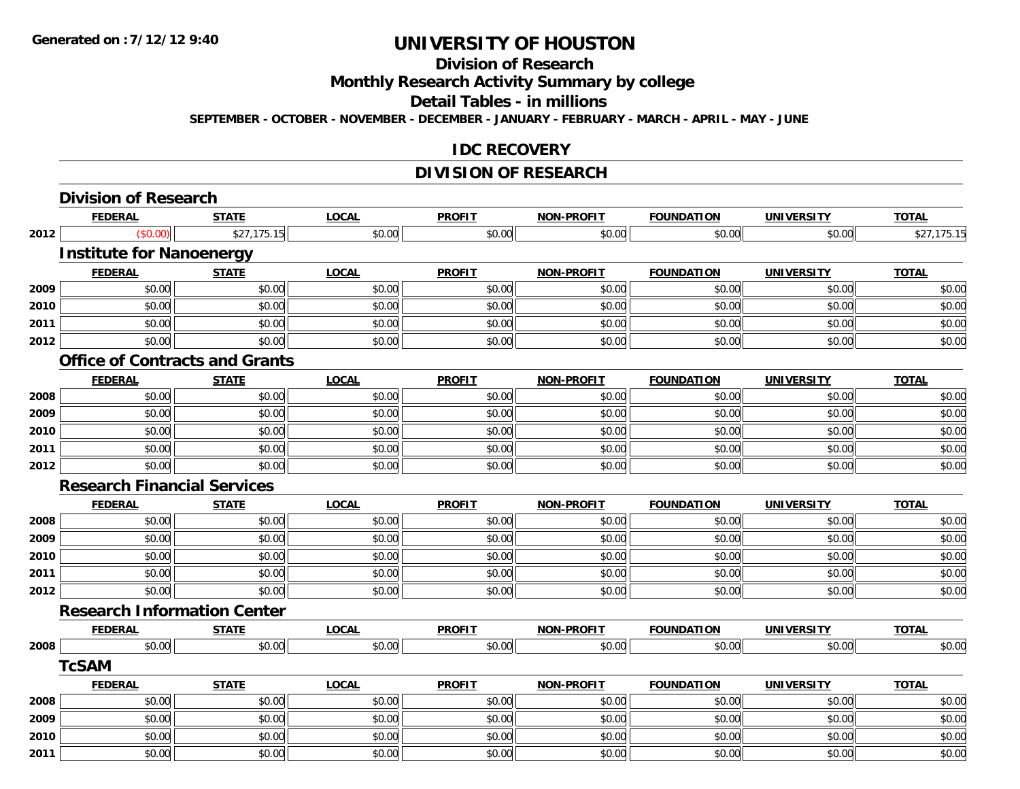#### **Division of Research**

**Monthly Research Activity Summary by college**

**Detail Tables - in millions**

**SEPTEMBER - OCTOBER - NOVEMBER - DECEMBER - JANUARY - FEBRUARY - MARCH - APRIL - MAY - JUNE**

### **IDC RECOVERY**

# **DIVISION OF RESEARCH**

|      | <b>Division of Research</b>           |              |              |               |                   |                   |                   |              |
|------|---------------------------------------|--------------|--------------|---------------|-------------------|-------------------|-------------------|--------------|
|      | <b>FEDERAL</b>                        | <b>STATE</b> | <b>LOCAL</b> | <b>PROFIT</b> | <b>NON-PROFIT</b> | <b>FOUNDATION</b> | <b>UNIVERSITY</b> | <b>TOTAL</b> |
| 2012 | (\$0.00)                              | \$27,175.15  | \$0.00       | \$0.00        | \$0.00            | \$0.00            | \$0.00            | \$27,175.15  |
|      | <b>Institute for Nanoenergy</b>       |              |              |               |                   |                   |                   |              |
|      | <b>FEDERAL</b>                        | <b>STATE</b> | <b>LOCAL</b> | <b>PROFIT</b> | NON-PROFIT        | <b>FOUNDATION</b> | <b>UNIVERSITY</b> | <b>TOTAL</b> |
| 2009 | \$0.00                                | \$0.00       | \$0.00       | \$0.00        | \$0.00            | \$0.00            | \$0.00            | \$0.00       |
| 2010 | \$0.00                                | \$0.00       | \$0.00       | \$0.00        | \$0.00            | \$0.00            | \$0.00            | \$0.00       |
| 2011 | \$0.00                                | \$0.00       | \$0.00       | \$0.00        | \$0.00            | \$0.00            | \$0.00            | \$0.00       |
| 2012 | \$0.00                                | \$0.00       | \$0.00       | \$0.00        | \$0.00            | \$0.00            | \$0.00            | \$0.00       |
|      | <b>Office of Contracts and Grants</b> |              |              |               |                   |                   |                   |              |
|      | <b>FEDERAL</b>                        | <b>STATE</b> | <b>LOCAL</b> | <b>PROFIT</b> | <b>NON-PROFIT</b> | <b>FOUNDATION</b> | <b>UNIVERSITY</b> | <b>TOTAL</b> |
| 2008 | \$0.00                                | \$0.00       | \$0.00       | \$0.00        | \$0.00            | \$0.00            | \$0.00            | \$0.00       |
| 2009 | \$0.00                                | \$0.00       | \$0.00       | \$0.00        | \$0.00            | \$0.00            | \$0.00            | \$0.00       |
| 2010 | \$0.00                                | \$0.00       | \$0.00       | \$0.00        | \$0.00            | \$0.00            | \$0.00            | \$0.00       |
| 2011 | \$0.00                                | \$0.00       | \$0.00       | \$0.00        | \$0.00            | \$0.00            | \$0.00            | \$0.00       |
| 2012 | \$0.00                                | \$0.00       | \$0.00       | \$0.00        | \$0.00            | \$0.00            | \$0.00            | \$0.00       |
|      | <b>Research Financial Services</b>    |              |              |               |                   |                   |                   |              |
|      | <b>FEDERAL</b>                        | <b>STATE</b> | <b>LOCAL</b> | <b>PROFIT</b> | NON-PROFIT        | <b>FOUNDATION</b> | <b>UNIVERSITY</b> | <b>TOTAL</b> |
| 2008 | \$0.00                                | \$0.00       | \$0.00       | \$0.00        | \$0.00            | \$0.00            | \$0.00            | \$0.00       |
| 2009 | \$0.00                                | \$0.00       | \$0.00       | \$0.00        | \$0.00            | \$0.00            | \$0.00            | \$0.00       |
| 2010 | \$0.00                                | \$0.00       | \$0.00       | \$0.00        | \$0.00            | \$0.00            | \$0.00            | \$0.00       |
| 2011 | \$0.00                                | \$0.00       | \$0.00       | \$0.00        | \$0.00            | \$0.00            | \$0.00            | \$0.00       |
| 2012 | \$0.00                                | \$0.00       | \$0.00       | \$0.00        | \$0.00            | \$0.00            | \$0.00            | \$0.00       |
|      | <b>Research Information Center</b>    |              |              |               |                   |                   |                   |              |
|      | <b>FEDERAL</b>                        | <b>STATE</b> | <b>LOCAL</b> | <b>PROFIT</b> | <b>NON-PROFIT</b> | <b>FOUNDATION</b> | <b>UNIVERSITY</b> | <b>TOTAL</b> |
| 2008 | \$0.00                                | \$0.00       | \$0.00       | \$0.00        | \$0.00            | \$0.00            | \$0.00            | \$0.00       |
|      | <b>TcSAM</b>                          |              |              |               |                   |                   |                   |              |
|      | <b>FEDERAL</b>                        | <b>STATE</b> | <b>LOCAL</b> | <b>PROFIT</b> | NON-PROFIT        | <b>FOUNDATION</b> | <b>UNIVERSITY</b> | <b>TOTAL</b> |
| 2008 | \$0.00                                | \$0.00       | \$0.00       | \$0.00        | \$0.00            | \$0.00            | \$0.00            | \$0.00       |
| 2009 | \$0.00                                | \$0.00       | \$0.00       | \$0.00        | \$0.00            | \$0.00            | \$0.00            | \$0.00       |
| 2010 | \$0.00                                | \$0.00       | \$0.00       | \$0.00        | \$0.00            | \$0.00            | \$0.00            | \$0.00       |
| 2011 | \$0.00                                | \$0.00       | \$0.00       | \$0.00        | \$0.00            | \$0.00            | \$0.00            | \$0.00       |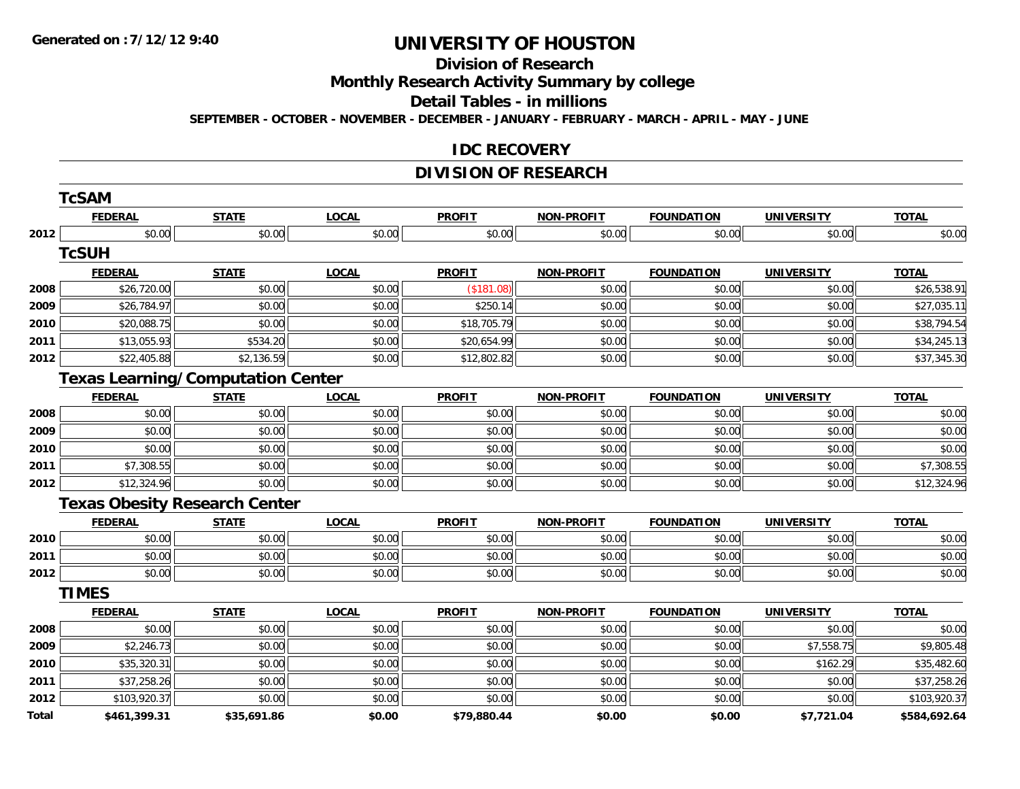#### **Division of Research**

**Monthly Research Activity Summary by college**

**Detail Tables - in millions**

**SEPTEMBER - OCTOBER - NOVEMBER - DECEMBER - JANUARY - FEBRUARY - MARCH - APRIL - MAY - JUNE**

### **IDC RECOVERY**

# **DIVISION OF RESEARCH**

|       | <b>TcSAM</b>                             |              |              |               |                   |                   |                   |              |
|-------|------------------------------------------|--------------|--------------|---------------|-------------------|-------------------|-------------------|--------------|
|       | <b>FEDERAL</b>                           | <b>STATE</b> | <b>LOCAL</b> | <b>PROFIT</b> | <b>NON-PROFIT</b> | <b>FOUNDATION</b> | <b>UNIVERSITY</b> | <b>TOTAL</b> |
| 2012  | \$0.00                                   | \$0.00       | \$0.00       | \$0.00        | \$0.00            | \$0.00            | \$0.00            | \$0.00       |
|       | <b>TcSUH</b>                             |              |              |               |                   |                   |                   |              |
|       | <b>FEDERAL</b>                           | <b>STATE</b> | <b>LOCAL</b> | <b>PROFIT</b> | <b>NON-PROFIT</b> | <b>FOUNDATION</b> | <b>UNIVERSITY</b> | <b>TOTAL</b> |
| 2008  | \$26,720.00                              | \$0.00       | \$0.00       | (\$181.08)    | \$0.00            | \$0.00            | \$0.00            | \$26,538.91  |
| 2009  | \$26,784.97                              | \$0.00       | \$0.00       | \$250.14      | \$0.00            | \$0.00            | \$0.00            | \$27,035.11  |
| 2010  | \$20,088.75                              | \$0.00       | \$0.00       | \$18,705.79   | \$0.00            | \$0.00            | \$0.00            | \$38,794.54  |
| 2011  | \$13,055.93                              | \$534.20     | \$0.00       | \$20,654.99   | \$0.00            | \$0.00            | \$0.00            | \$34,245.13  |
| 2012  | \$22,405.88                              | \$2,136.59   | \$0.00       | \$12,802.82   | \$0.00            | \$0.00            | \$0.00            | \$37,345.30  |
|       | <b>Texas Learning/Computation Center</b> |              |              |               |                   |                   |                   |              |
|       | <b>FEDERAL</b>                           | <b>STATE</b> | <b>LOCAL</b> | <b>PROFIT</b> | <b>NON-PROFIT</b> | <b>FOUNDATION</b> | <b>UNIVERSITY</b> | <b>TOTAL</b> |
| 2008  | \$0.00                                   | \$0.00       | \$0.00       | \$0.00        | \$0.00            | \$0.00            | \$0.00            | \$0.00       |
| 2009  | \$0.00                                   | \$0.00       | \$0.00       | \$0.00        | \$0.00            | \$0.00            | \$0.00            | \$0.00       |
| 2010  | \$0.00                                   | \$0.00       | \$0.00       | \$0.00        | \$0.00            | \$0.00            | \$0.00            | \$0.00       |
| 2011  | \$7,308.55                               | \$0.00       | \$0.00       | \$0.00        | \$0.00            | \$0.00            | \$0.00            | \$7,308.55   |
| 2012  | \$12,324.96                              | \$0.00       | \$0.00       | \$0.00        | \$0.00            | \$0.00            | \$0.00            | \$12,324.96  |
|       | <b>Texas Obesity Research Center</b>     |              |              |               |                   |                   |                   |              |
|       | <b>FEDERAL</b>                           | <b>STATE</b> | <b>LOCAL</b> | <b>PROFIT</b> | <b>NON-PROFIT</b> | <b>FOUNDATION</b> | <b>UNIVERSITY</b> | <b>TOTAL</b> |
| 2010  | \$0.00                                   | \$0.00       | \$0.00       | \$0.00        | \$0.00            | \$0.00            | \$0.00            | \$0.00       |
| 2011  | \$0.00                                   | \$0.00       | \$0.00       | \$0.00        | \$0.00            | \$0.00            | \$0.00            | \$0.00       |
| 2012  | \$0.00                                   | \$0.00       | \$0.00       | \$0.00        | \$0.00            | \$0.00            | \$0.00            | \$0.00       |
|       | <b>TIMES</b>                             |              |              |               |                   |                   |                   |              |
|       | <b>FEDERAL</b>                           | <b>STATE</b> | <b>LOCAL</b> | <b>PROFIL</b> | <b>NON-PROFIT</b> | <b>FOUNDATION</b> | <b>UNIVERSITY</b> | <b>TOTAL</b> |
| 2008  | \$0.00                                   | \$0.00       | \$0.00       | \$0.00        | \$0.00            | \$0.00            | \$0.00            | \$0.00       |
| 2009  | \$2,246.73                               | \$0.00       | \$0.00       | \$0.00        | \$0.00            | \$0.00            | \$7,558.75        | \$9,805.48   |
| 2010  | \$35,320.31                              | \$0.00       | \$0.00       | \$0.00        | \$0.00            | \$0.00            | \$162.29          | \$35,482.60  |
| 2011  | \$37,258.26                              | \$0.00       | \$0.00       | \$0.00        | \$0.00            | \$0.00            | \$0.00            | \$37,258.26  |
| 2012  | \$103,920.37                             | \$0.00       | \$0.00       | \$0.00        | \$0.00            | \$0.00            | \$0.00            | \$103,920.37 |
| Total | \$461,399.31                             | \$35,691.86  | \$0.00       | \$79,880.44   | \$0.00            | \$0.00            | \$7,721.04        | \$584,692.64 |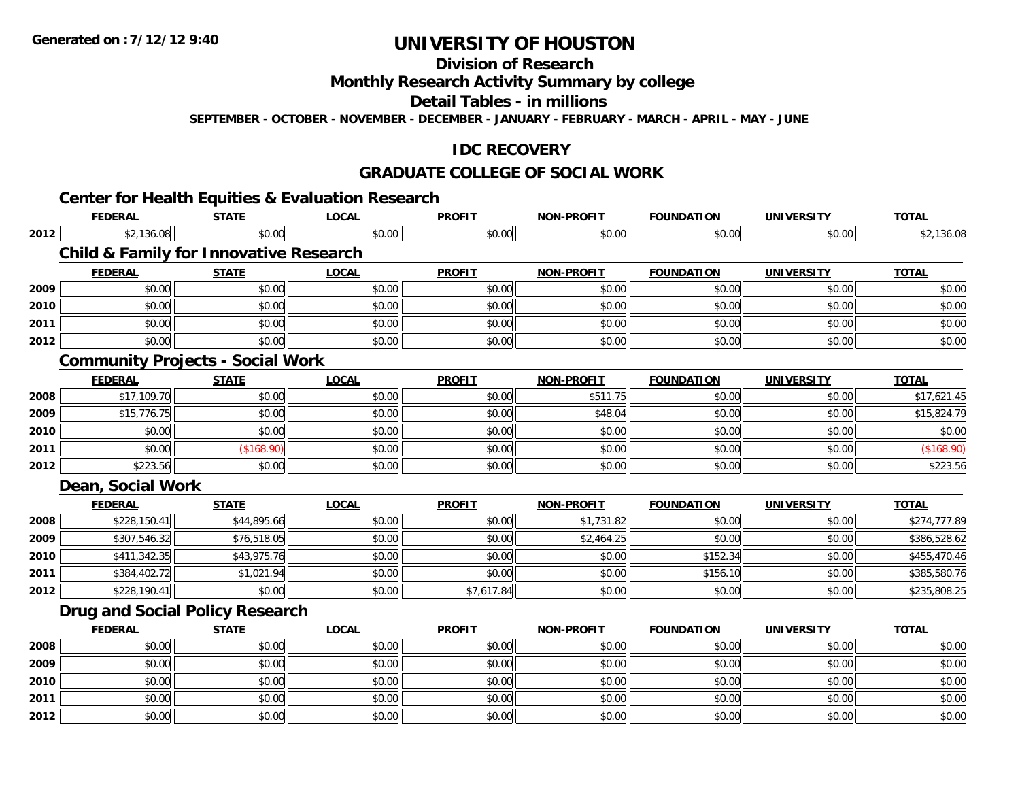**Division of Research**

**Monthly Research Activity Summary by college**

**Detail Tables - in millions**

**SEPTEMBER - OCTOBER - NOVEMBER - DECEMBER - JANUARY - FEBRUARY - MARCH - APRIL - MAY - JUNE**

# **IDC RECOVERY**

#### **GRADUATE COLLEGE OF SOCIAL WORK**

# **Center for Health Equities & Evaluation Research**

|      | <b>FEDERAL</b>                                    | <b>STATE</b> | <b>LOCAL</b> | <b>PROFIT</b> | <b>NON-PROFIT</b> | <b>FOUNDATION</b> | <b>UNIVERSITY</b> | <b>TOTAL</b> |
|------|---------------------------------------------------|--------------|--------------|---------------|-------------------|-------------------|-------------------|--------------|
| 2012 | \$2,136.08                                        | \$0.00       | \$0.00       | \$0.00        | \$0.00            | \$0.00            | \$0.00            | \$2,136.08   |
|      | <b>Child &amp; Family for Innovative Research</b> |              |              |               |                   |                   |                   |              |
|      | <b>FEDERAL</b>                                    | <b>STATE</b> | <b>LOCAL</b> | <b>PROFIT</b> | <b>NON-PROFIT</b> | <b>FOUNDATION</b> | <b>UNIVERSITY</b> | <b>TOTAL</b> |
| 2009 | \$0.00                                            | \$0.00       | \$0.00       | \$0.00        | \$0.00            | \$0.00            | \$0.00            | \$0.00       |
| 2010 | \$0.00                                            | \$0.00       | \$0.00       | \$0.00        | \$0.00            | \$0.00            | \$0.00            | \$0.00       |
| 2011 | \$0.00                                            | \$0.00       | \$0.00       | \$0.00        | \$0.00            | \$0.00            | \$0.00            | \$0.00       |
| 2012 | \$0.00                                            | \$0.00       | \$0.00       | \$0.00        | \$0.00            | \$0.00            | \$0.00            | \$0.00       |
|      | <b>Community Projects - Social Work</b>           |              |              |               |                   |                   |                   |              |
|      | <b>FEDERAL</b>                                    | <b>STATE</b> | <b>LOCAL</b> | <b>PROFIT</b> | NON-PROFIT        | <b>FOUNDATION</b> | <b>UNIVERSITY</b> | <b>TOTAL</b> |
| 2008 | \$17,109.70                                       | \$0.00       | \$0.00       | \$0.00        | \$511.75          | \$0.00            | \$0.00            | \$17,621.45  |
| 2009 | \$15,776.75                                       | \$0.00       | \$0.00       | \$0.00        | \$48.04           | \$0.00            | \$0.00            | \$15,824.79  |
| 2010 | \$0.00                                            | \$0.00       | \$0.00       | \$0.00        | \$0.00            | \$0.00            | \$0.00            | \$0.00       |
| 2011 | \$0.00                                            | (\$168.90)   | \$0.00       | \$0.00        | \$0.00            | \$0.00            | \$0.00            | (\$168.90)   |
| 2012 | \$223.56                                          | \$0.00       | \$0.00       | \$0.00        | \$0.00            | \$0.00            | \$0.00            | \$223.56     |
|      | Dean, Social Work                                 |              |              |               |                   |                   |                   |              |
|      | <b>FEDERAL</b>                                    | <b>STATE</b> | <b>LOCAL</b> | <b>PROFIT</b> | <b>NON-PROFIT</b> | <b>FOUNDATION</b> | <b>UNIVERSITY</b> | <b>TOTAL</b> |
| 2008 | \$228,150.41                                      | \$44,895.66  | \$0.00       | \$0.00        | \$1,731.82        | \$0.00            | \$0.00            | \$274,777.89 |
| 2009 | \$307,546.32                                      | \$76,518.05  | \$0.00       | \$0.00        | \$2,464.25        | \$0.00            | \$0.00            | \$386,528.62 |
| 2010 | \$411,342.35                                      | \$43,975.76  | \$0.00       | \$0.00        | \$0.00            | \$152.34          | \$0.00            | \$455,470.46 |
| 2011 | \$384,402.72                                      | \$1,021.94   | \$0.00       | \$0.00        | \$0.00            | \$156.10          | \$0.00            | \$385,580.76 |
| 2012 | \$228,190.41                                      | \$0.00       | \$0.00       | \$7,617.84    | \$0.00            | \$0.00            | \$0.00            | \$235,808.25 |
|      | <b>Drug and Social Policy Research</b>            |              |              |               |                   |                   |                   |              |
|      | <b>FEDERAL</b>                                    | <b>STATE</b> | <b>LOCAL</b> | <b>PROFIT</b> | <b>NON-PROFIT</b> | <b>FOUNDATION</b> | <b>UNIVERSITY</b> | <b>TOTAL</b> |
| 2008 | \$0.00                                            | \$0.00       | \$0.00       | \$0.00        | \$0.00            | \$0.00            | \$0.00            | \$0.00       |
| 2009 | \$0.00                                            | \$0.00       | \$0.00       | \$0.00        | \$0.00            | \$0.00            | \$0.00            | \$0.00       |
| 2010 | \$0.00                                            | \$0.00       | \$0.00       | \$0.00        | \$0.00            | \$0.00            | \$0.00            | \$0.00       |
| 2011 | \$0.00                                            | \$0.00       | \$0.00       | \$0.00        | \$0.00            | \$0.00            | \$0.00            | \$0.00       |
| 2012 | \$0.00                                            | \$0.00       | \$0.00       | \$0.00        | \$0.00            | \$0.00            | \$0.00            | \$0.00       |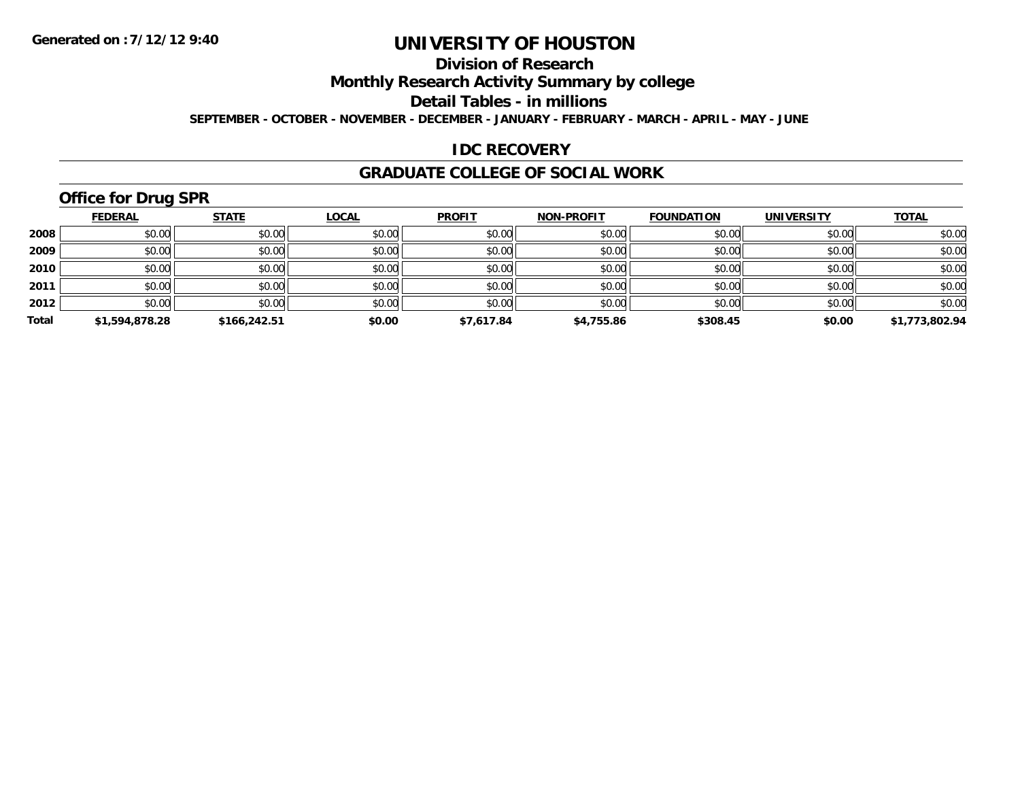# **Division of Research**

**Monthly Research Activity Summary by college**

**Detail Tables - in millions**

**SEPTEMBER - OCTOBER - NOVEMBER - DECEMBER - JANUARY - FEBRUARY - MARCH - APRIL - MAY - JUNE**

### **IDC RECOVERY**

#### **GRADUATE COLLEGE OF SOCIAL WORK**

# **Office for Drug SPR**

|       | <b>FEDERAL</b> | <b>STATE</b> | <b>LOCAL</b> | <b>PROFIT</b> | <b>NON-PROFIT</b> | <b>FOUNDATION</b> | <b>UNIVERSITY</b> | <b>TOTAL</b>   |
|-------|----------------|--------------|--------------|---------------|-------------------|-------------------|-------------------|----------------|
| 2008  | \$0.00         | \$0.00       | \$0.00       | \$0.00        | \$0.00            | \$0.00            | \$0.00            | \$0.00         |
| 2009  | \$0.00         | \$0.00       | \$0.00       | \$0.00        | \$0.00            | \$0.00            | \$0.00            | \$0.00         |
| 2010  | \$0.00         | \$0.00       | \$0.00       | \$0.00        | \$0.00            | \$0.00            | \$0.00            | \$0.00         |
| 2011  | \$0.00         | \$0.00       | \$0.00       | \$0.00        | \$0.00            | \$0.00            | \$0.00            | \$0.00         |
| 2012  | \$0.00         | \$0.00       | \$0.00       | \$0.00        | \$0.00            | \$0.00            | \$0.00            | \$0.00         |
| Total | \$1,594,878.28 | \$166,242.51 | \$0.00       | \$7,617.84    | \$4,755.86        | \$308.45          | \$0.00            | \$1,773,802.94 |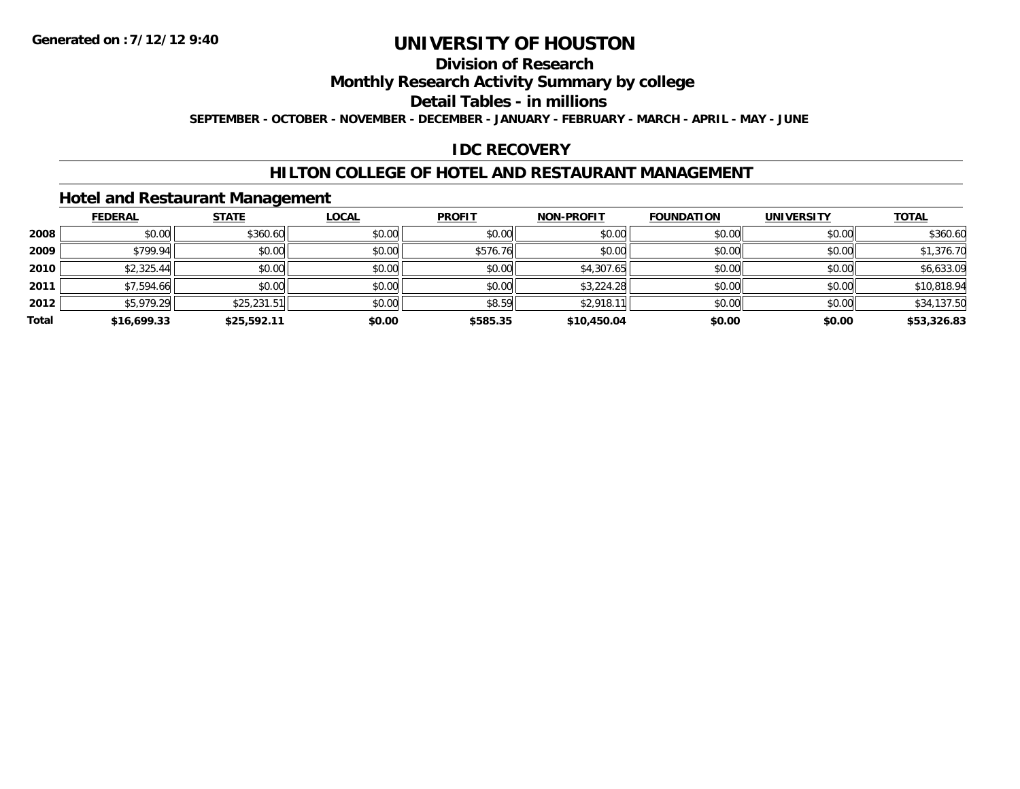# **Division of Research**

**Monthly Research Activity Summary by college**

**Detail Tables - in millions**

**SEPTEMBER - OCTOBER - NOVEMBER - DECEMBER - JANUARY - FEBRUARY - MARCH - APRIL - MAY - JUNE**

# **IDC RECOVERY**

### **HILTON COLLEGE OF HOTEL AND RESTAURANT MANAGEMENT**

### **Hotel and Restaurant Management**

|       | <b>FEDERAL</b> | <b>STATE</b> | <b>LOCAL</b> | <b>PROFIT</b> | <b>NON-PROFIT</b> | <b>FOUNDATION</b> | <b>UNIVERSITY</b> | <b>TOTAL</b> |
|-------|----------------|--------------|--------------|---------------|-------------------|-------------------|-------------------|--------------|
| 2008  | \$0.00         | \$360.60     | \$0.00       | \$0.00        | \$0.00            | \$0.00            | \$0.00            | \$360.60     |
| 2009  | \$799.94       | \$0.00       | \$0.00       | \$576.76      | \$0.00            | \$0.00            | \$0.00            | \$1,376.70   |
| 2010  | \$2,325.44     | \$0.00       | \$0.00       | \$0.00        | \$4,307.65        | \$0.00            | \$0.00            | \$6,633.09   |
| 2011  | \$7,594.66     | \$0.00       | \$0.00       | \$0.00        | \$3,224.28        | \$0.00            | \$0.00            | \$10,818.94  |
| 2012  | \$5,979.29     | \$25,231.51  | \$0.00       | \$8.59        | \$2,918.11        | \$0.00            | \$0.00            | \$34,137.50  |
| Total | \$16,699.33    | \$25,592.11  | \$0.00       | \$585.35      | \$10,450.04       | \$0.00            | \$0.00            | \$53,326.83  |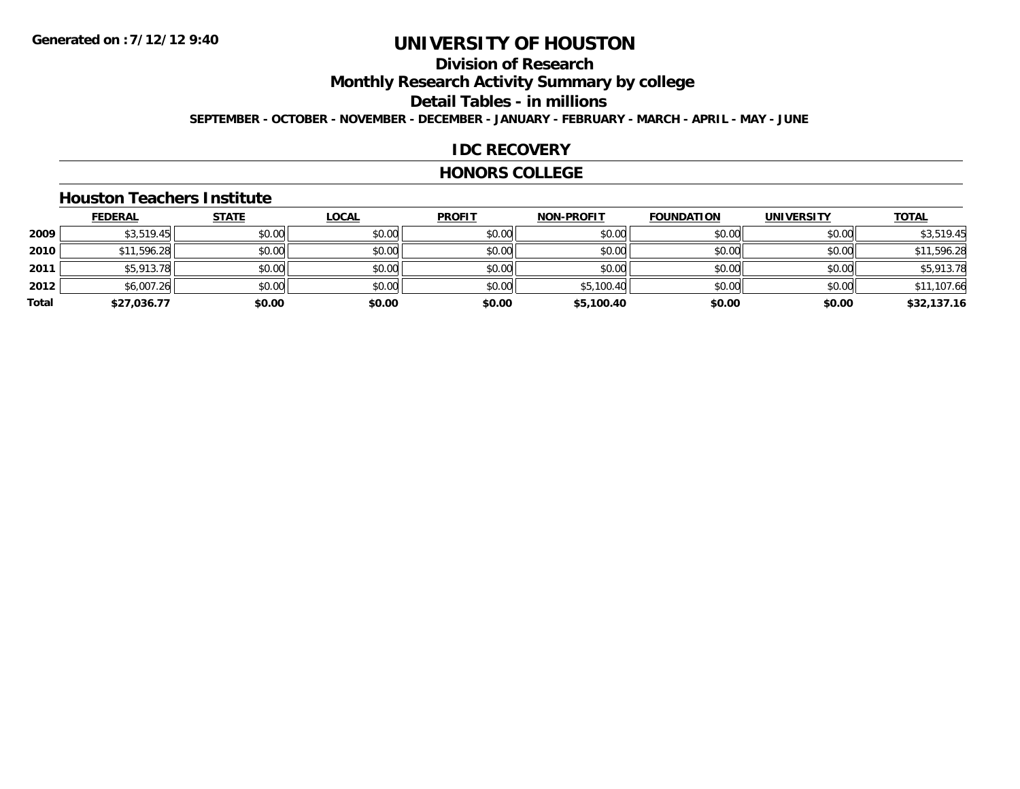# **Division of Research**

**Monthly Research Activity Summary by college**

**Detail Tables - in millions**

**SEPTEMBER - OCTOBER - NOVEMBER - DECEMBER - JANUARY - FEBRUARY - MARCH - APRIL - MAY - JUNE**

# **IDC RECOVERY**

#### **HONORS COLLEGE**

#### **Houston Teachers Institute**

|       | <b>FEDERAL</b> | <b>STATE</b> | <b>LOCAL</b> | <b>PROFIT</b> | <b>NON-PROFIT</b> | <b>FOUNDATION</b> | <b>UNIVERSITY</b> | <b>TOTAL</b> |
|-------|----------------|--------------|--------------|---------------|-------------------|-------------------|-------------------|--------------|
| 2009  | \$3,519.45     | \$0.00       | \$0.00       | \$0.00        | \$0.00            | \$0.00            | \$0.00            | \$3,519.45   |
| 2010  | \$11,596.28    | \$0.00       | \$0.00       | \$0.00        | \$0.00            | \$0.00            | \$0.00            | \$11,596.28  |
| 2011  | \$5,913.78     | \$0.00       | \$0.00       | \$0.00        | \$0.00            | \$0.00            | \$0.00            | \$5,913.78   |
| 2012  | \$6,007.26     | \$0.00       | \$0.00       | \$0.00        | \$5,100.40        | \$0.00            | \$0.00            | \$11,107.66  |
| Total | \$27,036.77    | \$0.00       | \$0.00       | \$0.00        | \$5,100.40        | \$0.00            | \$0.00            | \$32,137.16  |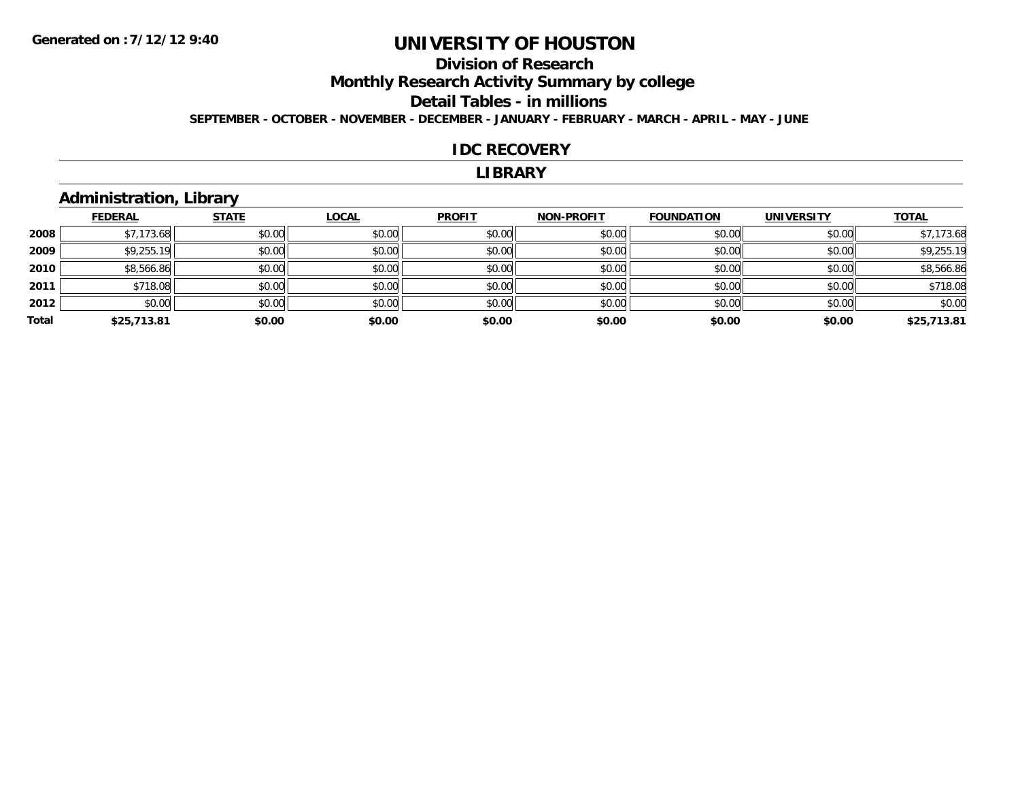# **Division of Research**

**Monthly Research Activity Summary by college**

#### **Detail Tables - in millions**

**SEPTEMBER - OCTOBER - NOVEMBER - DECEMBER - JANUARY - FEBRUARY - MARCH - APRIL - MAY - JUNE**

#### **IDC RECOVERY**

#### **LIBRARY**

# **Administration, Library**

|       | <b>FEDERAL</b> | <b>STATE</b> | <b>LOCAL</b> | <b>PROFIT</b> | <b>NON-PROFIT</b> | <b>FOUNDATION</b> | <b>UNIVERSITY</b> | <b>TOTAL</b> |
|-------|----------------|--------------|--------------|---------------|-------------------|-------------------|-------------------|--------------|
| 2008  | \$7,173.68     | \$0.00       | \$0.00       | \$0.00        | \$0.00            | \$0.00            | \$0.00            | \$7,173.68   |
| 2009  | \$9,255.19     | \$0.00       | \$0.00       | \$0.00        | \$0.00            | \$0.00            | \$0.00            | \$9,255.19   |
| 2010  | \$8,566.86     | \$0.00       | \$0.00       | \$0.00        | \$0.00            | \$0.00            | \$0.00            | \$8,566.86   |
| 2011  | \$718.08       | \$0.00       | \$0.00       | \$0.00        | \$0.00            | \$0.00            | \$0.00            | \$718.08     |
| 2012  | \$0.00         | \$0.00       | \$0.00       | \$0.00        | \$0.00            | \$0.00            | \$0.00            | \$0.00       |
| Total | \$25,713.81    | \$0.00       | \$0.00       | \$0.00        | \$0.00            | \$0.00            | \$0.00            | \$25,713.81  |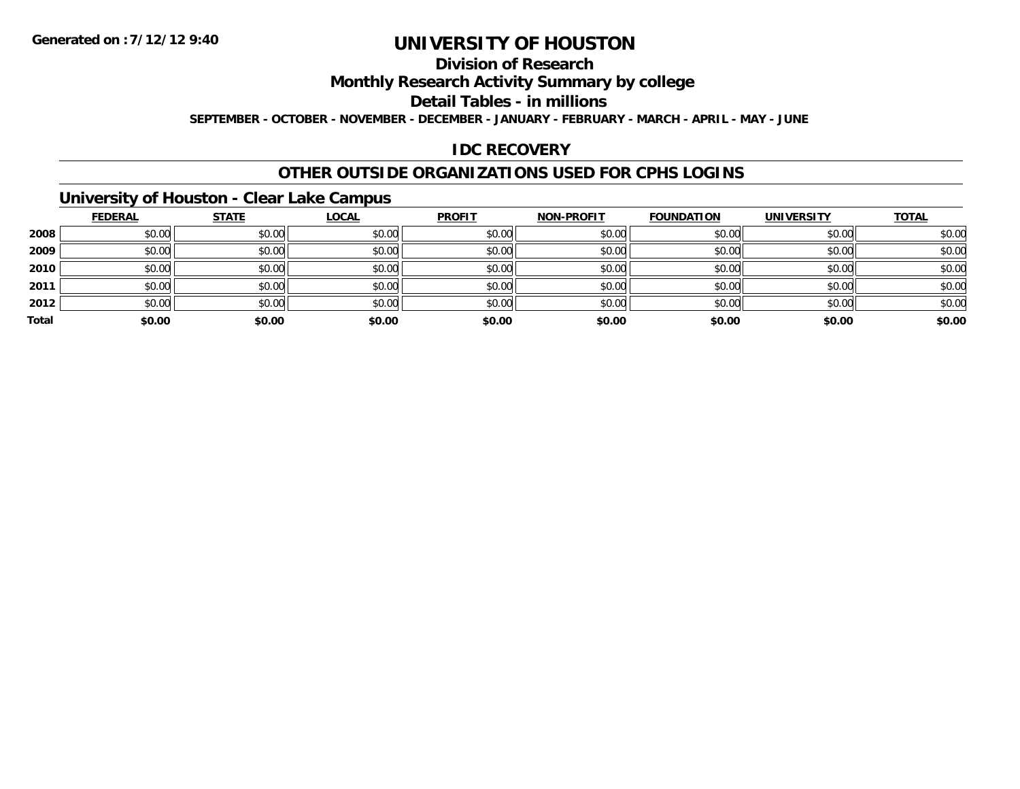# **Division of Research**

**Monthly Research Activity Summary by college**

**Detail Tables - in millions**

**SEPTEMBER - OCTOBER - NOVEMBER - DECEMBER - JANUARY - FEBRUARY - MARCH - APRIL - MAY - JUNE**

# **IDC RECOVERY**

### **OTHER OUTSIDE ORGANIZATIONS USED FOR CPHS LOGINS**

# **University of Houston - Clear Lake Campus**

|       | <b>FEDERAL</b> | <b>STATE</b> | <b>LOCAL</b> | <b>PROFIT</b> | <b>NON-PROFIT</b> | <b>FOUNDATION</b> | <b>UNIVERSITY</b> | <b>TOTAL</b> |
|-------|----------------|--------------|--------------|---------------|-------------------|-------------------|-------------------|--------------|
| 2008  | \$0.00         | \$0.00       | \$0.00       | \$0.00        | \$0.00            | \$0.00            | \$0.00            | \$0.00       |
| 2009  | \$0.00         | \$0.00       | \$0.00       | \$0.00        | \$0.00            | \$0.00            | \$0.00            | \$0.00       |
| 2010  | \$0.00         | \$0.00       | \$0.00       | \$0.00        | \$0.00            | \$0.00            | \$0.00            | \$0.00       |
| 2011  | \$0.00         | \$0.00       | \$0.00       | \$0.00        | \$0.00            | \$0.00            | \$0.00            | \$0.00       |
| 2012  | \$0.00         | \$0.00       | \$0.00       | \$0.00        | \$0.00            | \$0.00            | \$0.00            | \$0.00       |
| Total | \$0.00         | \$0.00       | \$0.00       | \$0.00        | \$0.00            | \$0.00            | \$0.00            | \$0.00       |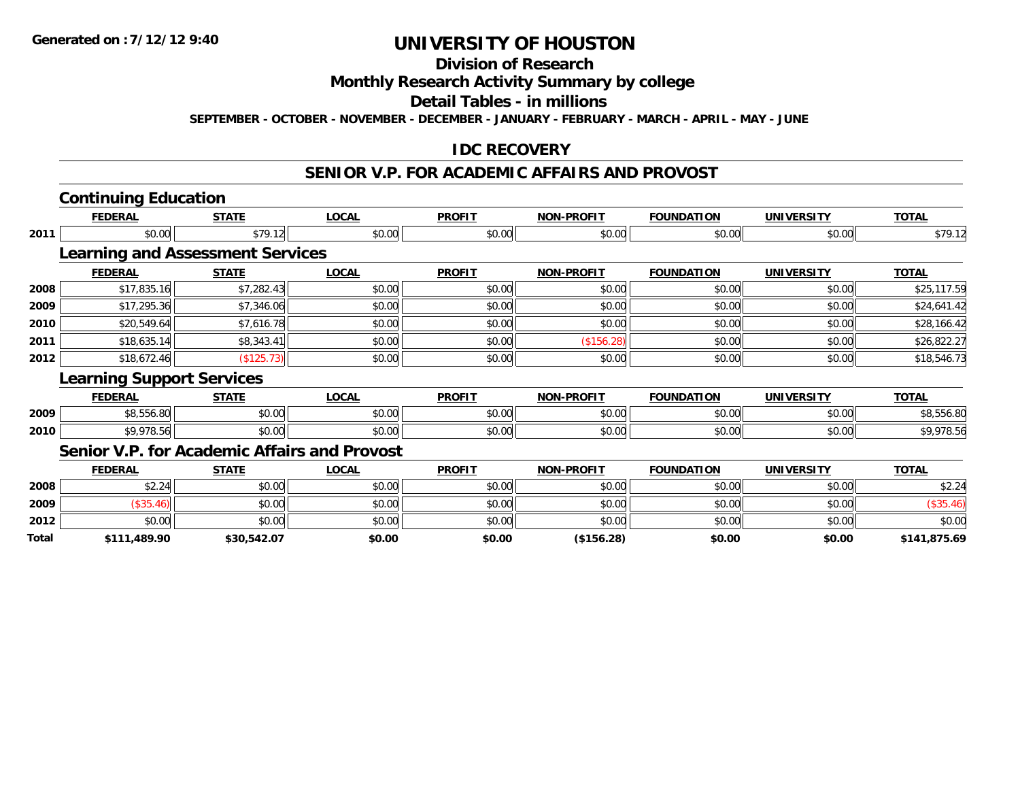# **Division of Research**

**Monthly Research Activity Summary by college**

**Detail Tables - in millions**

**SEPTEMBER - OCTOBER - NOVEMBER - DECEMBER - JANUARY - FEBRUARY - MARCH - APRIL - MAY - JUNE**

# **IDC RECOVERY**

#### **SENIOR V.P. FOR ACADEMIC AFFAIRS AND PROVOST**

|       | <b>Continuing Education</b>             |              |                                                     |               |                   |                   |                   |              |
|-------|-----------------------------------------|--------------|-----------------------------------------------------|---------------|-------------------|-------------------|-------------------|--------------|
|       | <b>FEDERAL</b>                          | <b>STATE</b> | <b>LOCAL</b>                                        | <b>PROFIT</b> | <b>NON-PROFIT</b> | <b>FOUNDATION</b> | <b>UNIVERSITY</b> | <b>TOTAL</b> |
| 2011  | \$0.00                                  | \$79.12      | \$0.00                                              | \$0.00        | \$0.00            | \$0.00            | \$0.00            | \$79.12      |
|       | <b>Learning and Assessment Services</b> |              |                                                     |               |                   |                   |                   |              |
|       | <b>FEDERAL</b>                          | <b>STATE</b> | <b>LOCAL</b>                                        | <b>PROFIT</b> | <b>NON-PROFIT</b> | <b>FOUNDATION</b> | <b>UNIVERSITY</b> | <b>TOTAL</b> |
| 2008  | \$17,835.16                             | \$7,282.43   | \$0.00                                              | \$0.00        | \$0.00            | \$0.00            | \$0.00            | \$25,117.59  |
| 2009  | \$17,295.36                             | \$7,346.06   | \$0.00                                              | \$0.00        | \$0.00            | \$0.00            | \$0.00            | \$24,641.42  |
| 2010  | \$20,549.64                             | \$7,616.78   | \$0.00                                              | \$0.00        | \$0.00            | \$0.00            | \$0.00            | \$28,166.42  |
| 2011  | \$18,635.14                             | \$8,343.41   | \$0.00                                              | \$0.00        | (\$156.28)        | \$0.00            | \$0.00            | \$26,822.27  |
| 2012  | \$18,672.46                             | (\$125.73)   | \$0.00                                              | \$0.00        | \$0.00            | \$0.00            | \$0.00            | \$18,546.73  |
|       | <b>Learning Support Services</b>        |              |                                                     |               |                   |                   |                   |              |
|       | <b>FEDERAL</b>                          | <b>STATE</b> | <b>LOCAL</b>                                        | <b>PROFIT</b> | <b>NON-PROFIT</b> | <b>FOUNDATION</b> | <b>UNIVERSITY</b> | <b>TOTAL</b> |
| 2009  | \$8,556.80                              | \$0.00       | \$0.00                                              | \$0.00        | \$0.00            | \$0.00            | \$0.00            | \$8,556.80   |
| 2010  | \$9,978.56                              | \$0.00       | \$0.00                                              | \$0.00        | \$0.00            | \$0.00            | \$0.00            | \$9,978.56   |
|       |                                         |              | <b>Senior V.P. for Academic Affairs and Provost</b> |               |                   |                   |                   |              |
|       | <b>FEDERAL</b>                          | <b>STATE</b> | <b>LOCAL</b>                                        | <b>PROFIT</b> | <b>NON-PROFIT</b> | <b>FOUNDATION</b> | <b>UNIVERSITY</b> | <b>TOTAL</b> |
| 2008  | \$2.24                                  | \$0.00       | \$0.00                                              | \$0.00        | \$0.00            | \$0.00            | \$0.00            | \$2.24       |
| 2009  | (\$35.46)                               | \$0.00       | \$0.00                                              | \$0.00        | \$0.00            | \$0.00            | \$0.00            | (\$35.46)    |
| 2012  | \$0.00                                  | \$0.00       | \$0.00                                              | \$0.00        | \$0.00            | \$0.00            | \$0.00            | \$0.00       |
| Total | \$111,489.90                            | \$30,542.07  | \$0.00                                              | \$0.00        | (\$156.28)        | \$0.00            | \$0.00            | \$141,875.69 |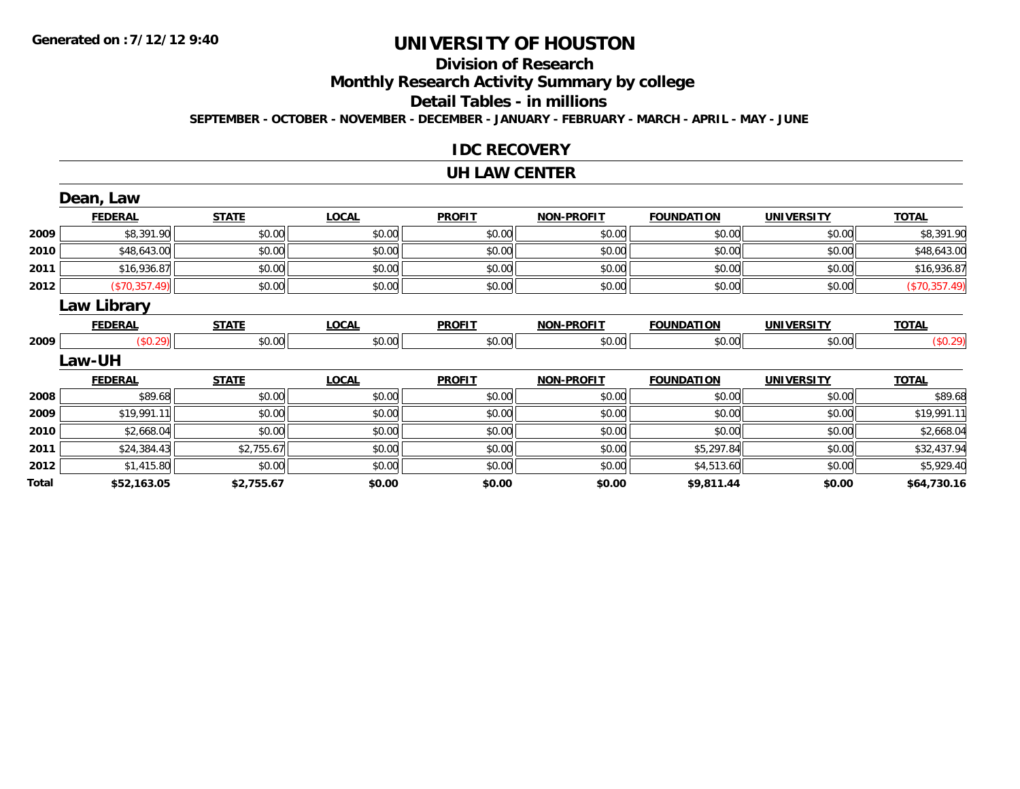# **Division of Research**

**Monthly Research Activity Summary by college**

#### **Detail Tables - in millions**

**SEPTEMBER - OCTOBER - NOVEMBER - DECEMBER - JANUARY - FEBRUARY - MARCH - APRIL - MAY - JUNE**

### **IDC RECOVERY**

#### **UH LAW CENTER**

|       | Dean, Law          |              |              |               |                   |                   |                   |               |
|-------|--------------------|--------------|--------------|---------------|-------------------|-------------------|-------------------|---------------|
|       | <b>FEDERAL</b>     | <b>STATE</b> | <b>LOCAL</b> | <b>PROFIT</b> | <b>NON-PROFIT</b> | <b>FOUNDATION</b> | <b>UNIVERSITY</b> | <b>TOTAL</b>  |
| 2009  | \$8,391.90         | \$0.00       | \$0.00       | \$0.00        | \$0.00            | \$0.00            | \$0.00            | \$8,391.90    |
| 2010  | \$48,643.00        | \$0.00       | \$0.00       | \$0.00        | \$0.00            | \$0.00            | \$0.00            | \$48,643.00   |
| 2011  | \$16,936.87        | \$0.00       | \$0.00       | \$0.00        | \$0.00            | \$0.00            | \$0.00            | \$16,936.87   |
| 2012  | (\$70,357.49)      | \$0.00       | \$0.00       | \$0.00        | \$0.00            | \$0.00            | \$0.00            | (\$70,357.49) |
|       | <b>Law Library</b> |              |              |               |                   |                   |                   |               |
|       | <b>FEDERAL</b>     | <b>STATE</b> | <b>LOCAL</b> | <b>PROFIT</b> | <b>NON-PROFIT</b> | <b>FOUNDATION</b> | <b>UNIVERSITY</b> | <b>TOTAL</b>  |
| 2009  | (\$0.29)           | \$0.00       | \$0.00       | \$0.00        | \$0.00            | \$0.00            | \$0.00            | (\$0.29)      |
|       | <b>Law-UH</b>      |              |              |               |                   |                   |                   |               |
|       | <b>FEDERAL</b>     | <b>STATE</b> | <b>LOCAL</b> | <b>PROFIT</b> | <b>NON-PROFIT</b> | <b>FOUNDATION</b> | <b>UNIVERSITY</b> | <b>TOTAL</b>  |
| 2008  | \$89.68            | \$0.00       | \$0.00       | \$0.00        | \$0.00            | \$0.00            | \$0.00            | \$89.68       |
| 2009  | \$19,991.11        | \$0.00       | \$0.00       | \$0.00        | \$0.00            | \$0.00            | \$0.00            | \$19,991.11   |
| 2010  | \$2,668.04         | \$0.00       | \$0.00       | \$0.00        | \$0.00            | \$0.00            | \$0.00            | \$2,668.04    |
| 2011  | \$24,384.43        | \$2,755.67   | \$0.00       | \$0.00        | \$0.00            | \$5,297.84        | \$0.00            | \$32,437.94   |
| 2012  | \$1,415.80         | \$0.00       | \$0.00       | \$0.00        | \$0.00            | \$4,513.60        | \$0.00            | \$5,929.40    |
| Total | \$52,163.05        | \$2,755.67   | \$0.00       | \$0.00        | \$0.00            | \$9,811.44        | \$0.00            | \$64,730.16   |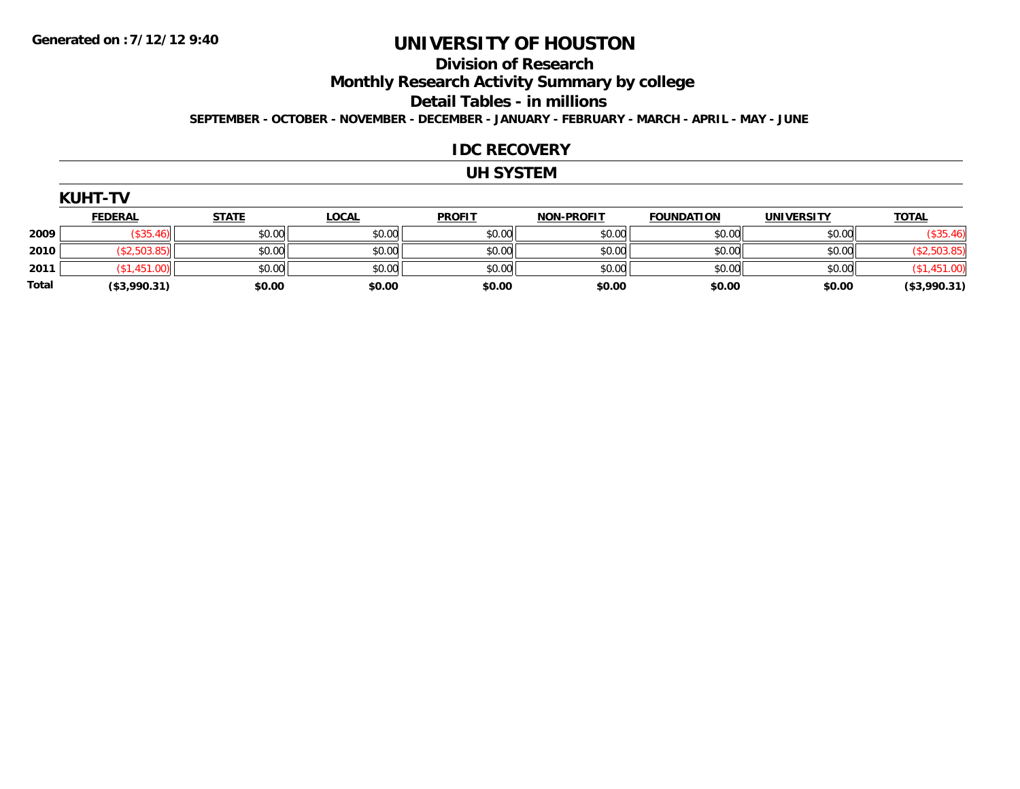#### **Division of Research**

**Monthly Research Activity Summary by college**

**Detail Tables - in millions**

**SEPTEMBER - OCTOBER - NOVEMBER - DECEMBER - JANUARY - FEBRUARY - MARCH - APRIL - MAY - JUNE**

#### **IDC RECOVERY**

#### **UH SYSTEM**

|            | 171<br>       |             |      |               |               |                   |            |                            |
|------------|---------------|-------------|------|---------------|---------------|-------------------|------------|----------------------------|
|            | <b>FFDFRA</b> | <b>CTAT</b> | OCAI | <b>PROFIT</b> | -----<br>ורות | <b>FOUNDATION</b> | 'INIVERSI. | <b>TATA</b><br><b>OTAL</b> |
| . <b>.</b> |               | .           | .    | .             | .             | .                 |            |                            |

|       | -------      | _____  | <u>_____</u> |        |        | .      | _ _ _ _ _ _ _ _ _ _ _ _ | _____        |
|-------|--------------|--------|--------------|--------|--------|--------|-------------------------|--------------|
| 2009  |              | \$0.00 | \$0.00       | \$0.00 | \$0.00 | \$0.00 | \$0.00                  | ψJJ.         |
| 2010  |              | \$0.00 | \$0.00       | \$0.00 | \$0.00 | \$0.00 | \$0.00                  |              |
| 2011  |              | \$0.00 | \$0.00       | \$0.00 | \$0.00 | \$0.00 | \$0.00                  |              |
| Total | (\$3,990.31) | \$0.00 | \$0.00       | \$0.00 | \$0.00 | \$0.00 | \$0.00                  | (\$3,990.31) |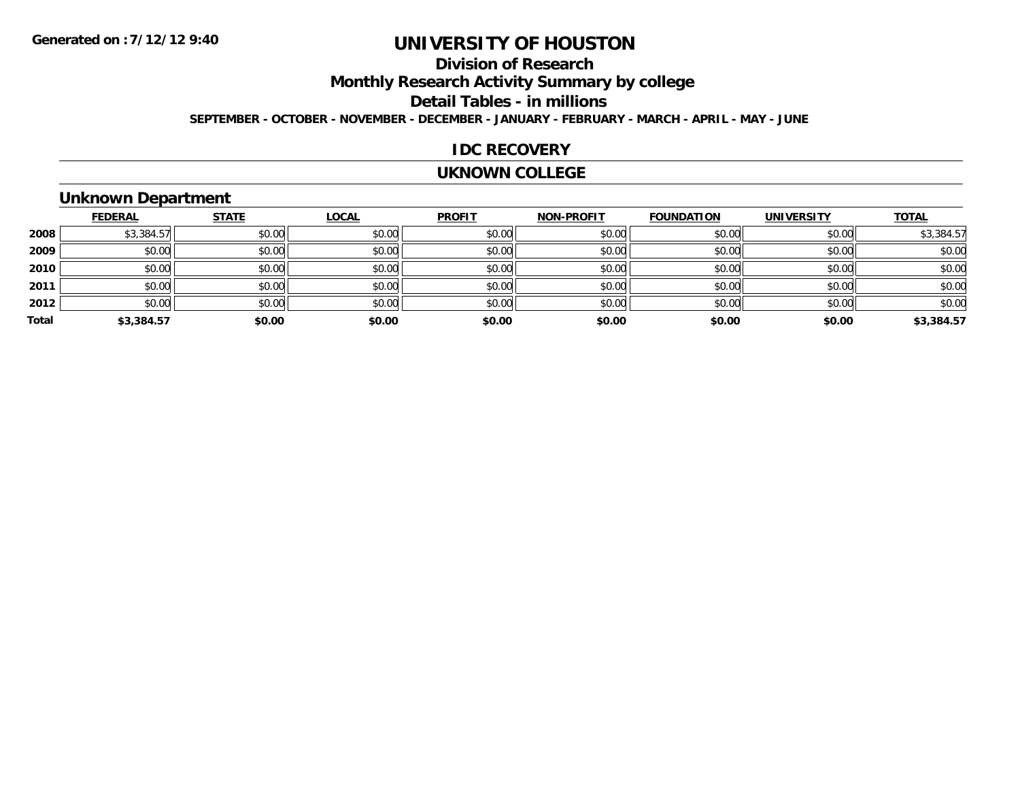# **Division of Research**

**Monthly Research Activity Summary by college**

**Detail Tables - in millions**

**SEPTEMBER - OCTOBER - NOVEMBER - DECEMBER - JANUARY - FEBRUARY - MARCH - APRIL - MAY - JUNE**

### **IDC RECOVERY**

#### **UKNOWN COLLEGE**

### **Unknown Department**

|       | <b>FEDERAL</b> | <b>STATE</b> | <b>LOCAL</b> | <b>PROFIT</b> | <b>NON-PROFIT</b> | <b>FOUNDATION</b> | <b>UNIVERSITY</b> | <b>TOTAL</b> |
|-------|----------------|--------------|--------------|---------------|-------------------|-------------------|-------------------|--------------|
| 2008  | \$3,384.57     | \$0.00       | \$0.00       | \$0.00        | \$0.00            | \$0.00            | \$0.00            | \$3,384.57   |
| 2009  | \$0.00         | \$0.00       | \$0.00       | \$0.00        | \$0.00            | \$0.00            | \$0.00            | \$0.00       |
| 2010  | \$0.00         | \$0.00       | \$0.00       | \$0.00        | \$0.00            | \$0.00            | \$0.00            | \$0.00       |
| 2011  | \$0.00         | \$0.00       | \$0.00       | \$0.00        | \$0.00            | \$0.00            | \$0.00            | \$0.00       |
| 2012  | \$0.00         | \$0.00       | \$0.00       | \$0.00        | \$0.00            | \$0.00            | \$0.00            | \$0.00       |
| Total | \$3,384.57     | \$0.00       | \$0.00       | \$0.00        | \$0.00            | \$0.00            | \$0.00            | \$3,384.57   |